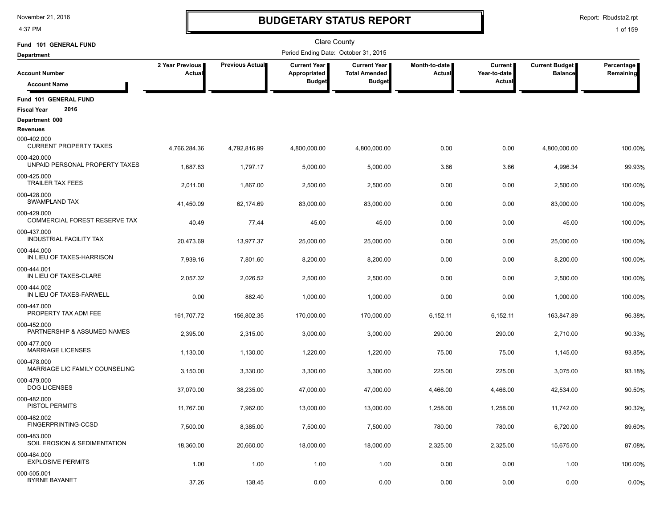4:37 PM

### **BUDGETARY STATUS REPORT**

Report: Rbudsta2.rpt

| Fund 101 GENERAL FUND                               |                                  |                 | <b>Clare County</b>                  |                                               |                         |                                |                                         |                         |
|-----------------------------------------------------|----------------------------------|-----------------|--------------------------------------|-----------------------------------------------|-------------------------|--------------------------------|-----------------------------------------|-------------------------|
| <b>Department</b>                                   |                                  |                 | Period Ending Date: October 31, 2015 |                                               |                         |                                |                                         |                         |
| <b>Account Number</b>                               | 2 Year Previous<br><b>Actual</b> | Previous Actual | Current Year<br>Appropriated         | <b>Current Year I</b><br><b>Total Amended</b> | Month-to-date<br>Actual | <b>Current</b><br>Year-to-date | <b>Current Budget</b><br><b>Balance</b> | Percentage<br>Remaining |
| <b>Account Name</b>                                 |                                  |                 | <b>Budget</b>                        | <b>Budget</b>                                 |                         | Actua                          |                                         |                         |
| Fund 101 GENERAL FUND<br>2016<br><b>Fiscal Year</b> |                                  |                 |                                      |                                               |                         |                                |                                         |                         |
| Department 000                                      |                                  |                 |                                      |                                               |                         |                                |                                         |                         |
| <b>Revenues</b>                                     |                                  |                 |                                      |                                               |                         |                                |                                         |                         |
| 000-402.000<br><b>CURRENT PROPERTY TAXES</b>        | 4,766,284.36                     | 4,792,816.99    | 4,800,000.00                         | 4,800,000.00                                  | 0.00                    | 0.00                           | 4,800,000.00                            | 100.00%                 |
| 000-420.000<br>UNPAID PERSONAL PROPERTY TAXES       | 1,687.83                         | 1,797.17        | 5,000.00                             | 5,000.00                                      | 3.66                    | 3.66                           | 4,996.34                                | 99.93%                  |
| 000-425.000<br><b>TRAILER TAX FEES</b>              | 2,011.00                         | 1,867.00        | 2,500.00                             | 2,500.00                                      | 0.00                    | 0.00                           | 2,500.00                                | 100.00%                 |
| 000-428.000<br><b>SWAMPLAND TAX</b>                 | 41,450.09                        | 62,174.69       | 83,000.00                            | 83,000.00                                     | 0.00                    | 0.00                           | 83,000.00                               | 100.00%                 |
| 000-429.000<br>COMMERCIAL FOREST RESERVE TAX        | 40.49                            | 77.44           | 45.00                                | 45.00                                         | 0.00                    | 0.00                           | 45.00                                   | 100.00%                 |
| 000-437.000<br><b>INDUSTRIAL FACILITY TAX</b>       | 20,473.69                        | 13,977.37       | 25,000.00                            | 25,000.00                                     | 0.00                    | 0.00                           | 25,000.00                               | 100.00%                 |
| 000-444.000<br>IN LIEU OF TAXES-HARRISON            | 7,939.16                         | 7,801.60        | 8,200.00                             | 8,200.00                                      | 0.00                    | 0.00                           | 8,200.00                                | 100.00%                 |
| 000-444.001<br>IN LIEU OF TAXES-CLARE               | 2,057.32                         | 2,026.52        | 2,500.00                             | 2,500.00                                      | 0.00                    | 0.00                           | 2,500.00                                | 100.00%                 |
| 000-444.002<br>IN LIEU OF TAXES-FARWELL             | 0.00                             | 882.40          | 1,000.00                             | 1,000.00                                      | 0.00                    | 0.00                           | 1,000.00                                | 100.00%                 |
| 000-447.000<br>PROPERTY TAX ADM FEE                 | 161,707.72                       | 156,802.35      | 170,000.00                           | 170,000.00                                    | 6,152.11                | 6,152.11                       | 163,847.89                              | 96.38%                  |
| 000-452.000<br>PARTNERSHIP & ASSUMED NAMES          | 2,395.00                         | 2,315.00        | 3,000.00                             | 3,000.00                                      | 290.00                  | 290.00                         | 2,710.00                                | 90.33%                  |
| 000-477.000<br><b>MARRIAGE LICENSES</b>             | 1,130.00                         | 1,130.00        | 1,220.00                             | 1,220.00                                      | 75.00                   | 75.00                          | 1,145.00                                | 93.85%                  |
| 000-478.000<br>MARRIAGE LIC FAMILY COUNSELING       | 3,150.00                         | 3,330.00        | 3,300.00                             | 3,300.00                                      | 225.00                  | 225.00                         | 3,075.00                                | 93.18%                  |
| 000-479.000<br><b>DOG LICENSES</b>                  | 37,070.00                        | 38,235.00       | 47,000.00                            | 47,000.00                                     | 4,466.00                | 4,466.00                       | 42,534.00                               | 90.50%                  |
| 000-482.000<br>PISTOL PERMITS                       | 11,767.00                        | 7,962.00        | 13,000.00                            | 13,000.00                                     | 1,258.00                | 1,258.00                       | 11,742.00                               | 90.32%                  |
| 000-482.002<br>FINGERPRINTING-CCSD                  | 7,500.00                         | 8,385.00        | 7,500.00                             | 7,500.00                                      | 780.00                  | 780.00                         | 6,720.00                                | 89.60%                  |
| 000-483.000<br>SOIL EROSION & SEDIMENTATION         | 18,360.00                        | 20,660.00       | 18,000.00                            | 18,000.00                                     | 2,325.00                | 2,325.00                       | 15,675.00                               | 87.08%                  |
| 000-484.000<br><b>EXPLOSIVE PERMITS</b>             | 1.00                             | 1.00            | 1.00                                 | 1.00                                          | 0.00                    | 0.00                           | 1.00                                    | 100.00%                 |
| 000-505.001<br><b>BYRNE BAYANET</b>                 | 37.26                            | 138.45          | 0.00                                 | 0.00                                          | 0.00                    | 0.00                           | 0.00                                    | 0.00%                   |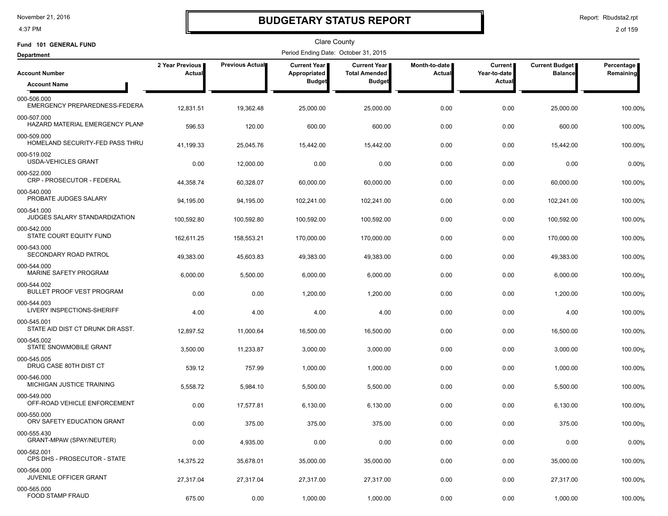4:37 PM

### **BUDGETARY STATUS REPORT**

Report: Rbudsta2.rpt

| Fund 101 GENERAL FUND                           |                           |                        | <b>Clare County</b>                  |                                      |                         |                           |                                         |                         |
|-------------------------------------------------|---------------------------|------------------------|--------------------------------------|--------------------------------------|-------------------------|---------------------------|-----------------------------------------|-------------------------|
| <b>Department</b>                               |                           |                        | Period Ending Date: October 31, 2015 |                                      |                         |                           |                                         |                         |
| <b>Account Number</b>                           | 2 Year Previous<br>Actual | <b>Previous Actual</b> | <b>Current Year</b><br>Appropriated  | Current Year<br><b>Total Amended</b> | Month-to-date<br>Actual | Current  <br>Year-to-date | <b>Current Budget</b><br><b>Balance</b> | Percentage<br>Remaining |
| <b>Account Name</b>                             |                           |                        | <b>Budget</b>                        | <b>Budget</b>                        |                         | <b>Actual</b>             |                                         |                         |
| 000-506.000<br>EMERGENCY PREPAREDNESS-FEDERA    | 12,831.51                 | 19,362.48              | 25,000.00                            | 25,000.00                            | 0.00                    | 0.00                      | 25,000.00                               | 100.00%                 |
| 000-507.000<br>HAZARD MATERIAL EMERGENCY PLANN  | 596.53                    | 120.00                 | 600.00                               | 600.00                               | 0.00                    | 0.00                      | 600.00                                  | 100.00%                 |
| 000-509.000<br>HOMELAND SECURITY-FED PASS THRU  | 41,199.33                 | 25,045.76              | 15,442.00                            | 15,442.00                            | 0.00                    | 0.00                      | 15,442.00                               | 100.00%                 |
| 000-519.002<br><b>USDA-VEHICLES GRANT</b>       | 0.00                      | 12,000.00              | 0.00                                 | 0.00                                 | 0.00                    | 0.00                      | 0.00                                    | 0.00%                   |
| 000-522.000<br>CRP - PROSECUTOR - FEDERAL       | 44,358.74                 | 60,328.07              | 60,000.00                            | 60,000.00                            | 0.00                    | 0.00                      | 60,000.00                               | 100.00%                 |
| 000-540.000<br>PROBATE JUDGES SALARY            | 94,195.00                 | 94,195.00              | 102,241.00                           | 102,241.00                           | 0.00                    | 0.00                      | 102,241.00                              | 100.00%                 |
| 000-541.000<br>JUDGES SALARY STANDARDIZATION    | 100,592.80                | 100,592.80             | 100,592.00                           | 100,592.00                           | 0.00                    | 0.00                      | 100,592.00                              | 100.00%                 |
| 000-542.000<br>STATE COURT EQUITY FUND          | 162,611.25                | 158,553.21             | 170,000.00                           | 170,000.00                           | 0.00                    | 0.00                      | 170,000.00                              | 100.00%                 |
| 000-543.000<br>SECONDARY ROAD PATROL            | 49,383.00                 | 45,603.83              | 49,383.00                            | 49,383.00                            | 0.00                    | 0.00                      | 49,383.00                               | 100.00%                 |
| 000-544.000<br>MARINE SAFETY PROGRAM            | 6,000.00                  | 5,500.00               | 6,000.00                             | 6,000.00                             | 0.00                    | 0.00                      | 6,000.00                                | 100.00%                 |
| 000-544.002<br><b>BULLET PROOF VEST PROGRAM</b> | 0.00                      | 0.00                   | 1,200.00                             | 1,200.00                             | 0.00                    | 0.00                      | 1,200.00                                | 100.00%                 |
| 000-544.003<br>LIVERY INSPECTIONS-SHERIFF       | 4.00                      | 4.00                   | 4.00                                 | 4.00                                 | 0.00                    | 0.00                      | 4.00                                    | 100.00%                 |
| 000-545.001<br>STATE AID DIST CT DRUNK DR ASST. | 12,897.52                 | 11,000.64              | 16,500.00                            | 16,500.00                            | 0.00                    | 0.00                      | 16,500.00                               | 100.00%                 |
| 000-545.002<br>STATE SNOWMOBILE GRANT           | 3,500.00                  | 11,233.87              | 3,000.00                             | 3,000.00                             | 0.00                    | 0.00                      | 3,000.00                                | 100.00%                 |
| 000-545.005<br>DRUG CASE 80TH DIST CT           | 539.12                    | 757.99                 | 1,000.00                             | 1,000.00                             | 0.00                    | 0.00                      | 1,000.00                                | 100.00%                 |
| 000-546.000<br>MICHIGAN JUSTICE TRAINING        | 5,558.72                  | 5,984.10               | 5,500.00                             | 5,500.00                             | 0.00                    | 0.00                      | 5,500.00                                | 100.00%                 |
| 000-549.000<br>OFF-ROAD VEHICLE ENFORCEMENT     | 0.00                      | 17,577.81              | 6,130.00                             | 6,130.00                             | 0.00                    | 0.00                      | 6,130.00                                | 100.00%                 |
| 000-550.000<br>ORV SAFETY EDUCATION GRANT       | 0.00                      | 375.00                 | 375.00                               | 375.00                               | 0.00                    | 0.00                      | 375.00                                  | 100.00%                 |
| 000-555.430<br>GRANT-MPAW (SPAY/NEUTER)         | 0.00                      | 4,935.00               | 0.00                                 | 0.00                                 | 0.00                    | 0.00                      | 0.00                                    | 0.00%                   |
| 000-562.001<br>CPS DHS - PROSECUTOR - STATE     | 14,375.22                 | 35,678.01              | 35,000.00                            | 35,000.00                            | 0.00                    | 0.00                      | 35,000.00                               | 100.00%                 |
| 000-564.000<br>JUVENILE OFFICER GRANT           | 27,317.04                 | 27,317.04              | 27,317.00                            | 27,317.00                            | 0.00                    | 0.00                      | 27,317.00                               | 100.00%                 |
| 000-565.000<br><b>FOOD STAMP FRAUD</b>          | 675.00                    | 0.00                   | 1,000.00                             | 1,000.00                             | 0.00                    | 0.00                      | 1,000.00                                | 100.00%                 |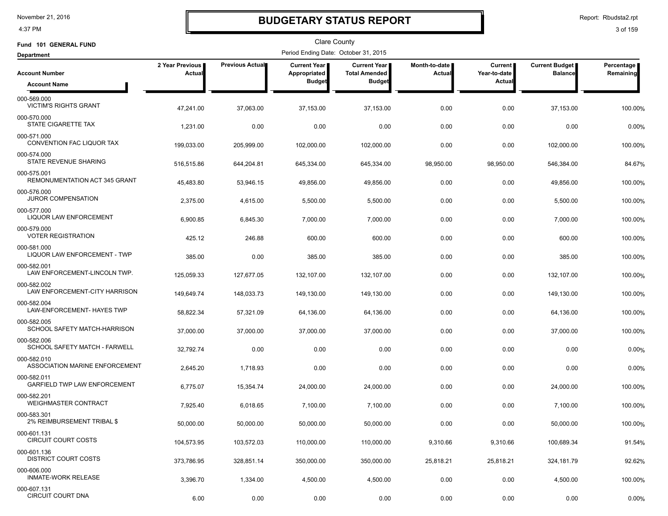4:37 PM

### **BUDGETARY STATUS REPORT**

Report: Rbudsta2.rpt

| Fund 101 GENERAL FUND                              |                           |                 | <b>Clare County</b>                  |                                             |                                |                                |                                  |                         |
|----------------------------------------------------|---------------------------|-----------------|--------------------------------------|---------------------------------------------|--------------------------------|--------------------------------|----------------------------------|-------------------------|
| <b>Department</b>                                  |                           |                 | Period Ending Date: October 31, 2015 |                                             |                                |                                |                                  |                         |
| <b>Account Number</b>                              | 2 Year Previous<br>Actual | Previous Actual | <b>Current Year</b><br>Appropriated  | <b>Current Year</b><br><b>Total Amended</b> | Month-to-date<br><b>Actual</b> | <b>Current</b><br>Year-to-date | Current Budget<br><b>Balance</b> | Percentage<br>Remaining |
| <b>Account Name</b>                                |                           |                 | <b>Budget</b>                        | <b>Budget</b>                               |                                | Actual                         |                                  |                         |
| 000-569.000<br><b>VICTIM'S RIGHTS GRANT</b>        | 47,241.00                 | 37,063.00       | 37,153.00                            | 37,153.00                                   | 0.00                           | 0.00                           | 37,153.00                        | 100.00%                 |
| 000-570.000<br>STATE CIGARETTE TAX                 | 1,231.00                  | 0.00            | 0.00                                 | 0.00                                        | 0.00                           | 0.00                           | 0.00                             | 0.00%                   |
| 000-571.000<br>CONVENTION FAC LIQUOR TAX           | 199,033.00                | 205,999.00      | 102,000.00                           | 102,000.00                                  | 0.00                           | 0.00                           | 102,000.00                       | 100.00%                 |
| 000-574.000<br>STATE REVENUE SHARING               | 516,515.86                | 644,204.81      | 645,334.00                           | 645,334.00                                  | 98,950.00                      | 98,950.00                      | 546,384.00                       | 84.67%                  |
| 000-575.001<br>REMONUMENTATION ACT 345 GRANT       | 45,483.80                 | 53,946.15       | 49,856.00                            | 49,856.00                                   | 0.00                           | 0.00                           | 49,856.00                        | 100.00%                 |
| 000-576.000<br><b>JUROR COMPENSATION</b>           | 2,375.00                  | 4,615.00        | 5,500.00                             | 5,500.00                                    | 0.00                           | 0.00                           | 5,500.00                         | 100.00%                 |
| 000-577.000<br>LIQUOR LAW ENFORCEMENT              | 6,900.85                  | 6,845.30        | 7,000.00                             | 7,000.00                                    | 0.00                           | 0.00                           | 7,000.00                         | 100.00%                 |
| 000-579.000<br><b>VOTER REGISTRATION</b>           | 425.12                    | 246.88          | 600.00                               | 600.00                                      | 0.00                           | 0.00                           | 600.00                           | 100.00%                 |
| 000-581.000<br>LIQUOR LAW ENFORCEMENT - TWP        | 385.00                    | 0.00            | 385.00                               | 385.00                                      | 0.00                           | 0.00                           | 385.00                           | 100.00%                 |
| 000-582.001<br>LAW ENFORCEMENT-LINCOLN TWP.        | 125,059.33                | 127,677.05      | 132,107.00                           | 132,107.00                                  | 0.00                           | 0.00                           | 132,107.00                       | 100.00%                 |
| 000-582.002<br>LAW ENFORCEMENT-CITY HARRISON       | 149,649.74                | 148,033.73      | 149,130.00                           | 149,130.00                                  | 0.00                           | 0.00                           | 149,130.00                       | 100.00%                 |
| 000-582.004<br>LAW-ENFORCEMENT- HAYES TWP          | 58,822.34                 | 57,321.09       | 64,136.00                            | 64,136.00                                   | 0.00                           | 0.00                           | 64,136.00                        | 100.00%                 |
| 000-582.005<br>SCHOOL SAFETY MATCH-HARRISON        | 37,000.00                 | 37,000.00       | 37,000.00                            | 37,000.00                                   | 0.00                           | 0.00                           | 37,000.00                        | 100.00%                 |
| 000-582.006<br>SCHOOL SAFETY MATCH - FARWELL       | 32,792.74                 | 0.00            | 0.00                                 | 0.00                                        | 0.00                           | 0.00                           | 0.00                             | 0.00%                   |
| 000-582.010<br>ASSOCIATION MARINE ENFORCEMENT      | 2,645.20                  | 1,718.93        | 0.00                                 | 0.00                                        | 0.00                           | 0.00                           | 0.00                             | 0.00%                   |
| 000-582.011<br><b>GARFIELD TWP LAW ENFORCEMENT</b> | 6,775.07                  | 15,354.74       | 24,000.00                            | 24,000.00                                   | 0.00                           | 0.00                           | 24,000.00                        | 100.00%                 |
| 000-582.201<br><b>WEIGHMASTER CONTRACT</b>         | 7,925.40                  | 6,018.65        | 7,100.00                             | 7,100.00                                    | 0.00                           | 0.00                           | 7,100.00                         | 100.00%                 |
| 000-583.301<br>2% REIMBURSEMENT TRIBAL \$          | 50,000.00                 | 50,000.00       | 50,000.00                            | 50,000.00                                   | 0.00                           | 0.00                           | 50,000.00                        | 100.00%                 |
| 000-601.131<br><b>CIRCUIT COURT COSTS</b>          | 104,573.95                | 103,572.03      | 110,000.00                           | 110,000.00                                  | 9,310.66                       | 9,310.66                       | 100,689.34                       | 91.54%                  |
| 000-601.136<br><b>DISTRICT COURT COSTS</b>         | 373,786.95                | 328,851.14      | 350,000.00                           | 350,000.00                                  | 25,818.21                      | 25,818.21                      | 324,181.79                       | 92.62%                  |
| 000-606.000<br>INMATE-WORK RELEASE                 | 3,396.70                  | 1,334.00        | 4,500.00                             | 4,500.00                                    | 0.00                           | 0.00                           | 4,500.00                         | 100.00%                 |
| 000-607.131<br><b>CIRCUIT COURT DNA</b>            | 6.00                      | 0.00            | 0.00                                 | 0.00                                        | 0.00                           | 0.00                           | 0.00                             | 0.00%                   |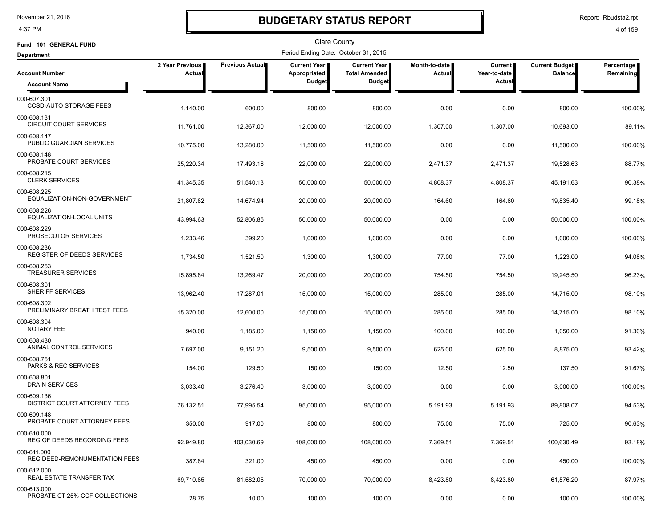4:37 PM

### **BUDGETARY STATUS REPORT**

Report: Rbudsta2.rpt

| Fund 101 GENERAL FUND                         |                           |                        | <b>Clare County</b>                  |                                      |                                |                           |                                  |                         |
|-----------------------------------------------|---------------------------|------------------------|--------------------------------------|--------------------------------------|--------------------------------|---------------------------|----------------------------------|-------------------------|
| <b>Department</b>                             |                           |                        | Period Ending Date: October 31, 2015 |                                      |                                |                           |                                  |                         |
| <b>Account Number</b>                         | 2 Year Previous<br>Actual | <b>Previous Actual</b> | <b>Current Year</b><br>Appropriated  | Current Year<br><b>Total Amended</b> | Month-to-date<br><b>Actual</b> | Current  <br>Year-to-date | Current Budget<br><b>Balance</b> | Percentage<br>Remaining |
| <b>Account Name</b>                           |                           |                        | <b>Budget</b>                        | <b>Budget</b>                        |                                | Actual                    |                                  |                         |
| 000-607.301<br><b>CCSD-AUTO STORAGE FEES</b>  | 1,140.00                  | 600.00                 | 800.00                               | 800.00                               | 0.00                           | 0.00                      | 800.00                           | 100.00%                 |
| 000-608.131<br><b>CIRCUIT COURT SERVICES</b>  | 11,761.00                 | 12,367.00              | 12,000.00                            | 12,000.00                            | 1,307.00                       | 1,307.00                  | 10,693.00                        | 89.11%                  |
| 000-608.147<br>PUBLIC GUARDIAN SERVICES       | 10,775.00                 | 13,280.00              | 11,500.00                            | 11,500.00                            | 0.00                           | 0.00                      | 11,500.00                        | 100.00%                 |
| 000-608.148<br>PROBATE COURT SERVICES         | 25,220.34                 | 17,493.16              | 22,000.00                            | 22,000.00                            | 2,471.37                       | 2,471.37                  | 19,528.63                        | 88.77%                  |
| 000-608.215<br><b>CLERK SERVICES</b>          | 41,345.35                 | 51,540.13              | 50,000.00                            | 50,000.00                            | 4,808.37                       | 4,808.37                  | 45,191.63                        | 90.38%                  |
| 000-608.225<br>EQUALIZATION-NON-GOVERNMENT    | 21,807.82                 | 14,674.94              | 20,000.00                            | 20,000.00                            | 164.60                         | 164.60                    | 19,835.40                        | 99.18%                  |
| 000-608.226<br>EQUALIZATION-LOCAL UNITS       | 43,994.63                 | 52,806.85              | 50,000.00                            | 50,000.00                            | 0.00                           | 0.00                      | 50,000.00                        | 100.00%                 |
| 000-608.229<br>PROSECUTOR SERVICES            | 1,233.46                  | 399.20                 | 1,000.00                             | 1,000.00                             | 0.00                           | 0.00                      | 1,000.00                         | 100.00%                 |
| 000-608.236<br>REGISTER OF DEEDS SERVICES     | 1,734.50                  | 1,521.50               | 1,300.00                             | 1,300.00                             | 77.00                          | 77.00                     | 1,223.00                         | 94.08%                  |
| 000-608.253<br><b>TREASURER SERVICES</b>      | 15,895.84                 | 13,269.47              | 20,000.00                            | 20,000.00                            | 754.50                         | 754.50                    | 19,245.50                        | 96.23%                  |
| 000-608.301<br>SHERIFF SERVICES               | 13,962.40                 | 17,287.01              | 15,000.00                            | 15,000.00                            | 285.00                         | 285.00                    | 14,715.00                        | 98.10%                  |
| 000-608.302<br>PRELIMINARY BREATH TEST FEES   | 15,320.00                 | 12,600.00              | 15,000.00                            | 15,000.00                            | 285.00                         | 285.00                    | 14,715.00                        | 98.10%                  |
| 000-608.304<br>NOTARY FEE                     | 940.00                    | 1,185.00               | 1,150.00                             | 1,150.00                             | 100.00                         | 100.00                    | 1,050.00                         | 91.30%                  |
| 000-608.430<br>ANIMAL CONTROL SERVICES        | 7,697.00                  | 9,151.20               | 9,500.00                             | 9,500.00                             | 625.00                         | 625.00                    | 8,875.00                         | 93.42%                  |
| 000-608.751<br>PARKS & REC SERVICES           | 154.00                    | 129.50                 | 150.00                               | 150.00                               | 12.50                          | 12.50                     | 137.50                           | 91.67%                  |
| 000-608.801<br><b>DRAIN SERVICES</b>          | 3,033.40                  | 3,276.40               | 3,000.00                             | 3,000.00                             | 0.00                           | 0.00                      | 3,000.00                         | 100.00%                 |
| 000-609.136<br>DISTRICT COURT ATTORNEY FEES   | 76,132.51                 | 77,995.54              | 95,000.00                            | 95,000.00                            | 5,191.93                       | 5,191.93                  | 89,808.07                        | 94.53%                  |
| 000-609.148<br>PROBATE COURT ATTORNEY FEES    | 350.00                    | 917.00                 | 800.00                               | 800.00                               | 75.00                          | 75.00                     | 725.00                           | 90.63%                  |
| 000-610.000<br>REG OF DEEDS RECORDING FEES    | 92,949.80                 | 103,030.69             | 108,000.00                           | 108,000.00                           | 7,369.51                       | 7,369.51                  | 100,630.49                       | 93.18%                  |
| 000-611.000<br>REG DEED-REMONUMENTATION FEES  | 387.84                    | 321.00                 | 450.00                               | 450.00                               | 0.00                           | 0.00                      | 450.00                           | 100.00%                 |
| 000-612.000<br>REAL ESTATE TRANSFER TAX       | 69,710.85                 | 81,582.05              | 70,000.00                            | 70,000.00                            | 8,423.80                       | 8,423.80                  | 61,576.20                        | 87.97%                  |
| 000-613.000<br>PROBATE CT 25% CCF COLLECTIONS | 28.75                     | 10.00                  | 100.00                               | 100.00                               | 0.00                           | 0.00                      | 100.00                           | 100.00%                 |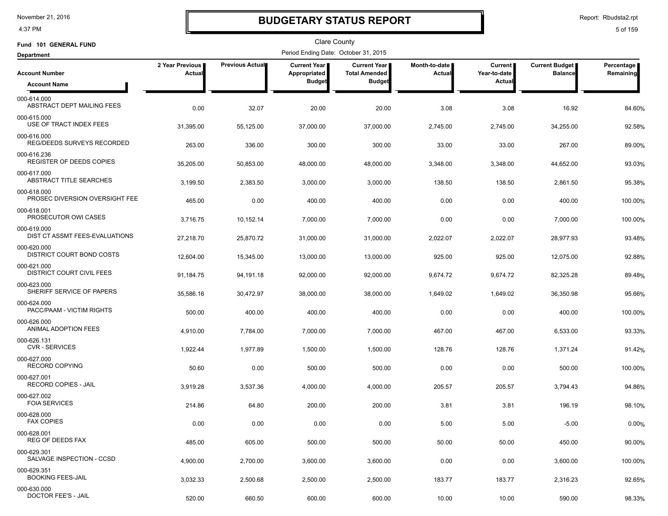4:37 PM

### **BUDGETARY STATUS REPORT**

Report: Rbudsta2.rpt

| Fund 101 GENERAL FUND                           |                           |                 | Clare County                         |                                      |                         |                           |                                  |                         |
|-------------------------------------------------|---------------------------|-----------------|--------------------------------------|--------------------------------------|-------------------------|---------------------------|----------------------------------|-------------------------|
| <b>Department</b>                               |                           |                 | Period Ending Date: October 31, 2015 |                                      |                         |                           |                                  |                         |
| <b>Account Number</b>                           | 2 Year Previous<br>Actual | Previous Actual | Current Year<br>Appropriated         | Current Year<br><b>Total Amended</b> | Month-to-date<br>Actual | Current  <br>Year-to-date | Current Budget<br><b>Balance</b> | Percentage<br>Remaining |
| <b>Account Name</b>                             |                           |                 | <b>Budget</b>                        | <b>Budget</b>                        |                         | Actual                    |                                  |                         |
| 000-614.000<br>ABSTRACT DEPT MAILING FEES       | 0.00                      | 32.07           | 20.00                                | 20.00                                | 3.08                    | 3.08                      | 16.92                            | 84.60%                  |
| 000-615.000<br>USE OF TRACT INDEX FEES          | 31,395.00                 | 55,125.00       | 37,000.00                            | 37,000.00                            | 2,745.00                | 2,745.00                  | 34,255.00                        | 92.58%                  |
| 000-616.000<br>REG/DEEDS SURVEYS RECORDED       | 263.00                    | 336.00          | 300.00                               | 300.00                               | 33.00                   | 33.00                     | 267.00                           | 89.00%                  |
| 000-616.236<br><b>REGISTER OF DEEDS COPIES</b>  | 35,205.00                 | 50,853.00       | 48,000.00                            | 48,000.00                            | 3,348.00                | 3,348.00                  | 44,652.00                        | 93.03%                  |
| 000-617.000<br>ABSTRACT TITLE SEARCHES          | 3,199.50                  | 2,383.50        | 3,000.00                             | 3,000.00                             | 138.50                  | 138.50                    | 2,861.50                         | 95.38%                  |
| 000-618.000<br>PROSEC DIVERSION OVERSIGHT FEE   | 465.00                    | 0.00            | 400.00                               | 400.00                               | 0.00                    | 0.00                      | 400.00                           | 100.00%                 |
| 000-618.001<br>PROSECUTOR OWI CASES             | 3,716.75                  | 10,152.14       | 7,000.00                             | 7,000.00                             | 0.00                    | 0.00                      | 7,000.00                         | 100.00%                 |
| 000-619.000<br>DIST CT ASSMT FEES-EVALUATIONS   | 27,218.70                 | 25,870.72       | 31,000.00                            | 31,000.00                            | 2,022.07                | 2,022.07                  | 28,977.93                        | 93.48%                  |
| 000-620.000<br>DISTRICT COURT BOND COSTS        | 12,604.00                 | 15,345.00       | 13,000.00                            | 13,000.00                            | 925.00                  | 925.00                    | 12,075.00                        | 92.88%                  |
| 000-621.000<br><b>DISTRICT COURT CIVIL FEES</b> | 91,184.75                 | 94,191.18       | 92,000.00                            | 92,000.00                            | 9,674.72                | 9,674.72                  | 82,325.28                        | 89.48%                  |
| 000-623.000<br>SHERIFF SERVICE OF PAPERS        | 35,586.16                 | 30,472.97       | 38,000.00                            | 38,000.00                            | 1,649.02                | 1,649.02                  | 36,350.98                        | 95.66%                  |
| 000-624.000<br>PACC/PAAM - VICTIM RIGHTS        | 500.00                    | 400.00          | 400.00                               | 400.00                               | 0.00                    | 0.00                      | 400.00                           | 100.00%                 |
| 000-626.000<br>ANIMAL ADOPTION FEES             | 4,910.00                  | 7,784.00        | 7,000.00                             | 7,000.00                             | 467.00                  | 467.00                    | 6,533.00                         | 93.33%                  |
| 000-626.131<br><b>CVR - SERVICES</b>            | 1,922.44                  | 1,977.89        | 1,500.00                             | 1,500.00                             | 128.76                  | 128.76                    | 1,371.24                         | 91.42%                  |
| 000-627.000<br>RECORD COPYING                   | 50.60                     | 0.00            | 500.00                               | 500.00                               | 0.00                    | 0.00                      | 500.00                           | 100.00%                 |
| 000-627.001<br>RECORD COPIES - JAIL             | 3,919.28                  | 3,537.36        | 4,000.00                             | 4,000.00                             | 205.57                  | 205.57                    | 3,794.43                         | 94.86%                  |
| 000-627.002<br><b>FOIA SERVICES</b>             | 214.86                    | 64.80           | 200.00                               | 200.00                               | 3.81                    | 3.81                      | 196.19                           | 98.10%                  |
| 000-628.000<br><b>FAX COPIES</b>                | 0.00                      | 0.00            | 0.00                                 | 0.00                                 | 5.00                    | 5.00                      | $-5.00$                          | 0.00%                   |
| 000-628.001<br><b>REG OF DEEDS FAX</b>          | 485.00                    | 605.00          | 500.00                               | 500.00                               | 50.00                   | 50.00                     | 450.00                           | 90.00%                  |
| 000-629.301<br>SALVAGE INSPECTION - CCSD        | 4,900.00                  | 2,700.00        | 3,600.00                             | 3,600.00                             | 0.00                    | 0.00                      | 3,600.00                         | 100.00%                 |
| 000-629.351<br><b>BOOKING FEES-JAIL</b>         | 3,032.33                  | 2,500.68        | 2,500.00                             | 2,500.00                             | 183.77                  | 183.77                    | 2,316.23                         | 92.65%                  |
| 000-630.000<br>DOCTOR FEE'S - JAIL              | 520.00                    | 660.50          | 600.00                               | 600.00                               | 10.00                   | 10.00                     | 590.00                           | 98.33%                  |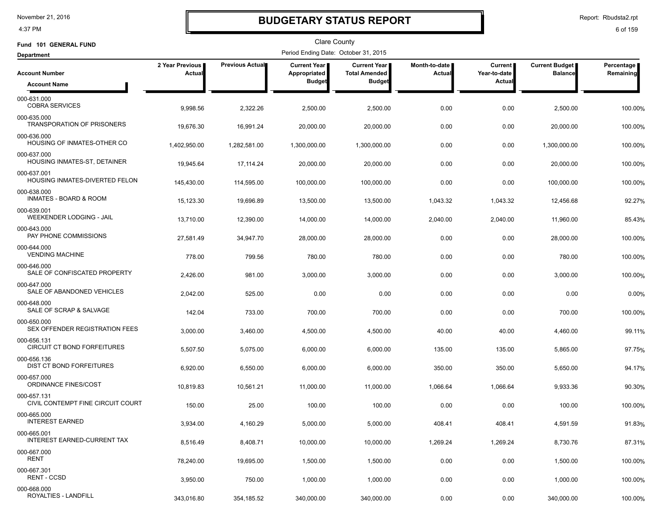4:37 PM

### **BUDGETARY STATUS REPORT**

Report: Rbudsta2.rpt

| Fund 101 GENERAL FUND                            |                           |                 | Clare County                         |                                             |                         |                                |                                         |                           |
|--------------------------------------------------|---------------------------|-----------------|--------------------------------------|---------------------------------------------|-------------------------|--------------------------------|-----------------------------------------|---------------------------|
| <b>Department</b>                                |                           |                 | Period Ending Date: October 31, 2015 |                                             |                         |                                |                                         |                           |
| <b>Account Number</b>                            | 2 Year Previous<br>Actual | Previous Actual | Current Year<br>Appropriated         | <b>Current Year</b><br><b>Total Amended</b> | Month-to-date<br>Actual | <b>Current</b><br>Year-to-date | <b>Current Budget</b><br><b>Balance</b> | Percentage  <br>Remaining |
| <b>Account Name</b>                              |                           |                 | <b>Budget</b>                        | <b>Budget</b>                               |                         | Actual                         |                                         |                           |
| 000-631.000<br><b>COBRA SERVICES</b>             | 9,998.56                  | 2,322.26        | 2,500.00                             | 2,500.00                                    | 0.00                    | 0.00                           | 2,500.00                                | 100.00%                   |
| 000-635.000<br>TRANSPORATION OF PRISONERS        | 19,676.30                 | 16,991.24       | 20,000.00                            | 20,000.00                                   | 0.00                    | 0.00                           | 20,000.00                               | 100.00%                   |
| 000-636.000<br>HOUSING OF INMATES-OTHER CO       | 1,402,950.00              | 1,282,581.00    | 1,300,000.00                         | 1,300,000.00                                | 0.00                    | 0.00                           | 1,300,000.00                            | 100.00%                   |
| 000-637.000<br>HOUSING INMATES-ST, DETAINER      | 19,945.64                 | 17,114.24       | 20,000.00                            | 20,000.00                                   | 0.00                    | 0.00                           | 20,000.00                               | 100.00%                   |
| 000-637.001<br>HOUSING INMATES-DIVERTED FELON    | 145,430.00                | 114,595.00      | 100,000.00                           | 100,000.00                                  | 0.00                    | 0.00                           | 100,000.00                              | 100.00%                   |
| 000-638.000<br><b>INMATES - BOARD &amp; ROOM</b> | 15,123.30                 | 19,696.89       | 13,500.00                            | 13,500.00                                   | 1,043.32                | 1,043.32                       | 12,456.68                               | 92.27%                    |
| 000-639.001<br>WEEKENDER LODGING - JAIL          | 13,710.00                 | 12,390.00       | 14,000.00                            | 14,000.00                                   | 2,040.00                | 2,040.00                       | 11,960.00                               | 85.43%                    |
| 000-643.000<br>PAY PHONE COMMISSIONS             | 27,581.49                 | 34,947.70       | 28,000.00                            | 28,000.00                                   | 0.00                    | 0.00                           | 28,000.00                               | 100.00%                   |
| 000-644.000<br><b>VENDING MACHINE</b>            | 778.00                    | 799.56          | 780.00                               | 780.00                                      | 0.00                    | 0.00                           | 780.00                                  | 100.00%                   |
| 000-646.000<br>SALE OF CONFISCATED PROPERTY      | 2,426.00                  | 981.00          | 3,000.00                             | 3,000.00                                    | 0.00                    | 0.00                           | 3,000.00                                | 100.00%                   |
| 000-647.000<br>SALE OF ABANDONED VEHICLES        | 2,042.00                  | 525.00          | 0.00                                 | 0.00                                        | 0.00                    | 0.00                           | 0.00                                    | 0.00%                     |
| 000-648.000<br>SALE OF SCRAP & SALVAGE           | 142.04                    | 733.00          | 700.00                               | 700.00                                      | 0.00                    | 0.00                           | 700.00                                  | 100.00%                   |
| 000-650.000<br>SEX OFFENDER REGISTRATION FEES    | 3,000.00                  | 3,460.00        | 4,500.00                             | 4,500.00                                    | 40.00                   | 40.00                          | 4,460.00                                | 99.11%                    |
| 000-656.131<br>CIRCUIT CT BOND FORFEITURES       | 5,507.50                  | 5,075.00        | 6,000.00                             | 6,000.00                                    | 135.00                  | 135.00                         | 5,865.00                                | 97.75%                    |
| 000-656.136<br>DIST CT BOND FORFEITURES          | 6,920.00                  | 6,550.00        | 6,000.00                             | 6,000.00                                    | 350.00                  | 350.00                         | 5,650.00                                | 94.17%                    |
| 000-657.000<br>ORDINANCE FINES/COST              | 10,819.83                 | 10,561.21       | 11,000.00                            | 11,000.00                                   | 1,066.64                | 1,066.64                       | 9,933.36                                | 90.30%                    |
| 000-657.131<br>CIVIL CONTEMPT FINE CIRCUIT COURT | 150.00                    | 25.00           | 100.00                               | 100.00                                      | 0.00                    | 0.00                           | 100.00                                  | 100.00%                   |
| 000-665.000<br><b>INTEREST EARNED</b>            | 3,934.00                  | 4,160.29        | 5,000.00                             | 5,000.00                                    | 408.41                  | 408.41                         | 4,591.59                                | 91.83%                    |
| 000-665.001<br>INTEREST EARNED-CURRENT TAX       | 8,516.49                  | 8,408.71        | 10,000.00                            | 10,000.00                                   | 1,269.24                | 1,269.24                       | 8,730.76                                | 87.31%                    |
| 000-667.000<br>RENT                              | 78,240.00                 | 19,695.00       | 1,500.00                             | 1,500.00                                    | 0.00                    | 0.00                           | 1,500.00                                | 100.00%                   |
| 000-667.301<br><b>RENT - CCSD</b>                | 3,950.00                  | 750.00          | 1,000.00                             | 1,000.00                                    | 0.00                    | 0.00                           | 1,000.00                                | 100.00%                   |
| 000-668.000<br>ROYALTIES - LANDFILL              | 343,016.80                | 354,185.52      | 340,000.00                           | 340,000.00                                  | 0.00                    | 0.00                           | 340,000.00                              | 100.00%                   |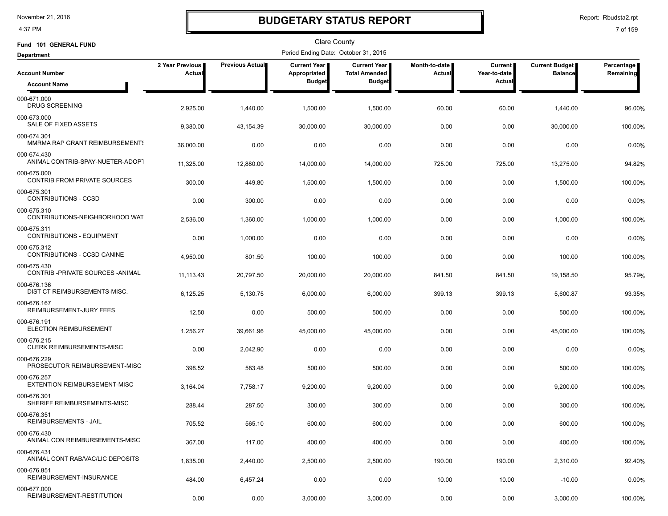4:37 PM

# **BUDGETARY STATUS REPORT**

Report: Rbudsta2.rpt

| Fund 101 GENERAL FUND                              |                                  |                 | Clare County                         |                                               |                                |                                |                                         |                         |
|----------------------------------------------------|----------------------------------|-----------------|--------------------------------------|-----------------------------------------------|--------------------------------|--------------------------------|-----------------------------------------|-------------------------|
| <b>Department</b>                                  |                                  |                 | Period Ending Date: October 31, 2015 |                                               |                                |                                |                                         |                         |
| <b>Account Number</b>                              | 2 Year Previous<br><b>Actual</b> | Previous Actual | Current Year<br>Appropriated         | <b>Current Year I</b><br><b>Total Amended</b> | Month-to-date<br><b>Actual</b> | <b>Current</b><br>Year-to-date | <b>Current Budget</b><br><b>Balance</b> | Percentage<br>Remaining |
| <b>Account Name</b>                                |                                  |                 | <b>Budget</b>                        | <b>Budget</b>                                 |                                | Actual                         |                                         |                         |
| 000-671.000<br><b>DRUG SCREENING</b>               | 2,925.00                         | 1,440.00        | 1,500.00                             | 1,500.00                                      | 60.00                          | 60.00                          | 1,440.00                                | 96.00%                  |
| 000-673.000<br>SALE OF FIXED ASSETS                | 9,380.00                         | 43,154.39       | 30,000.00                            | 30,000.00                                     | 0.00                           | 0.00                           | 30,000.00                               | 100.00%                 |
| 000-674.301<br>MMRMA RAP GRANT REIMBURSEMENTS      | 36,000.00                        | 0.00            | 0.00                                 | 0.00                                          | 0.00                           | 0.00                           | 0.00                                    | 0.00%                   |
| 000-674.430<br>ANIMAL CONTRIB-SPAY-NUETER-ADOPT    | 11,325.00                        | 12,880.00       | 14,000.00                            | 14,000.00                                     | 725.00                         | 725.00                         | 13,275.00                               | 94.82%                  |
| 000-675.000<br>CONTRIB FROM PRIVATE SOURCES        | 300.00                           | 449.80          | 1,500.00                             | 1,500.00                                      | 0.00                           | 0.00                           | 1,500.00                                | 100.00%                 |
| 000-675.301<br><b>CONTRIBUTIONS - CCSD</b>         | 0.00                             | 300.00          | 0.00                                 | 0.00                                          | 0.00                           | 0.00                           | 0.00                                    | 0.00%                   |
| 000-675.310<br>CONTRIBUTIONS-NEIGHBORHOOD WAT      | 2,536.00                         | 1,360.00        | 1,000.00                             | 1,000.00                                      | 0.00                           | 0.00                           | 1,000.00                                | 100.00%                 |
| 000-675.311<br><b>CONTRIBUTIONS - EQUIPMENT</b>    | 0.00                             | 1,000.00        | 0.00                                 | 0.00                                          | 0.00                           | 0.00                           | 0.00                                    | 0.00%                   |
| 000-675.312<br>CONTRIBUTIONS - CCSD CANINE         | 4,950.00                         | 801.50          | 100.00                               | 100.00                                        | 0.00                           | 0.00                           | 100.00                                  | 100.00%                 |
| 000-675.430<br>CONTRIB-PRIVATE SOURCES-ANIMAL      | 11,113.43                        | 20,797.50       | 20,000.00                            | 20,000.00                                     | 841.50                         | 841.50                         | 19,158.50                               | 95.79%                  |
| 000-676.136<br>DIST CT REIMBURSEMENTS-MISC.        | 6,125.25                         | 5,130.75        | 6,000.00                             | 6,000.00                                      | 399.13                         | 399.13                         | 5,600.87                                | 93.35%                  |
| 000-676.167<br>REIMBURSEMENT-JURY FEES             | 12.50                            | 0.00            | 500.00                               | 500.00                                        | 0.00                           | 0.00                           | 500.00                                  | 100.00%                 |
| 000-676.191<br><b>ELECTION REIMBURSEMENT</b>       | 1,256.27                         | 39,661.96       | 45,000.00                            | 45,000.00                                     | 0.00                           | 0.00                           | 45,000.00                               | 100.00%                 |
| 000-676.215<br><b>CLERK REIMBURSEMENTS-MISC</b>    | 0.00                             | 2,042.90        | 0.00                                 | 0.00                                          | 0.00                           | 0.00                           | 0.00                                    | 0.00%                   |
| 000-676.229<br>PROSECUTOR REIMBURSEMENT-MISC       | 398.52                           | 583.48          | 500.00                               | 500.00                                        | 0.00                           | 0.00                           | 500.00                                  | 100.00%                 |
| 000-676.257<br><b>EXTENTION REIMBURSEMENT-MISC</b> | 3,164.04                         | 7,758.17        | 9,200.00                             | 9,200.00                                      | 0.00                           | 0.00                           | 9,200.00                                | 100.00%                 |
| 000-676.301<br>SHERIFF REIMBURSEMENTS-MISC         | 288.44                           | 287.50          | 300.00                               | 300.00                                        | 0.00                           | 0.00                           | 300.00                                  | 100.00%                 |
| 000-676.351<br><b>REIMBURSEMENTS - JAIL</b>        | 705.52                           | 565.10          | 600.00                               | 600.00                                        | 0.00                           | 0.00                           | 600.00                                  | 100.00%                 |
| 000-676.430<br>ANIMAL CON REIMBURSEMENTS-MISC      | 367.00                           | 117.00          | 400.00                               | 400.00                                        | 0.00                           | 0.00                           | 400.00                                  | 100.00%                 |
| 000-676.431<br>ANIMAL CONT RAB/VAC/LIC DEPOSITS    | 1,835.00                         | 2,440.00        | 2,500.00                             | 2,500.00                                      | 190.00                         | 190.00                         | 2,310.00                                | 92.40%                  |
| 000-676.851<br>REIMBURSEMENT-INSURANCE             | 484.00                           | 6,457.24        | 0.00                                 | 0.00                                          | 10.00                          | 10.00                          | $-10.00$                                | 0.00%                   |
| 000-677.000<br>REIMBURSEMENT-RESTITUTION           | 0.00                             | 0.00            | 3,000.00                             | 3,000.00                                      | 0.00                           | 0.00                           | 3,000.00                                | 100.00%                 |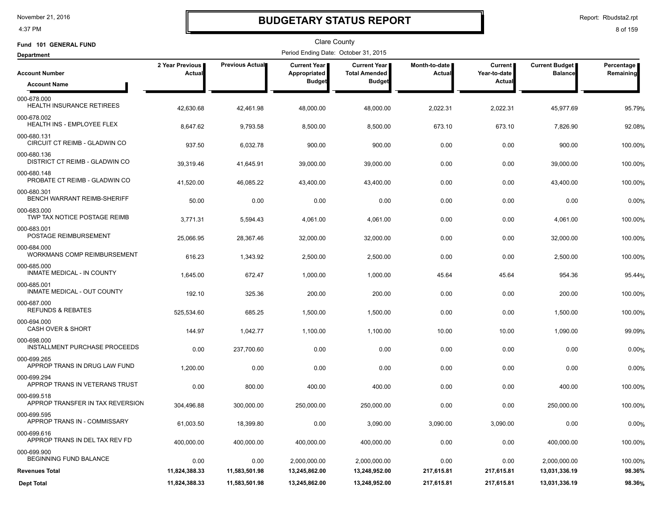4:37 PM

# **BUDGETARY STATUS REPORT**

Report: Rbudsta2.rpt

| Fund 101 GENERAL FUND                             |                           |                        | <b>Clare County</b>                                  |                                                       |                         |                                                 |                                         |                           |
|---------------------------------------------------|---------------------------|------------------------|------------------------------------------------------|-------------------------------------------------------|-------------------------|-------------------------------------------------|-----------------------------------------|---------------------------|
| <b>Department</b>                                 |                           |                        | Period Ending Date: October 31, 2015                 |                                                       |                         |                                                 |                                         |                           |
| <b>Account Number</b><br><b>Account Name</b>      | 2 Year Previous<br>Actual | <b>Previous Actual</b> | <b>Current Year</b><br>Appropriated<br><b>Budget</b> | Current Year<br><b>Total Amended</b><br><b>Budget</b> | Month-to-date<br>Actual | <b>Current</b><br>Year-to-date<br><b>Actual</b> | <b>Current Budget</b><br><b>Balance</b> | Percentage  <br>Remaining |
| 000-678.000<br><b>HEALTH INSURANCE RETIREES</b>   | 42,630.68                 | 42,461.98              | 48,000.00                                            | 48,000.00                                             | 2,022.31                | 2,022.31                                        | 45,977.69                               | 95.79%                    |
| 000-678.002<br>HEALTH INS - EMPLOYEE FLEX         | 8,647.62                  | 9,793.58               | 8,500.00                                             | 8,500.00                                              | 673.10                  | 673.10                                          | 7,826.90                                | 92.08%                    |
| 000-680.131<br>CIRCUIT CT REIMB - GLADWIN CO      | 937.50                    | 6,032.78               | 900.00                                               | 900.00                                                | 0.00                    | 0.00                                            | 900.00                                  | 100.00%                   |
| 000-680.136<br>DISTRICT CT REIMB - GLADWIN CO     | 39,319.46                 | 41,645.91              | 39,000.00                                            | 39,000.00                                             | 0.00                    | 0.00                                            | 39,000.00                               | 100.00%                   |
| 000-680.148<br>PROBATE CT REIMB - GLADWIN CO      | 41,520.00                 | 46,085.22              | 43,400.00                                            | 43,400.00                                             | 0.00                    | 0.00                                            | 43,400.00                               | 100.00%                   |
| 000-680.301<br>BENCH WARRANT REIMB-SHERIFF        | 50.00                     | 0.00                   | 0.00                                                 | 0.00                                                  | 0.00                    | 0.00                                            | 0.00                                    | 0.00%                     |
| 000-683.000<br>TWP TAX NOTICE POSTAGE REIMB       | 3,771.31                  | 5,594.43               | 4,061.00                                             | 4,061.00                                              | 0.00                    | 0.00                                            | 4,061.00                                | 100.00%                   |
| 000-683.001<br>POSTAGE REIMBURSEMENT              | 25.066.95                 | 28,367.46              | 32,000.00                                            | 32,000.00                                             | 0.00                    | 0.00                                            | 32,000.00                               | 100.00%                   |
| 000-684.000<br><b>WORKMANS COMP REIMBURSEMENT</b> | 616.23                    | 1,343.92               | 2,500.00                                             | 2,500.00                                              | 0.00                    | 0.00                                            | 2,500.00                                | 100.00%                   |
| 000-685.000<br>INMATE MEDICAL - IN COUNTY         | 1,645.00                  | 672.47                 | 1,000.00                                             | 1,000.00                                              | 45.64                   | 45.64                                           | 954.36                                  | 95.44%                    |
| 000-685.001<br>INMATE MEDICAL - OUT COUNTY        | 192.10                    | 325.36                 | 200.00                                               | 200.00                                                | 0.00                    | 0.00                                            | 200.00                                  | 100.00%                   |
| 000-687.000<br><b>REFUNDS &amp; REBATES</b>       | 525,534.60                | 685.25                 | 1,500.00                                             | 1,500.00                                              | 0.00                    | 0.00                                            | 1,500.00                                | 100.00%                   |
| 000-694.000<br><b>CASH OVER &amp; SHORT</b>       | 144.97                    | 1,042.77               | 1,100.00                                             | 1,100.00                                              | 10.00                   | 10.00                                           | 1,090.00                                | 99.09%                    |
| 000-698.000<br>INSTALLMENT PURCHASE PROCEEDS      | 0.00                      | 237,700.60             | 0.00                                                 | 0.00                                                  | 0.00                    | 0.00                                            | 0.00                                    | 0.00%                     |
| 000-699.265<br>APPROP TRANS IN DRUG LAW FUND      | 1,200.00                  | 0.00                   | 0.00                                                 | 0.00                                                  | 0.00                    | 0.00                                            | 0.00                                    | 0.00%                     |
| 000-699.294<br>APPROP TRANS IN VETERANS TRUST     | 0.00                      | 800.00                 | 400.00                                               | 400.00                                                | 0.00                    | 0.00                                            | 400.00                                  | 100.00%                   |
| 000-699.518<br>APPROP TRANSFER IN TAX REVERSION   | 304,496.88                | 300,000.00             | 250,000.00                                           | 250,000.00                                            | 0.00                    | 0.00                                            | 250,000.00                              | 100.00%                   |
| 000-699.595<br>APPROP TRANS IN - COMMISSARY       | 61,003.50                 | 18,399.80              | 0.00                                                 | 3,090.00                                              | 3,090.00                | 3,090.00                                        | 0.00                                    | 0.00%                     |
| 000-699.616<br>APPROP TRANS IN DEL TAX REV FD     | 400,000.00                | 400,000.00             | 400,000.00                                           | 400,000.00                                            | 0.00                    | 0.00                                            | 400,000.00                              | 100.00%                   |
| 000-699.900<br>BEGINNING FUND BALANCE             | 0.00                      | 0.00                   | 2,000,000.00                                         | 2,000,000.00                                          | 0.00                    | 0.00                                            | 2,000,000.00                            | 100.00%                   |
| <b>Revenues Total</b>                             | 11,824,388.33             | 11,583,501.98          | 13,245,862.00                                        | 13,248,952.00                                         | 217,615.81              | 217,615.81                                      | 13,031,336.19                           | 98.36%                    |
| <b>Dept Total</b>                                 | 11,824,388.33             | 11,583,501.98          | 13,245,862.00                                        | 13,248,952.00                                         | 217,615.81              | 217,615.81                                      | 13,031,336.19                           | 98.36%                    |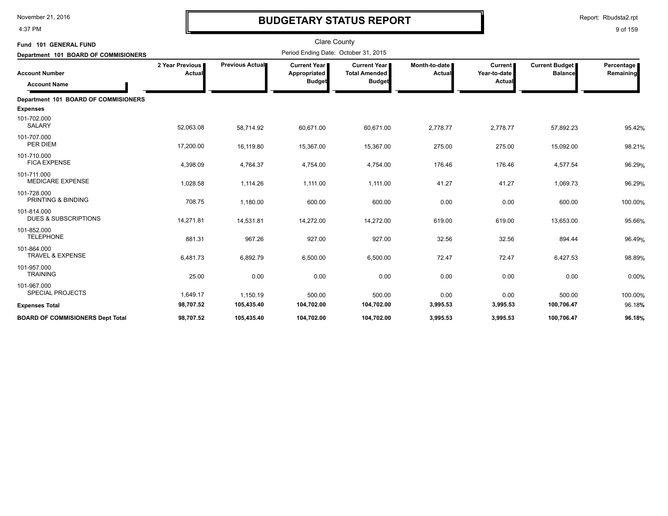4:37 PM

# **BUDGETARY STATUS REPORT**

Report: Rbudsta2.rpt

| Fund 101 GENERAL FUND<br>Department 101 BOARD OF COMMISIONERS |                           |                 | <b>Clare County</b><br>Period Ending Date: October 31, 2015 |                                                              |                         |                                          |                                         |                         |
|---------------------------------------------------------------|---------------------------|-----------------|-------------------------------------------------------------|--------------------------------------------------------------|-------------------------|------------------------------------------|-----------------------------------------|-------------------------|
| <b>Account Number</b><br><b>Account Name</b>                  | 2 Year Previous<br>Actual | Previous Actual | <b>Current Year I</b><br>Appropriated<br><b>Budget</b>      | <b>Current Year</b><br><b>Total Amended</b><br><b>Budget</b> | Month-to-date<br>Actual | <b>Current</b><br>Year-to-date<br>Actual | <b>Current Budget</b><br><b>Balance</b> | Percentage<br>Remaining |
| Department 101 BOARD OF COMMISIONERS                          |                           |                 |                                                             |                                                              |                         |                                          |                                         |                         |
| <b>Expenses</b>                                               |                           |                 |                                                             |                                                              |                         |                                          |                                         |                         |
| 101-702.000<br><b>SALARY</b>                                  | 52,063.08                 | 58,714.92       | 60,671.00                                                   | 60,671.00                                                    | 2,778.77                | 2,778.77                                 | 57,892.23                               | 95.42%                  |
| 101-707.000<br>PER DIEM                                       | 17,200.00                 | 16,119.80       | 15,367.00                                                   | 15,367.00                                                    | 275.00                  | 275.00                                   | 15,092.00                               | 98.21%                  |
| 101-710.000<br><b>FICA EXPENSE</b>                            | 4,398.09                  | 4,764.37        | 4,754.00                                                    | 4,754.00                                                     | 176.46                  | 176.46                                   | 4,577.54                                | 96.29%                  |
| 101-711.000<br><b>MEDICARE EXPENSE</b>                        | 1,028.58                  | 1,114.26        | 1,111.00                                                    | 1,111.00                                                     | 41.27                   | 41.27                                    | 1,069.73                                | 96.29%                  |
| 101-728.000<br>PRINTING & BINDING                             | 708.75                    | 1,180.00        | 600.00                                                      | 600.00                                                       | 0.00                    | 0.00                                     | 600.00                                  | 100.00%                 |
| 101-814.000<br><b>DUES &amp; SUBSCRIPTIONS</b>                | 14,271.81                 | 14,531.81       | 14,272.00                                                   | 14,272.00                                                    | 619.00                  | 619.00                                   | 13,653.00                               | 95.66%                  |
| 101-852.000<br><b>TELEPHONE</b>                               | 881.31                    | 967.26          | 927.00                                                      | 927.00                                                       | 32.56                   | 32.56                                    | 894.44                                  | 96.49%                  |
| 101-864.000<br><b>TRAVEL &amp; EXPENSE</b>                    | 6,481.73                  | 6,892.79        | 6,500.00                                                    | 6,500.00                                                     | 72.47                   | 72.47                                    | 6,427.53                                | 98.89%                  |
| 101-957.000<br><b>TRAINING</b>                                | 25.00                     | 0.00            | 0.00                                                        | 0.00                                                         | 0.00                    | 0.00                                     | 0.00                                    | 0.00%                   |
| 101-967.000<br><b>SPECIAL PROJECTS</b>                        | 1,649.17                  | 1,150.19        | 500.00                                                      | 500.00                                                       | 0.00                    | 0.00                                     | 500.00                                  | 100.00%                 |
| <b>Expenses Total</b>                                         | 98,707.52                 | 105,435.40      | 104,702.00                                                  | 104,702.00                                                   | 3,995.53                | 3,995.53                                 | 100,706.47                              | 96.18%                  |
| <b>BOARD OF COMMISIONERS Dept Total</b>                       | 98,707.52                 | 105,435.40      | 104,702.00                                                  | 104,702.00                                                   | 3,995.53                | 3,995.53                                 | 100,706.47                              | 96.18%                  |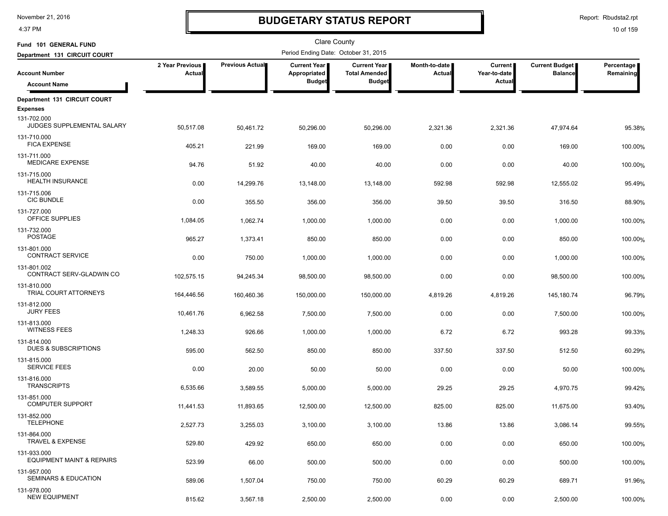4:37 PM

# **BUDGETARY STATUS REPORT**

Report: Rbudsta2.rpt

| Fund 101 GENERAL FUND                                        |                           |                        | <b>Clare County</b>                   |                                             |                                  |                                |                                         |                         |
|--------------------------------------------------------------|---------------------------|------------------------|---------------------------------------|---------------------------------------------|----------------------------------|--------------------------------|-----------------------------------------|-------------------------|
| Department 131 CIRCUIT COURT                                 |                           |                        | Period Ending Date: October 31, 2015  |                                             |                                  |                                |                                         |                         |
| <b>Account Number</b>                                        | 2 Year Previous<br>Actual | <b>Previous Actual</b> | <b>Current Year</b>  <br>Appropriated | <b>Current Year</b><br><b>Total Amended</b> | Month-to-date  <br><b>Actual</b> | <b>Current</b><br>Year-to-date | <b>Current Budget</b><br><b>Balance</b> | Percentage<br>Remaining |
| <b>Account Name</b>                                          |                           |                        | <b>Budget</b>                         | <b>Budget</b>                               |                                  | Actual                         |                                         |                         |
| Department 131 CIRCUIT COURT                                 |                           |                        |                                       |                                             |                                  |                                |                                         |                         |
| <b>Expenses</b><br>131-702.000<br>JUDGES SUPPLEMENTAL SALARY | 50,517.08                 | 50,461.72              | 50,296.00                             | 50,296.00                                   | 2,321.36                         | 2,321.36                       | 47,974.64                               | 95.38%                  |
| 131-710.000<br><b>FICA EXPENSE</b>                           | 405.21                    | 221.99                 | 169.00                                | 169.00                                      | 0.00                             | 0.00                           | 169.00                                  | 100.00%                 |
| 131-711.000<br><b>MEDICARE EXPENSE</b>                       | 94.76                     | 51.92                  | 40.00                                 | 40.00                                       | 0.00                             | 0.00                           | 40.00                                   | 100.00%                 |
| 131-715.000<br><b>HEALTH INSURANCE</b>                       | 0.00                      | 14,299.76              | 13,148.00                             | 13,148.00                                   | 592.98                           | 592.98                         | 12,555.02                               | 95.49%                  |
| 131-715.006<br><b>CIC BUNDLE</b>                             | 0.00                      | 355.50                 | 356.00                                | 356.00                                      | 39.50                            | 39.50                          | 316.50                                  | 88.90%                  |
| 131-727.000<br>OFFICE SUPPLIES                               | 1,084.05                  | 1,062.74               | 1,000.00                              | 1,000.00                                    | 0.00                             | 0.00                           | 1,000.00                                | 100.00%                 |
| 131-732.000<br><b>POSTAGE</b>                                | 965.27                    | 1,373.41               | 850.00                                | 850.00                                      | 0.00                             | 0.00                           | 850.00                                  | 100.00%                 |
| 131-801.000<br><b>CONTRACT SERVICE</b><br>131-801.002        | 0.00                      | 750.00                 | 1,000.00                              | 1,000.00                                    | 0.00                             | 0.00                           | 1,000.00                                | 100.00%                 |
| CONTRACT SERV-GLADWIN CO<br>131-810.000                      | 102,575.15                | 94,245.34              | 98,500.00                             | 98,500.00                                   | 0.00                             | 0.00                           | 98,500.00                               | 100.00%                 |
| TRIAL COURT ATTORNEYS<br>131-812.000                         | 164,446.56                | 160,460.36             | 150,000.00                            | 150,000.00                                  | 4,819.26                         | 4,819.26                       | 145,180.74                              | 96.79%                  |
| <b>JURY FEES</b><br>131-813.000                              | 10,461.76                 | 6,962.58               | 7,500.00                              | 7,500.00                                    | 0.00                             | 0.00                           | 7,500.00                                | 100.00%                 |
| <b>WITNESS FEES</b><br>131-814.000                           | 1,248.33                  | 926.66                 | 1,000.00                              | 1,000.00                                    | 6.72                             | 6.72                           | 993.28                                  | 99.33%                  |
| DUES & SUBSCRIPTIONS<br>131-815.000                          | 595.00                    | 562.50                 | 850.00                                | 850.00                                      | 337.50                           | 337.50                         | 512.50                                  | 60.29%                  |
| <b>SERVICE FEES</b><br>131-816.000                           | 0.00                      | 20.00                  | 50.00                                 | 50.00                                       | 0.00                             | 0.00                           | 50.00                                   | 100.00%                 |
| <b>TRANSCRIPTS</b><br>131-851.000                            | 6,535.66                  | 3,589.55               | 5,000.00                              | 5,000.00                                    | 29.25                            | 29.25                          | 4,970.75                                | 99.42%                  |
| <b>COMPUTER SUPPORT</b><br>131-852.000                       | 11,441.53                 | 11,893.65              | 12,500.00                             | 12,500.00                                   | 825.00                           | 825.00                         | 11,675.00                               | 93.40%                  |
| TELEPHONE<br>131-864.000                                     | 2,527.73                  | 3,255.03               | 3,100.00                              | 3,100.00                                    | 13.86                            | 13.86                          | 3,086.14                                | 99.55%                  |
| <b>TRAVEL &amp; EXPENSE</b><br>131-933.000                   | 529.80                    | 429.92                 | 650.00                                | 650.00                                      | 0.00                             | 0.00                           | 650.00                                  | 100.00%                 |
| EQUIPMENT MAINT & REPAIRS<br>131-957.000                     | 523.99                    | 66.00                  | 500.00                                | 500.00                                      | 0.00                             | 0.00                           | 500.00                                  | 100.00%                 |
| SEMINARS & EDUCATION<br>131-978.000                          | 589.06                    | 1,507.04               | 750.00                                | 750.00                                      | 60.29                            | 60.29                          | 689.71                                  | 91.96%                  |
| <b>NEW EQUIPMENT</b>                                         | 815.62                    | 3,567.18               | 2,500.00                              | 2,500.00                                    | 0.00                             | 0.00                           | 2,500.00                                | 100.00%                 |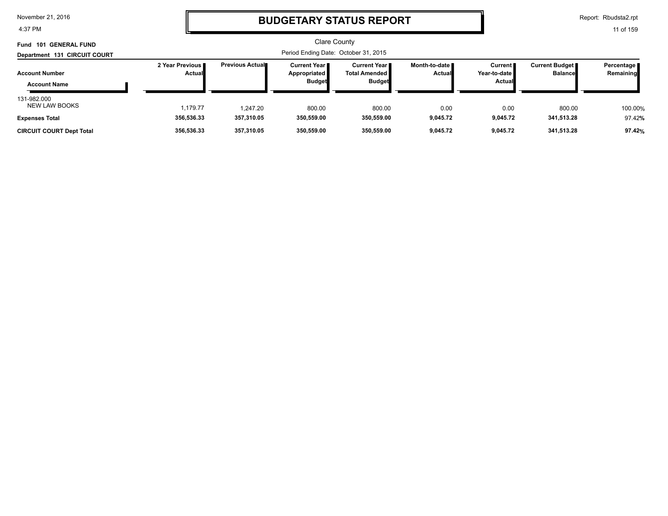4:37 PM

### **BUDGETARY STATUS REPORT**

Report: Rbudsta2.rpt

| <b>GENERAL FUND</b><br><b>Fund 101</b>                       |                           |                                      | <b>Clare County</b>                             |                                                                |                                  |                                                   |                                  |                         |  |
|--------------------------------------------------------------|---------------------------|--------------------------------------|-------------------------------------------------|----------------------------------------------------------------|----------------------------------|---------------------------------------------------|----------------------------------|-------------------------|--|
| Department 131 CIRCUIT COURT                                 |                           | Period Ending Date: October 31, 2015 |                                                 |                                                                |                                  |                                                   |                                  |                         |  |
| <b>Account Number</b><br><b>Account Name</b>                 | 2 Year Previous<br>Actual | <b>Previous Actual</b>               | Current Year I<br>Appropriated<br><b>Budget</b> | <b>Current Year</b> ∎<br><b>Total Amended</b><br><b>Budget</b> | Month-to-date ∎<br><b>Actual</b> | <b>Current</b><br>Year-to-date <i>∎</i><br>Actual | Current Budget<br><b>Balance</b> | Percentage<br>Remaining |  |
| 131-982.000<br><b>NEW LAW BOOKS</b><br><b>Expenses Total</b> | 1.179.77<br>356,536.33    | 1.247.20<br>357,310.05               | 800.00<br>350,559.00                            | 800.00<br>350,559.00                                           | 0.00<br>9,045.72                 | 0.00<br>9,045.72                                  | 800.00<br>341,513.28             | 100.00%<br>97.42%       |  |
| <b>CIRCUIT COURT Dept Total</b>                              | 356,536.33                | 357.310.05                           | 350,559.00                                      | 350,559.00                                                     | 9.045.72                         | 9.045.72                                          | 341,513.28                       | 97.42%                  |  |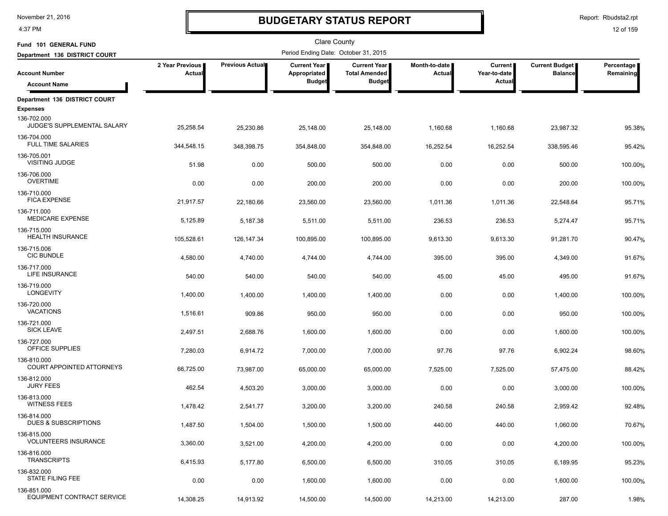4:37 PM

# **BUDGETARY STATUS REPORT**

Report: Rbudsta2.rpt

| Fund 101 GENERAL FUND                          |                           |                 | Clare County                         |                                             |                                |                                |                                         |                         |
|------------------------------------------------|---------------------------|-----------------|--------------------------------------|---------------------------------------------|--------------------------------|--------------------------------|-----------------------------------------|-------------------------|
| Department 136 DISTRICT COURT                  |                           |                 | Period Ending Date: October 31, 2015 |                                             |                                |                                |                                         |                         |
| <b>Account Number</b>                          | 2 Year Previous<br>Actual | Previous Actual | <b>Current Year</b><br>Appropriated  | <b>Current Year</b><br><b>Total Amended</b> | Month-to-date<br><b>Actual</b> | <b>Current</b><br>Year-to-date | <b>Current Budget</b><br><b>Balance</b> | Percentage<br>Remaining |
| <b>Account Name</b>                            |                           |                 | <b>Budget</b>                        | <b>Budget</b>                               |                                | Actual                         |                                         |                         |
| Department 136 DISTRICT COURT                  |                           |                 |                                      |                                             |                                |                                |                                         |                         |
| <b>Expenses</b>                                |                           |                 |                                      |                                             |                                |                                |                                         |                         |
| 136-702.000<br>JUDGE'S SUPPLEMENTAL SALARY     | 25,258.54                 | 25,230.86       | 25,148.00                            | 25,148.00                                   | 1,160.68                       | 1,160.68                       | 23,987.32                               | 95.38%                  |
| 136-704.000<br><b>FULL TIME SALARIES</b>       | 344,548.15                | 348,398.75      | 354,848.00                           | 354,848.00                                  | 16,252.54                      | 16,252.54                      | 338,595.46                              | 95.42%                  |
| 136-705.001<br>VISITING JUDGE                  | 51.98                     | 0.00            | 500.00                               | 500.00                                      | 0.00                           | 0.00                           | 500.00                                  | 100.00%                 |
| 136-706.000<br><b>OVERTIME</b>                 | 0.00                      | 0.00            | 200.00                               | 200.00                                      | 0.00                           | 0.00                           | 200.00                                  | 100.00%                 |
| 136-710.000<br><b>FICA EXPENSE</b>             | 21,917.57                 | 22,180.66       | 23,560.00                            | 23,560.00                                   | 1,011.36                       | 1,011.36                       | 22,548.64                               | 95.71%                  |
| 136-711.000<br><b>MEDICARE EXPENSE</b>         | 5,125.89                  | 5,187.38        | 5,511.00                             | 5,511.00                                    | 236.53                         | 236.53                         | 5,274.47                                | 95.71%                  |
| 136-715.000<br><b>HEALTH INSURANCE</b>         | 105,528.61                | 126, 147. 34    | 100,895.00                           | 100,895.00                                  | 9,613.30                       | 9,613.30                       | 91,281.70                               | 90.47%                  |
| 136-715.006<br><b>CIC BUNDLE</b>               | 4,580.00                  | 4,740.00        | 4,744.00                             | 4,744.00                                    | 395.00                         | 395.00                         | 4,349.00                                | 91.67%                  |
| 136-717.000<br><b>LIFE INSURANCE</b>           | 540.00                    | 540.00          | 540.00                               | 540.00                                      | 45.00                          | 45.00                          | 495.00                                  | 91.67%                  |
| 136-719.000<br>LONGEVITY                       | 1,400.00                  | 1,400.00        | 1,400.00                             | 1,400.00                                    | 0.00                           | 0.00                           | 1,400.00                                | 100.00%                 |
| 136-720.000<br><b>VACATIONS</b>                | 1,516.61                  | 909.86          | 950.00                               | 950.00                                      | 0.00                           | 0.00                           | 950.00                                  | 100.00%                 |
| 136-721.000<br><b>SICK LEAVE</b>               | 2,497.51                  | 2,688.76        | 1,600.00                             | 1,600.00                                    | 0.00                           | 0.00                           | 1,600.00                                | 100.00%                 |
| 136-727.000<br>OFFICE SUPPLIES                 | 7,280.03                  | 6,914.72        | 7,000.00                             | 7,000.00                                    | 97.76                          | 97.76                          | 6,902.24                                | 98.60%                  |
| 136-810.000<br>COURT APPOINTED ATTORNEYS       | 66,725.00                 | 73,987.00       | 65,000.00                            | 65,000.00                                   | 7,525.00                       | 7,525.00                       | 57,475.00                               | 88.42%                  |
| 136-812.000<br><b>JURY FEES</b>                | 462.54                    | 4,503.20        | 3,000.00                             | 3,000.00                                    | 0.00                           | 0.00                           | 3,000.00                                | 100.00%                 |
| 136-813.000<br><b>WITNESS FEES</b>             | 1,478.42                  | 2,541.77        | 3,200.00                             | 3,200.00                                    | 240.58                         | 240.58                         | 2,959.42                                | 92.48%                  |
| 136-814.000<br><b>DUES &amp; SUBSCRIPTIONS</b> | 1,487.50                  | 1,504.00        | 1,500.00                             | 1,500.00                                    | 440.00                         | 440.00                         | 1,060.00                                | 70.67%                  |
| 136-815.000<br><b>VOLUNTEERS INSURANCE</b>     | 3,360.00                  | 3,521.00        | 4,200.00                             | 4,200.00                                    | 0.00                           | 0.00                           | 4,200.00                                | 100.00%                 |
| 136-816.000<br><b>TRANSCRIPTS</b>              | 6,415.93                  | 5,177.80        | 6,500.00                             | 6,500.00                                    | 310.05                         | 310.05                         | 6,189.95                                | 95.23%                  |
| 136-832.000<br>STATE FILING FEE                | 0.00                      | 0.00            | 1,600.00                             | 1,600.00                                    | 0.00                           | 0.00                           | 1,600.00                                | 100.00%                 |
| 136-851.000<br>EQUIPMENT CONTRACT SERVICE      | 14,308.25                 | 14,913.92       | 14,500.00                            | 14,500.00                                   | 14,213.00                      | 14,213.00                      | 287.00                                  | 1.98%                   |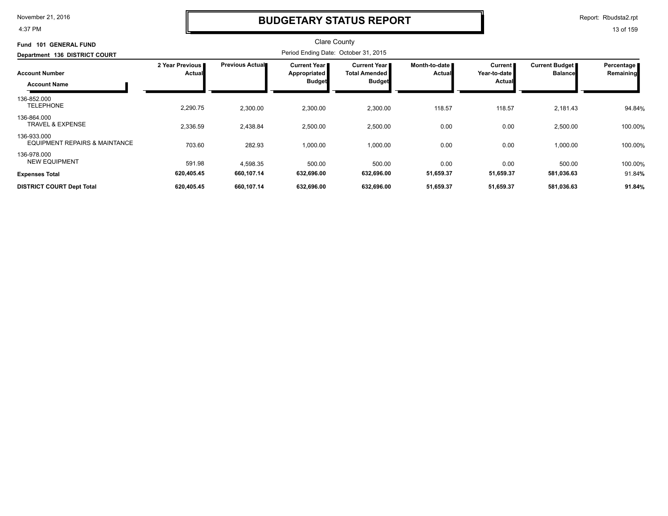4:37 PM

### **BUDGETARY STATUS REPORT**

Report: Rbudsta2.rpt

| <b>GENERAL FUND</b><br>101<br>Fund                      |                           |                        | <b>Clare County</b>                                  |                                                              |                                |                                     |                                         |                         |
|---------------------------------------------------------|---------------------------|------------------------|------------------------------------------------------|--------------------------------------------------------------|--------------------------------|-------------------------------------|-----------------------------------------|-------------------------|
| Department 136 DISTRICT COURT                           |                           |                        | Period Ending Date: October 31, 2015                 |                                                              |                                |                                     |                                         |                         |
| <b>Account Number</b><br><b>Account Name</b>            | 2 Year Previous<br>Actual | <b>Previous Actual</b> | Current Year<br><b>Appropriated</b><br><b>Budget</b> | <b>Current Year</b><br><b>Total Amended</b><br><b>Budget</b> | Month-to-date<br><b>Actual</b> | Current  <br>Year-to-date<br>Actual | <b>Current Budget</b><br><b>Balance</b> | Percentage<br>Remaining |
| 136-852.000<br><b>TELEPHONE</b>                         | 2,290.75                  | 2,300.00               | 2,300.00                                             | 2,300.00                                                     | 118.57                         | 118.57                              | 2,181.43                                | 94.84%                  |
| 136-864.000<br><b>TRAVEL &amp; EXPENSE</b>              | 2,336.59                  | 2,438.84               | 2,500.00                                             | 2,500.00                                                     | 0.00                           | 0.00                                | 2,500.00                                | 100.00%                 |
| 136-933.000<br><b>EQUIPMENT REPAIRS &amp; MAINTANCE</b> | 703.60                    | 282.93                 | 1,000.00                                             | 1,000.00                                                     | 0.00                           | 0.00                                | 1,000.00                                | 100.00%                 |
| 136-978.000<br><b>NEW EQUIPMENT</b>                     | 591.98                    | 4,598.35               | 500.00                                               | 500.00                                                       | 0.00                           | 0.00                                | 500.00                                  | 100.00%                 |
| <b>Expenses Total</b>                                   | 620,405.45                | 660,107.14             | 632,696.00                                           | 632,696.00                                                   | 51,659.37                      | 51,659.37                           | 581,036.63                              | 91.84%                  |
| <b>DISTRICT COURT Dept Total</b>                        | 620,405.45                | 660,107.14             | 632,696.00                                           | 632,696.00                                                   | 51,659.37                      | 51,659.37                           | 581,036.63                              | 91.84%                  |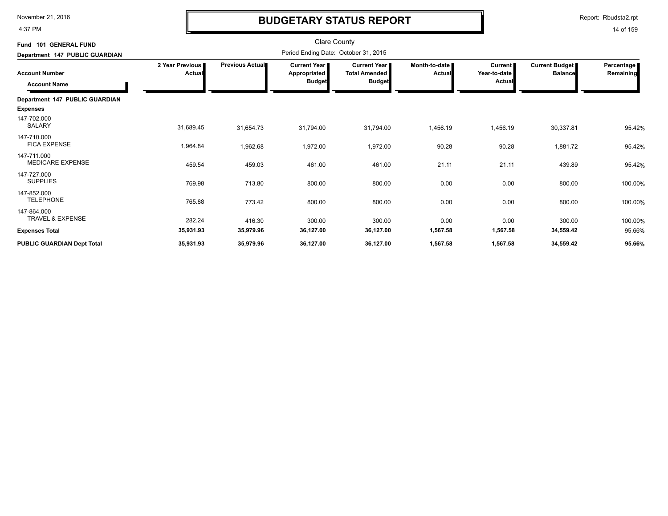4:37 PM

# **BUDGETARY STATUS REPORT**

Report: Rbudsta2.rpt

| Fund 101 GENERAL FUND                      |                                  |                 | <b>Clare County</b>                                    |                                                              |                         |                                                 |                                         |                         |
|--------------------------------------------|----------------------------------|-----------------|--------------------------------------------------------|--------------------------------------------------------------|-------------------------|-------------------------------------------------|-----------------------------------------|-------------------------|
| Department 147 PUBLIC GUARDIAN             |                                  |                 | Period Ending Date: October 31, 2015                   |                                                              |                         |                                                 |                                         |                         |
| <b>Account Number</b>                      | 2 Year Previous<br><b>Actual</b> | Previous Actual | <b>Current Year I</b><br>Appropriated<br><b>Budget</b> | <b>Current Year</b><br><b>Total Amended</b><br><b>Budget</b> | Month-to-date<br>Actual | <b>Current</b><br>Year-to-date<br><b>Actual</b> | <b>Current Budget</b><br><b>Balance</b> | Percentage<br>Remaining |
| <b>Account Name</b>                        |                                  |                 |                                                        |                                                              |                         |                                                 |                                         |                         |
| Department 147 PUBLIC GUARDIAN             |                                  |                 |                                                        |                                                              |                         |                                                 |                                         |                         |
| <b>Expenses</b>                            |                                  |                 |                                                        |                                                              |                         |                                                 |                                         |                         |
| 147-702.000<br><b>SALARY</b>               | 31,689.45                        | 31,654.73       | 31,794.00                                              | 31,794.00                                                    | 1,456.19                | 1,456.19                                        | 30,337.81                               | 95.42%                  |
| 147-710.000<br><b>FICA EXPENSE</b>         | 1,964.84                         | 1,962.68        | 1,972.00                                               | 1,972.00                                                     | 90.28                   | 90.28                                           | 1,881.72                                | 95.42%                  |
| 147-711.000<br>MEDICARE EXPENSE            | 459.54                           | 459.03          | 461.00                                                 | 461.00                                                       | 21.11                   | 21.11                                           | 439.89                                  | 95.42%                  |
| 147-727.000<br><b>SUPPLIES</b>             | 769.98                           | 713.80          | 800.00                                                 | 800.00                                                       | 0.00                    | 0.00                                            | 800.00                                  | 100.00%                 |
| 147-852.000<br><b>TELEPHONE</b>            | 765.88                           | 773.42          | 800.00                                                 | 800.00                                                       | 0.00                    | 0.00                                            | 800.00                                  | 100.00%                 |
| 147-864.000<br><b>TRAVEL &amp; EXPENSE</b> | 282.24                           | 416.30          | 300.00                                                 | 300.00                                                       | 0.00                    | 0.00                                            | 300.00                                  | 100.00%                 |
| <b>Expenses Total</b>                      | 35,931.93                        | 35,979.96       | 36,127.00                                              | 36,127.00                                                    | 1,567.58                | 1,567.58                                        | 34,559.42                               | 95.66%                  |
| <b>PUBLIC GUARDIAN Dept Total</b>          | 35,931.93                        | 35,979.96       | 36,127.00                                              | 36,127.00                                                    | 1,567.58                | 1,567.58                                        | 34,559.42                               | 95.66%                  |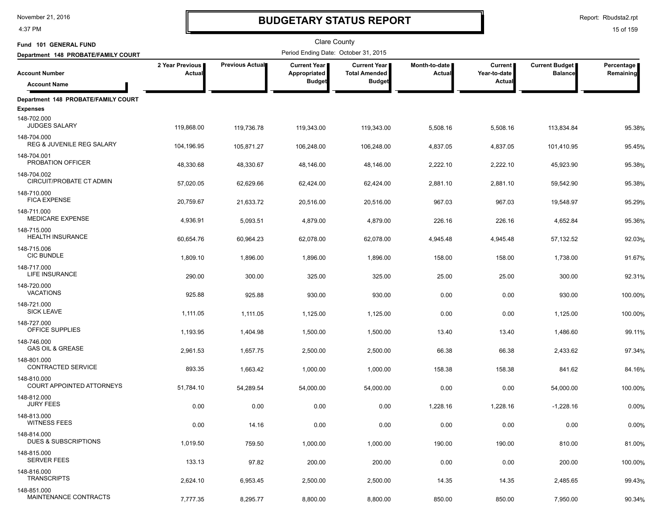4:37 PM

# **BUDGETARY STATUS REPORT**

Report: Rbudsta2.rpt

| Fund 101 GENERAL FUND                               |                           |                        | <b>Clare County</b>                   |                                               |                         |                           |                                         |                         |
|-----------------------------------------------------|---------------------------|------------------------|---------------------------------------|-----------------------------------------------|-------------------------|---------------------------|-----------------------------------------|-------------------------|
| Department 148 PROBATE/FAMILY COURT                 |                           |                        | Period Ending Date: October 31, 2015  |                                               |                         |                           |                                         |                         |
| <b>Account Number</b>                               | 2 Year Previous<br>Actual | <b>Previous Actual</b> | <b>Current Year</b>  <br>Appropriated | <b>Current Year I</b><br><b>Total Amended</b> | Month-to-date<br>Actual | Current  <br>Year-to-date | <b>Current Budget</b><br><b>Balance</b> | Percentage<br>Remaining |
| <b>Account Name</b>                                 |                           |                        | <b>Budget</b>                         | <b>Budget</b>                                 |                         | Actual                    |                                         |                         |
| Department 148 PROBATE/FAMILY COURT                 |                           |                        |                                       |                                               |                         |                           |                                         |                         |
| <b>Expenses</b>                                     |                           |                        |                                       |                                               |                         |                           |                                         |                         |
| 148-702.000<br><b>JUDGES SALARY</b>                 | 119,868.00                | 119,736.78             | 119,343.00                            | 119,343.00                                    | 5,508.16                | 5,508.16                  | 113,834.84                              | 95.38%                  |
| 148-704.000<br><b>REG &amp; JUVENILE REG SALARY</b> | 104,196.95                | 105,871.27             | 106,248.00                            | 106,248.00                                    | 4,837.05                | 4,837.05                  | 101,410.95                              | 95.45%                  |
| 148-704.001<br>PROBATION OFFICER                    | 48,330.68                 | 48,330.67              | 48,146.00                             | 48,146.00                                     | 2,222.10                | 2,222.10                  | 45,923.90                               | 95.38%                  |
| 148-704.002<br>CIRCUIT/PROBATE CT ADMIN             | 57,020.05                 | 62,629.66              | 62,424.00                             | 62,424.00                                     | 2,881.10                | 2,881.10                  | 59,542.90                               | 95.38%                  |
| 148-710.000<br><b>FICA EXPENSE</b>                  | 20,759.67                 | 21,633.72              | 20,516.00                             | 20,516.00                                     | 967.03                  | 967.03                    | 19,548.97                               | 95.29%                  |
| 148-711.000<br><b>MEDICARE EXPENSE</b>              | 4,936.91                  | 5,093.51               | 4,879.00                              | 4,879.00                                      | 226.16                  | 226.16                    | 4,652.84                                | 95.36%                  |
| 148-715.000<br><b>HEALTH INSURANCE</b>              | 60,654.76                 | 60,964.23              | 62,078.00                             | 62,078.00                                     | 4,945.48                | 4,945.48                  | 57,132.52                               | 92.03%                  |
| 148-715.006<br><b>CIC BUNDLE</b>                    | 1,809.10                  | 1,896.00               | 1,896.00                              | 1,896.00                                      | 158.00                  | 158.00                    | 1,738.00                                | 91.67%                  |
| 148-717.000<br><b>LIFE INSURANCE</b>                | 290.00                    | 300.00                 | 325.00                                | 325.00                                        | 25.00                   | 25.00                     | 300.00                                  | 92.31%                  |
| 148-720.000<br><b>VACATIONS</b>                     | 925.88                    | 925.88                 | 930.00                                | 930.00                                        | 0.00                    | 0.00                      | 930.00                                  | 100.00%                 |
| 148-721.000<br><b>SICK LEAVE</b>                    | 1,111.05                  | 1,111.05               | 1,125.00                              | 1,125.00                                      | 0.00                    | 0.00                      | 1,125.00                                | 100.00%                 |
| 148-727.000<br>OFFICE SUPPLIES                      | 1,193.95                  | 1,404.98               | 1,500.00                              | 1,500.00                                      | 13.40                   | 13.40                     | 1,486.60                                | 99.11%                  |
| 148-746.000<br><b>GAS OIL &amp; GREASE</b>          | 2,961.53                  | 1,657.75               | 2,500.00                              | 2,500.00                                      | 66.38                   | 66.38                     | 2,433.62                                | 97.34%                  |
| 148-801.000<br>CONTRACTED SERVICE                   | 893.35                    | 1,663.42               | 1,000.00                              | 1,000.00                                      | 158.38                  | 158.38                    | 841.62                                  | 84.16%                  |
| 148-810.000<br><b>COURT APPOINTED ATTORNEYS</b>     | 51,784.10                 | 54,289.54              | 54,000.00                             | 54,000.00                                     | 0.00                    | 0.00                      | 54,000.00                               | 100.00%                 |
| 148-812.000<br><b>JURY FEES</b>                     | 0.00                      | 0.00                   | 0.00                                  | 0.00                                          | 1,228.16                | 1,228.16                  | $-1,228.16$                             | 0.00%                   |
| 148-813.000<br><b>WITNESS FEES</b>                  | 0.00                      | 14.16                  | 0.00                                  | 0.00                                          | 0.00                    | 0.00                      | 0.00                                    | 0.00%                   |
| 148-814.000<br><b>DUES &amp; SUBSCRIPTIONS</b>      | 1,019.50                  | 759.50                 | 1,000.00                              | 1,000.00                                      | 190.00                  | 190.00                    | 810.00                                  | 81.00%                  |
| 148-815.000<br><b>SERVER FEES</b>                   | 133.13                    | 97.82                  | 200.00                                | 200.00                                        | 0.00                    | 0.00                      | 200.00                                  | 100.00%                 |
| 148-816.000<br><b>TRANSCRIPTS</b>                   | 2,624.10                  | 6,953.45               | 2,500.00                              | 2,500.00                                      | 14.35                   | 14.35                     | 2,485.65                                | 99.43%                  |
| 148-851.000<br>MAINTENANCE CONTRACTS                | 7,777.35                  | 8,295.77               | 8,800.00                              | 8,800.00                                      | 850.00                  | 850.00                    | 7,950.00                                | 90.34%                  |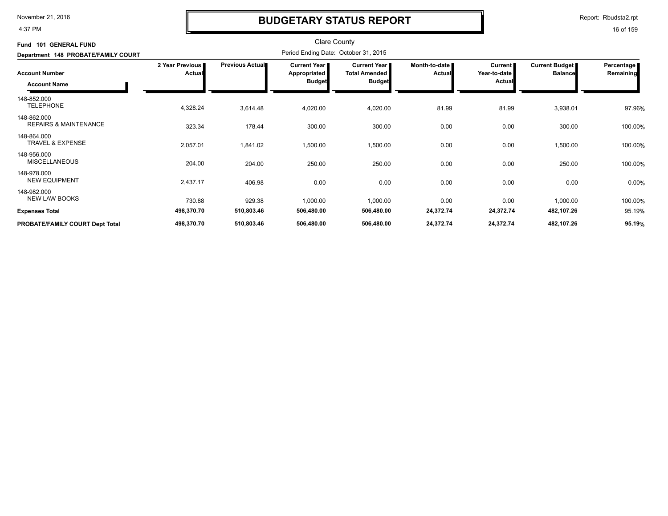#### 4:37 PM

### **BUDGETARY STATUS REPORT**

Report: Rbudsta2.rpt

| Fund 101 GENERAL FUND<br>Department 148 PROBATE/FAMILY COURT |                                  |                 |                                               |                                                                |                         |                                                 |                                  |                         |
|--------------------------------------------------------------|----------------------------------|-----------------|-----------------------------------------------|----------------------------------------------------------------|-------------------------|-------------------------------------------------|----------------------------------|-------------------------|
| <b>Account Number</b><br><b>Account Name</b>                 | 2 Year Previous<br><b>Actual</b> | Previous Actual | Current Year<br>Appropriated<br><b>Budget</b> | <b>Current Year I</b><br><b>Total Amended</b><br><b>Budget</b> | Month-to-date<br>Actual | <b>Current</b><br>Year-to-date<br><b>Actual</b> | Current Budget<br><b>Balance</b> | Percentage<br>Remaining |
| 148-852.000<br><b>TELEPHONE</b>                              | 4,328.24                         | 3,614.48        | 4,020.00                                      | 4,020.00                                                       | 81.99                   | 81.99                                           | 3,938.01                         | 97.96%                  |
| 148-862.000<br><b>REPAIRS &amp; MAINTENANCE</b>              | 323.34                           | 178.44          | 300.00                                        | 300.00                                                         | 0.00                    | 0.00                                            | 300.00                           | 100.00%                 |
| 148-864.000<br><b>TRAVEL &amp; EXPENSE</b>                   | 2,057.01                         | 1,841.02        | 1,500.00                                      | 1,500.00                                                       | 0.00                    | 0.00                                            | 1,500.00                         | 100.00%                 |
| 148-956.000<br><b>MISCELLANEOUS</b>                          | 204.00                           | 204.00          | 250.00                                        | 250.00                                                         | 0.00                    | 0.00                                            | 250.00                           | 100.00%                 |
| 148-978.000<br><b>NEW EQUIPMENT</b>                          | 2,437.17                         | 406.98          | 0.00                                          | 0.00                                                           | 0.00                    | 0.00                                            | 0.00                             | 0.00%                   |
| 148-982.000<br><b>NEW LAW BOOKS</b>                          | 730.88                           | 929.38          | 1,000.00                                      | 1,000.00                                                       | 0.00                    | 0.00                                            | 1,000.00                         | 100.00%                 |
| <b>Expenses Total</b>                                        | 498,370.70                       | 510,803.46      | 506,480.00                                    | 506,480.00                                                     | 24,372.74               | 24,372.74                                       | 482,107.26                       | 95.19%                  |
| PROBATE/FAMILY COURT Dept Total                              | 498,370.70                       | 510,803.46      | 506,480.00                                    | 506,480.00                                                     | 24,372.74               | 24,372.74                                       | 482,107.26                       | 95.19%                  |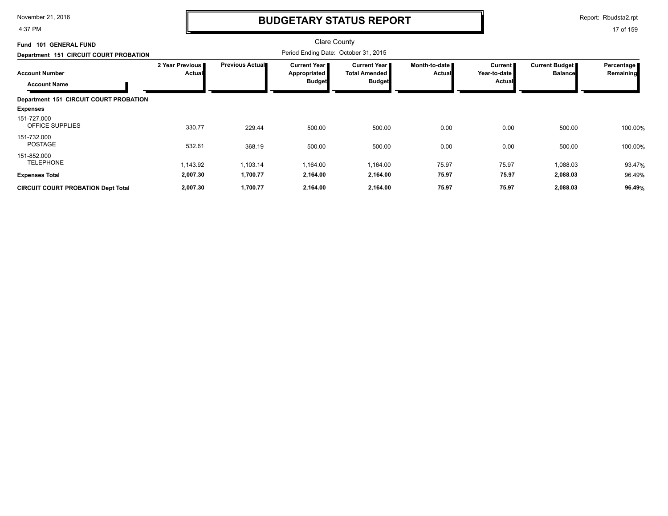4:37 PM

### **BUDGETARY STATUS REPORT**

Report: Rbudsta2.rpt

| <b>GENERAL FUND</b><br><b>Fund 101</b>       |                           |                 | <b>Clare County</b>                                    |                                                              |                                |                                                 |                                         |                         |
|----------------------------------------------|---------------------------|-----------------|--------------------------------------------------------|--------------------------------------------------------------|--------------------------------|-------------------------------------------------|-----------------------------------------|-------------------------|
| Department 151 CIRCUIT COURT PROBATION       |                           |                 | Period Ending Date: October 31, 2015                   |                                                              |                                |                                                 |                                         |                         |
| <b>Account Number</b><br><b>Account Name</b> | 2 Year Previous<br>Actual | Previous Actual | <b>Current Year I</b><br>Appropriated<br><b>Budget</b> | <b>Current Year</b><br><b>Total Amended</b><br><b>Budget</b> | Month-to-date<br><b>Actual</b> | <b>Current</b><br>Year-to-date<br><b>Actual</b> | <b>Current Budget</b><br><b>Balance</b> | Percentage<br>Remaining |
| Department 151 CIRCUIT COURT PROBATION       |                           |                 |                                                        |                                                              |                                |                                                 |                                         |                         |
| <b>Expenses</b>                              |                           |                 |                                                        |                                                              |                                |                                                 |                                         |                         |
| 151-727.000<br><b>OFFICE SUPPLIES</b>        | 330.77                    | 229.44          | 500.00                                                 | 500.00                                                       | 0.00                           | 0.00                                            | 500.00                                  | 100.00%                 |
| 151-732.000<br><b>POSTAGE</b>                | 532.61                    | 368.19          | 500.00                                                 | 500.00                                                       | 0.00                           | 0.00                                            | 500.00                                  | 100.00%                 |
| 151-852.000<br><b>TELEPHONE</b>              | 1,143.92                  | 1,103.14        | 1,164.00                                               | 1,164.00                                                     | 75.97                          | 75.97                                           | 1,088.03                                | 93.47%                  |
| <b>Expenses Total</b>                        | 2,007.30                  | 1,700.77        | 2,164.00                                               | 2,164.00                                                     | 75.97                          | 75.97                                           | 2,088.03                                | 96.49%                  |
| <b>CIRCUIT COURT PROBATION Dept Total</b>    | 2,007.30                  | 1,700.77        | 2,164.00                                               | 2,164.00                                                     | 75.97                          | 75.97                                           | 2,088.03                                | 96.49%                  |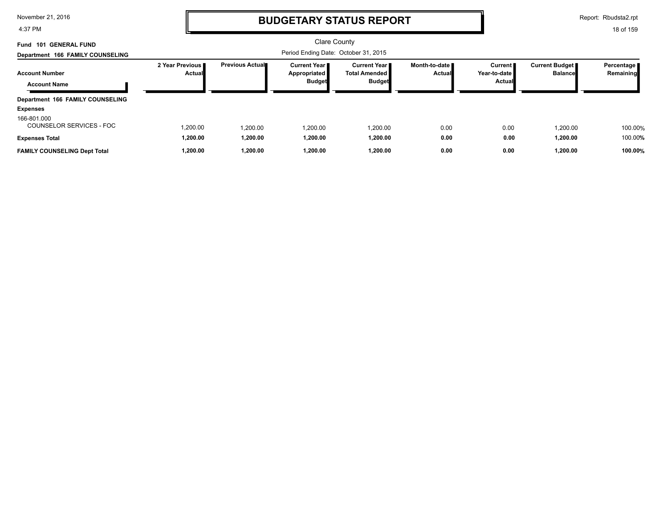4:37 PM

### **BUDGETARY STATUS REPORT**

Report: Rbudsta2.rpt

| <b>GENERAL FUND</b><br>Fund 101<br>Department 166 FAMILY COUNSELING |                           |                         | Clare County<br>Period Ending Date: October 31, 2015          |                                                  |                                  |                                     |                                         |                         |
|---------------------------------------------------------------------|---------------------------|-------------------------|---------------------------------------------------------------|--------------------------------------------------|----------------------------------|-------------------------------------|-----------------------------------------|-------------------------|
| <b>Account Number</b><br><b>Account Name</b>                        | 2 Year Previous<br>Actual | <b>Previous Actual■</b> | <b>Current Year I</b><br><b>Appropriated</b><br><b>Budget</b> | Current Year I<br>Total Amended<br><b>Budget</b> | Month-to-date ■<br><b>Actual</b> | Current I<br>Year-to-date<br>Actual | <b>Current Budget</b><br><b>Balance</b> | Percentage<br>Remaining |
| Department 166 FAMILY COUNSELING<br><b>Expenses</b><br>166-801.000  |                           |                         |                                                               |                                                  |                                  |                                     |                                         |                         |
| COUNSELOR SERVICES - FOC                                            | 1,200.00                  | 1.200.00                | 1.200.00                                                      | 1.200.00                                         | 0.00                             | 0.00                                | 1.200.00                                | 100.00%                 |
| <b>Expenses Total</b><br><b>FAMILY COUNSELING Dept Total</b>        | 1,200.00<br>1,200.00      | 1,200.00<br>1.200.00    | 1,200.00<br>1,200.00                                          | 1,200.00<br>1,200.00                             | 0.00<br>0.00                     | 0.00<br>0.00                        | 1,200.00<br>1.200.00                    | 100.00%<br>100.00%      |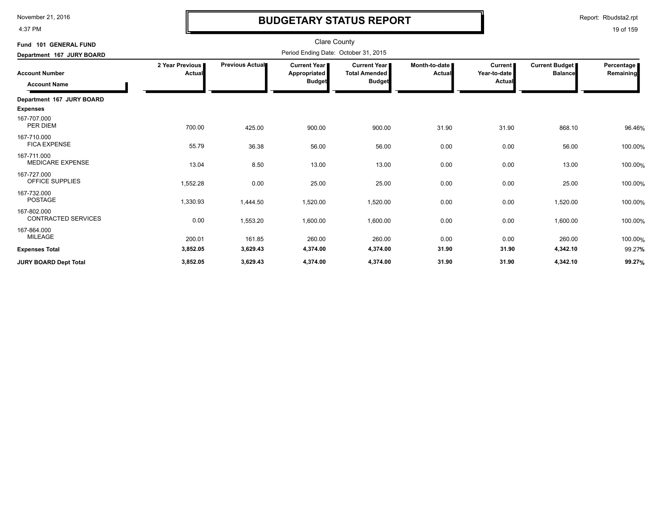4:37 PM

# **BUDGETARY STATUS REPORT**

Report: Rbudsta2.rpt

| Fund 101 GENERAL FUND                                                     |                           |                 | <b>Clare County</b><br>Period Ending Date: October 31, 2015 |                                                       |                         |                                     |                                         |                         |
|---------------------------------------------------------------------------|---------------------------|-----------------|-------------------------------------------------------------|-------------------------------------------------------|-------------------------|-------------------------------------|-----------------------------------------|-------------------------|
| Department 167 JURY BOARD<br><b>Account Number</b><br><b>Account Name</b> | 2 Year Previous<br>Actual | Previous Actual | <b>Current Year I</b><br>Appropriated<br><b>Budget</b>      | Current Year<br><b>Total Amended</b><br><b>Budget</b> | Month-to-date<br>Actual | Current  <br>Year-to-date<br>Actual | <b>Current Budget</b><br><b>Balance</b> | Percentage<br>Remaining |
| Department 167 JURY BOARD                                                 |                           |                 |                                                             |                                                       |                         |                                     |                                         |                         |
| <b>Expenses</b>                                                           |                           |                 |                                                             |                                                       |                         |                                     |                                         |                         |
| 167-707.000<br>PER DIEM                                                   | 700.00                    | 425.00          | 900.00                                                      | 900.00                                                | 31.90                   | 31.90                               | 868.10                                  | 96.46%                  |
| 167-710.000<br><b>FICA EXPENSE</b>                                        | 55.79                     | 36.38           | 56.00                                                       | 56.00                                                 | 0.00                    | 0.00                                | 56.00                                   | 100.00%                 |
| 167-711.000<br><b>MEDICARE EXPENSE</b>                                    | 13.04                     | 8.50            | 13.00                                                       | 13.00                                                 | 0.00                    | 0.00                                | 13.00                                   | 100.00%                 |
| 167-727.000<br>OFFICE SUPPLIES                                            | 1,552.28                  | 0.00            | 25.00                                                       | 25.00                                                 | 0.00                    | 0.00                                | 25.00                                   | 100.00%                 |
| 167-732.000<br><b>POSTAGE</b>                                             | 1,330.93                  | 1,444.50        | 1,520.00                                                    | 1,520.00                                              | 0.00                    | 0.00                                | 1,520.00                                | 100.00%                 |
| 167-802.000<br><b>CONTRACTED SERVICES</b>                                 | 0.00                      | 1,553.20        | 1,600.00                                                    | 1,600.00                                              | 0.00                    | 0.00                                | 1,600.00                                | 100.00%                 |
| 167-864.000<br>MILEAGE                                                    | 200.01                    | 161.85          | 260.00                                                      | 260.00                                                | 0.00                    | 0.00                                | 260.00                                  | 100.00%                 |
| <b>Expenses Total</b>                                                     | 3,852.05                  | 3,629.43        | 4,374.00                                                    | 4,374.00                                              | 31.90                   | 31.90                               | 4,342.10                                | 99.27%                  |
| <b>JURY BOARD Dept Total</b>                                              | 3,852.05                  | 3,629.43        | 4,374.00                                                    | 4,374.00                                              | 31.90                   | 31.90                               | 4,342.10                                | 99.27%                  |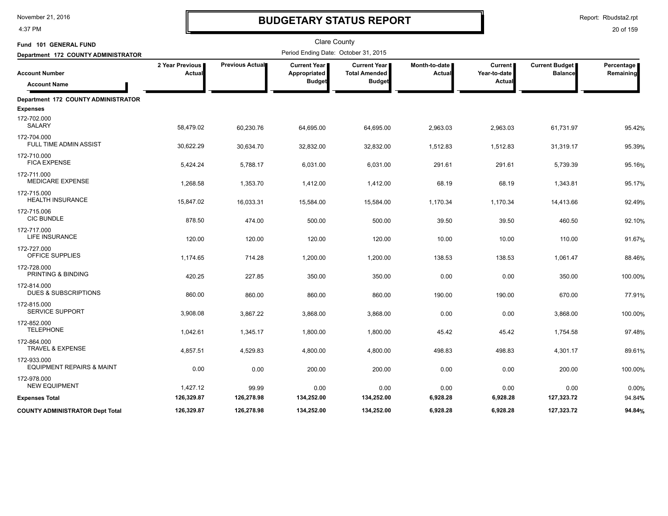4:37 PM

# **BUDGETARY STATUS REPORT**

Report: Rbudsta2.rpt

| Fund 101 GENERAL FUND                               |                           |                 | <b>Clare County</b>                   |                                             |                         |                         |                                         |                         |
|-----------------------------------------------------|---------------------------|-----------------|---------------------------------------|---------------------------------------------|-------------------------|-------------------------|-----------------------------------------|-------------------------|
| Department 172 COUNTY ADMINISTRATOR                 |                           |                 | Period Ending Date: October 31, 2015  |                                             |                         |                         |                                         |                         |
| <b>Account Number</b>                               | 2 Year Previous<br>Actual | Previous Actual | <b>Current Year I</b><br>Appropriated | <b>Current Year</b><br><b>Total Amended</b> | Month-to-date<br>Actual | Current<br>Year-to-date | <b>Current Budget</b><br><b>Balance</b> | Percentage<br>Remaining |
| <b>Account Name</b>                                 |                           |                 | <b>Budget</b>                         | <b>Budget</b>                               |                         | <b>Actual</b>           |                                         |                         |
| Department 172 COUNTY ADMINISTRATOR                 |                           |                 |                                       |                                             |                         |                         |                                         |                         |
| <b>Expenses</b>                                     |                           |                 |                                       |                                             |                         |                         |                                         |                         |
| 172-702.000<br><b>SALARY</b>                        | 58,479.02                 | 60,230.76       | 64,695.00                             | 64,695.00                                   | 2,963.03                | 2,963.03                | 61,731.97                               | 95.42%                  |
| 172-704.000<br>FULL TIME ADMIN ASSIST               | 30,622.29                 | 30,634.70       | 32,832.00                             | 32,832.00                                   | 1,512.83                | 1,512.83                | 31,319.17                               | 95.39%                  |
| 172-710.000<br><b>FICA EXPENSE</b>                  | 5,424.24                  | 5,788.17        | 6,031.00                              | 6,031.00                                    | 291.61                  | 291.61                  | 5,739.39                                | 95.16%                  |
| 172-711.000<br>MEDICARE EXPENSE                     | 1,268.58                  | 1,353.70        | 1,412.00                              | 1,412.00                                    | 68.19                   | 68.19                   | 1,343.81                                | 95.17%                  |
| 172-715.000<br><b>HEALTH INSURANCE</b>              | 15,847.02                 | 16,033.31       | 15,584.00                             | 15,584.00                                   | 1,170.34                | 1,170.34                | 14,413.66                               | 92.49%                  |
| 172-715.006<br><b>CIC BUNDLE</b>                    | 878.50                    | 474.00          | 500.00                                | 500.00                                      | 39.50                   | 39.50                   | 460.50                                  | 92.10%                  |
| 172-717.000<br>LIFE INSURANCE                       | 120.00                    | 120.00          | 120.00                                | 120.00                                      | 10.00                   | 10.00                   | 110.00                                  | 91.67%                  |
| 172-727.000<br>OFFICE SUPPLIES                      | 1,174.65                  | 714.28          | 1,200.00                              | 1,200.00                                    | 138.53                  | 138.53                  | 1,061.47                                | 88.46%                  |
| 172-728.000<br>PRINTING & BINDING                   | 420.25                    | 227.85          | 350.00                                | 350.00                                      | 0.00                    | 0.00                    | 350.00                                  | 100.00%                 |
| 172-814.000<br><b>DUES &amp; SUBSCRIPTIONS</b>      | 860.00                    | 860.00          | 860.00                                | 860.00                                      | 190.00                  | 190.00                  | 670.00                                  | 77.91%                  |
| 172-815.000<br><b>SERVICE SUPPORT</b>               | 3,908.08                  | 3,867.22        | 3,868.00                              | 3,868.00                                    | 0.00                    | 0.00                    | 3,868.00                                | 100.00%                 |
| 172-852.000<br><b>TELEPHONE</b>                     | 1,042.61                  | 1,345.17        | 1,800.00                              | 1,800.00                                    | 45.42                   | 45.42                   | 1,754.58                                | 97.48%                  |
| 172-864.000<br><b>TRAVEL &amp; EXPENSE</b>          | 4,857.51                  | 4,529.83        | 4,800.00                              | 4,800.00                                    | 498.83                  | 498.83                  | 4,301.17                                | 89.61%                  |
| 172-933.000<br><b>EQUIPMENT REPAIRS &amp; MAINT</b> | 0.00                      | 0.00            | 200.00                                | 200.00                                      | 0.00                    | 0.00                    | 200.00                                  | 100.00%                 |
| 172-978.000<br><b>NEW EQUIPMENT</b>                 | 1,427.12                  | 99.99           | 0.00                                  | 0.00                                        | 0.00                    | 0.00                    | 0.00                                    | 0.00%                   |
| <b>Expenses Total</b>                               | 126,329.87                | 126,278.98      | 134,252.00                            | 134,252.00                                  | 6,928.28                | 6,928.28                | 127,323.72                              | 94.84%                  |
| COUNTY ADMINISTRATOR Dept Total                     | 126,329.87                | 126,278.98      | 134,252.00                            | 134,252.00                                  | 6,928.28                | 6,928.28                | 127,323.72                              | 94.84%                  |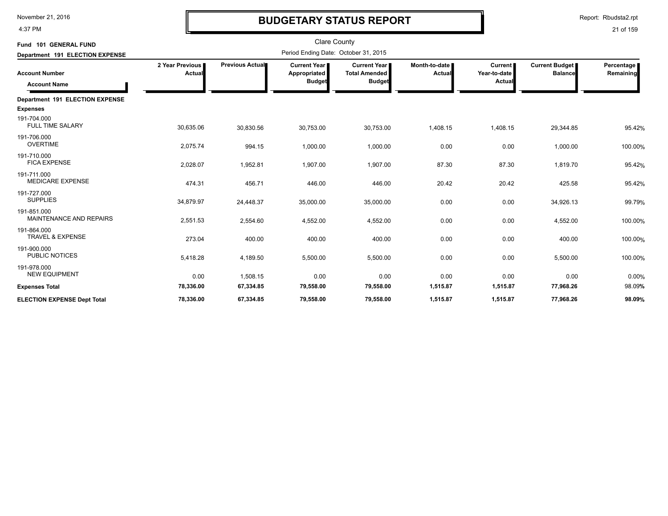4:37 PM

# **BUDGETARY STATUS REPORT**

| Fund 101 GENERAL FUND                         |                           |                 | <b>Clare County</b>                                  |                                                              |                         |                                          |                                         |                         |
|-----------------------------------------------|---------------------------|-----------------|------------------------------------------------------|--------------------------------------------------------------|-------------------------|------------------------------------------|-----------------------------------------|-------------------------|
| Department 191 ELECTION EXPENSE               |                           |                 | Period Ending Date: October 31, 2015                 |                                                              |                         |                                          |                                         |                         |
| <b>Account Number</b><br><b>Account Name</b>  | 2 Year Previous<br>Actual | Previous Actual | <b>Current Year</b><br>Appropriated<br><b>Budget</b> | <b>Current Year</b><br><b>Total Amended</b><br><b>Budget</b> | Month-to-date<br>Actual | <b>Current</b><br>Year-to-date<br>Actual | <b>Current Budget</b><br><b>Balance</b> | Percentage<br>Remaining |
| Department 191 ELECTION EXPENSE               |                           |                 |                                                      |                                                              |                         |                                          |                                         |                         |
| <b>Expenses</b>                               |                           |                 |                                                      |                                                              |                         |                                          |                                         |                         |
| 191-704.000<br><b>FULL TIME SALARY</b>        | 30,635.06                 | 30,830.56       | 30,753.00                                            | 30,753.00                                                    | 1,408.15                | 1,408.15                                 | 29,344.85                               | 95.42%                  |
| 191-706.000<br><b>OVERTIME</b>                | 2,075.74                  | 994.15          | 1,000.00                                             | 1,000.00                                                     | 0.00                    | 0.00                                     | 1,000.00                                | 100.00%                 |
| 191-710.000<br><b>FICA EXPENSE</b>            | 2,028.07                  | 1,952.81        | 1,907.00                                             | 1,907.00                                                     | 87.30                   | 87.30                                    | 1,819.70                                | 95.42%                  |
| 191-711.000<br><b>MEDICARE EXPENSE</b>        | 474.31                    | 456.71          | 446.00                                               | 446.00                                                       | 20.42                   | 20.42                                    | 425.58                                  | 95.42%                  |
| 191-727.000<br><b>SUPPLIES</b>                | 34,879.97                 | 24,448.37       | 35,000.00                                            | 35,000.00                                                    | 0.00                    | 0.00                                     | 34,926.13                               | 99.79%                  |
| 191-851.000<br><b>MAINTENANCE AND REPAIRS</b> | 2,551.53                  | 2,554.60        | 4,552.00                                             | 4,552.00                                                     | 0.00                    | 0.00                                     | 4,552.00                                | 100.00%                 |
| 191-864.000<br><b>TRAVEL &amp; EXPENSE</b>    | 273.04                    | 400.00          | 400.00                                               | 400.00                                                       | 0.00                    | 0.00                                     | 400.00                                  | 100.00%                 |
| 191-900.000<br><b>PUBLIC NOTICES</b>          | 5,418.28                  | 4,189.50        | 5,500.00                                             | 5,500.00                                                     | 0.00                    | 0.00                                     | 5,500.00                                | 100.00%                 |
| 191-978.000<br><b>NEW EQUIPMENT</b>           | 0.00                      | 1,508.15        | 0.00                                                 | 0.00                                                         | 0.00                    | 0.00                                     | 0.00                                    | 0.00%                   |
| <b>Expenses Total</b>                         | 78,336.00                 | 67,334.85       | 79,558.00                                            | 79,558.00                                                    | 1,515.87                | 1,515.87                                 | 77,968.26                               | 98.09%                  |
| <b>ELECTION EXPENSE Dept Total</b>            | 78,336.00                 | 67,334.85       | 79,558.00                                            | 79,558.00                                                    | 1,515.87                | 1,515.87                                 | 77,968.26                               | 98.09%                  |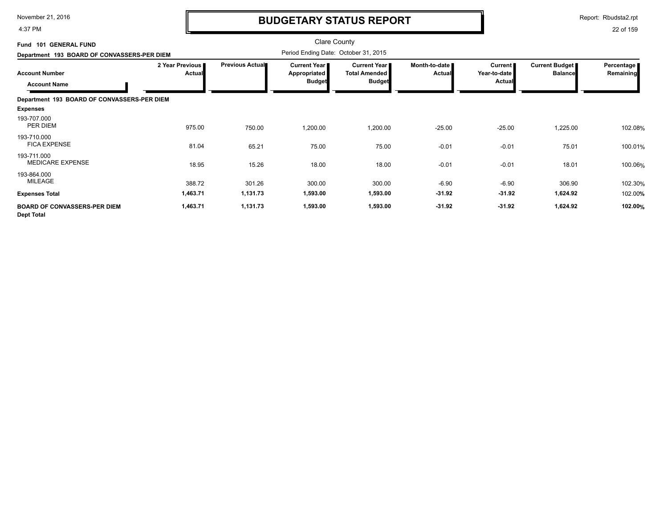4:37 PM

### **BUDGETARY STATUS REPORT**

Report: Rbudsta2.rpt

22 of 159

#### Clare County Period Ending Date: October 31, 2015 **Account Number Department 193 BOARD OF CONVASSERS-PER DIEM Fund 101 GENERAL FUND 2 Year Previous Actual Previous Actual Current Year Appropriated Budget Current Year Total Amended Budget Month-to-date Actual Current Year-to-date Actual Current Budget Balance Percentage Remaining Account Name Department 193 BOARD OF CONVASSERS-PER DIEM Expenses** 975.00 750.00 1,200.00 PER DIEM % 193-707.000 1,200.00 -25.00 -25.00 1,225.00 102.08 51.04 65.21 75.00 75.00 -0.01 -0.01 75.01 75.01 100.01% 75.00 75.00 -0.01 -0.01 75.01 75.01 100.01% 193-710.000 75.00 -0.01 -0.01 75.01 100.01 MEDICARE EXPENSE 18.95 15.26 18.00 18.00 -0.01 18.01 100.06% 193-711.000 18.00 -0.01 -0.01 18.01 100.06 MILEAGE 388.72 301.26 300.00 % 193-864.000 300.00 -6.90 -6.90 306.90 102.30 **Expenses Total 1,463.71 1,131.73 1,593.00 1,593.00 -31.92 -31.92 1,624.92** 102.00**% BOARD OF CONVASSERS-PER DIEM Dept Total 1,463.71 1,131.73 1,593.00 1,593.00 -31.92 -31.92 1,624.92 102.00%**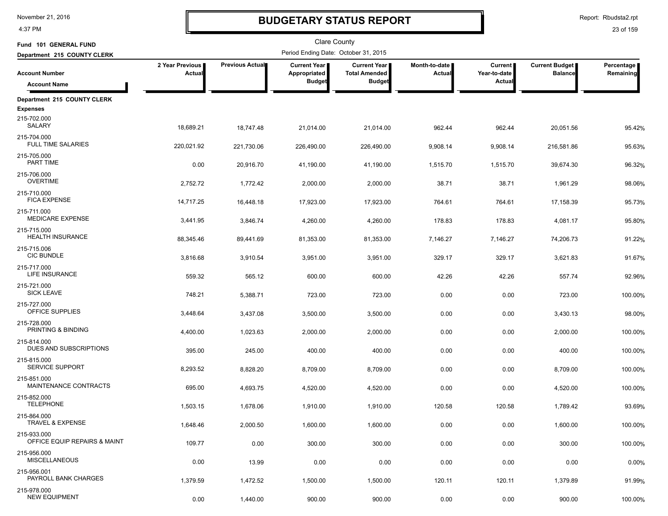4:37 PM

### **BUDGETARY STATUS REPORT**

Report: Rbudsta2.rpt

| Fund 101 GENERAL FUND                        |                           |                 | Clare County                         |                                             |                         |                                |                                         |                         |
|----------------------------------------------|---------------------------|-----------------|--------------------------------------|---------------------------------------------|-------------------------|--------------------------------|-----------------------------------------|-------------------------|
| Department 215 COUNTY CLERK                  |                           |                 | Period Ending Date: October 31, 2015 |                                             |                         |                                |                                         |                         |
| <b>Account Number</b>                        | 2 Year Previous<br>Actual | Previous Actual | <b>Current Year</b><br>Appropriated  | <b>Current Year</b><br><b>Total Amended</b> | Month-to-date<br>Actual | <b>Current</b><br>Year-to-date | <b>Current Budget</b><br><b>Balance</b> | Percentage<br>Remaining |
| <b>Account Name</b>                          |                           |                 | <b>Budget</b>                        | <b>Budget</b>                               |                         | Actual                         |                                         |                         |
| Department 215 COUNTY CLERK                  |                           |                 |                                      |                                             |                         |                                |                                         |                         |
| <b>Expenses</b><br>215-702.000<br>SALARY     | 18,689.21                 | 18,747.48       | 21,014.00                            | 21,014.00                                   | 962.44                  | 962.44                         | 20,051.56                               | 95.42%                  |
| 215-704.000<br><b>FULL TIME SALARIES</b>     | 220,021.92                | 221,730.06      | 226,490.00                           | 226,490.00                                  | 9,908.14                | 9,908.14                       | 216,581.86                              | 95.63%                  |
| 215-705.000<br>PART TIME                     | 0.00                      | 20,916.70       | 41,190.00                            | 41,190.00                                   | 1,515.70                | 1,515.70                       | 39,674.30                               | 96.32%                  |
| 215-706.000<br><b>OVERTIME</b>               | 2,752.72                  | 1,772.42        | 2,000.00                             | 2,000.00                                    | 38.71                   | 38.71                          | 1,961.29                                | 98.06%                  |
| 215-710.000<br><b>FICA EXPENSE</b>           | 14,717.25                 | 16,448.18       | 17,923.00                            | 17,923.00                                   | 764.61                  | 764.61                         | 17,158.39                               | 95.73%                  |
| 215-711.000<br><b>MEDICARE EXPENSE</b>       | 3,441.95                  | 3,846.74        | 4,260.00                             | 4,260.00                                    | 178.83                  | 178.83                         | 4,081.17                                | 95.80%                  |
| 215-715.000<br><b>HEALTH INSURANCE</b>       | 88,345.46                 | 89,441.69       | 81,353.00                            | 81,353.00                                   | 7,146.27                | 7,146.27                       | 74,206.73                               | 91.22%                  |
| 215-715.006<br><b>CIC BUNDLE</b>             | 3,816.68                  | 3,910.54        | 3,951.00                             | 3,951.00                                    | 329.17                  | 329.17                         | 3,621.83                                | 91.67%                  |
| 215-717.000<br>LIFE INSURANCE<br>215-721.000 | 559.32                    | 565.12          | 600.00                               | 600.00                                      | 42.26                   | 42.26                          | 557.74                                  | 92.96%                  |
| <b>SICK LEAVE</b><br>215-727.000             | 748.21                    | 5,388.71        | 723.00                               | 723.00                                      | 0.00                    | 0.00                           | 723.00                                  | 100.00%                 |
| OFFICE SUPPLIES<br>215-728.000               | 3,448.64                  | 3,437.08        | 3,500.00                             | 3,500.00                                    | 0.00                    | 0.00                           | 3,430.13                                | 98.00%                  |
| PRINTING & BINDING<br>215-814.000            | 4,400.00                  | 1,023.63        | 2,000.00                             | 2,000.00                                    | 0.00                    | 0.00                           | 2,000.00                                | 100.00%                 |
| DUES AND SUBSCRIPTIONS<br>215-815.000        | 395.00                    | 245.00          | 400.00                               | 400.00                                      | 0.00                    | 0.00                           | 400.00                                  | 100.00%                 |
| SERVICE SUPPORT<br>215-851.000               | 8,293.52                  | 8,828.20        | 8,709.00                             | 8,709.00                                    | 0.00                    | 0.00                           | 8,709.00                                | 100.00%                 |
| MAINTENANCE CONTRACTS<br>215-852.000         | 695.00                    | 4,693.75        | 4,520.00                             | 4,520.00                                    | 0.00                    | 0.00                           | 4,520.00                                | 100.00%                 |
| <b>TELEPHONE</b><br>215-864.000              | 1,503.15                  | 1,678.06        | 1,910.00                             | 1,910.00                                    | 120.58                  | 120.58                         | 1,789.42                                | 93.69%                  |
| TRAVEL & EXPENSE<br>215-933.000              | 1,648.46                  | 2,000.50        | 1,600.00                             | 1,600.00                                    | 0.00                    | 0.00                           | 1,600.00                                | 100.00%                 |
| OFFICE EQUIP REPAIRS & MAINT<br>215-956.000  | 109.77                    | 0.00            | 300.00                               | 300.00                                      | 0.00                    | 0.00                           | 300.00                                  | 100.00%                 |
| <b>MISCELLANEOUS</b><br>215-956.001          | 0.00                      | 13.99           | 0.00                                 | 0.00                                        | 0.00                    | 0.00                           | 0.00                                    | 0.00%                   |
| PAYROLL BANK CHARGES<br>215-978.000          | 1,379.59                  | 1,472.52        | 1,500.00                             | 1,500.00                                    | 120.11                  | 120.11                         | 1,379.89                                | 91.99%                  |
| <b>NEW EQUIPMENT</b>                         | 0.00                      | 1,440.00        | 900.00                               | 900.00                                      | 0.00                    | 0.00                           | 900.00                                  | 100.00%                 |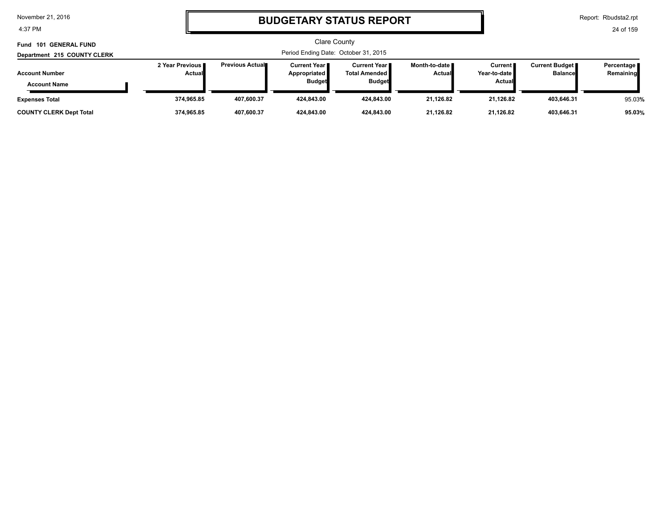4:37 PM

# **BUDGETARY STATUS REPORT**

Report: Rbudsta2.rpt

| Fund 101 GENERAL FUND<br>Department 215 COUNTY CLERK | <b>Clare County</b><br>Period Ending Date: October 31, 2015 |                         |                                                        |                                                              |                                  |                                                   |                                         |                           |
|------------------------------------------------------|-------------------------------------------------------------|-------------------------|--------------------------------------------------------|--------------------------------------------------------------|----------------------------------|---------------------------------------------------|-----------------------------------------|---------------------------|
| <b>Account Number</b><br><b>Account Name</b>         | 2 Year Previous<br>Actual                                   | <b>Previous Actual■</b> | Current Year I<br><b>Appropriated</b><br><b>Budget</b> | <b>Current Year</b><br><b>Total Amended</b><br><b>Budget</b> | Month-to-date ∎<br><b>Actual</b> | <b>Current</b> ■<br>Year-to-date<br><b>Actual</b> | <b>Current Budget</b><br><b>Balance</b> | Percentage  <br>Remaining |
| <b>Expenses Total</b>                                | 374.965.85                                                  | 407.600.37              | 424.843.00                                             | 424.843.00                                                   | 21.126.82                        | 21.126.82                                         | 403.646.31                              | 95.03%                    |
| <b>COUNTY CLERK Dept Total</b>                       | 374,965.85                                                  | 407,600.37              | 424,843.00                                             | 424,843.00                                                   | 21,126.82                        | 21,126.82                                         | 403,646.31                              | 95.03%                    |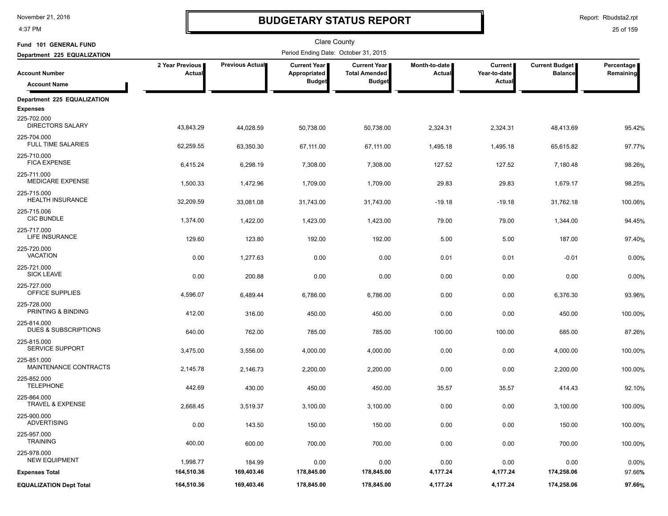4:37 PM

# **BUDGETARY STATUS REPORT**

Report: Rbudsta2.rpt

| Fund 101 GENERAL FUND                               |                           |                 | Clare County                                           |                                                              |                                |                                          |                                  |                         |
|-----------------------------------------------------|---------------------------|-----------------|--------------------------------------------------------|--------------------------------------------------------------|--------------------------------|------------------------------------------|----------------------------------|-------------------------|
| Department 225 EQUALIZATION                         |                           |                 | Period Ending Date: October 31, 2015                   |                                                              |                                |                                          |                                  |                         |
| <b>Account Number</b>                               | 2 Year Previous<br>Actual | Previous Actual | <b>Current Year I</b><br>Appropriated<br><b>Budget</b> | <b>Current Year</b><br><b>Total Amended</b><br><b>Budget</b> | Month-to-date<br><b>Actual</b> | <b>Current</b><br>Year-to-date<br>Actual | Current Budget<br><b>Balance</b> | Percentage<br>Remaining |
| <b>Account Name</b>                                 |                           |                 |                                                        |                                                              |                                |                                          |                                  |                         |
| Department 225 EQUALIZATION<br><b>Expenses</b>      |                           |                 |                                                        |                                                              |                                |                                          |                                  |                         |
| 225-702.000<br><b>DIRECTORS SALARY</b>              | 43,843.29                 | 44,028.59       | 50,738.00                                              | 50,738.00                                                    | 2,324.31                       | 2,324.31                                 | 48,413.69                        | 95.42%                  |
| 225-704.000<br><b>FULL TIME SALARIES</b>            | 62,259.55                 | 63,350.30       | 67,111.00                                              | 67,111.00                                                    | 1,495.18                       | 1,495.18                                 | 65,615.82                        | 97.77%                  |
| 225-710.000<br><b>FICA EXPENSE</b>                  | 6,415.24                  | 6,298.19        | 7,308.00                                               | 7,308.00                                                     | 127.52                         | 127.52                                   | 7,180.48                         | 98.26%                  |
| 225-711.000<br><b>MEDICARE EXPENSE</b>              | 1,500.33                  | 1,472.96        | 1,709.00                                               | 1,709.00                                                     | 29.83                          | 29.83                                    | 1,679.17                         | 98.25%                  |
| 225-715.000<br><b>HEALTH INSURANCE</b>              | 32,209.59                 | 33,081.08       | 31,743.00                                              | 31,743.00                                                    | $-19.18$                       | $-19.18$                                 | 31,762.18                        | 100.06%                 |
| 225-715.006<br><b>CIC BUNDLE</b>                    | 1,374.00                  | 1,422.00        | 1,423.00                                               | 1,423.00                                                     | 79.00                          | 79.00                                    | 1,344.00                         | 94.45%                  |
| 225-717.000<br>LIFE INSURANCE                       | 129.60                    | 123.80          | 192.00                                                 | 192.00                                                       | 5.00                           | 5.00                                     | 187.00                           | 97.40%                  |
| 225-720.000<br><b>VACATION</b>                      | 0.00                      | 1,277.63        | 0.00                                                   | 0.00                                                         | 0.01                           | 0.01                                     | $-0.01$                          | 0.00%                   |
| 225-721.000<br><b>SICK LEAVE</b>                    | 0.00                      | 200.88          | 0.00                                                   | 0.00                                                         | 0.00                           | 0.00                                     | 0.00                             | 0.00%                   |
| 225-727.000<br>OFFICE SUPPLIES                      | 4,596.07                  | 6,489.44        | 6,786.00                                               | 6,786.00                                                     | 0.00                           | 0.00                                     | 6,376.30                         | 93.96%                  |
| 225-728.000<br>PRINTING & BINDING                   | 412.00                    | 316.00          | 450.00                                                 | 450.00                                                       | 0.00                           | 0.00                                     | 450.00                           | 100.00%                 |
| 225-814.000<br><b>DUES &amp; SUBSCRIPTIONS</b>      | 640.00                    | 762.00          | 785.00                                                 | 785.00                                                       | 100.00                         | 100.00                                   | 685.00                           | 87.26%                  |
| 225-815.000<br><b>SERVICE SUPPORT</b>               | 3,475.00                  | 3,556.00        | 4,000.00                                               | 4,000.00                                                     | 0.00                           | 0.00                                     | 4,000.00                         | 100.00%                 |
| 225-851.000<br>MAINTENANCE CONTRACTS<br>225-852.000 | 2,145.78                  | 2,146.73        | 2,200.00                                               | 2,200.00                                                     | 0.00                           | 0.00                                     | 2,200.00                         | 100.00%                 |
| <b>TELEPHONE</b><br>225-864.000                     | 442.69                    | 430.00          | 450.00                                                 | 450.00                                                       | 35.57                          | 35.57                                    | 414.43                           | 92.10%                  |
| TRAVEL & EXPENSE<br>225-900.000                     | 2,668.45                  | 3,519.37        | 3,100.00                                               | 3,100.00                                                     | 0.00                           | 0.00                                     | 3,100.00                         | 100.00%                 |
| ADVERTISING<br>225-957.000                          | 0.00                      | 143.50          | 150.00                                                 | 150.00                                                       | 0.00                           | 0.00                                     | 150.00                           | 100.00%                 |
| <b>TRAINING</b><br>225-978.000                      | 400.00                    | 600.00          | 700.00                                                 | 700.00                                                       | 0.00                           | 0.00                                     | 700.00                           | 100.00%                 |
| <b>NEW EQUIPMENT</b>                                | 1,998.77                  | 184.99          | 0.00                                                   | 0.00                                                         | 0.00                           | 0.00                                     | 0.00                             | $0.00\%$                |
| <b>Expenses Total</b>                               | 164,510.36                | 169,403.46      | 178,845.00                                             | 178,845.00                                                   | 4,177.24                       | 4,177.24                                 | 174,258.06                       | 97.66%                  |
| <b>EQUALIZATION Dept Total</b>                      | 164,510.36                | 169,403.46      | 178,845.00                                             | 178,845.00                                                   | 4,177.24                       | 4,177.24                                 | 174,258.06                       | 97.66%                  |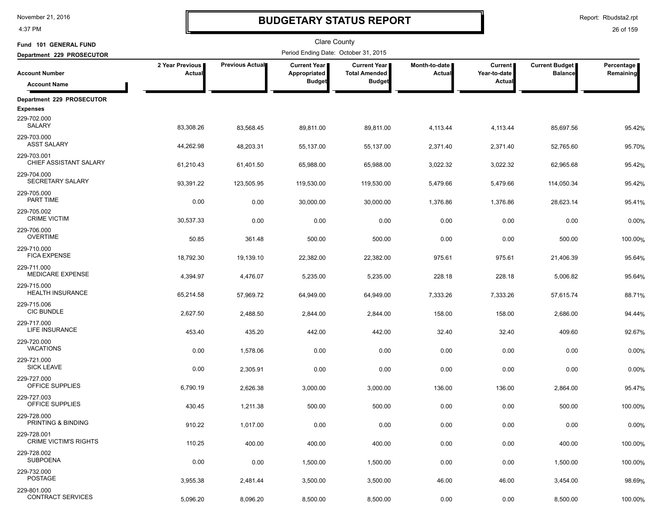4:37 PM

# **BUDGETARY STATUS REPORT**

Report: Rbudsta2.rpt

| Fund 101 GENERAL FUND                       |                           |                 | Clare County                         |                                             |                           |                                |                                         |                         |
|---------------------------------------------|---------------------------|-----------------|--------------------------------------|---------------------------------------------|---------------------------|--------------------------------|-----------------------------------------|-------------------------|
| Department 229 PROSECUTOR                   |                           |                 | Period Ending Date: October 31, 2015 |                                             |                           |                                |                                         |                         |
| <b>Account Number</b>                       | 2 Year Previous<br>Actual | Previous Actual | <b>Current Year</b><br>Appropriated  | <b>Current Year</b><br><b>Total Amended</b> | Month-to-date  <br>Actual | <b>Current</b><br>Year-to-date | <b>Current Budget</b><br><b>Balance</b> | Percentage<br>Remaining |
| <b>Account Name</b>                         |                           |                 | <b>Budget</b>                        | <b>Budget</b>                               |                           | Actual                         |                                         |                         |
| Department 229 PROSECUTOR                   |                           |                 |                                      |                                             |                           |                                |                                         |                         |
| <b>Expenses</b>                             |                           |                 |                                      |                                             |                           |                                |                                         |                         |
| 229-702.000<br>SALARY                       | 83,308.26                 | 83,568.45       | 89,811.00                            | 89,811.00                                   | 4,113.44                  | 4,113.44                       | 85,697.56                               | 95.42%                  |
| 229-703.000<br><b>ASST SALARY</b>           | 44,262.98                 | 48,203.31       | 55,137.00                            | 55,137.00                                   | 2,371.40                  | 2,371.40                       | 52,765.60                               | 95.70%                  |
| 229-703.001<br>CHIEF ASSISTANT SALARY       | 61,210.43                 | 61,401.50       | 65,988.00                            | 65,988.00                                   | 3,022.32                  | 3,022.32                       | 62,965.68                               | 95.42%                  |
| 229-704.000<br>SECRETARY SALARY             | 93,391.22                 | 123,505.95      | 119,530.00                           | 119,530.00                                  | 5,479.66                  | 5,479.66                       | 114,050.34                              | 95.42%                  |
| 229-705.000<br>PART TIME                    | 0.00                      | 0.00            | 30,000.00                            | 30,000.00                                   | 1,376.86                  | 1,376.86                       | 28,623.14                               | 95.41%                  |
| 229-705.002<br><b>CRIME VICTIM</b>          | 30,537.33                 | 0.00            | 0.00                                 | 0.00                                        | 0.00                      | 0.00                           | 0.00                                    | 0.00%                   |
| 229-706.000<br><b>OVERTIME</b>              | 50.85                     | 361.48          | 500.00                               | 500.00                                      | 0.00                      | 0.00                           | 500.00                                  | 100.00%                 |
| 229-710.000<br><b>FICA EXPENSE</b>          | 18,792.30                 | 19,139.10       | 22,382.00                            | 22,382.00                                   | 975.61                    | 975.61                         | 21,406.39                               | 95.64%                  |
| 229-711.000<br><b>MEDICARE EXPENSE</b>      | 4,394.97                  | 4,476.07        | 5,235.00                             | 5,235.00                                    | 228.18                    | 228.18                         | 5,006.82                                | 95.64%                  |
| 229-715.000<br><b>HEALTH INSURANCE</b>      | 65,214.58                 | 57,969.72       | 64,949.00                            | 64,949.00                                   | 7,333.26                  | 7,333.26                       | 57,615.74                               | 88.71%                  |
| 229-715.006<br><b>CIC BUNDLE</b>            | 2,627.50                  | 2,488.50        | 2,844.00                             | 2,844.00                                    | 158.00                    | 158.00                         | 2,686.00                                | 94.44%                  |
| 229-717.000<br>LIFE INSURANCE               | 453.40                    | 435.20          | 442.00                               | 442.00                                      | 32.40                     | 32.40                          | 409.60                                  | 92.67%                  |
| 229-720.000<br><b>VACATIONS</b>             | 0.00                      | 1,578.06        | 0.00                                 | 0.00                                        | 0.00                      | 0.00                           | 0.00                                    | 0.00%                   |
| 229-721.000<br><b>SICK LEAVE</b>            | 0.00                      | 2,305.91        | 0.00                                 | 0.00                                        | 0.00                      | 0.00                           | 0.00                                    | 0.00%                   |
| 229-727.000<br>OFFICE SUPPLIES              | 6,790.19                  | 2,626.38        | 3,000.00                             | 3,000.00                                    | 136.00                    | 136.00                         | 2,864.00                                | 95.47%                  |
| 229-727.003<br>OFFICE SUPPLIES              | 430.45                    | 1,211.38        | 500.00                               | 500.00                                      | 0.00                      | 0.00                           | 500.00                                  | 100.00%                 |
| 229-728.000<br>PRINTING & BINDING           | 910.22                    | 1,017.00        | 0.00                                 | 0.00                                        | 0.00                      | 0.00                           | 0.00                                    | 0.00%                   |
| 229-728.001<br><b>CRIME VICTIM'S RIGHTS</b> | 110.25                    | 400.00          | 400.00                               | 400.00                                      | 0.00                      | 0.00                           | 400.00                                  | 100.00%                 |
| 229-728.002<br><b>SUBPOENA</b>              | 0.00                      | 0.00            | 1,500.00                             | 1,500.00                                    | 0.00                      | 0.00                           | 1,500.00                                | 100.00%                 |
| 229-732.000<br><b>POSTAGE</b>               | 3,955.38                  | 2,481.44        | 3,500.00                             | 3,500.00                                    | 46.00                     | 46.00                          | 3,454.00                                | 98.69%                  |
| 229-801.000<br><b>CONTRACT SERVICES</b>     | 5,096.20                  | 8,096.20        | 8,500.00                             | 8,500.00                                    | 0.00                      | 0.00                           | 8,500.00                                | 100.00%                 |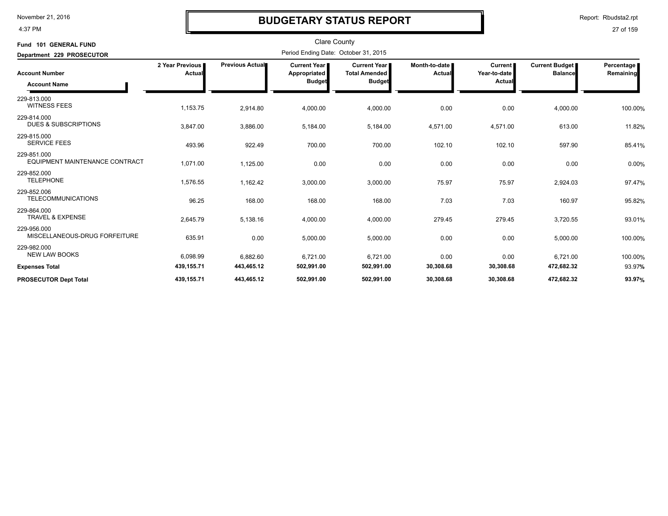4:37 PM

### **BUDGETARY STATUS REPORT**

Report: Rbudsta2.rpt

| Fund 101 GENERAL FUND                          |                           |                        | <b>Clare County</b>                                    |                                                              |                                |                                          |                                  |                         |
|------------------------------------------------|---------------------------|------------------------|--------------------------------------------------------|--------------------------------------------------------------|--------------------------------|------------------------------------------|----------------------------------|-------------------------|
| Department 229 PROSECUTOR                      |                           |                        | Period Ending Date: October 31, 2015                   |                                                              |                                |                                          |                                  |                         |
| <b>Account Number</b>                          | 2 Year Previous<br>Actual | <b>Previous Actual</b> | <b>Current Year I</b><br>Appropriated<br><b>Budget</b> | <b>Current Year</b><br><b>Total Amended</b><br><b>Budget</b> | Month-to-date<br><b>Actual</b> | Current<br>Year-to-date<br><b>Actual</b> | Current Budget<br><b>Balance</b> | Percentage<br>Remaining |
| <b>Account Name</b>                            |                           |                        |                                                        |                                                              |                                |                                          |                                  |                         |
| 229-813.000<br><b>WITNESS FEES</b>             | 1,153.75                  | 2,914.80               | 4,000.00                                               | 4,000.00                                                     | 0.00                           | 0.00                                     | 4,000.00                         | 100.00%                 |
| 229-814.000<br><b>DUES &amp; SUBSCRIPTIONS</b> | 3,847.00                  | 3,886.00               | 5,184.00                                               | 5,184.00                                                     | 4,571.00                       | 4,571.00                                 | 613.00                           | 11.82%                  |
| 229-815.000<br><b>SERVICE FEES</b>             | 493.96                    | 922.49                 | 700.00                                                 | 700.00                                                       | 102.10                         | 102.10                                   | 597.90                           | 85.41%                  |
| 229-851.000<br>EQUIPMENT MAINTENANCE CONTRACT  | 1,071.00                  | 1,125.00               | 0.00                                                   | 0.00                                                         | 0.00                           | 0.00                                     | 0.00                             | 0.00%                   |
| 229-852.000<br><b>TELEPHONE</b>                | 1,576.55                  | 1,162.42               | 3,000.00                                               | 3,000.00                                                     | 75.97                          | 75.97                                    | 2,924.03                         | 97.47%                  |
| 229-852.006<br><b>TELECOMMUNICATIONS</b>       | 96.25                     | 168.00                 | 168.00                                                 | 168.00                                                       | 7.03                           | 7.03                                     | 160.97                           | 95.82%                  |
| 229-864.000<br><b>TRAVEL &amp; EXPENSE</b>     | 2,645.79                  | 5,138.16               | 4,000.00                                               | 4,000.00                                                     | 279.45                         | 279.45                                   | 3,720.55                         | 93.01%                  |
| 229-956.000<br>MISCELLANEOUS-DRUG FORFEITURE   | 635.91                    | 0.00                   | 5,000.00                                               | 5,000.00                                                     | 0.00                           | 0.00                                     | 5,000.00                         | 100.00%                 |
| 229-982.000<br><b>NEW LAW BOOKS</b>            | 6,098.99                  | 6,882.60               | 6,721.00                                               | 6,721.00                                                     | 0.00                           | 0.00                                     | 6,721.00                         | 100.00%                 |
| <b>Expenses Total</b>                          | 439,155.71                | 443,465.12             | 502,991.00                                             | 502,991.00                                                   | 30,308.68                      | 30,308.68                                | 472,682.32                       | 93.97%                  |
| <b>PROSECUTOR Dept Total</b>                   | 439,155.71                | 443,465.12             | 502,991.00                                             | 502,991.00                                                   | 30,308.68                      | 30,308.68                                | 472,682.32                       | 93.97%                  |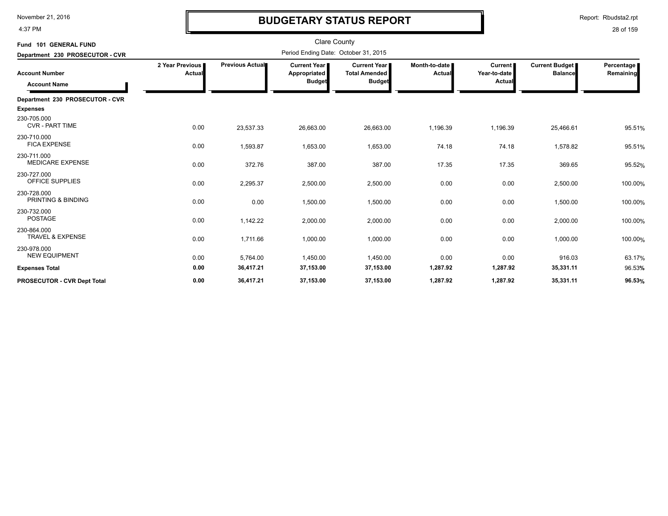4:37 PM

# **BUDGETARY STATUS REPORT**

Report: Rbudsta2.rpt

| Fund 101 GENERAL FUND                        |                           |                 | <b>Clare County</b>                                    |                                                                |                                  |                                          |                                         |                           |
|----------------------------------------------|---------------------------|-----------------|--------------------------------------------------------|----------------------------------------------------------------|----------------------------------|------------------------------------------|-----------------------------------------|---------------------------|
| Department 230 PROSECUTOR - CVR              |                           |                 | Period Ending Date: October 31, 2015                   |                                                                |                                  |                                          |                                         |                           |
| <b>Account Number</b><br><b>Account Name</b> | 2 Year Previous<br>Actual | Previous Actual | <b>Current Year</b> ∎<br>Appropriated<br><b>Budget</b> | <b>Current Year I</b><br><b>Total Amended</b><br><b>Budget</b> | Month-to-date I<br><b>Actual</b> | <b>Current</b><br>Year-to-date<br>Actual | <b>Current Budget</b><br><b>Balance</b> | Percentage  <br>Remaining |
| Department 230 PROSECUTOR - CVR              |                           |                 |                                                        |                                                                |                                  |                                          |                                         |                           |
| <b>Expenses</b>                              |                           |                 |                                                        |                                                                |                                  |                                          |                                         |                           |
| 230-705.000<br><b>CVR - PART TIME</b>        | 0.00                      | 23,537.33       | 26,663.00                                              | 26,663.00                                                      | 1,196.39                         | 1,196.39                                 | 25,466.61                               | 95.51%                    |
| 230-710.000<br><b>FICA EXPENSE</b>           | 0.00                      | 1,593.87        | 1,653.00                                               | 1,653.00                                                       | 74.18                            | 74.18                                    | 1,578.82                                | 95.51%                    |
| 230-711.000<br><b>MEDICARE EXPENSE</b>       | 0.00                      | 372.76          | 387.00                                                 | 387.00                                                         | 17.35                            | 17.35                                    | 369.65                                  | 95.52%                    |
| 230-727.000<br>OFFICE SUPPLIES               | 0.00                      | 2,295.37        | 2,500.00                                               | 2,500.00                                                       | 0.00                             | 0.00                                     | 2,500.00                                | 100.00%                   |
| 230-728.000<br>PRINTING & BINDING            | 0.00                      | 0.00            | 1,500.00                                               | 1,500.00                                                       | 0.00                             | 0.00                                     | 1,500.00                                | 100.00%                   |
| 230-732.000<br><b>POSTAGE</b>                | 0.00                      | 1,142.22        | 2,000.00                                               | 2,000.00                                                       | 0.00                             | 0.00                                     | 2,000.00                                | 100.00%                   |
| 230-864.000<br>TRAVEL & EXPENSE              | 0.00                      | 1,711.66        | 1,000.00                                               | 1,000.00                                                       | 0.00                             | 0.00                                     | 1,000.00                                | 100.00%                   |
| 230-978.000<br><b>NEW EQUIPMENT</b>          | 0.00                      | 5,764.00        | 1,450.00                                               | 1,450.00                                                       | 0.00                             | 0.00                                     | 916.03                                  | 63.17%                    |
| <b>Expenses Total</b>                        | 0.00                      | 36,417.21       | 37,153.00                                              | 37,153.00                                                      | 1,287.92                         | 1,287.92                                 | 35,331.11                               | 96.53%                    |
| <b>PROSECUTOR - CVR Dept Total</b>           | 0.00                      | 36,417.21       | 37,153.00                                              | 37,153.00                                                      | 1,287.92                         | 1,287.92                                 | 35,331.11                               | 96.53%                    |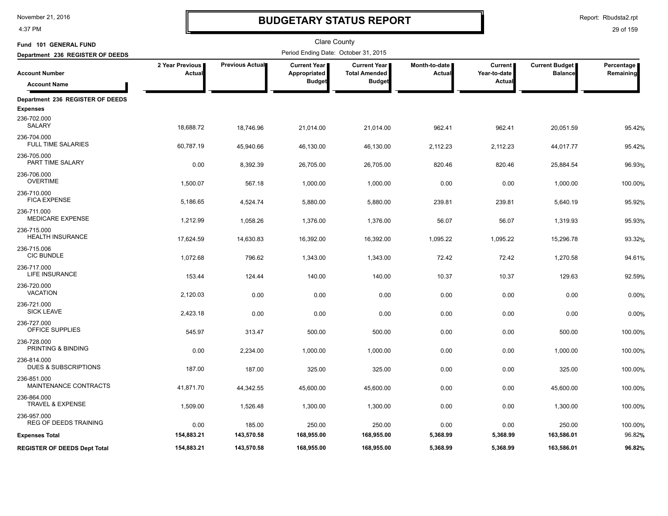4:37 PM

# **BUDGETARY STATUS REPORT**

Report: Rbudsta2.rpt

| Fund 101 GENERAL FUND                          |                           |                 | <b>Clare County</b>                                  |                                                              |                                |                                          |                                         |                         |
|------------------------------------------------|---------------------------|-----------------|------------------------------------------------------|--------------------------------------------------------------|--------------------------------|------------------------------------------|-----------------------------------------|-------------------------|
| Department 236 REGISTER OF DEEDS               |                           |                 | Period Ending Date: October 31, 2015                 |                                                              |                                |                                          |                                         |                         |
| <b>Account Number</b><br><b>Account Name</b>   | 2 Year Previous<br>Actual | Previous Actual | <b>Current Year</b><br>Appropriated<br><b>Budget</b> | <b>Current Year</b><br><b>Total Amended</b><br><b>Budget</b> | Month-to-date<br><b>Actual</b> | <b>Current</b><br>Year-to-date<br>Actual | <b>Current Budget</b><br><b>Balance</b> | Percentage<br>Remaining |
| Department 236 REGISTER OF DEEDS               |                           |                 |                                                      |                                                              |                                |                                          |                                         |                         |
| <b>Expenses</b>                                |                           |                 |                                                      |                                                              |                                |                                          |                                         |                         |
| 236-702.000<br>SALARY                          | 18,688.72                 | 18,746.96       | 21,014.00                                            | 21,014.00                                                    | 962.41                         | 962.41                                   | 20,051.59                               | 95.42%                  |
| 236-704.000<br><b>FULL TIME SALARIES</b>       | 60,787.19                 | 45,940.66       | 46,130.00                                            | 46,130.00                                                    | 2,112.23                       | 2,112.23                                 | 44,017.77                               | 95.42%                  |
| 236-705.000<br>PART TIME SALARY                | 0.00                      | 8,392.39        | 26,705.00                                            | 26,705.00                                                    | 820.46                         | 820.46                                   | 25,884.54                               | 96.93%                  |
| 236-706.000<br><b>OVERTIME</b>                 | 1,500.07                  | 567.18          | 1,000.00                                             | 1,000.00                                                     | 0.00                           | 0.00                                     | 1,000.00                                | 100.00%                 |
| 236-710.000<br><b>FICA EXPENSE</b>             | 5,186.65                  | 4,524.74        | 5,880.00                                             | 5,880.00                                                     | 239.81                         | 239.81                                   | 5,640.19                                | 95.92%                  |
| 236-711.000<br><b>MEDICARE EXPENSE</b>         | 1,212.99                  | 1,058.26        | 1,376.00                                             | 1,376.00                                                     | 56.07                          | 56.07                                    | 1,319.93                                | 95.93%                  |
| 236-715.000<br><b>HEALTH INSURANCE</b>         | 17,624.59                 | 14,630.83       | 16,392.00                                            | 16,392.00                                                    | 1,095.22                       | 1,095.22                                 | 15,296.78                               | 93.32%                  |
| 236-715.006<br><b>CIC BUNDLE</b>               | 1,072.68                  | 796.62          | 1,343.00                                             | 1,343.00                                                     | 72.42                          | 72.42                                    | 1,270.58                                | 94.61%                  |
| 236-717.000<br><b>LIFE INSURANCE</b>           | 153.44                    | 124.44          | 140.00                                               | 140.00                                                       | 10.37                          | 10.37                                    | 129.63                                  | 92.59%                  |
| 236-720.000<br><b>VACATION</b>                 | 2,120.03                  | 0.00            | 0.00                                                 | 0.00                                                         | 0.00                           | 0.00                                     | 0.00                                    | 0.00%                   |
| 236-721.000<br><b>SICK LEAVE</b>               | 2,423.18                  | 0.00            | 0.00                                                 | 0.00                                                         | 0.00                           | 0.00                                     | 0.00                                    | 0.00%                   |
| 236-727.000<br>OFFICE SUPPLIES                 | 545.97                    | 313.47          | 500.00                                               | 500.00                                                       | 0.00                           | 0.00                                     | 500.00                                  | 100.00%                 |
| 236-728.000<br>PRINTING & BINDING              | 0.00                      | 2,234.00        | 1,000.00                                             | 1,000.00                                                     | 0.00                           | 0.00                                     | 1,000.00                                | 100.00%                 |
| 236-814.000<br><b>DUES &amp; SUBSCRIPTIONS</b> | 187.00                    | 187.00          | 325.00                                               | 325.00                                                       | 0.00                           | 0.00                                     | 325.00                                  | 100.00%                 |
| 236-851.000<br>MAINTENANCE CONTRACTS           | 41,871.70                 | 44,342.55       | 45,600.00                                            | 45,600.00                                                    | 0.00                           | 0.00                                     | 45,600.00                               | 100.00%                 |
| 236-864.000<br>TRAVEL & EXPENSE                | 1,509.00                  | 1,526.48        | 1,300.00                                             | 1,300.00                                                     | 0.00                           | 0.00                                     | 1,300.00                                | 100.00%                 |
| 236-957.000<br><b>REG OF DEEDS TRAINING</b>    | 0.00                      | 185.00          | 250.00                                               | 250.00                                                       | 0.00                           | 0.00                                     | 250.00                                  | 100.00%                 |
| <b>Expenses Total</b>                          | 154,883.21                | 143,570.58      | 168,955.00                                           | 168,955.00                                                   | 5,368.99                       | 5,368.99                                 | 163,586.01                              | 96.82%                  |
| <b>REGISTER OF DEEDS Dept Total</b>            | 154,883.21                | 143,570.58      | 168,955.00                                           | 168,955.00                                                   | 5,368.99                       | 5,368.99                                 | 163,586.01                              | 96.82%                  |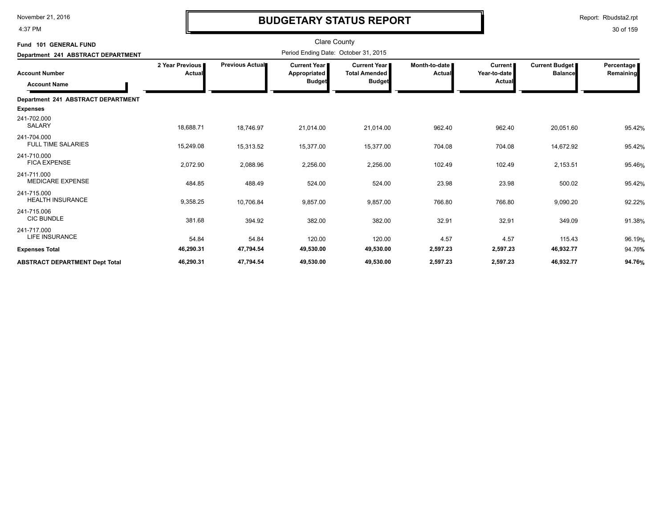4:37 PM

# **BUDGETARY STATUS REPORT**

Report: Rbudsta2.rpt

| Fund 101 GENERAL FUND                        |                           |                 | <b>Clare County</b>                                    |                                                                |                           |                                     |                                         |                         |
|----------------------------------------------|---------------------------|-----------------|--------------------------------------------------------|----------------------------------------------------------------|---------------------------|-------------------------------------|-----------------------------------------|-------------------------|
| Department 241 ABSTRACT DEPARTMENT           |                           |                 |                                                        |                                                                |                           |                                     |                                         |                         |
| <b>Account Number</b><br><b>Account Name</b> | 2 Year Previous<br>Actual | Previous Actual | <b>Current Year I</b><br>Appropriated<br><b>Budget</b> | <b>Current Year I</b><br><b>Total Amended</b><br><b>Budget</b> | Month-to-date I<br>Actual | Current  <br>Year-to-date<br>Actual | <b>Current Budget</b><br><b>Balance</b> | Percentage<br>Remaining |
| Department 241 ABSTRACT DEPARTMENT           |                           |                 |                                                        |                                                                |                           |                                     |                                         |                         |
| <b>Expenses</b>                              |                           |                 |                                                        |                                                                |                           |                                     |                                         |                         |
| 241-702.000<br><b>SALARY</b>                 | 18,688.71                 | 18,746.97       | 21,014.00                                              | 21,014.00                                                      | 962.40                    | 962.40                              | 20,051.60                               | 95.42%                  |
| 241-704.000<br><b>FULL TIME SALARIES</b>     | 15,249.08                 | 15,313.52       | 15,377.00                                              | 15,377.00                                                      | 704.08                    | 704.08                              | 14,672.92                               | 95.42%                  |
| 241-710.000<br><b>FICA EXPENSE</b>           | 2,072.90                  | 2,088.96        | 2,256.00                                               | 2,256.00                                                       | 102.49                    | 102.49                              | 2,153.51                                | 95.46%                  |
| 241-711.000<br><b>MEDICARE EXPENSE</b>       | 484.85                    | 488.49          | 524.00                                                 | 524.00                                                         | 23.98                     | 23.98                               | 500.02                                  | 95.42%                  |
| 241-715.000<br><b>HEALTH INSURANCE</b>       | 9,358.25                  | 10,706.84       | 9,857.00                                               | 9,857.00                                                       | 766.80                    | 766.80                              | 9,090.20                                | 92.22%                  |
| 241-715.006<br><b>CIC BUNDLE</b>             | 381.68                    | 394.92          | 382.00                                                 | 382.00                                                         | 32.91                     | 32.91                               | 349.09                                  | 91.38%                  |
| 241-717.000<br>LIFE INSURANCE                | 54.84                     | 54.84           | 120.00                                                 | 120.00                                                         | 4.57                      | 4.57                                | 115.43                                  | 96.19%                  |
| <b>Expenses Total</b>                        | 46,290.31                 | 47,794.54       | 49,530.00                                              | 49,530.00                                                      | 2,597.23                  | 2,597.23                            | 46,932.77                               | 94.76%                  |
| <b>ABSTRACT DEPARTMENT Dept Total</b>        | 46,290.31                 | 47,794.54       | 49,530.00                                              | 49,530.00                                                      | 2,597.23                  | 2,597.23                            | 46,932.77                               | 94.76%                  |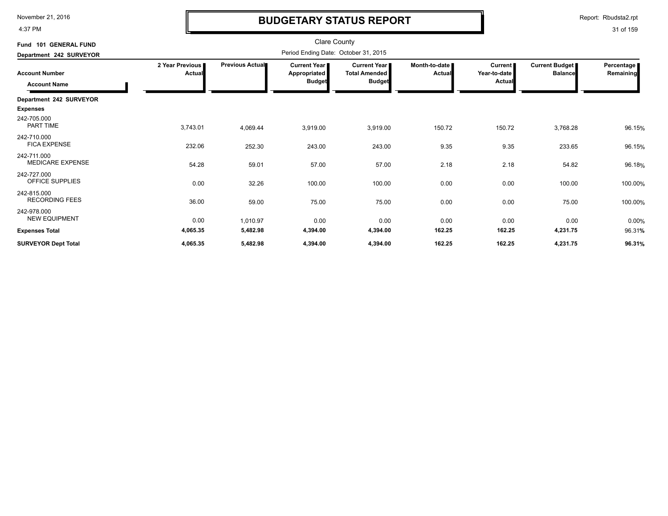4:37 PM

### **BUDGETARY STATUS REPORT**

Report: Rbudsta2.rpt

| Fund 101 GENERAL FUND                        |                           |                                      | <b>Clare County</b>                                    |                                                              |                         |                                          |                                  |                         |  |
|----------------------------------------------|---------------------------|--------------------------------------|--------------------------------------------------------|--------------------------------------------------------------|-------------------------|------------------------------------------|----------------------------------|-------------------------|--|
| Department 242 SURVEYOR                      |                           | Period Ending Date: October 31, 2015 |                                                        |                                                              |                         |                                          |                                  |                         |  |
| <b>Account Number</b><br><b>Account Name</b> | 2 Year Previous<br>Actual | <b>Previous Actual</b>               | <b>Current Year I</b><br>Appropriated<br><b>Budget</b> | <b>Current Year</b><br><b>Total Amended</b><br><b>Budget</b> | Month-to-date<br>Actual | Current<br>Year-to-date<br><b>Actual</b> | Current Budget<br><b>Balance</b> | Percentage<br>Remaining |  |
| Department 242 SURVEYOR                      |                           |                                      |                                                        |                                                              |                         |                                          |                                  |                         |  |
| <b>Expenses</b>                              |                           |                                      |                                                        |                                                              |                         |                                          |                                  |                         |  |
| 242-705.000<br>PART TIME                     | 3,743.01                  | 4,069.44                             | 3,919.00                                               | 3,919.00                                                     | 150.72                  | 150.72                                   | 3,768.28                         | 96.15%                  |  |
| 242-710.000<br><b>FICA EXPENSE</b>           | 232.06                    | 252.30                               | 243.00                                                 | 243.00                                                       | 9.35                    | 9.35                                     | 233.65                           | 96.15%                  |  |
| 242-711.000<br><b>MEDICARE EXPENSE</b>       | 54.28                     | 59.01                                | 57.00                                                  | 57.00                                                        | 2.18                    | 2.18                                     | 54.82                            | 96.18%                  |  |
| 242-727.000<br>OFFICE SUPPLIES               | 0.00                      | 32.26                                | 100.00                                                 | 100.00                                                       | 0.00                    | 0.00                                     | 100.00                           | 100.00%                 |  |
| 242-815.000<br><b>RECORDING FEES</b>         | 36.00                     | 59.00                                | 75.00                                                  | 75.00                                                        | 0.00                    | 0.00                                     | 75.00                            | 100.00%                 |  |
| 242-978.000<br><b>NEW EQUIPMENT</b>          | 0.00                      | 1,010.97                             | 0.00                                                   | 0.00                                                         | 0.00                    | 0.00                                     | 0.00                             | 0.00%                   |  |
| <b>Expenses Total</b>                        | 4,065.35                  | 5,482.98                             | 4,394.00                                               | 4,394.00                                                     | 162.25                  | 162.25                                   | 4,231.75                         | 96.31%                  |  |
| <b>SURVEYOR Dept Total</b>                   | 4,065.35                  | 5,482.98                             | 4,394.00                                               | 4,394.00                                                     | 162.25                  | 162.25                                   | 4,231.75                         | 96.31%                  |  |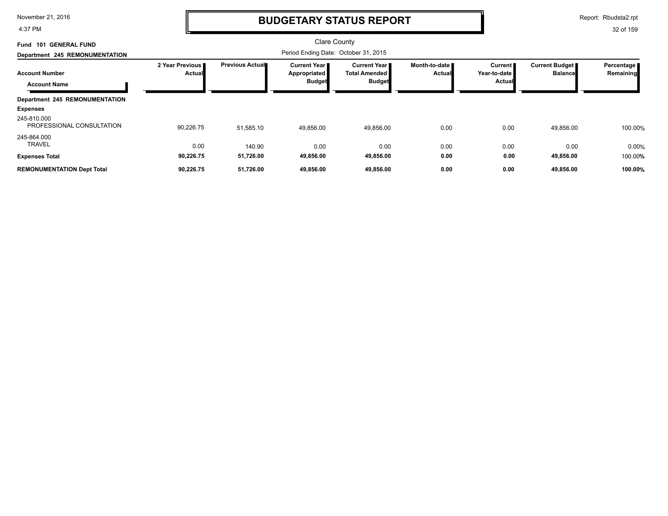4:37 PM

### **BUDGETARY STATUS REPORT**

Report: Rbudsta2.rpt

| <b>GENERAL FUND</b><br>101<br>Fund<br>Department 245 REMONUMENTATION | Clare County<br>Period Ending Date: October 31, 2015 |                        |                                                               |                                                       |                                |                                            |                                  |                         |
|----------------------------------------------------------------------|------------------------------------------------------|------------------------|---------------------------------------------------------------|-------------------------------------------------------|--------------------------------|--------------------------------------------|----------------------------------|-------------------------|
| <b>Account Number</b><br><b>Account Name</b>                         | 2 Year Previous<br><b>Actual</b>                     | <b>Previous Actual</b> | <b>Current Year I</b><br><b>Appropriated</b><br><b>Budget</b> | Current Year<br><b>Total Amended</b><br><b>Budget</b> | Month-to-date<br><b>Actual</b> | Current  <br>Year-to-date<br><b>Actual</b> | Current Budget<br><b>Balance</b> | Percentage<br>Remaining |
| <b>Department 245 REMONUMENTATION</b>                                |                                                      |                        |                                                               |                                                       |                                |                                            |                                  |                         |
| <b>Expenses</b>                                                      |                                                      |                        |                                                               |                                                       |                                |                                            |                                  |                         |
| 245-810.000<br>PROFESSIONAL CONSULTATION                             | 90,226.75                                            | 51,585.10              | 49,856.00                                                     | 49,856.00                                             | 0.00                           | 0.00                                       | 49,856.00                        | 100.00%                 |
| 245-864.000<br><b>TRAVEL</b>                                         | 0.00                                                 | 140.90                 | 0.00                                                          | 0.00                                                  | 0.00                           | 0.00                                       | 0.00                             | 0.00%                   |
| <b>Expenses Total</b>                                                | 90,226.75                                            | 51,726.00              | 49,856.00                                                     | 49,856.00                                             | 0.00                           | 0.00                                       | 49,856.00                        | 100.00%                 |
| <b>REMONUMENTATION Dept Total</b>                                    | 90,226.75                                            | 51,726.00              | 49,856.00                                                     | 49,856.00                                             | 0.00                           | 0.00                                       | 49,856.00                        | 100.00%                 |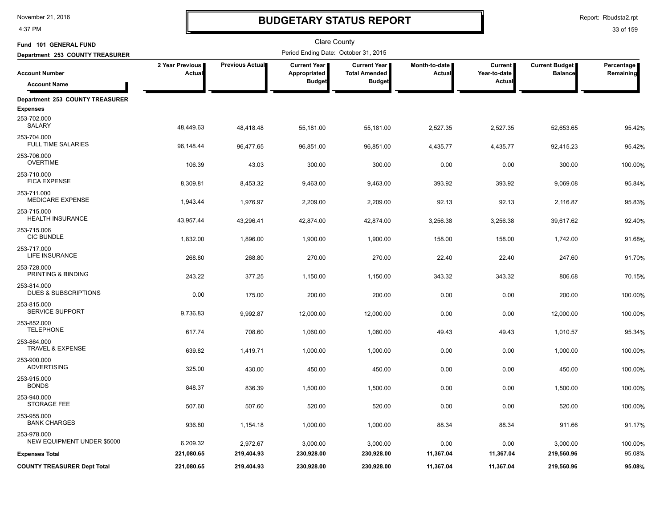4:37 PM

# **BUDGETARY STATUS REPORT**

Clare County

Report: Rbudsta2.rpt

| Fund 101 GENERAL FUND                            |                           |                        | <b>Clare County</b>                  |                                             |                                |                         |                                         |                                |
|--------------------------------------------------|---------------------------|------------------------|--------------------------------------|---------------------------------------------|--------------------------------|-------------------------|-----------------------------------------|--------------------------------|
| Department 253 COUNTY TREASURER                  |                           |                        | Period Ending Date: October 31, 2015 |                                             |                                |                         |                                         |                                |
| <b>Account Number</b>                            | 2 Year Previous<br>Actual | <b>Previous Actual</b> | <b>Current Year</b><br>Appropriated  | <b>Current Year</b><br><b>Total Amended</b> | Month-to-date<br><b>Actual</b> | Current<br>Year-to-date | <b>Current Budget</b><br><b>Balance</b> | Percentage<br><b>Remaining</b> |
| <b>Account Name</b>                              |                           |                        | <b>Budget</b>                        | <b>Budget</b>                               |                                | Actual                  |                                         |                                |
| Department 253 COUNTY TREASURER                  |                           |                        |                                      |                                             |                                |                         |                                         |                                |
| <b>Expenses</b>                                  |                           |                        |                                      |                                             |                                |                         |                                         |                                |
| 253-702.000<br>SALARY                            | 48,449.63                 | 48,418.48              | 55,181.00                            | 55,181.00                                   | 2,527.35                       | 2,527.35                | 52,653.65                               | 95.42%                         |
| 253-704.000<br><b>FULL TIME SALARIES</b>         | 96,148.44                 | 96,477.65              | 96,851.00                            | 96,851.00                                   | 4,435.77                       | 4,435.77                | 92,415.23                               | 95.42%                         |
| 253-706.000                                      |                           |                        |                                      |                                             |                                |                         |                                         |                                |
| <b>OVERTIME</b>                                  | 106.39                    | 43.03                  | 300.00                               | 300.00                                      | 0.00                           | 0.00                    | 300.00                                  | 100.00%                        |
| 253-710.000<br><b>FICA EXPENSE</b>               | 8,309.81                  | 8,453.32               | 9,463.00                             | 9,463.00                                    | 393.92                         | 393.92                  | 9,069.08                                | 95.84%                         |
| 253-711.000                                      |                           |                        |                                      |                                             |                                |                         |                                         |                                |
| <b>MEDICARE EXPENSE</b>                          | 1,943.44                  | 1,976.97               | 2,209.00                             | 2,209.00                                    | 92.13                          | 92.13                   | 2,116.87                                | 95.83%                         |
| 253-715.000<br><b>HEALTH INSURANCE</b>           | 43,957.44                 | 43,296.41              | 42,874.00                            | 42,874.00                                   | 3,256.38                       | 3,256.38                | 39,617.62                               | 92.40%                         |
| 253-715.006                                      |                           |                        |                                      |                                             |                                |                         |                                         |                                |
| <b>CIC BUNDLE</b>                                | 1,832.00                  | 1,896.00               | 1,900.00                             | 1,900.00                                    | 158.00                         | 158.00                  | 1,742.00                                | 91.68%                         |
| 253-717.000                                      |                           |                        |                                      |                                             |                                |                         |                                         |                                |
| <b>LIFE INSURANCE</b>                            | 268.80                    | 268.80                 | 270.00                               | 270.00                                      | 22.40                          | 22.40                   | 247.60                                  | 91.70%                         |
| 253-728.000                                      |                           |                        |                                      |                                             |                                |                         |                                         |                                |
| PRINTING & BINDING                               | 243.22                    | 377.25                 | 1,150.00                             | 1,150.00                                    | 343.32                         | 343.32                  | 806.68                                  | 70.15%                         |
| 253-814.000<br><b>DUES &amp; SUBSCRIPTIONS</b>   |                           |                        |                                      |                                             |                                |                         |                                         |                                |
|                                                  | 0.00                      | 175.00                 | 200.00                               | 200.00                                      | 0.00                           | 0.00                    | 200.00                                  | 100.00%                        |
| 253-815.000<br><b>SERVICE SUPPORT</b>            |                           |                        |                                      |                                             |                                |                         |                                         |                                |
|                                                  | 9,736.83                  | 9,992.87               | 12,000.00                            | 12,000.00                                   | 0.00                           | 0.00                    | 12,000.00                               | 100.00%                        |
| 253-852.000<br><b>TELEPHONE</b>                  | 617.74                    | 708.60                 | 1,060.00                             | 1,060.00                                    | 49.43                          | 49.43                   | 1,010.57                                | 95.34%                         |
| 253-864.000                                      |                           |                        |                                      |                                             |                                |                         |                                         |                                |
| <b>TRAVEL &amp; EXPENSE</b>                      | 639.82                    | 1,419.71               | 1,000.00                             | 1,000.00                                    | 0.00                           | 0.00                    | 1,000.00                                | 100.00%                        |
| 253-900.000                                      |                           |                        |                                      |                                             |                                |                         |                                         |                                |
| <b>ADVERTISING</b>                               | 325.00                    | 430.00                 | 450.00                               | 450.00                                      | 0.00                           | 0.00                    | 450.00                                  | 100.00%                        |
| 253-915.000                                      |                           |                        |                                      |                                             |                                |                         |                                         |                                |
| <b>BONDS</b>                                     | 848.37                    | 836.39                 | 1,500.00                             | 1,500.00                                    | 0.00                           | 0.00                    | 1,500.00                                | 100.00%                        |
| 253-940.000                                      |                           |                        |                                      |                                             |                                |                         |                                         |                                |
| STORAGE FEE                                      | 507.60                    | 507.60                 | 520.00                               | 520.00                                      | 0.00                           | 0.00                    | 520.00                                  | 100.00%                        |
| 253-955.000                                      |                           |                        |                                      |                                             |                                |                         |                                         |                                |
| <b>BANK CHARGES</b>                              | 936.80                    | 1,154.18               | 1,000.00                             | 1,000.00                                    | 88.34                          | 88.34                   | 911.66                                  | 91.17%                         |
| 253-978.000<br><b>NEW EQUIPMENT UNDER \$5000</b> |                           |                        |                                      |                                             |                                |                         |                                         |                                |
|                                                  | 6,209.32                  | 2,972.67               | 3,000.00                             | 3,000.00                                    | 0.00                           | 0.00                    | 3,000.00                                | 100.00%                        |
| <b>Expenses Total</b>                            | 221,080.65                | 219,404.93             | 230,928.00                           | 230,928.00                                  | 11,367.04                      | 11,367.04               | 219,560.96                              | 95.08%                         |
| <b>COUNTY TREASURER Dept Total</b>               | 221,080.65                | 219,404.93             | 230,928.00                           | 230,928.00                                  | 11,367.04                      | 11,367.04               | 219,560.96                              | 95.08%                         |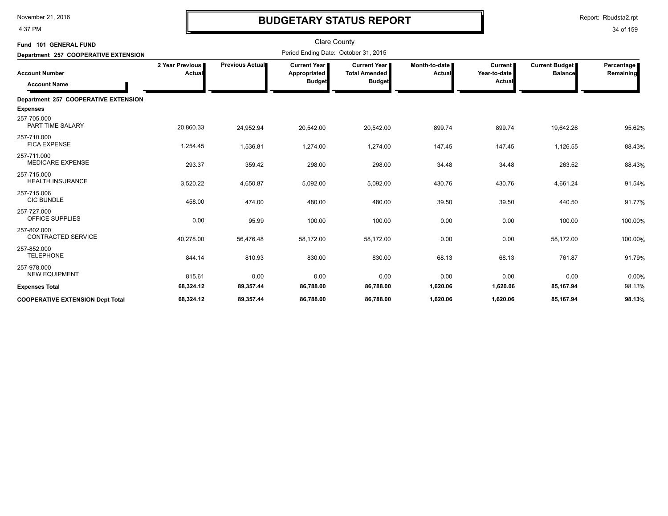4:37 PM

# **BUDGETARY STATUS REPORT**

| Fund 101 GENERAL FUND                        |                           |                 | <b>Clare County</b>                                  |                                                              |                         |                                          |                                         |                         |
|----------------------------------------------|---------------------------|-----------------|------------------------------------------------------|--------------------------------------------------------------|-------------------------|------------------------------------------|-----------------------------------------|-------------------------|
| Department 257 COOPERATIVE EXTENSION         |                           |                 | Period Ending Date: October 31, 2015                 |                                                              |                         |                                          |                                         |                         |
| <b>Account Number</b><br><b>Account Name</b> | 2 Year Previous<br>Actual | Previous Actual | <b>Current Year</b><br>Appropriated<br><b>Budget</b> | <b>Current Year</b><br><b>Total Amended</b><br><b>Budget</b> | Month-to-date<br>Actual | <b>Current</b><br>Year-to-date<br>Actual | <b>Current Budget</b><br><b>Balance</b> | Percentage<br>Remaining |
| Department 257 COOPERATIVE EXTENSION         |                           |                 |                                                      |                                                              |                         |                                          |                                         |                         |
| <b>Expenses</b>                              |                           |                 |                                                      |                                                              |                         |                                          |                                         |                         |
| 257-705.000<br>PART TIME SALARY              | 20,860.33                 | 24,952.94       | 20,542.00                                            | 20,542.00                                                    | 899.74                  | 899.74                                   | 19,642.26                               | 95.62%                  |
| 257-710.000<br><b>FICA EXPENSE</b>           | 1,254.45                  | 1,536.81        | 1,274.00                                             | 1,274.00                                                     | 147.45                  | 147.45                                   | 1,126.55                                | 88.43%                  |
| 257-711.000<br><b>MEDICARE EXPENSE</b>       | 293.37                    | 359.42          | 298.00                                               | 298.00                                                       | 34.48                   | 34.48                                    | 263.52                                  | 88.43%                  |
| 257-715.000<br><b>HEALTH INSURANCE</b>       | 3,520.22                  | 4,650.87        | 5,092.00                                             | 5,092.00                                                     | 430.76                  | 430.76                                   | 4,661.24                                | 91.54%                  |
| 257-715.006<br><b>CIC BUNDLE</b>             | 458.00                    | 474.00          | 480.00                                               | 480.00                                                       | 39.50                   | 39.50                                    | 440.50                                  | 91.77%                  |
| 257-727.000<br>OFFICE SUPPLIES               | 0.00                      | 95.99           | 100.00                                               | 100.00                                                       | 0.00                    | 0.00                                     | 100.00                                  | 100.00%                 |
| 257-802.000<br><b>CONTRACTED SERVICE</b>     | 40,278.00                 | 56,476.48       | 58,172.00                                            | 58,172.00                                                    | 0.00                    | 0.00                                     | 58,172.00                               | 100.00%                 |
| 257-852.000<br><b>TELEPHONE</b>              | 844.14                    | 810.93          | 830.00                                               | 830.00                                                       | 68.13                   | 68.13                                    | 761.87                                  | 91.79%                  |
| 257-978.000<br><b>NEW EQUIPMENT</b>          | 815.61                    | 0.00            | 0.00                                                 | 0.00                                                         | 0.00                    | 0.00                                     | 0.00                                    | 0.00%                   |
| <b>Expenses Total</b>                        | 68,324.12                 | 89,357.44       | 86,788.00                                            | 86,788.00                                                    | 1,620.06                | 1,620.06                                 | 85,167.94                               | 98.13%                  |
| <b>COOPERATIVE EXTENSION Dept Total</b>      | 68.324.12                 | 89,357.44       | 86,788.00                                            | 86,788.00                                                    | 1,620.06                | 1,620.06                                 | 85,167.94                               | 98.13%                  |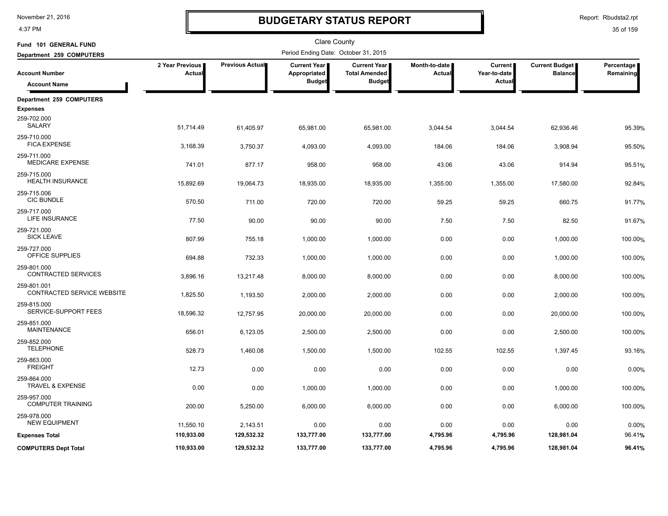4:37 PM

### **BUDGETARY STATUS REPORT**

Report: Rbudsta2.rpt

| Fund 101 GENERAL FUND                      |                             |                 | <b>Clare County</b>                                  |                                                       |                           |                                          |                                         |                         |
|--------------------------------------------|-----------------------------|-----------------|------------------------------------------------------|-------------------------------------------------------|---------------------------|------------------------------------------|-----------------------------------------|-------------------------|
| Department 259 COMPUTERS                   |                             |                 | Period Ending Date: October 31, 2015                 |                                                       |                           |                                          |                                         |                         |
| <b>Account Number</b>                      | 2 Year Previous  <br>Actual | Previous Actual | <b>Current Year</b><br>Appropriated<br><b>Budget</b> | Current Year<br><b>Total Amended</b><br><b>Budget</b> | Month-to-date  <br>Actual | <b>Current</b><br>Year-to-date<br>Actual | <b>Current Budget</b><br><b>Balance</b> | Percentage<br>Remaining |
| <b>Account Name</b>                        |                             |                 |                                                      |                                                       |                           |                                          |                                         |                         |
| Department 259 COMPUTERS                   |                             |                 |                                                      |                                                       |                           |                                          |                                         |                         |
| <b>Expenses</b>                            |                             |                 |                                                      |                                                       |                           |                                          |                                         |                         |
| 259-702.000<br>SALARY                      | 51,714.49                   | 61,405.97       | 65,981.00                                            | 65,981.00                                             | 3,044.54                  | 3,044.54                                 | 62,936.46                               | 95.39%                  |
| 259-710.000<br><b>FICA EXPENSE</b>         | 3,168.39                    | 3,750.37        | 4,093.00                                             | 4,093.00                                              | 184.06                    | 184.06                                   | 3,908.94                                | 95.50%                  |
| 259-711.000<br><b>MEDICARE EXPENSE</b>     | 741.01                      | 877.17          | 958.00                                               | 958.00                                                | 43.06                     | 43.06                                    | 914.94                                  | 95.51%                  |
| 259-715.000<br><b>HEALTH INSURANCE</b>     | 15,892.69                   | 19,064.73       | 18,935.00                                            | 18,935.00                                             | 1,355.00                  | 1,355.00                                 | 17,580.00                               | 92.84%                  |
| 259-715.006<br><b>CIC BUNDLE</b>           | 570.50                      | 711.00          | 720.00                                               | 720.00                                                | 59.25                     | 59.25                                    | 660.75                                  | 91.77%                  |
| 259-717.000<br><b>LIFE INSURANCE</b>       | 77.50                       | 90.00           | 90.00                                                | 90.00                                                 | 7.50                      | 7.50                                     | 82.50                                   | 91.67%                  |
| 259-721.000<br><b>SICK LEAVE</b>           | 807.99                      | 755.18          | 1,000.00                                             | 1,000.00                                              | 0.00                      | 0.00                                     | 1,000.00                                | 100.00%                 |
| 259-727.000<br>OFFICE SUPPLIES             | 694.88                      | 732.33          | 1,000.00                                             | 1,000.00                                              | 0.00                      | 0.00                                     | 1,000.00                                | 100.00%                 |
| 259-801.000<br>CONTRACTED SERVICES         | 3,896.16                    | 13,217.48       | 8,000.00                                             | 8,000.00                                              | 0.00                      | 0.00                                     | 8,000.00                                | 100.00%                 |
| 259-801.001<br>CONTRACTED SERVICE WEBSITE  | 1,825.50                    | 1,193.50        | 2,000.00                                             | 2,000.00                                              | 0.00                      | 0.00                                     | 2,000.00                                | 100.00%                 |
| 259-815.000<br>SERVICE-SUPPORT FEES        | 18,596.32                   | 12,757.95       | 20,000.00                                            | 20,000.00                                             | 0.00                      | 0.00                                     | 20,000.00                               | 100.00%                 |
| 259-851.000<br><b>MAINTENANCE</b>          | 656.01                      | 6,123.05        | 2,500.00                                             | 2,500.00                                              | 0.00                      | 0.00                                     | 2,500.00                                | 100.00%                 |
| 259-852.000<br><b>TELEPHONE</b>            | 528.73                      | 1,460.08        | 1,500.00                                             | 1,500.00                                              | 102.55                    | 102.55                                   | 1,397.45                                | 93.16%                  |
| 259-863.000<br><b>FREIGHT</b>              | 12.73                       | 0.00            | 0.00                                                 | 0.00                                                  | 0.00                      | 0.00                                     | 0.00                                    | 0.00%                   |
| 259-864.000<br><b>TRAVEL &amp; EXPENSE</b> | 0.00                        | 0.00            | 1,000.00                                             | 1,000.00                                              | 0.00                      | 0.00                                     | 1,000.00                                | 100.00%                 |
| 259-957.000<br><b>COMPUTER TRAINING</b>    | 200.00                      | 5,250.00        | 6,000.00                                             | 6,000.00                                              | 0.00                      | 0.00                                     | 6,000.00                                | 100.00%                 |
| 259-978.000<br><b>NEW EQUIPMENT</b>        | 11,550.10                   | 2,143.51        | 0.00                                                 | 0.00                                                  | 0.00                      | 0.00                                     | 0.00                                    | 0.00%                   |
| <b>Expenses Total</b>                      | 110,933.00                  | 129,532.32      | 133,777.00                                           | 133,777.00                                            | 4,795.96                  | 4,795.96                                 | 128,981.04                              | 96.41%                  |
| <b>COMPUTERS Dept Total</b>                | 110,933.00                  | 129,532.32      | 133,777.00                                           | 133,777.00                                            | 4,795.96                  | 4,795.96                                 | 128,981.04                              | 96.41%                  |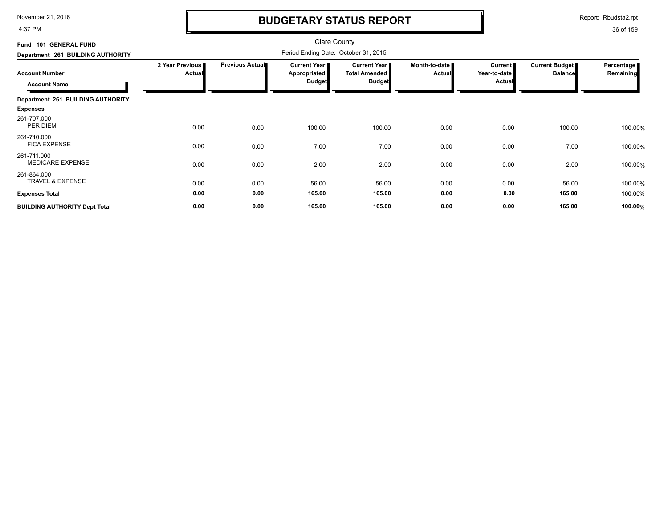4:37 PM

# **BUDGETARY STATUS REPORT**

Report: Rbudsta2.rpt

| Fund 101 GENERAL FUND                                                             |                                  |                        |                                                                                       |                                                              |                                |                                            |                                  |                           |
|-----------------------------------------------------------------------------------|----------------------------------|------------------------|---------------------------------------------------------------------------------------|--------------------------------------------------------------|--------------------------------|--------------------------------------------|----------------------------------|---------------------------|
| Department 261 BUILDING AUTHORITY<br><b>Account Number</b><br><b>Account Name</b> | 2 Year Previous<br><b>Actual</b> | <b>Previous Actual</b> | Period Ending Date: October 31, 2015<br>Current Year<br>Appropriated<br><b>Budget</b> | <b>Current Year</b><br><b>Total Amended</b><br><b>Budget</b> | Month-to-date<br><b>Actual</b> | Current  <br>Year-to-date<br><b>Actual</b> | Current Budget<br><b>Balance</b> | Percentage  <br>Remaining |
| Department 261 BUILDING AUTHORITY                                                 |                                  |                        |                                                                                       |                                                              |                                |                                            |                                  |                           |
| <b>Expenses</b>                                                                   |                                  |                        |                                                                                       |                                                              |                                |                                            |                                  |                           |
| 261-707.000<br>PER DIEM                                                           | 0.00                             | 0.00                   | 100.00                                                                                | 100.00                                                       | 0.00                           | 0.00                                       | 100.00                           | 100.00%                   |
| 261-710.000<br><b>FICA EXPENSE</b>                                                | 0.00                             | 0.00                   | 7.00                                                                                  | 7.00                                                         | 0.00                           | 0.00                                       | 7.00                             | 100.00%                   |
| 261-711.000<br><b>MEDICARE EXPENSE</b>                                            | 0.00                             | 0.00                   | 2.00                                                                                  | 2.00                                                         | 0.00                           | 0.00                                       | 2.00                             | 100.00%                   |
| 261-864.000<br><b>TRAVEL &amp; EXPENSE</b>                                        | 0.00                             | 0.00                   | 56.00                                                                                 | 56.00                                                        | 0.00                           | 0.00                                       | 56.00                            | 100.00%                   |
| <b>Expenses Total</b>                                                             | 0.00                             | 0.00                   | 165.00                                                                                | 165.00                                                       | 0.00                           | 0.00                                       | 165.00                           | 100.00%                   |
| <b>BUILDING AUTHORITY Dept Total</b>                                              | 0.00                             | 0.00                   | 165.00                                                                                | 165.00                                                       | 0.00                           | 0.00                                       | 165.00                           | 100.00%                   |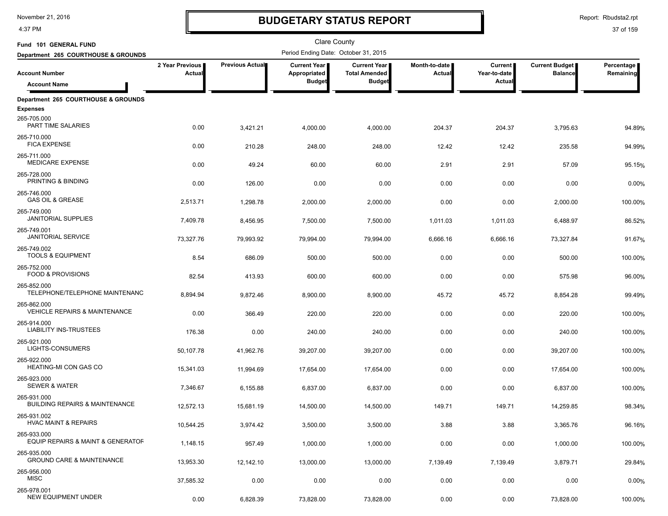4:37 PM

# **BUDGETARY STATUS REPORT**

Report: Rbudsta2.rpt

| Fund 101 GENERAL FUND                                    |                           |                 | Clare County                         |                                             |                           |                                |                                         |                         |
|----------------------------------------------------------|---------------------------|-----------------|--------------------------------------|---------------------------------------------|---------------------------|--------------------------------|-----------------------------------------|-------------------------|
| Department 265 COURTHOUSE & GROUNDS                      |                           |                 | Period Ending Date: October 31, 2015 |                                             |                           |                                |                                         |                         |
| <b>Account Number</b>                                    | 2 Year Previous<br>Actual | Previous Actual | <b>Current Year</b><br>Appropriated  | <b>Current Year</b><br><b>Total Amended</b> | Month-to-date  <br>Actual | <b>Current</b><br>Year-to-date | <b>Current Budget</b><br><b>Balance</b> | Percentage<br>Remaining |
| <b>Account Name</b>                                      |                           |                 | <b>Budget</b>                        | <b>Budget</b>                               |                           | Actual                         |                                         |                         |
| Department 265 COURTHOUSE & GROUNDS                      |                           |                 |                                      |                                             |                           |                                |                                         |                         |
| <b>Expenses</b>                                          |                           |                 |                                      |                                             |                           |                                |                                         |                         |
| 265-705.000<br>PART TIME SALARIES                        | 0.00                      | 3,421.21        | 4,000.00                             | 4,000.00                                    | 204.37                    | 204.37                         | 3,795.63                                | 94.89%                  |
| 265-710.000<br><b>FICA EXPENSE</b>                       | 0.00                      | 210.28          | 248.00                               | 248.00                                      | 12.42                     | 12.42                          | 235.58                                  | 94.99%                  |
| 265-711.000<br><b>MEDICARE EXPENSE</b>                   | 0.00                      | 49.24           | 60.00                                | 60.00                                       | 2.91                      | 2.91                           | 57.09                                   | 95.15%                  |
| 265-728.000<br>PRINTING & BINDING                        | 0.00                      | 126.00          | 0.00                                 | 0.00                                        | 0.00                      | 0.00                           | 0.00                                    | 0.00%                   |
| 265-746.000                                              |                           |                 |                                      |                                             |                           |                                |                                         |                         |
| <b>GAS OIL &amp; GREASE</b>                              | 2,513.71                  | 1,298.78        | 2,000.00                             | 2,000.00                                    | 0.00                      | 0.00                           | 2,000.00                                | 100.00%                 |
| 265-749.000<br><b>JANITORIAL SUPPLIES</b>                | 7,409.78                  | 8,456.95        | 7,500.00                             | 7,500.00                                    | 1,011.03                  | 1,011.03                       | 6,488.97                                | 86.52%                  |
| 265-749.001<br><b>JANITORIAL SERVICE</b>                 | 73,327.76                 | 79,993.92       | 79,994.00                            | 79,994.00                                   | 6,666.16                  | 6,666.16                       | 73,327.84                               | 91.67%                  |
| 265-749.002<br><b>TOOLS &amp; EQUIPMENT</b>              | 8.54                      | 686.09          | 500.00                               | 500.00                                      | 0.00                      | 0.00                           | 500.00                                  | 100.00%                 |
| 265-752.000<br><b>FOOD &amp; PROVISIONS</b>              | 82.54                     | 413.93          | 600.00                               | 600.00                                      | 0.00                      | 0.00                           | 575.98                                  | 96.00%                  |
| 265-852.000<br>TELEPHONE/TELEPHONE MAINTENANC            | 8,894.94                  | 9,872.46        | 8,900.00                             | 8,900.00                                    | 45.72                     | 45.72                          | 8,854.28                                | 99.49%                  |
| 265-862.000                                              |                           |                 |                                      |                                             |                           |                                |                                         |                         |
| <b>VEHICLE REPAIRS &amp; MAINTENANCE</b>                 | 0.00                      | 366.49          | 220.00                               | 220.00                                      | 0.00                      | 0.00                           | 220.00                                  | 100.00%                 |
| 265-914.000<br><b>LIABILITY INS-TRUSTEES</b>             | 176.38                    | 0.00            | 240.00                               | 240.00                                      | 0.00                      | 0.00                           | 240.00                                  | 100.00%                 |
| 265-921.000<br>LIGHTS-CONSUMERS                          | 50,107.78                 | 41,962.76       | 39,207.00                            | 39,207.00                                   | 0.00                      | 0.00                           | 39,207.00                               | 100.00%                 |
| 265-922.000<br>HEATING-MI CON GAS CO                     | 15,341.03                 | 11.994.69       | 17,654.00                            | 17,654.00                                   | 0.00                      | 0.00                           | 17,654.00                               | 100.00%                 |
| 265-923.000<br><b>SEWER &amp; WATER</b>                  | 7,346.67                  | 6,155.88        | 6,837.00                             | 6,837.00                                    | 0.00                      | 0.00                           | 6,837.00                                | 100.00%                 |
| 265-931.000<br><b>BUILDING REPAIRS &amp; MAINTENANCE</b> | 12,572.13                 | 15,681.19       | 14,500.00                            | 14,500.00                                   | 149.71                    | 149.71                         | 14,259.85                               | 98.34%                  |
| 265-931.002<br><b>HVAC MAINT &amp; REPAIRS</b>           | 10,544.25                 | 3,974.42        | 3,500.00                             | 3,500.00                                    | 3.88                      | 3.88                           | 3,365.76                                | 96.16%                  |
| 265-933.000<br>EQUIP REPAIRS & MAINT & GENERATOF         | 1,148.15                  | 957.49          | 1,000.00                             | 1,000.00                                    | 0.00                      | 0.00                           | 1,000.00                                | 100.00%                 |
| 265-935.000<br><b>GROUND CARE &amp; MAINTENANCE</b>      | 13,953.30                 | 12,142.10       | 13,000.00                            | 13,000.00                                   | 7,139.49                  | 7,139.49                       | 3,879.71                                | 29.84%                  |
| 265-956.000                                              |                           |                 |                                      |                                             |                           |                                |                                         |                         |
| MISC                                                     | 37,585.32                 | 0.00            | 0.00                                 | 0.00                                        | 0.00                      | 0.00                           | 0.00                                    | 0.00%                   |
| 265-978.001<br>NEW EQUIPMENT UNDER                       | 0.00                      | 6,828.39        | 73,828.00                            | 73,828.00                                   | 0.00                      | 0.00                           | 73,828.00                               | 100.00%                 |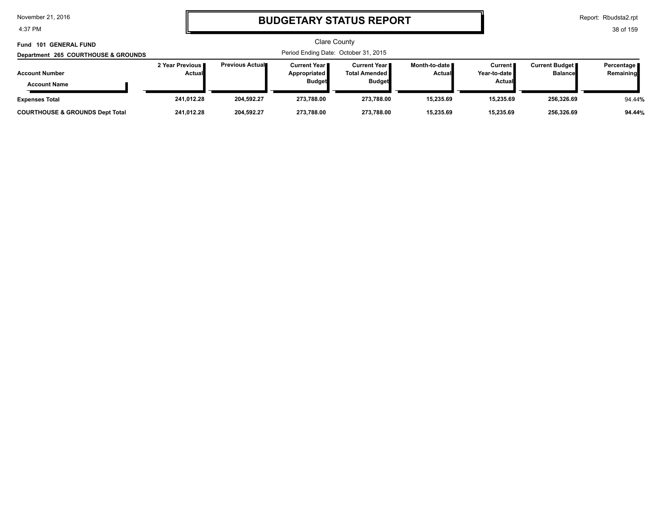4:37 PM

# **BUDGETARY STATUS REPORT**

Report: Rbudsta2.rpt

| Fund 101 GENERAL FUND<br>Department 265 COURTHOUSE & GROUNDS | Clare County<br>Period Ending Date: October 31, 2015 |                         |                                                               |                                                          |                                  |                                                 |                                         |                         |
|--------------------------------------------------------------|------------------------------------------------------|-------------------------|---------------------------------------------------------------|----------------------------------------------------------|----------------------------------|-------------------------------------------------|-----------------------------------------|-------------------------|
| <b>Account Number</b><br><b>Account Name</b>                 | 2 Year Previous<br><b>Actual</b>                     | <b>Previous Actual■</b> | <b>Current Year</b> ■<br><b>Appropriated</b><br><b>Budget</b> | Current Year II<br><b>Total Amended</b><br><b>Budget</b> | Month-to-date ■<br><b>Actual</b> | <b>Current</b><br>Year-to-date<br><b>Actual</b> | <b>Current Budget</b><br><b>Balance</b> | Percentage<br>Remaining |
| <b>Expenses Total</b>                                        | 241.012.28                                           | 204,592.27              | 273.788.00                                                    | 273.788.00                                               | 15,235.69                        | 15.235.69                                       | 256,326.69                              | 94.44%                  |
| <b>COURTHOUSE &amp; GROUNDS Dept Total</b>                   | 241.012.28                                           | 204,592.27              | 273.788.00                                                    | 273.788.00                                               | 15.235.69                        | 15.235.69                                       | 256,326.69                              | 94.44%                  |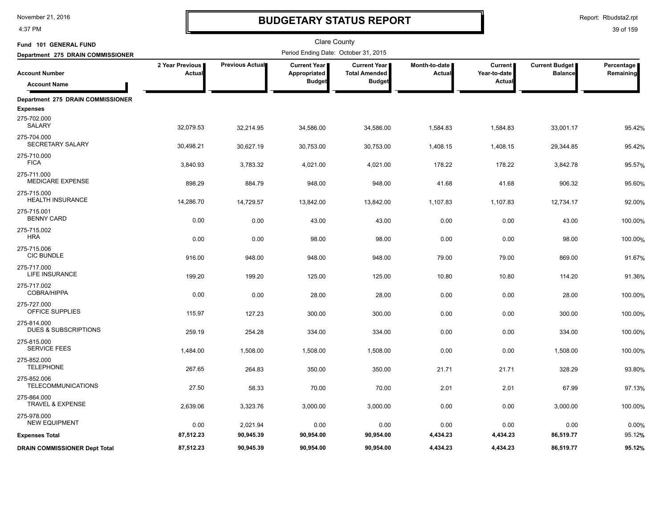4:37 PM

# **BUDGETARY STATUS REPORT**

| Fund 101 GENERAL FUND                          |                           |                 | <b>Clare County</b>                   |                                               |                                  |                           |                                           |                         |
|------------------------------------------------|---------------------------|-----------------|---------------------------------------|-----------------------------------------------|----------------------------------|---------------------------|-------------------------------------------|-------------------------|
| Department 275 DRAIN COMMISSIONER              |                           |                 | Period Ending Date: October 31, 2015  |                                               |                                  |                           |                                           |                         |
| <b>Account Number</b>                          | 2 Year Previous<br>Actual | Previous Actual | <b>Current Year I</b><br>Appropriated | <b>Current Year I</b><br><b>Total Amended</b> | Month-to-date I<br><b>Actual</b> | Current  <br>Year-to-date | <b>Current Budget</b>  <br><b>Balance</b> | Percentage<br>Remaining |
| <b>Account Name</b>                            |                           |                 | <b>Budget</b>                         | <b>Budget</b>                                 |                                  | <b>Actual</b>             |                                           |                         |
| Department 275 DRAIN COMMISSIONER              |                           |                 |                                       |                                               |                                  |                           |                                           |                         |
| <b>Expenses</b>                                |                           |                 |                                       |                                               |                                  |                           |                                           |                         |
| 275-702.000<br><b>SALARY</b>                   | 32,079.53                 | 32,214.95       | 34,586.00                             | 34,586.00                                     | 1,584.83                         | 1,584.83                  | 33,001.17                                 | 95.42%                  |
| 275-704.000<br>SECRETARY SALARY                | 30,498.21                 | 30,627.19       | 30,753.00                             | 30,753.00                                     | 1,408.15                         | 1,408.15                  | 29,344.85                                 | 95.42%                  |
| 275-710.000<br><b>FICA</b>                     | 3,840.93                  | 3,783.32        | 4,021.00                              | 4,021.00                                      | 178.22                           | 178.22                    | 3,842.78                                  | 95.57%                  |
| 275-711.000<br>MEDICARE EXPENSE                | 898.29                    | 884.79          | 948.00                                | 948.00                                        | 41.68                            | 41.68                     | 906.32                                    | 95.60%                  |
| 275-715.000<br><b>HEALTH INSURANCE</b>         | 14,286.70                 | 14,729.57       | 13,842.00                             | 13,842.00                                     | 1,107.83                         | 1,107.83                  | 12,734.17                                 | 92.00%                  |
| 275-715.001<br><b>BENNY CARD</b>               | 0.00                      | 0.00            | 43.00                                 | 43.00                                         | 0.00                             | 0.00                      | 43.00                                     | 100.00%                 |
| 275-715.002<br><b>HRA</b>                      | 0.00                      | 0.00            | 98.00                                 | 98.00                                         | 0.00                             | 0.00                      | 98.00                                     | 100.00%                 |
| 275-715.006<br><b>CIC BUNDLE</b>               | 916.00                    | 948.00          | 948.00                                | 948.00                                        | 79.00                            | 79.00                     | 869.00                                    | 91.67%                  |
| 275-717.000<br>LIFE INSURANCE                  | 199.20                    | 199.20          | 125.00                                | 125.00                                        | 10.80                            | 10.80                     | 114.20                                    | 91.36%                  |
| 275-717.002<br>COBRA/HIPPA                     | 0.00                      | 0.00            | 28.00                                 | 28.00                                         | 0.00                             | 0.00                      | 28.00                                     | 100.00%                 |
| 275-727.000<br>OFFICE SUPPLIES                 | 115.97                    | 127.23          | 300.00                                | 300.00                                        | 0.00                             | 0.00                      | 300.00                                    | 100.00%                 |
| 275-814.000<br><b>DUES &amp; SUBSCRIPTIONS</b> | 259.19                    | 254.28          | 334.00                                | 334.00                                        | 0.00                             | 0.00                      | 334.00                                    | 100.00%                 |
| 275-815.000<br><b>SERVICE FEES</b>             | 1,484.00                  | 1,508.00        | 1,508.00                              | 1,508.00                                      | 0.00                             | 0.00                      | 1,508.00                                  | 100.00%                 |
| 275-852.000<br><b>TELEPHONE</b>                | 267.65                    | 264.83          | 350.00                                | 350.00                                        | 21.71                            | 21.71                     | 328.29                                    | 93.80%                  |
| 275-852.006<br><b>TELECOMMUNICATIONS</b>       | 27.50                     | 58.33           | 70.00                                 | 70.00                                         | 2.01                             | 2.01                      | 67.99                                     | 97.13%                  |
| 275-864.000<br><b>TRAVEL &amp; EXPENSE</b>     | 2,639.06                  | 3,323.76        | 3,000.00                              | 3,000.00                                      | 0.00                             | 0.00                      | 3,000.00                                  | 100.00%                 |
| 275-978.000<br><b>NEW EQUIPMENT</b>            | 0.00                      | 2,021.94        | 0.00                                  | 0.00                                          | 0.00                             | 0.00                      | 0.00                                      | 0.00%                   |
| <b>Expenses Total</b>                          | 87,512.23                 | 90,945.39       | 90,954.00                             | 90,954.00                                     | 4,434.23                         | 4,434.23                  | 86,519.77                                 | 95.12%                  |
| <b>DRAIN COMMISSIONER Dept Total</b>           | 87,512.23                 | 90,945.39       | 90,954.00                             | 90,954.00                                     | 4,434.23                         | 4,434.23                  | 86,519.77                                 | 95.12%                  |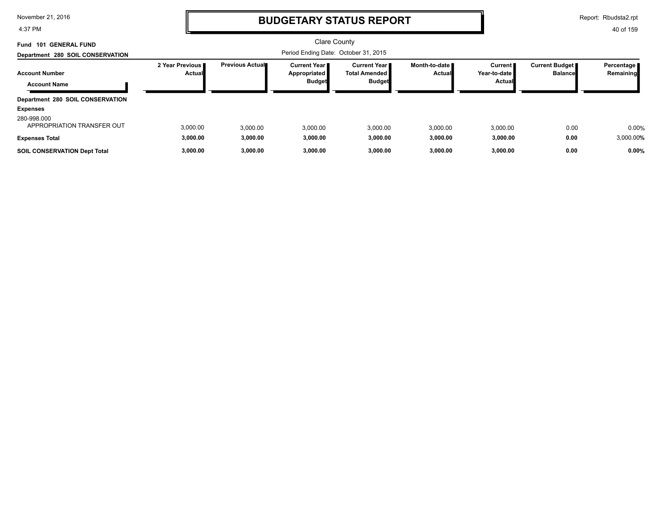4:37 PM

## **BUDGETARY STATUS REPORT**

Report: Rbudsta2.rpt

| Fund 101 GENERAL FUND                               |                                  |                         | <b>Clare County</b>                                    |                                                              |                                |                                     |                                  |                           |
|-----------------------------------------------------|----------------------------------|-------------------------|--------------------------------------------------------|--------------------------------------------------------------|--------------------------------|-------------------------------------|----------------------------------|---------------------------|
| Department 280 SOIL CONSERVATION                    |                                  |                         |                                                        |                                                              |                                |                                     |                                  |                           |
| <b>Account Number</b><br><b>Account Name</b>        | 2 Year Previous<br><b>Actual</b> | <b>Previous Actual■</b> | <b>Current Year I</b><br>Appropriated<br><b>Budget</b> | <b>Current Year</b><br><b>Total Amended</b><br><b>Budget</b> | Month-to-date<br><b>Actual</b> | Current  <br>Year-to-date<br>Actual | Current Budget<br><b>Balance</b> | Percentage  <br>Remaining |
| Department 280 SOIL CONSERVATION<br><b>Expenses</b> |                                  |                         |                                                        |                                                              |                                |                                     |                                  |                           |
| 280-998.000<br>APPROPRIATION TRANSFER OUT           | 3,000.00                         | 3.000.00                | 3,000.00                                               | 3,000.00                                                     | 3,000.00                       | 3,000.00                            | 0.00                             | 0.00%                     |
| <b>Expenses Total</b>                               | 3,000.00                         | 3,000.00                | 3,000.00                                               | 3,000.00                                                     | 3,000.00                       | 3,000.00                            | 0.00                             | 3,000.00%                 |
| <b>SOIL CONSERVATION Dept Total</b>                 | 3,000.00                         | 3,000.00                | 3.000.00                                               | 3.000.00                                                     | 3,000.00                       | 3,000.00                            | 0.00                             | 0.00%                     |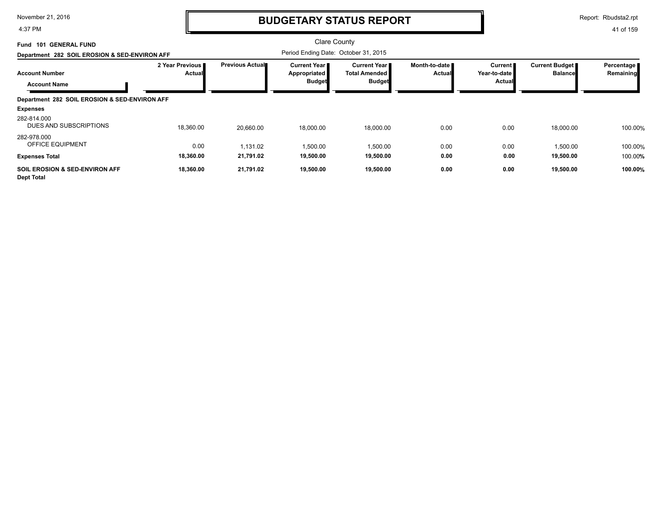4:37 PM

# **BUDGETARY STATUS REPORT**

Report: Rbudsta2.rpt

| 101 GENERAL FUND<br>Fund                                       |                                  |                         | <b>Clare County</b>                                    |                                                         |                         |                                     |                                         |                         |
|----------------------------------------------------------------|----------------------------------|-------------------------|--------------------------------------------------------|---------------------------------------------------------|-------------------------|-------------------------------------|-----------------------------------------|-------------------------|
| Department 282 SOIL EROSION & SED-ENVIRON AFF                  |                                  |                         | Period Ending Date: October 31, 2015                   |                                                         |                         |                                     |                                         |                         |
| <b>Account Number</b><br><b>Account Name</b>                   | 2 Year Previous<br><b>Actual</b> | <b>Previous Actual■</b> | <b>Current Year I</b><br>Appropriated<br><b>Budget</b> | Current Year I<br><b>Total Amended</b><br><b>Budget</b> | Month-to-date<br>Actual | Current I<br>Year-to-date<br>Actual | <b>Current Budget</b><br><b>Balance</b> | Percentage<br>Remaining |
| Department 282 SOIL EROSION & SED-ENVIRON AFF                  |                                  |                         |                                                        |                                                         |                         |                                     |                                         |                         |
| <b>Expenses</b>                                                |                                  |                         |                                                        |                                                         |                         |                                     |                                         |                         |
| 282-814.000<br>DUES AND SUBSCRIPTIONS                          | 18,360.00                        | 20,660.00               | 18,000.00                                              | 18,000.00                                               | 0.00                    | 0.00                                | 18,000.00                               | 100.00%                 |
| 282-978.000<br><b>OFFICE EQUIPMENT</b>                         | 0.00                             | 1,131.02                | 1,500.00                                               | 1,500.00                                                | 0.00                    | 0.00                                | 1,500.00                                | 100.00%                 |
| <b>Expenses Total</b>                                          | 18,360.00                        | 21,791.02               | 19,500.00                                              | 19,500.00                                               | 0.00                    | 0.00                                | 19,500.00                               | 100.00%                 |
| <b>SOIL EROSION &amp; SED-ENVIRON AFF</b><br><b>Dept Total</b> | 18,360.00                        | 21,791.02               | 19,500.00                                              | 19,500.00                                               | 0.00                    | 0.00                                | 19,500.00                               | 100.00%                 |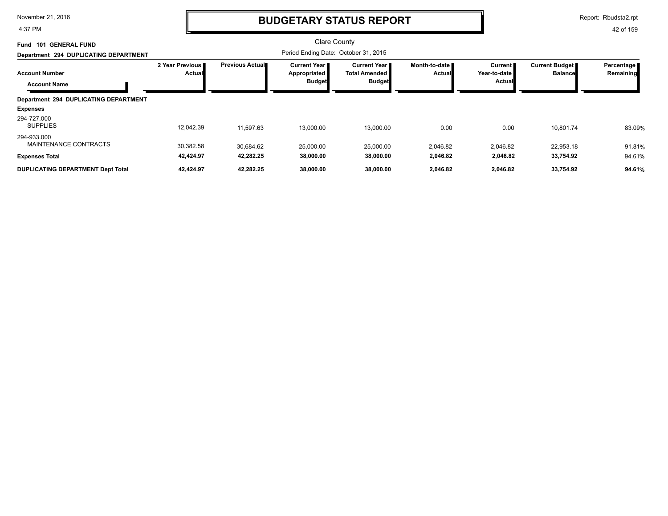4:37 PM

# **BUDGETARY STATUS REPORT**

Report: Rbudsta2.rpt

| <b>GENERAL FUND</b><br>-101<br>Fund                               |                             |                        | <b>Clare County</b>                                    |                                                              |                                  |                                            |                                         |                         |
|-------------------------------------------------------------------|-----------------------------|------------------------|--------------------------------------------------------|--------------------------------------------------------------|----------------------------------|--------------------------------------------|-----------------------------------------|-------------------------|
| Department 294 DUPLICATING DEPARTMENT                             |                             |                        |                                                        |                                                              |                                  |                                            |                                         |                         |
| <b>Account Number</b><br><b>Account Name</b>                      | 2 Year Previous I<br>Actual | <b>Previous Actual</b> | <b>Current Year I</b><br>Appropriated<br><b>Budget</b> | <b>Current Year</b><br><b>Total Amended</b><br><b>Budget</b> | Month-to-date ∎<br><b>Actual</b> | Current <b>I</b><br>Year-to-date<br>Actual | <b>Current Budget</b><br><b>Balance</b> | Percentage<br>Remaining |
| Department 294 DUPLICATING DEPARTMENT<br><b>Expenses</b>          |                             |                        |                                                        |                                                              |                                  |                                            |                                         |                         |
| 294-727.000<br><b>SUPPLIES</b>                                    | 12,042.39                   | 11,597.63              | 13,000.00                                              | 13,000.00                                                    | 0.00                             | 0.00                                       | 10,801.74                               | 83.09%                  |
| 294-933.000<br>MAINTENANCE CONTRACTS                              | 30,382.58<br>42,424.97      | 30,684.62<br>42,282.25 | 25,000.00<br>38,000.00                                 | 25,000.00                                                    | 2.046.82                         | 2,046.82                                   | 22,953.18                               | 91.81%                  |
| <b>Expenses Total</b><br><b>DUPLICATING DEPARTMENT Dept Total</b> | 42,424.97                   | 42,282.25              | 38,000.00                                              | 38,000.00<br>38,000.00                                       | 2,046.82<br>2,046.82             | 2,046.82<br>2,046.82                       | 33,754.92<br>33,754.92                  | 94.61%<br>94.61%        |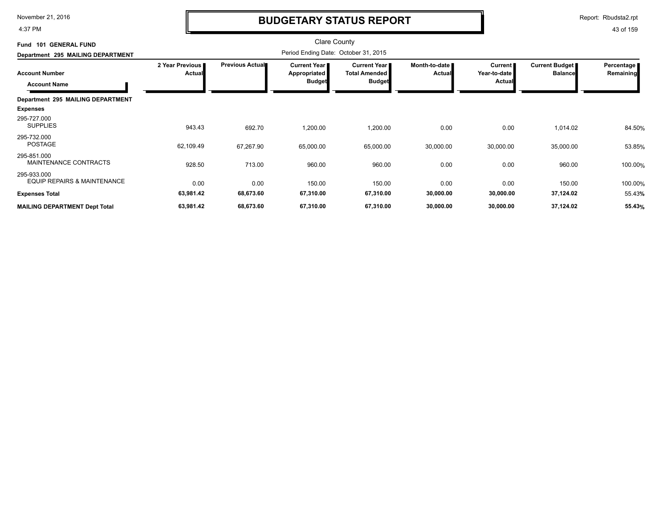4:37 PM

## **BUDGETARY STATUS REPORT**

Report: Rbudsta2.rpt

| <b>GENERAL FUND</b><br>Fund 101                       |                           |                        | <b>Clare County</b>                   |                                             |                                |                                |                                         |                         |
|-------------------------------------------------------|---------------------------|------------------------|---------------------------------------|---------------------------------------------|--------------------------------|--------------------------------|-----------------------------------------|-------------------------|
| Department 295 MAILING DEPARTMENT                     |                           |                        | Period Ending Date: October 31, 2015  |                                             |                                |                                |                                         |                         |
| <b>Account Number</b>                                 | 2 Year Previous<br>Actual | <b>Previous Actual</b> | <b>Current Year I</b><br>Appropriated | <b>Current Year</b><br><b>Total Amended</b> | Month-to-date<br><b>Actual</b> | <b>Current</b><br>Year-to-date | <b>Current Budget</b><br><b>Balance</b> | Percentage<br>Remaining |
| <b>Account Name</b>                                   |                           |                        | <b>Budget</b>                         | <b>Budget</b>                               |                                | Actual                         |                                         |                         |
| Department 295 MAILING DEPARTMENT                     |                           |                        |                                       |                                             |                                |                                |                                         |                         |
| <b>Expenses</b>                                       |                           |                        |                                       |                                             |                                |                                |                                         |                         |
| 295-727.000<br><b>SUPPLIES</b>                        | 943.43                    | 692.70                 | 1,200.00                              | 1,200.00                                    | 0.00                           | 0.00                           | 1,014.02                                | 84.50%                  |
| 295-732.000<br>POSTAGE                                | 62,109.49                 | 67,267.90              | 65,000.00                             | 65,000.00                                   | 30,000.00                      | 30,000.00                      | 35,000.00                               | 53.85%                  |
| 295-851.000<br>MAINTENANCE CONTRACTS                  | 928.50                    | 713.00                 | 960.00                                | 960.00                                      | 0.00                           | 0.00                           | 960.00                                  | 100.00%                 |
| 295-933.000<br><b>EQUIP REPAIRS &amp; MAINTENANCE</b> | 0.00                      | 0.00                   | 150.00                                | 150.00                                      | 0.00                           | 0.00                           | 150.00                                  | 100.00%                 |
| <b>Expenses Total</b>                                 | 63,981.42                 | 68,673.60              | 67,310.00                             | 67,310.00                                   | 30,000.00                      | 30,000.00                      | 37,124.02                               | 55.43%                  |
| <b>MAILING DEPARTMENT Dept Total</b>                  | 63,981.42                 | 68,673.60              | 67,310.00                             | 67,310.00                                   | 30,000.00                      | 30,000.00                      | 37,124.02                               | 55.43%                  |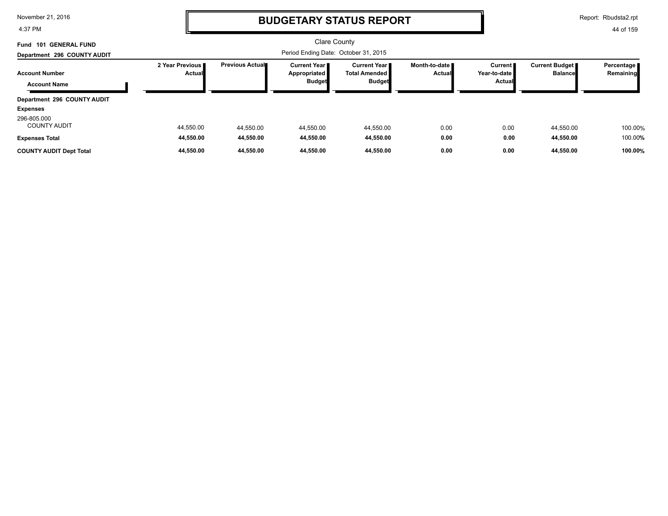4:37 PM

## **BUDGETARY STATUS REPORT**

Report: Rbudsta2.rpt

| Fund 101 GENERAL FUND              |                             |                                      | <b>Clare County</b>                   |                                         |                                  |                           |                                         |                           |
|------------------------------------|-----------------------------|--------------------------------------|---------------------------------------|-----------------------------------------|----------------------------------|---------------------------|-----------------------------------------|---------------------------|
| Department 296 COUNTY AUDIT        |                             | Period Ending Date: October 31, 2015 |                                       |                                         |                                  |                           |                                         |                           |
| <b>Account Number</b>              | 2 Year Previous I<br>Actual | <b>Previous Actual■</b>              | <b>Current Year I</b><br>Appropriated | Current Year II<br><b>Total Amended</b> | Month-to-date ■<br><b>Actual</b> | Current  <br>Year-to-date | <b>Current Budget</b><br><b>Balance</b> | Percentage  <br>Remaining |
| <b>Account Name</b>                |                             |                                      | <b>Budget</b>                         | <b>Budget</b>                           |                                  | Actual                    |                                         |                           |
| Department 296 COUNTY AUDIT        |                             |                                      |                                       |                                         |                                  |                           |                                         |                           |
| <b>Expenses</b>                    |                             |                                      |                                       |                                         |                                  |                           |                                         |                           |
| 296-805.000<br><b>COUNTY AUDIT</b> | 44,550.00                   | 44,550.00                            | 44,550.00                             | 44,550.00                               | 0.00                             | 0.00                      | 44,550.00                               | 100.00%                   |
| <b>Expenses Total</b>              | 44,550.00                   | 44,550.00                            | 44.550.00                             | 44,550.00                               | 0.00                             | 0.00                      | 44,550.00                               | 100.00%                   |
| <b>COUNTY AUDIT Dept Total</b>     | 44.550.00                   | 44,550.00                            | 44.550.00                             | 44.550.00                               | 0.00                             | 0.00                      | 44.550.00                               | 100.00%                   |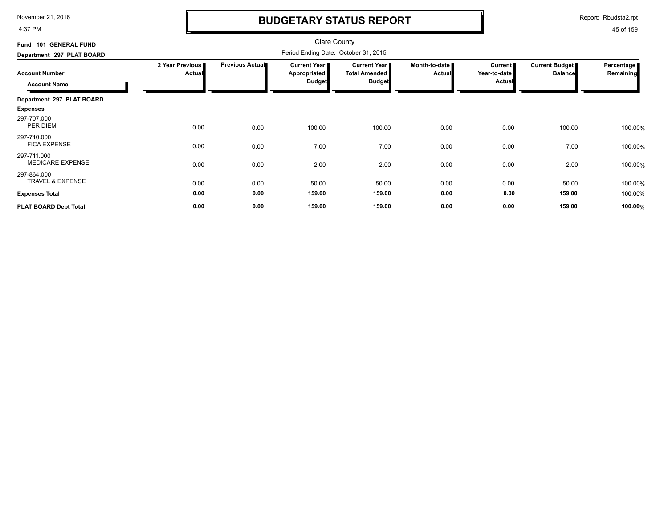4:37 PM

# **BUDGETARY STATUS REPORT**

Report: Rbudsta2.rpt

| Fund 101 GENERAL FUND                      |                                  |                        | <b>Clare County</b>                  |                                      |                                |                                |                                         |                         |
|--------------------------------------------|----------------------------------|------------------------|--------------------------------------|--------------------------------------|--------------------------------|--------------------------------|-----------------------------------------|-------------------------|
| Department 297 PLAT BOARD                  |                                  |                        | Period Ending Date: October 31, 2015 |                                      |                                |                                |                                         |                         |
| <b>Account Number</b>                      | 2 Year Previous<br><b>Actual</b> | <b>Previous Actual</b> | Current Year<br><b>Appropriated</b>  | Current Year<br><b>Total Amended</b> | Month-to-date<br><b>Actual</b> | <b>Current</b><br>Year-to-date | <b>Current Budget</b><br><b>Balance</b> | Percentage<br>Remaining |
| <b>Account Name</b>                        |                                  |                        | <b>Budget</b>                        | <b>Budget</b>                        |                                | <b>Actual</b>                  |                                         |                         |
| Department 297 PLAT BOARD                  |                                  |                        |                                      |                                      |                                |                                |                                         |                         |
| <b>Expenses</b>                            |                                  |                        |                                      |                                      |                                |                                |                                         |                         |
| 297-707.000<br>PER DIEM                    | 0.00                             | 0.00                   | 100.00                               | 100.00                               | 0.00                           | 0.00                           | 100.00                                  | 100.00%                 |
| 297-710.000<br><b>FICA EXPENSE</b>         | 0.00                             | 0.00                   | 7.00                                 | 7.00                                 | 0.00                           | 0.00                           | 7.00                                    | 100.00%                 |
| 297-711.000<br><b>MEDICARE EXPENSE</b>     | 0.00                             | 0.00                   | 2.00                                 | 2.00                                 | 0.00                           | 0.00                           | 2.00                                    | 100.00%                 |
| 297-864.000<br><b>TRAVEL &amp; EXPENSE</b> | 0.00                             | 0.00                   | 50.00                                | 50.00                                | 0.00                           | 0.00                           | 50.00                                   | 100.00%                 |
| <b>Expenses Total</b>                      | 0.00                             | 0.00                   | 159.00                               | 159.00                               | 0.00                           | 0.00                           | 159.00                                  | 100.00%                 |
| PLAT BOARD Dept Total                      | 0.00                             | 0.00                   | 159.00                               | 159.00                               | 0.00                           | 0.00                           | 159.00                                  | 100.00%                 |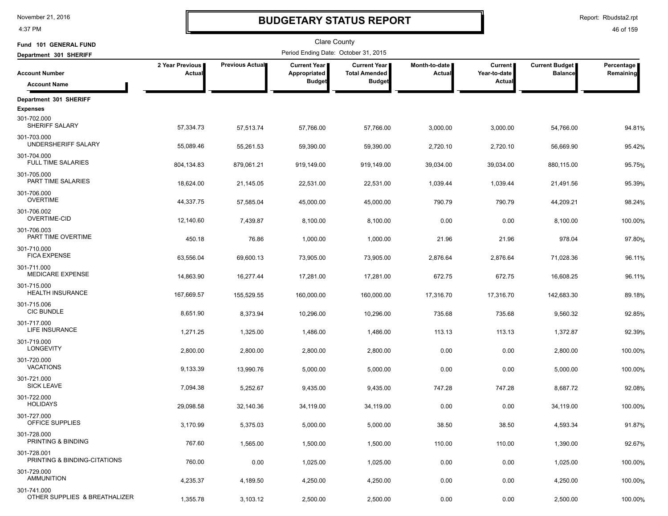4:37 PM

### **BUDGETARY STATUS REPORT**

Report: Rbudsta2.rpt

| Fund 101 GENERAL FUND                        |                           |                        | <b>Clare County</b>                  |                                      |                         |                                |                                         |                         |
|----------------------------------------------|---------------------------|------------------------|--------------------------------------|--------------------------------------|-------------------------|--------------------------------|-----------------------------------------|-------------------------|
| Department 301 SHERIFF                       |                           |                        | Period Ending Date: October 31, 2015 |                                      |                         |                                |                                         |                         |
| <b>Account Number</b>                        | 2 Year Previous<br>Actual | <b>Previous Actual</b> | <b>Current Year</b><br>Appropriated  | Current Year<br><b>Total Amended</b> | Month-to-date<br>Actual | <b>Current</b><br>Year-to-date | <b>Current Budget</b><br><b>Balance</b> | Percentage<br>Remaining |
| <b>Account Name</b>                          |                           |                        | <b>Budget</b>                        | <b>Budget</b>                        |                         | Actual                         |                                         |                         |
| Department 301 SHERIFF                       |                           |                        |                                      |                                      |                         |                                |                                         |                         |
| <b>Expenses</b>                              |                           |                        |                                      |                                      |                         |                                |                                         |                         |
| 301-702.000<br>SHERIFF SALARY                | 57,334.73                 | 57,513.74              | 57,766.00                            | 57,766.00                            | 3,000.00                | 3,000.00                       | 54,766.00                               | 94.81%                  |
| 301-703.000<br>UNDERSHERIFF SALARY           | 55,089.46                 | 55,261.53              | 59,390.00                            | 59,390.00                            | 2,720.10                | 2,720.10                       | 56,669.90                               | 95.42%                  |
| 301-704.000<br><b>FULL TIME SALARIES</b>     | 804,134.83                | 879,061.21             | 919,149.00                           | 919,149.00                           | 39,034.00               | 39,034.00                      | 880,115.00                              | 95.75%                  |
| 301-705.000<br>PART TIME SALARIES            | 18,624.00                 | 21,145.05              | 22,531.00                            | 22,531.00                            | 1,039.44                | 1,039.44                       | 21,491.56                               | 95.39%                  |
| 301-706.000<br><b>OVERTIME</b>               | 44,337.75                 | 57,585.04              | 45,000.00                            | 45,000.00                            | 790.79                  | 790.79                         | 44,209.21                               | 98.24%                  |
| 301-706.002<br>OVERTIME-CID                  | 12,140.60                 | 7,439.87               | 8,100.00                             | 8,100.00                             | 0.00                    | 0.00                           | 8,100.00                                | 100.00%                 |
| 301-706.003<br>PART TIME OVERTIME            | 450.18                    | 76.86                  | 1,000.00                             | 1,000.00                             | 21.96                   | 21.96                          | 978.04                                  | 97.80%                  |
| 301-710.000<br><b>FICA EXPENSE</b>           | 63,556.04                 | 69,600.13              | 73,905.00                            | 73,905.00                            | 2,876.64                | 2,876.64                       | 71,028.36                               | 96.11%                  |
| 301-711.000<br><b>MEDICARE EXPENSE</b>       | 14,863.90                 | 16,277.44              | 17,281.00                            | 17,281.00                            | 672.75                  | 672.75                         | 16,608.25                               | 96.11%                  |
| 301-715.000<br><b>HEALTH INSURANCE</b>       | 167,669.57                | 155,529.55             | 160,000.00                           | 160,000.00                           | 17,316.70               | 17,316.70                      | 142,683.30                              | 89.18%                  |
| 301-715.006<br><b>CIC BUNDLE</b>             | 8,651.90                  | 8,373.94               | 10,296.00                            | 10,296.00                            | 735.68                  | 735.68                         | 9,560.32                                | 92.85%                  |
| 301-717.000<br>LIFE INSURANCE                | 1,271.25                  | 1,325.00               | 1,486.00                             | 1,486.00                             | 113.13                  | 113.13                         | 1,372.87                                | 92.39%                  |
| 301-719.000<br><b>LONGEVITY</b>              | 2,800.00                  | 2,800.00               | 2,800.00                             | 2,800.00                             | 0.00                    | 0.00                           | 2,800.00                                | 100.00%                 |
| 301-720.000<br><b>VACATIONS</b>              | 9,133.39                  | 13,990.76              | 5,000.00                             | 5,000.00                             | 0.00                    | 0.00                           | 5,000.00                                | 100.00%                 |
| 301-721.000<br><b>SICK LEAVE</b>             | 7,094.38                  | 5,252.67               | 9,435.00                             | 9,435.00                             | 747.28                  | 747.28                         | 8,687.72                                | 92.08%                  |
| 301-722.000<br><b>HOLIDAYS</b>               | 29,098.58                 | 32,140.36              | 34,119.00                            | 34,119.00                            | 0.00                    | 0.00                           | 34,119.00                               | 100.00%                 |
| 301-727.000<br>OFFICE SUPPLIES               | 3,170.99                  | 5,375.03               | 5,000.00                             | 5,000.00                             | 38.50                   | 38.50                          | 4,593.34                                | 91.87%                  |
| 301-728.000<br>PRINTING & BINDING            | 767.60                    | 1,565.00               | 1,500.00                             | 1,500.00                             | 110.00                  | 110.00                         | 1,390.00                                | 92.67%                  |
| 301-728.001<br>PRINTING & BINDING-CITATIONS  | 760.00                    | 0.00                   | 1,025.00                             | 1,025.00                             | 0.00                    | 0.00                           | 1,025.00                                | 100.00%                 |
| 301-729.000<br><b>AMMUNITION</b>             | 4,235.37                  | 4,189.50               | 4,250.00                             | 4,250.00                             | 0.00                    | 0.00                           | 4,250.00                                | 100.00%                 |
| 301-741.000<br>OTHER SUPPLIES & BREATHALIZER | 1,355.78                  | 3,103.12               | 2,500.00                             | 2,500.00                             | 0.00                    | 0.00                           | 2,500.00                                | 100.00%                 |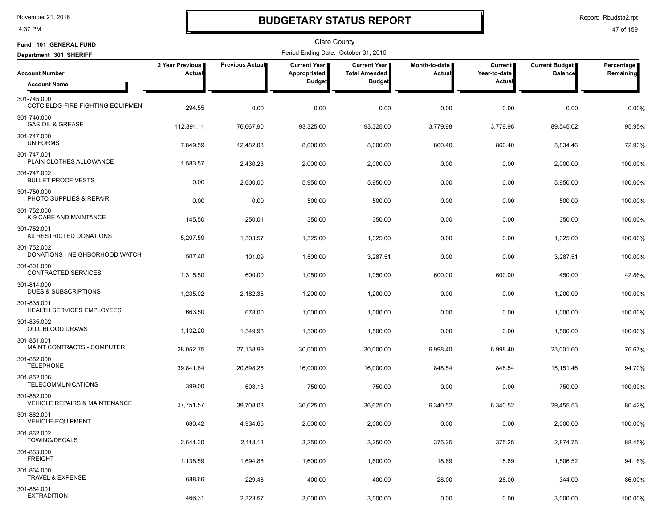4:37 PM

# **BUDGETARY STATUS REPORT**

Report: Rbudsta2.rpt

| Fund 101 GENERAL FUND                                   |                           |                 | <b>Clare County</b>                  |                                             |                                |                                |                                  |                         |
|---------------------------------------------------------|---------------------------|-----------------|--------------------------------------|---------------------------------------------|--------------------------------|--------------------------------|----------------------------------|-------------------------|
| Department 301 SHERIFF                                  |                           |                 | Period Ending Date: October 31, 2015 |                                             |                                |                                |                                  |                         |
| <b>Account Number</b>                                   | 2 Year Previous<br>Actual | Previous Actual | <b>Current Year</b><br>Appropriated  | <b>Current Year</b><br><b>Total Amended</b> | Month-to-date<br><b>Actual</b> | <b>Current</b><br>Year-to-date | Current Budget<br><b>Balance</b> | Percentage<br>Remaining |
| <b>Account Name</b>                                     |                           |                 | <b>Budget</b>                        | <b>Budget</b>                               |                                | Actual                         |                                  |                         |
| 301-745.000<br><b>CCTC BLDG-FIRE FIGHTING EQUIPMENT</b> | 294.55                    | 0.00            | 0.00                                 | 0.00                                        | 0.00                           | 0.00                           | 0.00                             | 0.00%                   |
| 301-746.000<br><b>GAS OIL &amp; GREASE</b>              | 112,891.11                | 76,667.90       | 93,325.00                            | 93.325.00                                   | 3,779.98                       | 3.779.98                       | 89,545.02                        | 95.95%                  |
| 301-747.000<br><b>UNIFORMS</b>                          | 7,849.59                  | 12,482.03       | 8,000.00                             | 8,000.00                                    | 860.40                         | 860.40                         | 5,834.46                         | 72.93%                  |
| 301-747.001<br>PLAIN CLOTHES ALLOWANCE                  | 1,583.57                  | 2,430.23        | 2,000.00                             | 2,000.00                                    | 0.00                           | 0.00                           | 2,000.00                         | 100.00%                 |
| 301-747.002<br><b>BULLET PROOF VESTS</b>                | 0.00                      | 2,600.00        | 5,950.00                             | 5,950.00                                    | 0.00                           | 0.00                           | 5,950.00                         | 100.00%                 |
| 301-750.000<br>PHOTO SUPPLIES & REPAIR                  | 0.00                      | 0.00            | 500.00                               | 500.00                                      | 0.00                           | 0.00                           | 500.00                           | 100.00%                 |
| 301-752.000<br>K-9 CARE AND MAINTANCE                   | 145.50                    | 250.01          | 350.00                               | 350.00                                      | 0.00                           | 0.00                           | 350.00                           | 100.00%                 |
| 301-752.001<br>K9 RESTRICTED DONATIONS                  | 5,207.59                  | 1,303.57        | 1,325.00                             | 1,325.00                                    | 0.00                           | 0.00                           | 1,325.00                         | 100.00%                 |
| 301-752.002<br>DONATIONS - NEIGHBORHOOD WATCH           | 507.40                    | 101.09          | 1,500.00                             | 3,287.51                                    | 0.00                           | 0.00                           | 3,287.51                         | 100.00%                 |
| 301-801.000<br><b>CONTRACTED SERVICES</b>               | 1,315.50                  | 600.00          | 1,050.00                             | 1,050.00                                    | 600.00                         | 600.00                         | 450.00                           | 42.86%                  |
| 301-814.000<br>DUES & SUBSCRIPTIONS                     | 1,235.02                  | 2,182.35        | 1,200.00                             | 1,200.00                                    | 0.00                           | 0.00                           | 1,200.00                         | 100.00%                 |
| 301-835.001<br>HEALTH SERVICES EMPLOYEES                | 663.50                    | 678.00          | 1,000.00                             | 1,000.00                                    | 0.00                           | 0.00                           | 1,000.00                         | 100.00%                 |
| 301-835.002<br>OUIL BLOOD DRAWS                         | 1,132.20                  | 1,549.98        | 1,500.00                             | 1,500.00                                    | 0.00                           | 0.00                           | 1,500.00                         | 100.00%                 |
| 301-851.001<br>MAINT CONTRACTS - COMPUTER               | 28,052.75                 | 27,138.99       | 30,000.00                            | 30,000.00                                   | 6,998.40                       | 6,998.40                       | 23,001.60                        | 76.67%                  |
| 301-852.000<br><b>TELEPHONE</b>                         | 39,841.84                 | 20,898.26       | 16,000.00                            | 16,000.00                                   | 848.54                         | 848.54                         | 15,151.46                        | 94.70%                  |
| 301-852.006<br><b>TELECOMMUNICATIONS</b>                | 399.00                    | 603.13          | 750.00                               | 750.00                                      | 0.00                           | 0.00                           | 750.00                           | 100.00%                 |
| 301-862.000<br><b>VEHICLE REPAIRS &amp; MAINTENANCE</b> | 37,751.57                 | 39,708.03       | 36,625.00                            | 36,625.00                                   | 6,340.52                       | 6,340.52                       | 29,455.53                        | 80.42%                  |
| 301-862.001<br><b>VEHICLE-EQUIPMENT</b>                 | 680.42                    | 4,934.65        | 2,000.00                             | 2,000.00                                    | 0.00                           | 0.00                           | 2,000.00                         | 100.00%                 |
| 301-862.002<br><b>TOWING/DECALS</b>                     | 2,641.30                  | 2,118.13        | 3,250.00                             | 3,250.00                                    | 375.25                         | 375.25                         | 2,874.75                         | 88.45%                  |
| 301-863.000<br><b>FREIGHT</b>                           | 1,138.59                  | 1,694.88        | 1,600.00                             | 1,600.00                                    | 18.89                          | 18.89                          | 1,506.52                         | 94.16%                  |
| 301-864.000<br>TRAVEL & EXPENSE                         | 688.66                    | 229.48          | 400.00                               | 400.00                                      | 28.00                          | 28.00                          | 344.00                           | 86.00%                  |
| 301-864.001<br><b>EXTRADITION</b>                       | 466.31                    | 2,323.57        | 3,000.00                             | 3,000.00                                    | 0.00                           | 0.00                           | 3,000.00                         | 100.00%                 |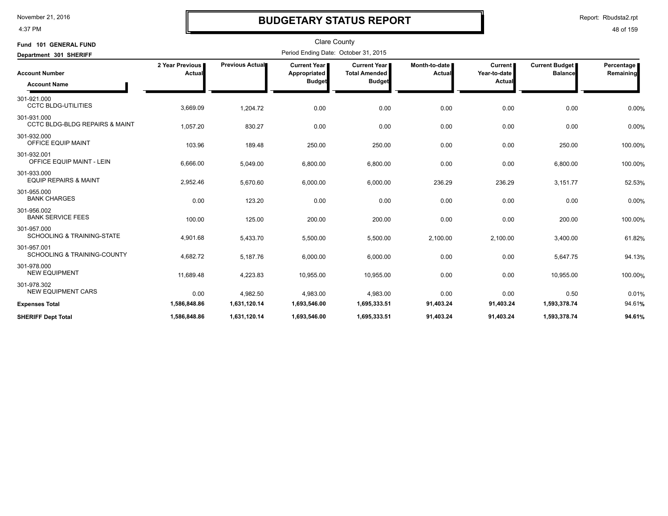4:37 PM

# **BUDGETARY STATUS REPORT**

Report: Rbudsta2.rpt

| Fund 101 GENERAL FUND<br>Department 301 SHERIFF          | <b>Clare County</b><br>Period Ending Date: October 31, 2015 |                 |                                                      |                                                              |                           |                                          |                                  |                         |  |
|----------------------------------------------------------|-------------------------------------------------------------|-----------------|------------------------------------------------------|--------------------------------------------------------------|---------------------------|------------------------------------------|----------------------------------|-------------------------|--|
| <b>Account Number</b><br><b>Account Name</b>             | 2 Year Previous<br>Actual                                   | Previous Actual | <b>Current Year</b><br>Appropriated<br><b>Budget</b> | <b>Current Year</b><br><b>Total Amended</b><br><b>Budget</b> | Month-to-date  <br>Actual | <b>Current</b><br>Year-to-date<br>Actual | Current Budget<br><b>Balance</b> | Percentage<br>Remaining |  |
| 301-921.000<br><b>CCTC BLDG-UTILITIES</b>                | 3,669.09                                                    | 1,204.72        | 0.00                                                 | 0.00                                                         | 0.00                      | 0.00                                     | 0.00                             | 0.00%                   |  |
| 301-931.000<br><b>CCTC BLDG-BLDG REPAIRS &amp; MAINT</b> | 1,057.20                                                    | 830.27          | 0.00                                                 | 0.00                                                         | 0.00                      | 0.00                                     | 0.00                             | 0.00%                   |  |
| 301-932.000<br>OFFICE EQUIP MAINT                        | 103.96                                                      | 189.48          | 250.00                                               | 250.00                                                       | 0.00                      | 0.00                                     | 250.00                           | 100.00%                 |  |
| 301-932.001<br>OFFICE EQUIP MAINT - LEIN                 | 6,666.00                                                    | 5,049.00        | 6,800.00                                             | 6,800.00                                                     | 0.00                      | 0.00                                     | 6,800.00                         | 100.00%                 |  |
| 301-933.000<br><b>EQUIP REPAIRS &amp; MAINT</b>          | 2,952.46                                                    | 5,670.60        | 6,000.00                                             | 6,000.00                                                     | 236.29                    | 236.29                                   | 3,151.77                         | 52.53%                  |  |
| 301-955.000<br><b>BANK CHARGES</b>                       | 0.00                                                        | 123.20          | 0.00                                                 | 0.00                                                         | 0.00                      | 0.00                                     | 0.00                             | 0.00%                   |  |
| 301-956.002<br><b>BANK SERVICE FEES</b>                  | 100.00                                                      | 125.00          | 200.00                                               | 200.00                                                       | 0.00                      | 0.00                                     | 200.00                           | 100.00%                 |  |
| 301-957.000<br><b>SCHOOLING &amp; TRAINING-STATE</b>     | 4,901.68                                                    | 5,433.70        | 5,500.00                                             | 5,500.00                                                     | 2,100.00                  | 2,100.00                                 | 3,400.00                         | 61.82%                  |  |
| 301-957.001<br>SCHOOLING & TRAINING-COUNTY               | 4,682.72                                                    | 5,187.76        | 6,000.00                                             | 6,000.00                                                     | 0.00                      | 0.00                                     | 5,647.75                         | 94.13%                  |  |
| 301-978.000<br><b>NEW EQUIPMENT</b>                      | 11,689.48                                                   | 4,223.83        | 10,955.00                                            | 10,955.00                                                    | 0.00                      | 0.00                                     | 10,955.00                        | 100.00%                 |  |
| 301-978.302<br><b>NEW EQUIPMENT CARS</b>                 | 0.00                                                        | 4,982.50        | 4,983.00                                             | 4,983.00                                                     | 0.00                      | 0.00                                     | 0.50                             | 0.01%                   |  |
| <b>Expenses Total</b>                                    | 1,586,848.86                                                | 1,631,120.14    | 1,693,546.00                                         | 1,695,333.51                                                 | 91,403.24                 | 91,403.24                                | 1,593,378.74                     | 94.61%                  |  |
| <b>SHERIFF Dept Total</b>                                | 1,586,848.86                                                | 1,631,120.14    | 1,693,546.00                                         | 1,695,333.51                                                 | 91,403.24                 | 91,403.24                                | 1,593,378.74                     | 94.61%                  |  |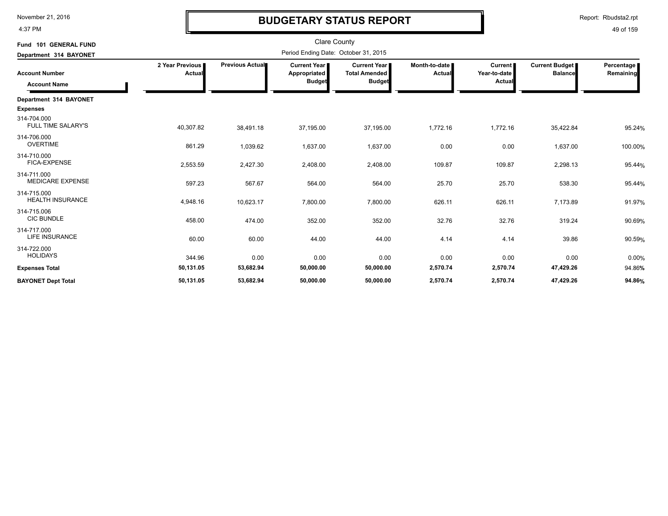4:37 PM

## **BUDGETARY STATUS REPORT**

Report: Rbudsta2.rpt

| Fund 101 GENERAL FUND                        |                           |                 | <b>Clare County</b>                                  |                                                              |                         |                                          |                                         |                           |
|----------------------------------------------|---------------------------|-----------------|------------------------------------------------------|--------------------------------------------------------------|-------------------------|------------------------------------------|-----------------------------------------|---------------------------|
| Department 314 BAYONET                       |                           |                 | Period Ending Date: October 31, 2015                 |                                                              |                         |                                          |                                         |                           |
| <b>Account Number</b><br><b>Account Name</b> | 2 Year Previous<br>Actual | Previous Actual | <b>Current Year</b><br>Appropriated<br><b>Budget</b> | <b>Current Year</b><br><b>Total Amended</b><br><b>Budget</b> | Month-to-date<br>Actual | <b>Current</b><br>Year-to-date<br>Actual | <b>Current Budget</b><br><b>Balance</b> | Percentage  <br>Remaining |
| Department 314 BAYONET                       |                           |                 |                                                      |                                                              |                         |                                          |                                         |                           |
| <b>Expenses</b>                              |                           |                 |                                                      |                                                              |                         |                                          |                                         |                           |
| 314-704.000<br><b>FULL TIME SALARY'S</b>     | 40,307.82                 | 38,491.18       | 37,195.00                                            | 37,195.00                                                    | 1,772.16                | 1,772.16                                 | 35,422.84                               | 95.24%                    |
| 314-706.000<br><b>OVERTIME</b>               | 861.29                    | 1,039.62        | 1,637.00                                             | 1,637.00                                                     | 0.00                    | 0.00                                     | 1,637.00                                | 100.00%                   |
| 314-710.000<br><b>FICA-EXPENSE</b>           | 2,553.59                  | 2,427.30        | 2,408.00                                             | 2,408.00                                                     | 109.87                  | 109.87                                   | 2,298.13                                | 95.44%                    |
| 314-711.000<br><b>MEDICARE EXPENSE</b>       | 597.23                    | 567.67          | 564.00                                               | 564.00                                                       | 25.70                   | 25.70                                    | 538.30                                  | 95.44%                    |
| 314-715.000<br><b>HEALTH INSURANCE</b>       | 4,948.16                  | 10,623.17       | 7,800.00                                             | 7,800.00                                                     | 626.11                  | 626.11                                   | 7,173.89                                | 91.97%                    |
| 314-715.006<br><b>CIC BUNDLE</b>             | 458.00                    | 474.00          | 352.00                                               | 352.00                                                       | 32.76                   | 32.76                                    | 319.24                                  | 90.69%                    |
| 314-717.000<br>LIFE INSURANCE                | 60.00                     | 60.00           | 44.00                                                | 44.00                                                        | 4.14                    | 4.14                                     | 39.86                                   | 90.59%                    |
| 314-722.000<br><b>HOLIDAYS</b>               | 344.96                    | 0.00            | 0.00                                                 | 0.00                                                         | 0.00                    | 0.00                                     | 0.00                                    | 0.00%                     |
| <b>Expenses Total</b>                        | 50,131.05                 | 53,682.94       | 50,000.00                                            | 50,000.00                                                    | 2,570.74                | 2,570.74                                 | 47,429.26                               | 94.86%                    |
| <b>BAYONET Dept Total</b>                    | 50,131.05                 | 53,682.94       | 50,000.00                                            | 50,000.00                                                    | 2,570.74                | 2,570.74                                 | 47,429.26                               | 94.86%                    |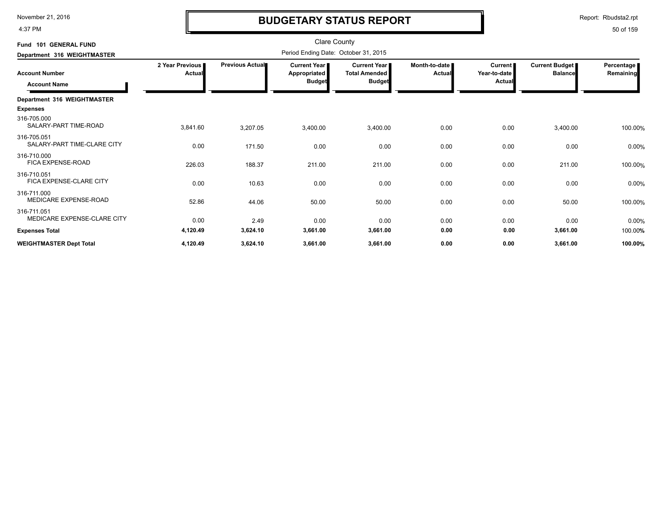4:37 PM

# **BUDGETARY STATUS REPORT**

Report: Rbudsta2.rpt

| Fund 101 GENERAL FUND<br>Department 316 WEIGHTMASTER |                           | <b>Clare County</b><br>Period Ending Date: October 31, 2015 |                                                      |                                                                      |                         |                                          |                                  |                           |  |
|------------------------------------------------------|---------------------------|-------------------------------------------------------------|------------------------------------------------------|----------------------------------------------------------------------|-------------------------|------------------------------------------|----------------------------------|---------------------------|--|
| <b>Account Number</b><br><b>Account Name</b>         | 2 Year Previous<br>Actual | Previous Actual                                             | <b>Current Year</b><br>Appropriated<br><b>Budget</b> | <b>Current Year</b><br><b>Total Amended</b><br>Budget <mark>r</mark> | Month-to-date<br>Actual | <b>Current</b><br>Year-to-date<br>Actual | Current Budget<br><b>Balance</b> | Percentage  <br>Remaining |  |
| Department 316 WEIGHTMASTER<br><b>Expenses</b>       |                           |                                                             |                                                      |                                                                      |                         |                                          |                                  |                           |  |
| 316-705.000<br>SALARY-PART TIME-ROAD                 | 3,841.60                  | 3,207.05                                                    | 3,400.00                                             | 3,400.00                                                             | 0.00                    | 0.00                                     | 3,400.00                         | 100.00%                   |  |
| 316-705.051<br>SALARY-PART TIME-CLARE CITY           | 0.00                      | 171.50                                                      | 0.00                                                 | 0.00                                                                 | 0.00                    | 0.00                                     | 0.00                             | 0.00%                     |  |
| 316-710.000<br>FICA EXPENSE-ROAD                     | 226.03                    | 188.37                                                      | 211.00                                               | 211.00                                                               | 0.00                    | 0.00                                     | 211.00                           | 100.00%                   |  |
| 316-710.051<br>FICA EXPENSE-CLARE CITY               | 0.00                      | 10.63                                                       | 0.00                                                 | 0.00                                                                 | 0.00                    | 0.00                                     | 0.00                             | 0.00%                     |  |
| 316-711.000<br>MEDICARE EXPENSE-ROAD                 | 52.86                     | 44.06                                                       | 50.00                                                | 50.00                                                                | 0.00                    | 0.00                                     | 50.00                            | 100.00%                   |  |
| 316-711.051<br>MEDICARE EXPENSE-CLARE CITY           | 0.00                      | 2.49                                                        | 0.00                                                 | 0.00                                                                 | 0.00                    | 0.00                                     | 0.00                             | 0.00%                     |  |
| <b>Expenses Total</b>                                | 4,120.49                  | 3,624.10                                                    | 3,661.00                                             | 3,661.00                                                             | 0.00                    | 0.00                                     | 3,661.00                         | 100.00%                   |  |
| <b>WEIGHTMASTER Dept Total</b>                       | 4,120.49                  | 3,624.10                                                    | 3,661.00                                             | 3,661.00                                                             | 0.00                    | 0.00                                     | 3,661.00                         | 100.00%                   |  |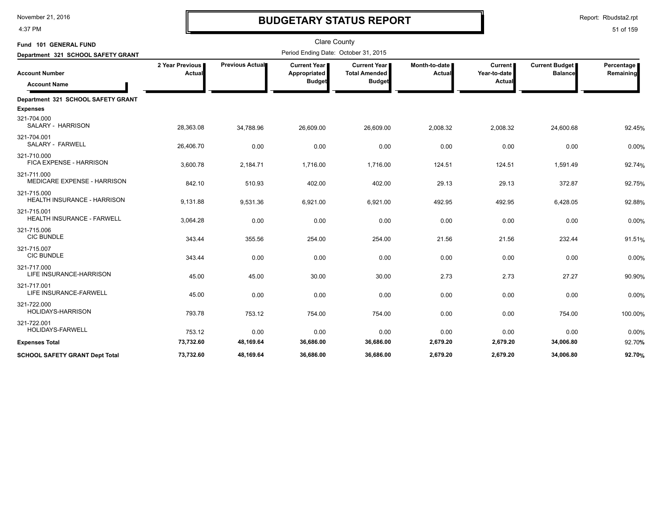4:37 PM

# **BUDGETARY STATUS REPORT**

| Fund 101 GENERAL FUND                        |                           |                 | <b>Clare County</b>                             |                                                              |                         |                                  |                                         |                         |
|----------------------------------------------|---------------------------|-----------------|-------------------------------------------------|--------------------------------------------------------------|-------------------------|----------------------------------|-----------------------------------------|-------------------------|
| Department 321 SCHOOL SAFETY GRANT           |                           |                 | Period Ending Date: October 31, 2015            |                                                              |                         |                                  |                                         |                         |
| <b>Account Number</b><br><b>Account Name</b> | 2 Year Previous<br>Actual | Previous Actual | Current Year I<br>Appropriated<br><b>Budget</b> | <b>Current Year</b><br><b>Total Amended</b><br><b>Budget</b> | Month-to-date<br>Actual | Current<br>Year-to-date<br>Actua | <b>Current Budget</b><br><b>Balance</b> | Percentage<br>Remaining |
| Department 321 SCHOOL SAFETY GRANT           |                           |                 |                                                 |                                                              |                         |                                  |                                         |                         |
| <b>Expenses</b>                              |                           |                 |                                                 |                                                              |                         |                                  |                                         |                         |
| 321-704.000<br>SALARY - HARRISON             | 28,363.08                 | 34,788.96       | 26,609.00                                       | 26,609.00                                                    | 2,008.32                | 2,008.32                         | 24,600.68                               | 92.45%                  |
| 321-704.001<br>SALARY - FARWELL              | 26,406.70                 | 0.00            | 0.00                                            | 0.00                                                         | 0.00                    | 0.00                             | 0.00                                    | 0.00%                   |
| 321-710.000<br>FICA EXPENSE - HARRISON       | 3,600.78                  | 2,184.71        | 1,716.00                                        | 1,716.00                                                     | 124.51                  | 124.51                           | 1,591.49                                | 92.74%                  |
| 321-711.000<br>MEDICARE EXPENSE - HARRISON   | 842.10                    | 510.93          | 402.00                                          | 402.00                                                       | 29.13                   | 29.13                            | 372.87                                  | 92.75%                  |
| 321-715.000<br>HEALTH INSURANCE - HARRISON   | 9,131.88                  | 9,531.36        | 6,921.00                                        | 6,921.00                                                     | 492.95                  | 492.95                           | 6,428.05                                | 92.88%                  |
| 321-715.001<br>HEALTH INSURANCE - FARWELL    | 3,064.28                  | 0.00            | 0.00                                            | 0.00                                                         | 0.00                    | 0.00                             | 0.00                                    | 0.00%                   |
| 321-715.006<br><b>CIC BUNDLE</b>             | 343.44                    | 355.56          | 254.00                                          | 254.00                                                       | 21.56                   | 21.56                            | 232.44                                  | 91.51%                  |
| 321-715.007<br><b>CIC BUNDLE</b>             | 343.44                    | 0.00            | 0.00                                            | 0.00                                                         | 0.00                    | 0.00                             | 0.00                                    | 0.00%                   |
| 321-717.000<br>LIFE INSURANCE-HARRISON       | 45.00                     | 45.00           | 30.00                                           | 30.00                                                        | 2.73                    | 2.73                             | 27.27                                   | 90.90%                  |
| 321-717.001<br>LIFE INSURANCE-FARWELL        | 45.00                     | 0.00            | 0.00                                            | 0.00                                                         | 0.00                    | 0.00                             | 0.00                                    | 0.00%                   |
| 321-722.000<br>HOLIDAYS-HARRISON             | 793.78                    | 753.12          | 754.00                                          | 754.00                                                       | 0.00                    | 0.00                             | 754.00                                  | 100.00%                 |
| 321-722.001<br>HOLIDAYS-FARWELL              | 753.12                    | 0.00            | 0.00                                            | 0.00                                                         | 0.00                    | 0.00                             | 0.00                                    | 0.00%                   |
| <b>Expenses Total</b>                        | 73,732.60                 | 48,169.64       | 36,686.00                                       | 36,686.00                                                    | 2,679.20                | 2,679.20                         | 34,006.80                               | 92.70%                  |
| <b>SCHOOL SAFETY GRANT Dept Total</b>        | 73.732.60                 | 48.169.64       | 36.686.00                                       | 36.686.00                                                    | 2.679.20                | 2.679.20                         | 34.006.80                               | 92.70%                  |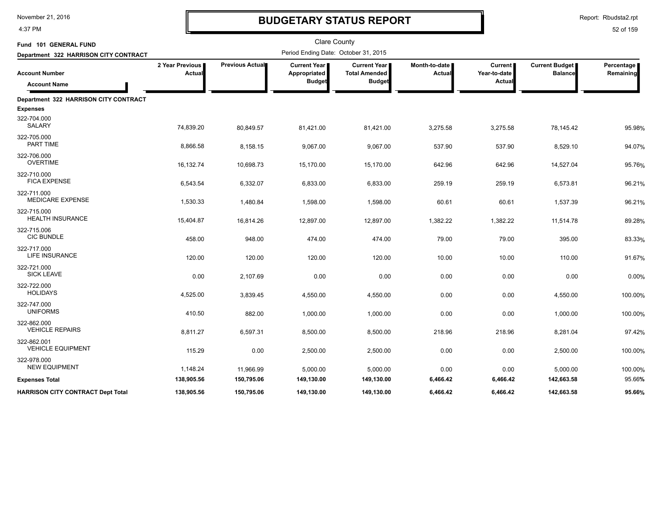4:37 PM

# **BUDGETARY STATUS REPORT**

Report: Rbudsta2.rpt

| Fund 101 GENERAL FUND                    |                                  |                 | <b>Clare County</b>                   |                                               |                         |                                |                                         |                         |
|------------------------------------------|----------------------------------|-----------------|---------------------------------------|-----------------------------------------------|-------------------------|--------------------------------|-----------------------------------------|-------------------------|
| Department 322 HARRISON CITY CONTRACT    |                                  |                 | Period Ending Date: October 31, 2015  |                                               |                         |                                |                                         |                         |
| <b>Account Number</b>                    | 2 Year Previous<br><b>Actual</b> | Previous Actual | <b>Current Year</b> ■<br>Appropriated | <b>Current Year I</b><br><b>Total Amended</b> | Month-to-date<br>Actual | <b>Current</b><br>Year-to-date | <b>Current Budget</b><br><b>Balance</b> | Percentage<br>Remaining |
| <b>Account Name</b>                      |                                  |                 | <b>Budget</b>                         | <b>Budget</b>                                 |                         | Actual                         |                                         |                         |
| Department 322 HARRISON CITY CONTRACT    |                                  |                 |                                       |                                               |                         |                                |                                         |                         |
| <b>Expenses</b>                          |                                  |                 |                                       |                                               |                         |                                |                                         |                         |
| 322-704.000<br><b>SALARY</b>             | 74,839.20                        | 80,849.57       | 81,421.00                             | 81,421.00                                     | 3,275.58                | 3,275.58                       | 78,145.42                               | 95.98%                  |
| 322-705.000<br>PART TIME                 | 8,866.58                         | 8,158.15        | 9,067.00                              | 9,067.00                                      | 537.90                  | 537.90                         | 8,529.10                                | 94.07%                  |
| 322-706.000<br><b>OVERTIME</b>           | 16,132.74                        | 10,698.73       | 15,170.00                             | 15,170.00                                     | 642.96                  | 642.96                         | 14,527.04                               | 95.76%                  |
| 322-710.000<br><b>FICA EXPENSE</b>       | 6,543.54                         | 6,332.07        | 6,833.00                              | 6,833.00                                      | 259.19                  | 259.19                         | 6,573.81                                | 96.21%                  |
| 322-711.000<br>MEDICARE EXPENSE          | 1,530.33                         | 1,480.84        | 1,598.00                              | 1,598.00                                      | 60.61                   | 60.61                          | 1,537.39                                | 96.21%                  |
| 322-715.000<br><b>HEALTH INSURANCE</b>   | 15,404.87                        | 16,814.26       | 12,897.00                             | 12,897.00                                     | 1,382.22                | 1,382.22                       | 11,514.78                               | 89.28%                  |
| 322-715.006<br><b>CIC BUNDLE</b>         | 458.00                           | 948.00          | 474.00                                | 474.00                                        | 79.00                   | 79.00                          | 395.00                                  | 83.33%                  |
| 322-717.000<br>LIFE INSURANCE            | 120.00                           | 120.00          | 120.00                                | 120.00                                        | 10.00                   | 10.00                          | 110.00                                  | 91.67%                  |
| 322-721.000<br><b>SICK LEAVE</b>         | 0.00                             | 2,107.69        | 0.00                                  | 0.00                                          | 0.00                    | 0.00                           | 0.00                                    | 0.00%                   |
| 322-722.000<br><b>HOLIDAYS</b>           | 4,525.00                         | 3,839.45        | 4,550.00                              | 4,550.00                                      | 0.00                    | 0.00                           | 4,550.00                                | 100.00%                 |
| 322-747.000<br><b>UNIFORMS</b>           | 410.50                           | 882.00          | 1,000.00                              | 1,000.00                                      | 0.00                    | 0.00                           | 1,000.00                                | 100.00%                 |
| 322-862.000<br><b>VEHICLE REPAIRS</b>    | 8,811.27                         | 6,597.31        | 8,500.00                              | 8,500.00                                      | 218.96                  | 218.96                         | 8,281.04                                | 97.42%                  |
| 322-862.001<br><b>VEHICLE EQUIPMENT</b>  | 115.29                           | 0.00            | 2,500.00                              | 2,500.00                                      | 0.00                    | 0.00                           | 2,500.00                                | 100.00%                 |
| 322-978.000<br><b>NEW EQUIPMENT</b>      | 1,148.24                         | 11,966.99       | 5,000.00                              | 5,000.00                                      | 0.00                    | 0.00                           | 5,000.00                                | 100.00%                 |
| <b>Expenses Total</b>                    | 138,905.56                       | 150,795.06      | 149,130.00                            | 149,130.00                                    | 6,466.42                | 6,466.42                       | 142,663.58                              | 95.66%                  |
| <b>HARRISON CITY CONTRACT Dept Total</b> | 138,905.56                       | 150,795.06      | 149,130.00                            | 149,130.00                                    | 6,466.42                | 6,466.42                       | 142,663.58                              | 95.66%                  |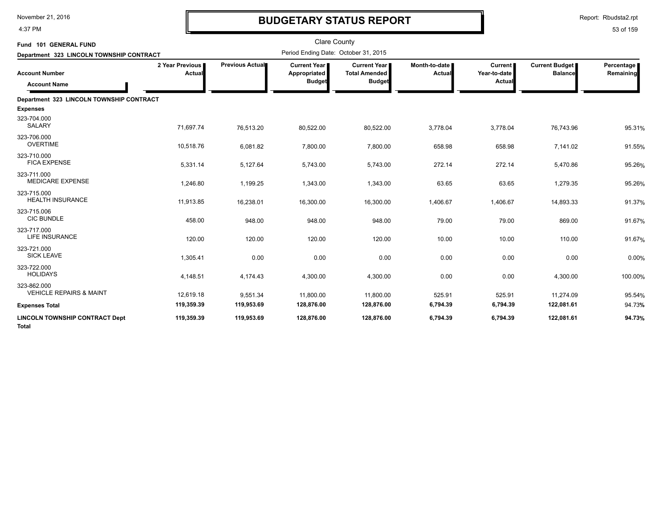4:37 PM

# **BUDGETARY STATUS REPORT**

Report: Rbudsta2.rpt

| Fund 101 GENERAL FUND                                                                    |                           |                 | <b>Clare County</b><br>Period Ending Date: October 31, 2015 |                                                                |                           |                                         |                                         |                         |
|------------------------------------------------------------------------------------------|---------------------------|-----------------|-------------------------------------------------------------|----------------------------------------------------------------|---------------------------|-----------------------------------------|-----------------------------------------|-------------------------|
| Department 323 LINCOLN TOWNSHIP CONTRACT<br><b>Account Number</b><br><b>Account Name</b> | 2 Year Previous<br>Actual | Previous Actual | Current Year<br>Appropriated<br><b>Budget</b>               | <b>Current Year I</b><br><b>Total Amended</b><br><b>Budget</b> | Month-to-date  <br>Actual | <b>Current</b><br>Year-to-date<br>Actua | <b>Current Budget</b><br><b>Balance</b> | Percentage<br>Remaining |
| Department 323 LINCOLN TOWNSHIP CONTRACT                                                 |                           |                 |                                                             |                                                                |                           |                                         |                                         |                         |
| <b>Expenses</b>                                                                          |                           |                 |                                                             |                                                                |                           |                                         |                                         |                         |
| 323-704.000<br><b>SALARY</b>                                                             | 71,697.74                 | 76,513.20       | 80,522.00                                                   | 80,522.00                                                      | 3,778.04                  | 3,778.04                                | 76,743.96                               | 95.31%                  |
| 323-706.000<br><b>OVERTIME</b>                                                           | 10,518.76                 | 6,081.82        | 7,800.00                                                    | 7,800.00                                                       | 658.98                    | 658.98                                  | 7,141.02                                | 91.55%                  |
| 323-710.000<br><b>FICA EXPENSE</b>                                                       | 5,331.14                  | 5,127.64        | 5,743.00                                                    | 5,743.00                                                       | 272.14                    | 272.14                                  | 5,470.86                                | 95.26%                  |
| 323-711.000<br><b>MEDICARE EXPENSE</b>                                                   | 1,246.80                  | 1,199.25        | 1,343.00                                                    | 1,343.00                                                       | 63.65                     | 63.65                                   | 1,279.35                                | 95.26%                  |
| 323-715.000<br><b>HEALTH INSURANCE</b>                                                   | 11,913.85                 | 16,238.01       | 16,300.00                                                   | 16,300.00                                                      | 1,406.67                  | 1,406.67                                | 14,893.33                               | 91.37%                  |
| 323-715.006<br><b>CIC BUNDLE</b>                                                         | 458.00                    | 948.00          | 948.00                                                      | 948.00                                                         | 79.00                     | 79.00                                   | 869.00                                  | 91.67%                  |
| 323-717.000<br>LIFE INSURANCE                                                            | 120.00                    | 120.00          | 120.00                                                      | 120.00                                                         | 10.00                     | 10.00                                   | 110.00                                  | 91.67%                  |
| 323-721.000<br><b>SICK LEAVE</b>                                                         | 1,305.41                  | 0.00            | 0.00                                                        | 0.00                                                           | 0.00                      | 0.00                                    | 0.00                                    | 0.00%                   |
| 323-722.000<br><b>HOLIDAYS</b>                                                           | 4,148.51                  | 4,174.43        | 4,300.00                                                    | 4,300.00                                                       | 0.00                      | 0.00                                    | 4,300.00                                | 100.00%                 |
| 323-862.000<br><b>VEHICLE REPAIRS &amp; MAINT</b>                                        | 12,619.18                 | 9,551.34        | 11,800.00                                                   | 11,800.00                                                      | 525.91                    | 525.91                                  | 11,274.09                               | 95.54%                  |
| <b>Expenses Total</b>                                                                    | 119,359.39                | 119,953.69      | 128,876.00                                                  | 128,876.00                                                     | 6,794.39                  | 6,794.39                                | 122,081.61                              | 94.73%                  |
| <b>LINCOLN TOWNSHIP CONTRACT Dept</b><br><b>Total</b>                                    | 119,359.39                | 119,953.69      | 128,876.00                                                  | 128,876.00                                                     | 6,794.39                  | 6,794.39                                | 122,081.61                              | 94.73%                  |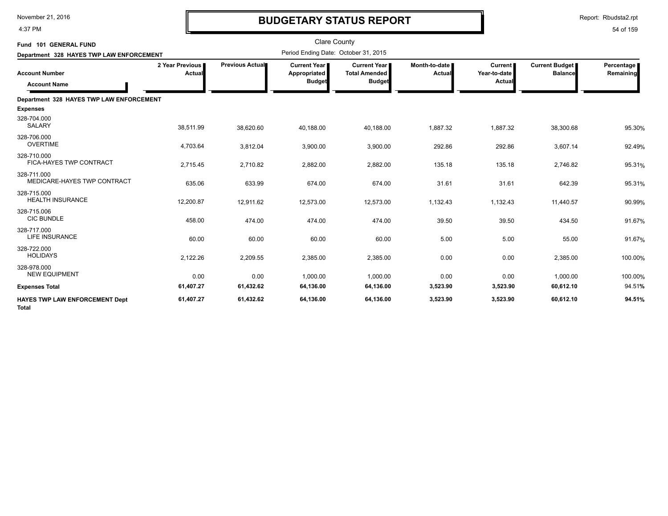4:37 PM

# **BUDGETARY STATUS REPORT**

| Fund 101 GENERAL FUND<br>Department 328 HAYES TWP LAW ENFORCEMENT |                           |                        | <b>Clare County</b><br>Period Ending Date: October 31, 2015 |                                                                |                         |                                          |                                         |                         |
|-------------------------------------------------------------------|---------------------------|------------------------|-------------------------------------------------------------|----------------------------------------------------------------|-------------------------|------------------------------------------|-----------------------------------------|-------------------------|
| <b>Account Number</b><br><b>Account Name</b>                      | 2 Year Previous<br>Actual | <b>Previous Actual</b> | <b>Current Year I</b><br>Appropriated<br><b>Budget</b>      | <b>Current Year I</b><br><b>Total Amended</b><br><b>Budget</b> | Month-to-date<br>Actual | <b>Current</b><br>Year-to-date<br>Actual | <b>Current Budget</b><br><b>Balance</b> | Percentage<br>Remaining |
| Department 328 HAYES TWP LAW ENFORCEMENT                          |                           |                        |                                                             |                                                                |                         |                                          |                                         |                         |
| <b>Expenses</b>                                                   |                           |                        |                                                             |                                                                |                         |                                          |                                         |                         |
| 328-704.000<br><b>SALARY</b>                                      | 38,511.99                 | 38,620.60              | 40,188.00                                                   | 40,188.00                                                      | 1,887.32                | 1,887.32                                 | 38,300.68                               | 95.30%                  |
| 328-706.000<br><b>OVERTIME</b>                                    | 4,703.64                  | 3,812.04               | 3,900.00                                                    | 3,900.00                                                       | 292.86                  | 292.86                                   | 3,607.14                                | 92.49%                  |
| 328-710.000<br>FICA-HAYES TWP CONTRACT                            | 2,715.45                  | 2,710.82               | 2,882.00                                                    | 2,882.00                                                       | 135.18                  | 135.18                                   | 2,746.82                                | 95.31%                  |
| 328-711.000<br>MEDICARE-HAYES TWP CONTRACT                        | 635.06                    | 633.99                 | 674.00                                                      | 674.00                                                         | 31.61                   | 31.61                                    | 642.39                                  | 95.31%                  |
| 328-715.000<br><b>HEALTH INSURANCE</b>                            | 12,200.87                 | 12,911.62              | 12,573.00                                                   | 12,573.00                                                      | 1,132.43                | 1,132.43                                 | 11,440.57                               | 90.99%                  |
| 328-715.006<br><b>CIC BUNDLE</b>                                  | 458.00                    | 474.00                 | 474.00                                                      | 474.00                                                         | 39.50                   | 39.50                                    | 434.50                                  | 91.67%                  |
| 328-717.000<br><b>LIFE INSURANCE</b>                              | 60.00                     | 60.00                  | 60.00                                                       | 60.00                                                          | 5.00                    | 5.00                                     | 55.00                                   | 91.67%                  |
| 328-722.000<br><b>HOLIDAYS</b>                                    | 2,122.26                  | 2,209.55               | 2,385.00                                                    | 2,385.00                                                       | 0.00                    | 0.00                                     | 2,385.00                                | 100.00%                 |
| 328-978.000<br><b>NEW EQUIPMENT</b>                               | 0.00                      | 0.00                   | 1,000.00                                                    | 1,000.00                                                       | 0.00                    | 0.00                                     | 1.000.00                                | 100.00%                 |
| <b>Expenses Total</b>                                             | 61,407.27                 | 61,432.62              | 64,136.00                                                   | 64,136.00                                                      | 3,523.90                | 3,523.90                                 | 60,612.10                               | 94.51%                  |
| <b>HAYES TWP LAW ENFORCEMENT Dept</b><br><b>Total</b>             | 61,407.27                 | 61,432.62              | 64,136.00                                                   | 64,136.00                                                      | 3,523.90                | 3,523.90                                 | 60,612.10                               | 94.51%                  |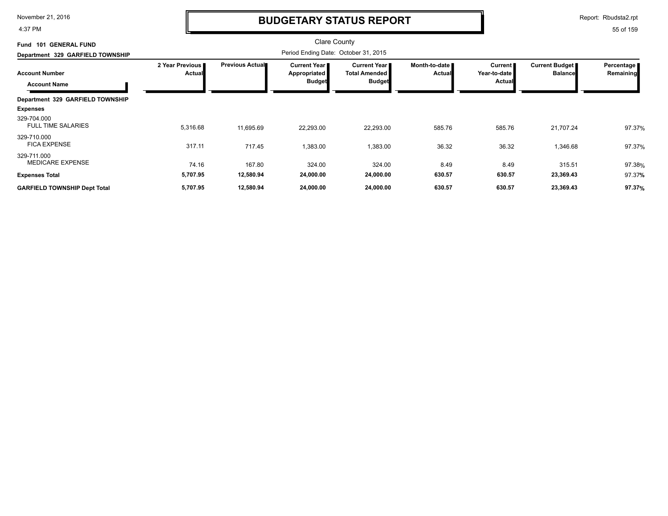4:37 PM

## **BUDGETARY STATUS REPORT**

Report: Rbudsta2.rpt

| <b>GENERAL FUND</b><br><b>Fund 101</b>       |                           |                        | Clare County                                         |                                                              |                                |                                            |                                         |                         |
|----------------------------------------------|---------------------------|------------------------|------------------------------------------------------|--------------------------------------------------------------|--------------------------------|--------------------------------------------|-----------------------------------------|-------------------------|
| Department 329 GARFIELD TOWNSHIP             |                           |                        | Period Ending Date: October 31, 2015                 |                                                              |                                |                                            |                                         |                         |
| <b>Account Number</b><br><b>Account Name</b> | 2 Year Previous<br>Actual | <b>Previous Actual</b> | Current Year<br><b>Appropriated</b><br><b>Budget</b> | <b>Current Year</b><br><b>Total Amended</b><br><b>Budget</b> | Month-to-date<br><b>Actual</b> | Current  <br>Year-to-date<br><b>Actual</b> | <b>Current Budget</b><br><b>Balance</b> | Percentage<br>Remaining |
| Department 329 GARFIELD TOWNSHIP             |                           |                        |                                                      |                                                              |                                |                                            |                                         |                         |
| <b>Expenses</b>                              |                           |                        |                                                      |                                                              |                                |                                            |                                         |                         |
| 329-704.000<br><b>FULL TIME SALARIES</b>     | 5,316.68                  | 11,695.69              | 22,293.00                                            | 22,293.00                                                    | 585.76                         | 585.76                                     | 21,707.24                               | 97.37%                  |
| 329-710.000<br><b>FICA EXPENSE</b>           | 317.11                    | 717.45                 | 1,383.00                                             | 1,383.00                                                     | 36.32                          | 36.32                                      | 1,346.68                                | 97.37%                  |
| 329-711.000<br><b>MEDICARE EXPENSE</b>       | 74.16                     | 167.80                 | 324.00                                               | 324.00                                                       | 8.49                           | 8.49                                       | 315.51                                  | 97.38%                  |
| <b>Expenses Total</b>                        | 5,707.95                  | 12,580.94              | 24,000.00                                            | 24,000.00                                                    | 630.57                         | 630.57                                     | 23,369.43                               | 97.37%                  |
| <b>GARFIELD TOWNSHIP Dept Total</b>          | 5,707.95                  | 12,580.94              | 24,000.00                                            | 24,000.00                                                    | 630.57                         | 630.57                                     | 23,369.43                               | 97.37%                  |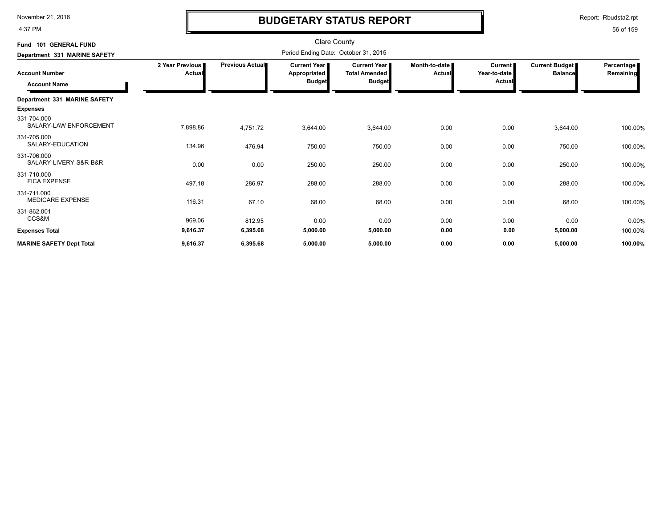4:37 PM

# **BUDGETARY STATUS REPORT**

Report: Rbudsta2.rpt

| Fund 101 GENERAL FUND<br>Department 331 MARINE SAFETY |                           | <b>Clare County</b><br>Period Ending Date: October 31, 2015 |                                                        |                                                              |                           |                                          |                                  |                         |  |
|-------------------------------------------------------|---------------------------|-------------------------------------------------------------|--------------------------------------------------------|--------------------------------------------------------------|---------------------------|------------------------------------------|----------------------------------|-------------------------|--|
| <b>Account Number</b><br><b>Account Name</b>          | 2 Year Previous<br>Actual | <b>Previous Actual</b>                                      | <b>Current Year I</b><br>Appropriated<br><b>Budget</b> | <b>Current Year</b><br><b>Total Amended</b><br><b>Budget</b> | Month-to-date I<br>Actual | <b>Current</b><br>Year-to-date<br>Actual | Current Budget<br><b>Balance</b> | Percentage<br>Remaining |  |
| Department 331 MARINE SAFETY<br><b>Expenses</b>       |                           |                                                             |                                                        |                                                              |                           |                                          |                                  |                         |  |
| 331-704.000<br>SALARY-LAW ENFORCEMENT                 | 7,898.86                  | 4,751.72                                                    | 3,644.00                                               | 3,644.00                                                     | 0.00                      | 0.00                                     | 3,644.00                         | 100.00%                 |  |
| 331-705.000<br>SALARY-EDUCATION                       | 134.96                    | 476.94                                                      | 750.00                                                 | 750.00                                                       | 0.00                      | 0.00                                     | 750.00                           | 100.00%                 |  |
| 331-706.000<br>SALARY-LIVERY-S&R-B&R                  | 0.00                      | 0.00                                                        | 250.00                                                 | 250.00                                                       | 0.00                      | 0.00                                     | 250.00                           | 100.00%                 |  |
| 331-710.000<br><b>FICA EXPENSE</b>                    | 497.18                    | 286.97                                                      | 288.00                                                 | 288.00                                                       | 0.00                      | 0.00                                     | 288.00                           | 100.00%                 |  |
| 331-711.000<br><b>MEDICARE EXPENSE</b>                | 116.31                    | 67.10                                                       | 68.00                                                  | 68.00                                                        | 0.00                      | 0.00                                     | 68.00                            | 100.00%                 |  |
| 331-862.001<br>CCS&M                                  | 969.06                    | 812.95                                                      | 0.00                                                   | 0.00                                                         | 0.00                      | 0.00                                     | 0.00                             | 0.00%                   |  |
| <b>Expenses Total</b>                                 | 9,616.37                  | 6,395.68                                                    | 5,000.00                                               | 5,000.00                                                     | 0.00                      | 0.00                                     | 5,000.00                         | 100.00%                 |  |
| <b>MARINE SAFETY Dept Total</b>                       | 9,616.37                  | 6,395.68                                                    | 5,000.00                                               | 5,000.00                                                     | 0.00                      | 0.00                                     | 5,000.00                         | 100.00%                 |  |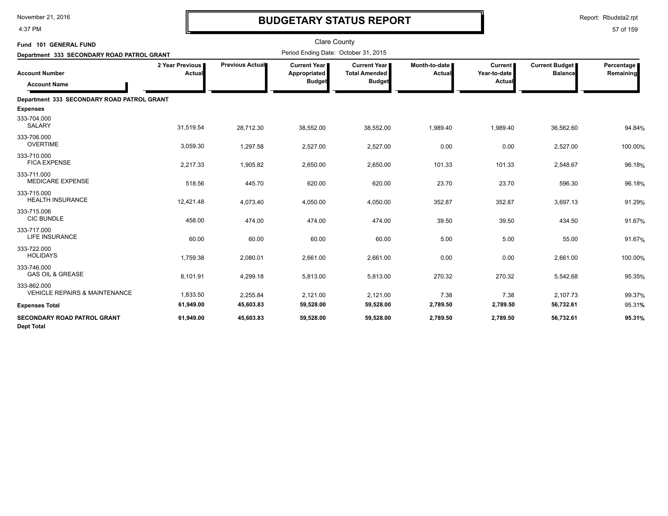4:37 PM

# **BUDGETARY STATUS REPORT**

| Fund 101 GENERAL FUND                                   |                           |                        | <b>Clare County</b>                                    |                                                                |                           |                                          |                                         |                         |
|---------------------------------------------------------|---------------------------|------------------------|--------------------------------------------------------|----------------------------------------------------------------|---------------------------|------------------------------------------|-----------------------------------------|-------------------------|
| Department 333 SECONDARY ROAD PATROL GRANT              |                           |                        | Period Ending Date: October 31, 2015                   |                                                                |                           |                                          |                                         |                         |
| <b>Account Number</b><br><b>Account Name</b>            | 2 Year Previous<br>Actual | <b>Previous Actual</b> | <b>Current Year I</b><br>Appropriated<br><b>Budget</b> | <b>Current Year I</b><br><b>Total Amended</b><br><b>Budget</b> | Month-to-date I<br>Actual | <b>Current</b><br>Year-to-date<br>Actual | <b>Current Budget</b><br><b>Balance</b> | Percentage<br>Remaining |
| Department 333 SECONDARY ROAD PATROL GRANT              |                           |                        |                                                        |                                                                |                           |                                          |                                         |                         |
| <b>Expenses</b>                                         |                           |                        |                                                        |                                                                |                           |                                          |                                         |                         |
| 333-704.000<br><b>SALARY</b>                            | 31,519.54                 | 28,712.30              | 38,552.00                                              | 38,552.00                                                      | 1,989.40                  | 1,989.40                                 | 36,562.60                               | 94.84%                  |
| 333-706.000<br><b>OVERTIME</b>                          | 3,059.30                  | 1,297.58               | 2,527.00                                               | 2,527.00                                                       | 0.00                      | 0.00                                     | 2,527.00                                | 100.00%                 |
| 333-710.000<br><b>FICA EXPENSE</b>                      | 2,217.33                  | 1,905.82               | 2,650.00                                               | 2,650.00                                                       | 101.33                    | 101.33                                   | 2,548.67                                | 96.18%                  |
| 333-711.000<br><b>MEDICARE EXPENSE</b>                  | 518.56                    | 445.70                 | 620.00                                                 | 620.00                                                         | 23.70                     | 23.70                                    | 596.30                                  | 96.18%                  |
| 333-715.000<br><b>HEALTH INSURANCE</b>                  | 12,421.48                 | 4,073.40               | 4,050.00                                               | 4,050.00                                                       | 352.87                    | 352.87                                   | 3,697.13                                | 91.29%                  |
| 333-715.006<br><b>CIC BUNDLE</b>                        | 458.00                    | 474.00                 | 474.00                                                 | 474.00                                                         | 39.50                     | 39.50                                    | 434.50                                  | 91.67%                  |
| 333-717.000<br><b>LIFE INSURANCE</b>                    | 60.00                     | 60.00                  | 60.00                                                  | 60.00                                                          | 5.00                      | 5.00                                     | 55.00                                   | 91.67%                  |
| 333-722.000<br><b>HOLIDAYS</b>                          | 1,759.38                  | 2,080.01               | 2,661.00                                               | 2,661.00                                                       | 0.00                      | 0.00                                     | 2,661.00                                | 100.00%                 |
| 333-746.000<br><b>GAS OIL &amp; GREASE</b>              | 8,101.91                  | 4,299.18               | 5,813.00                                               | 5,813.00                                                       | 270.32                    | 270.32                                   | 5,542.68                                | 95.35%                  |
| 333-862.000<br><b>VEHICLE REPAIRS &amp; MAINTENANCE</b> | 1,833.50                  | 2,255.84               | 2,121.00                                               | 2,121.00                                                       | 7.38                      | 7.38                                     | 2,107.73                                | 99.37%                  |
| <b>Expenses Total</b>                                   | 61,949.00                 | 45,603.83              | 59,528.00                                              | 59,528.00                                                      | 2,789.50                  | 2,789.50                                 | 56,732.61                               | 95.31%                  |
| <b>SECONDARY ROAD PATROL GRANT</b><br><b>Dept Total</b> | 61,949.00                 | 45,603.83              | 59,528.00                                              | 59,528.00                                                      | 2,789.50                  | 2,789.50                                 | 56,732.61                               | 95.31%                  |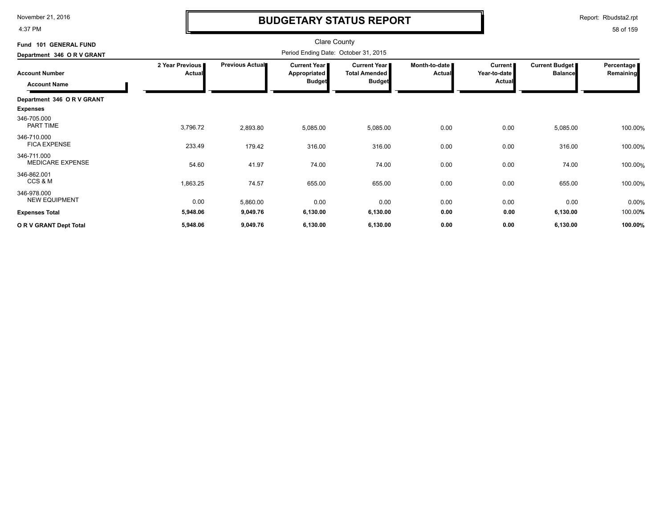4:37 PM

# **BUDGETARY STATUS REPORT**

Report: Rbudsta2.rpt

| Fund 101 GENERAL FUND                        |                                  |                 | <b>Clare County</b>                                  |                                                                |                                |                                                 |                                  |                                |
|----------------------------------------------|----------------------------------|-----------------|------------------------------------------------------|----------------------------------------------------------------|--------------------------------|-------------------------------------------------|----------------------------------|--------------------------------|
| Department 346 OR V GRANT                    |                                  |                 | Period Ending Date: October 31, 2015                 |                                                                |                                |                                                 |                                  |                                |
| <b>Account Number</b><br><b>Account Name</b> | 2 Year Previous<br><b>Actual</b> | Previous Actual | <b>Current Year</b><br>Appropriated<br><b>Budget</b> | <b>Current Year I</b><br><b>Total Amended</b><br><b>Budget</b> | Month-to-date<br><b>Actual</b> | <b>Current</b><br>Year-to-date<br><b>Actual</b> | Current Budget<br><b>Balance</b> | <b>Percentage</b><br>Remaining |
|                                              |                                  |                 |                                                      |                                                                |                                |                                                 |                                  |                                |
| Department 346 OR V GRANT                    |                                  |                 |                                                      |                                                                |                                |                                                 |                                  |                                |
| <b>Expenses</b>                              |                                  |                 |                                                      |                                                                |                                |                                                 |                                  |                                |
| 346-705.000<br><b>PART TIME</b>              | 3,796.72                         | 2,893.80        | 5,085.00                                             | 5,085.00                                                       | 0.00                           | 0.00                                            | 5,085.00                         | 100.00%                        |
| 346-710.000<br><b>FICA EXPENSE</b>           | 233.49                           | 179.42          | 316.00                                               | 316.00                                                         | 0.00                           | 0.00                                            | 316.00                           | 100.00%                        |
| 346-711.000<br><b>MEDICARE EXPENSE</b>       | 54.60                            | 41.97           | 74.00                                                | 74.00                                                          | 0.00                           | 0.00                                            | 74.00                            | 100.00%                        |
| 346-862.001<br>CCS & M                       | 1,863.25                         | 74.57           | 655.00                                               | 655.00                                                         | 0.00                           | 0.00                                            | 655.00                           | 100.00%                        |
| 346-978.000<br><b>NEW EQUIPMENT</b>          | 0.00                             | 5,860.00        | 0.00                                                 | 0.00                                                           | 0.00                           | 0.00                                            | 0.00                             | 0.00%                          |
| <b>Expenses Total</b>                        | 5,948.06                         | 9,049.76        | 6,130.00                                             | 6,130.00                                                       | 0.00                           | 0.00                                            | 6,130.00                         | 100.00%                        |
| OR V GRANT Dept Total                        | 5,948.06                         | 9,049.76        | 6,130.00                                             | 6,130.00                                                       | 0.00                           | 0.00                                            | 6,130.00                         | 100.00%                        |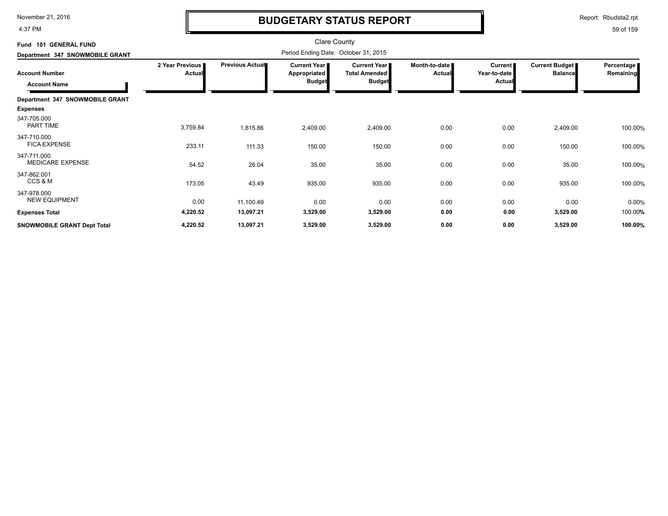4:37 PM

# **BUDGETARY STATUS REPORT**

Report: Rbudsta2.rpt

| Fund 101 GENERAL FUND                  |                 |                        | <b>Clare County</b><br>Period Ending Date: October 31, 2015 |                       |               |                |                |                   |
|----------------------------------------|-----------------|------------------------|-------------------------------------------------------------|-----------------------|---------------|----------------|----------------|-------------------|
| Department 347 SNOWMOBILE GRANT        | 2 Year Previous | <b>Previous Actual</b> | <b>Current Year</b>                                         | <b>Current Year I</b> | Month-to-date | <b>Current</b> | Current Budget | <b>Percentage</b> |
| <b>Account Number</b>                  | <b>Actual</b>   |                        | Appropriated                                                | <b>Total Amended</b>  | <b>Actual</b> | Year-to-date   | <b>Balance</b> | Remaining         |
| <b>Account Name</b>                    |                 |                        | <b>Budget</b>                                               | <b>Budget</b>         |               | <b>Actual</b>  |                |                   |
| Department 347 SNOWMOBILE GRANT        |                 |                        |                                                             |                       |               |                |                |                   |
| <b>Expenses</b>                        |                 |                        |                                                             |                       |               |                |                |                   |
| 347-705.000<br><b>PART TIME</b>        | 3,759.84        | 1,815.86               | 2,409.00                                                    | 2,409.00              | 0.00          | 0.00           | 2,409.00       | 100.00%           |
| 347-710.000<br><b>FICA EXPENSE</b>     | 233.11          | 111.33                 | 150.00                                                      | 150.00                | 0.00          | 0.00           | 150.00         | 100.00%           |
| 347-711.000<br><b>MEDICARE EXPENSE</b> | 54.52           | 26.04                  | 35.00                                                       | 35.00                 | 0.00          | 0.00           | 35.00          | 100.00%           |
| 347-862.001<br>CCS & M                 | 173.05          | 43.49                  | 935.00                                                      | 935.00                | 0.00          | 0.00           | 935.00         | 100.00%           |
| 347-978.000<br><b>NEW EQUIPMENT</b>    | 0.00            | 11,100.49              | 0.00                                                        | 0.00                  | 0.00          | 0.00           | 0.00           | 0.00%             |
| <b>Expenses Total</b>                  | 4,220.52        | 13,097.21              | 3,529.00                                                    | 3,529.00              | 0.00          | 0.00           | 3,529.00       | 100.00%           |
| <b>SNOWMOBILE GRANT Dept Total</b>     | 4,220.52        | 13,097.21              | 3,529.00                                                    | 3,529.00              | 0.00          | 0.00           | 3,529.00       | 100.00%           |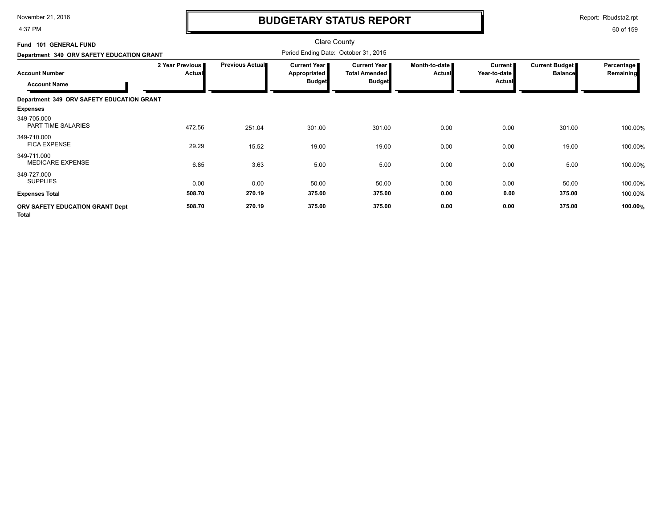4:37 PM

# **BUDGETARY STATUS REPORT**

Report: Rbudsta2.rpt

| Fund 101 GENERAL FUND                                                                     |                           |                        | <b>Clare County</b><br>Period Ending Date: October 31, 2015 |                                                                |                                |                                            |                                         |                         |
|-------------------------------------------------------------------------------------------|---------------------------|------------------------|-------------------------------------------------------------|----------------------------------------------------------------|--------------------------------|--------------------------------------------|-----------------------------------------|-------------------------|
| Department 349 ORV SAFETY EDUCATION GRANT<br><b>Account Number</b><br><b>Account Name</b> | 2 Year Previous<br>Actual | <b>Previous Actual</b> | Current Year  <br><b>Appropriated</b><br><b>Budget</b>      | <b>Current Year I</b><br><b>Total Amended</b><br><b>Budget</b> | Month-to-date<br><b>Actual</b> | Current  <br>Year-to-date<br><b>Actual</b> | <b>Current Budget</b><br><b>Balance</b> | Percentage<br>Remaining |
| Department 349 ORV SAFETY EDUCATION GRANT                                                 |                           |                        |                                                             |                                                                |                                |                                            |                                         |                         |
| <b>Expenses</b>                                                                           |                           |                        |                                                             |                                                                |                                |                                            |                                         |                         |
| 349-705.000<br>PART TIME SALARIES                                                         | 472.56                    | 251.04                 | 301.00                                                      | 301.00                                                         | 0.00                           | 0.00                                       | 301.00                                  | 100.00%                 |
| 349-710.000<br><b>FICA EXPENSE</b>                                                        | 29.29                     | 15.52                  | 19.00                                                       | 19.00                                                          | 0.00                           | 0.00                                       | 19.00                                   | 100.00%                 |
| 349-711.000<br><b>MEDICARE EXPENSE</b>                                                    | 6.85                      | 3.63                   | 5.00                                                        | 5.00                                                           | 0.00                           | 0.00                                       | 5.00                                    | 100.00%                 |
| 349-727.000<br><b>SUPPLIES</b>                                                            | 0.00                      | 0.00                   | 50.00                                                       | 50.00                                                          | 0.00                           | 0.00                                       | 50.00                                   | 100.00%                 |
| <b>Expenses Total</b>                                                                     | 508.70                    | 270.19                 | 375.00                                                      | 375.00                                                         | 0.00                           | 0.00                                       | 375.00                                  | 100.00%                 |
| ORV SAFETY EDUCATION GRANT Dept<br><b>Total</b>                                           | 508.70                    | 270.19                 | 375.00                                                      | 375.00                                                         | 0.00                           | 0.00                                       | 375.00                                  | 100.00%                 |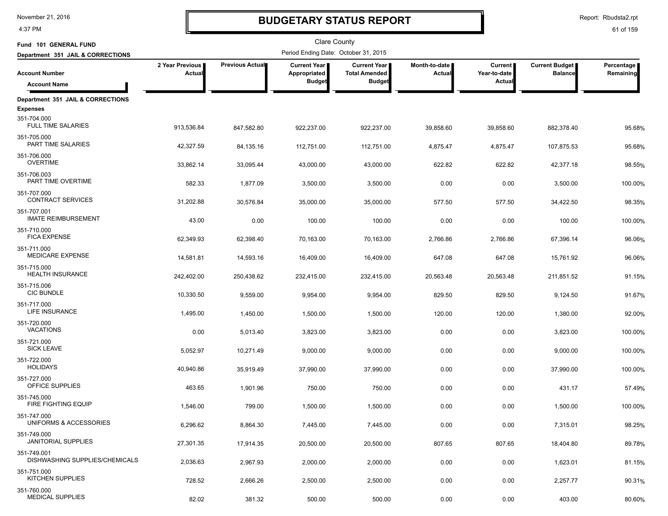4:37 PM

# **BUDGETARY STATUS REPORT**

Report: Rbudsta2.rpt

| Fund 101 GENERAL FUND                                       |                           |                 | Clare County                         |                                             |                         |                                |                                         |                         |
|-------------------------------------------------------------|---------------------------|-----------------|--------------------------------------|---------------------------------------------|-------------------------|--------------------------------|-----------------------------------------|-------------------------|
| Department 351 JAIL & CORRECTIONS                           |                           |                 | Period Ending Date: October 31, 2015 |                                             |                         |                                |                                         |                         |
| <b>Account Number</b>                                       | 2 Year Previous<br>Actual | Previous Actual | Current Year<br>Appropriated         | <b>Current Year</b><br><b>Total Amended</b> | Month-to-date<br>Actual | <b>Current</b><br>Year-to-date | <b>Current Budget</b><br><b>Balance</b> | Percentage<br>Remaining |
| <b>Account Name</b>                                         |                           |                 | <b>Budget</b>                        | <b>Budget</b>                               |                         | Actual                         |                                         |                         |
| Department 351 JAIL & CORRECTIONS                           |                           |                 |                                      |                                             |                         |                                |                                         |                         |
| <b>Expenses</b><br>351-704.000<br><b>FULL TIME SALARIES</b> | 913,536.84                | 847,582.80      | 922,237.00                           | 922,237.00                                  | 39,858.60               | 39,858.60                      | 882,378.40                              | 95.68%                  |
| 351-705.000<br>PART TIME SALARIES                           | 42,327.59                 | 84,135.16       | 112,751.00                           | 112,751.00                                  | 4,875.47                | 4,875.47                       | 107,875.53                              | 95.68%                  |
| 351-706.000<br><b>OVERTIME</b>                              | 33,862.14                 | 33,095.44       | 43,000.00                            | 43,000.00                                   | 622.82                  | 622.82                         | 42,377.18                               | 98.55%                  |
| 351-706.003<br>PART TIME OVERTIME                           | 582.33                    | 1,877.09        | 3,500.00                             | 3,500.00                                    | 0.00                    | 0.00                           | 3,500.00                                | 100.00%                 |
| 351-707.000<br><b>CONTRACT SERVICES</b>                     | 31,202.88                 | 30,576.84       | 35,000.00                            | 35,000.00                                   | 577.50                  | 577.50                         | 34,422.50                               | 98.35%                  |
| 351-707.001<br><b>IMATE REIMBURSEMENT</b>                   | 43.00                     | 0.00            | 100.00                               | 100.00                                      | 0.00                    | 0.00                           | 100.00                                  | 100.00%                 |
| 351-710.000<br><b>FICA EXPENSE</b>                          | 62,349.93                 | 62,398.40       | 70,163.00                            | 70,163.00                                   | 2,766.86                | 2,766.86                       | 67,396.14                               | 96.06%                  |
| 351-711.000<br>MEDICARE EXPENSE                             | 14,581.81                 | 14,593.16       | 16,409.00                            | 16,409.00                                   | 647.08                  | 647.08                         | 15,761.92                               | 96.06%                  |
| 351-715.000<br><b>HEALTH INSURANCE</b>                      | 242,402.00                | 250,438.62      | 232,415.00                           | 232,415.00                                  | 20,563.48               | 20,563.48                      | 211,851.52                              | 91.15%                  |
| 351-715.006<br><b>CIC BUNDLE</b><br>351-717.000             | 10,330.50                 | 9,559.00        | 9,954.00                             | 9,954.00                                    | 829.50                  | 829.50                         | 9,124.50                                | 91.67%                  |
| LIFE INSURANCE<br>351-720.000                               | 1,495.00                  | 1,450.00        | 1,500.00                             | 1,500.00                                    | 120.00                  | 120.00                         | 1,380.00                                | 92.00%                  |
| <b>VACATIONS</b><br>351-721.000                             | 0.00                      | 5,013.40        | 3,823.00                             | 3,823.00                                    | 0.00                    | 0.00                           | 3,823.00                                | 100.00%                 |
| <b>SICK LEAVE</b><br>351-722.000                            | 5,052.97                  | 10,271.49       | 9,000.00                             | 9,000.00                                    | 0.00                    | 0.00                           | 9,000.00                                | 100.00%                 |
| <b>HOLIDAYS</b><br>351-727.000                              | 40,940.86                 | 35,919.49       | 37,990.00                            | 37,990.00                                   | 0.00                    | 0.00                           | 37,990.00                               | 100.00%                 |
| OFFICE SUPPLIES<br>351-745.000                              | 463.65                    | 1,901.96        | 750.00                               | 750.00                                      | 0.00                    | 0.00                           | 431.17                                  | 57.49%                  |
| FIRE FIGHTING EQUIP<br>351-747.000                          | 1,546.00                  | 799.00          | 1,500.00                             | 1,500.00                                    | 0.00                    | 0.00                           | 1,500.00                                | 100.00%                 |
| UNIFORMS & ACCESSORIES<br>351-749.000                       | 6,296.62                  | 8,864.30        | 7,445.00                             | 7,445.00                                    | 0.00                    | 0.00                           | 7,315.01                                | 98.25%                  |
| <b>JANITORIAL SUPPLIES</b><br>351-749.001                   | 27,301.35                 | 17,914.35       | 20,500.00                            | 20,500.00                                   | 807.65                  | 807.65                         | 18,404.80                               | 89.78%                  |
| DISHWASHING SUPPLIES/CHEMICALS<br>351-751.000               | 2,036.63                  | 2,967.93        | 2,000.00                             | 2,000.00                                    | 0.00                    | 0.00                           | 1,623.01                                | 81.15%                  |
| <b>KITCHEN SUPPLIES</b><br>351-760.000                      | 728.52                    | 2,666.26        | 2,500.00                             | 2,500.00                                    | 0.00                    | 0.00                           | 2,257.77                                | 90.31%                  |
| <b>MEDICAL SUPPLIES</b>                                     | 82.02                     | 381.32          | 500.00                               | 500.00                                      | 0.00                    | 0.00                           | 403.00                                  | 80.60%                  |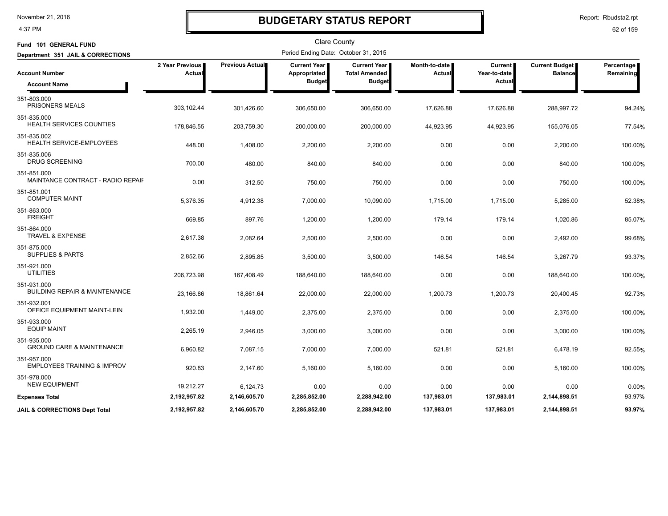#### 4:37 PM

### **BUDGETARY STATUS REPORT**

Report: Rbudsta2.rpt

| Fund 101 GENERAL FUND                                      |                           |                        | <b>Clare County</b><br>Period Ending Date: October 31, 2015 |                                             |                         |                                |                                         |                         |
|------------------------------------------------------------|---------------------------|------------------------|-------------------------------------------------------------|---------------------------------------------|-------------------------|--------------------------------|-----------------------------------------|-------------------------|
| Department 351 JAIL & CORRECTIONS<br><b>Account Number</b> | 2 Year Previous<br>Actual | <b>Previous Actual</b> | <b>Current Year</b>  <br>Appropriated                       | <b>Current Year</b><br><b>Total Amended</b> | Month-to-date<br>Actual | <b>Current</b><br>Year-to-date | <b>Current Budget</b><br><b>Balance</b> | Percentage<br>Remaining |
| <b>Account Name</b>                                        |                           |                        | <b>Budget</b>                                               | <b>Budget</b>                               |                         | Actual                         |                                         |                         |
| 351-803.000<br>PRISONERS MEALS                             | 303,102.44                | 301,426.60             | 306,650.00                                                  | 306,650.00                                  | 17,626.88               | 17,626.88                      | 288,997.72                              | 94.24%                  |
| 351-835.000<br>HEALTH SERVICES COUNTIES                    | 178,846.55                | 203,759.30             | 200,000.00                                                  | 200,000.00                                  | 44,923.95               | 44,923.95                      | 155,076.05                              | 77.54%                  |
| 351-835.002<br>HEALTH SERVICE-EMPLOYEES                    | 448.00                    | 1,408.00               | 2,200.00                                                    | 2,200.00                                    | 0.00                    | 0.00                           | 2,200.00                                | 100.00%                 |
| 351-835.006<br><b>DRUG SCREENING</b>                       | 700.00                    | 480.00                 | 840.00                                                      | 840.00                                      | 0.00                    | 0.00                           | 840.00                                  | 100.00%                 |
| 351-851.000<br>MAINTANCE CONTRACT - RADIO REPAIF           | 0.00                      | 312.50                 | 750.00                                                      | 750.00                                      | 0.00                    | 0.00                           | 750.00                                  | 100.00%                 |
| 351-851.001<br><b>COMPUTER MAINT</b>                       | 5,376.35                  | 4,912.38               | 7,000.00                                                    | 10,090.00                                   | 1,715.00                | 1,715.00                       | 5,285.00                                | 52.38%                  |
| 351-863.000<br><b>FREIGHT</b>                              | 669.85                    | 897.76                 | 1,200.00                                                    | 1,200.00                                    | 179.14                  | 179.14                         | 1,020.86                                | 85.07%                  |
| 351-864.000<br>TRAVEL & EXPENSE                            | 2,617.38                  | 2,082.64               | 2,500.00                                                    | 2,500.00                                    | 0.00                    | 0.00                           | 2,492.00                                | 99.68%                  |
| 351-875.000<br><b>SUPPLIES &amp; PARTS</b>                 | 2,852.66                  | 2,895.85               | 3,500.00                                                    | 3,500.00                                    | 146.54                  | 146.54                         | 3,267.79                                | 93.37%                  |
| 351-921.000<br>UTILITIES                                   | 206,723.98                | 167,408.49             | 188,640.00                                                  | 188,640.00                                  | 0.00                    | 0.00                           | 188,640.00                              | 100.00%                 |
| 351-931.000<br><b>BUILDING REPAIR &amp; MAINTENANCE</b>    | 23,166.86                 | 18,861.64              | 22,000.00                                                   | 22,000.00                                   | 1,200.73                | 1,200.73                       | 20,400.45                               | 92.73%                  |
| 351-932.001<br>OFFICE EQUIPMENT MAINT-LEIN                 | 1,932.00                  | 1,449.00               | 2,375.00                                                    | 2,375.00                                    | 0.00                    | 0.00                           | 2,375.00                                | 100.00%                 |
| 351-933.000<br><b>EQUIP MAINT</b>                          | 2,265.19                  | 2,946.05               | 3,000.00                                                    | 3,000.00                                    | 0.00                    | 0.00                           | 3,000.00                                | 100.00%                 |
| 351-935.000<br><b>GROUND CARE &amp; MAINTENANCE</b>        | 6,960.82                  | 7,087.15               | 7,000.00                                                    | 7,000.00                                    | 521.81                  | 521.81                         | 6,478.19                                | 92.55%                  |
| 351-957.000<br><b>EMPLOYEES TRAINING &amp; IMPROV</b>      | 920.83                    | 2,147.60               | 5,160.00                                                    | 5,160.00                                    | 0.00                    | 0.00                           | 5,160.00                                | 100.00%                 |
| 351-978.000<br><b>NEW EQUIPMENT</b>                        | 19,212.27                 | 6,124.73               | 0.00                                                        | 0.00                                        | 0.00                    | 0.00                           | 0.00                                    | 0.00%                   |
| <b>Expenses Total</b>                                      | 2,192,957.82              | 2,146,605.70           | 2,285,852.00                                                | 2,288,942.00                                | 137,983.01              | 137,983.01                     | 2,144,898.51                            | 93.97%                  |
| JAIL & CORRECTIONS Dept Total                              | 2,192,957.82              | 2,146,605.70           | 2,285,852.00                                                | 2,288,942.00                                | 137,983.01              | 137,983.01                     | 2,144,898.51                            | 93.97%                  |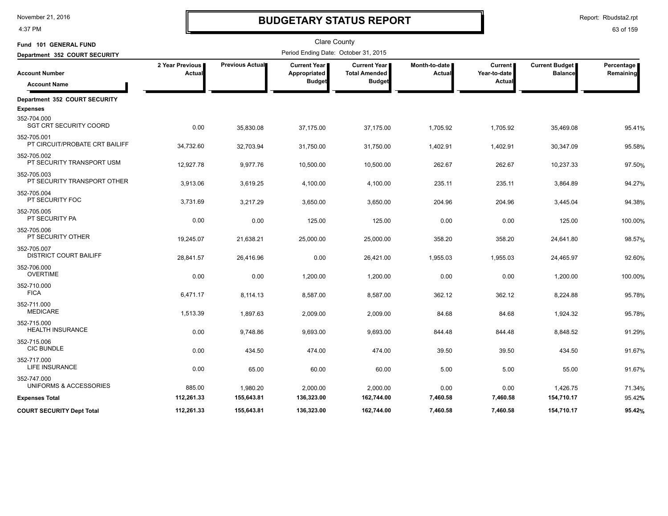4:37 PM

# **BUDGETARY STATUS REPORT**

| Fund 101 GENERAL FUND                         |                           |                 | Clare County                                  |                                                       |                                |                                          |                                         |                         |
|-----------------------------------------------|---------------------------|-----------------|-----------------------------------------------|-------------------------------------------------------|--------------------------------|------------------------------------------|-----------------------------------------|-------------------------|
| Department 352 COURT SECURITY                 |                           |                 | Period Ending Date: October 31, 2015          |                                                       |                                |                                          |                                         |                         |
| <b>Account Number</b><br><b>Account Name</b>  | 2 Year Previous<br>Actual | Previous Actual | Current Year<br>Appropriated<br><b>Budget</b> | Current Year<br><b>Total Amended</b><br><b>Budget</b> | Month-to-date<br><b>Actual</b> | <b>Current</b><br>Year-to-date<br>Actual | <b>Current Budget</b><br><b>Balance</b> | Percentage<br>Remaining |
|                                               |                           |                 |                                               |                                                       |                                |                                          |                                         |                         |
| Department 352 COURT SECURITY                 |                           |                 |                                               |                                                       |                                |                                          |                                         |                         |
| <b>Expenses</b>                               |                           |                 |                                               |                                                       |                                |                                          |                                         |                         |
| 352-704.000<br><b>SGT CRT SECURITY COORD</b>  | 0.00                      | 35,830.08       | 37,175.00                                     | 37,175.00                                             | 1,705.92                       | 1,705.92                                 | 35,469.08                               | 95.41%                  |
| 352-705.001<br>PT CIRCUIT/PROBATE CRT BAILIFF | 34,732.60                 | 32,703.94       | 31,750.00                                     | 31,750.00                                             | 1,402.91                       | 1,402.91                                 | 30,347.09                               | 95.58%                  |
| 352-705.002<br>PT SECURITY TRANSPORT USM      | 12,927.78                 | 9,977.76        | 10,500.00                                     | 10,500.00                                             | 262.67                         | 262.67                                   | 10,237.33                               | 97.50%                  |
| 352-705.003<br>PT SECURITY TRANSPORT OTHER    | 3,913.06                  | 3,619.25        | 4,100.00                                      | 4,100.00                                              | 235.11                         | 235.11                                   | 3,864.89                                | 94.27%                  |
| 352-705.004<br>PT SECURITY FOC                | 3,731.69                  | 3,217.29        | 3,650.00                                      | 3,650.00                                              | 204.96                         | 204.96                                   | 3,445.04                                | 94.38%                  |
| 352-705.005<br>PT SECURITY PA                 | 0.00                      | 0.00            | 125.00                                        | 125.00                                                | 0.00                           | 0.00                                     | 125.00                                  | 100.00%                 |
| 352-705.006<br>PT SECURITY OTHER              | 19,245.07                 | 21,638.21       | 25,000.00                                     | 25,000.00                                             | 358.20                         | 358.20                                   | 24,641.80                               | 98.57%                  |
| 352-705.007<br><b>DISTRICT COURT BAILIFF</b>  | 28,841.57                 | 26,416.96       | 0.00                                          | 26,421.00                                             | 1,955.03                       | 1,955.03                                 | 24,465.97                               | 92.60%                  |
| 352-706.000<br><b>OVERTIME</b>                | 0.00                      | 0.00            | 1,200.00                                      | 1,200.00                                              | 0.00                           | 0.00                                     | 1,200.00                                | 100.00%                 |
| 352-710.000<br><b>FICA</b>                    | 6,471.17                  | 8,114.13        | 8,587.00                                      | 8,587.00                                              | 362.12                         | 362.12                                   | 8,224.88                                | 95.78%                  |
| 352-711.000<br><b>MEDICARE</b>                | 1,513.39                  | 1,897.63        | 2,009.00                                      | 2,009.00                                              | 84.68                          | 84.68                                    | 1,924.32                                | 95.78%                  |
| 352-715.000<br><b>HEALTH INSURANCE</b>        | 0.00                      | 9,748.86        | 9,693.00                                      | 9,693.00                                              | 844.48                         | 844.48                                   | 8,848.52                                | 91.29%                  |
| 352-715.006<br><b>CIC BUNDLE</b>              | 0.00                      | 434.50          | 474.00                                        | 474.00                                                | 39.50                          | 39.50                                    | 434.50                                  | 91.67%                  |
| 352-717.000<br>LIFE INSURANCE                 | 0.00                      | 65.00           | 60.00                                         | 60.00                                                 | 5.00                           | 5.00                                     | 55.00                                   | 91.67%                  |
| 352-747.000<br>UNIFORMS & ACCESSORIES         | 885.00                    | 1,980.20        | 2,000.00                                      | 2,000.00                                              | 0.00                           | 0.00                                     | 1,426.75                                | 71.34%                  |
| <b>Expenses Total</b>                         | 112,261.33                | 155,643.81      | 136,323.00                                    | 162,744.00                                            | 7,460.58                       | 7,460.58                                 | 154,710.17                              | 95.42%                  |
| <b>COURT SECURITY Dept Total</b>              | 112,261.33                | 155,643.81      | 136,323.00                                    | 162,744.00                                            | 7,460.58                       | 7,460.58                                 | 154,710.17                              | 95.42%                  |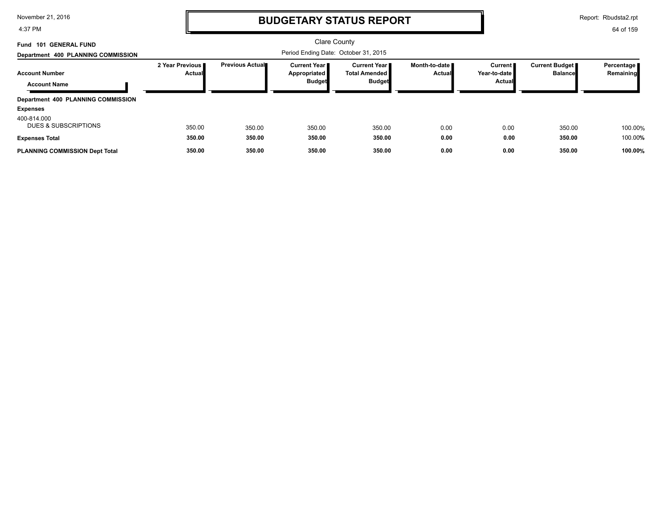4:37 PM

## **BUDGETARY STATUS REPORT**

Report: Rbudsta2.rpt

| Fund 101 GENERAL FUND<br>Department 400 PLANNING COMMISSION          |                                  |                        | <b>Clare County</b><br>Period Ending Date: October 31, 2015   |                                                          |                                         |                                     |                                  |                           |
|----------------------------------------------------------------------|----------------------------------|------------------------|---------------------------------------------------------------|----------------------------------------------------------|-----------------------------------------|-------------------------------------|----------------------------------|---------------------------|
| <b>Account Number</b><br><b>Account Name</b>                         | 2 Year Previous<br><b>Actual</b> | <b>Previous Actual</b> | <b>Current Year I</b><br><b>Appropriated</b><br><b>Budget</b> | Current Year II<br><b>Total Amended</b><br><b>Budget</b> | Month-to-date <b>■</b><br><b>Actual</b> | Current  <br>Year-to-date<br>Actual | Current Budget<br><b>Balance</b> | Percentage  <br>Remaining |
| Department 400 PLANNING COMMISSION<br><b>Expenses</b><br>400-814.000 |                                  |                        |                                                               |                                                          |                                         |                                     |                                  |                           |
| <b>DUES &amp; SUBSCRIPTIONS</b><br><b>Expenses Total</b>             | 350.00<br>350.00                 | 350.00<br>350.00       | 350.00<br>350.00                                              | 350.00<br>350.00                                         | 0.00<br>0.00                            | 0.00<br>0.00                        | 350.00<br>350.00                 | 100.00%<br>100.00%        |
| <b>PLANNING COMMISSION Dept Total</b>                                | 350.00                           | 350.00                 | 350.00                                                        | 350.00                                                   | 0.00                                    | 0.00                                | 350.00                           | 100.00%                   |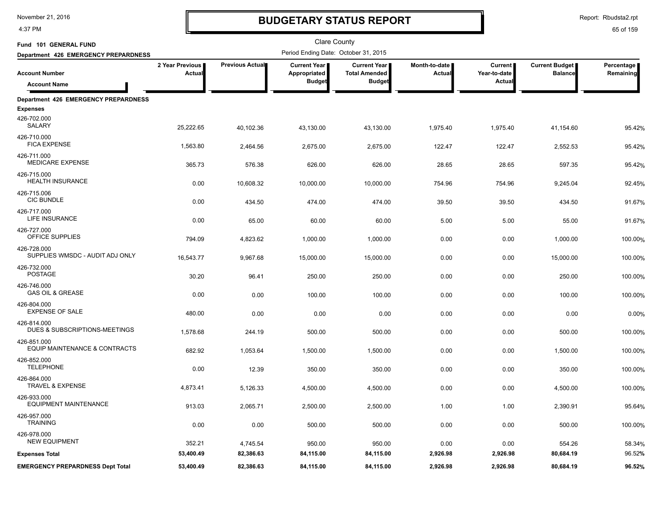4:37 PM

# **BUDGETARY STATUS REPORT**

Report: Rbudsta2.rpt

| Fund 101 GENERAL FUND                          |                           |                 | <b>Clare County</b>                                  |                                                              |                         |                                          |                                         |                         |
|------------------------------------------------|---------------------------|-----------------|------------------------------------------------------|--------------------------------------------------------------|-------------------------|------------------------------------------|-----------------------------------------|-------------------------|
| Department 426 EMERGENCY PREPARDNESS           |                           |                 | Period Ending Date: October 31, 2015                 |                                                              |                         |                                          |                                         |                         |
| <b>Account Number</b>                          | 2 Year Previous<br>Actual | Previous Actual | <b>Current Year</b><br>Appropriated<br><b>Budget</b> | <b>Current Year</b><br><b>Total Amended</b><br><b>Budget</b> | Month-to-date<br>Actual | <b>Current</b><br>Year-to-date<br>Actual | <b>Current Budget</b><br><b>Balance</b> | Percentage<br>Remaining |
| <b>Account Name</b>                            |                           |                 |                                                      |                                                              |                         |                                          |                                         |                         |
| Department 426 EMERGENCY PREPARDNESS           |                           |                 |                                                      |                                                              |                         |                                          |                                         |                         |
| <b>Expenses</b>                                |                           |                 |                                                      |                                                              |                         |                                          |                                         |                         |
| 426-702.000<br>SALARY                          | 25,222.65                 | 40,102.36       | 43,130.00                                            | 43,130.00                                                    | 1,975.40                | 1,975.40                                 | 41,154.60                               | 95.42%                  |
| 426-710.000<br><b>FICA EXPENSE</b>             | 1,563.80                  | 2,464.56        | 2,675.00                                             | 2,675.00                                                     | 122.47                  | 122.47                                   | 2,552.53                                | 95.42%                  |
| 426-711.000<br><b>MEDICARE EXPENSE</b>         | 365.73                    | 576.38          | 626.00                                               | 626.00                                                       | 28.65                   | 28.65                                    | 597.35                                  | 95.42%                  |
| 426-715.000<br><b>HEALTH INSURANCE</b>         | 0.00                      | 10,608.32       | 10,000.00                                            | 10,000.00                                                    | 754.96                  | 754.96                                   | 9,245.04                                | 92.45%                  |
| 426-715.006<br><b>CIC BUNDLE</b>               | 0.00                      | 434.50          | 474.00                                               | 474.00                                                       | 39.50                   | 39.50                                    | 434.50                                  | 91.67%                  |
| 426-717.000<br>LIFE INSURANCE                  | 0.00                      | 65.00           | 60.00                                                | 60.00                                                        | 5.00                    | 5.00                                     | 55.00                                   | 91.67%                  |
| 426-727.000<br>OFFICE SUPPLIES                 | 794.09                    | 4,823.62        | 1,000.00                                             | 1,000.00                                                     | 0.00                    | 0.00                                     | 1,000.00                                | 100.00%                 |
| 426-728.000<br>SUPPLIES WMSDC - AUDIT ADJ ONLY | 16,543.77                 | 9,967.68        | 15,000.00                                            | 15,000.00                                                    | 0.00                    | 0.00                                     | 15,000.00                               | 100.00%                 |
| 426-732.000<br><b>POSTAGE</b>                  | 30.20                     | 96.41           | 250.00                                               | 250.00                                                       | 0.00                    | 0.00                                     | 250.00                                  | 100.00%                 |
| 426-746.000<br><b>GAS OIL &amp; GREASE</b>     | 0.00                      | 0.00            | 100.00                                               | 100.00                                                       | 0.00                    | 0.00                                     | 100.00                                  | 100.00%                 |
| 426-804.000<br><b>EXPENSE OF SALE</b>          | 480.00                    | 0.00            | 0.00                                                 | 0.00                                                         | 0.00                    | 0.00                                     | 0.00                                    | 0.00%                   |
| 426-814.000<br>DUES & SUBSCRIPTIONS-MEETINGS   | 1,578.68                  | 244.19          | 500.00                                               | 500.00                                                       | 0.00                    | 0.00                                     | 500.00                                  | 100.00%                 |
| 426-851.000<br>EQUIP MAINTENANCE & CONTRACTS   | 682.92                    | 1,053.64        | 1,500.00                                             | 1,500.00                                                     | 0.00                    | 0.00                                     | 1,500.00                                | 100.00%                 |
| 426-852.000<br><b>TELEPHONE</b>                | 0.00                      | 12.39           | 350.00                                               | 350.00                                                       | 0.00                    | 0.00                                     | 350.00                                  | 100.00%                 |
| 426-864.000<br><b>TRAVEL &amp; EXPENSE</b>     | 4,873.41                  | 5,126.33        | 4,500.00                                             | 4,500.00                                                     | 0.00                    | 0.00                                     | 4,500.00                                | 100.00%                 |
| 426-933.000<br><b>EQUIPMENT MAINTENANCE</b>    | 913.03                    | 2,065.71        | 2,500.00                                             | 2,500.00                                                     | 1.00                    | 1.00                                     | 2,390.91                                | 95.64%                  |
| 426-957.000<br><b>TRAINING</b>                 | 0.00                      | 0.00            | 500.00                                               | 500.00                                                       | 0.00                    | 0.00                                     | 500.00                                  | 100.00%                 |
| 426-978.000<br><b>NEW EQUIPMENT</b>            | 352.21                    | 4,745.54        | 950.00                                               | 950.00                                                       | 0.00                    | 0.00                                     | 554.26                                  | 58.34%                  |
| <b>Expenses Total</b>                          | 53,400.49                 | 82,386.63       | 84,115.00                                            | 84,115.00                                                    | 2,926.98                | 2,926.98                                 | 80,684.19                               | 96.52%                  |
| <b>EMERGENCY PREPARDNESS Dept Total</b>        | 53,400.49                 | 82,386.63       | 84,115.00                                            | 84,115.00                                                    | 2,926.98                | 2,926.98                                 | 80,684.19                               | 96.52%                  |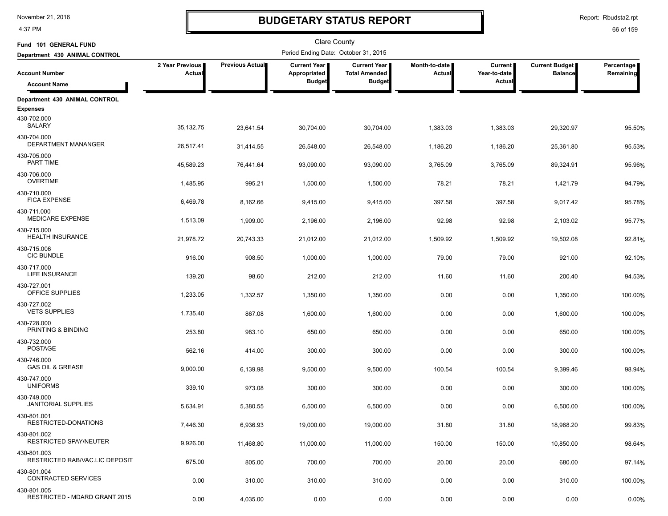4:37 PM

# **BUDGETARY STATUS REPORT**

Report: Rbudsta2.rpt

| Fund 101 GENERAL FUND                         |                           |                 | Clare County                         |                                             |                                  |                                |                                  |                         |
|-----------------------------------------------|---------------------------|-----------------|--------------------------------------|---------------------------------------------|----------------------------------|--------------------------------|----------------------------------|-------------------------|
| Department 430 ANIMAL CONTROL                 |                           |                 | Period Ending Date: October 31, 2015 |                                             |                                  |                                |                                  |                         |
| <b>Account Number</b>                         | 2 Year Previous<br>Actual | Previous Actual | Current Year<br>Appropriated         | <b>Current Year</b><br><b>Total Amended</b> | Month-to-date  <br><b>Actual</b> | <b>Current</b><br>Year-to-date | Current Budget<br><b>Balance</b> | Percentage<br>Remaining |
| <b>Account Name</b>                           |                           |                 | <b>Budget</b>                        | <b>Budget</b>                               |                                  | Actual                         |                                  |                         |
| Department 430 ANIMAL CONTROL                 |                           |                 |                                      |                                             |                                  |                                |                                  |                         |
| <b>Expenses</b><br>430-702.000<br>SALARY      | 35,132.75                 | 23,641.54       | 30,704.00                            | 30,704.00                                   | 1,383.03                         | 1,383.03                       | 29,320.97                        | 95.50%                  |
| 430-704.000<br>DEPARTMENT MANANGER            | 26,517.41                 | 31,414.55       | 26,548.00                            | 26,548.00                                   | 1,186.20                         | 1,186.20                       | 25,361.80                        | 95.53%                  |
| 430-705.000<br>PART TIME                      | 45,589.23                 | 76,441.64       | 93,090.00                            | 93,090.00                                   | 3,765.09                         | 3,765.09                       | 89,324.91                        | 95.96%                  |
| 430-706.000<br><b>OVERTIME</b>                | 1,485.95                  | 995.21          | 1,500.00                             | 1,500.00                                    | 78.21                            | 78.21                          | 1,421.79                         | 94.79%                  |
| 430-710.000<br><b>FICA EXPENSE</b>            | 6,469.78                  | 8,162.66        | 9,415.00                             | 9,415.00                                    | 397.58                           | 397.58                         | 9,017.42                         | 95.78%                  |
| 430-711.000<br><b>MEDICARE EXPENSE</b>        | 1,513.09                  | 1,909.00        | 2,196.00                             | 2,196.00                                    | 92.98                            | 92.98                          | 2,103.02                         | 95.77%                  |
| 430-715.000<br><b>HEALTH INSURANCE</b>        | 21,978.72                 | 20,743.33       | 21,012.00                            | 21,012.00                                   | 1,509.92                         | 1,509.92                       | 19,502.08                        | 92.81%                  |
| 430-715.006<br><b>CIC BUNDLE</b>              | 916.00                    | 908.50          | 1,000.00                             | 1,000.00                                    | 79.00                            | 79.00                          | 921.00                           | 92.10%                  |
| 430-717.000<br>LIFE INSURANCE                 | 139.20                    | 98.60           | 212.00                               | 212.00                                      | 11.60                            | 11.60                          | 200.40                           | 94.53%                  |
| 430-727.001<br>OFFICE SUPPLIES                | 1,233.05                  | 1,332.57        | 1,350.00                             | 1,350.00                                    | 0.00                             | 0.00                           | 1,350.00                         | 100.00%                 |
| 430-727.002<br><b>VETS SUPPLIES</b>           | 1,735.40                  | 867.08          | 1,600.00                             | 1,600.00                                    | 0.00                             | 0.00                           | 1,600.00                         | 100.00%                 |
| 430-728.000<br>PRINTING & BINDING             | 253.80                    | 983.10          | 650.00                               | 650.00                                      | 0.00                             | 0.00                           | 650.00                           | 100.00%                 |
| 430-732.000<br><b>POSTAGE</b>                 | 562.16                    | 414.00          | 300.00                               | 300.00                                      | 0.00                             | 0.00                           | 300.00                           | 100.00%                 |
| 430-746.000<br><b>GAS OIL &amp; GREASE</b>    | 9,000.00                  | 6,139.98        | 9,500.00                             | 9,500.00                                    | 100.54                           | 100.54                         | 9,399.46                         | 98.94%                  |
| 430-747.000<br><b>UNIFORMS</b>                | 339.10                    | 973.08          | 300.00                               | 300.00                                      | 0.00                             | 0.00                           | 300.00                           | 100.00%                 |
| 430-749.000<br><b>JANITORIAL SUPPLIES</b>     | 5,634.91                  | 5,380.55        | 6,500.00                             | 6,500.00                                    | 0.00                             | 0.00                           | 6,500.00                         | 100.00%                 |
| 430-801.001<br>RESTRICTED-DONATIONS           | 7,446.30                  | 6,936.93        | 19,000.00                            | 19,000.00                                   | 31.80                            | 31.80                          | 18,968.20                        | 99.83%                  |
| 430-801.002<br><b>RESTRICTED SPAY/NEUTER</b>  | 9,926.00                  | 11,468.80       | 11,000.00                            | 11,000.00                                   | 150.00                           | 150.00                         | 10,850.00                        | 98.64%                  |
| 430-801.003<br>RESTRICTED RAB/VAC.LIC DEPOSIT | 675.00                    | 805.00          | 700.00                               | 700.00                                      | 20.00                            | 20.00                          | 680.00                           | 97.14%                  |
| 430-801.004<br>CONTRACTED SERVICES            | 0.00                      | 310.00          | 310.00                               | 310.00                                      | 0.00                             | 0.00                           | 310.00                           | 100.00%                 |
| 430-801.005<br>RESTRICTED - MDARD GRANT 2015  | 0.00                      | 4,035.00        | 0.00                                 | 0.00                                        | 0.00                             | 0.00                           | 0.00                             | 0.00%                   |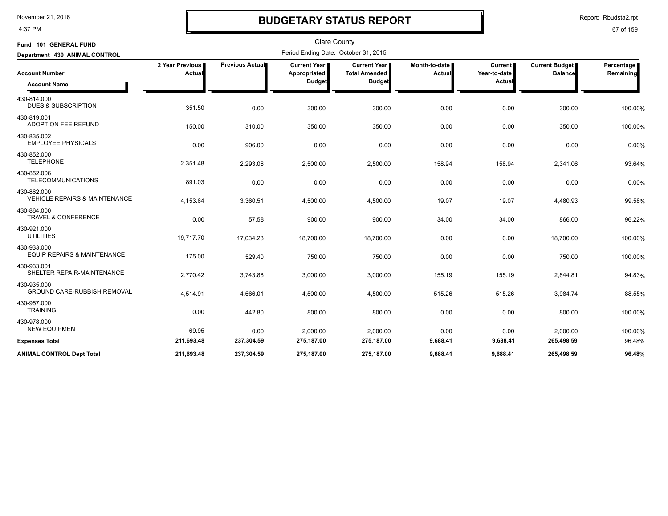4:37 PM

## **BUDGETARY STATUS REPORT**

Report: Rbudsta2.rpt

| Fund 101 GENERAL FUND                                   |                           |                 | <b>Clare County</b>                                  |                                                              |                         |                                   |                                         |                         |
|---------------------------------------------------------|---------------------------|-----------------|------------------------------------------------------|--------------------------------------------------------------|-------------------------|-----------------------------------|-----------------------------------------|-------------------------|
| Department 430 ANIMAL CONTROL                           |                           |                 | Period Ending Date: October 31, 2015                 |                                                              |                         |                                   |                                         |                         |
| <b>Account Number</b><br><b>Account Name</b>            | 2 Year Previous<br>Actual | Previous Actual | <b>Current Year</b><br>Appropriated<br><b>Budget</b> | <b>Current Year</b><br><b>Total Amended</b><br><b>Budget</b> | Month-to-date<br>Actual | Current<br>Year-to-date<br>Actual | <b>Current Budget</b><br><b>Balance</b> | Percentage<br>Remaining |
| 430-814.000<br><b>DUES &amp; SUBSCRIPTION</b>           | 351.50                    | 0.00            | 300.00                                               | 300.00                                                       | 0.00                    | 0.00                              | 300.00                                  | 100.00%                 |
| 430-819.001<br><b>ADOPTION FEE REFUND</b>               | 150.00                    | 310.00          | 350.00                                               | 350.00                                                       | 0.00                    | 0.00                              | 350.00                                  | 100.00%                 |
| 430-835.002<br><b>EMPLOYEE PHYSICALS</b>                | 0.00                      | 906.00          | 0.00                                                 | 0.00                                                         | 0.00                    | 0.00                              | 0.00                                    | 0.00%                   |
| 430-852.000<br><b>TELEPHONE</b>                         | 2,351.48                  | 2,293.06        | 2,500.00                                             | 2,500.00                                                     | 158.94                  | 158.94                            | 2,341.06                                | 93.64%                  |
| 430-852.006<br><b>TELECOMMUNICATIONS</b>                | 891.03                    | 0.00            | 0.00                                                 | 0.00                                                         | 0.00                    | 0.00                              | 0.00                                    | 0.00%                   |
| 430-862.000<br><b>VEHICLE REPAIRS &amp; MAINTENANCE</b> | 4,153.64                  | 3,360.51        | 4,500.00                                             | 4,500.00                                                     | 19.07                   | 19.07                             | 4,480.93                                | 99.58%                  |
| 430-864.000<br><b>TRAVEL &amp; CONFERENCE</b>           | 0.00                      | 57.58           | 900.00                                               | 900.00                                                       | 34.00                   | 34.00                             | 866.00                                  | 96.22%                  |
| 430-921.000<br><b>UTILITIES</b>                         | 19,717.70                 | 17,034.23       | 18,700.00                                            | 18,700.00                                                    | 0.00                    | 0.00                              | 18,700.00                               | 100.00%                 |
| 430-933.000<br><b>EQUIP REPAIRS &amp; MAINTENANCE</b>   | 175.00                    | 529.40          | 750.00                                               | 750.00                                                       | 0.00                    | 0.00                              | 750.00                                  | 100.00%                 |
| 430-933.001<br>SHELTER REPAIR-MAINTENANCE               | 2,770.42                  | 3,743.88        | 3,000.00                                             | 3,000.00                                                     | 155.19                  | 155.19                            | 2,844.81                                | 94.83%                  |
| 430-935.000<br><b>GROUND CARE-RUBBISH REMOVAL</b>       | 4,514.91                  | 4,666.01        | 4,500.00                                             | 4,500.00                                                     | 515.26                  | 515.26                            | 3,984.74                                | 88.55%                  |
| 430-957.000<br><b>TRAINING</b>                          | 0.00                      | 442.80          | 800.00                                               | 800.00                                                       | 0.00                    | 0.00                              | 800.00                                  | 100.00%                 |
| 430-978.000<br><b>NEW EQUIPMENT</b>                     | 69.95                     | 0.00            | 2,000.00                                             | 2,000.00                                                     | 0.00                    | 0.00                              | 2,000.00                                | 100.00%                 |
| <b>Expenses Total</b>                                   | 211,693.48                | 237,304.59      | 275,187.00                                           | 275,187.00                                                   | 9,688.41                | 9,688.41                          | 265,498.59                              | 96.48%                  |
| <b>ANIMAL CONTROL Dept Total</b>                        | 211.693.48                | 237.304.59      | 275.187.00                                           | 275.187.00                                                   | 9.688.41                | 9.688.41                          | 265.498.59                              | 96.48%                  |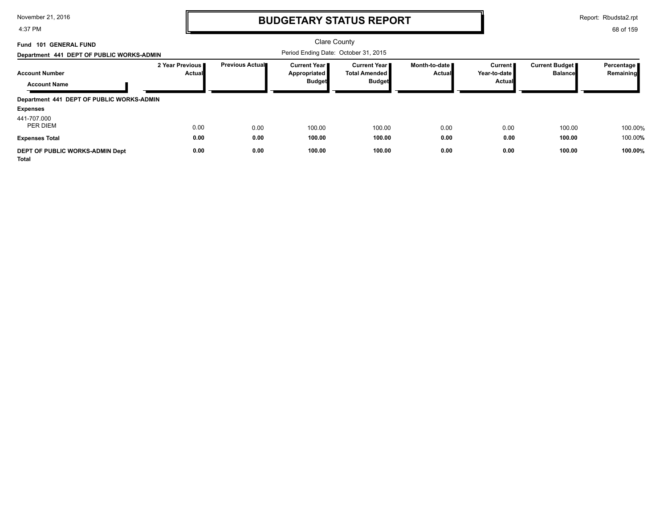4:37 PM

# **BUDGETARY STATUS REPORT**

Report: Rbudsta2.rpt

| <b>101 GENERAL FUND</b><br>Fund<br>Department 441 DEPT OF PUBLIC WORKS-ADMIN |                           |                         | Period Ending Date: October 31, 2015                   | <b>Clare County</b>                                            |                         |                                     |                                         |                         |
|------------------------------------------------------------------------------|---------------------------|-------------------------|--------------------------------------------------------|----------------------------------------------------------------|-------------------------|-------------------------------------|-----------------------------------------|-------------------------|
| <b>Account Number</b><br><b>Account Name</b>                                 | 2 Year Previous<br>Actual | <b>Previous Actual■</b> | <b>Current Year I</b><br>Appropriated<br><b>Budget</b> | <b>Current Year</b> ∎<br><b>Total Amended</b><br><b>Budget</b> | Month-to-date<br>Actual | Current I<br>Year-to-date<br>Actual | <b>Current Budget</b><br><b>Balance</b> | Percentage<br>Remaining |
| Department 441 DEPT OF PUBLIC WORKS-ADMIN<br><b>Expenses</b>                 |                           |                         |                                                        |                                                                |                         |                                     |                                         |                         |
| 441-707.000<br>PER DIEM                                                      | 0.00                      | 0.00                    | 100.00                                                 | 100.00                                                         | 0.00                    | 0.00                                | 100.00                                  | 100.00%                 |
| <b>Expenses Total</b>                                                        | 0.00                      | 0.00                    | 100.00                                                 | 100.00                                                         | 0.00                    | 0.00                                | 100.00                                  | 100.00%                 |
| DEPT OF PUBLIC WORKS-ADMIN Dept<br><b>Total</b>                              | 0.00                      | 0.00                    | 100.00                                                 | 100.00                                                         | 0.00                    | 0.00                                | 100.00                                  | 100.00%                 |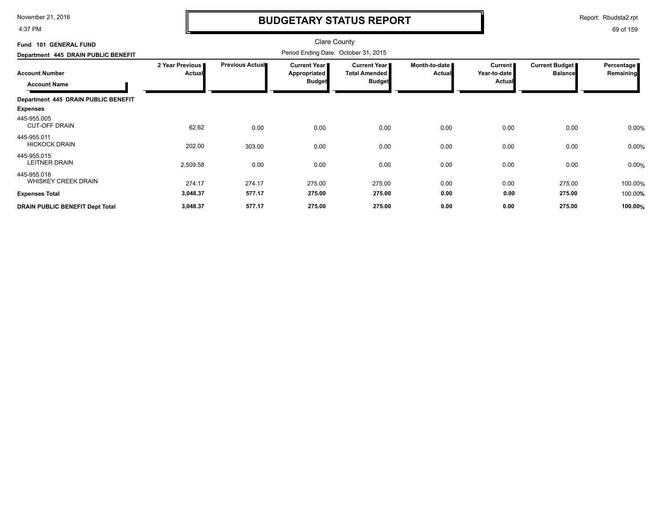4:37 PM

# **BUDGETARY STATUS REPORT**

Report: Rbudsta2.rpt

| Fund 101 GENERAL FUND                     |                           |                        | <b>Clare County</b>                   |                                               |                                |                                |                                  |                         |
|-------------------------------------------|---------------------------|------------------------|---------------------------------------|-----------------------------------------------|--------------------------------|--------------------------------|----------------------------------|-------------------------|
| Department 445 DRAIN PUBLIC BENEFIT       |                           |                        | Period Ending Date: October 31, 2015  |                                               |                                |                                |                                  |                         |
| <b>Account Number</b>                     | 2 Year Previous<br>Actual | <b>Previous Actual</b> | <b>Current Year I</b><br>Appropriated | <b>Current Year</b> I<br><b>Total Amended</b> | Month-to-date<br><b>Actual</b> | <b>Current</b><br>Year-to-date | Current Budget<br><b>Balance</b> | Percentage<br>Remaining |
| <b>Account Name</b>                       |                           |                        | <b>Budget</b>                         | <b>Budget</b>                                 |                                | <b>Actual</b>                  |                                  |                         |
| Department 445 DRAIN PUBLIC BENEFIT       |                           |                        |                                       |                                               |                                |                                |                                  |                         |
| <b>Expenses</b>                           |                           |                        |                                       |                                               |                                |                                |                                  |                         |
| 445-955.005<br><b>CUT-OFF DRAIN</b>       | 62.62                     | 0.00                   | 0.00                                  | 0.00                                          | 0.00                           | 0.00                           | 0.00                             | 0.00%                   |
| 445-955.011<br><b>HICKOCK DRAIN</b>       | 202.00                    | 303.00                 | 0.00                                  | 0.00                                          | 0.00                           | 0.00                           | 0.00                             | 0.00%                   |
| 445-955.015<br>LEITNER DRAIN              | 2,509.58                  | 0.00                   | 0.00                                  | 0.00                                          | 0.00                           | 0.00                           | 0.00                             | 0.00%                   |
| 445-955.018<br><b>WHISKEY CREEK DRAIN</b> | 274.17                    | 274.17                 | 275.00                                | 275.00                                        | 0.00                           | 0.00                           | 275.00                           | 100.00%                 |
| <b>Expenses Total</b>                     | 3,048.37                  | 577.17                 | 275.00                                | 275.00                                        | 0.00                           | 0.00                           | 275.00                           | 100.00%                 |
| <b>DRAIN PUBLIC BENEFIT Dept Total</b>    | 3,048.37                  | 577.17                 | 275.00                                | 275.00                                        | 0.00                           | 0.00                           | 275.00                           | 100.00%                 |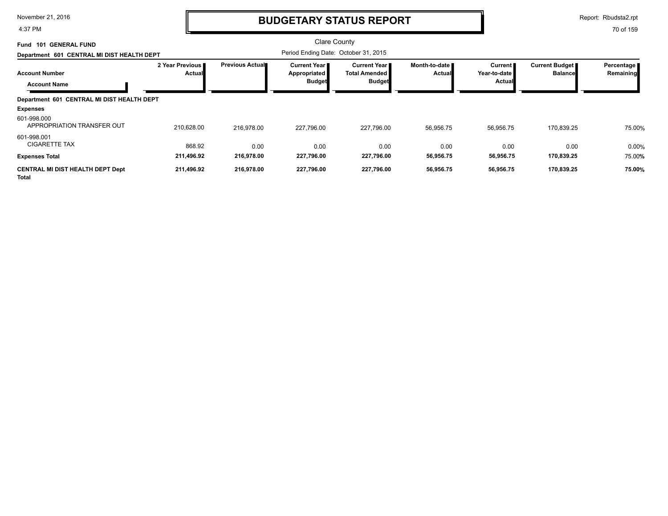4:37 PM

## **BUDGETARY STATUS REPORT**

Report: Rbudsta2.rpt

| <b>GENERAL FUND</b><br>Fund 101                         |                           |                        | <b>Clare County</b>                                           |                                                         |                                |                                     |                                         |                         |
|---------------------------------------------------------|---------------------------|------------------------|---------------------------------------------------------------|---------------------------------------------------------|--------------------------------|-------------------------------------|-----------------------------------------|-------------------------|
| Department 601 CENTRAL MI DIST HEALTH DEPT              |                           |                        | Period Ending Date: October 31, 2015                          |                                                         |                                |                                     |                                         |                         |
| <b>Account Number</b><br><b>Account Name</b>            | 2 Year Previous<br>Actual | <b>Previous Actual</b> | <b>Current Year I</b><br><b>Appropriated</b><br><b>Budget</b> | Current Year I<br><b>Total Amended</b><br><b>Budget</b> | Month-to-date<br><b>Actual</b> | Current  <br>Year-to-date<br>Actual | <b>Current Budget</b><br><b>Balance</b> | Percentage<br>Remaining |
| Department 601 CENTRAL MI DIST HEALTH DEPT              |                           |                        |                                                               |                                                         |                                |                                     |                                         |                         |
| <b>Expenses</b>                                         |                           |                        |                                                               |                                                         |                                |                                     |                                         |                         |
| 601-998.000<br>APPROPRIATION TRANSFER OUT               | 210,628.00                | 216.978.00             | 227,796.00                                                    | 227,796.00                                              | 56,956.75                      | 56,956.75                           | 170,839.25                              | 75.00%                  |
| 601-998.001<br><b>CIGARETTE TAX</b>                     | 868.92                    | 0.00                   | 0.00                                                          | 0.00                                                    | 0.00                           | 0.00                                | 0.00                                    | 0.00%                   |
| <b>Expenses Total</b>                                   | 211,496.92                | 216,978.00             | 227,796.00                                                    | 227,796.00                                              | 56,956.75                      | 56,956.75                           | 170,839.25                              | 75.00%                  |
| <b>CENTRAL MI DIST HEALTH DEPT Dept</b><br><b>Total</b> | 211,496.92                | 216,978.00             | 227,796.00                                                    | 227,796.00                                              | 56,956.75                      | 56,956.75                           | 170,839.25                              | 75.00%                  |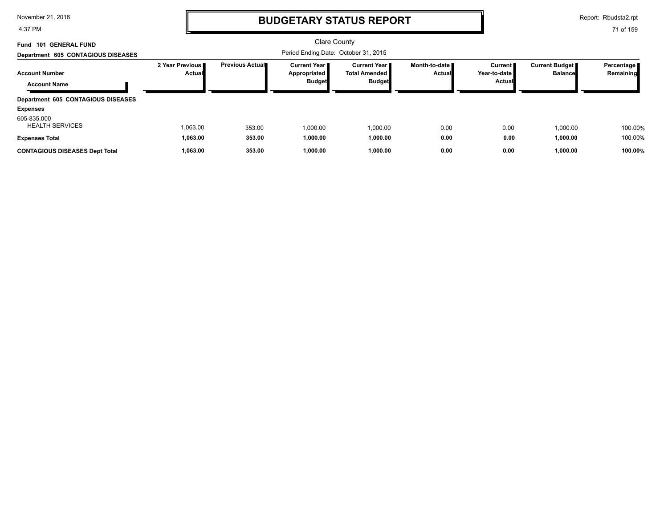4:37 PM

## **BUDGETARY STATUS REPORT**

Report: Rbudsta2.rpt

| Fund 101 GENERAL FUND                        |                                    |                         | Clare County                                                  |                                                                 |                                  |                                     |                                         |                           |
|----------------------------------------------|------------------------------------|-------------------------|---------------------------------------------------------------|-----------------------------------------------------------------|----------------------------------|-------------------------------------|-----------------------------------------|---------------------------|
| Department 605 CONTAGIOUS DISEASES           |                                    |                         |                                                               |                                                                 |                                  |                                     |                                         |                           |
| <b>Account Number</b><br><b>Account Name</b> | 2 Year Previous I<br><b>Actual</b> | <b>Previous Actual■</b> | <b>Current Year I</b><br><b>Appropriated</b><br><b>Budget</b> | <b>Current Year II</b><br><b>Total Amended</b><br><b>Budget</b> | Month-to-date ■<br><b>Actual</b> | Current  <br>Year-to-date<br>Actual | <b>Current Budget</b><br><b>Balance</b> | Percentage  <br>Remaining |
| Department 605 CONTAGIOUS DISEASES           |                                    |                         |                                                               |                                                                 |                                  |                                     |                                         |                           |
| <b>Expenses</b>                              |                                    |                         |                                                               |                                                                 |                                  |                                     |                                         |                           |
| 605-835.000<br><b>HEALTH SERVICES</b>        | 1,063.00                           | 353.00                  | 1,000.00                                                      | 1,000.00                                                        | 0.00                             | 0.00                                | 1.000.00                                | 100.00%                   |
| <b>Expenses Total</b>                        | 1,063.00                           | 353.00                  | 1,000.00                                                      | 1,000.00                                                        | 0.00                             | 0.00                                | 1,000.00                                | 100.00%                   |
| <b>CONTAGIOUS DISEASES Dept Total</b>        | 1,063.00                           | 353.00                  | 1,000.00                                                      | 1,000.00                                                        | 0.00                             | 0.00                                | 1,000.00                                | 100.00%                   |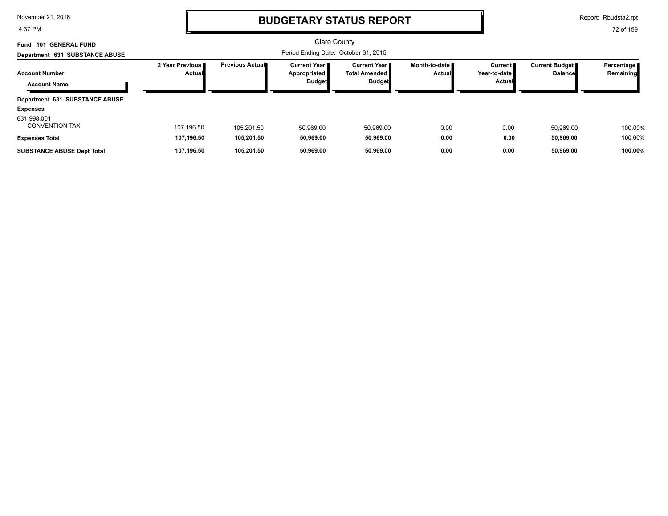4:37 PM

## **BUDGETARY STATUS REPORT**

Report: Rbudsta2.rpt

| <b>GENERAL FUND</b><br>101<br>Fund   |                                    |                 | <b>Clare County</b>                   |                                         |                                  |                           |                                         |                         |
|--------------------------------------|------------------------------------|-----------------|---------------------------------------|-----------------------------------------|----------------------------------|---------------------------|-----------------------------------------|-------------------------|
| Department 631 SUBSTANCE ABUSE       |                                    |                 |                                       |                                         |                                  |                           |                                         |                         |
| <b>Account Number</b>                | 2 Year Previous I<br><b>Actual</b> | Previous Actual | <b>Current Year I</b><br>Appropriated | Current Year II<br><b>Total Amended</b> | Month-to-date ■<br><b>Actual</b> | Current  <br>Year-to-date | <b>Current Budget</b><br><b>Balance</b> | Percentage<br>Remaining |
| <b>Account Name</b>                  |                                    |                 | <b>Budget</b>                         | <b>Budget</b>                           |                                  | <b>Actual</b>             |                                         |                         |
| Department 631 SUBSTANCE ABUSE       |                                    |                 |                                       |                                         |                                  |                           |                                         |                         |
| <b>Expenses</b>                      |                                    |                 |                                       |                                         |                                  |                           |                                         |                         |
| 631-998.001<br><b>CONVENTION TAX</b> | 107,196.50                         | 105.201.50      | 50.969.00                             | 50,969.00                               | 0.00                             | 0.00                      | 50,969.00                               | 100.00%                 |
| <b>Expenses Total</b>                | 107.196.50                         | 105.201.50      | 50.969.00                             | 50,969.00                               | 0.00                             | 0.00                      | 50,969.00                               | 100.00%                 |
| <b>SUBSTANCE ABUSE Dept Total</b>    | 107.196.50                         | 105.201.50      | 50.969.00                             | 50.969.00                               | 0.00                             | 0.00                      | 50.969.00                               | 100.00%                 |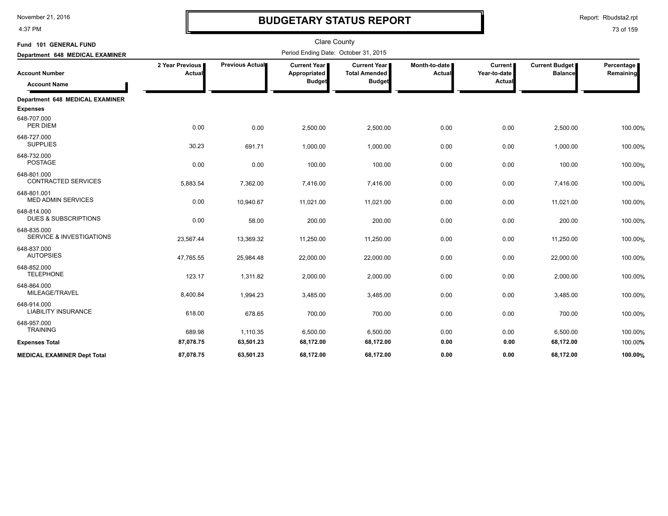4:37 PM

# **BUDGETARY STATUS REPORT**

Report: Rbudsta2.rpt

| Fund 101 GENERAL FUND                              |                           |                 | <b>Clare County</b>                                  |                                                                |                           |                                     |                                         |                         |
|----------------------------------------------------|---------------------------|-----------------|------------------------------------------------------|----------------------------------------------------------------|---------------------------|-------------------------------------|-----------------------------------------|-------------------------|
| Department 648 MEDICAL EXAMINER                    |                           |                 | Period Ending Date: October 31, 2015                 |                                                                |                           |                                     |                                         |                         |
| <b>Account Number</b><br><b>Account Name</b>       | 2 Year Previous<br>Actual | Previous Actual | <b>Current Year</b><br>Appropriated<br><b>Budget</b> | <b>Current Year I</b><br><b>Total Amended</b><br><b>Budget</b> | Month-to-date I<br>Actual | Current  <br>Year-to-date<br>Actual | <b>Current Budget</b><br><b>Balance</b> | Percentage<br>Remaining |
| Department 648 MEDICAL EXAMINER                    |                           |                 |                                                      |                                                                |                           |                                     |                                         |                         |
| <b>Expenses</b>                                    |                           |                 |                                                      |                                                                |                           |                                     |                                         |                         |
| 648-707.000<br>PER DIEM                            | 0.00                      | 0.00            | 2,500.00                                             | 2,500.00                                                       | 0.00                      | 0.00                                | 2,500.00                                | 100.00%                 |
| 648-727.000<br><b>SUPPLIES</b>                     | 30.23                     | 691.71          | 1,000.00                                             | 1,000.00                                                       | 0.00                      | 0.00                                | 1,000.00                                | 100.00%                 |
| 648-732.000<br><b>POSTAGE</b>                      | 0.00                      | 0.00            | 100.00                                               | 100.00                                                         | 0.00                      | 0.00                                | 100.00                                  | 100.00%                 |
| 648-801.000<br><b>CONTRACTED SERVICES</b>          | 5,883.54                  | 7,362.00        | 7,416.00                                             | 7,416.00                                                       | 0.00                      | 0.00                                | 7,416.00                                | 100.00%                 |
| 648-801.001<br><b>MED ADMIN SERVICES</b>           | 0.00                      | 10,940.67       | 11,021.00                                            | 11,021.00                                                      | 0.00                      | 0.00                                | 11,021.00                               | 100.00%                 |
| 648-814.000<br><b>DUES &amp; SUBSCRIPTIONS</b>     | 0.00                      | 58.00           | 200.00                                               | 200.00                                                         | 0.00                      | 0.00                                | 200.00                                  | 100.00%                 |
| 648-835.000<br><b>SERVICE &amp; INVESTIGATIONS</b> | 23,567.44                 | 13,369.32       | 11,250.00                                            | 11,250.00                                                      | 0.00                      | 0.00                                | 11,250.00                               | 100.00%                 |
| 648-837.000<br><b>AUTOPSIES</b>                    | 47,765.55                 | 25,984.48       | 22,000.00                                            | 22,000.00                                                      | 0.00                      | 0.00                                | 22,000.00                               | 100.00%                 |
| 648-852.000<br><b>TELEPHONE</b>                    | 123.17                    | 1,311.82        | 2,000.00                                             | 2,000.00                                                       | 0.00                      | 0.00                                | 2,000.00                                | 100.00%                 |
| 648-864.000<br>MILEAGE/TRAVEL                      | 8,400.84                  | 1,994.23        | 3,485.00                                             | 3,485.00                                                       | 0.00                      | 0.00                                | 3,485.00                                | 100.00%                 |
| 648-914.000<br><b>LIABILITY INSURANCE</b>          | 618.00                    | 678.65          | 700.00                                               | 700.00                                                         | 0.00                      | 0.00                                | 700.00                                  | 100.00%                 |
| 648-957.000<br><b>TRAINING</b>                     | 689.98                    | 1,110.35        | 6,500.00                                             | 6,500.00                                                       | 0.00                      | 0.00                                | 6,500.00                                | 100.00%                 |
| <b>Expenses Total</b>                              | 87,078.75                 | 63,501.23       | 68,172.00                                            | 68,172.00                                                      | 0.00                      | 0.00                                | 68,172.00                               | 100.00%                 |
| <b>MEDICAL EXAMINER Dept Total</b>                 | 87.078.75                 | 63.501.23       | 68.172.00                                            | 68.172.00                                                      | 0.00                      | 0.00                                | 68.172.00                               | 100.00%                 |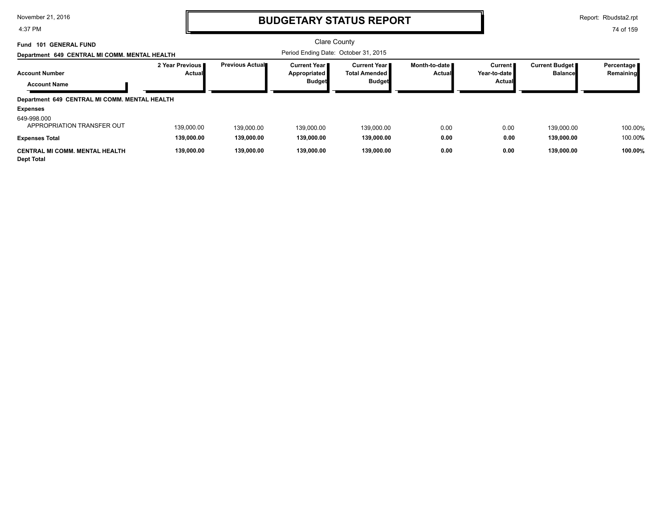4:37 PM

### **BUDGETARY STATUS REPORT**

Report: Rbudsta2.rpt

| <b>101 GENERAL FUND</b><br>Fund<br>Department 649 CENTRAL MI COMM. MENTAL HEALTH |                                  |                        | Period Ending Date: October 31, 2015                   | Clare County                                                    |                                  |                                                 |                                         |                           |
|----------------------------------------------------------------------------------|----------------------------------|------------------------|--------------------------------------------------------|-----------------------------------------------------------------|----------------------------------|-------------------------------------------------|-----------------------------------------|---------------------------|
| <b>Account Number</b><br><b>Account Name</b>                                     | 2 Year Previous<br><b>Actual</b> | <b>Previous Actual</b> | <b>Current Year I</b><br>Appropriated<br><b>Budget</b> | <b>Current Year II</b><br><b>Total Amended</b><br><b>Budget</b> | Month-to-date ∎<br><b>Actual</b> | <b>Current</b><br>Year-to-date<br><b>Actual</b> | <b>Current Budget</b><br><b>Balance</b> | Percentage  <br>Remaining |
| Department 649 CENTRAL MI COMM. MENTAL HEALTH                                    |                                  |                        |                                                        |                                                                 |                                  |                                                 |                                         |                           |
| <b>Expenses</b>                                                                  |                                  |                        |                                                        |                                                                 |                                  |                                                 |                                         |                           |
| 649-998.000<br>APPROPRIATION TRANSFER OUT                                        | 139.000.00                       | 139,000.00             | 139.000.00                                             | 139.000.00                                                      | 0.00                             | 0.00                                            | 139.000.00                              | 100.00%                   |
| <b>Expenses Total</b>                                                            | 139,000.00                       | 139,000.00             | 139.000.00                                             | 139,000.00                                                      | 0.00                             | 0.00                                            | 139,000.00                              | 100.00%                   |
| <b>CENTRAL MI COMM. MENTAL HEALTH</b><br><b>Dept Total</b>                       | 139,000.00                       | 139.000.00             | 139.000.00                                             | 139,000.00                                                      | 0.00                             | 0.00                                            | 139,000.00                              | 100.00%                   |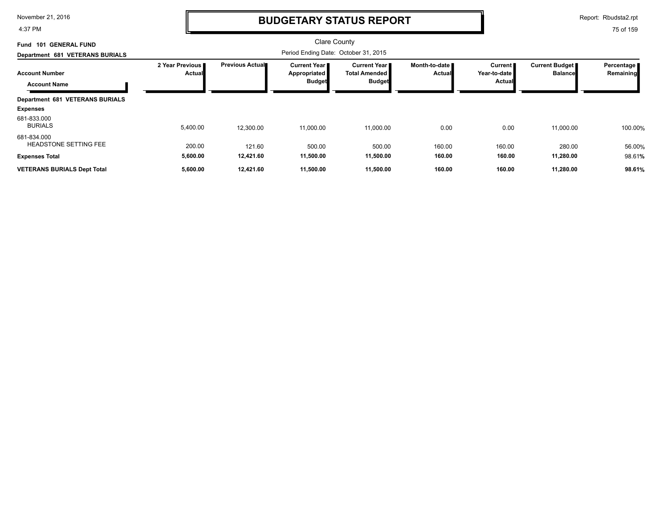4:37 PM

### **BUDGETARY STATUS REPORT**

Report: Rbudsta2.rpt

| <b>GENERAL FUND</b><br><b>Fund 101</b>       |                           |                         | <b>Clare County</b>                                    |                                                              |                                  |                                          |                                         |                         |
|----------------------------------------------|---------------------------|-------------------------|--------------------------------------------------------|--------------------------------------------------------------|----------------------------------|------------------------------------------|-----------------------------------------|-------------------------|
| Department 681 VETERANS BURIALS              |                           |                         | Period Ending Date: October 31, 2015                   |                                                              |                                  |                                          |                                         |                         |
| <b>Account Number</b><br><b>Account Name</b> | 2 Year Previous<br>Actual | <b>Previous Actual■</b> | <b>Current Year I</b><br>Appropriated<br><b>Budget</b> | <b>Current Year</b><br><b>Total Amended</b><br><b>Budget</b> | Month-to-date I<br><b>Actual</b> | <b>Current</b><br>Year-to-date<br>Actual | <b>Current Budget</b><br><b>Balance</b> | Percentage<br>Remaining |
| <b>Department 681 VETERANS BURIALS</b>       |                           |                         |                                                        |                                                              |                                  |                                          |                                         |                         |
| <b>Expenses</b>                              |                           |                         |                                                        |                                                              |                                  |                                          |                                         |                         |
| 681-833.000<br><b>BURIALS</b>                | 5,400.00                  | 12,300.00               | 11,000.00                                              | 11,000.00                                                    | 0.00                             | 0.00                                     | 11,000.00                               | 100.00%                 |
| 681-834.000<br><b>HEADSTONE SETTING FEE</b>  | 200.00                    | 121.60                  | 500.00                                                 | 500.00                                                       | 160.00                           | 160.00                                   | 280.00                                  | 56.00%                  |
| <b>Expenses Total</b>                        | 5,600.00                  | 12,421.60               | 11,500.00                                              | 11,500.00                                                    | 160.00                           | 160.00                                   | 11,280.00                               | 98.61%                  |
| <b>VETERANS BURIALS Dept Total</b>           | 5,600.00                  | 12,421.60               | 11,500.00                                              | 11,500.00                                                    | 160.00                           | 160.00                                   | 11,280.00                               | 98.61%                  |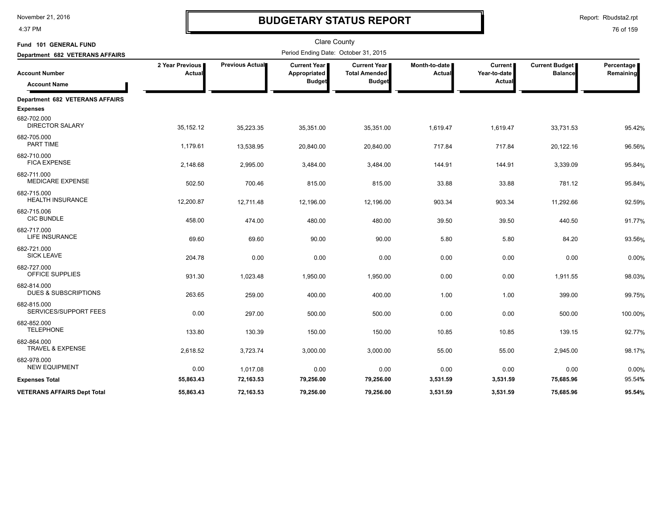4:37 PM

# **BUDGETARY STATUS REPORT**

Report: Rbudsta2.rpt

| Fund 101 GENERAL FUND                          |                           |                 | <b>Clare County</b>                  |                                             |                         |                                |                                         |                         |
|------------------------------------------------|---------------------------|-----------------|--------------------------------------|---------------------------------------------|-------------------------|--------------------------------|-----------------------------------------|-------------------------|
| Department 682 VETERANS AFFAIRS                |                           |                 | Period Ending Date: October 31, 2015 |                                             |                         |                                |                                         |                         |
| <b>Account Number</b>                          | 2 Year Previous<br>Actual | Previous Actual | Current Year<br>Appropriated         | <b>Current Year</b><br><b>Total Amended</b> | Month-to-date<br>Actual | <b>Current</b><br>Year-to-date | <b>Current Budget</b><br><b>Balance</b> | Percentage<br>Remaining |
| <b>Account Name</b>                            |                           |                 | <b>Budget</b>                        | <b>Budget</b>                               |                         | Actual                         |                                         |                         |
| Department 682 VETERANS AFFAIRS                |                           |                 |                                      |                                             |                         |                                |                                         |                         |
| <b>Expenses</b>                                |                           |                 |                                      |                                             |                         |                                |                                         |                         |
| 682-702.000<br><b>DIRECTOR SALARY</b>          | 35,152.12                 | 35,223.35       | 35,351.00                            | 35,351.00                                   | 1,619.47                | 1,619.47                       | 33,731.53                               | 95.42%                  |
| 682-705.000<br>PART TIME                       | 1,179.61                  | 13,538.95       | 20,840.00                            | 20,840.00                                   | 717.84                  | 717.84                         | 20,122.16                               | 96.56%                  |
| 682-710.000<br><b>FICA EXPENSE</b>             | 2,148.68                  | 2,995.00        | 3,484.00                             | 3,484.00                                    | 144.91                  | 144.91                         | 3,339.09                                | 95.84%                  |
| 682-711.000<br><b>MEDICARE EXPENSE</b>         | 502.50                    | 700.46          | 815.00                               | 815.00                                      | 33.88                   | 33.88                          | 781.12                                  | 95.84%                  |
| 682-715.000<br><b>HEALTH INSURANCE</b>         | 12,200.87                 | 12,711.48       | 12,196.00                            | 12,196.00                                   | 903.34                  | 903.34                         | 11,292.66                               | 92.59%                  |
| 682-715.006<br><b>CIC BUNDLE</b>               | 458.00                    | 474.00          | 480.00                               | 480.00                                      | 39.50                   | 39.50                          | 440.50                                  | 91.77%                  |
| 682-717.000<br>LIFE INSURANCE                  | 69.60                     | 69.60           | 90.00                                | 90.00                                       | 5.80                    | 5.80                           | 84.20                                   | 93.56%                  |
| 682-721.000<br><b>SICK LEAVE</b>               | 204.78                    | 0.00            | 0.00                                 | 0.00                                        | 0.00                    | 0.00                           | 0.00                                    | 0.00%                   |
| 682-727.000<br><b>OFFICE SUPPLIES</b>          | 931.30                    | 1,023.48        | 1,950.00                             | 1,950.00                                    | 0.00                    | 0.00                           | 1,911.55                                | 98.03%                  |
| 682-814.000<br><b>DUES &amp; SUBSCRIPTIONS</b> | 263.65                    | 259.00          | 400.00                               | 400.00                                      | 1.00                    | 1.00                           | 399.00                                  | 99.75%                  |
| 682-815.000<br>SERVICES/SUPPORT FEES           | 0.00                      | 297.00          | 500.00                               | 500.00                                      | 0.00                    | 0.00                           | 500.00                                  | 100.00%                 |
| 682-852.000<br><b>TELEPHONE</b>                | 133.80                    | 130.39          | 150.00                               | 150.00                                      | 10.85                   | 10.85                          | 139.15                                  | 92.77%                  |
| 682-864.000<br>TRAVEL & EXPENSE                | 2,618.52                  | 3,723.74        | 3,000.00                             | 3,000.00                                    | 55.00                   | 55.00                          | 2,945.00                                | 98.17%                  |
| 682-978.000<br><b>NEW EQUIPMENT</b>            | 0.00                      | 1,017.08        | 0.00                                 | 0.00                                        | 0.00                    | 0.00                           | 0.00                                    | 0.00%                   |
| <b>Expenses Total</b>                          | 55,863.43                 | 72,163.53       | 79,256.00                            | 79,256.00                                   | 3,531.59                | 3,531.59                       | 75,685.96                               | 95.54%                  |
| <b>VETERANS AFFAIRS Dept Total</b>             | 55,863.43                 | 72,163.53       | 79,256.00                            | 79,256.00                                   | 3,531.59                | 3,531.59                       | 75,685.96                               | 95.54%                  |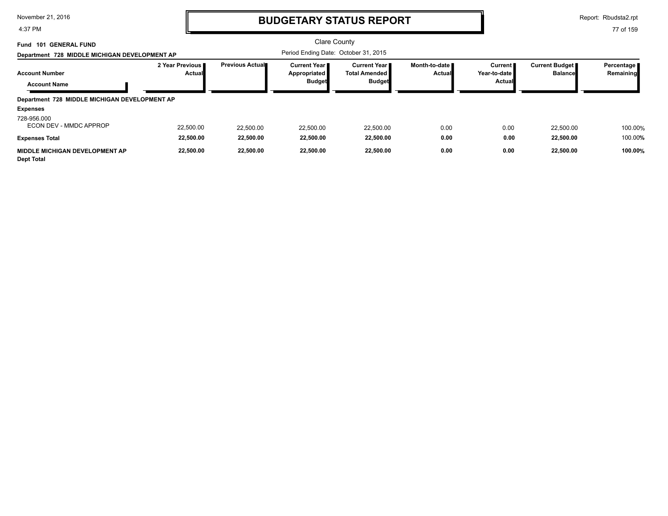4:37 PM

### **BUDGETARY STATUS REPORT**

Report: Rbudsta2.rpt

| 101 GENERAL FUND<br>Fund<br>Department 728 MIDDLE MICHIGAN DEVELOPMENT AP |                                  |                        | Period Ending Date: October 31, 2015                   | Clare County                                                    |                                  |                                                 |                                         |                           |
|---------------------------------------------------------------------------|----------------------------------|------------------------|--------------------------------------------------------|-----------------------------------------------------------------|----------------------------------|-------------------------------------------------|-----------------------------------------|---------------------------|
| <b>Account Number</b><br><b>Account Name</b>                              | 2 Year Previous<br><b>Actual</b> | <b>Previous Actual</b> | <b>Current Year I</b><br>Appropriated<br><b>Budget</b> | <b>Current Year II</b><br><b>Total Amended</b><br><b>Budget</b> | Month-to-date ■<br><b>Actual</b> | <b>Current</b><br>Year-to-date<br><b>Actual</b> | <b>Current Budget</b><br><b>Balance</b> | Percentage  <br>Remaining |
| Department 728 MIDDLE MICHIGAN DEVELOPMENT AP                             |                                  |                        |                                                        |                                                                 |                                  |                                                 |                                         |                           |
| <b>Expenses</b>                                                           |                                  |                        |                                                        |                                                                 |                                  |                                                 |                                         |                           |
| 728-956.000<br>ECON DEV - MMDC APPROP                                     | 22,500.00                        | 22,500.00              | 22,500.00                                              | 22,500.00                                                       | 0.00                             | 0.00                                            | 22,500.00                               | 100.00%                   |
| <b>Expenses Total</b>                                                     | 22,500.00                        | 22,500.00              | 22,500.00                                              | 22,500.00                                                       | 0.00                             | 0.00                                            | 22,500.00                               | 100.00%                   |
| <b>MIDDLE MICHIGAN DEVELOPMENT AP</b><br><b>Dept Total</b>                | 22,500.00                        | 22.500.00              | 22,500.00                                              | 22,500.00                                                       | 0.00                             | 0.00                                            | 22,500.00                               | 100.00%                   |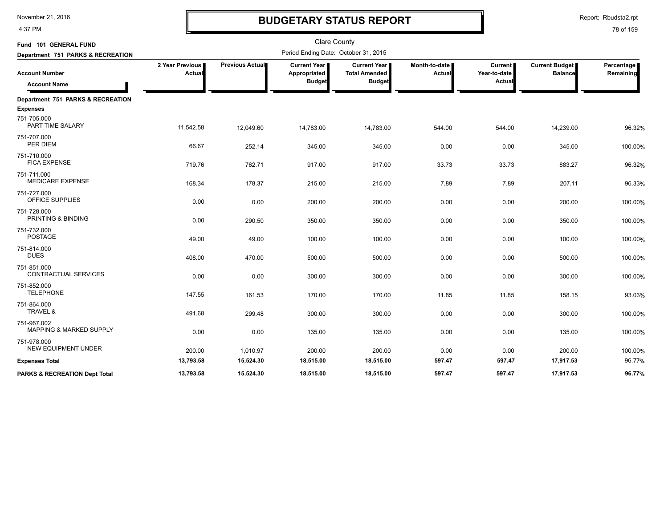4:37 PM

# **BUDGETARY STATUS REPORT**

Report: Rbudsta2.rpt

| Fund 101 GENERAL FUND                                |                                  |                        | <b>Clare County</b>                                    |                                                              |                                  |                                                 |                                         |                         |
|------------------------------------------------------|----------------------------------|------------------------|--------------------------------------------------------|--------------------------------------------------------------|----------------------------------|-------------------------------------------------|-----------------------------------------|-------------------------|
| Department 751 PARKS & RECREATION                    |                                  |                        | Period Ending Date: October 31, 2015                   |                                                              |                                  |                                                 |                                         |                         |
| <b>Account Number</b><br><b>Account Name</b>         | 2 Year Previous<br><b>Actual</b> | <b>Previous Actual</b> | <b>Current Year I</b><br>Appropriated<br><b>Budget</b> | <b>Current Year</b><br><b>Total Amended</b><br><b>Budget</b> | Month-to-date  <br><b>Actual</b> | <b>Current</b><br>Year-to-date<br><b>Actual</b> | <b>Current Budget</b><br><b>Balance</b> | Percentage<br>Remaining |
| Department 751 PARKS & RECREATION<br><b>Expenses</b> |                                  |                        |                                                        |                                                              |                                  |                                                 |                                         |                         |
| 751-705.000<br>PART TIME SALARY                      | 11,542.58                        | 12,049.60              | 14,783.00                                              | 14,783.00                                                    | 544.00                           | 544.00                                          | 14,239.00                               | 96.32%                  |
| 751-707.000<br>PER DIEM                              | 66.67                            | 252.14                 | 345.00                                                 | 345.00                                                       | 0.00                             | 0.00                                            | 345.00                                  | 100.00%                 |
| 751-710.000<br><b>FICA EXPENSE</b>                   | 719.76                           | 762.71                 | 917.00                                                 | 917.00                                                       | 33.73                            | 33.73                                           | 883.27                                  | 96.32%                  |
| 751-711.000<br><b>MEDICARE EXPENSE</b>               | 168.34                           | 178.37                 | 215.00                                                 | 215.00                                                       | 7.89                             | 7.89                                            | 207.11                                  | 96.33%                  |
| 751-727.000<br>OFFICE SUPPLIES                       | 0.00                             | 0.00                   | 200.00                                                 | 200.00                                                       | 0.00                             | 0.00                                            | 200.00                                  | 100.00%                 |
| 751-728.000<br>PRINTING & BINDING                    | 0.00                             | 290.50                 | 350.00                                                 | 350.00                                                       | 0.00                             | 0.00                                            | 350.00                                  | 100.00%                 |
| 751-732.000<br><b>POSTAGE</b>                        | 49.00                            | 49.00                  | 100.00                                                 | 100.00                                                       | 0.00                             | 0.00                                            | 100.00                                  | 100.00%                 |
| 751-814.000<br><b>DUES</b>                           | 408.00                           | 470.00                 | 500.00                                                 | 500.00                                                       | 0.00                             | 0.00                                            | 500.00                                  | 100.00%                 |
| 751-851.000<br>CONTRACTUAL SERVICES                  | 0.00                             | 0.00                   | 300.00                                                 | 300.00                                                       | 0.00                             | 0.00                                            | 300.00                                  | 100.00%                 |
| 751-852.000<br><b>TELEPHONE</b>                      | 147.55                           | 161.53                 | 170.00                                                 | 170.00                                                       | 11.85                            | 11.85                                           | 158.15                                  | 93.03%                  |
| 751-864.000<br>TRAVEL &                              | 491.68                           | 299.48                 | 300.00                                                 | 300.00                                                       | 0.00                             | 0.00                                            | 300.00                                  | 100.00%                 |
| 751-967.002<br><b>MAPPING &amp; MARKED SUPPLY</b>    | 0.00                             | 0.00                   | 135.00                                                 | 135.00                                                       | 0.00                             | 0.00                                            | 135.00                                  | 100.00%                 |
| 751-978.000<br><b>NEW EQUIPMENT UNDER</b>            | 200.00                           | 1,010.97               | 200.00                                                 | 200.00                                                       | 0.00                             | 0.00                                            | 200.00                                  | 100.00%                 |
| <b>Expenses Total</b>                                | 13,793.58                        | 15,524.30              | 18,515.00                                              | 18,515.00                                                    | 597.47                           | 597.47                                          | 17,917.53                               | 96.77%                  |
| <b>PARKS &amp; RECREATION Dept Total</b>             | 13,793.58                        | 15,524.30              | 18,515.00                                              | 18,515.00                                                    | 597.47                           | 597.47                                          | 17,917.53                               | 96.77%                  |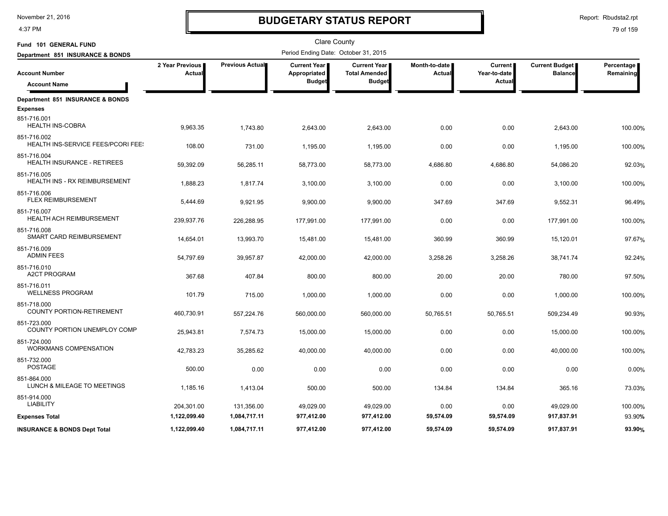4:37 PM

# **BUDGETARY STATUS REPORT**

Report: Rbudsta2.rpt

| Fund 101 GENERAL FUND                             |                           |                 | <b>Clare County</b>                                    |                                                              |                         |                                    |                                         |                         |
|---------------------------------------------------|---------------------------|-----------------|--------------------------------------------------------|--------------------------------------------------------------|-------------------------|------------------------------------|-----------------------------------------|-------------------------|
| Department 851 INSURANCE & BONDS                  |                           |                 | Period Ending Date: October 31, 2015                   |                                                              |                         |                                    |                                         |                         |
| <b>Account Number</b>                             | 2 Year Previous<br>Actual | Previous Actual | <b>Current Year</b>  <br>Appropriated<br><b>Budget</b> | <b>Current Year</b><br><b>Total Amended</b><br><b>Budget</b> | Month-to-date<br>Actual | Current  <br>Year-to-date<br>Actua | <b>Current Budget</b><br><b>Balance</b> | Percentage<br>Remaining |
| <b>Account Name</b>                               |                           |                 |                                                        |                                                              |                         |                                    |                                         |                         |
| Department 851 INSURANCE & BONDS                  |                           |                 |                                                        |                                                              |                         |                                    |                                         |                         |
| <b>Expenses</b><br>851-716.001                    |                           |                 |                                                        |                                                              |                         |                                    |                                         |                         |
| <b>HEALTH INS-COBRA</b>                           | 9,963.35                  | 1,743.80        | 2,643.00                                               | 2,643.00                                                     | 0.00                    | 0.00                               | 2,643.00                                | 100.00%                 |
| 851-716.002<br>HEALTH INS-SERVICE FEES/PCORI FEE! |                           |                 |                                                        |                                                              |                         |                                    |                                         |                         |
| 851-716.004                                       | 108.00                    | 731.00          | 1,195.00                                               | 1,195.00                                                     | 0.00                    | 0.00                               | 1,195.00                                | 100.00%                 |
| HEALTH INSURANCE - RETIREES                       | 59,392.09                 | 56,285.11       | 58,773.00                                              | 58,773.00                                                    | 4,686.80                | 4,686.80                           | 54,086.20                               | 92.03%                  |
| 851-716.005<br>HEALTH INS - RX REIMBURSEMENT      | 1,888.23                  | 1,817.74        | 3,100.00                                               | 3,100.00                                                     | 0.00                    | 0.00                               | 3,100.00                                | 100.00%                 |
| 851-716.006                                       |                           |                 |                                                        |                                                              |                         |                                    |                                         |                         |
| <b>FLEX REIMBURSEMENT</b>                         | 5,444.69                  | 9,921.95        | 9,900.00                                               | 9,900.00                                                     | 347.69                  | 347.69                             | 9,552.31                                | 96.49%                  |
| 851-716.007<br><b>HEALTH ACH REIMBURSEMENT</b>    | 239,937.76                | 226,288.95      | 177,991.00                                             | 177,991.00                                                   | 0.00                    | 0.00                               | 177,991.00                              | 100.00%                 |
| 851-716.008<br>SMART CARD REIMBURSEMENT           |                           |                 |                                                        |                                                              |                         |                                    |                                         |                         |
| 851-716.009                                       | 14,654.01                 | 13,993.70       | 15,481.00                                              | 15,481.00                                                    | 360.99                  | 360.99                             | 15,120.01                               | 97.67%                  |
| <b>ADMIN FEES</b>                                 | 54,797.69                 | 39,957.87       | 42,000.00                                              | 42,000.00                                                    | 3,258.26                | 3,258.26                           | 38,741.74                               | 92.24%                  |
| 851-716.010<br><b>A2CT PROGRAM</b>                |                           |                 |                                                        |                                                              |                         |                                    |                                         |                         |
| 851-716.011                                       | 367.68                    | 407.84          | 800.00                                                 | 800.00                                                       | 20.00                   | 20.00                              | 780.00                                  | 97.50%                  |
| <b>WELLNESS PROGRAM</b>                           | 101.79                    | 715.00          | 1,000.00                                               | 1,000.00                                                     | 0.00                    | 0.00                               | 1,000.00                                | 100.00%                 |
| 851-718.000<br><b>COUNTY PORTION-RETIREMENT</b>   |                           |                 |                                                        |                                                              |                         |                                    |                                         |                         |
| 851-723.000                                       | 460,730.91                | 557,224.76      | 560,000.00                                             | 560,000.00                                                   | 50,765.51               | 50,765.51                          | 509,234.49                              | 90.93%                  |
| COUNTY PORTION UNEMPLOY COMP                      | 25,943.81                 | 7,574.73        | 15,000.00                                              | 15,000.00                                                    | 0.00                    | 0.00                               | 15,000.00                               | 100.00%                 |
| 851-724.000<br><b>WORKMANS COMPENSATION</b>       | 42,783.23                 | 35,285.62       | 40,000.00                                              | 40,000.00                                                    | 0.00                    | 0.00                               | 40,000.00                               | 100.00%                 |
| 851-732.000                                       |                           |                 |                                                        |                                                              |                         |                                    |                                         |                         |
| <b>POSTAGE</b>                                    | 500.00                    | 0.00            | 0.00                                                   | 0.00                                                         | 0.00                    | 0.00                               | 0.00                                    | 0.00%                   |
| 851-864.000<br>LUNCH & MILEAGE TO MEETINGS        | 1,185.16                  | 1,413.04        | 500.00                                                 | 500.00                                                       | 134.84                  | 134.84                             | 365.16                                  | 73.03%                  |
| 851-914.000                                       |                           |                 |                                                        |                                                              |                         |                                    |                                         |                         |
| <b>LIABILITY</b>                                  | 204,301.00                | 131,356.00      | 49,029.00                                              | 49,029.00                                                    | 0.00                    | 0.00                               | 49,029.00                               | 100.00%                 |
| <b>Expenses Total</b>                             | 1,122,099.40              | 1,084,717.11    | 977,412.00                                             | 977,412.00                                                   | 59,574.09               | 59,574.09                          | 917,837.91                              | 93.90%                  |
| <b>INSURANCE &amp; BONDS Dept Total</b>           | 1.122.099.40              | 1,084,717.11    | 977.412.00                                             | 977.412.00                                                   | 59.574.09               | 59.574.09                          | 917.837.91                              | 93.90%                  |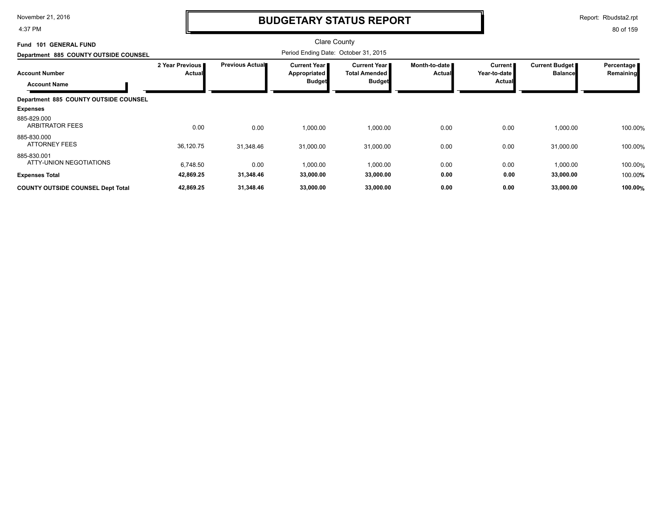4:37 PM

### **BUDGETARY STATUS REPORT**

Report: Rbudsta2.rpt

| <b>GENERAL FUND</b><br>101<br>Fund           |                                  |                         | <b>Clare County</b>                                    |                                                              |                                |                                          |                                         |                         |
|----------------------------------------------|----------------------------------|-------------------------|--------------------------------------------------------|--------------------------------------------------------------|--------------------------------|------------------------------------------|-----------------------------------------|-------------------------|
| Department 885 COUNTY OUTSIDE COUNSEL        |                                  |                         | Period Ending Date: October 31, 2015                   |                                                              |                                |                                          |                                         |                         |
| <b>Account Number</b><br><b>Account Name</b> | 2 Year Previous<br><b>Actual</b> | <b>Previous Actual■</b> | <b>Current Year I</b><br>Appropriated<br><b>Budget</b> | <b>Current Year</b><br><b>Total Amended</b><br><b>Budget</b> | Month-to-date<br><b>Actual</b> | <b>Current</b><br>Year-to-date<br>Actual | <b>Current Budget</b><br><b>Balance</b> | Percentage<br>Remaining |
| Department 885 COUNTY OUTSIDE COUNSEL        |                                  |                         |                                                        |                                                              |                                |                                          |                                         |                         |
| <b>Expenses</b>                              |                                  |                         |                                                        |                                                              |                                |                                          |                                         |                         |
| 885-829.000<br><b>ARBITRATOR FEES</b>        | 0.00                             | 0.00                    | 1,000.00                                               | 1,000.00                                                     | 0.00                           | 0.00                                     | 1,000.00                                | 100.00%                 |
| 885-830.000<br><b>ATTORNEY FEES</b>          | 36,120.75                        | 31,348.46               | 31,000.00                                              | 31,000.00                                                    | 0.00                           | 0.00                                     | 31,000.00                               | 100.00%                 |
| 885-830.001<br>ATTY-UNION NEGOTIATIONS       | 6,748.50                         | 0.00                    | 1,000.00                                               | 1,000.00                                                     | 0.00                           | 0.00                                     | 1,000.00                                | 100.00%                 |
| <b>Expenses Total</b>                        | 42,869.25                        | 31,348.46               | 33,000.00                                              | 33,000.00                                                    | 0.00                           | 0.00                                     | 33,000.00                               | 100.00%                 |
| <b>COUNTY OUTSIDE COUNSEL Dept Total</b>     | 42,869.25                        | 31,348.46               | 33,000.00                                              | 33,000.00                                                    | 0.00                           | 0.00                                     | 33,000.00                               | 100.00%                 |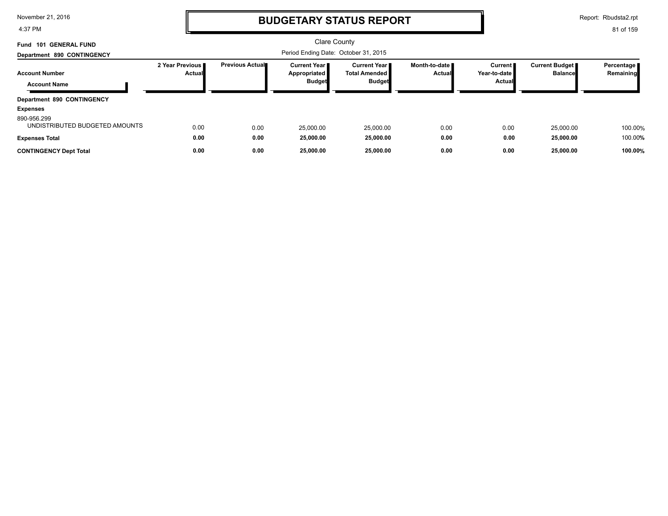4:37 PM

### **BUDGETARY STATUS REPORT**

Report: Rbudsta2.rpt

| Fund 101 GENERAL FUND                         |                             |                        | Clare County                                           |                                                                  |                                  |                                          |                                  |                         |
|-----------------------------------------------|-----------------------------|------------------------|--------------------------------------------------------|------------------------------------------------------------------|----------------------------------|------------------------------------------|----------------------------------|-------------------------|
| Department 890 CONTINGENCY                    |                             |                        | Period Ending Date: October 31, 2015                   |                                                                  |                                  |                                          |                                  |                         |
| <b>Account Number</b>                         | 2 Year Previous I<br>Actual | <b>Previous Actual</b> | <b>Current Year I</b><br>Appropriated<br><b>Budget</b> | <b>Current Year</b> ■<br><b>Total Amended I</b><br><b>Budget</b> | Month-to-date ∎<br><b>Actual</b> | <b>Current</b><br>Year-to-date<br>Actual | Current Budget<br><b>Balance</b> | Percentage<br>Remaining |
| <b>Account Name</b>                           |                             |                        |                                                        |                                                                  |                                  |                                          |                                  |                         |
| Department 890 CONTINGENCY                    |                             |                        |                                                        |                                                                  |                                  |                                          |                                  |                         |
| <b>Expenses</b>                               |                             |                        |                                                        |                                                                  |                                  |                                          |                                  |                         |
| 890-956.299<br>UNDISTRIBUTED BUDGETED AMOUNTS | 0.00                        | 0.00                   | 25.000.00                                              | 25.000.00                                                        | 0.00                             | 0.00                                     | 25.000.00                        | 100.00%                 |
| <b>Expenses Total</b>                         | 0.00                        | 0.00                   | 25,000.00                                              | 25,000.00                                                        | 0.00                             | 0.00                                     | 25,000.00                        | 100.00%                 |
| <b>CONTINGENCY Dept Total</b>                 | 0.00                        | 0.00                   | 25,000.00                                              | 25,000.00                                                        | 0.00                             | 0.00                                     | 25,000.00                        | 100.00%                 |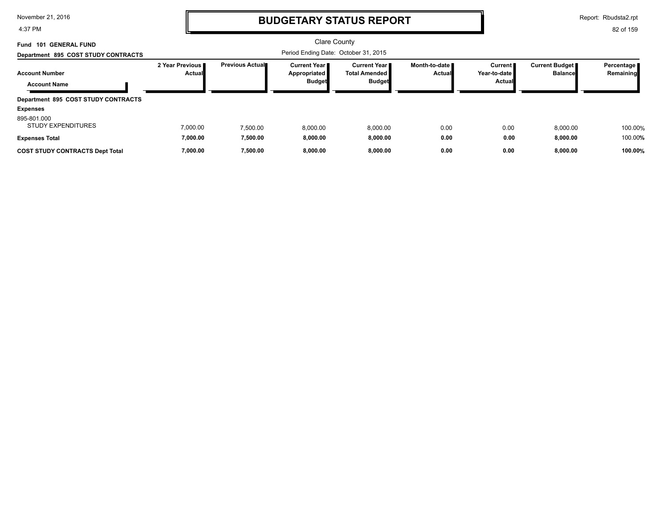4:37 PM

### **BUDGETARY STATUS REPORT**

Report: Rbudsta2.rpt

| 101 GENERAL FUND<br>Fund                     |                                  |                        | Clare County                                           |                                                                |                           |                                     |                                         |                           |
|----------------------------------------------|----------------------------------|------------------------|--------------------------------------------------------|----------------------------------------------------------------|---------------------------|-------------------------------------|-----------------------------------------|---------------------------|
| Department 895 COST STUDY CONTRACTS          |                                  |                        | Period Ending Date: October 31, 2015                   |                                                                |                           |                                     |                                         |                           |
| <b>Account Number</b><br><b>Account Name</b> | 2 Year Previous<br><b>Actual</b> | <b>Previous Actual</b> | <b>Current Year I</b><br>Appropriated<br><b>Budget</b> | <b>Current Year</b> ■<br><b>Total Amended</b><br><b>Budget</b> | Month-to-date ■<br>Actual | Current I<br>Year-to-date<br>Actual | <b>Current Budget</b><br><b>Balance</b> | Percentage  <br>Remaining |
| Department 895 COST STUDY CONTRACTS          |                                  |                        |                                                        |                                                                |                           |                                     |                                         |                           |
| <b>Expenses</b>                              |                                  |                        |                                                        |                                                                |                           |                                     |                                         |                           |
| 895-801.000<br><b>STUDY EXPENDITURES</b>     | 7,000.00                         | 7.500.00               | 8,000.00                                               | 8,000.00                                                       | 0.00                      | 0.00                                | 8.000.00                                | 100.00%                   |
| <b>Expenses Total</b>                        | 7,000.00                         | 7,500.00               | 8,000.00                                               | 8,000.00                                                       | 0.00                      | 0.00                                | 8,000.00                                | 100.00%                   |
| <b>COST STUDY CONTRACTS Dept Total</b>       | 7.000.00                         | 7,500.00               | 8.000.00                                               | 8.000.00                                                       | 0.00                      | 0.00                                | 8.000.00                                | 100.00%                   |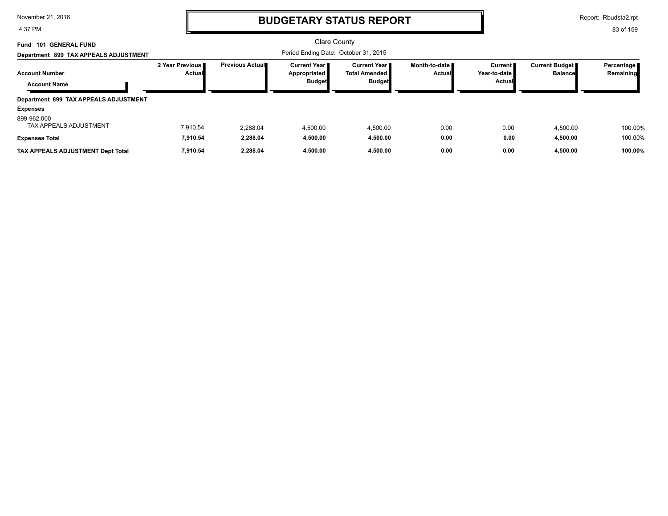4:37 PM

### **BUDGETARY STATUS REPORT**

Report: Rbudsta2.rpt

| 101 GENERAL FUND<br>Fund<br>Department 899 TAX APPEALS ADJUSTMENT |                                  |                        | <b>Clare County</b><br>Period Ending Date: October 31, 2015 |                                                                 |                                  |                                            |                                         |                            |  |
|-------------------------------------------------------------------|----------------------------------|------------------------|-------------------------------------------------------------|-----------------------------------------------------------------|----------------------------------|--------------------------------------------|-----------------------------------------|----------------------------|--|
| <b>Account Number</b><br><b>Account Name</b>                      | 2 Year Previous<br><b>Actual</b> | <b>Previous Actual</b> | <b>Current Year I</b><br>Appropriated<br><b>Budget</b>      | <b>Current Year II</b><br><b>Total Amended</b><br><b>Budget</b> | Month-to-date ∎<br><b>Actual</b> | Current I<br>Year-to-date<br><b>Actual</b> | <b>Current Budget</b><br><b>Balance</b> | Percentage   <br>Remaining |  |
| Department 899 TAX APPEALS ADJUSTMENT<br><b>Expenses</b>          |                                  |                        |                                                             |                                                                 |                                  |                                            |                                         |                            |  |
| 899-962.000<br><b>TAX APPEALS ADJUSTMENT</b>                      | 7,910.54                         | 2.288.04               | 4.500.00                                                    | 4.500.00                                                        | 0.00                             | 0.00                                       | 4,500.00                                | 100.00%                    |  |
| <b>Expenses Total</b>                                             | 7,910.54                         | 2,288.04               | 4,500.00                                                    | 4,500.00                                                        | 0.00                             | 0.00                                       | 4,500.00                                | 100.00%                    |  |
| TAX APPEALS ADJUSTMENT Dept Total                                 | 7,910.54                         | 2,288.04               | 4,500.00                                                    | 4,500.00                                                        | 0.00                             | 0.00                                       | 4,500.00                                | 100.00%                    |  |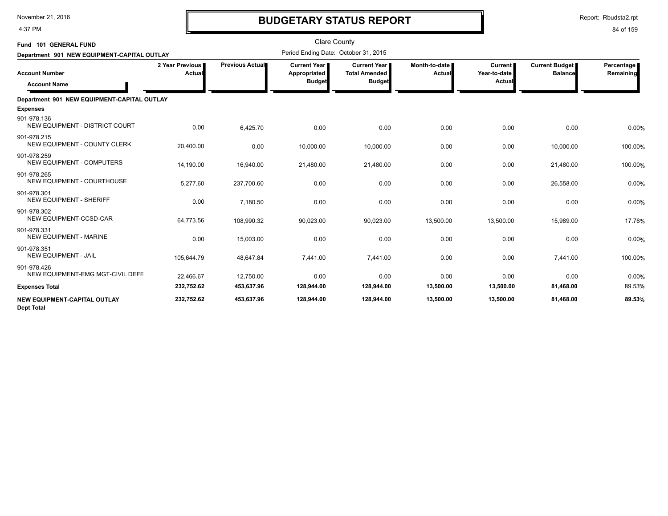4:37 PM

## **BUDGETARY STATUS REPORT**

| Fund 101 GENERAL FUND<br>Department 901 NEW EQUIPMENT-CAPITAL OUTLAY |                           |                        | <b>Clare County</b><br>Period Ending Date: October 31, 2015 |                                                                |                         |                                          |                                         |                         |
|----------------------------------------------------------------------|---------------------------|------------------------|-------------------------------------------------------------|----------------------------------------------------------------|-------------------------|------------------------------------------|-----------------------------------------|-------------------------|
| <b>Account Number</b><br><b>Account Name</b>                         | 2 Year Previous<br>Actual | <b>Previous Actual</b> | <b>Current Year I</b><br>Appropriated<br><b>Budget</b>      | <b>Current Year I</b><br><b>Total Amended</b><br><b>Budget</b> | Month-to-date<br>Actual | <b>Current</b><br>Year-to-date<br>Actual | <b>Current Budget</b><br><b>Balance</b> | Percentage<br>Remaining |
| Department 901 NEW EQUIPMENT-CAPITAL OUTLAY                          |                           |                        |                                                             |                                                                |                         |                                          |                                         |                         |
| <b>Expenses</b>                                                      |                           |                        |                                                             |                                                                |                         |                                          |                                         |                         |
| 901-978.136<br>NEW EQUIPMENT - DISTRICT COURT                        | 0.00                      | 6,425.70               | 0.00                                                        | 0.00                                                           | 0.00                    | 0.00                                     | 0.00                                    | 0.00%                   |
| 901-978.215<br>NEW EQUIPMENT - COUNTY CLERK                          | 20,400.00                 | 0.00                   | 10,000.00                                                   | 10,000.00                                                      | 0.00                    | 0.00                                     | 10,000.00                               | 100.00%                 |
| 901-978.259<br>NEW EQUIPMENT - COMPUTERS                             | 14,190.00                 | 16,940.00              | 21,480.00                                                   | 21,480.00                                                      | 0.00                    | 0.00                                     | 21,480.00                               | 100.00%                 |
| 901-978.265<br><b>NEW EQUIPMENT - COURTHOUSE</b>                     | 5,277.60                  | 237,700.60             | 0.00                                                        | 0.00                                                           | 0.00                    | 0.00                                     | 26,558.00                               | 0.00%                   |
| 901-978.301<br><b>NEW EQUIPMENT - SHERIFF</b>                        | 0.00                      | 7,180.50               | 0.00                                                        | 0.00                                                           | 0.00                    | 0.00                                     | 0.00                                    | 0.00%                   |
| 901-978.302<br><b>NEW EQUIPMENT-CCSD-CAR</b>                         | 64,773.56                 | 108,990.32             | 90,023.00                                                   | 90,023.00                                                      | 13,500.00               | 13,500.00                                | 15,989.00                               | 17.76%                  |
| 901-978.331<br><b>NEW EQUIPMENT - MARINE</b>                         | 0.00                      | 15,003.00              | 0.00                                                        | 0.00                                                           | 0.00                    | 0.00                                     | 0.00                                    | 0.00%                   |
| 901-978.351<br><b>NEW EQUIPMENT - JAIL</b>                           | 105,644.79                | 48,647.84              | 7,441.00                                                    | 7,441.00                                                       | 0.00                    | 0.00                                     | 7,441.00                                | 100.00%                 |
| 901-978.426<br>NEW EQUIPMENT-EMG MGT-CIVIL DEFE                      | 22.466.67                 | 12,750.00              | 0.00                                                        | 0.00                                                           | 0.00                    | 0.00                                     | 0.00                                    | 0.00%                   |
| <b>Expenses Total</b>                                                | 232,752.62                | 453,637.96             | 128,944.00                                                  | 128,944.00                                                     | 13,500.00               | 13,500.00                                | 81,468.00                               | 89.53%                  |
| <b>NEW EQUIPMENT-CAPITAL OUTLAY</b><br><b>Dept Total</b>             | 232,752.62                | 453,637.96             | 128,944.00                                                  | 128,944.00                                                     | 13,500.00               | 13,500.00                                | 81,468.00                               | 89.53%                  |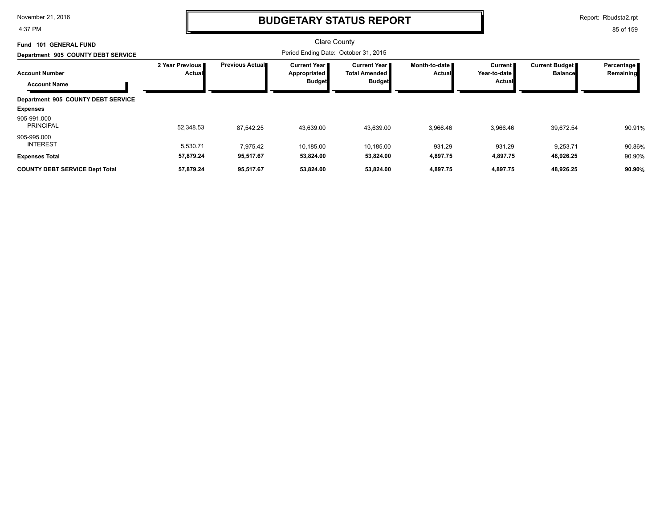4:37 PM

### **BUDGETARY STATUS REPORT**

Report: Rbudsta2.rpt

| <b>GENERAL FUND</b><br>101<br>Fund           |                             |                        | <b>Clare County</b>                                    |                                                          |                                |                                            |                                         |                         |
|----------------------------------------------|-----------------------------|------------------------|--------------------------------------------------------|----------------------------------------------------------|--------------------------------|--------------------------------------------|-----------------------------------------|-------------------------|
| Department 905 COUNTY DEBT SERVICE           |                             |                        | Period Ending Date: October 31, 2015                   |                                                          |                                |                                            |                                         |                         |
| <b>Account Number</b><br><b>Account Name</b> | 2 Year Previous I<br>Actual | <b>Previous Actual</b> | <b>Current Year I</b><br>Appropriated<br><b>Budget</b> | Current Year II<br><b>Total Amended</b><br><b>Budget</b> | Month-to-date<br><b>Actual</b> | Current <b>P</b><br>Year-to-date<br>Actual | <b>Current Budget</b><br><b>Balance</b> | Percentage<br>Remaining |
| Department 905 COUNTY DEBT SERVICE           |                             |                        |                                                        |                                                          |                                |                                            |                                         |                         |
| <b>Expenses</b>                              |                             |                        |                                                        |                                                          |                                |                                            |                                         |                         |
| 905-991.000<br><b>PRINCIPAL</b>              | 52,348.53                   | 87,542.25              | 43,639.00                                              | 43,639.00                                                | 3,966.46                       | 3,966.46                                   | 39,672.54                               | 90.91%                  |
| 905-995.000<br><b>INTEREST</b>               | 5.530.71                    | 7,975.42               | 10,185.00                                              | 10,185.00                                                | 931.29                         | 931.29                                     | 9,253.71                                | 90.86%                  |
| <b>Expenses Total</b>                        | 57,879.24                   | 95,517.67              | 53,824.00                                              | 53,824.00                                                | 4,897.75                       | 4,897.75                                   | 48,926.25                               | 90.90%                  |
| <b>COUNTY DEBT SERVICE Dept Total</b>        | 57,879.24                   | 95,517.67              | 53,824.00                                              | 53,824.00                                                | 4,897.75                       | 4,897.75                                   | 48,926.25                               | 90.90%                  |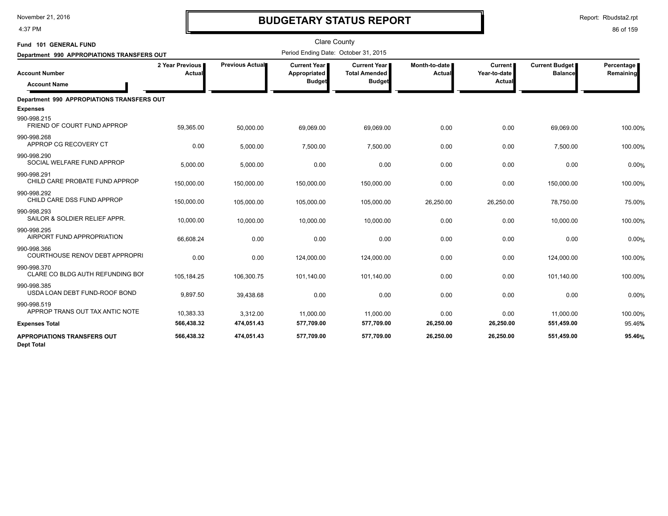4:37 PM

### **BUDGETARY STATUS REPORT**

| Fund 101 GENERAL FUND                                   |                           |                 | <b>Clare County</b>                                  |                                                              |                         |                                   |                                         |                         |
|---------------------------------------------------------|---------------------------|-----------------|------------------------------------------------------|--------------------------------------------------------------|-------------------------|-----------------------------------|-----------------------------------------|-------------------------|
| Department 990 APPROPIATIONS TRANSFERS OUT              |                           |                 | Period Ending Date: October 31, 2015                 |                                                              |                         |                                   |                                         |                         |
| <b>Account Number</b><br><b>Account Name</b>            | 2 Year Previous<br>Actual | Previous Actual | <b>Current Year</b><br>Appropriated<br><b>Budget</b> | <b>Current Year</b><br><b>Total Amended</b><br><b>Budget</b> | Month-to-date<br>Actual | Current<br>Year-to-date<br>Actual | <b>Current Budget</b><br><b>Balance</b> | Percentage<br>Remaining |
| Department 990 APPROPIATIONS TRANSFERS OUT              |                           |                 |                                                      |                                                              |                         |                                   |                                         |                         |
| <b>Expenses</b>                                         |                           |                 |                                                      |                                                              |                         |                                   |                                         |                         |
| 990-998.215<br>FRIEND OF COURT FUND APPROP              | 59,365.00                 | 50,000.00       | 69,069.00                                            | 69,069.00                                                    | 0.00                    | 0.00                              | 69,069.00                               | 100.00%                 |
| 990-998.268<br>APPROP CG RECOVERY CT                    | 0.00                      | 5,000.00        | 7,500.00                                             | 7,500.00                                                     | 0.00                    | 0.00                              | 7,500.00                                | 100.00%                 |
| 990-998.290<br>SOCIAL WELFARE FUND APPROP               | 5,000.00                  | 5,000.00        | 0.00                                                 | 0.00                                                         | 0.00                    | 0.00                              | 0.00                                    | 0.00%                   |
| 990-998.291<br>CHILD CARE PROBATE FUND APPROP           | 150,000.00                | 150,000.00      | 150,000.00                                           | 150,000.00                                                   | 0.00                    | 0.00                              | 150,000.00                              | 100.00%                 |
| 990-998.292<br>CHILD CARE DSS FUND APPROP               | 150,000.00                | 105,000.00      | 105,000.00                                           | 105,000.00                                                   | 26,250.00               | 26,250.00                         | 78,750.00                               | 75.00%                  |
| 990-998.293<br>SAILOR & SOLDIER RELIEF APPR.            | 10,000.00                 | 10,000.00       | 10,000.00                                            | 10,000.00                                                    | 0.00                    | 0.00                              | 10,000.00                               | 100.00%                 |
| 990-998.295<br>AIRPORT FUND APPROPRIATION               | 66,608.24                 | 0.00            | 0.00                                                 | 0.00                                                         | 0.00                    | 0.00                              | 0.00                                    | 0.00%                   |
| 990-998.366<br><b>COURTHOUSE RENOV DEBT APPROPRI</b>    | 0.00                      | 0.00            | 124,000.00                                           | 124,000.00                                                   | 0.00                    | 0.00                              | 124,000.00                              | 100.00%                 |
| 990-998.370<br>CLARE CO BLDG AUTH REFUNDING BOI         | 105,184.25                | 106,300.75      | 101,140.00                                           | 101,140.00                                                   | 0.00                    | 0.00                              | 101,140.00                              | 100.00%                 |
| 990-998.385<br>USDA LOAN DEBT FUND-ROOF BOND            | 9,897.50                  | 39,438.68       | 0.00                                                 | 0.00                                                         | 0.00                    | 0.00                              | 0.00                                    | 0.00%                   |
| 990-998.519<br>APPROP TRANS OUT TAX ANTIC NOTE          | 10,383.33                 | 3,312.00        | 11,000.00                                            | 11,000.00                                                    | 0.00                    | 0.00                              | 11,000.00                               | 100.00%                 |
| <b>Expenses Total</b>                                   | 566,438.32                | 474,051.43      | 577,709.00                                           | 577,709.00                                                   | 26,250.00               | 26,250.00                         | 551,459.00                              | 95.46%                  |
| <b>APPROPIATIONS TRANSFERS OUT</b><br><b>Dept Total</b> | 566,438.32                | 474,051.43      | 577,709.00                                           | 577,709.00                                                   | 26,250.00               | 26,250.00                         | 551,459.00                              | 95.46%                  |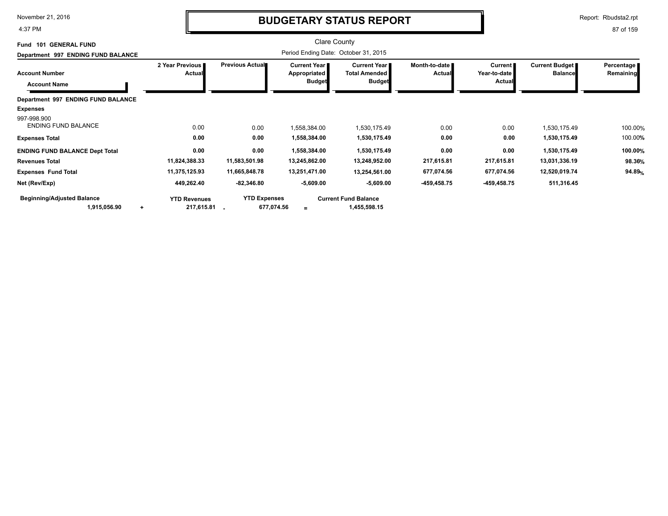4:37 PM

### **BUDGETARY STATUS REPORT**

Report: Rbudsta2.rpt

| Fund 101 GENERAL FUND                     |                                  |                        | Clare County                                 |                                               |                                |                                |                                         |                         |
|-------------------------------------------|----------------------------------|------------------------|----------------------------------------------|-----------------------------------------------|--------------------------------|--------------------------------|-----------------------------------------|-------------------------|
| Department 997 ENDING FUND BALANCE        |                                  |                        |                                              |                                               |                                |                                |                                         |                         |
| <b>Account Number</b>                     | 2 Year Previous<br><b>Actual</b> | <b>Previous Actual</b> | <b>Current Year</b> ∎<br><b>Appropriated</b> | <b>Current Year</b> I<br><b>Total Amended</b> | Month-to-date<br><b>Actual</b> | <b>Current</b><br>Year-to-date | <b>Current Budget</b><br><b>Balance</b> | Percentage<br>Remaining |
| <b>Account Name</b>                       |                                  |                        | <b>Budget</b>                                | <b>Budget</b>                                 |                                | Actual                         |                                         |                         |
| Department 997 ENDING FUND BALANCE        |                                  |                        |                                              |                                               |                                |                                |                                         |                         |
| <b>Expenses</b>                           |                                  |                        |                                              |                                               |                                |                                |                                         |                         |
| 997-998.900<br><b>ENDING FUND BALANCE</b> | 0.00                             | 0.00                   | 1,558,384.00                                 | 1,530,175.49                                  | 0.00                           | 0.00                           | 1,530,175.49                            | 100.00%                 |
| <b>Expenses Total</b>                     | 0.00                             | 0.00                   | 1,558,384.00                                 | 1,530,175.49                                  | 0.00                           | 0.00                           | 1,530,175.49                            | 100.00%                 |
| <b>ENDING FUND BALANCE Dept Total</b>     | 0.00                             | 0.00                   | 1,558,384.00                                 | 1,530,175.49                                  | 0.00                           | 0.00                           | 1,530,175.49                            | 100.00%                 |
| <b>Revenues Total</b>                     | 11,824,388.33                    | 11,583,501.98          | 13,245,862.00                                | 13,248,952.00                                 | 217,615.81                     | 217,615.81                     | 13,031,336.19                           | 98.36%                  |
| <b>Expenses Fund Total</b>                | 11,375,125.93                    | 11,665,848.78          | 13,251,471.00                                | 13,254,561.00                                 | 677,074.56                     | 677,074.56                     | 12,520,019.74                           | 94.89%                  |
| Net (Rev/Exp)                             | 449,262.40                       | $-82,346.80$           | $-5,609.00$                                  | $-5,609.00$                                   | $-459, 458.75$                 | $-459, 458.75$                 | 511,316.45                              |                         |
| <b>Beginning/Adjusted Balance</b>         | <b>YTD Revenues</b>              | <b>YTD Expenses</b>    |                                              | <b>Current Fund Balance</b>                   |                                |                                |                                         |                         |
| 1,915,056.90<br>$\ddot{}$                 | 217,615.81                       | 677,074.56             | $=$                                          | 1,455,598.15                                  |                                |                                |                                         |                         |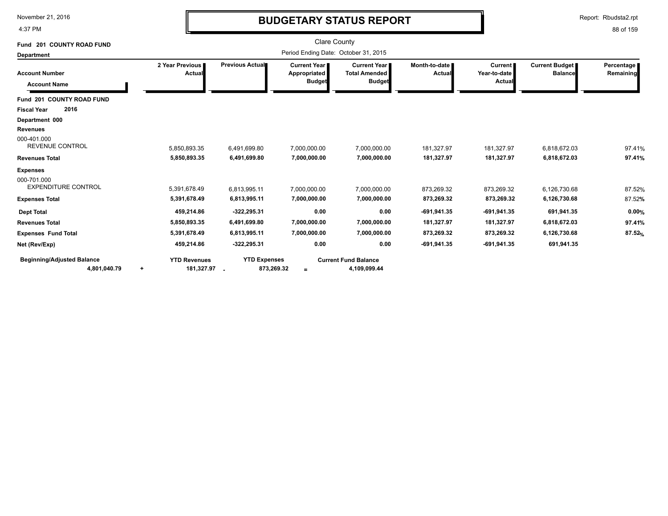4:37 PM

# **BUDGETARY STATUS REPORT**

Report: Rbudsta2.rpt

| Fund 201 COUNTY ROAD FUND                         |                                                |                                   | <b>Clare County</b>                                  |                                                              |                           |                                          |                |                                                                                           |  |  |  |  |  |
|---------------------------------------------------|------------------------------------------------|-----------------------------------|------------------------------------------------------|--------------------------------------------------------------|---------------------------|------------------------------------------|----------------|-------------------------------------------------------------------------------------------|--|--|--|--|--|
| <b>Department</b>                                 |                                                |                                   | Period Ending Date: October 31, 2015                 |                                                              |                           |                                          |                | Percentage<br>Remaining<br><b>Balance</b><br>6,818,672.03<br>6,818,672.03<br>6,126,730.68 |  |  |  |  |  |
| <b>Account Number</b><br><b>Account Name</b>      | 2 Year Previous<br>Actual                      | Previous Actual                   | <b>Current Year</b><br>Appropriated<br><b>Budget</b> | <b>Current Year</b><br><b>Total Amended</b><br><b>Budget</b> | Month-to-date  <br>Actual | <b>Current</b><br>Year-to-date<br>Actual | Current Budget |                                                                                           |  |  |  |  |  |
| Fund 201 COUNTY ROAD FUND                         |                                                |                                   |                                                      |                                                              |                           |                                          |                |                                                                                           |  |  |  |  |  |
| 2016<br><b>Fiscal Year</b>                        |                                                |                                   |                                                      |                                                              |                           |                                          |                |                                                                                           |  |  |  |  |  |
| Department 000                                    |                                                |                                   |                                                      |                                                              |                           |                                          |                |                                                                                           |  |  |  |  |  |
| <b>Revenues</b>                                   |                                                |                                   |                                                      |                                                              |                           |                                          |                |                                                                                           |  |  |  |  |  |
| 000-401.000<br><b>REVENUE CONTROL</b>             | 5,850,893.35                                   | 6,491,699.80                      | 7,000,000.00                                         | 7,000,000.00                                                 | 181,327.97                | 181,327.97                               |                | 97.41%                                                                                    |  |  |  |  |  |
| <b>Revenues Total</b>                             | 5,850,893.35                                   | 6,491,699.80                      | 7,000,000.00                                         | 7,000,000.00                                                 | 181,327.97                | 181,327.97                               |                | 97.41%                                                                                    |  |  |  |  |  |
| <b>Expenses</b>                                   |                                                |                                   |                                                      |                                                              |                           |                                          |                |                                                                                           |  |  |  |  |  |
| 000-701.000<br><b>EXPENDITURE CONTROL</b>         | 5.391.678.49                                   | 6,813,995.11                      | 7.000.000.00                                         | 7.000.000.00                                                 | 873,269.32                | 873.269.32                               |                | 87.52%                                                                                    |  |  |  |  |  |
| <b>Expenses Total</b>                             | 5,391,678.49                                   | 6,813,995.11                      | 7,000,000.00                                         | 7,000,000.00                                                 | 873,269.32                | 873,269.32                               | 6,126,730.68   | 87.52%                                                                                    |  |  |  |  |  |
| <b>Dept Total</b>                                 | 459,214.86                                     | $-322,295.31$                     | 0.00                                                 | 0.00                                                         | $-691,941.35$             | $-691,941.35$                            | 691,941.35     | 0.00%                                                                                     |  |  |  |  |  |
| <b>Revenues Total</b>                             | 5,850,893.35                                   | 6,491,699.80                      | 7,000,000.00                                         | 7,000,000.00                                                 | 181,327.97                | 181,327.97                               | 6,818,672.03   | 97.41%                                                                                    |  |  |  |  |  |
| <b>Expenses Fund Total</b>                        | 5,391,678.49                                   | 6,813,995.11                      | 7,000,000.00                                         | 7,000,000.00                                                 | 873,269.32                | 873,269.32                               | 6,126,730.68   | 87.52%                                                                                    |  |  |  |  |  |
| Net (Rev/Exp)                                     | 459,214.86                                     | $-322,295.31$                     | 0.00                                                 | 0.00                                                         | $-691,941.35$             | $-691,941.35$                            | 691,941.35     |                                                                                           |  |  |  |  |  |
| <b>Beginning/Adjusted Balance</b><br>4,801,040.79 | <b>YTD Revenues</b><br>181,327.97<br>$\ddot{}$ | <b>YTD Expenses</b><br>873,269.32 | $=$                                                  | <b>Current Fund Balance</b><br>4,109,099.44                  |                           |                                          |                |                                                                                           |  |  |  |  |  |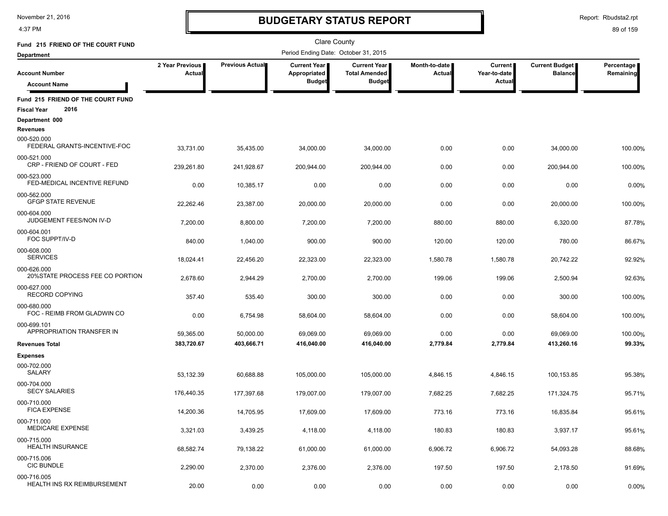4:37 PM

# **BUDGETARY STATUS REPORT**

Report: Rbudsta2.rpt

| Fund 215 FRIEND OF THE COURT FUND                               |                           |                 | <b>Clare County</b>                                  |                                                       |                         |                                  |                                  |                         |
|-----------------------------------------------------------------|---------------------------|-----------------|------------------------------------------------------|-------------------------------------------------------|-------------------------|----------------------------------|----------------------------------|-------------------------|
| <b>Department</b>                                               |                           |                 | Period Ending Date: October 31, 2015                 |                                                       |                         |                                  |                                  |                         |
| <b>Account Number</b>                                           | 2 Year Previous<br>Actual | Previous Actual | <b>Current Year</b><br>Appropriated<br><b>Budget</b> | Current Year<br><b>Total Amended</b><br><b>Budget</b> | Month-to-date<br>Actual | Current<br>Year-to-date<br>Actua | Current Budget<br><b>Balance</b> | Percentage<br>Remaining |
| <b>Account Name</b>                                             |                           |                 |                                                      |                                                       |                         |                                  |                                  |                         |
| Fund 215 FRIEND OF THE COURT FUND<br>2016<br><b>Fiscal Year</b> |                           |                 |                                                      |                                                       |                         |                                  |                                  |                         |
| Department 000<br><b>Revenues</b>                               |                           |                 |                                                      |                                                       |                         |                                  |                                  |                         |
| 000-520.000<br>FEDERAL GRANTS-INCENTIVE-FOC                     | 33,731.00                 | 35,435.00       | 34,000.00                                            | 34,000.00                                             | 0.00                    | 0.00                             | 34,000.00                        | 100.00%                 |
| 000-521.000<br>CRP - FRIEND OF COURT - FED                      | 239,261.80                | 241,928.67      | 200,944.00                                           | 200,944.00                                            | 0.00                    | 0.00                             | 200,944.00                       | 100.00%                 |
| 000-523.000<br>FED-MEDICAL INCENTIVE REFUND                     | 0.00                      | 10,385.17       | 0.00                                                 | 0.00                                                  | 0.00                    | 0.00                             | 0.00                             | 0.00%                   |
| 000-562.000<br><b>GFGP STATE REVENUE</b>                        | 22,262.46                 | 23,387.00       | 20,000.00                                            | 20,000.00                                             | 0.00                    | 0.00                             | 20,000.00                        | 100.00%                 |
| 000-604.000<br>JUDGEMENT FEES/NON IV-D                          | 7,200.00                  | 8,800.00        | 7,200.00                                             | 7,200.00                                              | 880.00                  | 880.00                           | 6,320.00                         | 87.78%                  |
| 000-604.001<br>FOC SUPPT/IV-D                                   | 840.00                    | 1,040.00        | 900.00                                               | 900.00                                                | 120.00                  | 120.00                           | 780.00                           | 86.67%                  |
| 000-608.000<br><b>SERVICES</b>                                  | 18,024.41                 | 22,456.20       | 22,323.00                                            | 22,323.00                                             | 1,580.78                | 1,580.78                         | 20,742.22                        | 92.92%                  |
| 000-626.000<br>20% STATE PROCESS FEE CO PORTION                 | 2,678.60                  | 2,944.29        | 2,700.00                                             | 2,700.00                                              | 199.06                  | 199.06                           | 2,500.94                         | 92.63%                  |
| 000-627.000<br><b>RECORD COPYING</b>                            | 357.40                    | 535.40          | 300.00                                               | 300.00                                                | 0.00                    | 0.00                             | 300.00                           | 100.00%                 |
| 000-680.000<br>FOC - REIMB FROM GLADWIN CO                      | 0.00                      | 6,754.98        | 58,604.00                                            | 58,604.00                                             | 0.00                    | 0.00                             | 58,604.00                        | 100.00%                 |
| 000-699.101<br>APPROPRIATION TRANSFER IN                        | 59,365.00                 | 50,000.00       | 69,069.00                                            | 69,069.00                                             | 0.00                    | 0.00                             | 69,069.00                        | 100.00%                 |
| <b>Revenues Total</b>                                           | 383,720.67                | 403,666.71      | 416,040.00                                           | 416,040.00                                            | 2,779.84                | 2,779.84                         | 413,260.16                       | 99.33%                  |
| <b>Expenses</b>                                                 |                           |                 |                                                      |                                                       |                         |                                  |                                  |                         |
| 000-702.000<br>SALARY                                           | 53,132.39                 | 60,688.88       | 105,000.00                                           | 105,000.00                                            | 4,846.15                | 4,846.15                         | 100,153.85                       | 95.38%                  |
| 000-704.000<br><b>SECY SALARIES</b>                             | 176,440.35                | 177,397.68      | 179,007.00                                           | 179,007.00                                            | 7,682.25                | 7,682.25                         | 171,324.75                       | 95.71%                  |
| 000-710.000<br><b>FICA EXPENSE</b>                              | 14.200.36                 | 14,705.95       | 17,609.00                                            | 17,609.00                                             | 773.16                  | 773.16                           | 16,835.84                        | 95.61%                  |
| 000-711.000<br><b>MEDICARE EXPENSE</b>                          | 3,321.03                  | 3,439.25        | 4,118.00                                             | 4,118.00                                              | 180.83                  | 180.83                           | 3,937.17                         | 95.61%                  |
| 000-715.000<br><b>HEALTH INSURANCE</b>                          | 68,582.74                 | 79,138.22       | 61,000.00                                            | 61,000.00                                             | 6,906.72                | 6,906.72                         | 54,093.28                        | 88.68%                  |
| 000-715.006<br><b>CIC BUNDLE</b>                                | 2,290.00                  | 2,370.00        | 2,376.00                                             | 2,376.00                                              | 197.50                  | 197.50                           | 2,178.50                         | 91.69%                  |
| 000-716.005<br><b>HEALTH INS RX REIMBURSEMENT</b>               | 20.00                     | 0.00            | 0.00                                                 | 0.00                                                  | 0.00                    | 0.00                             | 0.00                             | 0.00%                   |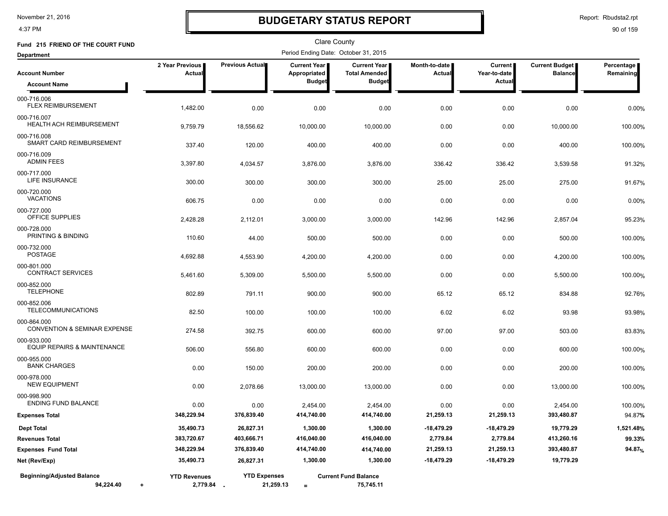4:37 PM

### **BUDGETARY STATUS REPORT**

Report: Rbudsta2.rpt

| Fund 215 FRIEND OF THE COURT FUND                      |                                   |                                  | Clare County                                  |                                                              |                                |                                                 |                                  |                         |
|--------------------------------------------------------|-----------------------------------|----------------------------------|-----------------------------------------------|--------------------------------------------------------------|--------------------------------|-------------------------------------------------|----------------------------------|-------------------------|
| <b>Department</b>                                      |                                   |                                  | Period Ending Date: October 31, 2015          |                                                              |                                |                                                 |                                  |                         |
| <b>Account Number</b><br><b>Account Name</b>           | 2 Year Previous<br>Actual         | <b>Previous Actual</b>           | Current Year<br>Appropriated<br><b>Budget</b> | <b>Current Year</b><br><b>Total Amended</b><br><b>Budget</b> | Month-to-date<br><b>Actual</b> | <b>Current</b><br>Year-to-date<br><b>Actual</b> | Current Budget<br><b>Balance</b> | Percentage<br>Remaining |
| 000-716.006<br><b>FLEX REIMBURSEMENT</b>               | 1,482.00                          | 0.00                             | 0.00                                          | 0.00                                                         | 0.00                           | 0.00                                            | 0.00                             | 0.00%                   |
| 000-716.007<br><b>HEALTH ACH REIMBURSEMENT</b>         | 9,759.79                          | 18,556.62                        | 10,000.00                                     | 10,000.00                                                    | 0.00                           | 0.00                                            | 10,000.00                        | 100.00%                 |
| 000-716.008<br>SMART CARD REIMBURSEMENT                | 337.40                            | 120.00                           | 400.00                                        | 400.00                                                       | 0.00                           | 0.00                                            | 400.00                           | 100.00%                 |
| 000-716.009<br><b>ADMIN FEES</b>                       | 3,397.80                          | 4,034.57                         | 3,876.00                                      | 3,876.00                                                     | 336.42                         | 336.42                                          | 3,539.58                         | 91.32%                  |
| 000-717.000<br>LIFE INSURANCE                          | 300.00                            | 300.00                           | 300.00                                        | 300.00                                                       | 25.00                          | 25.00                                           | 275.00                           | 91.67%                  |
| 000-720.000<br><b>VACATIONS</b>                        | 606.75                            | 0.00                             | 0.00                                          | 0.00                                                         | 0.00                           | 0.00                                            | 0.00                             | 0.00%                   |
| 000-727.000<br><b>OFFICE SUPPLIES</b>                  | 2,428.28                          | 2,112.01                         | 3,000.00                                      | 3,000.00                                                     | 142.96                         | 142.96                                          | 2,857.04                         | 95.23%                  |
| 000-728.000<br>PRINTING & BINDING<br>000-732.000       | 110.60                            | 44.00                            | 500.00                                        | 500.00                                                       | 0.00                           | 0.00                                            | 500.00                           | 100.00%                 |
| <b>POSTAGE</b><br>000-801.000                          | 4,692.88                          | 4,553.90                         | 4,200.00                                      | 4,200.00                                                     | 0.00                           | 0.00                                            | 4,200.00                         | 100.00%                 |
| <b>CONTRACT SERVICES</b><br>000-852.000                | 5,461.60                          | 5,309.00                         | 5,500.00                                      | 5,500.00                                                     | 0.00                           | 0.00                                            | 5,500.00                         | 100.00%                 |
| <b>TELEPHONE</b><br>000-852.006                        | 802.89                            | 791.11                           | 900.00                                        | 900.00                                                       | 65.12                          | 65.12                                           | 834.88                           | 92.76%                  |
| <b>TELECOMMUNICATIONS</b><br>000-864.000               | 82.50                             | 100.00                           | 100.00                                        | 100.00                                                       | 6.02                           | 6.02                                            | 93.98                            | 93.98%                  |
| <b>CONVENTION &amp; SEMINAR EXPENSE</b><br>000-933.000 | 274.58                            | 392.75                           | 600.00                                        | 600.00                                                       | 97.00                          | 97.00                                           | 503.00                           | 83.83%                  |
| EQUIP REPAIRS & MAINTENANCE<br>000-955.000             | 506.00                            | 556.80                           | 600.00                                        | 600.00                                                       | 0.00                           | 0.00                                            | 600.00                           | 100.00%                 |
| <b>BANK CHARGES</b><br>000-978.000                     | 0.00                              | 150.00                           | 200.00                                        | 200.00                                                       | 0.00                           | 0.00                                            | 200.00                           | 100.00%                 |
| <b>NEW EQUIPMENT</b><br>000-998.900                    | 0.00                              | 2.078.66                         | 13,000.00                                     | 13,000.00                                                    | 0.00                           | 0.00                                            | 13,000.00                        | 100.00%                 |
| <b>ENDING FUND BALANCE</b><br><b>Expenses Total</b>    | 0.00<br>348,229.94                | 0.00<br>376,839.40               | 2,454.00<br>414,740.00                        | 2,454.00<br>414,740.00                                       | 0.00<br>21,259.13              | 0.00<br>21,259.13                               | 2,454.00<br>393,480.87           | 100.00%<br>94.87%       |
| <b>Dept Total</b>                                      | 35,490.73                         | 26,827.31                        | 1,300.00                                      | 1,300.00                                                     | -18,479.29                     | $-18,479.29$                                    | 19,779.29                        | 1,521.48%               |
| <b>Revenues Total</b>                                  | 383,720.67                        | 403,666.71                       | 416,040.00                                    | 416,040.00                                                   | 2,779.84                       | 2,779.84                                        | 413,260.16                       | 99.33%                  |
| <b>Expenses Fund Total</b>                             | 348,229.94                        | 376,839.40                       | 414,740.00                                    | 414,740.00                                                   | 21,259.13                      | 21,259.13                                       | 393,480.87                       | 94.87%                  |
| Net (Rev/Exp)                                          | 35,490.73                         | 26,827.31                        | 1,300.00                                      | 1,300.00                                                     | $-18,479.29$                   | $-18,479.29$                                    | 19,779.29                        |                         |
| <b>Beginning/Adjusted Balance</b><br>94,224.40<br>٠    | <b>YTD Revenues</b><br>2,779.84 - | <b>YTD Expenses</b><br>21,259.13 | $\equiv$                                      | <b>Current Fund Balance</b><br>75,745.11                     |                                |                                                 |                                  |                         |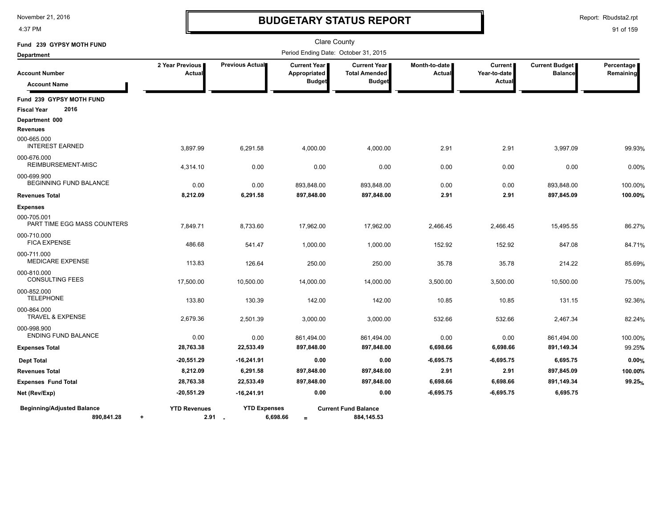4:37 PM

# **BUDGETARY STATUS REPORT**

Report: Rbudsta2.rpt

| Fund 239 GYPSY MOTH FUND                        |                                  |                                 |                                                      | <b>Clare County</b>                                   |                         |                                          |                                         |                         |
|-------------------------------------------------|----------------------------------|---------------------------------|------------------------------------------------------|-------------------------------------------------------|-------------------------|------------------------------------------|-----------------------------------------|-------------------------|
| <b>Department</b>                               |                                  |                                 | Period Ending Date: October 31, 2015                 |                                                       |                         |                                          |                                         |                         |
| <b>Account Number</b><br><b>Account Name</b>    | 2 Year Previous<br>Actua         | Previous Actual                 | <b>Current Year</b><br>Appropriated<br><b>Budget</b> | Current Year<br><b>Total Amended</b><br><b>Budget</b> | Month-to-date<br>Actual | <b>Current</b><br>Year-to-date<br>Actual | <b>Current Budget</b><br><b>Balance</b> | Percentage<br>Remaining |
| Fund 239 GYPSY MOTH FUND                        |                                  |                                 |                                                      |                                                       |                         |                                          |                                         |                         |
| <b>Fiscal Year</b><br>2016                      |                                  |                                 |                                                      |                                                       |                         |                                          |                                         |                         |
| Department 000<br>Revenues                      |                                  |                                 |                                                      |                                                       |                         |                                          |                                         |                         |
| 000-665.000<br><b>INTEREST EARNED</b>           | 3,897.99                         | 6,291.58                        | 4,000.00                                             | 4,000.00                                              | 2.91                    | 2.91                                     | 3,997.09                                | 99.93%                  |
| 000-676.000<br>REIMBURSEMENT-MISC               | 4,314.10                         | 0.00                            | 0.00                                                 | 0.00                                                  | 0.00                    | 0.00                                     | 0.00                                    | 0.00%                   |
| 000-699.900<br>BEGINNING FUND BALANCE           | 0.00                             | 0.00                            | 893,848.00                                           | 893,848.00                                            | 0.00                    | 0.00                                     | 893,848.00                              | 100.00%                 |
| <b>Revenues Total</b>                           | 8,212.09                         | 6,291.58                        | 897,848.00                                           | 897,848.00                                            | 2.91                    | 2.91                                     | 897,845.09                              | 100.00%                 |
| <b>Expenses</b>                                 |                                  |                                 |                                                      |                                                       |                         |                                          |                                         |                         |
| 000-705.001<br>PART TIME EGG MASS COUNTERS      | 7,849.71                         | 8,733.60                        | 17,962.00                                            | 17,962.00                                             | 2,466.45                | 2,466.45                                 | 15,495.55                               | 86.27%                  |
| 000-710.000<br><b>FICA EXPENSE</b>              | 486.68                           | 541.47                          | 1,000.00                                             | 1,000.00                                              | 152.92                  | 152.92                                   | 847.08                                  | 84.71%                  |
| 000-711.000<br><b>MEDICARE EXPENSE</b>          | 113.83                           | 126.64                          | 250.00                                               | 250.00                                                | 35.78                   | 35.78                                    | 214.22                                  | 85.69%                  |
| 000-810.000<br><b>CONSULTING FEES</b>           | 17,500.00                        | 10,500.00                       | 14,000.00                                            | 14,000.00                                             | 3,500.00                | 3,500.00                                 | 10,500.00                               | 75.00%                  |
| 000-852.000<br><b>TELEPHONE</b>                 | 133.80                           | 130.39                          | 142.00                                               | 142.00                                                | 10.85                   | 10.85                                    | 131.15                                  | 92.36%                  |
| 000-864.000<br><b>TRAVEL &amp; EXPENSE</b>      | 2,679.36                         | 2,501.39                        | 3,000.00                                             | 3,000.00                                              | 532.66                  | 532.66                                   | 2,467.34                                | 82.24%                  |
| 000-998.900<br><b>ENDING FUND BALANCE</b>       | 0.00                             | 0.00                            | 861,494.00                                           | 861,494.00                                            | 0.00                    | 0.00                                     | 861,494.00                              | 100.00%                 |
| <b>Expenses Total</b>                           | 28,763.38                        | 22,533.49                       | 897,848.00                                           | 897,848.00                                            | 6,698.66                | 6,698.66                                 | 891,149.34                              | 99.25%                  |
| <b>Dept Total</b>                               | $-20,551.29$                     | $-16,241.91$                    | 0.00                                                 | 0.00                                                  | $-6,695.75$             | $-6,695.75$                              | 6,695.75                                | 0.00%                   |
| <b>Revenues Total</b>                           | 8,212.09                         | 6,291.58                        | 897,848.00                                           | 897,848.00                                            | 2.91                    | 2.91                                     | 897,845.09                              | 100.00%                 |
| <b>Expenses Fund Total</b>                      | 28,763.38                        | 22,533.49                       | 897,848.00                                           | 897,848.00                                            | 6,698.66                | 6,698.66                                 | 891,149.34                              | 99.25%                  |
| Net (Rev/Exp)                                   | $-20,551.29$                     | $-16,241.91$                    | 0.00                                                 | 0.00                                                  | $-6,695.75$             | $-6,695.75$                              | 6,695.75                                |                         |
| <b>Beginning/Adjusted Balance</b><br>890,841.28 | <b>YTD Revenues</b><br>$\ddot{}$ | <b>YTD Expenses</b><br>$2.91 -$ | 6,698.66<br>$=$                                      | <b>Current Fund Balance</b><br>884, 145.53            |                         |                                          |                                         |                         |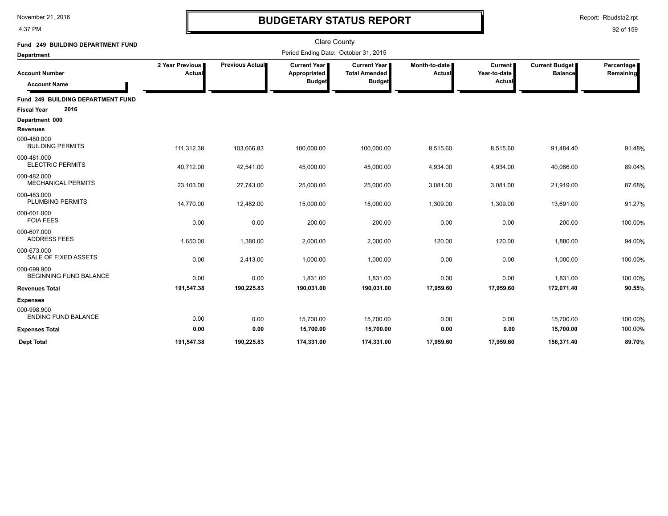4:37 PM

# **BUDGETARY STATUS REPORT**

Report: Rbudsta2.rpt

| Fund 249 BUILDING DEPARTMENT FUND<br><b>Department</b> |                           |                        | <b>Clare County</b><br>Period Ending Date: October 31, 2015 |                                                              |                                |                                          |                                         |                         |
|--------------------------------------------------------|---------------------------|------------------------|-------------------------------------------------------------|--------------------------------------------------------------|--------------------------------|------------------------------------------|-----------------------------------------|-------------------------|
| <b>Account Number</b><br><b>Account Name</b>           | 2 Year Previous<br>Actual | <b>Previous Actual</b> | <b>Current Year</b><br>Appropriated<br><b>Budget</b>        | <b>Current Year</b><br><b>Total Amended</b><br><b>Budget</b> | Month-to-date<br><b>Actual</b> | <b>Current</b><br>Year-to-date<br>Actual | <b>Current Budget</b><br><b>Balance</b> | Percentage<br>Remaining |
| Fund 249 BUILDING DEPARTMENT FUND                      |                           |                        |                                                             |                                                              |                                |                                          |                                         |                         |
| 2016<br><b>Fiscal Year</b>                             |                           |                        |                                                             |                                                              |                                |                                          |                                         |                         |
| Department 000                                         |                           |                        |                                                             |                                                              |                                |                                          |                                         |                         |
| <b>Revenues</b>                                        |                           |                        |                                                             |                                                              |                                |                                          |                                         |                         |
| 000-480.000<br><b>BUILDING PERMITS</b>                 | 111,312.38                | 103,666.83             | 100,000.00                                                  | 100,000.00                                                   | 8,515.60                       | 8,515.60                                 | 91,484.40                               | 91.48%                  |
| 000-481.000<br><b>ELECTRIC PERMITS</b>                 | 40,712.00                 | 42,541.00              | 45,000.00                                                   | 45,000.00                                                    | 4,934.00                       | 4,934.00                                 | 40,066.00                               | 89.04%                  |
| 000-482.000<br><b>MECHANICAL PERMITS</b>               | 23,103.00                 | 27,743.00              | 25,000.00                                                   | 25,000.00                                                    | 3,081.00                       | 3,081.00                                 | 21,919.00                               | 87.68%                  |
| 000-483.000<br><b>PLUMBING PERMITS</b>                 | 14,770.00                 | 12,482.00              | 15,000.00                                                   | 15,000.00                                                    | 1,309.00                       | 1,309.00                                 | 13,691.00                               | 91.27%                  |
| 000-601.000<br><b>FOIA FEES</b>                        | 0.00                      | 0.00                   | 200.00                                                      | 200.00                                                       | 0.00                           | 0.00                                     | 200.00                                  | 100.00%                 |
| 000-607.000<br><b>ADDRESS FEES</b>                     | 1,650.00                  | 1,380.00               | 2,000.00                                                    | 2,000.00                                                     | 120.00                         | 120.00                                   | 1,880.00                                | 94.00%                  |
| 000-673.000<br>SALE OF FIXED ASSETS                    | 0.00                      | 2,413.00               | 1,000.00                                                    | 1,000.00                                                     | 0.00                           | 0.00                                     | 1,000.00                                | 100.00%                 |
| 000-699.900<br><b>BEGINNING FUND BALANCE</b>           | 0.00                      | 0.00                   | 1,831.00                                                    | 1,831.00                                                     | 0.00                           | 0.00                                     | 1,831.00                                | 100.00%                 |
| <b>Revenues Total</b>                                  | 191,547.38                | 190,225.83             | 190,031.00                                                  | 190,031.00                                                   | 17,959.60                      | 17,959.60                                | 172,071.40                              | 90.55%                  |
| <b>Expenses</b>                                        |                           |                        |                                                             |                                                              |                                |                                          |                                         |                         |
| 000-998.900<br><b>ENDING FUND BALANCE</b>              | 0.00                      | 0.00                   | 15,700.00                                                   | 15,700.00                                                    | 0.00                           | 0.00                                     | 15,700.00                               | 100.00%                 |
| <b>Expenses Total</b>                                  | 0.00                      | 0.00                   | 15,700.00                                                   | 15,700.00                                                    | 0.00                           | 0.00                                     | 15,700.00                               | 100.00%                 |
| <b>Dept Total</b>                                      | 191.547.38                | 190.225.83             | 174.331.00                                                  | 174.331.00                                                   | 17.959.60                      | 17,959.60                                | 156.371.40                              | 89.70%                  |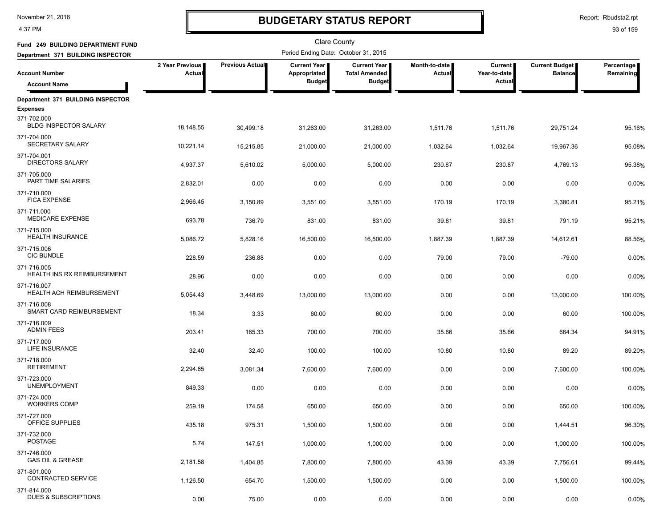4:37 PM

# **BUDGETARY STATUS REPORT**

Report: Rbudsta2.rpt

| Fund 249 BUILDING DEPARTMENT FUND                 |                           |                 | <b>Clare County</b>                  |                                             |                                |                                |                                         |                         |
|---------------------------------------------------|---------------------------|-----------------|--------------------------------------|---------------------------------------------|--------------------------------|--------------------------------|-----------------------------------------|-------------------------|
| Department 371 BUILDING INSPECTOR                 |                           |                 | Period Ending Date: October 31, 2015 |                                             |                                |                                |                                         |                         |
| <b>Account Number</b>                             | 2 Year Previous<br>Actual | Previous Actual | <b>Current Year</b><br>Appropriated  | <b>Current Year</b><br><b>Total Amended</b> | Month-to-date<br><b>Actual</b> | <b>Current</b><br>Year-to-date | <b>Current Budget</b><br><b>Balance</b> | Percentage<br>Remaining |
| <b>Account Name</b>                               |                           |                 | <b>Budget</b>                        | <b>Budget</b>                               |                                | Actual                         |                                         |                         |
| Department 371 BUILDING INSPECTOR                 |                           |                 |                                      |                                             |                                |                                |                                         |                         |
| <b>Expenses</b>                                   |                           |                 |                                      |                                             |                                |                                |                                         |                         |
| 371-702.000<br><b>BLDG INSPECTOR SALARY</b>       | 18,148.55                 | 30,499.18       | 31,263.00                            | 31,263.00                                   | 1,511.76                       | 1,511.76                       | 29,751.24                               | 95.16%                  |
| 371-704.000<br>SECRETARY SALARY                   | 10,221.14                 | 15,215.85       | 21,000.00                            | 21,000.00                                   | 1,032.64                       | 1,032.64                       | 19,967.36                               | 95.08%                  |
| 371-704.001<br><b>DIRECTORS SALARY</b>            | 4,937.37                  | 5,610.02        | 5,000.00                             | 5,000.00                                    | 230.87                         | 230.87                         | 4,769.13                                | 95.38%                  |
| 371-705.000<br>PART TIME SALARIES                 | 2,832.01                  | 0.00            | 0.00                                 | 0.00                                        | 0.00                           | 0.00                           | 0.00                                    | 0.00%                   |
| 371-710.000<br><b>FICA EXPENSE</b>                | 2,966.45                  | 3,150.89        | 3,551.00                             | 3,551.00                                    | 170.19                         | 170.19                         | 3,380.81                                | 95.21%                  |
| 371-711.000<br><b>MEDICARE EXPENSE</b>            | 693.78                    | 736.79          | 831.00                               | 831.00                                      | 39.81                          | 39.81                          | 791.19                                  | 95.21%                  |
| 371-715.000<br><b>HEALTH INSURANCE</b>            | 5,086.72                  | 5,828.16        | 16,500.00                            | 16,500.00                                   | 1,887.39                       | 1,887.39                       | 14,612.61                               | 88.56%                  |
| 371-715.006<br><b>CIC BUNDLE</b>                  | 228.59                    | 236.88          | 0.00                                 | 0.00                                        | 79.00                          | 79.00                          | $-79.00$                                | 0.00%                   |
| 371-716.005<br><b>HEALTH INS RX REIMBURSEMENT</b> | 28.96                     | 0.00            | 0.00                                 | 0.00                                        | 0.00                           | 0.00                           | 0.00                                    | 0.00%                   |
| 371-716.007<br><b>HEALTH ACH REIMBURSEMENT</b>    | 5,054.43                  | 3,448.69        | 13,000.00                            | 13,000.00                                   | 0.00                           | 0.00                           | 13,000.00                               | 100.00%                 |
| 371-716.008<br>SMART CARD REIMBURSEMENT           | 18.34                     | 3.33            | 60.00                                | 60.00                                       | 0.00                           | 0.00                           | 60.00                                   | 100.00%                 |
| 371-716.009<br><b>ADMIN FEES</b>                  | 203.41                    | 165.33          | 700.00                               | 700.00                                      | 35.66                          | 35.66                          | 664.34                                  | 94.91%                  |
| 371-717.000<br>LIFE INSURANCE                     | 32.40                     | 32.40           | 100.00                               | 100.00                                      | 10.80                          | 10.80                          | 89.20                                   | 89.20%                  |
| 371-718.000<br><b>RETIREMENT</b>                  | 2,294.65                  | 3,081.34        | 7,600.00                             | 7,600.00                                    | 0.00                           | 0.00                           | 7,600.00                                | 100.00%                 |
| 371-723.000<br><b>UNEMPLOYMENT</b>                | 849.33                    | 0.00            | 0.00                                 | 0.00                                        | 0.00                           | 0.00                           | 0.00                                    | 0.00%                   |
| 371-724.000<br><b>WORKERS COMP</b>                | 259.19                    | 174.58          | 650.00                               | 650.00                                      | 0.00                           | 0.00                           | 650.00                                  | 100.00%                 |
| 371-727.000<br>OFFICE SUPPLIES                    | 435.18                    | 975.31          | 1,500.00                             | 1,500.00                                    | 0.00                           | 0.00                           | 1,444.51                                | 96.30%                  |
| 371-732.000<br><b>POSTAGE</b>                     | 5.74                      | 147.51          | 1,000.00                             | 1,000.00                                    | 0.00                           | 0.00                           | 1,000.00                                | 100.00%                 |
| 371-746.000<br><b>GAS OIL &amp; GREASE</b>        | 2,181.58                  | 1,404.85        | 7,800.00                             | 7,800.00                                    | 43.39                          | 43.39                          | 7,756.61                                | 99.44%                  |
| 371-801.000<br>CONTRACTED SERVICE                 | 1,126.50                  | 654.70          | 1,500.00                             | 1,500.00                                    | 0.00                           | 0.00                           | 1,500.00                                | 100.00%                 |
| 371-814.000<br><b>DUES &amp; SUBSCRIPTIONS</b>    | 0.00                      | 75.00           | 0.00                                 | 0.00                                        | 0.00                           | 0.00                           | 0.00                                    | 0.00%                   |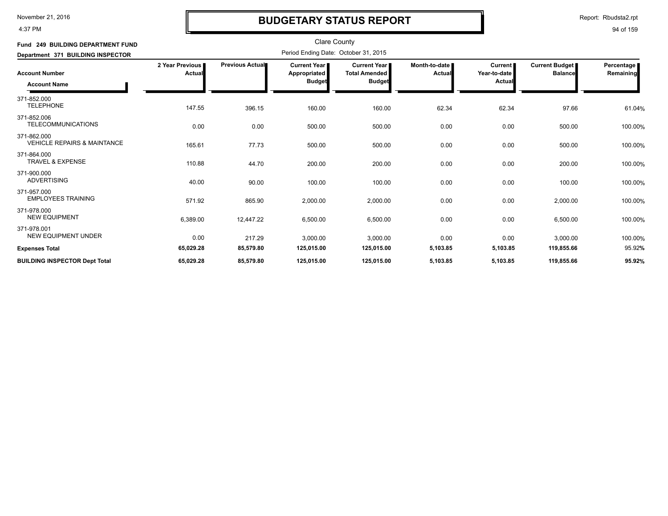4:37 PM

## **BUDGETARY STATUS REPORT**

Report: Rbudsta2.rpt

| Fund 249 BUILDING DEPARTMENT FUND                     |                           |                 | <b>Clare County</b>                                    |                                                              |                         |                                          |                                         |                           |
|-------------------------------------------------------|---------------------------|-----------------|--------------------------------------------------------|--------------------------------------------------------------|-------------------------|------------------------------------------|-----------------------------------------|---------------------------|
| Department 371 BUILDING INSPECTOR                     |                           |                 | Period Ending Date: October 31, 2015                   |                                                              |                         |                                          |                                         |                           |
| <b>Account Number</b><br><b>Account Name</b>          | 2 Year Previous<br>Actual | Previous Actual | <b>Current Year I</b><br>Appropriated<br><b>Budget</b> | <b>Current Year</b><br><b>Total Amended</b><br><b>Budget</b> | Month-to-date<br>Actual | <b>Current</b><br>Year-to-date<br>Actual | <b>Current Budget</b><br><b>Balance</b> | Percentage  <br>Remaining |
| 371-852.000<br><b>TELEPHONE</b>                       | 147.55                    | 396.15          | 160.00                                                 | 160.00                                                       | 62.34                   | 62.34                                    | 97.66                                   | 61.04%                    |
| 371-852.006<br><b>TELECOMMUNICATIONS</b>              | 0.00                      | 0.00            | 500.00                                                 | 500.00                                                       | 0.00                    | 0.00                                     | 500.00                                  | 100.00%                   |
| 371-862.000<br><b>VEHICLE REPAIRS &amp; MAINTANCE</b> | 165.61                    | 77.73           | 500.00                                                 | 500.00                                                       | 0.00                    | 0.00                                     | 500.00                                  | 100.00%                   |
| 371-864.000<br><b>TRAVEL &amp; EXPENSE</b>            | 110.88                    | 44.70           | 200.00                                                 | 200.00                                                       | 0.00                    | 0.00                                     | 200.00                                  | 100.00%                   |
| 371-900.000<br><b>ADVERTISING</b>                     | 40.00                     | 90.00           | 100.00                                                 | 100.00                                                       | 0.00                    | 0.00                                     | 100.00                                  | 100.00%                   |
| 371-957.000<br><b>EMPLOYEES TRAINING</b>              | 571.92                    | 865.90          | 2,000.00                                               | 2,000.00                                                     | 0.00                    | 0.00                                     | 2,000.00                                | 100.00%                   |
| 371-978.000<br><b>NEW EQUIPMENT</b>                   | 6,389.00                  | 12,447.22       | 6,500.00                                               | 6,500.00                                                     | 0.00                    | 0.00                                     | 6,500.00                                | 100.00%                   |
| 371-978.001<br><b>NEW EQUIPMENT UNDER</b>             | 0.00                      | 217.29          | 3,000.00                                               | 3,000.00                                                     | 0.00                    | 0.00                                     | 3,000.00                                | 100.00%                   |
| <b>Expenses Total</b>                                 | 65,029.28                 | 85,579.80       | 125,015.00                                             | 125,015.00                                                   | 5,103.85                | 5,103.85                                 | 119,855.66                              | 95.92%                    |
| <b>BUILDING INSPECTOR Dept Total</b>                  | 65,029.28                 | 85,579.80       | 125,015.00                                             | 125,015.00                                                   | 5,103.85                | 5,103.85                                 | 119,855.66                              | 95.92%                    |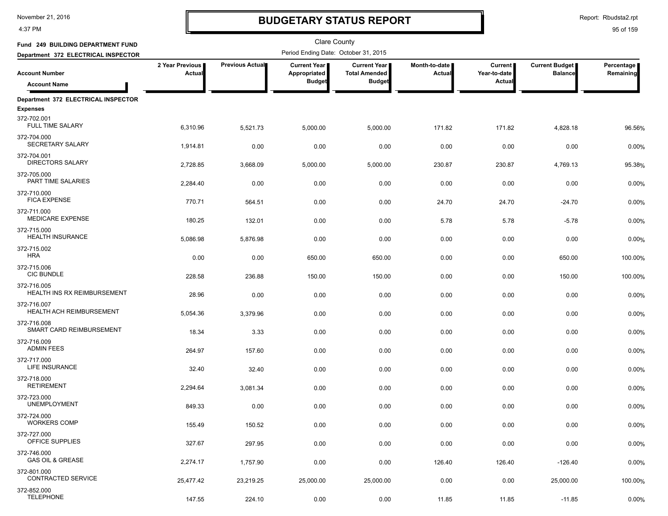4:37 PM

# **BUDGETARY STATUS REPORT**

Report: Rbudsta2.rpt

| Fund 249 BUILDING DEPARTMENT FUND                 | <b>Clare County</b>       |                 |                                      |                                             |                         |                                |                                         |                         |  |
|---------------------------------------------------|---------------------------|-----------------|--------------------------------------|---------------------------------------------|-------------------------|--------------------------------|-----------------------------------------|-------------------------|--|
| Department 372 ELECTRICAL INSPECTOR               |                           |                 | Period Ending Date: October 31, 2015 |                                             |                         |                                |                                         |                         |  |
| <b>Account Number</b>                             | 2 Year Previous<br>Actual | Previous Actual | <b>Current Year</b><br>Appropriated  | <b>Current Year</b><br><b>Total Amended</b> | Month-to-date<br>Actual | <b>Current</b><br>Year-to-date | <b>Current Budget</b><br><b>Balance</b> | Percentage<br>Remaining |  |
| <b>Account Name</b>                               |                           |                 | <b>Budget</b>                        | <b>Budget</b>                               |                         | Actual                         |                                         |                         |  |
| Department 372 ELECTRICAL INSPECTOR               |                           |                 |                                      |                                             |                         |                                |                                         |                         |  |
| <b>Expenses</b>                                   |                           |                 |                                      |                                             |                         |                                |                                         |                         |  |
| 372-702.001<br><b>FULL TIME SALARY</b>            | 6,310.96                  | 5,521.73        | 5,000.00                             | 5,000.00                                    | 171.82                  | 171.82                         | 4,828.18                                | 96.56%                  |  |
| 372-704.000<br>SECRETARY SALARY                   | 1,914.81                  | 0.00            | 0.00                                 | 0.00                                        | 0.00                    | 0.00                           | 0.00                                    | 0.00%                   |  |
| 372-704.001<br><b>DIRECTORS SALARY</b>            | 2,728.85                  | 3,668.09        | 5,000.00                             | 5,000.00                                    | 230.87                  | 230.87                         | 4,769.13                                | 95.38%                  |  |
| 372-705.000<br>PART TIME SALARIES                 | 2,284.40                  | 0.00            | 0.00                                 | 0.00                                        | 0.00                    | 0.00                           | 0.00                                    | 0.00%                   |  |
| 372-710.000<br><b>FICA EXPENSE</b>                | 770.71                    | 564.51          | 0.00                                 | 0.00                                        | 24.70                   | 24.70                          | $-24.70$                                | 0.00%                   |  |
| 372-711.000<br><b>MEDICARE EXPENSE</b>            | 180.25                    | 132.01          | 0.00                                 | 0.00                                        | 5.78                    | 5.78                           | $-5.78$                                 | 0.00%                   |  |
| 372-715.000<br><b>HEALTH INSURANCE</b>            | 5,086.98                  | 5,876.98        | 0.00                                 | 0.00                                        | 0.00                    | 0.00                           | 0.00                                    | 0.00%                   |  |
| 372-715.002<br><b>HRA</b>                         | 0.00                      | 0.00            | 650.00                               | 650.00                                      | 0.00                    | 0.00                           | 650.00                                  | 100.00%                 |  |
| 372-715.006<br><b>CIC BUNDLE</b>                  | 228.58                    | 236.88          | 150.00                               | 150.00                                      | 0.00                    | 0.00                           | 150.00                                  | 100.00%                 |  |
| 372-716.005<br><b>HEALTH INS RX REIMBURSEMENT</b> | 28.96                     | 0.00            | 0.00                                 | 0.00                                        | 0.00                    | 0.00                           | 0.00                                    | 0.00%                   |  |
| 372-716.007<br>HEALTH ACH REIMBURSEMENT           | 5,054.36                  | 3,379.96        | 0.00                                 | 0.00                                        | 0.00                    | 0.00                           | 0.00                                    | 0.00%                   |  |
| 372-716.008<br>SMART CARD REIMBURSEMENT           | 18.34                     | 3.33            | 0.00                                 | 0.00                                        | 0.00                    | 0.00                           | 0.00                                    | 0.00%                   |  |
| 372-716.009<br><b>ADMIN FEES</b>                  | 264.97                    | 157.60          | 0.00                                 | 0.00                                        | 0.00                    | 0.00                           | 0.00                                    | 0.00%                   |  |
| 372-717.000<br>LIFE INSURANCE                     | 32.40                     | 32.40           | 0.00                                 | 0.00                                        | 0.00                    | 0.00                           | 0.00                                    | 0.00%                   |  |
| 372-718.000<br><b>RETIREMENT</b>                  | 2,294.64                  | 3.081.34        | 0.00                                 | 0.00                                        | 0.00                    | 0.00                           | 0.00                                    | 0.00%                   |  |
| 372-723.000<br><b>UNEMPLOYMENT</b>                | 849.33                    | 0.00            | 0.00                                 | 0.00                                        | 0.00                    | 0.00                           | 0.00                                    | 0.00%                   |  |
| 372-724.000<br><b>WORKERS COMP</b>                | 155.49                    | 150.52          | 0.00                                 | 0.00                                        | 0.00                    | 0.00                           | 0.00                                    | 0.00%                   |  |
| 372-727.000<br>OFFICE SUPPLIES                    | 327.67                    | 297.95          | 0.00                                 | 0.00                                        | 0.00                    | 0.00                           | 0.00                                    | 0.00%                   |  |
| 372-746.000<br><b>GAS OIL &amp; GREASE</b>        | 2,274.17                  | 1,757.90        | 0.00                                 | 0.00                                        | 126.40                  | 126.40                         | $-126.40$                               | 0.00%                   |  |
| 372-801.000<br>CONTRACTED SERVICE                 | 25,477.42                 | 23,219.25       | 25,000.00                            | 25,000.00                                   | 0.00                    | 0.00                           | 25,000.00                               | 100.00%                 |  |
| 372-852.000<br><b>TELEPHONE</b>                   | 147.55                    | 224.10          | 0.00                                 | 0.00                                        | 11.85                   | 11.85                          | $-11.85$                                | 0.00%                   |  |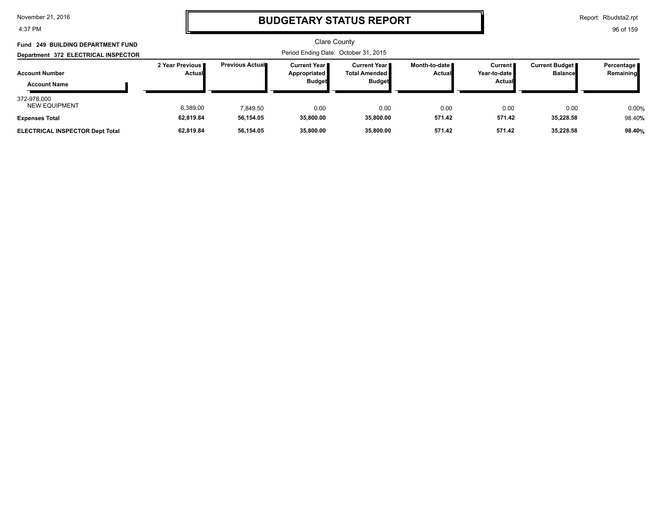4:37 PM

### **BUDGETARY STATUS REPORT**

Report: Rbudsta2.rpt

| Fund 249 BUILDING DEPARTMENT FUND                               |                                    |                        | Clare County                                            |                                                                 |                                  |                                                          |                                           |                           |
|-----------------------------------------------------------------|------------------------------------|------------------------|---------------------------------------------------------|-----------------------------------------------------------------|----------------------------------|----------------------------------------------------------|-------------------------------------------|---------------------------|
| Department 372 ELECTRICAL INSPECTOR                             |                                    |                        |                                                         |                                                                 |                                  |                                                          |                                           |                           |
| <b>Account Number</b><br><b>Account Name</b>                    | 2 Year Previous I<br><b>Actual</b> | <b>Previous Actual</b> | <b>Current Year II</b><br>Appropriated<br><b>Budget</b> | <b>Current Year II</b><br><b>Total Amended</b><br><b>Budget</b> | Month-to-date ■<br><b>Actual</b> | <b>Current</b><br>Year-to-date <i>∎</i><br><b>Actual</b> | <b>Current Budget</b> ■<br><b>Balance</b> | Percentage  <br>Remaining |
| 372-978.000<br><b>NEW EQUIPMENT</b>                             | 6,389.00                           | 7.849.50               | 0.00                                                    | 0.00                                                            | 0.00                             | 0.00                                                     | 0.00                                      | 0.00%                     |
| <b>Expenses Total</b><br><b>ELECTRICAL INSPECTOR Dept Total</b> | 62,819.84<br>62,819.84             | 56,154.05<br>56,154.05 | 35,800.00<br>35,800.00                                  | 35,800.00<br>35,800.00                                          | 571.42<br>571.42                 | 571.42<br>571.42                                         | 35,228.58<br>35,228.58                    | 98.40%<br>98.40%          |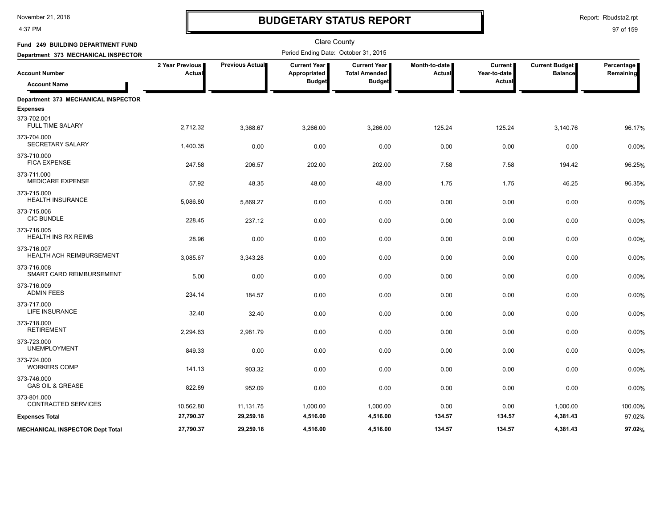4:37 PM

# **BUDGETARY STATUS REPORT**

Report: Rbudsta2.rpt

| Fund 249 BUILDING DEPARTMENT FUND              |                           |                 | <b>Clare County</b><br>Period Ending Date: October 31, 2015 |                                      |                                |                                     |                                         |                         |
|------------------------------------------------|---------------------------|-----------------|-------------------------------------------------------------|--------------------------------------|--------------------------------|-------------------------------------|-----------------------------------------|-------------------------|
| Department 373 MECHANICAL INSPECTOR            |                           |                 |                                                             |                                      |                                |                                     |                                         |                         |
| Account Number                                 | 2 Year Previous<br>Actual | Previous Actual | <b>Current Year  </b><br>Appropriated                       | Current Year<br><b>Total Amended</b> | Month-to-date<br><b>Actual</b> | Current  <br>Year-to-date<br>Actual | <b>Current Budget</b><br><b>Balance</b> | Percentage<br>Remaining |
| <b>Account Name</b>                            |                           |                 | <b>Budget</b>                                               | <b>Budget</b>                        |                                |                                     |                                         |                         |
| Department 373 MECHANICAL INSPECTOR            |                           |                 |                                                             |                                      |                                |                                     |                                         |                         |
| <b>Expenses</b>                                |                           |                 |                                                             |                                      |                                |                                     |                                         |                         |
| 373-702.001<br><b>FULL TIME SALARY</b>         | 2,712.32                  | 3,368.67        | 3,266.00                                                    | 3,266.00                             | 125.24                         | 125.24                              | 3,140.76                                | 96.17%                  |
| 373-704.000<br><b>SECRETARY SALARY</b>         | 1,400.35                  | 0.00            | 0.00                                                        | 0.00                                 | 0.00                           | 0.00                                | 0.00                                    | 0.00%                   |
| 373-710.000<br><b>FICA EXPENSE</b>             | 247.58                    | 206.57          | 202.00                                                      | 202.00                               | 7.58                           | 7.58                                | 194.42                                  | 96.25%                  |
| 373-711.000<br><b>MEDICARE EXPENSE</b>         | 57.92                     | 48.35           | 48.00                                                       | 48.00                                | 1.75                           | 1.75                                | 46.25                                   | 96.35%                  |
| 373-715.000<br><b>HEALTH INSURANCE</b>         | 5,086.80                  | 5,869.27        | 0.00                                                        | 0.00                                 | 0.00                           | 0.00                                | 0.00                                    | 0.00%                   |
| 373-715.006<br><b>CIC BUNDLE</b>               | 228.45                    | 237.12          | 0.00                                                        | 0.00                                 | 0.00                           | 0.00                                | 0.00                                    | 0.00%                   |
| 373-716.005<br>HEALTH INS RX REIMB             | 28.96                     | 0.00            | 0.00                                                        | 0.00                                 | 0.00                           | 0.00                                | 0.00                                    | 0.00%                   |
| 373-716.007<br><b>HEALTH ACH REIMBURSEMENT</b> | 3,085.67                  | 3,343.28        | 0.00                                                        | 0.00                                 | 0.00                           | 0.00                                | 0.00                                    | 0.00%                   |
| 373-716.008<br>SMART CARD REIMBURSEMENT        | 5.00                      | 0.00            | 0.00                                                        | 0.00                                 | 0.00                           | 0.00                                | 0.00                                    | 0.00%                   |
| 373-716.009<br><b>ADMIN FEES</b>               | 234.14                    | 184.57          | 0.00                                                        | 0.00                                 | 0.00                           | 0.00                                | 0.00                                    | 0.00%                   |
| 373-717.000<br><b>LIFE INSURANCE</b>           | 32.40                     | 32.40           | 0.00                                                        | 0.00                                 | 0.00                           | 0.00                                | 0.00                                    | 0.00%                   |
| 373-718.000<br><b>RETIREMENT</b>               | 2,294.63                  | 2,981.79        | 0.00                                                        | 0.00                                 | 0.00                           | 0.00                                | 0.00                                    | 0.00%                   |
| 373-723.000<br><b>UNEMPLOYMENT</b>             | 849.33                    | 0.00            | 0.00                                                        | 0.00                                 | 0.00                           | 0.00                                | 0.00                                    | 0.00%                   |
| 373-724.000<br><b>WORKERS COMP</b>             | 141.13                    | 903.32          | 0.00                                                        | 0.00                                 | 0.00                           | 0.00                                | 0.00                                    | 0.00%                   |
| 373-746.000<br><b>GAS OIL &amp; GREASE</b>     | 822.89                    | 952.09          | 0.00                                                        | 0.00                                 | 0.00                           | 0.00                                | 0.00                                    | 0.00%                   |
| 373-801.000<br><b>CONTRACTED SERVICES</b>      | 10,562.80                 | 11,131.75       | 1,000.00                                                    | 1,000.00                             | 0.00                           | 0.00                                | 1,000.00                                | 100.00%                 |
| <b>Expenses Total</b>                          | 27,790.37                 | 29,259.18       | 4,516.00                                                    | 4,516.00                             | 134.57                         | 134.57                              | 4,381.43                                | 97.02%                  |
| <b>MECHANICAL INSPECTOR Dept Total</b>         | 27.790.37                 | 29,259.18       | 4,516.00                                                    | 4,516.00                             | 134.57                         | 134.57                              | 4,381.43                                | 97.02%                  |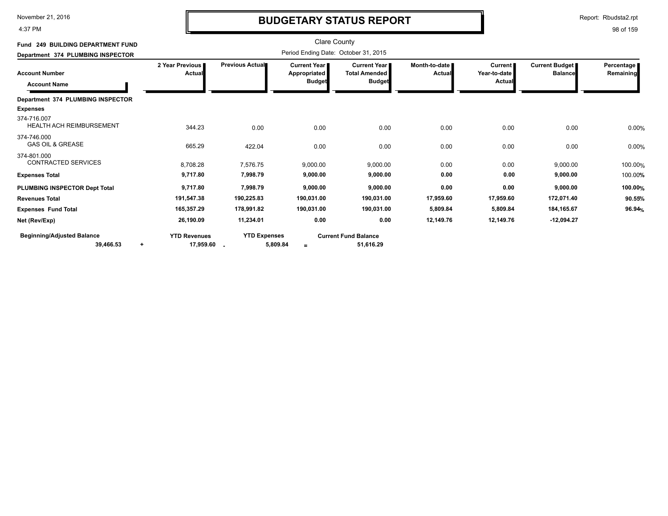4:37 PM

# **BUDGETARY STATUS REPORT**

Report: Rbudsta2.rpt

| Fund 249 BUILDING DEPARTMENT FUND          |                           |                         | <b>Clare County</b>                                    |                                                              |                         |                                   |                                  |                         |
|--------------------------------------------|---------------------------|-------------------------|--------------------------------------------------------|--------------------------------------------------------------|-------------------------|-----------------------------------|----------------------------------|-------------------------|
| Department 374 PLUMBING INSPECTOR          |                           |                         | Period Ending Date: October 31, 2015                   |                                                              |                         |                                   |                                  |                         |
| Account Number<br><b>Account Name</b>      | 2 Year Previous<br>Actual | <b>Previous Actual■</b> | <b>Current Year I</b><br>Appropriated<br><b>Budget</b> | <b>Current Year</b><br><b>Total Amended</b><br><b>Budget</b> | Month-to-date<br>Actual | Current<br>Year-to-date<br>Actual | Current Budget<br><b>Balance</b> | Percentage<br>Remaining |
| Department 374 PLUMBING INSPECTOR          |                           |                         |                                                        |                                                              |                         |                                   |                                  |                         |
| <b>Expenses</b>                            |                           |                         |                                                        |                                                              |                         |                                   |                                  |                         |
| 374-716.007<br>HEALTH ACH REIMBURSEMENT    | 344.23                    | 0.00                    | 0.00                                                   | 0.00                                                         | 0.00                    | 0.00                              | 0.00                             | 0.00%                   |
| 374-746.000<br><b>GAS OIL &amp; GREASE</b> | 665.29                    | 422.04                  | 0.00                                                   | 0.00                                                         | 0.00                    | 0.00                              | 0.00                             | 0.00%                   |
| 374-801.000<br><b>CONTRACTED SERVICES</b>  | 8,708.28                  | 7,576.75                | 9,000.00                                               | 9,000.00                                                     | 0.00                    | 0.00                              | 9,000.00                         | 100.00%                 |
| Expenses Total                             | 9,717.80                  | 7,998.79                | 9,000.00                                               | 9,000.00                                                     | 0.00                    | 0.00                              | 9,000.00                         | 100.00%                 |
| PLUMBING INSPECTOR Dept Total              | 9,717.80                  | 7,998.79                | 9,000.00                                               | 9,000.00                                                     | 0.00                    | 0.00                              | 9,000.00                         | 100.00%                 |
| Revenues Total                             | 191,547.38                | 190,225.83              | 190,031.00                                             | 190,031.00                                                   | 17,959.60               | 17,959.60                         | 172,071.40                       | 90.55%                  |
| <b>Expenses Fund Total</b>                 | 165,357.29                | 178,991.82              | 190,031.00                                             | 190,031.00                                                   | 5,809.84                | 5,809.84                          | 184,165.67                       | 96.94 <sub>%</sub>      |
| Net (Rev/Exp)                              | 26,190.09                 | 11.234.01               | 0.00                                                   | 0.00                                                         | 12,149.76               | 12,149.76                         | $-12,094.27$                     |                         |
| <b>Beginning/Adjusted Balance</b>          | <b>YTD Revenues</b>       | <b>YTD Expenses</b>     |                                                        | <b>Current Fund Balance</b>                                  |                         |                                   |                                  |                         |
| 39,466.53<br>$\ddot{}$                     | 17,959.60                 | 5,809.84                |                                                        | 51,616.29                                                    |                         |                                   |                                  |                         |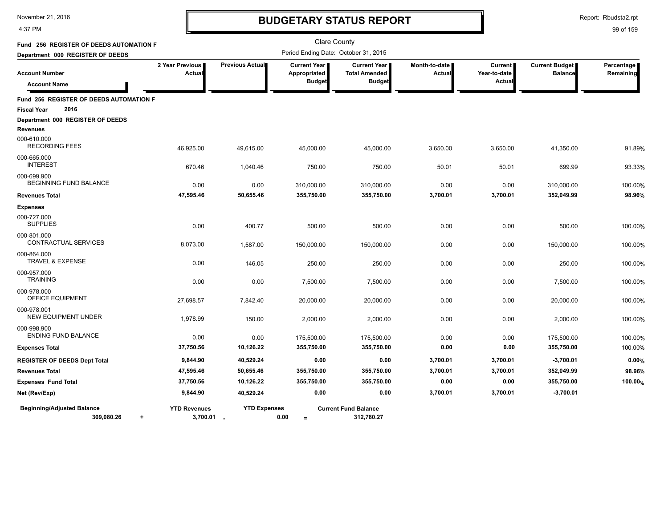4:37 PM

# **BUDGETARY STATUS REPORT**

Report: Rbudsta2.rpt

| Fund 256 REGISTER OF DEEDS AUTOMATION F                      |                                   |                     |                                                      | <b>Clare County</b>                                          |                         |                                          |                                         |                         |
|--------------------------------------------------------------|-----------------------------------|---------------------|------------------------------------------------------|--------------------------------------------------------------|-------------------------|------------------------------------------|-----------------------------------------|-------------------------|
| Department 000 REGISTER OF DEEDS                             |                                   |                     | Period Ending Date: October 31, 2015                 |                                                              |                         |                                          |                                         |                         |
| <b>Account Number</b><br><b>Account Name</b>                 | 2 Year Previous<br>Actual         | Previous Actual     | <b>Current Year</b><br>Appropriated<br><b>Budget</b> | <b>Current Year</b><br><b>Total Amended</b><br><b>Budget</b> | Month-to-date<br>Actual | <b>Current</b><br>Year-to-date<br>Actual | <b>Current Budget</b><br><b>Balance</b> | Percentage<br>Remaining |
| Fund 256 REGISTER OF DEEDS AUTOMATION F                      |                                   |                     |                                                      |                                                              |                         |                                          |                                         |                         |
| 2016<br><b>Fiscal Year</b>                                   |                                   |                     |                                                      |                                                              |                         |                                          |                                         |                         |
| Department 000 REGISTER OF DEEDS<br><b>Revenues</b>          |                                   |                     |                                                      |                                                              |                         |                                          |                                         |                         |
| 000-610.000<br><b>RECORDING FEES</b>                         | 46,925.00                         | 49,615.00           | 45,000.00                                            | 45,000.00                                                    | 3,650.00                | 3,650.00                                 | 41,350.00                               | 91.89%                  |
| 000-665.000<br><b>INTEREST</b>                               | 670.46                            | 1,040.46            | 750.00                                               | 750.00                                                       | 50.01                   | 50.01                                    | 699.99                                  | 93.33%                  |
| 000-699.900<br>BEGINNING FUND BALANCE                        | 0.00                              | 0.00                | 310,000.00                                           | 310,000.00                                                   | 0.00                    | 0.00                                     | 310,000.00                              | 100.00%                 |
| <b>Revenues Total</b>                                        | 47,595.46                         | 50,655.46           | 355,750.00                                           | 355,750.00                                                   | 3,700.01                | 3,700.01                                 | 352,049.99                              | 98.96%                  |
| <b>Expenses</b>                                              |                                   |                     |                                                      |                                                              |                         |                                          |                                         |                         |
| 000-727.000<br><b>SUPPLIES</b>                               | 0.00                              | 400.77              | 500.00                                               | 500.00                                                       | 0.00                    | 0.00                                     | 500.00                                  | 100.00%                 |
| 000-801.000<br><b>CONTRACTUAL SERVICES</b>                   | 8,073.00                          | 1,587.00            | 150,000.00                                           | 150,000.00                                                   | 0.00                    | 0.00                                     | 150,000.00                              | 100.00%                 |
| 000-864.000<br><b>TRAVEL &amp; EXPENSE</b>                   | 0.00                              | 146.05              | 250.00                                               | 250.00                                                       | 0.00                    | 0.00                                     | 250.00                                  | 100.00%                 |
| 000-957.000<br><b>TRAINING</b>                               | 0.00                              | 0.00                | 7,500.00                                             | 7,500.00                                                     | 0.00                    | 0.00                                     | 7,500.00                                | 100.00%                 |
| 000-978.000<br>OFFICE EQUIPMENT                              | 27,698.57                         | 7,842.40            | 20,000.00                                            | 20,000.00                                                    | 0.00                    | 0.00                                     | 20,000.00                               | 100.00%                 |
| 000-978.001<br><b>NEW EQUIPMENT UNDER</b>                    | 1,978.99                          | 150.00              | 2,000.00                                             | 2,000.00                                                     | 0.00                    | 0.00                                     | 2,000.00                                | 100.00%                 |
| 000-998.900<br><b>ENDING FUND BALANCE</b>                    | 0.00                              | 0.00                | 175,500.00                                           | 175,500.00                                                   | 0.00                    | 0.00                                     | 175,500.00                              | 100.00%                 |
| <b>Expenses Total</b>                                        | 37,750.56                         | 10,126.22           | 355,750.00                                           | 355,750.00                                                   | 0.00                    | 0.00                                     | 355,750.00                              | 100.00%                 |
| <b>REGISTER OF DEEDS Dept Total</b>                          | 9,844.90                          | 40,529.24           | 0.00                                                 | 0.00                                                         | 3,700.01                | 3,700.01                                 | $-3,700.01$                             | 0.00%                   |
| <b>Revenues Total</b>                                        | 47,595.46                         | 50,655.46           | 355,750.00                                           | 355,750.00                                                   | 3,700.01                | 3,700.01                                 | 352,049.99                              | 98.96%                  |
| <b>Expenses Fund Total</b>                                   | 37,750.56                         | 10,126.22           | 355,750.00                                           | 355,750.00                                                   | 0.00                    | 0.00                                     | 355,750.00                              | 100.00%                 |
| Net (Rev/Exp)                                                | 9,844.90                          | 40,529.24           | 0.00                                                 | 0.00                                                         | 3,700.01                | 3,700.01                                 | $-3,700.01$                             |                         |
| <b>Beginning/Adjusted Balance</b><br>309.080.26<br>$\ddot{}$ | <b>YTD Revenues</b><br>3,700.01 - | <b>YTD Expenses</b> | 0.00<br>$=$                                          | <b>Current Fund Balance</b><br>312,780.27                    |                         |                                          |                                         |                         |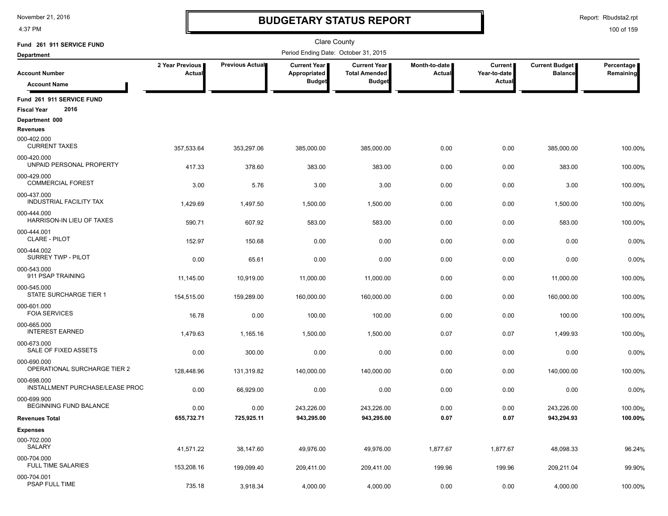4:37 PM

### **BUDGETARY STATUS REPORT**

Report: Rbudsta2.rpt

| Fund 261 911 SERVICE FUND                               |                           |                 | <b>Clare County</b>                   |                                               |                         |                         |                                  |                         |
|---------------------------------------------------------|---------------------------|-----------------|---------------------------------------|-----------------------------------------------|-------------------------|-------------------------|----------------------------------|-------------------------|
| <b>Department</b>                                       |                           |                 | Period Ending Date: October 31, 2015  |                                               |                         |                         |                                  |                         |
| <b>Account Number</b>                                   | 2 Year Previous<br>Actual | Previous Actual | <b>Current Year I</b><br>Appropriated | <b>Current Year</b>  <br><b>Total Amended</b> | Month-to-date<br>Actual | Current<br>Year-to-date | Current Budget<br><b>Balance</b> | Percentage<br>Remaining |
| <b>Account Name</b>                                     |                           |                 | <b>Budget</b>                         | <b>Budget</b>                                 |                         | Actual                  |                                  |                         |
| Fund 261 911 SERVICE FUND<br>2016<br><b>Fiscal Year</b> |                           |                 |                                       |                                               |                         |                         |                                  |                         |
| Department 000                                          |                           |                 |                                       |                                               |                         |                         |                                  |                         |
| <b>Revenues</b>                                         |                           |                 |                                       |                                               |                         |                         |                                  |                         |
| 000-402.000<br><b>CURRENT TAXES</b>                     | 357,533.64                | 353,297.06      | 385,000.00                            | 385,000.00                                    | 0.00                    | 0.00                    | 385,000.00                       | 100.00%                 |
| 000-420.000<br>UNPAID PERSONAL PROPERTY                 | 417.33                    | 378.60          | 383.00                                | 383.00                                        | 0.00                    | 0.00                    | 383.00                           | 100.00%                 |
| 000-429.000<br><b>COMMERCIAL FOREST</b>                 | 3.00                      | 5.76            | 3.00                                  | 3.00                                          | 0.00                    | 0.00                    | 3.00                             | 100.00%                 |
| 000-437.000<br>INDUSTRIAL FACILITY TAX                  | 1,429.69                  | 1,497.50        | 1,500.00                              | 1,500.00                                      | 0.00                    | 0.00                    | 1,500.00                         | 100.00%                 |
| 000-444.000<br>HARRISON-IN LIEU OF TAXES                | 590.71                    | 607.92          | 583.00                                | 583.00                                        | 0.00                    | 0.00                    | 583.00                           | 100.00%                 |
| 000-444.001<br><b>CLARE - PILOT</b>                     | 152.97                    | 150.68          | 0.00                                  | 0.00                                          | 0.00                    | 0.00                    | 0.00                             | 0.00%                   |
| 000-444.002<br>SURREY TWP - PILOT                       | 0.00                      | 65.61           | 0.00                                  | 0.00                                          | 0.00                    | 0.00                    | 0.00                             | 0.00%                   |
| 000-543.000<br>911 PSAP TRAINING                        | 11,145.00                 | 10,919.00       | 11,000.00                             | 11,000.00                                     | 0.00                    | 0.00                    | 11,000.00                        | 100.00%                 |
| 000-545.000<br>STATE SURCHARGE TIER 1                   | 154,515.00                | 159,289.00      | 160,000.00                            | 160,000.00                                    | 0.00                    | 0.00                    | 160,000.00                       | 100.00%                 |
| 000-601.000<br><b>FOIA SERVICES</b>                     | 16.78                     | 0.00            | 100.00                                | 100.00                                        | 0.00                    | 0.00                    | 100.00                           | 100.00%                 |
| 000-665.000<br><b>INTEREST EARNED</b>                   | 1,479.63                  | 1,165.16        | 1,500.00                              | 1,500.00                                      | 0.07                    | 0.07                    | 1,499.93                         | 100.00%                 |
| 000-673.000<br>SALE OF FIXED ASSETS                     | 0.00                      | 300.00          | 0.00                                  | 0.00                                          | 0.00                    | 0.00                    | 0.00                             | 0.00%                   |
| 000-690.000<br>OPERATIONAL SURCHARGE TIER 2             | 128,448.96                | 131,319.82      | 140,000.00                            | 140,000.00                                    | 0.00                    | 0.00                    | 140,000.00                       | 100.00%                 |
| 000-698.000<br>INSTALLMENT PURCHASE/LEASE PROC          | 0.00                      | 66,929.00       | 0.00                                  | 0.00                                          | 0.00                    | 0.00                    | 0.00                             | 0.00%                   |
| 000-699.900<br>BEGINNING FUND BALANCE                   | 0.00                      | 0.00            | 243,226.00                            | 243,226.00                                    | 0.00                    | 0.00                    | 243,226.00                       | 100.00%                 |
| <b>Revenues Total</b>                                   | 655,732.71                | 725,925.11      | 943,295.00                            | 943,295.00                                    | 0.07                    | 0.07                    | 943,294.93                       | 100.00%                 |
| <b>Expenses</b>                                         |                           |                 |                                       |                                               |                         |                         |                                  |                         |
| 000-702.000<br>SALARY                                   | 41,571.22                 | 38,147.60       | 49,976.00                             | 49,976.00                                     | 1,877.67                | 1,877.67                | 48,098.33                        | 96.24%                  |
| 000-704.000<br><b>FULL TIME SALARIES</b>                | 153,208.16                | 199,099.40      | 209,411.00                            | 209,411.00                                    | 199.96                  | 199.96                  | 209,211.04                       | 99.90%                  |
| 000-704.001<br>PSAP FULL TIME                           | 735.18                    | 3,918.34        | 4,000.00                              | 4,000.00                                      | 0.00                    | 0.00                    | 4,000.00                         | 100.00%                 |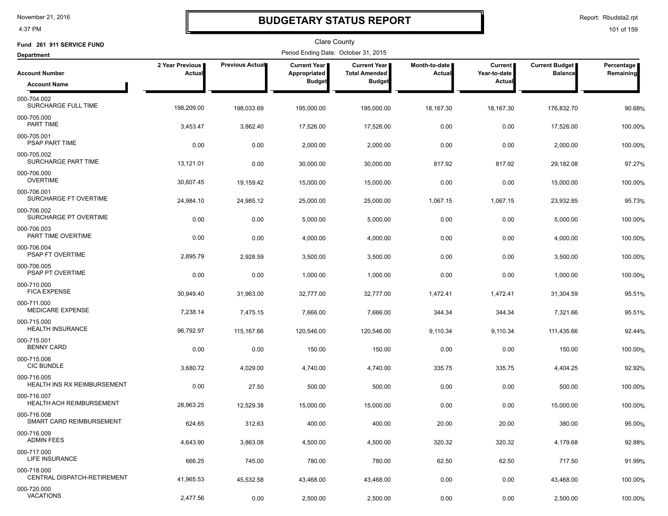4:37 PM

### **BUDGETARY STATUS REPORT**

Report: Rbudsta2.rpt

| Fund 261 911 SERVICE FUND                         |                           |                 | Clare County                         |                                               |                         |                           |                                         |                         |
|---------------------------------------------------|---------------------------|-----------------|--------------------------------------|-----------------------------------------------|-------------------------|---------------------------|-----------------------------------------|-------------------------|
| <b>Department</b>                                 |                           |                 | Period Ending Date: October 31, 2015 |                                               |                         |                           |                                         |                         |
| <b>Account Number</b>                             | 2 Year Previous<br>Actual | Previous Actual | Current Year<br>Appropriated         | <b>Current Year I</b><br><b>Total Amended</b> | Month-to-date<br>Actual | Current  <br>Year-to-date | <b>Current Budget</b><br><b>Balance</b> | Percentage<br>Remaining |
| <b>Account Name</b>                               |                           |                 | <b>Budget</b>                        | <b>Budget</b>                                 |                         | Actual                    |                                         |                         |
| 000-704.002<br>SURCHARGE FULL TIME                | 198,209.00                | 198,033.69      | 195,000.00                           | 195,000.00                                    | 18,167.30               | 18,167.30                 | 176,832.70                              | 90.68%                  |
| 000-705.000<br>PART TIME                          | 3,453.47                  | 3,862.40        | 17,526.00                            | 17,526.00                                     | 0.00                    | 0.00                      | 17,526.00                               | 100.00%                 |
| 000-705.001<br>PSAP PART TIME                     | 0.00                      | 0.00            | 2,000.00                             | 2,000.00                                      | 0.00                    | 0.00                      | 2,000.00                                | 100.00%                 |
| 000-705.002<br>SURCHARGE PART TIME                | 13,121.01                 | 0.00            | 30,000.00                            | 30,000.00                                     | 817.92                  | 817.92                    | 29,182.08                               | 97.27%                  |
| 000-706.000<br><b>OVERTIME</b>                    | 30,607.45                 | 19,159.42       | 15,000.00                            | 15,000.00                                     | 0.00                    | 0.00                      | 15,000.00                               | 100.00%                 |
| 000-706.001<br>SURCHARGE FT OVERTIME              | 24,984.10                 | 24,985.12       | 25,000.00                            | 25,000.00                                     | 1,067.15                | 1,067.15                  | 23,932.85                               | 95.73%                  |
| 000-706.002<br>SURCHARGE PT OVERTIME              | 0.00                      | 0.00            | 5,000.00                             | 5,000.00                                      | 0.00                    | 0.00                      | 5,000.00                                | 100.00%                 |
| 000-706.003<br>PART TIME OVERTIME                 | 0.00                      | 0.00            | 4,000.00                             | 4,000.00                                      | 0.00                    | 0.00                      | 4,000.00                                | 100.00%                 |
| 000-706.004<br>PSAP FT OVERTIME                   | 2,895.79                  | 2,928.59        | 3,500.00                             | 3,500.00                                      | 0.00                    | 0.00                      | 3,500.00                                | 100.00%                 |
| 000-706.005<br>PSAP PT OVERTIME                   | 0.00                      | 0.00            | 1,000.00                             | 1,000.00                                      | 0.00                    | 0.00                      | 1,000.00                                | 100.00%                 |
| 000-710.000<br><b>FICA EXPENSE</b>                | 30,949.40                 | 31,963.00       | 32,777.00                            | 32,777.00                                     | 1,472.41                | 1,472.41                  | 31,304.59                               | 95.51%                  |
| 000-711.000<br><b>MEDICARE EXPENSE</b>            | 7,238.14                  | 7,475.15        | 7,666.00                             | 7,666.00                                      | 344.34                  | 344.34                    | 7,321.66                                | 95.51%                  |
| 000-715.000<br><b>HEALTH INSURANCE</b>            | 96,792.97                 | 115,167.66      | 120,546.00                           | 120,546.00                                    | 9,110.34                | 9,110.34                  | 111,435.66                              | 92.44%                  |
| 000-715.001<br><b>BENNY CARD</b>                  | 0.00                      | 0.00            | 150.00                               | 150.00                                        | 0.00                    | 0.00                      | 150.00                                  | 100.00%                 |
| 000-715.006<br><b>CIC BUNDLE</b>                  | 3,680.72                  | 4,029.00        | 4,740.00                             | 4,740.00                                      | 335.75                  | 335.75                    | 4,404.25                                | 92.92%                  |
| 000-716.005<br><b>HEALTH INS RX REIMBURSEMENT</b> | 0.00                      | 27.50           | 500.00                               | 500.00                                        | 0.00                    | 0.00                      | 500.00                                  | 100.00%                 |
| 000-716.007<br>HEALTH ACH REIMBURSEMENT           | 28,963.25                 | 12,529.38       | 15,000.00                            | 15,000.00                                     | 0.00                    | 0.00                      | 15,000.00                               | 100.00%                 |
| 000-716.008<br>SMART CARD REIMBURSEMENT           | 624.65                    | 312.63          | 400.00                               | 400.00                                        | 20.00                   | 20.00                     | 380.00                                  | 95.00%                  |
| 000-716.009<br><b>ADMIN FEES</b>                  | 4,643.90                  | 3,863.08        | 4,500.00                             | 4,500.00                                      | 320.32                  | 320.32                    | 4,179.68                                | 92.88%                  |
| 000-717.000<br><b>LIFE INSURANCE</b>              | 666.25                    | 745.00          | 780.00                               | 780.00                                        | 62.50                   | 62.50                     | 717.50                                  | 91.99%                  |
| 000-718.000<br>CENTRAL DISPATCH-RETIREMENT        | 41,965.53                 | 45,532.58       | 43,468.00                            | 43,468.00                                     | 0.00                    | 0.00                      | 43,468.00                               | 100.00%                 |
| 000-720.000<br><b>VACATIONS</b>                   | 2,477.56                  | 0.00            | 2,500.00                             | 2,500.00                                      | 0.00                    | 0.00                      | 2,500.00                                | 100.00%                 |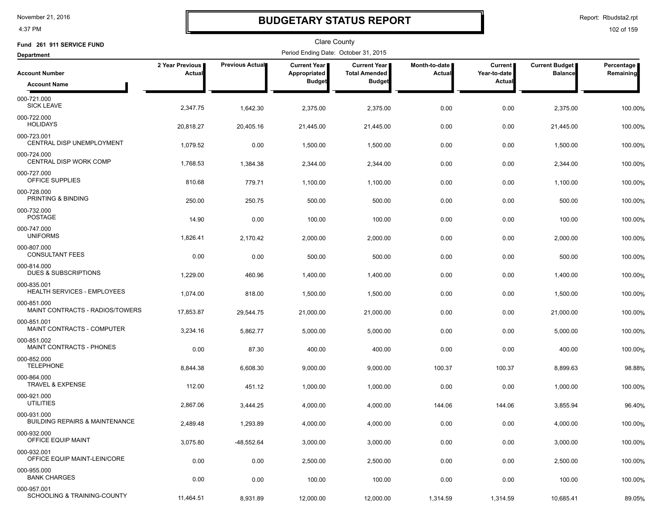4:37 PM

### **BUDGETARY STATUS REPORT**

Report: Rbudsta2.rpt

| Fund 261 911 SERVICE FUND                                |                           |                        | Clare County                         |                                      |                                |                         |                                  |                         |
|----------------------------------------------------------|---------------------------|------------------------|--------------------------------------|--------------------------------------|--------------------------------|-------------------------|----------------------------------|-------------------------|
| <b>Department</b>                                        |                           |                        | Period Ending Date: October 31, 2015 |                                      |                                |                         |                                  |                         |
| <b>Account Number</b>                                    | 2 Year Previous<br>Actual | <b>Previous Actual</b> | Current Year<br>Appropriated         | Current Year<br><b>Total Amended</b> | Month-to-date<br><b>Actual</b> | Current<br>Year-to-date | Current Budget<br><b>Balance</b> | Percentage<br>Remaining |
| <b>Account Name</b>                                      |                           |                        | <b>Budget</b>                        | <b>Budget</b>                        |                                | <b>Actual</b>           |                                  |                         |
| 000-721.000<br><b>SICK LEAVE</b>                         | 2,347.75                  | 1,642.30               | 2,375.00                             | 2,375.00                             | 0.00                           | 0.00                    | 2,375.00                         | 100.00%                 |
| 000-722.000<br><b>HOLIDAYS</b>                           | 20,818.27                 | 20,405.16              | 21,445.00                            | 21,445.00                            | 0.00                           | 0.00                    | 21,445.00                        | 100.00%                 |
| 000-723.001<br><b>CENTRAL DISP UNEMPLOYMENT</b>          | 1,079.52                  | 0.00                   | 1,500.00                             | 1,500.00                             | 0.00                           | 0.00                    | 1,500.00                         | 100.00%                 |
| 000-724.000<br>CENTRAL DISP WORK COMP                    | 1,768.53                  | 1,384.38               | 2,344.00                             | 2,344.00                             | 0.00                           | 0.00                    | 2,344.00                         | 100.00%                 |
| 000-727.000<br>OFFICE SUPPLIES                           | 810.68                    | 779.71                 | 1,100.00                             | 1,100.00                             | 0.00                           | 0.00                    | 1,100.00                         | 100.00%                 |
| 000-728.000<br>PRINTING & BINDING                        | 250.00                    | 250.75                 | 500.00                               | 500.00                               | 0.00                           | 0.00                    | 500.00                           | 100.00%                 |
| 000-732.000<br><b>POSTAGE</b>                            | 14.90                     | 0.00                   | 100.00                               | 100.00                               | 0.00                           | 0.00                    | 100.00                           | 100.00%                 |
| 000-747.000<br><b>UNIFORMS</b>                           | 1,826.41                  | 2,170.42               | 2,000.00                             | 2,000.00                             | 0.00                           | 0.00                    | 2,000.00                         | 100.00%                 |
| 000-807.000<br><b>CONSULTANT FEES</b>                    | 0.00                      | 0.00                   | 500.00                               | 500.00                               | 0.00                           | 0.00                    | 500.00                           | 100.00%                 |
| 000-814.000<br><b>DUES &amp; SUBSCRIPTIONS</b>           | 1,229.00                  | 460.96                 | 1,400.00                             | 1,400.00                             | 0.00                           | 0.00                    | 1,400.00                         | 100.00%                 |
| 000-835.001<br><b>HEALTH SERVICES - EMPLOYEES</b>        | 1,074.00                  | 818.00                 | 1,500.00                             | 1,500.00                             | 0.00                           | 0.00                    | 1,500.00                         | 100.00%                 |
| 000-851.000<br>MAINT CONTRACTS - RADIOS/TOWERS           | 17,853.87                 | 29,544.75              | 21,000.00                            | 21,000.00                            | 0.00                           | 0.00                    | 21,000.00                        | 100.00%                 |
| 000-851.001<br>MAINT CONTRACTS - COMPUTER                | 3,234.16                  | 5,862.77               | 5,000.00                             | 5,000.00                             | 0.00                           | 0.00                    | 5,000.00                         | 100.00%                 |
| 000-851.002<br>MAINT CONTRACTS - PHONES                  | 0.00                      | 87.30                  | 400.00                               | 400.00                               | 0.00                           | 0.00                    | 400.00                           | 100.00%                 |
| 000-852.000<br><b>TELEPHONE</b><br>000-864.000           | 8,844.38                  | 6,608.30               | 9,000.00                             | 9,000.00                             | 100.37                         | 100.37                  | 8,899.63                         | 98.88%                  |
| <b>TRAVEL &amp; EXPENSE</b><br>000-921.000               | 112.00                    | 451.12                 | 1,000.00                             | 1,000.00                             | 0.00                           | 0.00                    | 1,000.00                         | 100.00%                 |
| <b>UTILITIES</b>                                         | 2,867.06                  | 3,444.25               | 4,000.00                             | 4,000.00                             | 144.06                         | 144.06                  | 3,855.94                         | 96.40%                  |
| 000-931.000<br><b>BUILDING REPAIRS &amp; MAINTENANCE</b> | 2,489.48                  | 1,293.89               | 4,000.00                             | 4,000.00                             | 0.00                           | 0.00                    | 4,000.00                         | 100.00%                 |
| 000-932.000<br>OFFICE EQUIP MAINT                        | 3,075.80                  | $-48,552.64$           | 3,000.00                             | 3,000.00                             | 0.00                           | 0.00                    | 3,000.00                         | 100.00%                 |
| 000-932.001<br>OFFICE EQUIP MAINT-LEIN/CORE              | 0.00                      | 0.00                   | 2,500.00                             | 2,500.00                             | 0.00                           | 0.00                    | 2,500.00                         | 100.00%                 |
| 000-955.000<br><b>BANK CHARGES</b>                       | 0.00                      | 0.00                   | 100.00                               | 100.00                               | 0.00                           | 0.00                    | 100.00                           | 100.00%                 |
| 000-957.001<br>SCHOOLING & TRAINING-COUNTY               | 11,464.51                 | 8,931.89               | 12,000.00                            | 12,000.00                            | 1,314.59                       | 1,314.59                | 10,685.41                        | 89.05%                  |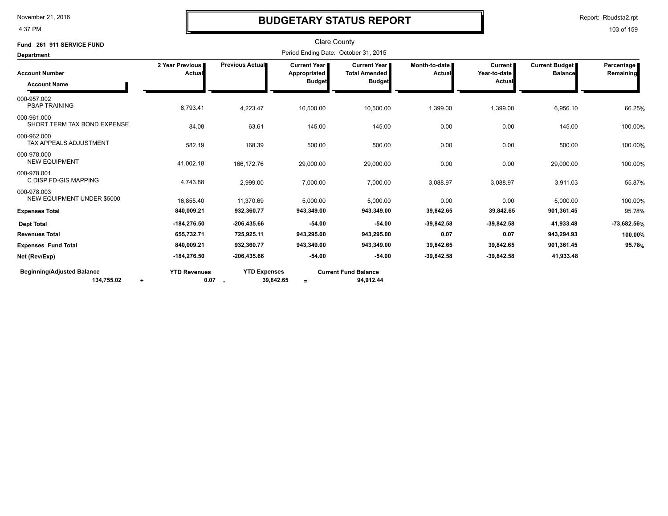4:37 PM

### **BUDGETARY STATUS REPORT**

Report: Rbudsta2.rpt

| Fund 261 911 SERVICE FUND                                    |                             |                                  | <b>Clare County</b>                                  |                                                                |                           |                                    |                                         |                         |
|--------------------------------------------------------------|-----------------------------|----------------------------------|------------------------------------------------------|----------------------------------------------------------------|---------------------------|------------------------------------|-----------------------------------------|-------------------------|
| <b>Department</b>                                            |                             |                                  | Period Ending Date: October 31, 2015                 |                                                                |                           |                                    |                                         |                         |
| <b>Account Number</b><br><b>Account Name</b>                 | 2 Year Previous<br>Actual   | Previous Actual                  | <b>Current Year</b><br>Appropriated<br><b>Budget</b> | <b>Current Year I</b><br><b>Total Amended</b><br><b>Budget</b> | Month-to-date I<br>Actual | Current  <br>Year-to-date<br>Actua | <b>Current Budget</b><br><b>Balance</b> | Percentage<br>Remaining |
| 000-957.002<br><b>PSAP TRAINING</b>                          | 8,793.41                    | 4,223.47                         | 10,500.00                                            | 10,500.00                                                      | 1,399.00                  | 1,399.00                           | 6,956.10                                | 66.25%                  |
| 000-961.000<br>SHORT TERM TAX BOND EXPENSE                   | 84.08                       | 63.61                            | 145.00                                               | 145.00                                                         | 0.00                      | 0.00                               | 145.00                                  | 100.00%                 |
| 000-962.000<br><b>TAX APPEALS ADJUSTMENT</b>                 | 582.19                      | 168.39                           | 500.00                                               | 500.00                                                         | 0.00                      | 0.00                               | 500.00                                  | 100.00%                 |
| 000-978.000<br><b>NEW EQUIPMENT</b>                          | 41,002.18                   | 166,172.76                       | 29,000.00                                            | 29,000.00                                                      | 0.00                      | 0.00                               | 29,000.00                               | 100.00%                 |
| 000-978.001<br>C DISP FD-GIS MAPPING                         | 4,743.88                    | 2,999.00                         | 7,000.00                                             | 7,000.00                                                       | 3,088.97                  | 3,088.97                           | 3,911.03                                | 55.87%                  |
| 000-978.003<br><b>NEW EQUIPMENT UNDER \$5000</b>             | 16.855.40                   | 11,370.69                        | 5,000.00                                             | 5.000.00                                                       | 0.00                      | 0.00                               | 5,000.00                                | 100.00%                 |
| <b>Expenses Total</b>                                        | 840,009.21                  | 932,360.77                       | 943,349.00                                           | 943,349.00                                                     | 39,842.65                 | 39,842.65                          | 901,361.45                              | 95.78%                  |
| <b>Dept Total</b>                                            | $-184,276.50$               | -206,435.66                      | $-54.00$                                             | $-54.00$                                                       | $-39,842.58$              | $-39,842.58$                       | 41,933.48                               | -73,682.56%             |
| <b>Revenues Total</b>                                        | 655,732.71                  | 725,925.11                       | 943,295.00                                           | 943,295.00                                                     | 0.07                      | 0.07                               | 943,294.93                              | 100.00%                 |
| <b>Expenses Fund Total</b>                                   | 840,009.21                  | 932,360.77                       | 943,349.00                                           | 943,349.00                                                     | 39,842.65                 | 39,842.65                          | 901,361.45                              | 95.78%                  |
| Net (Rev/Exp)                                                | $-184,276.50$               | -206,435.66                      | $-54.00$                                             | $-54.00$                                                       | $-39,842.58$              | $-39,842.58$                       | 41,933.48                               |                         |
| <b>Beginning/Adjusted Balance</b><br>134,755.02<br>$\ddot{}$ | <b>YTD Revenues</b><br>0.07 | <b>YTD Expenses</b><br>39,842.65 | $=$                                                  | <b>Current Fund Balance</b><br>94,912.44                       |                           |                                    |                                         |                         |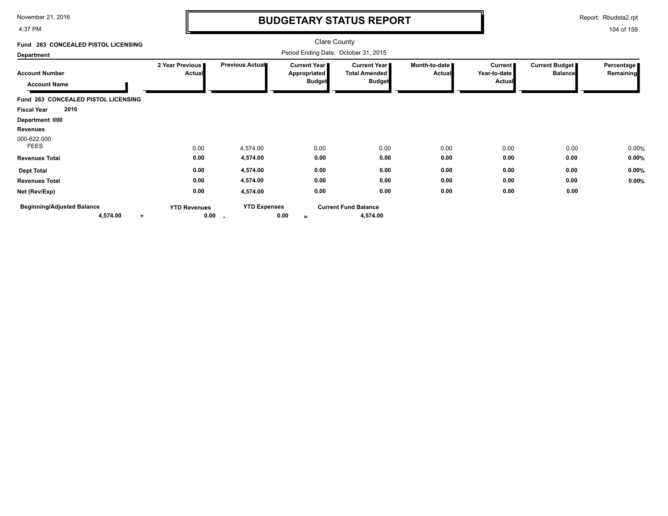4:37 PM

# **BUDGETARY STATUS REPORT**

Report: Rbudsta2.rpt

| Fund 263 CONCEALED PISTOL LICENSING                        |                                  |                                 | <b>Clare County</b>                                           |                                                                |                                |                                          |                                         |                         |
|------------------------------------------------------------|----------------------------------|---------------------------------|---------------------------------------------------------------|----------------------------------------------------------------|--------------------------------|------------------------------------------|-----------------------------------------|-------------------------|
| <b>Department</b>                                          |                                  |                                 | Period Ending Date: October 31, 2015                          |                                                                |                                |                                          |                                         |                         |
| <b>Account Number</b><br><b>Account Name</b>               | 2 Year Previous<br><b>Actual</b> | Previous Actual                 | <b>Current Year</b> ∎<br><b>Appropriated</b><br><b>Budget</b> | <b>Current Year I</b><br><b>Total Amended</b><br><b>Budget</b> | Month-to-date<br><b>Actual</b> | Current<br>Year-to-date<br><b>Actual</b> | <b>Current Budget</b><br><b>Balance</b> | Percentage<br>Remaining |
| Fund 263 CONCEALED PISTOL LICENSING                        |                                  |                                 |                                                               |                                                                |                                |                                          |                                         |                         |
| 2016<br><b>Fiscal Year</b>                                 |                                  |                                 |                                                               |                                                                |                                |                                          |                                         |                         |
| Department 000                                             |                                  |                                 |                                                               |                                                                |                                |                                          |                                         |                         |
| Revenues                                                   |                                  |                                 |                                                               |                                                                |                                |                                          |                                         |                         |
| 000-622.000<br><b>FEES</b>                                 | 0.00                             | 4,574.00                        | 0.00                                                          | 0.00                                                           | 0.00                           | 0.00                                     | 0.00                                    | 0.00%                   |
| <b>Revenues Total</b>                                      | 0.00                             | 4,574.00                        | 0.00                                                          | 0.00                                                           | 0.00                           | 0.00                                     | 0.00                                    | 0.00%                   |
| <b>Dept Total</b>                                          | 0.00                             | 4,574.00                        | 0.00                                                          | 0.00                                                           | 0.00                           | 0.00                                     | 0.00                                    | 0.00%                   |
| <b>Revenues Total</b>                                      | 0.00                             | 4,574.00                        | 0.00                                                          | 0.00                                                           | 0.00                           | 0.00                                     | 0.00                                    | 0.00%                   |
| Net (Rev/Exp)                                              | 0.00                             | 4,574.00                        | 0.00                                                          | 0.00                                                           | 0.00                           | 0.00                                     | 0.00                                    |                         |
| <b>Beginning/Adjusted Balance</b><br>4,574.00<br>$\ddot{}$ | <b>YTD Revenues</b>              | <b>YTD Expenses</b><br>$0.00 -$ | 0.00<br>$=$                                                   | <b>Current Fund Balance</b><br>4,574.00                        |                                |                                          |                                         |                         |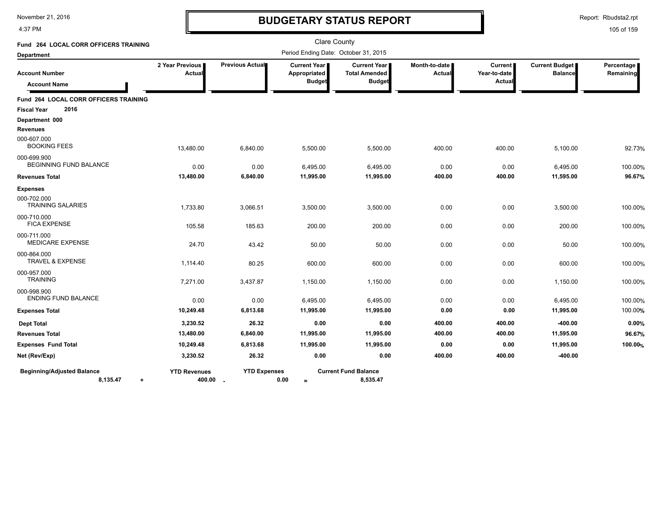4:37 PM

# **BUDGETARY STATUS REPORT**

Report: Rbudsta2.rpt

| <b>Fund 264 LOCAL CORR OFFICERS TRAINING</b>               |                                 |                     |                                                      | <b>Clare County</b>                                          |                                |                                          |                                         |                         |
|------------------------------------------------------------|---------------------------------|---------------------|------------------------------------------------------|--------------------------------------------------------------|--------------------------------|------------------------------------------|-----------------------------------------|-------------------------|
| <b>Department</b>                                          |                                 |                     | Period Ending Date: October 31, 2015                 |                                                              |                                |                                          |                                         |                         |
| <b>Account Number</b><br><b>Account Name</b>               | 2 Year Previous<br>Actual       | Previous Actual     | <b>Current Year</b><br>Appropriated<br><b>Budget</b> | <b>Current Year</b><br><b>Total Amended</b><br><b>Budget</b> | Month-to-date<br><b>Actual</b> | <b>Current</b><br>Year-to-date<br>Actual | <b>Current Budget</b><br><b>Balance</b> | Percentage<br>Remaining |
| <b>Fund 264 LOCAL CORR OFFICERS TRAINING</b>               |                                 |                     |                                                      |                                                              |                                |                                          |                                         |                         |
| 2016<br><b>Fiscal Year</b>                                 |                                 |                     |                                                      |                                                              |                                |                                          |                                         |                         |
| Department 000<br><b>Revenues</b>                          |                                 |                     |                                                      |                                                              |                                |                                          |                                         |                         |
| 000-607.000<br><b>BOOKING FEES</b>                         | 13,480.00                       | 6,840.00            | 5,500.00                                             | 5,500.00                                                     | 400.00                         | 400.00                                   | 5,100.00                                | 92.73%                  |
| 000-699.900<br>BEGINNING FUND BALANCE                      | 0.00                            | 0.00                | 6,495.00                                             | 6,495.00                                                     | 0.00                           | 0.00                                     | 6,495.00                                | 100.00%                 |
| <b>Revenues Total</b>                                      | 13,480.00                       | 6,840.00            | 11,995.00                                            | 11,995.00                                                    | 400.00                         | 400.00                                   | 11,595.00                               | 96.67%                  |
| <b>Expenses</b>                                            |                                 |                     |                                                      |                                                              |                                |                                          |                                         |                         |
| 000-702.000<br><b>TRAINING SALARIES</b>                    | 1,733.80                        | 3,066.51            | 3,500.00                                             | 3,500.00                                                     | 0.00                           | 0.00                                     | 3,500.00                                | 100.00%                 |
| 000-710.000<br><b>FICA EXPENSE</b>                         | 105.58                          | 185.63              | 200.00                                               | 200.00                                                       | 0.00                           | 0.00                                     | 200.00                                  | 100.00%                 |
| 000-711.000<br><b>MEDICARE EXPENSE</b>                     | 24.70                           | 43.42               | 50.00                                                | 50.00                                                        | 0.00                           | 0.00                                     | 50.00                                   | 100.00%                 |
| 000-864.000<br><b>TRAVEL &amp; EXPENSE</b>                 | 1,114.40                        | 80.25               | 600.00                                               | 600.00                                                       | 0.00                           | 0.00                                     | 600.00                                  | 100.00%                 |
| 000-957.000<br><b>TRAINING</b>                             | 7,271.00                        | 3,437.87            | 1,150.00                                             | 1,150.00                                                     | 0.00                           | 0.00                                     | 1,150.00                                | 100.00%                 |
| 000-998.900<br><b>ENDING FUND BALANCE</b>                  | 0.00                            | 0.00                | 6,495.00                                             | 6,495.00                                                     | 0.00                           | 0.00                                     | 6,495.00                                | 100.00%                 |
| <b>Expenses Total</b>                                      | 10,249.48                       | 6,813.68            | 11,995.00                                            | 11,995.00                                                    | 0.00                           | 0.00                                     | 11,995.00                               | 100.00%                 |
| <b>Dept Total</b>                                          | 3,230.52                        | 26.32               | 0.00                                                 | 0.00                                                         | 400.00                         | 400.00                                   | $-400.00$                               | 0.00%                   |
| <b>Revenues Total</b>                                      | 13,480.00                       | 6,840.00            | 11,995.00                                            | 11,995.00                                                    | 400.00                         | 400.00                                   | 11,595.00                               | 96.67%                  |
| <b>Expenses Fund Total</b>                                 | 10,249.48                       | 6,813.68            | 11,995.00                                            | 11,995.00                                                    | 0.00                           | 0.00                                     | 11,995.00                               | 100.00%                 |
| Net (Rev/Exp)                                              | 3,230.52                        | 26.32               | 0.00                                                 | 0.00                                                         | 400.00                         | 400.00                                   | $-400.00$                               |                         |
| <b>Beginning/Adjusted Balance</b><br>8,135.47<br>$\ddot{}$ | <b>YTD Revenues</b><br>400.00 . | <b>YTD Expenses</b> | 0.00<br>$=$                                          | <b>Current Fund Balance</b><br>8,535.47                      |                                |                                          |                                         |                         |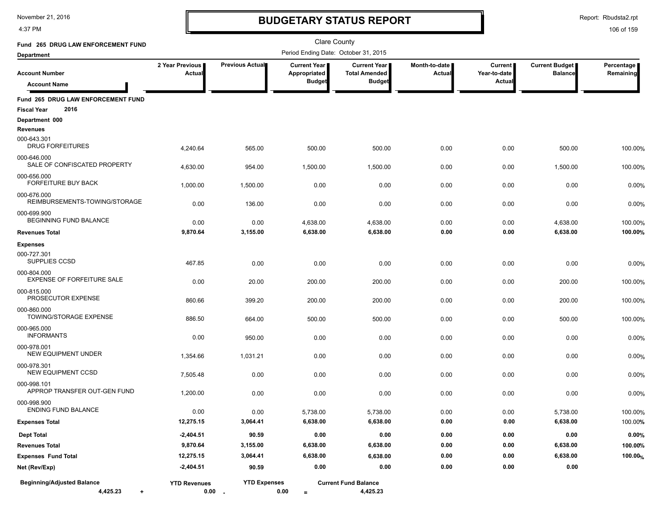4:37 PM

# **BUDGETARY STATUS REPORT**

Report: Rbudsta2.rpt

| Fund 265 DRUG LAW ENFORCEMENT FUND                               |                           |                                 | Clare County                         |                                             |                         |                         |                                  |                         |
|------------------------------------------------------------------|---------------------------|---------------------------------|--------------------------------------|---------------------------------------------|-------------------------|-------------------------|----------------------------------|-------------------------|
| Department                                                       |                           |                                 | Period Ending Date: October 31, 2015 |                                             |                         |                         |                                  |                         |
| <b>Account Number</b>                                            | 2 Year Previous<br>Actual | Previous Actual                 | Current Year<br>Appropriated         | <b>Current Year</b><br><b>Total Amended</b> | Month-to-date<br>Actual | Current<br>Year-to-date | Current Budget<br><b>Balance</b> | Percentage<br>Remaining |
| <b>Account Name</b>                                              |                           |                                 | <b>Budget</b>                        | <b>Budget</b>                               |                         | Actual                  |                                  |                         |
| Fund 265 DRUG LAW ENFORCEMENT FUND<br>2016<br><b>Fiscal Year</b> |                           |                                 |                                      |                                             |                         |                         |                                  |                         |
| Department 000                                                   |                           |                                 |                                      |                                             |                         |                         |                                  |                         |
| <b>Revenues</b>                                                  |                           |                                 |                                      |                                             |                         |                         |                                  |                         |
| 000-643.301<br><b>DRUG FORFEITURES</b>                           | 4,240.64                  | 565.00                          | 500.00                               | 500.00                                      | 0.00                    | 0.00                    | 500.00                           | 100.00%                 |
| 000-646.000<br>SALE OF CONFISCATED PROPERTY                      | 4,630.00                  | 954.00                          | 1,500.00                             | 1,500.00                                    | 0.00                    | 0.00                    | 1,500.00                         | 100.00%                 |
| 000-656.000<br><b>FORFEITURE BUY BACK</b>                        | 1,000.00                  | 1,500.00                        | 0.00                                 | 0.00                                        | 0.00                    | 0.00                    | 0.00                             | 0.00%                   |
| 000-676.000<br>REIMBURSEMENTS-TOWING/STORAGE                     | 0.00                      | 136.00                          | 0.00                                 | 0.00                                        | 0.00                    | 0.00                    | 0.00                             | 0.00%                   |
| 000-699.900<br>BEGINNING FUND BALANCE                            | 0.00                      | 0.00                            | 4,638.00                             | 4,638.00                                    | 0.00                    | 0.00                    | 4,638.00                         | 100.00%                 |
| <b>Revenues Total</b>                                            | 9,870.64                  | 3,155.00                        | 6,638.00                             | 6,638.00                                    | 0.00                    | 0.00                    | 6,638.00                         | 100.00%                 |
| <b>Expenses</b>                                                  |                           |                                 |                                      |                                             |                         |                         |                                  |                         |
| 000-727.301<br>SUPPLIES CCSD                                     | 467.85                    | 0.00                            | 0.00                                 | 0.00                                        | 0.00                    | 0.00                    | 0.00                             | 0.00%                   |
| 000-804.000<br><b>EXPENSE OF FORFEITURE SALE</b>                 | 0.00                      | 20.00                           | 200.00                               | 200.00                                      | 0.00                    | 0.00                    | 200.00                           | 100.00%                 |
| 000-815.000<br>PROSECUTOR EXPENSE                                | 860.66                    | 399.20                          | 200.00                               | 200.00                                      | 0.00                    | 0.00                    | 200.00                           | 100.00%                 |
| 000-860.000<br>TOWING/STORAGE EXPENSE                            | 886.50                    | 664.00                          | 500.00                               | 500.00                                      | 0.00                    | 0.00                    | 500.00                           | 100.00%                 |
| 000-965.000<br><b>INFORMANTS</b>                                 | 0.00                      | 950.00                          | 0.00                                 | 0.00                                        | 0.00                    | 0.00                    | 0.00                             | 0.00%                   |
| 000-978.001<br>NEW EQUIPMENT UNDER                               | 1,354.66                  | 1,031.21                        | 0.00                                 | 0.00                                        | 0.00                    | 0.00                    | 0.00                             | 0.00%                   |
| 000-978.301<br><b>NEW EQUIPMENT CCSD</b>                         | 7,505.48                  | 0.00                            | 0.00                                 | 0.00                                        | 0.00                    | 0.00                    | 0.00                             | 0.00%                   |
| 000-998.101<br>APPROP TRANSFER OUT-GEN FUND                      | 1,200.00                  | 0.00                            | 0.00                                 | 0.00                                        | 0.00                    | 0.00                    | 0.00                             | 0.00%                   |
| 000-998.900<br><b>ENDING FUND BALANCE</b>                        | 0.00                      | 0.00                            | 5.738.00                             | 5,738.00                                    | 0.00                    | 0.00                    | 5.738.00                         | 100.00%                 |
| <b>Expenses Total</b>                                            | 12,275.15                 | 3,064.41                        | 6,638.00                             | 6,638.00                                    | 0.00                    | 0.00                    | 6,638.00                         | 100.00%                 |
| <b>Dept Total</b>                                                | $-2,404.51$               | 90.59                           | 0.00                                 | 0.00                                        | 0.00                    | 0.00                    | 0.00                             | 0.00%                   |
| <b>Revenues Total</b>                                            | 9,870.64                  | 3,155.00                        | 6,638.00                             | 6,638.00                                    | 0.00                    | 0.00                    | 6,638.00                         | 100.00%                 |
| <b>Expenses Fund Total</b>                                       | 12,275.15                 | 3,064.41                        | 6,638.00                             | 6,638.00                                    | 0.00                    | 0.00                    | 6,638.00                         | 100.00%                 |
| Net (Rev/Exp)                                                    | $-2,404.51$               | 90.59                           | 0.00                                 | 0.00                                        | 0.00                    | 0.00                    | 0.00                             |                         |
| <b>Beginning/Adjusted Balance</b><br>4,425.23<br>$\ddot{}$       | <b>YTD Revenues</b>       | <b>YTD Expenses</b><br>$0.00 -$ | 0.00<br>$\equiv$                     | <b>Current Fund Balance</b><br>4,425.23     |                         |                         |                                  |                         |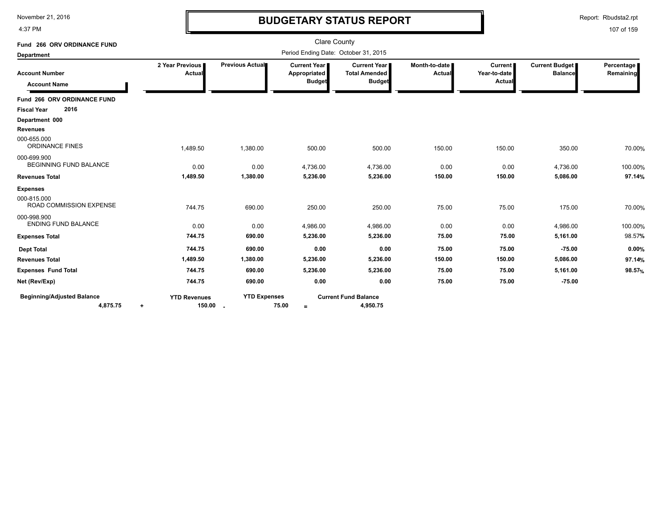4:37 PM

# **BUDGETARY STATUS REPORT**

Report: Rbudsta2.rpt

| Fund 266 ORV ORDINANCE FUND                              |                                              |                     | <b>Clare County</b>                                    |                                                       |                         |                                          |                                         |                         |
|----------------------------------------------------------|----------------------------------------------|---------------------|--------------------------------------------------------|-------------------------------------------------------|-------------------------|------------------------------------------|-----------------------------------------|-------------------------|
| <b>Department</b>                                        |                                              |                     | Period Ending Date: October 31, 2015                   |                                                       |                         |                                          |                                         |                         |
| <b>Account Number</b><br><b>Account Name</b>             | 2 Year Previous<br>Actual                    | Previous Actual     | <b>Current Year I</b><br>Appropriated<br><b>Budget</b> | Current Year<br><b>Total Amended</b><br><b>Budget</b> | Month-to-date<br>Actual | <b>Current</b><br>Year-to-date<br>Actual | <b>Current Budget</b><br><b>Balance</b> | Percentage<br>Remaining |
| Fund 266 ORV ORDINANCE FUND                              |                                              |                     |                                                        |                                                       |                         |                                          |                                         |                         |
| 2016<br><b>Fiscal Year</b>                               |                                              |                     |                                                        |                                                       |                         |                                          |                                         |                         |
| Department 000                                           |                                              |                     |                                                        |                                                       |                         |                                          |                                         |                         |
| <b>Revenues</b><br>000-655.000<br><b>ORDINANCE FINES</b> |                                              |                     |                                                        |                                                       |                         |                                          |                                         |                         |
| 000-699.900                                              | 1,489.50                                     | 1,380.00            | 500.00                                                 | 500.00                                                | 150.00                  | 150.00                                   | 350.00                                  | 70.00%                  |
| <b>BEGINNING FUND BALANCE</b>                            | 0.00                                         | 0.00                | 4,736.00                                               | 4,736.00                                              | 0.00                    | 0.00                                     | 4,736.00                                | 100.00%                 |
| <b>Revenues Total</b>                                    | 1,489.50                                     | 1,380.00            | 5,236.00                                               | 5,236.00                                              | 150.00                  | 150.00                                   | 5,086.00                                | 97.14%                  |
| <b>Expenses</b>                                          |                                              |                     |                                                        |                                                       |                         |                                          |                                         |                         |
| 000-815.000<br><b>ROAD COMMISSION EXPENSE</b>            | 744.75                                       | 690.00              | 250.00                                                 | 250.00                                                | 75.00                   | 75.00                                    | 175.00                                  | 70.00%                  |
| 000-998.900<br><b>ENDING FUND BALANCE</b>                | 0.00                                         | 0.00                | 4,986.00                                               | 4,986.00                                              | 0.00                    | 0.00                                     | 4,986.00                                | 100.00%                 |
| <b>Expenses Total</b>                                    | 744.75                                       | 690.00              | 5,236.00                                               | 5,236.00                                              | 75.00                   | 75.00                                    | 5,161.00                                | 98.57%                  |
| <b>Dept Total</b>                                        | 744.75                                       | 690.00              | 0.00                                                   | 0.00                                                  | 75.00                   | 75.00                                    | $-75.00$                                | 0.00%                   |
| <b>Revenues Total</b>                                    | 1,489.50                                     | 1,380.00            | 5,236.00                                               | 5,236.00                                              | 150.00                  | 150.00                                   | 5,086.00                                | 97.14%                  |
| <b>Expenses Fund Total</b>                               | 744.75                                       | 690.00              | 5,236.00                                               | 5,236.00                                              | 75.00                   | 75.00                                    | 5,161.00                                | 98.57%                  |
| Net (Rev/Exp)                                            | 744.75                                       | 690.00              | 0.00                                                   | 0.00                                                  | 75.00                   | 75.00                                    | $-75.00$                                |                         |
| <b>Beginning/Adjusted Balance</b><br>4,875.75            | <b>YTD Revenues</b><br>150.00 .<br>$\ddot{}$ | <b>YTD Expenses</b> | 75.00<br>$\equiv$                                      | <b>Current Fund Balance</b><br>4,950.75               |                         |                                          |                                         |                         |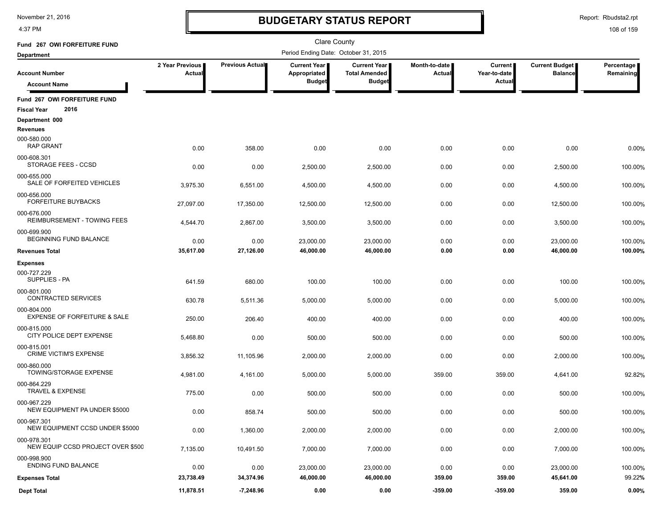4:37 PM

# **BUDGETARY STATUS REPORT**

Report: Rbudsta2.rpt

| Fund 267 OWI FORFEITURE FUND                               |                           |                        | <b>Clare County</b>                   |                                             |                                |                         |                                  |                         |
|------------------------------------------------------------|---------------------------|------------------------|---------------------------------------|---------------------------------------------|--------------------------------|-------------------------|----------------------------------|-------------------------|
| <b>Department</b>                                          |                           |                        | Period Ending Date: October 31, 2015  |                                             |                                |                         |                                  |                         |
| <b>Account Number</b>                                      | 2 Year Previous<br>Actual | <b>Previous Actual</b> | <b>Current Year I</b><br>Appropriated | <b>Current Year</b><br><b>Total Amended</b> | Month-to-date<br><b>Actual</b> | Current<br>Year-to-date | Current Budget<br><b>Balance</b> | Percentage<br>Remaining |
| <b>Account Name</b>                                        |                           |                        | <b>Budget</b>                         | <b>Budget</b>                               |                                | Actual                  |                                  |                         |
| Fund 267 OWI FORFEITURE FUND<br>2016<br><b>Fiscal Year</b> |                           |                        |                                       |                                             |                                |                         |                                  |                         |
| Department 000                                             |                           |                        |                                       |                                             |                                |                         |                                  |                         |
| Revenues                                                   |                           |                        |                                       |                                             |                                |                         |                                  |                         |
| 000-580.000<br><b>RAP GRANT</b>                            | 0.00                      | 358.00                 | 0.00                                  | 0.00                                        | 0.00                           | 0.00                    | 0.00                             | 0.00%                   |
| 000-608.301<br>STORAGE FEES - CCSD                         | 0.00                      | 0.00                   | 2,500.00                              | 2,500.00                                    | 0.00                           | 0.00                    | 2,500.00                         | 100.00%                 |
| 000-655.000<br>SALE OF FORFEITED VEHICLES                  | 3,975.30                  | 6,551.00               | 4,500.00                              | 4,500.00                                    | 0.00                           | 0.00                    | 4,500.00                         | 100.00%                 |
| 000-656.000<br><b>FORFEITURE BUYBACKS</b>                  | 27,097.00                 | 17,350.00              | 12,500.00                             | 12,500.00                                   | 0.00                           | 0.00                    | 12,500.00                        | 100.00%                 |
| 000-676.000<br>REIMBURSEMENT - TOWING FEES                 | 4,544.70                  | 2,867.00               | 3,500.00                              | 3,500.00                                    | 0.00                           | 0.00                    | 3,500.00                         | 100.00%                 |
| 000-699.900<br>BEGINNING FUND BALANCE                      | 0.00                      | 0.00                   | 23,000.00                             | 23,000.00                                   | 0.00                           | 0.00                    | 23,000.00                        | 100.00%                 |
| <b>Revenues Total</b>                                      | 35,617.00                 | 27,126.00              | 46,000.00                             | 46,000.00                                   | 0.00                           | 0.00                    | 46,000.00                        | 100.00%                 |
| <b>Expenses</b>                                            |                           |                        |                                       |                                             |                                |                         |                                  |                         |
| 000-727.229<br>SUPPLIES - PA                               | 641.59                    | 680.00                 | 100.00                                | 100.00                                      | 0.00                           | 0.00                    | 100.00                           | 100.00%                 |
| 000-801.000<br>CONTRACTED SERVICES                         | 630.78                    | 5,511.36               | 5,000.00                              | 5,000.00                                    | 0.00                           | 0.00                    | 5,000.00                         | 100.00%                 |
| 000-804.000<br><b>EXPENSE OF FORFEITURE &amp; SALE</b>     | 250.00                    | 206.40                 | 400.00                                | 400.00                                      | 0.00                           | 0.00                    | 400.00                           | 100.00%                 |
| 000-815.000<br>CITY POLICE DEPT EXPENSE                    | 5,468.80                  | 0.00                   | 500.00                                | 500.00                                      | 0.00                           | 0.00                    | 500.00                           | 100.00%                 |
| 000-815.001<br><b>CRIME VICTIM'S EXPENSE</b>               | 3,856.32                  | 11,105.96              | 2,000.00                              | 2,000.00                                    | 0.00                           | 0.00                    | 2,000.00                         | 100.00%                 |
| 000-860.000<br>TOWING/STORAGE EXPENSE                      | 4,981.00                  | 4,161.00               | 5,000.00                              | 5,000.00                                    | 359.00                         | 359.00                  | 4,641.00                         | 92.82%                  |
| 000-864.229<br><b>TRAVEL &amp; EXPENSE</b>                 | 775.00                    | 0.00                   | 500.00                                | 500.00                                      | 0.00                           | 0.00                    | 500.00                           | 100.00%                 |
| 000-967.229<br>NEW EQUIPMENT PA UNDER \$5000               | 0.00                      | 858.74                 | 500.00                                | 500.00                                      | 0.00                           | 0.00                    | 500.00                           | 100.00%                 |
| 000-967.301<br>NEW EQUIPMENT CCSD UNDER \$5000             | 0.00                      | 1,360.00               | 2,000.00                              | 2,000.00                                    | 0.00                           | 0.00                    | 2,000.00                         | 100.00%                 |
| 000-978.301<br>NEW EQUIP CCSD PROJECT OVER \$500           | 7,135.00                  | 10,491.50              | 7,000.00                              | 7,000.00                                    | 0.00                           | 0.00                    | 7,000.00                         | 100.00%                 |
| 000-998.900<br><b>ENDING FUND BALANCE</b>                  | 0.00                      | 0.00                   | 23,000.00                             | 23,000.00                                   | 0.00                           | 0.00                    | 23,000.00                        | 100.00%                 |
| <b>Expenses Total</b>                                      | 23,738.49                 | 34,374.96              | 46,000.00                             | 46,000.00                                   | 359.00                         | 359.00                  | 45,641.00                        | 99.22%                  |
| <b>Dept Total</b>                                          | 11,878.51                 | $-7,248.96$            | 0.00                                  | 0.00                                        | $-359.00$                      | $-359.00$               | 359.00                           | 0.00%                   |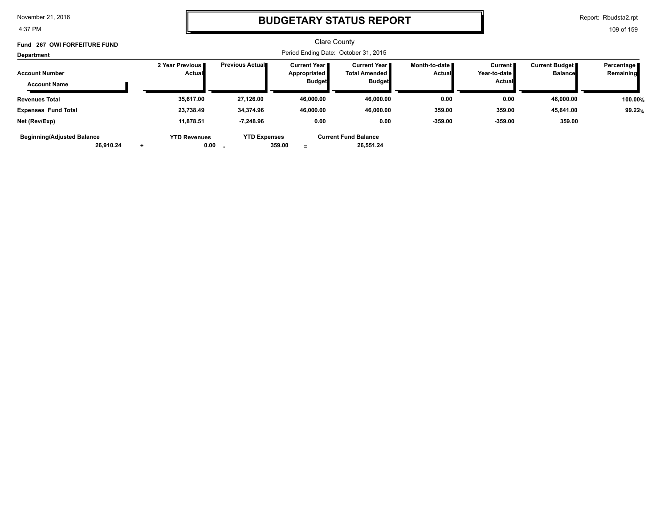4:37 PM

### **BUDGETARY STATUS REPORT**

Report: Rbudsta2.rpt

| Fund 267 OWI FORFEITURE FUND                   |                                    |                             |                                                 | <b>Clare County</b>                                          |                                  |                                                 |                                         |                           |
|------------------------------------------------|------------------------------------|-----------------------------|-------------------------------------------------|--------------------------------------------------------------|----------------------------------|-------------------------------------------------|-----------------------------------------|---------------------------|
| <b>Department</b>                              |                                    |                             |                                                 | Period Ending Date: October 31, 2015                         |                                  |                                                 |                                         |                           |
| <b>Account Number</b><br><b>Account Name</b>   | 2 Year Previous I<br><b>Actual</b> | <b>Previous Actual</b>      | Current Year I<br>Appropriated<br><b>Budget</b> | <b>Current Year</b><br><b>Total Amended</b><br><b>Budget</b> | Month-to-date ■<br><b>Actual</b> | <b>Current</b><br>Year-to-date<br><b>Actual</b> | <b>Current Budget</b><br><b>Balance</b> | Percentage  <br>Remaining |
| <b>Revenues Total</b>                          | 35,617.00                          | 27,126.00                   | 46,000.00                                       | 46,000.00                                                    | 0.00                             | 0.00                                            | 46,000.00                               | 100.00%                   |
| <b>Expenses Fund Total</b>                     | 23,738.49                          | 34,374.96                   | 46,000.00                                       | 46.000.00                                                    | 359.00                           | 359.00                                          | 45,641.00                               | 99.22%                    |
| Net (Rev/Exp)                                  | 11,878.51                          | $-7,248.96$                 | 0.00                                            | 0.00                                                         | $-359.00$                        | $-359.00$                                       | 359.00                                  |                           |
| <b>Beginning/Adjusted Balance</b><br>26.910.24 | <b>YTD Revenues</b>                | <b>YTD Expenses</b><br>0.00 | 359.00<br>$\equiv$                              | <b>Current Fund Balance</b><br>26.551.24                     |                                  |                                                 |                                         |                           |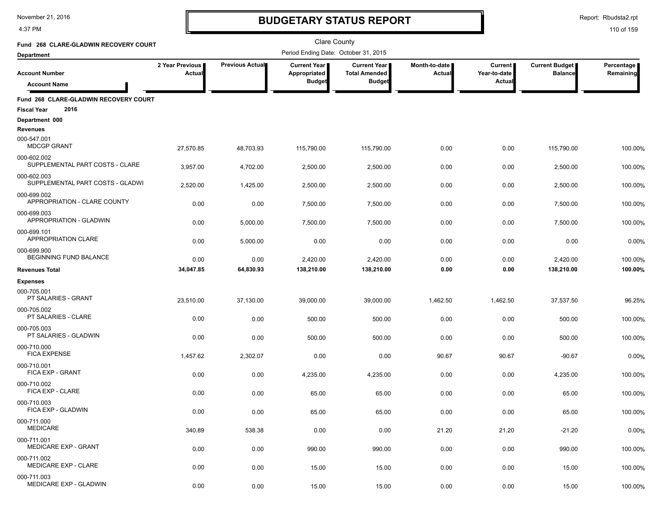4:37 PM

# **BUDGETARY STATUS REPORT**

Report: Rbudsta2.rpt

| Fund 268 CLARE-GLADWIN RECOVERY COURT                               |                           |                 | <b>Clare County</b>                  |                                             |                         |                         |                                  |                         |
|---------------------------------------------------------------------|---------------------------|-----------------|--------------------------------------|---------------------------------------------|-------------------------|-------------------------|----------------------------------|-------------------------|
| <b>Department</b>                                                   |                           |                 | Period Ending Date: October 31, 2015 |                                             |                         |                         |                                  |                         |
| <b>Account Number</b>                                               | 2 Year Previous<br>Actual | Previous Actual | Current Year<br>Appropriated         | <b>Current Year</b><br><b>Total Amended</b> | Month-to-date<br>Actual | Current<br>Year-to-date | Current Budget<br><b>Balance</b> | Percentage<br>Remaining |
| <b>Account Name</b>                                                 |                           |                 | <b>Budget</b>                        | <b>Budget</b>                               |                         | Actual                  |                                  |                         |
| Fund 268 CLARE-GLADWIN RECOVERY COURT<br>2016<br><b>Fiscal Year</b> |                           |                 |                                      |                                             |                         |                         |                                  |                         |
| Department 000                                                      |                           |                 |                                      |                                             |                         |                         |                                  |                         |
| <b>Revenues</b>                                                     |                           |                 |                                      |                                             |                         |                         |                                  |                         |
| 000-547.001<br><b>MDCGP GRANT</b>                                   | 27.570.85                 | 48.703.93       | 115,790.00                           | 115.790.00                                  | 0.00                    | 0.00                    | 115,790.00                       | 100.00%                 |
| 000-602.002<br>SUPPLEMENTAL PART COSTS - CLARE                      | 3,957.00                  | 4,702.00        | 2,500.00                             | 2,500.00                                    | 0.00                    | 0.00                    | 2,500.00                         | 100.00%                 |
| 000-602.003<br>SUPPLEMENTAL PART COSTS - GLADWI                     | 2,520.00                  | 1,425.00        | 2,500.00                             | 2,500.00                                    | 0.00                    | 0.00                    | 2,500.00                         | 100.00%                 |
| 000-699.002<br>APPROPRIATION - CLARE COUNTY                         | 0.00                      | 0.00            | 7,500.00                             | 7,500.00                                    | 0.00                    | 0.00                    | 7,500.00                         | 100.00%                 |
| 000-699.003<br>APPROPRIATION - GLADWIN                              | 0.00                      | 5,000.00        | 7,500.00                             | 7,500.00                                    | 0.00                    | 0.00                    | 7,500.00                         | 100.00%                 |
| 000-699.101<br><b>APPROPRIATION CLARE</b>                           | 0.00                      | 5,000.00        | 0.00                                 | 0.00                                        | 0.00                    | 0.00                    | 0.00                             | 0.00%                   |
| 000-699.900<br>BEGINNING FUND BALANCE                               | 0.00                      | 0.00            | 2,420.00                             | 2,420.00                                    | 0.00                    | 0.00                    | 2,420.00                         | 100.00%                 |
| <b>Revenues Total</b>                                               | 34,047.85                 | 64,830.93       | 138,210.00                           | 138,210.00                                  | 0.00                    | 0.00                    | 138,210.00                       | 100.00%                 |
| <b>Expenses</b>                                                     |                           |                 |                                      |                                             |                         |                         |                                  |                         |
| 000-705.001<br>PT SALARIES - GRANT                                  | 23,510.00                 | 37,130.00       | 39,000.00                            | 39,000.00                                   | 1,462.50                | 1,462.50                | 37,537.50                        | 96.25%                  |
| 000-705.002<br>PT SALARIES - CLARE                                  | 0.00                      | 0.00            | 500.00                               | 500.00                                      | 0.00                    | 0.00                    | 500.00                           | 100.00%                 |
| 000-705.003<br>PT SALARIES - GLADWIN                                | 0.00                      | 0.00            | 500.00                               | 500.00                                      | 0.00                    | 0.00                    | 500.00                           | 100.00%                 |
| 000-710.000<br><b>FICA EXPENSE</b>                                  | 1,457.62                  | 2,302.07        | 0.00                                 | 0.00                                        | 90.67                   | 90.67                   | $-90.67$                         | 0.00%                   |
| 000-710.001<br>FICA EXP - GRANT                                     | 0.00                      | 0.00            | 4,235.00                             | 4,235.00                                    | 0.00                    | 0.00                    | 4,235.00                         | 100.00%                 |
| 000-710.002<br>FICA EXP - CLARE                                     | 0.00                      | 0.00            | 65.00                                | 65.00                                       | 0.00                    | 0.00                    | 65.00                            | 100.00%                 |
| 000-710.003<br>FICA EXP - GLADWIN                                   | 0.00                      |                 |                                      |                                             |                         |                         |                                  |                         |
| 000-711.000<br><b>MEDICARE</b>                                      |                           | 0.00            | 65.00                                | 65.00                                       | 0.00                    | 0.00                    | 65.00                            | 100.00%                 |
| 000-711.001                                                         | 340.89                    | 538.38          | 0.00                                 | 0.00                                        | 21.20                   | 21.20                   | $-21.20$                         | 0.00%                   |
| MEDICARE EXP - GRANT                                                | 0.00                      | 0.00            | 990.00                               | 990.00                                      | 0.00                    | 0.00                    | 990.00                           | 100.00%                 |
| 000-711.002<br>MEDICARE EXP - CLARE                                 | 0.00                      | 0.00            | 15.00                                | 15.00                                       | 0.00                    | 0.00                    | 15.00                            | 100.00%                 |
| 000-711.003<br>MEDICARE EXP - GLADWIN                               | 0.00                      | 0.00            | 15.00                                | 15.00                                       | 0.00                    | 0.00                    | 15.00                            | 100.00%                 |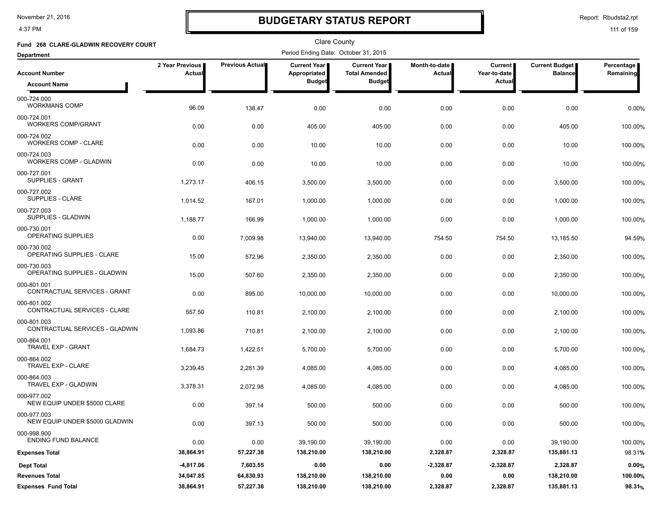4:37 PM

## **BUDGETARY STATUS REPORT**

Report: Rbudsta2.rpt

| Fund 268 CLARE-GLADWIN RECOVERY COURT         |                           |                        | <b>Clare County</b>                  |                                      |                         |                           |                                         |                         |
|-----------------------------------------------|---------------------------|------------------------|--------------------------------------|--------------------------------------|-------------------------|---------------------------|-----------------------------------------|-------------------------|
| <b>Department</b>                             |                           |                        | Period Ending Date: October 31, 2015 |                                      |                         |                           |                                         |                         |
| <b>Account Number</b>                         | 2 Year Previous<br>Actual | <b>Previous Actual</b> | <b>Current Year</b><br>Appropriated  | Current Year<br><b>Total Amended</b> | Month-to-date<br>Actual | Current  <br>Year-to-date | <b>Current Budget</b><br><b>Balance</b> | Percentage<br>Remaining |
| <b>Account Name</b>                           |                           |                        | <b>Budget</b>                        | <b>Budget</b>                        |                         | Actual                    |                                         |                         |
| 000-724.000<br><b>WORKMANS COMP</b>           | 96.09                     | 138.47                 | 0.00                                 | 0.00                                 | 0.00                    | 0.00                      | 0.00                                    | 0.00%                   |
| 000-724.001<br><b>WORKERS COMP/GRANT</b>      | 0.00                      | 0.00                   | 405.00                               | 405.00                               | 0.00                    | 0.00                      | 405.00                                  | 100.00%                 |
| 000-724.002<br><b>WORKERS COMP - CLARE</b>    | 0.00                      | 0.00                   | 10.00                                | 10.00                                | 0.00                    | 0.00                      | 10.00                                   | 100.00%                 |
| 000-724.003<br><b>WORKERS COMP - GLADWIN</b>  | 0.00                      | 0.00                   | 10.00                                | 10.00                                | 0.00                    | 0.00                      | 10.00                                   | 100.00%                 |
| 000-727.001<br><b>SUPPLIES - GRANT</b>        | 1,273.17                  | 406.15                 | 3,500.00                             | 3,500.00                             | 0.00                    | 0.00                      | 3,500.00                                | 100.00%                 |
| 000-727.002<br>SUPPLIES - CLARE               | 1,014.52                  | 167.01                 | 1,000.00                             | 1,000.00                             | 0.00                    | 0.00                      | 1,000.00                                | 100.00%                 |
| 000-727.003<br>SUPPLIES - GLADWIN             | 1,188.77                  | 166.99                 | 1,000.00                             | 1,000.00                             | 0.00                    | 0.00                      | 1,000.00                                | 100.00%                 |
| 000-730.001<br>OPERATING SUPPLIES             | 0.00                      | 7,009.98               | 13,940.00                            | 13,940.00                            | 754.50                  | 754.50                    | 13,185.50                               | 94.59%                  |
| 000-730.002<br>OPERATING SUPPLIES - CLARE     | 15.00                     | 572.96                 | 2,350.00                             | 2,350.00                             | 0.00                    | 0.00                      | 2,350.00                                | 100.00%                 |
| 000-730.003<br>OPERATING SUPPLIES - GLADWIN   | 15.00                     | 507.60                 | 2,350.00                             | 2,350.00                             | 0.00                    | 0.00                      | 2,350.00                                | 100.00%                 |
| 000-801.001<br>CONTRACTUAL SERVICES - GRANT   | 0.00                      | 895.00                 | 10,000.00                            | 10,000.00                            | 0.00                    | 0.00                      | 10,000.00                               | 100.00%                 |
| 000-801.002<br>CONTRACTUAL SERVICES - CLARE   | 557.50                    | 110.81                 | 2,100.00                             | 2,100.00                             | 0.00                    | 0.00                      | 2,100.00                                | 100.00%                 |
| 000-801.003<br>CONTRACTUAL SERVICES - GLADWIN | 1,093.86                  | 710.81                 | 2,100.00                             | 2,100.00                             | 0.00                    | 0.00                      | 2,100.00                                | 100.00%                 |
| 000-864.001<br>TRAVEL EXP - GRANT             | 1,684.73                  | 1,422.51               | 5,700.00                             | 5,700.00                             | 0.00                    | 0.00                      | 5,700.00                                | 100.00%                 |
| 000-864.002<br>TRAVEL EXP - CLARE             | 3,239.45                  | 2,281.39               | 4,085.00                             | 4,085.00                             | 0.00                    | 0.00                      | 4,085.00                                | 100.00%                 |
| 000-864.003<br>TRAVEL EXP - GLADWIN           | 3,378.31                  | 2,072.98               | 4,085.00                             | 4,085.00                             | 0.00                    | 0.00                      | 4,085.00                                | 100.00%                 |
| 000-977.002<br>NEW EQUIP UNDER \$5000 CLARE   | 0.00                      | 397.14                 | 500.00                               | 500.00                               | 0.00                    | 0.00                      | 500.00                                  | 100.00%                 |
| 000-977.003<br>NEW EQUIP UNDER \$5000 GLADWIN | 0.00                      | 397.13                 | 500.00                               | 500.00                               | 0.00                    | 0.00                      | 500.00                                  | 100.00%                 |
| 000-998.900<br><b>ENDING FUND BALANCE</b>     | 0.00                      | 0.00                   | 39,190.00                            | 39,190.00                            | 0.00                    | 0.00                      | 39,190.00                               | 100.00%                 |
| <b>Expenses Total</b>                         | 38,864.91                 | 57,227.38              | 138,210.00                           | 138,210.00                           | 2,328.87                | 2,328.87                  | 135,881.13                              | 98.31%                  |
| <b>Dept Total</b>                             | $-4,817.06$               | 7,603.55               | 0.00                                 | 0.00                                 | $-2,328.87$             | $-2,328.87$               | 2,328.87                                | 0.00%                   |
| <b>Revenues Total</b>                         | 34,047.85                 | 64,830.93              | 138,210.00                           | 138,210.00                           | 0.00                    | 0.00                      | 138,210.00                              | 100.00%                 |
| <b>Expenses Fund Total</b>                    | 38,864.91                 | 57,227.38              | 138,210.00                           | 138,210.00                           | 2,328.87                | 2,328.87                  | 135,881.13                              | 98.31%                  |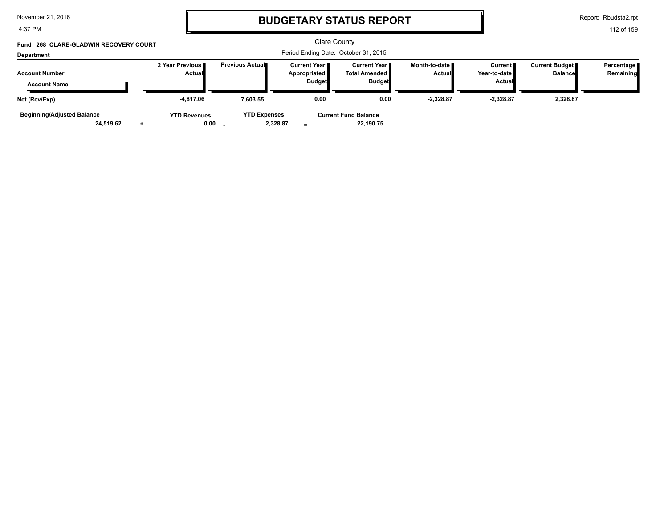4:37 PM

### **BUDGETARY STATUS REPORT**

Report: Rbudsta2.rpt

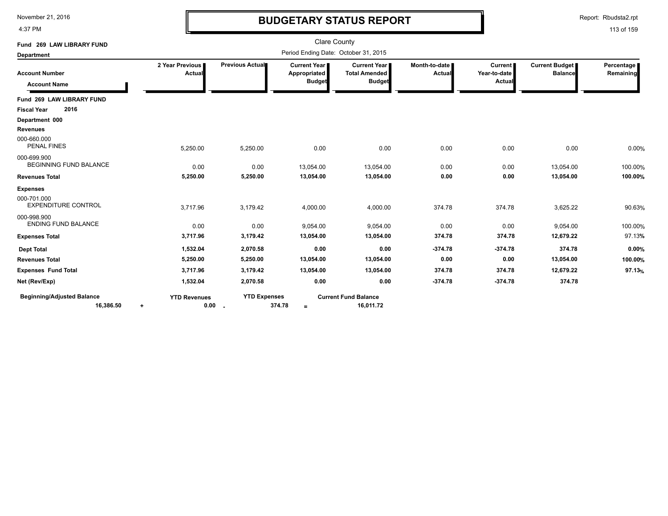4:37 PM

# **BUDGETARY STATUS REPORT**

Report: Rbudsta2.rpt

| Fund 269 LAW LIBRARY FUND                      |                                  |                     | <b>Clare County</b>                           |                                                                |                                |                                          |                                         |                         |
|------------------------------------------------|----------------------------------|---------------------|-----------------------------------------------|----------------------------------------------------------------|--------------------------------|------------------------------------------|-----------------------------------------|-------------------------|
| <b>Department</b>                              |                                  |                     | Period Ending Date: October 31, 2015          |                                                                |                                |                                          |                                         |                         |
| <b>Account Number</b><br><b>Account Name</b>   | 2 Year Previous<br>Actual        | Previous Actual     | Current Year<br>Appropriated<br><b>Budget</b> | <b>Current Year I</b><br><b>Total Amended</b><br><b>Budget</b> | Month-to-date<br><b>Actual</b> | <b>Current</b><br>Year-to-date<br>Actual | <b>Current Budget</b><br><b>Balance</b> | Percentage<br>Remaining |
| Fund 269 LAW LIBRARY FUND                      |                                  |                     |                                               |                                                                |                                |                                          |                                         |                         |
| 2016<br><b>Fiscal Year</b>                     |                                  |                     |                                               |                                                                |                                |                                          |                                         |                         |
| Department 000                                 |                                  |                     |                                               |                                                                |                                |                                          |                                         |                         |
| <b>Revenues</b>                                |                                  |                     |                                               |                                                                |                                |                                          |                                         |                         |
| 000-660.000<br><b>PENAL FINES</b>              | 5,250.00                         | 5,250.00            | 0.00                                          | 0.00                                                           | 0.00                           | 0.00                                     | 0.00                                    | 0.00%                   |
| 000-699.900<br><b>BEGINNING FUND BALANCE</b>   | 0.00                             | 0.00                | 13,054.00                                     | 13,054.00                                                      | 0.00                           | 0.00                                     | 13,054.00                               | 100.00%                 |
| <b>Revenues Total</b>                          | 5,250.00                         | 5,250.00            | 13,054.00                                     | 13,054.00                                                      | 0.00                           | 0.00                                     | 13,054.00                               | 100.00%                 |
| <b>Expenses</b>                                |                                  |                     |                                               |                                                                |                                |                                          |                                         |                         |
| 000-701.000<br><b>EXPENDITURE CONTROL</b>      | 3,717.96                         | 3,179.42            | 4,000.00                                      | 4,000.00                                                       | 374.78                         | 374.78                                   | 3,625.22                                | 90.63%                  |
| 000-998.900<br><b>ENDING FUND BALANCE</b>      | 0.00                             | 0.00                | 9,054.00                                      | 9,054.00                                                       | 0.00                           | 0.00                                     | 9,054.00                                | 100.00%                 |
| <b>Expenses Total</b>                          | 3,717.96                         | 3,179.42            | 13,054.00                                     | 13,054.00                                                      | 374.78                         | 374.78                                   | 12,679.22                               | 97.13%                  |
| <b>Dept Total</b>                              | 1,532.04                         | 2,070.58            | 0.00                                          | 0.00                                                           | $-374.78$                      | $-374.78$                                | 374.78                                  | 0.00%                   |
| <b>Revenues Total</b>                          | 5,250.00                         | 5,250.00            | 13,054.00                                     | 13,054.00                                                      | 0.00                           | 0.00                                     | 13,054.00                               | 100.00%                 |
| <b>Expenses Fund Total</b>                     | 3,717.96                         | 3,179.42            | 13,054.00                                     | 13,054.00                                                      | 374.78                         | 374.78                                   | 12,679.22                               | 97.13%                  |
| Net (Rev/Exp)                                  | 1,532.04                         | 2,070.58            | 0.00                                          | 0.00                                                           | $-374.78$                      | $-374.78$                                | 374.78                                  |                         |
| <b>Beginning/Adjusted Balance</b><br>16,386.50 | <b>YTD Revenues</b><br>0.00<br>٠ | <b>YTD Expenses</b> | 374.78<br>$=$                                 | <b>Current Fund Balance</b><br>16,011.72                       |                                |                                          |                                         |                         |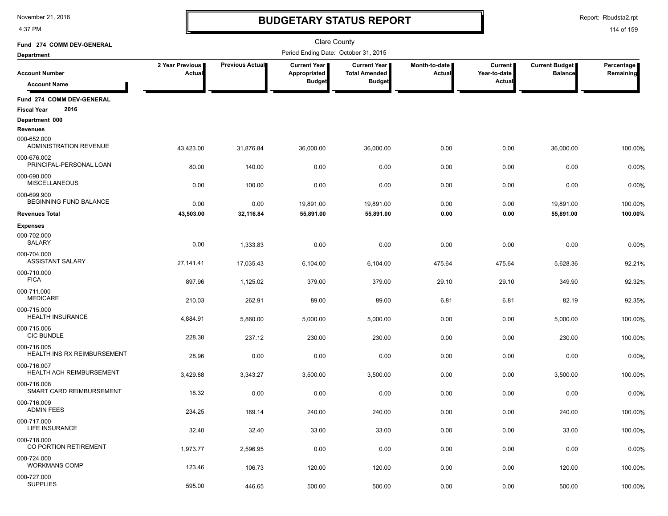4:37 PM

### **BUDGETARY STATUS REPORT**

Report: Rbudsta2.rpt

| Fund 274 COMM DEV-GENERAL                               |                           |                    | Clare County                         |                                             |                         |                                |                                         |                         |
|---------------------------------------------------------|---------------------------|--------------------|--------------------------------------|---------------------------------------------|-------------------------|--------------------------------|-----------------------------------------|-------------------------|
| <b>Department</b>                                       |                           |                    | Period Ending Date: October 31, 2015 |                                             |                         |                                |                                         |                         |
| <b>Account Number</b>                                   | 2 Year Previous<br>Actual | Previous Actual    | <b>Current Year</b><br>Appropriated  | <b>Current Year</b><br><b>Total Amended</b> | Month-to-date<br>Actual | <b>Current</b><br>Year-to-date | <b>Current Budget</b><br><b>Balance</b> | Percentage<br>Remaining |
| <b>Account Name</b>                                     |                           |                    | <b>Budget</b>                        | <b>Budget</b>                               |                         | Actual                         |                                         |                         |
| Fund 274 COMM DEV-GENERAL<br>2016<br><b>Fiscal Year</b> |                           |                    |                                      |                                             |                         |                                |                                         |                         |
| Department 000<br><b>Revenues</b>                       |                           |                    |                                      |                                             |                         |                                |                                         |                         |
| 000-652.000<br>ADMINISTRATION REVENUE                   | 43,423.00                 | 31,876.84          | 36,000.00                            | 36,000.00                                   | 0.00                    | 0.00                           | 36,000.00                               | 100.00%                 |
| 000-676.002<br>PRINCIPAL-PERSONAL LOAN                  | 80.00                     | 140.00             | 0.00                                 | 0.00                                        | 0.00                    | 0.00                           | 0.00                                    | 0.00%                   |
| 000-690.000<br><b>MISCELLANEOUS</b>                     | 0.00                      | 100.00             | 0.00                                 | 0.00                                        | 0.00                    | 0.00                           | 0.00                                    | 0.00%                   |
| 000-699.900<br><b>BEGINNING FUND BALANCE</b>            | 0.00                      | 0.00               | 19,891.00                            | 19,891.00                                   | 0.00                    | 0.00                           | 19,891.00                               | 100.00%                 |
| <b>Revenues Total</b>                                   | 43,503.00                 | 32,116.84          | 55,891.00                            | 55,891.00                                   | 0.00                    | 0.00                           | 55,891.00                               | 100.00%                 |
| <b>Expenses</b><br>000-702.000                          |                           |                    |                                      |                                             |                         |                                |                                         |                         |
| <b>SALARY</b><br>000-704.000<br><b>ASSISTANT SALARY</b> | 0.00                      | 1,333.83           | 0.00                                 | 0.00                                        | 0.00                    | 0.00                           | 0.00                                    | 0.00%                   |
| 000-710.000<br><b>FICA</b>                              | 27,141.41                 | 17,035.43          | 6,104.00                             | 6,104.00                                    | 475.64                  | 475.64                         | 5,628.36                                | 92.21%                  |
| 000-711.000<br>MEDICARE                                 | 897.96<br>210.03          | 1,125.02<br>262.91 | 379.00<br>89.00                      | 379.00<br>89.00                             | 29.10<br>6.81           | 29.10<br>6.81                  | 349.90<br>82.19                         | 92.32%<br>92.35%        |
| 000-715.000<br><b>HEALTH INSURANCE</b>                  | 4,884.91                  | 5,860.00           | 5,000.00                             | 5,000.00                                    | 0.00                    | 0.00                           | 5,000.00                                | 100.00%                 |
| 000-715.006<br><b>CIC BUNDLE</b>                        | 228.38                    | 237.12             | 230.00                               | 230.00                                      | 0.00                    | 0.00                           | 230.00                                  | 100.00%                 |
| 000-716.005<br>HEALTH INS RX REIMBURSEMENT              | 28.96                     | 0.00               | 0.00                                 | 0.00                                        | 0.00                    | 0.00                           | 0.00                                    | 0.00%                   |
| 000-716.007<br><b>HEALTH ACH REIMBURSEMENT</b>          | 3,429.88                  | 3,343.27           | 3,500.00                             | 3,500.00                                    | 0.00                    | 0.00                           | 3,500.00                                | 100.00%                 |
| 000-716.008<br>SMART CARD REIMBURSEMENT                 | 18.32                     | 0.00               | 0.00                                 | 0.00                                        | 0.00                    | 0.00                           | 0.00                                    | 0.00%                   |
| 000-716.009<br><b>ADMIN FEES</b>                        | 234.25                    | 169.14             | 240.00                               | 240.00                                      | 0.00                    | 0.00                           | 240.00                                  | 100.00%                 |
| 000-717.000<br>LIFE INSURANCE                           | 32.40                     | 32.40              | 33.00                                | 33.00                                       | 0.00                    | 0.00                           | 33.00                                   | 100.00%                 |
| 000-718.000<br><b>CO PORTION RETIREMENT</b>             | 1,973.77                  | 2,596.95           | 0.00                                 | 0.00                                        | 0.00                    | 0.00                           | 0.00                                    | 0.00%                   |
| 000-724.000<br><b>WORKMANS COMP</b>                     | 123.46                    | 106.73             | 120.00                               | 120.00                                      | 0.00                    | 0.00                           | 120.00                                  | 100.00%                 |
| 000-727.000<br><b>SUPPLIES</b>                          | 595.00                    | 446.65             | 500.00                               | 500.00                                      | 0.00                    | 0.00                           | 500.00                                  | 100.00%                 |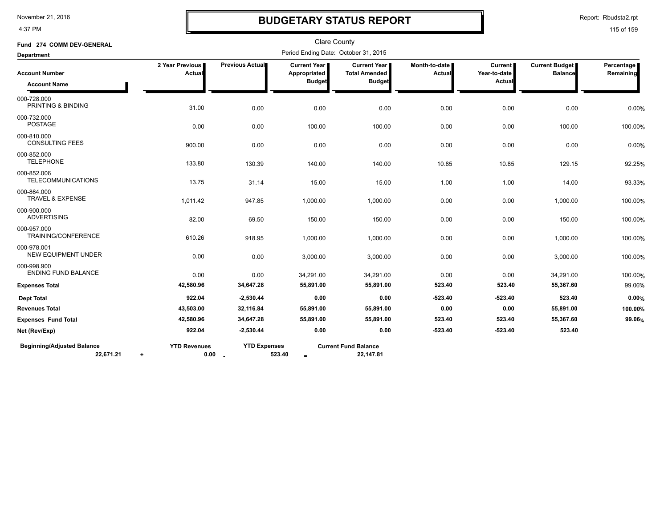4:37 PM

# **BUDGETARY STATUS REPORT**

Report: Rbudsta2.rpt

| Fund 274 COMM DEV-GENERAL                      |                                  |                                 |                                                      | <b>Clare County</b>                                          |                         |                                          |                                  |                         |
|------------------------------------------------|----------------------------------|---------------------------------|------------------------------------------------------|--------------------------------------------------------------|-------------------------|------------------------------------------|----------------------------------|-------------------------|
| <b>Department</b>                              |                                  |                                 | Period Ending Date: October 31, 2015                 |                                                              |                         |                                          |                                  |                         |
| <b>Account Number</b><br><b>Account Name</b>   | 2 Year Previous<br>Actual        | Previous Actual                 | <b>Current Year</b><br>Appropriated<br><b>Budget</b> | <b>Current Year</b><br><b>Total Amended</b><br><b>Budget</b> | Month-to-date<br>Actual | <b>Current</b><br>Year-to-date<br>Actual | Current Budget<br><b>Balance</b> | Percentage<br>Remaining |
| 000-728.000<br>PRINTING & BINDING              | 31.00                            | 0.00                            | 0.00                                                 | 0.00                                                         | 0.00                    | 0.00                                     | 0.00                             | 0.00%                   |
| 000-732.000<br><b>POSTAGE</b>                  | 0.00                             | 0.00                            | 100.00                                               | 100.00                                                       | 0.00                    | 0.00                                     | 100.00                           | 100.00%                 |
| 000-810.000<br><b>CONSULTING FEES</b>          | 900.00                           | 0.00                            | 0.00                                                 | 0.00                                                         | 0.00                    | 0.00                                     | 0.00                             | 0.00%                   |
| 000-852.000<br><b>TELEPHONE</b>                | 133.80                           | 130.39                          | 140.00                                               | 140.00                                                       | 10.85                   | 10.85                                    | 129.15                           | 92.25%                  |
| 000-852.006<br><b>TELECOMMUNICATIONS</b>       | 13.75                            | 31.14                           | 15.00                                                | 15.00                                                        | 1.00                    | 1.00                                     | 14.00                            | 93.33%                  |
| 000-864.000<br><b>TRAVEL &amp; EXPENSE</b>     | 1,011.42                         | 947.85                          | 1,000.00                                             | 1,000.00                                                     | 0.00                    | 0.00                                     | 1,000.00                         | 100.00%                 |
| 000-900.000<br><b>ADVERTISING</b>              | 82.00                            | 69.50                           | 150.00                                               | 150.00                                                       | 0.00                    | 0.00                                     | 150.00                           | 100.00%                 |
| 000-957.000<br>TRAINING/CONFERENCE             | 610.26                           | 918.95                          | 1,000.00                                             | 1,000.00                                                     | 0.00                    | 0.00                                     | 1,000.00                         | 100.00%                 |
| 000-978.001<br><b>NEW EQUIPMENT UNDER</b>      | 0.00                             | 0.00                            | 3,000.00                                             | 3,000.00                                                     | 0.00                    | 0.00                                     | 3,000.00                         | 100.00%                 |
| 000-998.900<br><b>ENDING FUND BALANCE</b>      | 0.00                             | 0.00                            | 34,291.00                                            | 34,291.00                                                    | 0.00                    | 0.00                                     | 34,291.00                        | 100.00%                 |
| <b>Expenses Total</b>                          | 42,580.96                        | 34,647.28                       | 55,891.00                                            | 55,891.00                                                    | 523.40                  | 523.40                                   | 55,367.60                        | 99.06%                  |
| <b>Dept Total</b>                              | 922.04                           | $-2,530.44$                     | 0.00                                                 | 0.00                                                         | $-523.40$               | $-523.40$                                | 523.40                           | 0.00%                   |
| <b>Revenues Total</b>                          | 43,503.00                        | 32,116.84                       | 55,891.00                                            | 55,891.00                                                    | 0.00                    | 0.00                                     | 55,891.00                        | 100.00%                 |
| <b>Expenses Fund Total</b>                     | 42,580.96                        | 34,647.28                       | 55,891.00                                            | 55,891.00                                                    | 523.40                  | 523.40                                   | 55,367.60                        | 99.06%                  |
| Net (Rev/Exp)                                  | 922.04                           | $-2,530.44$                     | 0.00                                                 | 0.00                                                         | $-523.40$               | $-523.40$                                | 523.40                           |                         |
| <b>Beginning/Adjusted Balance</b><br>22,671.21 | <b>YTD Revenues</b><br>$\ddot{}$ | <b>YTD Expenses</b><br>$0.00 -$ | 523.40<br>$\equiv$                                   | <b>Current Fund Balance</b><br>22,147.81                     |                         |                                          |                                  |                         |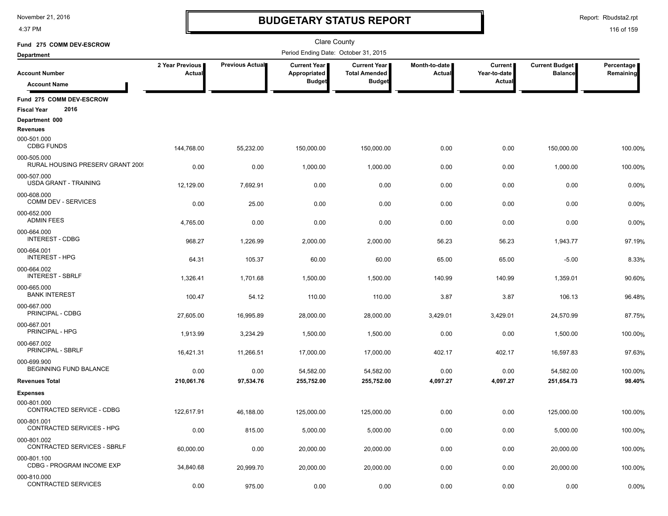4:37 PM

# **BUDGETARY STATUS REPORT**

Report: Rbudsta2.rpt

| Fund 275 COMM DEV-ESCROW                        |                                  |                 | <b>Clare County</b>                  |                                             |                                |                         |                                         |                         |
|-------------------------------------------------|----------------------------------|-----------------|--------------------------------------|---------------------------------------------|--------------------------------|-------------------------|-----------------------------------------|-------------------------|
| <b>Department</b>                               |                                  |                 | Period Ending Date: October 31, 2015 |                                             |                                |                         |                                         |                         |
| <b>Account Number</b>                           | 2 Year Previous<br><b>Actual</b> | Previous Actual | Current Year<br>Appropriated         | <b>Current Year</b><br><b>Total Amended</b> | Month-to-date<br><b>Actual</b> | Current<br>Year-to-date | <b>Current Budget</b><br><b>Balance</b> | Percentage<br>Remaining |
| <b>Account Name</b>                             |                                  |                 | <b>Budget</b>                        | <b>Budget</b>                               |                                | Actual                  |                                         |                         |
| Fund 275 COMM DEV-ESCROW                        |                                  |                 |                                      |                                             |                                |                         |                                         |                         |
| 2016<br><b>Fiscal Year</b>                      |                                  |                 |                                      |                                             |                                |                         |                                         |                         |
| Department 000                                  |                                  |                 |                                      |                                             |                                |                         |                                         |                         |
| Revenues                                        |                                  |                 |                                      |                                             |                                |                         |                                         |                         |
| 000-501.000<br><b>CDBG FUNDS</b>                | 144,768.00                       | 55,232.00       | 150,000.00                           | 150,000.00                                  | 0.00                           | 0.00                    | 150,000.00                              | 100.00%                 |
| 000-505.000<br>RURAL HOUSING PRESERV GRANT 2009 | 0.00                             | 0.00            | 1,000.00                             | 1,000.00                                    | 0.00                           | 0.00                    | 1,000.00                                | 100.00%                 |
| 000-507.000<br><b>USDA GRANT - TRAINING</b>     | 12,129.00                        | 7,692.91        | 0.00                                 | 0.00                                        | 0.00                           | 0.00                    | 0.00                                    | 0.00%                   |
| 000-608.000<br><b>COMM DEV - SERVICES</b>       | 0.00                             | 25.00           | 0.00                                 | 0.00                                        | 0.00                           | 0.00                    | 0.00                                    | 0.00%                   |
| 000-652.000<br><b>ADMIN FEES</b>                | 4,765.00                         | 0.00            | 0.00                                 | 0.00                                        | 0.00                           | 0.00                    | 0.00                                    | 0.00%                   |
| 000-664.000<br><b>INTEREST - CDBG</b>           | 968.27                           | 1,226.99        | 2,000.00                             | 2,000.00                                    | 56.23                          | 56.23                   | 1,943.77                                | 97.19%                  |
| 000-664.001<br><b>INTEREST - HPG</b>            |                                  |                 |                                      |                                             |                                |                         |                                         |                         |
| 000-664.002<br><b>INTEREST - SBRLF</b>          | 64.31                            | 105.37          | 60.00                                | 60.00                                       | 65.00                          | 65.00                   | $-5.00$                                 | 8.33%                   |
| 000-665.000                                     | 1,326.41                         | 1,701.68        | 1,500.00                             | 1,500.00                                    | 140.99                         | 140.99                  | 1,359.01                                | 90.60%                  |
| <b>BANK INTEREST</b>                            | 100.47                           | 54.12           | 110.00                               | 110.00                                      | 3.87                           | 3.87                    | 106.13                                  | 96.48%                  |
| 000-667.000<br>PRINCIPAL - CDBG                 | 27,605.00                        | 16,995.89       | 28,000.00                            | 28,000.00                                   | 3,429.01                       | 3,429.01                | 24,570.99                               | 87.75%                  |
| 000-667.001<br>PRINCIPAL - HPG                  | 1,913.99                         | 3,234.29        | 1,500.00                             | 1,500.00                                    | 0.00                           | 0.00                    | 1,500.00                                | 100.00%                 |
| 000-667.002<br>PRINCIPAL - SBRLF                | 16,421.31                        | 11,266.51       | 17,000.00                            | 17,000.00                                   | 402.17                         | 402.17                  | 16,597.83                               | 97.63%                  |
| 000-699.900<br><b>BEGINNING FUND BALANCE</b>    | 0.00                             | 0.00            | 54,582.00                            | 54,582.00                                   | 0.00                           | 0.00                    | 54,582.00                               | 100.00%                 |
| <b>Revenues Total</b>                           | 210,061.76                       | 97,534.76       | 255,752.00                           | 255,752.00                                  | 4,097.27                       | 4,097.27                | 251,654.73                              | 98.40%                  |
| <b>Expenses</b>                                 |                                  |                 |                                      |                                             |                                |                         |                                         |                         |
| 000-801.000<br>CONTRACTED SERVICE - CDBG        | 122,617.91                       | 46,188.00       | 125,000.00                           | 125.000.00                                  | 0.00                           | 0.00                    | 125,000.00                              | 100.00%                 |
| 000-801.001<br><b>CONTRACTED SERVICES - HPG</b> | 0.00                             |                 |                                      |                                             | 0.00                           | 0.00                    |                                         |                         |
| 000-801.002<br>CONTRACTED SERVICES - SBRLF      |                                  | 815.00          | 5,000.00                             | 5,000.00                                    |                                |                         | 5,000.00                                | 100.00%                 |
| 000-801.100                                     | 60,000.00                        | 0.00            | 20,000.00                            | 20,000.00                                   | 0.00                           | 0.00                    | 20,000.00                               | 100.00%                 |
| CDBG - PROGRAM INCOME EXP                       | 34,840.68                        | 20,999.70       | 20,000.00                            | 20,000.00                                   | 0.00                           | 0.00                    | 20,000.00                               | 100.00%                 |
| 000-810.000<br>CONTRACTED SERVICES              | 0.00                             | 975.00          | 0.00                                 | 0.00                                        | 0.00                           | 0.00                    | 0.00                                    | 0.00%                   |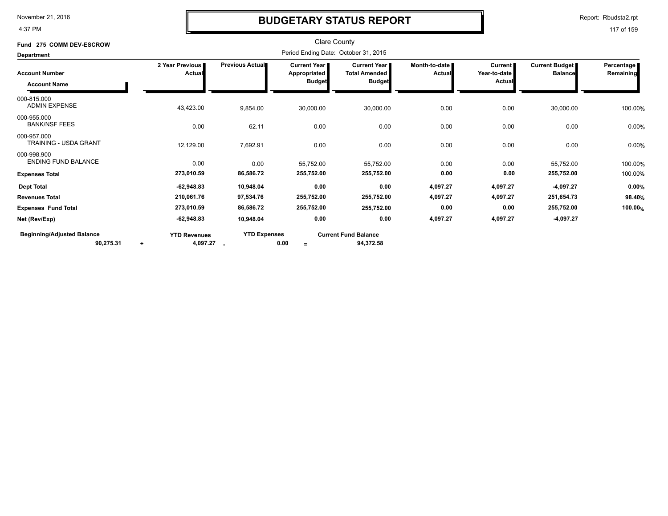4:37 PM

### **BUDGETARY STATUS REPORT**

Report: Rbudsta2.rpt

| Fund 275 COMM DEV-ESCROW                       |                                              |                        | <b>Clare County</b>                                           |                                                                |                                  |                                          |                                  |                         |
|------------------------------------------------|----------------------------------------------|------------------------|---------------------------------------------------------------|----------------------------------------------------------------|----------------------------------|------------------------------------------|----------------------------------|-------------------------|
| Department                                     |                                              |                        | Period Ending Date: October 31, 2015                          |                                                                |                                  |                                          |                                  |                         |
| <b>Account Number</b><br><b>Account Name</b>   | 2 Year Previous<br>Actual                    | <b>Previous Actual</b> | <b>Current Year I</b><br><b>Appropriated</b><br><b>Budget</b> | <b>Current Year I</b><br><b>Total Amended</b><br><b>Budget</b> | Month-to-date I<br><b>Actual</b> | <b>Current</b><br>Year-to-date<br>Actual | Current Budget<br><b>Balance</b> | Percentage<br>Remaining |
| 000-815.000<br><b>ADMIN EXPENSE</b>            | 43,423.00                                    | 9,854.00               | 30,000.00                                                     | 30,000.00                                                      | 0.00                             | 0.00                                     | 30,000.00                        | 100.00%                 |
| 000-955.000<br><b>BANK/NSF FEES</b>            | 0.00                                         | 62.11                  | 0.00                                                          | 0.00                                                           | 0.00                             | 0.00                                     | 0.00                             | 0.00%                   |
| 000-957.000<br>TRAINING - USDA GRANT           | 12,129.00                                    | 7,692.91               | 0.00                                                          | 0.00                                                           | 0.00                             | 0.00                                     | 0.00                             | 0.00%                   |
| 000-998.900<br><b>ENDING FUND BALANCE</b>      | 0.00                                         | 0.00                   | 55,752.00                                                     | 55,752.00                                                      | 0.00                             | 0.00                                     | 55,752.00                        | 100.00%                 |
| <b>Expenses Total</b>                          | 273,010.59                                   | 86,586.72              | 255,752.00                                                    | 255,752.00                                                     | 0.00                             | 0.00                                     | 255,752.00                       | 100.00%                 |
| <b>Dept Total</b>                              | $-62,948.83$                                 | 10,948.04              | 0.00                                                          | 0.00                                                           | 4,097.27                         | 4,097.27                                 | $-4,097.27$                      | 0.00%                   |
| <b>Revenues Total</b>                          | 210,061.76                                   | 97,534.76              | 255,752.00                                                    | 255,752.00                                                     | 4,097.27                         | 4,097.27                                 | 251,654.73                       | 98.40%                  |
| <b>Expenses Fund Total</b>                     | 273,010.59                                   | 86,586.72              | 255,752.00                                                    | 255,752.00                                                     | 0.00                             | 0.00                                     | 255,752.00                       | 100.00%                 |
| Net (Rev/Exp)                                  | $-62,948.83$                                 | 10,948.04              | 0.00                                                          | 0.00                                                           | 4,097.27                         | 4,097.27                                 | $-4,097.27$                      |                         |
| <b>Beginning/Adjusted Balance</b><br>90,275.31 | <b>YTD Revenues</b><br>4,097.27<br>$\ddot{}$ | <b>YTD Expenses</b>    | 0.00<br>$=$                                                   | <b>Current Fund Balance</b><br>94,372.58                       |                                  |                                          |                                  |                         |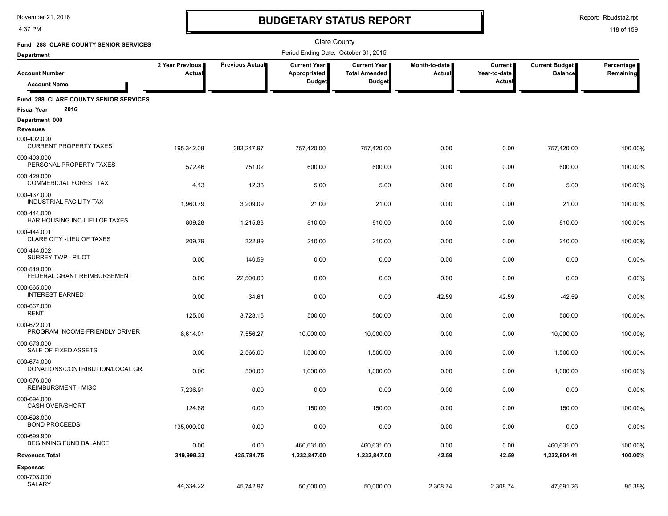4:37 PM

# **BUDGETARY STATUS REPORT**

Report: Rbudsta2.rpt

| Fund 288 CLARE COUNTY SENIOR SERVICES                               |                           |                        | <b>Clare County</b>                  |                                               |                                |                         |                                  |                         |
|---------------------------------------------------------------------|---------------------------|------------------------|--------------------------------------|-----------------------------------------------|--------------------------------|-------------------------|----------------------------------|-------------------------|
| <b>Department</b>                                                   |                           |                        | Period Ending Date: October 31, 2015 |                                               |                                |                         |                                  |                         |
| <b>Account Number</b>                                               | 2 Year Previous<br>Actual | <b>Previous Actual</b> | <b>Current Year</b><br>Appropriated  | <b>Current Year I</b><br><b>Total Amended</b> | Month-to-date<br><b>Actual</b> | Current<br>Year-to-date | Current Budget<br><b>Balance</b> | Percentage<br>Remaining |
| <b>Account Name</b>                                                 |                           |                        | <b>Budget</b>                        | <b>Budget</b>                                 |                                | Actual                  |                                  |                         |
| Fund 288 CLARE COUNTY SENIOR SERVICES<br>2016<br><b>Fiscal Year</b> |                           |                        |                                      |                                               |                                |                         |                                  |                         |
| Department 000                                                      |                           |                        |                                      |                                               |                                |                         |                                  |                         |
| <b>Revenues</b>                                                     |                           |                        |                                      |                                               |                                |                         |                                  |                         |
| 000-402.000<br><b>CURRENT PROPERTY TAXES</b>                        | 195,342.08                | 383,247.97             | 757,420.00                           | 757,420.00                                    | 0.00                           | 0.00                    | 757,420.00                       | 100.00%                 |
| 000-403.000<br>PERSONAL PROPERTY TAXES                              | 572.46                    | 751.02                 | 600.00                               | 600.00                                        | 0.00                           | 0.00                    | 600.00                           | 100.00%                 |
| 000-429.000<br><b>COMMERICIAL FOREST TAX</b>                        | 4.13                      | 12.33                  | 5.00                                 | 5.00                                          | 0.00                           | 0.00                    | 5.00                             | 100.00%                 |
| 000-437.000<br><b>INDUSTRIAL FACILITY TAX</b>                       | 1,960.79                  | 3,209.09               | 21.00                                | 21.00                                         | 0.00                           | 0.00                    | 21.00                            | 100.00%                 |
| 000-444.000<br>HAR HOUSING INC-LIEU OF TAXES                        | 809.28                    | 1,215.83               | 810.00                               | 810.00                                        | 0.00                           | 0.00                    | 810.00                           | 100.00%                 |
| 000-444.001<br>CLARE CITY - LIEU OF TAXES                           | 209.79                    | 322.89                 | 210.00                               | 210.00                                        | 0.00                           | 0.00                    | 210.00                           | 100.00%                 |
| 000-444.002<br>SURREY TWP - PILOT                                   | 0.00                      | 140.59                 | 0.00                                 | 0.00                                          | 0.00                           | 0.00                    | 0.00                             | 0.00%                   |
| 000-519.000<br>FEDERAL GRANT REIMBURSEMENT                          | 0.00                      | 22.500.00              | 0.00                                 | 0.00                                          | 0.00                           | 0.00                    | 0.00                             | 0.00%                   |
| 000-665.000<br><b>INTEREST EARNED</b>                               |                           |                        |                                      |                                               |                                |                         |                                  |                         |
| 000-667.000                                                         | 0.00                      | 34.61                  | 0.00                                 | 0.00                                          | 42.59                          | 42.59                   | $-42.59$                         | 0.00%                   |
| <b>RENT</b>                                                         | 125.00                    | 3,728.15               | 500.00                               | 500.00                                        | 0.00                           | 0.00                    | 500.00                           | 100.00%                 |
| 000-672.001<br>PROGRAM INCOME-FRIENDLY DRIVER                       | 8,614.01                  | 7,556.27               | 10,000.00                            | 10,000.00                                     | 0.00                           | 0.00                    | 10,000.00                        | 100.00%                 |
| 000-673.000<br>SALE OF FIXED ASSETS                                 | 0.00                      | 2,566.00               | 1,500.00                             | 1,500.00                                      | 0.00                           | 0.00                    | 1,500.00                         | 100.00%                 |
| 000-674.000<br>DONATIONS/CONTRIBUTION/LOCAL GR/                     | 0.00                      | 500.00                 | 1,000.00                             | 1,000.00                                      | 0.00                           | 0.00                    | 1,000.00                         | 100.00%                 |
| 000-676.000<br><b>REIMBURSMENT - MISC</b>                           | 7,236.91                  | 0.00                   | 0.00                                 | 0.00                                          | 0.00                           | 0.00                    | 0.00                             | 0.00%                   |
| 000-694.000<br><b>CASH OVER/SHORT</b>                               | 124.88                    | 0.00                   | 150.00                               | 150.00                                        | 0.00                           | 0.00                    | 150.00                           | 100.00%                 |
| 000-698.000<br><b>BOND PROCEEDS</b>                                 | 135,000.00                | 0.00                   | 0.00                                 | 0.00                                          | 0.00                           | 0.00                    | 0.00                             | 0.00%                   |
| 000-699.900<br>BEGINNING FUND BALANCE                               | 0.00                      | 0.00                   | 460,631.00                           | 460,631.00                                    | 0.00                           | 0.00                    | 460,631.00                       | 100.00%                 |
| <b>Revenues Total</b>                                               | 349,999.33                | 425,784.75             | 1,232,847.00                         | 1,232,847.00                                  | 42.59                          | 42.59                   | 1,232,804.41                     | 100.00%                 |
| <b>Expenses</b>                                                     |                           |                        |                                      |                                               |                                |                         |                                  |                         |
| 000-703.000                                                         |                           |                        |                                      |                                               |                                |                         |                                  |                         |
| SALARY                                                              | 44,334.22                 | 45,742.97              | 50,000.00                            | 50,000.00                                     | 2,308.74                       | 2,308.74                | 47,691.26                        | 95.38%                  |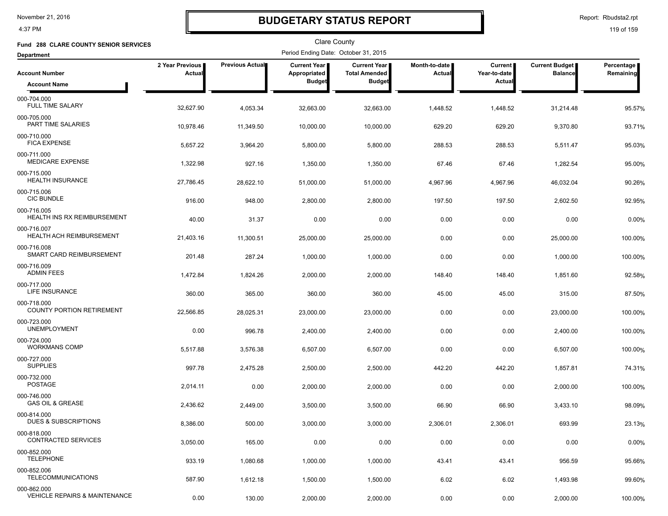4:37 PM

# **BUDGETARY STATUS REPORT**

Report: Rbudsta2.rpt

| Fund 288 CLARE COUNTY SENIOR SERVICES             |                           |                 | Clare County                         |                                             |                         |                           |                                         |                         |
|---------------------------------------------------|---------------------------|-----------------|--------------------------------------|---------------------------------------------|-------------------------|---------------------------|-----------------------------------------|-------------------------|
| <b>Department</b>                                 |                           |                 | Period Ending Date: October 31, 2015 |                                             |                         |                           |                                         |                         |
| <b>Account Number</b>                             | 2 Year Previous<br>Actual | Previous Actual | Current Year<br>Appropriated         | <b>Current Year</b><br><b>Total Amended</b> | Month-to-date<br>Actual | Current  <br>Year-to-date | <b>Current Budget</b><br><b>Balance</b> | Percentage<br>Remaining |
| <b>Account Name</b>                               |                           |                 | <b>Budget</b>                        | <b>Budget</b>                               |                         | Actual                    |                                         |                         |
| 000-704.000<br><b>FULL TIME SALARY</b>            | 32,627.90                 | 4,053.34        | 32,663.00                            | 32,663.00                                   | 1,448.52                | 1,448.52                  | 31,214.48                               | 95.57%                  |
| 000-705.000<br>PART TIME SALARIES                 | 10,978.46                 | 11,349.50       | 10,000.00                            | 10,000.00                                   | 629.20                  | 629.20                    | 9,370.80                                | 93.71%                  |
| 000-710.000<br><b>FICA EXPENSE</b>                | 5,657.22                  | 3,964.20        | 5,800.00                             | 5,800.00                                    | 288.53                  | 288.53                    | 5,511.47                                | 95.03%                  |
| 000-711.000<br><b>MEDICARE EXPENSE</b>            | 1,322.98                  | 927.16          | 1,350.00                             | 1,350.00                                    | 67.46                   | 67.46                     | 1,282.54                                | 95.00%                  |
| 000-715.000<br><b>HEALTH INSURANCE</b>            | 27,786.45                 | 28,622.10       | 51,000.00                            | 51,000.00                                   | 4,967.96                | 4,967.96                  | 46,032.04                               | 90.26%                  |
| 000-715.006<br><b>CIC BUNDLE</b>                  | 916.00                    | 948.00          | 2,800.00                             | 2,800.00                                    | 197.50                  | 197.50                    | 2,602.50                                | 92.95%                  |
| 000-716.005<br><b>HEALTH INS RX REIMBURSEMENT</b> | 40.00                     | 31.37           | 0.00                                 | 0.00                                        | 0.00                    | 0.00                      | 0.00                                    | 0.00%                   |
| 000-716.007<br>HEALTH ACH REIMBURSEMENT           | 21,403.16                 | 11,300.51       | 25,000.00                            | 25,000.00                                   | 0.00                    | 0.00                      | 25,000.00                               | 100.00%                 |
| 000-716.008<br>SMART CARD REIMBURSEMENT           | 201.48                    | 287.24          | 1,000.00                             | 1,000.00                                    | 0.00                    | 0.00                      | 1,000.00                                | 100.00%                 |
| 000-716.009<br><b>ADMIN FEES</b>                  | 1,472.84                  | 1,824.26        | 2,000.00                             | 2,000.00                                    | 148.40                  | 148.40                    | 1,851.60                                | 92.58%                  |
| 000-717.000<br>LIFE INSURANCE                     | 360.00                    | 365.00          | 360.00                               | 360.00                                      | 45.00                   | 45.00                     | 315.00                                  | 87.50%                  |
| 000-718.000<br><b>COUNTY PORTION RETIREMENT</b>   | 22,566.85                 | 28,025.31       | 23,000.00                            | 23,000.00                                   | 0.00                    | 0.00                      | 23,000.00                               | 100.00%                 |
| 000-723.000<br><b>UNEMPLOYMENT</b>                | 0.00                      | 996.78          | 2,400.00                             | 2,400.00                                    | 0.00                    | 0.00                      | 2,400.00                                | 100.00%                 |
| 000-724.000<br>WORKMANS COMP                      | 5,517.88                  | 3,576.38        | 6,507.00                             | 6,507.00                                    | 0.00                    | 0.00                      | 6,507.00                                | 100.00%                 |
| 000-727.000<br><b>SUPPLIES</b>                    | 997.78                    | 2,475.28        | 2,500.00                             | 2,500.00                                    | 442.20                  | 442.20                    | 1,857.81                                | 74.31%                  |
| 000-732.000<br><b>POSTAGE</b>                     | 2,014.11                  | 0.00            | 2,000.00                             | 2,000.00                                    | 0.00                    | 0.00                      | 2,000.00                                | 100.00%                 |
| 000-746.000<br><b>GAS OIL &amp; GREASE</b>        | 2,436.62                  | 2,449.00        | 3,500.00                             | 3,500.00                                    | 66.90                   | 66.90                     | 3,433.10                                | 98.09%                  |
| 000-814.000<br>DUES & SUBSCRIPTIONS               | 8,386.00                  | 500.00          | 3,000.00                             | 3,000.00                                    | 2,306.01                | 2,306.01                  | 693.99                                  | 23.13%                  |
| 000-818.000<br><b>CONTRACTED SERVICES</b>         | 3,050.00                  | 165.00          | 0.00                                 | 0.00                                        | 0.00                    | 0.00                      | 0.00                                    | 0.00%                   |
| 000-852.000<br><b>TELEPHONE</b>                   | 933.19                    | 1,080.68        | 1,000.00                             | 1,000.00                                    | 43.41                   | 43.41                     | 956.59                                  | 95.66%                  |
| 000-852.006<br><b>TELECOMMUNICATIONS</b>          | 587.90                    | 1,612.18        | 1,500.00                             | 1,500.00                                    | 6.02                    | 6.02                      | 1,493.98                                | 99.60%                  |
| 000-862.000<br>VEHICLE REPAIRS & MAINTENANCE      | 0.00                      | 130.00          | 2,000.00                             | 2,000.00                                    | 0.00                    | 0.00                      | 2,000.00                                | 100.00%                 |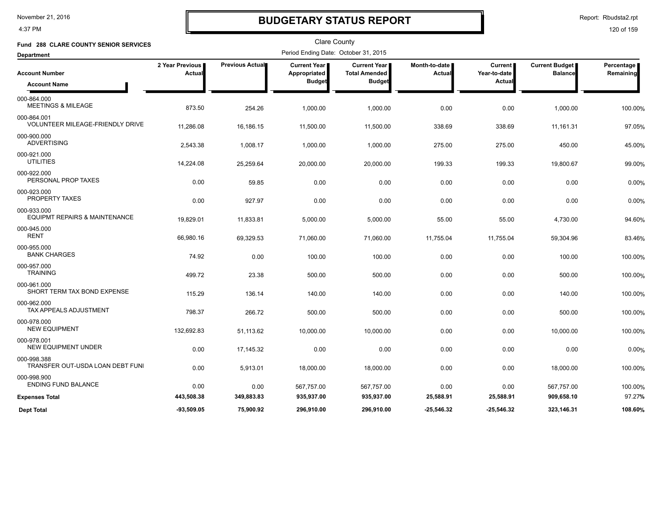4:37 PM

# **BUDGETARY STATUS REPORT**

Report: Rbudsta2.rpt

| Fund 288 CLARE COUNTY SENIOR SERVICES                   |                           |                 | Clare County                         |                                             |                         |                         |                                         |                         |
|---------------------------------------------------------|---------------------------|-----------------|--------------------------------------|---------------------------------------------|-------------------------|-------------------------|-----------------------------------------|-------------------------|
| <b>Department</b>                                       |                           |                 | Period Ending Date: October 31, 2015 |                                             |                         |                         |                                         |                         |
| <b>Account Number</b>                                   | 2 Year Previous<br>Actual | Previous Actual | <b>Current Year</b><br>Appropriated  | <b>Current Year</b><br><b>Total Amended</b> | Month-to-date<br>Actual | Current<br>Year-to-date | <b>Current Budget</b><br><b>Balance</b> | Percentage<br>Remaining |
| <b>Account Name</b>                                     |                           |                 | <b>Budget</b>                        | <b>Budget</b>                               |                         | <b>Actual</b>           |                                         |                         |
| 000-864.000<br><b>MEETINGS &amp; MILEAGE</b>            | 873.50                    | 254.26          | 1,000.00                             | 1,000.00                                    | 0.00                    | 0.00                    | 1,000.00                                | 100.00%                 |
| 000-864.001<br>VOLUNTEER MILEAGE-FRIENDLY DRIVE         | 11,286.08                 | 16,186.15       | 11,500.00                            | 11,500.00                                   | 338.69                  | 338.69                  | 11,161.31                               | 97.05%                  |
| 000-900.000<br><b>ADVERTISING</b>                       | 2,543.38                  | 1,008.17        | 1,000.00                             | 1,000.00                                    | 275.00                  | 275.00                  | 450.00                                  | 45.00%                  |
| 000-921.000<br><b>UTILITIES</b>                         | 14,224.08                 | 25,259.64       | 20,000.00                            | 20,000.00                                   | 199.33                  | 199.33                  | 19,800.67                               | 99.00%                  |
| 000-922.000<br>PERSONAL PROP TAXES                      | 0.00                      | 59.85           | 0.00                                 | 0.00                                        | 0.00                    | 0.00                    | 0.00                                    | 0.00%                   |
| 000-923.000<br><b>PROPERTY TAXES</b>                    | 0.00                      | 927.97          | 0.00                                 | 0.00                                        | 0.00                    | 0.00                    | 0.00                                    | 0.00%                   |
| 000-933.000<br><b>EQUIPMT REPAIRS &amp; MAINTENANCE</b> | 19,829.01                 | 11,833.81       | 5,000.00                             | 5,000.00                                    | 55.00                   | 55.00                   | 4,730.00                                | 94.60%                  |
| 000-945.000<br><b>RENT</b>                              | 66,980.16                 | 69,329.53       | 71,060.00                            | 71,060.00                                   | 11,755.04               | 11,755.04               | 59,304.96                               | 83.46%                  |
| 000-955.000<br><b>BANK CHARGES</b>                      | 74.92                     | 0.00            | 100.00                               | 100.00                                      | 0.00                    | 0.00                    | 100.00                                  | 100.00%                 |
| 000-957.000<br><b>TRAINING</b>                          | 499.72                    | 23.38           | 500.00                               | 500.00                                      | 0.00                    | 0.00                    | 500.00                                  | 100.00%                 |
| 000-961.000<br>SHORT TERM TAX BOND EXPENSE              | 115.29                    | 136.14          | 140.00                               | 140.00                                      | 0.00                    | 0.00                    | 140.00                                  | 100.00%                 |
| 000-962.000<br><b>TAX APPEALS ADJUSTMENT</b>            | 798.37                    | 266.72          | 500.00                               | 500.00                                      | 0.00                    | 0.00                    | 500.00                                  | 100.00%                 |
| 000-978.000<br><b>NEW EQUIPMENT</b>                     | 132,692.83                | 51,113.62       | 10,000.00                            | 10,000.00                                   | 0.00                    | 0.00                    | 10,000.00                               | 100.00%                 |
| 000-978.001<br>NEW EQUIPMENT UNDER                      | 0.00                      | 17,145.32       | 0.00                                 | 0.00                                        | 0.00                    | 0.00                    | 0.00                                    | 0.00%                   |
| 000-998.388<br>TRANSFER OUT-USDA LOAN DEBT FUNI         | 0.00                      | 5,913.01        | 18,000.00                            | 18,000.00                                   | 0.00                    | 0.00                    | 18,000.00                               | 100.00%                 |
| 000-998.900<br><b>ENDING FUND BALANCE</b>               | 0.00                      | 0.00            | 567,757.00                           | 567,757.00                                  | 0.00                    | 0.00                    | 567,757.00                              | 100.00%                 |
| <b>Expenses Total</b>                                   | 443,508.38                | 349,883.83      | 935,937.00                           | 935,937.00                                  | 25,588.91               | 25,588.91               | 909,658.10                              | 97.27%                  |
| <b>Dept Total</b>                                       | $-93,509.05$              | 75,900.92       | 296,910.00                           | 296,910.00                                  | $-25,546.32$            | -25,546.32              | 323,146.31                              | 108.60%                 |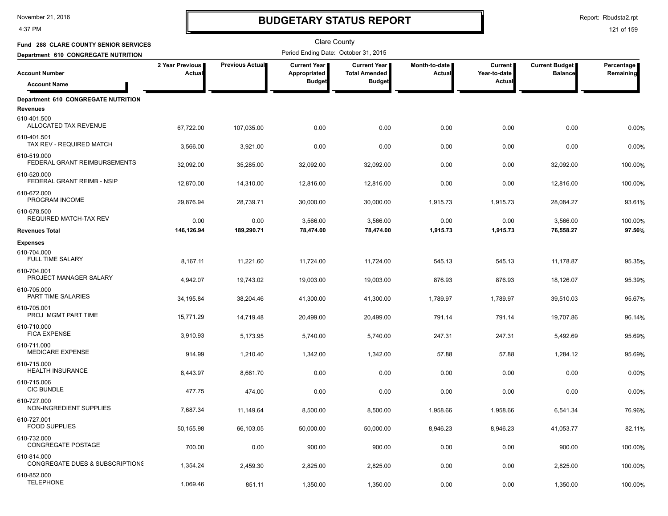4:37 PM

# **BUDGETARY STATUS REPORT**

Report: Rbudsta2.rpt

| <b>Fund 288 CLARE COUNTY SENIOR SERVICES</b>           |                           |                 | Clare County                                         |                                                       |                                |                                     |                                         |                         |
|--------------------------------------------------------|---------------------------|-----------------|------------------------------------------------------|-------------------------------------------------------|--------------------------------|-------------------------------------|-----------------------------------------|-------------------------|
| Department 610 CONGREGATE NUTRITION                    |                           |                 | Period Ending Date: October 31, 2015                 |                                                       |                                |                                     |                                         |                         |
| <b>Account Number</b><br><b>Account Name</b>           | 2 Year Previous<br>Actual | Previous Actual | <b>Current Year</b><br>Appropriated<br><b>Budget</b> | Current Year<br><b>Total Amended</b><br><b>Budget</b> | Month-to-date<br><b>Actual</b> | Current  <br>Year-to-date<br>Actual | <b>Current Budget</b><br><b>Balance</b> | Percentage<br>Remaining |
|                                                        |                           |                 |                                                      |                                                       |                                |                                     |                                         |                         |
| Department 610 CONGREGATE NUTRITION<br><b>Revenues</b> |                           |                 |                                                      |                                                       |                                |                                     |                                         |                         |
| 610-401.500<br>ALLOCATED TAX REVENUE                   | 67,722.00                 | 107,035.00      | 0.00                                                 | 0.00                                                  | 0.00                           | 0.00                                | 0.00                                    | 0.00%                   |
| 610-401.501<br>TAX REV - REQUIRED MATCH                | 3,566.00                  | 3,921.00        | 0.00                                                 | 0.00                                                  | 0.00                           | 0.00                                | 0.00                                    | 0.00%                   |
| 610-519.000<br>FEDERAL GRANT REIMBURSEMENTS            | 32,092.00                 | 35,285.00       | 32,092.00                                            | 32,092.00                                             | 0.00                           | 0.00                                | 32,092.00                               | 100.00%                 |
| 610-520.000<br>FEDERAL GRANT REIMB - NSIP              | 12,870.00                 | 14,310.00       | 12,816.00                                            | 12,816.00                                             | 0.00                           | 0.00                                | 12,816.00                               | 100.00%                 |
| 610-672.000<br>PROGRAM INCOME                          | 29,876.94                 | 28,739.71       | 30,000.00                                            | 30,000.00                                             | 1,915.73                       | 1,915.73                            | 28,084.27                               | 93.61%                  |
| 610-678.500<br>REQUIRED MATCH-TAX REV                  | 0.00                      | 0.00            | 3,566.00                                             | 3,566.00                                              | 0.00                           | 0.00                                | 3,566.00                                | 100.00%                 |
| <b>Revenues Total</b>                                  | 146,126.94                | 189,290.71      | 78,474.00                                            | 78,474.00                                             | 1,915.73                       | 1,915.73                            | 76,558.27                               | 97.56%                  |
| <b>Expenses</b>                                        |                           |                 |                                                      |                                                       |                                |                                     |                                         |                         |
| 610-704.000<br>FULL TIME SALARY                        | 8,167.11                  | 11,221.60       | 11,724.00                                            | 11,724.00                                             | 545.13                         | 545.13                              | 11,178.87                               | 95.35%                  |
| 610-704.001<br>PROJECT MANAGER SALARY                  | 4,942.07                  | 19,743.02       | 19,003.00                                            | 19,003.00                                             | 876.93                         | 876.93                              | 18,126.07                               | 95.39%                  |
| 610-705.000<br>PART TIME SALARIES                      | 34,195.84                 | 38,204.46       | 41,300.00                                            | 41,300.00                                             | 1,789.97                       | 1,789.97                            | 39,510.03                               | 95.67%                  |
| 610-705.001<br>PROJ MGMT PART TIME                     | 15,771.29                 | 14,719.48       | 20,499.00                                            | 20,499.00                                             | 791.14                         | 791.14                              | 19,707.86                               | 96.14%                  |
| 610-710.000<br><b>FICA EXPENSE</b>                     | 3,910.93                  | 5,173.95        | 5,740.00                                             | 5,740.00                                              | 247.31                         | 247.31                              | 5,492.69                                | 95.69%                  |
| 610-711.000<br><b>MEDICARE EXPENSE</b>                 | 914.99                    | 1,210.40        | 1,342.00                                             | 1,342.00                                              | 57.88                          | 57.88                               | 1,284.12                                | 95.69%                  |
| 610-715.000<br><b>HEALTH INSURANCE</b>                 | 8,443.97                  | 8,661.70        | 0.00                                                 | 0.00                                                  | 0.00                           | 0.00                                | 0.00                                    | 0.00%                   |
| 610-715.006<br><b>CIC BUNDLE</b>                       | 477.75                    | 474.00          | 0.00                                                 | 0.00                                                  | 0.00                           | 0.00                                | 0.00                                    | 0.00%                   |
| 610-727.000<br>NON-INGREDIENT SUPPLIES                 | 7,687.34                  | 11,149.64       | 8,500.00                                             | 8,500.00                                              | 1,958.66                       | 1,958.66                            | 6,541.34                                | 76.96%                  |
| 610-727.001<br><b>FOOD SUPPLIES</b>                    | 50,155.98                 | 66,103.05       | 50,000.00                                            | 50,000.00                                             | 8,946.23                       | 8,946.23                            | 41,053.77                               | 82.11%                  |
| 610-732.000<br>CONGREGATE POSTAGE                      | 700.00                    | 0.00            | 900.00                                               | 900.00                                                | 0.00                           | 0.00                                | 900.00                                  | 100.00%                 |
| 610-814.000<br>CONGREGATE DUES & SUBSCRIPTIONS         | 1,354.24                  | 2,459.30        | 2,825.00                                             | 2,825.00                                              | 0.00                           | 0.00                                | 2,825.00                                | 100.00%                 |
| 610-852.000<br><b>TELEPHONE</b>                        | 1,069.46                  | 851.11          | 1,350.00                                             | 1,350.00                                              | 0.00                           | 0.00                                | 1,350.00                                | 100.00%                 |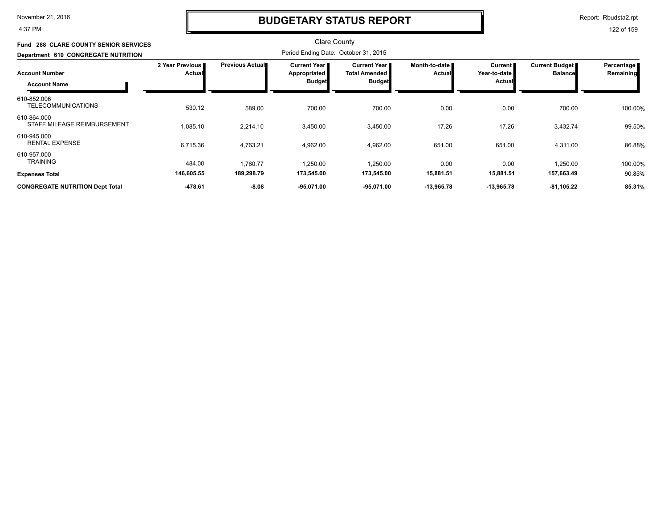4:37 PM

## **BUDGETARY STATUS REPORT**

Report: Rbudsta2.rpt

| <b>Fund 288 CLARE COUNTY SENIOR SERVICES</b> |                                  |                        | Clare County                                                  |                                                                  |                                |                                              |                                  |                         |
|----------------------------------------------|----------------------------------|------------------------|---------------------------------------------------------------|------------------------------------------------------------------|--------------------------------|----------------------------------------------|----------------------------------|-------------------------|
| Department 610 CONGREGATE NUTRITION          |                                  |                        | Period Ending Date: October 31, 2015                          |                                                                  |                                |                                              |                                  |                         |
| <b>Account Number</b><br><b>Account Name</b> | 2 Year Previous<br><b>Actual</b> | <b>Previous Actual</b> | <b>Current Year</b> ■<br><b>Appropriated</b><br><b>Budget</b> | <b>Current Year I</b><br><b>Total Amended I</b><br><b>Budget</b> | Month-to-date<br><b>Actual</b> | Current  <br>Year-to-date I<br><b>Actual</b> | Current Budget<br><b>Balance</b> | Percentage<br>Remaining |
| 610-852.006<br><b>TELECOMMUNICATIONS</b>     | 530.12                           | 589.00                 | 700.00                                                        | 700.00                                                           | 0.00                           | 0.00                                         | 700.00                           | 100.00%                 |
| 610-864.000<br>STAFF MILEAGE REIMBURSEMENT   | 1,085.10                         | 2,214.10               | 3,450.00                                                      | 3,450.00                                                         | 17.26                          | 17.26                                        | 3,432.74                         | 99.50%                  |
| 610-945.000<br><b>RENTAL EXPENSE</b>         | 6,715.36                         | 4,763.21               | 4,962.00                                                      | 4,962.00                                                         | 651.00                         | 651.00                                       | 4,311.00                         | 86.88%                  |
| 610-957.000<br><b>TRAINING</b>               | 484.00                           | 1,760.77               | 1,250.00                                                      | 1,250.00                                                         | 0.00                           | 0.00                                         | 1,250.00                         | 100.00%                 |
| <b>Expenses Total</b>                        | 146,605.55                       | 189,298.79             | 173,545.00                                                    | 173,545.00                                                       | 15,881.51                      | 15,881.51                                    | 157,663.49                       | 90.85%                  |
| <b>CONGREGATE NUTRITION Dept Total</b>       | $-478.61$                        | $-8.08$                | $-95,071.00$                                                  | $-95,071.00$                                                     | $-13,965.78$                   | $-13,965.78$                                 | $-81,105.22$                     | 85.31%                  |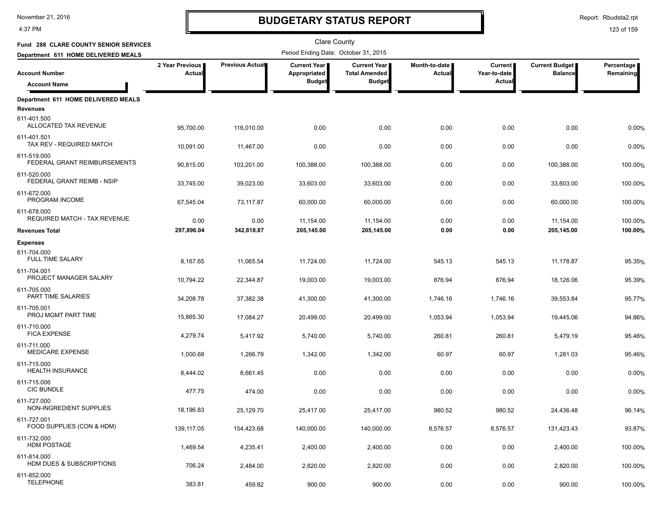4:37 PM

# **BUDGETARY STATUS REPORT**

Report: Rbudsta2.rpt

| Fund 288 CLARE COUNTY SENIOR SERVICES                  |                           |                 | Clare County                                  |                                                       |                         |                                          |                                         |                         |
|--------------------------------------------------------|---------------------------|-----------------|-----------------------------------------------|-------------------------------------------------------|-------------------------|------------------------------------------|-----------------------------------------|-------------------------|
| Department 611 HOME DELIVERED MEALS                    |                           |                 | Period Ending Date: October 31, 2015          |                                                       |                         |                                          |                                         |                         |
| <b>Account Number</b>                                  | 2 Year Previous<br>Actual | Previous Actual | Current Year<br>Appropriated<br><b>Budget</b> | Current Year<br><b>Total Amended</b><br><b>Budget</b> | Month-to-date<br>Actual | <b>Current</b><br>Year-to-date<br>Actual | <b>Current Budget</b><br><b>Balance</b> | Percentage<br>Remaining |
| <b>Account Name</b>                                    |                           |                 |                                               |                                                       |                         |                                          |                                         |                         |
| Department 611 HOME DELIVERED MEALS<br><b>Revenues</b> |                           |                 |                                               |                                                       |                         |                                          |                                         |                         |
| 611-401.500<br>ALLOCATED TAX REVENUE                   | 95,700.00                 | 116,010.00      | 0.00                                          | 0.00                                                  | 0.00                    | 0.00                                     | 0.00                                    | 0.00%                   |
| 611-401.501<br>TAX REV - REQUIRED MATCH                | 10,091.00                 | 11,467.00       | 0.00                                          | 0.00                                                  | 0.00                    | 0.00                                     | 0.00                                    | 0.00%                   |
| 611-519.000<br>FEDERAL GRANT REIMBURSEMENTS            | 90,815.00                 | 103,201.00      | 100,388.00                                    | 100,388.00                                            | 0.00                    | 0.00                                     | 100,388.00                              | 100.00%                 |
| 611-520.000<br>FEDERAL GRANT REIMB - NSIP              | 33,745.00                 | 39,023.00       | 33,603.00                                     | 33,603.00                                             | 0.00                    | 0.00                                     | 33,603.00                               | 100.00%                 |
| 611-672.000<br>PROGRAM INCOME                          | 67,545.04                 | 73,117.87       | 60,000.00                                     | 60,000.00                                             | 0.00                    | 0.00                                     | 60,000.00                               | 100.00%                 |
| 611-678.000<br>REQUIRED MATCH - TAX REVENUE            | 0.00                      | 0.00            | 11,154.00                                     | 11,154.00                                             | 0.00                    | 0.00                                     | 11,154.00                               | 100.00%                 |
| <b>Revenues Total</b>                                  | 297,896.04                | 342,818.87      | 205,145.00                                    | 205,145.00                                            | 0.00                    | 0.00                                     | 205,145.00                              | 100.00%                 |
| <b>Expenses</b>                                        |                           |                 |                                               |                                                       |                         |                                          |                                         |                         |
| 611-704.000<br><b>FULL TIME SALARY</b>                 | 8,167.65                  | 11,065.54       | 11,724.00                                     | 11,724.00                                             | 545.13                  | 545.13                                   | 11,178.87                               | 95.35%                  |
| 611-704.001<br>PROJECT MANAGER SALARY                  | 10,794.22                 | 22,344.87       | 19,003.00                                     | 19,003.00                                             | 876.94                  | 876.94                                   | 18,126.06                               | 95.39%                  |
| 611-705.000<br>PART TIME SALARIES                      | 34,208.78                 | 37,382.38       | 41,300.00                                     | 41,300.00                                             | 1,746.16                | 1,746.16                                 | 39,553.84                               | 95.77%                  |
| 611-705.001<br>PROJ MGMT PART TIME                     | 15,865.30                 | 17,084.27       | 20,499.00                                     | 20,499.00                                             | 1,053.94                | 1,053.94                                 | 19,445.06                               | 94.86%                  |
| 611-710.000<br><b>FICA EXPENSE</b>                     | 4,279.74                  | 5,417.92        | 5,740.00                                      | 5,740.00                                              | 260.81                  | 260.81                                   | 5,479.19                                | 95.46%                  |
| 611-711.000<br>MEDICARE EXPENSE                        | 1,000.68                  | 1,266.79        | 1,342.00                                      | 1,342.00                                              | 60.97                   | 60.97                                    | 1,281.03                                | 95.46%                  |
| 611-715.000<br><b>HEALTH INSURANCE</b>                 | 8,444.02                  | 8,661.45        | 0.00                                          | 0.00                                                  | 0.00                    | 0.00                                     | 0.00                                    | 0.00%                   |
| 611-715.006<br><b>CIC BUNDLE</b>                       | 477.75                    | 474.00          | 0.00                                          | 0.00                                                  | 0.00                    | 0.00                                     | 0.00                                    | 0.00%                   |
| 611-727.000<br>NON-INGREDIENT SUPPLIES                 | 18,196.83                 | 25,129.70       | 25,417.00                                     | 25,417.00                                             | 980.52                  | 980.52                                   | 24,436.48                               | 96.14%                  |
| 611-727.001<br>FOOD SUPPLIES (CON & HDM)               | 139,117.05                | 154,423.68      | 140,000.00                                    | 140,000.00                                            | 8,576.57                | 8,576.57                                 | 131,423.43                              | 93.87%                  |
| 611-732.000<br><b>HDM POSTAGE</b>                      | 1,469.54                  | 4,235.41        | 2,400.00                                      | 2,400.00                                              | 0.00                    | 0.00                                     | 2,400.00                                | 100.00%                 |
| 611-814.000<br>HDM DUES & SUBSCRIPTIONS                | 706.24                    | 2,484.00        | 2,820.00                                      | 2,820.00                                              | 0.00                    | 0.00                                     | 2,820.00                                | 100.00%                 |
| 611-852.000<br><b>TELEPHONE</b>                        | 383.81                    | 459.82          | 900.00                                        | 900.00                                                | 0.00                    | 0.00                                     | 900.00                                  | 100.00%                 |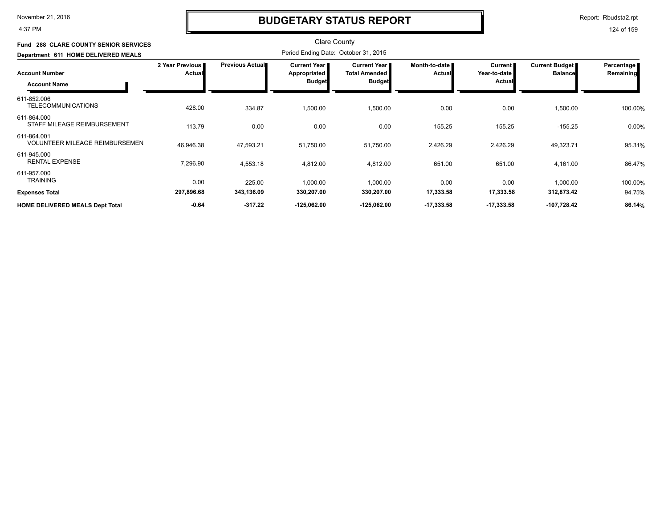4:37 PM

# **BUDGETARY STATUS REPORT**

Report: Rbudsta2.rpt

| <b>Fund 288 CLARE COUNTY SENIOR SERVICES</b>         |                                  |                        | <b>Clare County</b>                  |                                               |                                |                                |                                  |                         |
|------------------------------------------------------|----------------------------------|------------------------|--------------------------------------|-----------------------------------------------|--------------------------------|--------------------------------|----------------------------------|-------------------------|
| Department 611 HOME DELIVERED MEALS                  |                                  |                        | Period Ending Date: October 31, 2015 |                                               |                                |                                |                                  |                         |
| <b>Account Number</b>                                | 2 Year Previous<br><b>Actual</b> | <b>Previous Actual</b> | Current Year<br>Appropriated         | <b>Current Year I</b><br><b>Total Amended</b> | Month-to-date<br><b>Actual</b> | <b>Current</b><br>Year-to-date | Current Budget<br><b>Balance</b> | Percentage<br>Remaining |
| <b>Account Name</b>                                  |                                  |                        | <b>Budget</b>                        | <b>Budget</b>                                 |                                | <b>Actual</b>                  |                                  |                         |
| 611-852.006<br><b>TELECOMMUNICATIONS</b>             | 428.00                           | 334.87                 | 1,500.00                             | 1,500.00                                      | 0.00                           | 0.00                           | 1,500.00                         | 100.00%                 |
| 611-864.000<br>STAFF MILEAGE REIMBURSEMENT           | 113.79                           | 0.00                   | 0.00                                 | 0.00                                          | 155.25                         | 155.25                         | $-155.25$                        | 0.00%                   |
| 611-864.001<br><b>VOLUNTEER MILEAGE REIMBURSEMEN</b> | 46,946.38                        | 47,593.21              | 51,750.00                            | 51,750.00                                     | 2,426.29                       | 2,426.29                       | 49,323.71                        | 95.31%                  |
| 611-945.000<br><b>RENTAL EXPENSE</b>                 | 7,296.90                         | 4,553.18               | 4,812.00                             | 4,812.00                                      | 651.00                         | 651.00                         | 4,161.00                         | 86.47%                  |
| 611-957.000<br><b>TRAINING</b>                       | 0.00                             | 225.00                 | 1,000.00                             | 1,000.00                                      | 0.00                           | 0.00                           | 1,000.00                         | 100.00%                 |
| <b>Expenses Total</b>                                | 297,896.68                       | 343,136.09             | 330,207.00                           | 330,207.00                                    | 17,333.58                      | 17,333.58                      | 312,873.42                       | 94.75%                  |
| <b>HOME DELIVERED MEALS Dept Total</b>               | $-0.64$                          | $-317.22$              | $-125,062.00$                        | $-125,062.00$                                 | $-17,333.58$                   | $-17,333.58$                   | $-107,728.42$                    | 86.14%                  |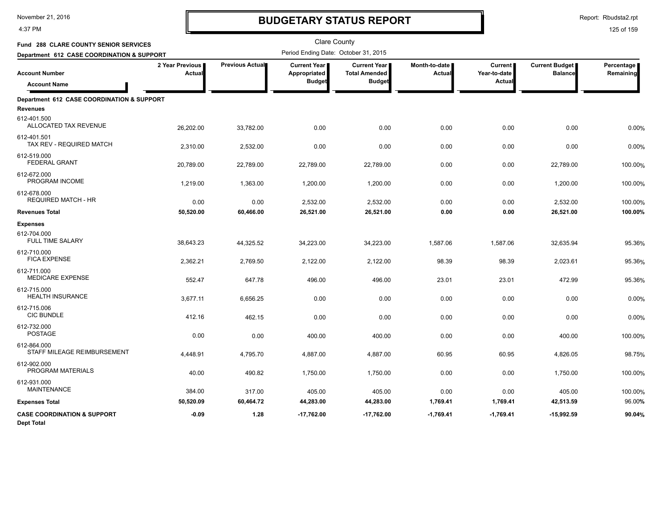4:37 PM

# **BUDGETARY STATUS REPORT**

Report: Rbudsta2.rpt

| <b>Fund 288 CLARE COUNTY SENIOR SERVICES</b>                |                           |                 | <b>Clare County</b>                  |                                               |                         |                                |                                         |                         |
|-------------------------------------------------------------|---------------------------|-----------------|--------------------------------------|-----------------------------------------------|-------------------------|--------------------------------|-----------------------------------------|-------------------------|
| Department 612 CASE COORDINATION & SUPPORT                  |                           |                 | Period Ending Date: October 31, 2015 |                                               |                         |                                |                                         |                         |
| <b>Account Number</b>                                       | 2 Year Previous<br>Actual | Previous Actual | Current Year<br>Appropriated         | <b>Current Year I</b><br><b>Total Amended</b> | Month-to-date<br>Actual | <b>Current</b><br>Year-to-date | <b>Current Budget</b><br><b>Balance</b> | Percentage<br>Remaining |
| <b>Account Name</b>                                         |                           |                 | <b>Budget</b>                        | <b>Budget</b>                                 |                         | Actua                          |                                         |                         |
| Department 612 CASE COORDINATION & SUPPORT                  |                           |                 |                                      |                                               |                         |                                |                                         |                         |
| <b>Revenues</b>                                             |                           |                 |                                      |                                               |                         |                                |                                         |                         |
| 612-401.500<br>ALLOCATED TAX REVENUE                        | 26,202.00                 | 33,782.00       | 0.00                                 | 0.00                                          | 0.00                    | 0.00                           | 0.00                                    | 0.00%                   |
| 612-401.501<br>TAX REV - REQUIRED MATCH                     | 2,310.00                  | 2,532.00        | 0.00                                 | 0.00                                          | 0.00                    | 0.00                           | 0.00                                    | 0.00%                   |
| 612-519.000<br><b>FEDERAL GRANT</b>                         | 20,789.00                 | 22,789.00       | 22,789.00                            | 22,789.00                                     | 0.00                    | 0.00                           | 22,789.00                               | 100.00%                 |
| 612-672.000<br>PROGRAM INCOME                               | 1,219.00                  | 1,363.00        | 1,200.00                             | 1,200.00                                      | 0.00                    | 0.00                           | 1,200.00                                | 100.00%                 |
| 612-678.000<br><b>REQUIRED MATCH - HR</b>                   | 0.00                      | 0.00            | 2,532.00                             | 2,532.00                                      | 0.00                    | 0.00                           | 2,532.00                                | 100.00%                 |
| <b>Revenues Total</b>                                       | 50,520.00                 | 60,466.00       | 26,521.00                            | 26,521.00                                     | 0.00                    | 0.00                           | 26,521.00                               | 100.00%                 |
| <b>Expenses</b>                                             |                           |                 |                                      |                                               |                         |                                |                                         |                         |
| 612-704.000<br><b>FULL TIME SALARY</b>                      | 38,643.23                 | 44,325.52       | 34,223.00                            | 34,223.00                                     | 1,587.06                | 1,587.06                       | 32,635.94                               | 95.36%                  |
| 612-710.000<br><b>FICA EXPENSE</b>                          | 2,362.21                  | 2,769.50        | 2,122.00                             | 2,122.00                                      | 98.39                   | 98.39                          | 2,023.61                                | 95.36%                  |
| 612-711.000<br><b>MEDICARE EXPENSE</b>                      | 552.47                    | 647.78          | 496.00                               | 496.00                                        | 23.01                   | 23.01                          | 472.99                                  | 95.36%                  |
| 612-715.000<br><b>HEALTH INSURANCE</b>                      | 3,677.11                  | 6,656.25        | 0.00                                 | 0.00                                          | 0.00                    | 0.00                           | 0.00                                    | 0.00%                   |
| 612-715.006<br><b>CIC BUNDLE</b>                            | 412.16                    | 462.15          | 0.00                                 | 0.00                                          | 0.00                    | 0.00                           | 0.00                                    | 0.00%                   |
| 612-732.000<br><b>POSTAGE</b>                               | 0.00                      | 0.00            | 400.00                               | 400.00                                        | 0.00                    | 0.00                           | 400.00                                  | 100.00%                 |
| 612-864.000<br>STAFF MILEAGE REIMBURSEMENT                  | 4,448.91                  | 4,795.70        | 4,887.00                             | 4,887.00                                      | 60.95                   | 60.95                          | 4,826.05                                | 98.75%                  |
| 612-902.000<br>PROGRAM MATERIALS                            | 40.00                     | 490.82          | 1,750.00                             | 1,750.00                                      | 0.00                    | 0.00                           | 1,750.00                                | 100.00%                 |
| 612-931.000<br><b>MAINTENANCE</b>                           | 384.00                    | 317.00          | 405.00                               | 405.00                                        | 0.00                    | 0.00                           | 405.00                                  | 100.00%                 |
| <b>Expenses Total</b>                                       | 50,520.09                 | 60,464.72       | 44,283.00                            | 44,283.00                                     | 1,769.41                | 1,769.41                       | 42,513.59                               | 96.00%                  |
| <b>CASE COORDINATION &amp; SUPPORT</b><br><b>Dept Total</b> | $-0.09$                   | 1.28            | $-17,762.00$                         | $-17,762.00$                                  | $-1,769.41$             | $-1,769.41$                    | $-15,992.59$                            | 90.04%                  |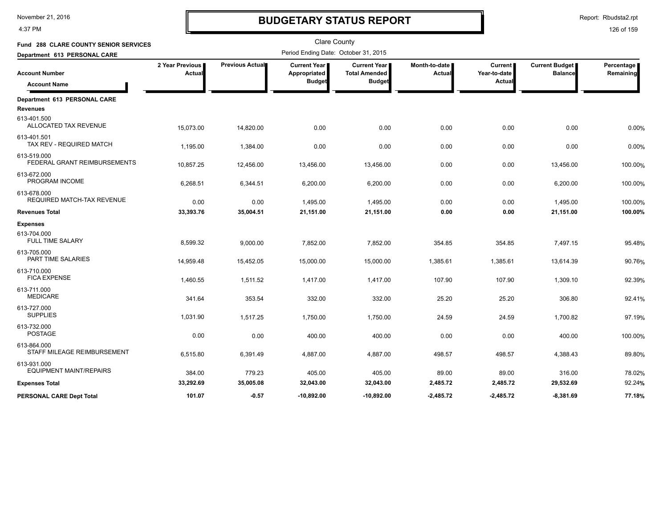4:37 PM

# **BUDGETARY STATUS REPORT**

Clare County

Report: Rbudsta2.rpt

| <b>Fund 288 CLARE COUNTY SENIOR SERVICES</b>  |                           | <b>Clare County</b><br>Period Ending Date: October 31, 2015 |                              |                                             |                         |                                |                                         |                         |  |
|-----------------------------------------------|---------------------------|-------------------------------------------------------------|------------------------------|---------------------------------------------|-------------------------|--------------------------------|-----------------------------------------|-------------------------|--|
| Department 613 PERSONAL CARE                  |                           |                                                             |                              |                                             |                         |                                |                                         |                         |  |
| <b>Account Number</b>                         | 2 Year Previous<br>Actual | Previous Actual                                             | Current Year<br>Appropriated | <b>Current Year</b><br><b>Total Amended</b> | Month-to-date<br>Actual | <b>Current</b><br>Year-to-date | <b>Current Budget</b><br><b>Balance</b> | Percentage<br>Remaining |  |
| <b>Account Name</b>                           |                           |                                                             | <b>Budget</b>                | <b>Budget</b>                               |                         | Actua                          |                                         |                         |  |
| Department 613 PERSONAL CARE                  |                           |                                                             |                              |                                             |                         |                                |                                         |                         |  |
| <b>Revenues</b>                               |                           |                                                             |                              |                                             |                         |                                |                                         |                         |  |
| 613-401.500<br>ALLOCATED TAX REVENUE          | 15,073.00                 | 14,820.00                                                   | 0.00                         | 0.00                                        | 0.00                    | 0.00                           | 0.00                                    | 0.00%                   |  |
| 613-401.501<br>TAX REV - REQUIRED MATCH       | 1,195.00                  | 1,384.00                                                    | 0.00                         | 0.00                                        | 0.00                    | 0.00                           | 0.00                                    | 0.00%                   |  |
| 613-519.000<br>FEDERAL GRANT REIMBURSEMENTS   | 10,857.25                 | 12,456.00                                                   | 13,456.00                    | 13,456.00                                   | 0.00                    | 0.00                           | 13,456.00                               | 100.00%                 |  |
| 613-672.000<br>PROGRAM INCOME                 | 6,268.51                  | 6,344.51                                                    | 6,200.00                     | 6,200.00                                    | 0.00                    | 0.00                           | 6,200.00                                | 100.00%                 |  |
| 613-678.000<br>REQUIRED MATCH-TAX REVENUE     | 0.00                      | 0.00                                                        | 1,495.00                     | 1,495.00                                    | 0.00                    | 0.00                           | 1.495.00                                | 100.00%                 |  |
| <b>Revenues Total</b>                         | 33,393.76                 | 35,004.51                                                   | 21,151.00                    | 21,151.00                                   | 0.00                    | 0.00                           | 21,151.00                               | 100.00%                 |  |
| <b>Expenses</b>                               |                           |                                                             |                              |                                             |                         |                                |                                         |                         |  |
| 613-704.000<br><b>FULL TIME SALARY</b>        | 8,599.32                  | 9,000.00                                                    | 7,852.00                     | 7,852.00                                    | 354.85                  | 354.85                         | 7,497.15                                | 95.48%                  |  |
| 613-705.000<br>PART TIME SALARIES             | 14,959.48                 | 15,452.05                                                   | 15,000.00                    | 15,000.00                                   | 1,385.61                | 1,385.61                       | 13,614.39                               | 90.76%                  |  |
| 613-710.000<br><b>FICA EXPENSE</b>            | 1,460.55                  | 1,511.52                                                    | 1,417.00                     | 1,417.00                                    | 107.90                  | 107.90                         | 1,309.10                                | 92.39%                  |  |
| 613-711.000<br><b>MEDICARE</b>                | 341.64                    | 353.54                                                      | 332.00                       | 332.00                                      | 25.20                   | 25.20                          | 306.80                                  | 92.41%                  |  |
| 613-727.000<br><b>SUPPLIES</b>                | 1,031.90                  | 1,517.25                                                    | 1,750.00                     | 1,750.00                                    | 24.59                   | 24.59                          | 1,700.82                                | 97.19%                  |  |
| 613-732.000<br><b>POSTAGE</b>                 | 0.00                      | 0.00                                                        | 400.00                       | 400.00                                      | 0.00                    | 0.00                           | 400.00                                  | 100.00%                 |  |
| 613-864.000<br>STAFF MILEAGE REIMBURSEMENT    | 6,515.80                  | 6.391.49                                                    | 4,887.00                     | 4,887.00                                    | 498.57                  | 498.57                         | 4,388.43                                | 89.80%                  |  |
| 613-931.000<br><b>EQUIPMENT MAINT/REPAIRS</b> | 384.00                    | 779.23                                                      | 405.00                       | 405.00                                      | 89.00                   | 89.00                          | 316.00                                  | 78.02%                  |  |
| <b>Expenses Total</b>                         | 33,292.69                 | 35,005.08                                                   | 32,043.00                    | 32,043.00                                   | 2,485.72                | 2,485.72                       | 29,532.69                               | 92.24%                  |  |
| PERSONAL CARE Dept Total                      | 101.07                    | $-0.57$                                                     | $-10,892.00$                 | $-10,892.00$                                | $-2,485.72$             | $-2,485.72$                    | $-8,381.69$                             | 77.18%                  |  |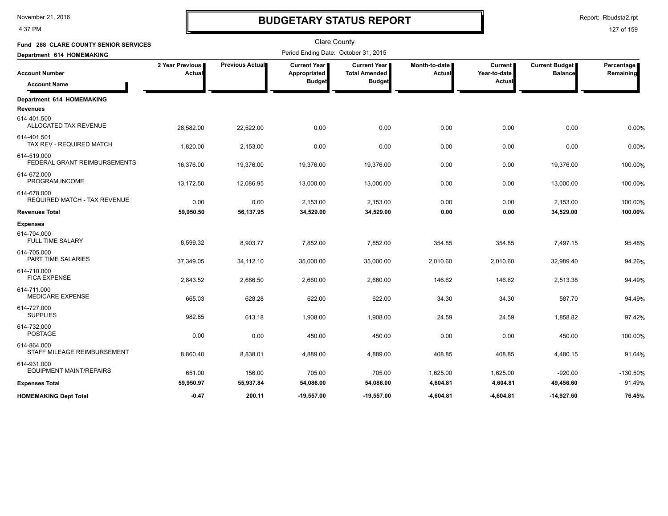4:37 PM

# **BUDGETARY STATUS REPORT**

Report: Rbudsta2.rpt

| Fund 288 CLARE COUNTY SENIOR SERVICES              |                           |                 | <b>Clare County</b>                                    |                                                              |                         |                                          |                                         |                         |
|----------------------------------------------------|---------------------------|-----------------|--------------------------------------------------------|--------------------------------------------------------------|-------------------------|------------------------------------------|-----------------------------------------|-------------------------|
| Department 614 HOMEMAKING                          |                           |                 | Period Ending Date: October 31, 2015                   |                                                              |                         |                                          |                                         |                         |
| <b>Account Number</b><br><b>Account Name</b>       | 2 Year Previous<br>Actual | Previous Actual | <b>Current Year</b> ■<br>Appropriated<br><b>Budget</b> | <b>Current Year</b><br><b>Total Amended</b><br><b>Budget</b> | Month-to-date<br>Actual | <b>Current</b><br>Year-to-date<br>Actual | <b>Current Budget</b><br><b>Balance</b> | Percentage<br>Remaining |
| Department 614 HOMEMAKING                          |                           |                 |                                                        |                                                              |                         |                                          |                                         |                         |
| <b>Revenues</b>                                    |                           |                 |                                                        |                                                              |                         |                                          |                                         |                         |
| 614-401.500<br>ALLOCATED TAX REVENUE               | 28,582.00                 | 22,522.00       | 0.00                                                   | 0.00                                                         | 0.00                    | 0.00                                     | 0.00                                    | 0.00%                   |
| 614-401.501<br>TAX REV - REQUIRED MATCH            | 1,820.00                  | 2,153.00        | 0.00                                                   | 0.00                                                         | 0.00                    | 0.00                                     | 0.00                                    | 0.00%                   |
| 614-519.000<br>FEDERAL GRANT REIMBURSEMENTS        | 16,376.00                 | 19,376.00       | 19,376.00                                              | 19,376.00                                                    | 0.00                    | 0.00                                     | 19,376.00                               | 100.00%                 |
| 614-672.000<br>PROGRAM INCOME                      | 13,172.50                 | 12,086.95       | 13,000.00                                              | 13,000.00                                                    | 0.00                    | 0.00                                     | 13,000.00                               | 100.00%                 |
| 614-678.000<br><b>REQUIRED MATCH - TAX REVENUE</b> | 0.00                      | 0.00            | 2,153.00                                               | 2,153.00                                                     | 0.00                    | 0.00                                     | 2,153.00                                | 100.00%                 |
| <b>Revenues Total</b>                              | 59,950.50                 | 56,137.95       | 34,529.00                                              | 34,529.00                                                    | 0.00                    | 0.00                                     | 34,529.00                               | 100.00%                 |
| <b>Expenses</b>                                    |                           |                 |                                                        |                                                              |                         |                                          |                                         |                         |
| 614-704.000<br><b>FULL TIME SALARY</b>             | 8,599.32                  | 8,903.77        | 7,852.00                                               | 7,852.00                                                     | 354.85                  | 354.85                                   | 7,497.15                                | 95.48%                  |
| 614-705.000<br>PART TIME SALARIES                  | 37,349.05                 | 34,112.10       | 35,000.00                                              | 35,000.00                                                    | 2,010.60                | 2,010.60                                 | 32,989.40                               | 94.26%                  |
| 614-710.000<br><b>FICA EXPENSE</b>                 | 2,843.52                  | 2,686.50        | 2,660.00                                               | 2,660.00                                                     | 146.62                  | 146.62                                   | 2,513.38                                | 94.49%                  |
| 614-711.000<br><b>MEDICARE EXPENSE</b>             | 665.03                    | 628.28          | 622.00                                                 | 622.00                                                       | 34.30                   | 34.30                                    | 587.70                                  | 94.49%                  |
| 614-727.000<br><b>SUPPLIES</b>                     | 982.65                    | 613.18          | 1,908.00                                               | 1,908.00                                                     | 24.59                   | 24.59                                    | 1,858.82                                | 97.42%                  |
| 614-732.000<br><b>POSTAGE</b>                      | 0.00                      | 0.00            | 450.00                                                 | 450.00                                                       | 0.00                    | 0.00                                     | 450.00                                  | 100.00%                 |
| 614-864.000<br>STAFF MILEAGE REIMBURSEMENT         | 8,860.40                  | 8,838.01        | 4,889.00                                               | 4,889.00                                                     | 408.85                  | 408.85                                   | 4,480.15                                | 91.64%                  |
| 614-931.000<br><b>EQUIPMENT MAINT/REPAIRS</b>      | 651.00                    | 156.00          | 705.00                                                 | 705.00                                                       | 1,625.00                | 1,625.00                                 | $-920.00$                               | $-130.50%$              |
| <b>Expenses Total</b>                              | 59,950.97                 | 55,937.84       | 54,086.00                                              | 54,086.00                                                    | 4,604.81                | 4,604.81                                 | 49,456.60                               | 91.49%                  |
| <b>HOMEMAKING Dept Total</b>                       | $-0.47$                   | 200.11          | $-19,557.00$                                           | $-19,557.00$                                                 | $-4,604.81$             | -4,604.81                                | $-14,927.60$                            | 76.45%                  |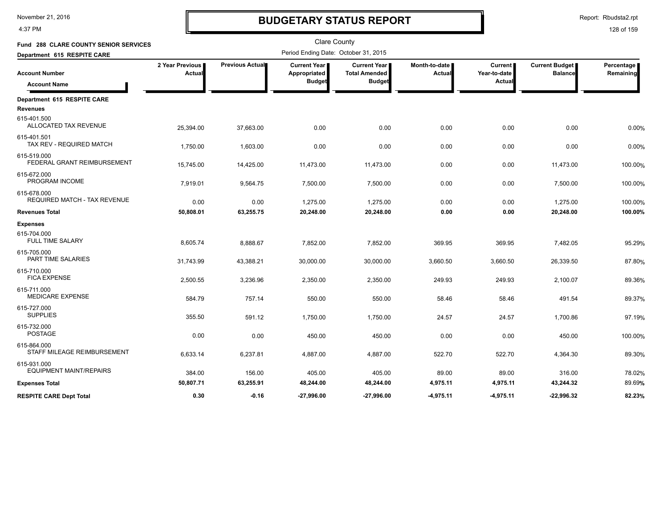4:37 PM

# **BUDGETARY STATUS REPORT**

Report: Rbudsta2.rpt

| Fund 288 CLARE COUNTY SENIOR SERVICES              |                           |                 | <b>Clare County</b>                                    |                                                              |                         |                                          |                                         |                         |
|----------------------------------------------------|---------------------------|-----------------|--------------------------------------------------------|--------------------------------------------------------------|-------------------------|------------------------------------------|-----------------------------------------|-------------------------|
| Department 615 RESPITE CARE                        |                           |                 | Period Ending Date: October 31, 2015                   |                                                              |                         |                                          |                                         |                         |
| <b>Account Number</b><br><b>Account Name</b>       | 2 Year Previous<br>Actual | Previous Actual | <b>Current Year</b> ■<br>Appropriated<br><b>Budget</b> | <b>Current Year</b><br><b>Total Amended</b><br><b>Budget</b> | Month-to-date<br>Actual | <b>Current</b><br>Year-to-date<br>Actual | <b>Current Budget</b><br><b>Balance</b> | Percentage<br>Remaining |
| Department 615 RESPITE CARE                        |                           |                 |                                                        |                                                              |                         |                                          |                                         |                         |
| <b>Revenues</b>                                    |                           |                 |                                                        |                                                              |                         |                                          |                                         |                         |
| 615-401.500<br>ALLOCATED TAX REVENUE               | 25,394.00                 | 37,663.00       | 0.00                                                   | 0.00                                                         | 0.00                    | 0.00                                     | 0.00                                    | 0.00%                   |
| 615-401.501<br>TAX REV - REQUIRED MATCH            | 1,750.00                  | 1,603.00        | 0.00                                                   | 0.00                                                         | 0.00                    | 0.00                                     | 0.00                                    | 0.00%                   |
| 615-519.000<br>FEDERAL GRANT REIMBURSEMENT         | 15,745.00                 | 14,425.00       | 11,473.00                                              | 11,473.00                                                    | 0.00                    | 0.00                                     | 11,473.00                               | 100.00%                 |
| 615-672.000<br>PROGRAM INCOME                      | 7,919.01                  | 9,564.75        | 7,500.00                                               | 7,500.00                                                     | 0.00                    | 0.00                                     | 7,500.00                                | 100.00%                 |
| 615-678.000<br><b>REQUIRED MATCH - TAX REVENUE</b> | 0.00                      | 0.00            | 1,275.00                                               | 1,275.00                                                     | 0.00                    | 0.00                                     | 1,275.00                                | 100.00%                 |
| <b>Revenues Total</b>                              | 50,808.01                 | 63,255.75       | 20,248.00                                              | 20,248.00                                                    | 0.00                    | 0.00                                     | 20,248.00                               | 100.00%                 |
| <b>Expenses</b>                                    |                           |                 |                                                        |                                                              |                         |                                          |                                         |                         |
| 615-704.000<br><b>FULL TIME SALARY</b>             | 8,605.74                  | 8,888.67        | 7,852.00                                               | 7,852.00                                                     | 369.95                  | 369.95                                   | 7,482.05                                | 95.29%                  |
| 615-705.000<br>PART TIME SALARIES                  | 31,743.99                 | 43,388.21       | 30,000.00                                              | 30,000.00                                                    | 3,660.50                | 3,660.50                                 | 26,339.50                               | 87.80%                  |
| 615-710.000<br><b>FICA EXPENSE</b>                 | 2,500.55                  | 3,236.96        | 2,350.00                                               | 2,350.00                                                     | 249.93                  | 249.93                                   | 2,100.07                                | 89.36%                  |
| 615-711.000<br><b>MEDICARE EXPENSE</b>             | 584.79                    | 757.14          | 550.00                                                 | 550.00                                                       | 58.46                   | 58.46                                    | 491.54                                  | 89.37%                  |
| 615-727.000<br><b>SUPPLIES</b>                     | 355.50                    | 591.12          | 1,750.00                                               | 1,750.00                                                     | 24.57                   | 24.57                                    | 1,700.86                                | 97.19%                  |
| 615-732.000<br><b>POSTAGE</b>                      | 0.00                      | 0.00            | 450.00                                                 | 450.00                                                       | 0.00                    | 0.00                                     | 450.00                                  | 100.00%                 |
| 615-864.000<br>STAFF MILEAGE REIMBURSEMENT         | 6,633.14                  | 6,237.81        | 4,887.00                                               | 4,887.00                                                     | 522.70                  | 522.70                                   | 4,364.30                                | 89.30%                  |
| 615-931.000<br><b>EQUIPMENT MAINT/REPAIRS</b>      | 384.00                    | 156.00          | 405.00                                                 | 405.00                                                       | 89.00                   | 89.00                                    | 316.00                                  | 78.02%                  |
| <b>Expenses Total</b>                              | 50,807.71                 | 63,255.91       | 48,244.00                                              | 48,244.00                                                    | 4,975.11                | 4,975.11                                 | 43,244.32                               | 89.69%                  |
| <b>RESPITE CARE Dept Total</b>                     | 0.30                      | $-0.16$         | $-27,996.00$                                           | $-27,996.00$                                                 | -4,975.11               | $-4,975.11$                              | $-22,996.32$                            | 82.23%                  |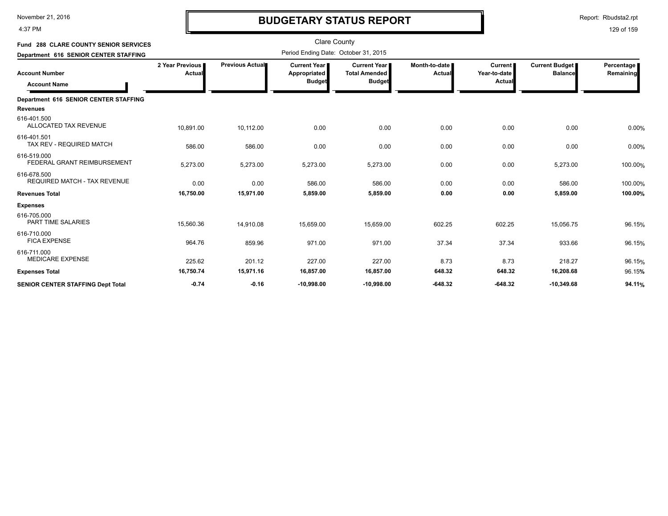4:37 PM

# **BUDGETARY STATUS REPORT**

Report: Rbudsta2.rpt

| <b>Fund 288 CLARE COUNTY SENIOR SERVICES</b>                                          |                           |                        | <b>Clare County</b><br>Period Ending Date: October 31, 2015 |                                                              |                                |                                          |                                         |                         |
|---------------------------------------------------------------------------------------|---------------------------|------------------------|-------------------------------------------------------------|--------------------------------------------------------------|--------------------------------|------------------------------------------|-----------------------------------------|-------------------------|
| Department 616 SENIOR CENTER STAFFING<br><b>Account Number</b><br><b>Account Name</b> | 2 Year Previous<br>Actual | <b>Previous Actual</b> | <b>Current Year I</b><br>Appropriated<br><b>Budget</b>      | <b>Current Year</b><br><b>Total Amended</b><br><b>Budget</b> | Month-to-date<br><b>Actual</b> | <b>Current</b><br>Year-to-date<br>Actual | <b>Current Budget</b><br><b>Balance</b> | Percentage<br>Remaining |
| Department 616 SENIOR CENTER STAFFING                                                 |                           |                        |                                                             |                                                              |                                |                                          |                                         |                         |
| <b>Revenues</b>                                                                       |                           |                        |                                                             |                                                              |                                |                                          |                                         |                         |
| 616-401.500<br>ALLOCATED TAX REVENUE                                                  | 10,891.00                 | 10,112.00              | 0.00                                                        | 0.00                                                         | 0.00                           | 0.00                                     | 0.00                                    | 0.00%                   |
| 616-401.501<br>TAX REV - REQUIRED MATCH                                               | 586.00                    | 586.00                 | 0.00                                                        | 0.00                                                         | 0.00                           | 0.00                                     | 0.00                                    | 0.00%                   |
| 616-519.000<br>FEDERAL GRANT REIMBURSEMENT                                            | 5,273.00                  | 5,273.00               | 5,273.00                                                    | 5,273.00                                                     | 0.00                           | 0.00                                     | 5,273.00                                | 100.00%                 |
| 616-678.500<br><b>REQUIRED MATCH - TAX REVENUE</b>                                    | 0.00                      | 0.00                   | 586.00                                                      | 586.00                                                       | 0.00                           | 0.00                                     | 586.00                                  | 100.00%                 |
| <b>Revenues Total</b>                                                                 | 16,750.00                 | 15,971.00              | 5,859.00                                                    | 5,859.00                                                     | 0.00                           | 0.00                                     | 5,859.00                                | 100.00%                 |
| <b>Expenses</b>                                                                       |                           |                        |                                                             |                                                              |                                |                                          |                                         |                         |
| 616-705.000<br>PART TIME SALARIES                                                     | 15,560.36                 | 14,910.08              | 15,659.00                                                   | 15,659.00                                                    | 602.25                         | 602.25                                   | 15,056.75                               | 96.15%                  |
| 616-710.000<br><b>FICA EXPENSE</b>                                                    | 964.76                    | 859.96                 | 971.00                                                      | 971.00                                                       | 37.34                          | 37.34                                    | 933.66                                  | 96.15%                  |
| 616-711.000<br><b>MEDICARE EXPENSE</b>                                                | 225.62                    | 201.12                 | 227.00                                                      | 227.00                                                       | 8.73                           | 8.73                                     | 218.27                                  | 96.15%                  |
| <b>Expenses Total</b>                                                                 | 16,750.74                 | 15,971.16              | 16,857.00                                                   | 16,857.00                                                    | 648.32                         | 648.32                                   | 16,208.68                               | 96.15%                  |
| <b>SENIOR CENTER STAFFING Dept Total</b>                                              | $-0.74$                   | $-0.16$                | $-10,998.00$                                                | $-10,998.00$                                                 | $-648.32$                      | $-648.32$                                | $-10,349.68$                            | 94.11%                  |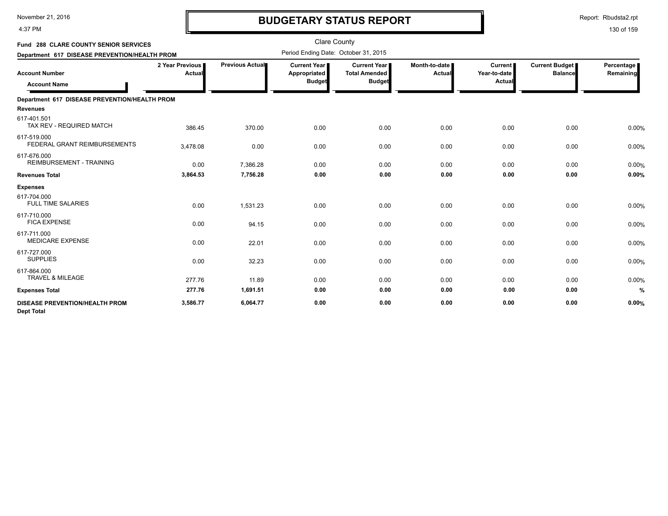4:37 PM

# **BUDGETARY STATUS REPORT**

Report: Rbudsta2.rpt

| Fund 288 CLARE COUNTY SENIOR SERVICES<br>Department 617 DISEASE PREVENTION/HEALTH PROM |                           |                        | <b>Clare County</b><br>Period Ending Date: October 31, 2015 |                                                              |                         |                                          |                                  |                         |
|----------------------------------------------------------------------------------------|---------------------------|------------------------|-------------------------------------------------------------|--------------------------------------------------------------|-------------------------|------------------------------------------|----------------------------------|-------------------------|
| <b>Account Number</b><br><b>Account Name</b>                                           | 2 Year Previous<br>Actual | <b>Previous Actual</b> | Current Year<br>Appropriated<br><b>Budget</b>               | <b>Current Year</b><br><b>Total Amended</b><br><b>Budget</b> | Month-to-date<br>Actual | <b>Current</b><br>Year-to-date<br>Actual | Current Budget<br><b>Balance</b> | Percentage<br>Remaining |
| Department 617 DISEASE PREVENTION/HEALTH PROM                                          |                           |                        |                                                             |                                                              |                         |                                          |                                  |                         |
| <b>Revenues</b>                                                                        |                           |                        |                                                             |                                                              |                         |                                          |                                  |                         |
| 617-401.501<br>TAX REV - REQUIRED MATCH                                                | 386.45                    | 370.00                 | 0.00                                                        | 0.00                                                         | 0.00                    | 0.00                                     | 0.00                             | 0.00%                   |
| 617-519.000<br>FEDERAL GRANT REIMBURSEMENTS                                            | 3,478.08                  | 0.00                   | 0.00                                                        | 0.00                                                         | 0.00                    | 0.00                                     | 0.00                             | 0.00%                   |
| 617-676.000<br><b>REIMBURSEMENT - TRAINING</b>                                         | 0.00                      | 7,386.28               | 0.00                                                        | 0.00                                                         | 0.00                    | 0.00                                     | 0.00                             | 0.00%                   |
| <b>Revenues Total</b>                                                                  | 3,864.53                  | 7,756.28               | 0.00                                                        | 0.00                                                         | 0.00                    | 0.00                                     | 0.00                             | 0.00%                   |
| <b>Expenses</b>                                                                        |                           |                        |                                                             |                                                              |                         |                                          |                                  |                         |
| 617-704.000<br><b>FULL TIME SALARIES</b>                                               | 0.00                      | 1.531.23               | 0.00                                                        | 0.00                                                         | 0.00                    | 0.00                                     | 0.00                             | 0.00%                   |
| 617-710.000<br><b>FICA EXPENSE</b>                                                     | 0.00                      | 94.15                  | 0.00                                                        | 0.00                                                         | 0.00                    | 0.00                                     | 0.00                             | 0.00%                   |
| 617-711.000<br><b>MEDICARE EXPENSE</b>                                                 | 0.00                      | 22.01                  | 0.00                                                        | 0.00                                                         | 0.00                    | 0.00                                     | 0.00                             | 0.00%                   |
| 617-727.000<br><b>SUPPLIES</b>                                                         | 0.00                      | 32.23                  | 0.00                                                        | 0.00                                                         | 0.00                    | 0.00                                     | 0.00                             | 0.00%                   |
| 617-864.000<br>TRAVEL & MILEAGE                                                        | 277.76                    | 11.89                  | 0.00                                                        | 0.00                                                         | 0.00                    | 0.00                                     | 0.00                             | 0.00%                   |
| <b>Expenses Total</b>                                                                  | 277.76                    | 1,691.51               | 0.00                                                        | 0.00                                                         | 0.00                    | 0.00                                     | 0.00                             | %                       |
| <b>DISEASE PREVENTION/HEALTH PROM</b><br><b>Dept Total</b>                             | 3,586.77                  | 6,064.77               | 0.00                                                        | 0.00                                                         | 0.00                    | 0.00                                     | 0.00                             | 0.00%                   |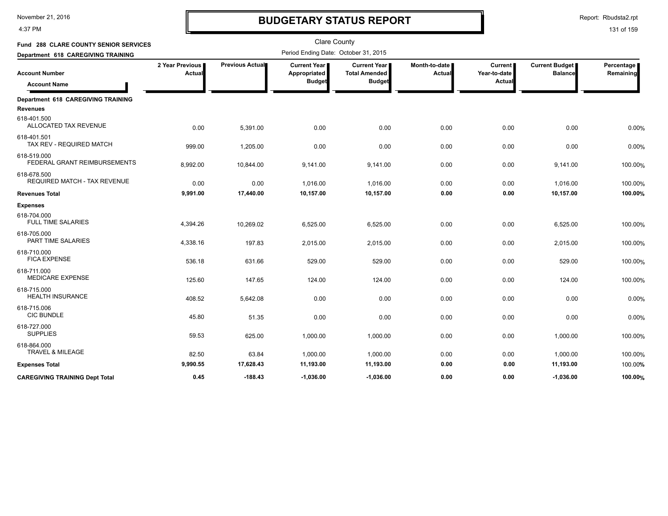4:37 PM

# **BUDGETARY STATUS REPORT**

Clare County

Report: Rbudsta2.rpt

| Fund 288 CLARE COUNTY SENIOR SERVICES                 |                           |                        | Clare County                         |                                             |                         |                                |                                         |                         |
|-------------------------------------------------------|---------------------------|------------------------|--------------------------------------|---------------------------------------------|-------------------------|--------------------------------|-----------------------------------------|-------------------------|
| Department 618 CAREGIVING TRAINING                    |                           |                        | Period Ending Date: October 31, 2015 |                                             |                         |                                |                                         |                         |
| <b>Account Number</b>                                 | 2 Year Previous<br>Actual | <b>Previous Actual</b> | <b>Current Year</b><br>Appropriated  | <b>Current Year</b><br><b>Total Amended</b> | Month-to-date<br>Actual | <b>Current</b><br>Year-to-date | <b>Current Budget</b><br><b>Balance</b> | Percentage<br>Remaining |
| <b>Account Name</b>                                   |                           |                        | <b>Budget</b>                        | <b>Budget</b>                               |                         | Actual                         |                                         |                         |
| Department 618 CAREGIVING TRAINING<br><b>Revenues</b> |                           |                        |                                      |                                             |                         |                                |                                         |                         |
| 618-401.500<br>ALLOCATED TAX REVENUE                  | 0.00                      | 5,391.00               | 0.00                                 | 0.00                                        | 0.00                    | 0.00                           | 0.00                                    | 0.00%                   |
| 618-401.501<br>TAX REV - REQUIRED MATCH               | 999.00                    | 1,205.00               | 0.00                                 | 0.00                                        | 0.00                    | 0.00                           | 0.00                                    | 0.00%                   |
| 618-519.000<br>FEDERAL GRANT REIMBURSEMENTS           | 8,992.00                  | 10,844.00              | 9,141.00                             | 9,141.00                                    | 0.00                    | 0.00                           | 9,141.00                                | 100.00%                 |
| 618-678.500<br>REQUIRED MATCH - TAX REVENUE           | 0.00                      | 0.00                   | 1,016.00                             | 1,016.00                                    | 0.00                    | 0.00                           | 1,016.00                                | 100.00%                 |
| <b>Revenues Total</b>                                 | 9,991.00                  | 17,440.00              | 10,157.00                            | 10,157.00                                   | 0.00                    | 0.00                           | 10,157.00                               | 100.00%                 |
| <b>Expenses</b>                                       |                           |                        |                                      |                                             |                         |                                |                                         |                         |
| 618-704.000<br><b>FULL TIME SALARIES</b>              | 4,394.26                  | 10,269.02              | 6,525.00                             | 6,525.00                                    | 0.00                    | 0.00                           | 6,525.00                                | 100.00%                 |
| 618-705.000<br>PART TIME SALARIES                     | 4,338.16                  | 197.83                 | 2,015.00                             | 2,015.00                                    | 0.00                    | 0.00                           | 2,015.00                                | 100.00%                 |
| 618-710.000<br><b>FICA EXPENSE</b>                    | 536.18                    | 631.66                 | 529.00                               | 529.00                                      | 0.00                    | 0.00                           | 529.00                                  | 100.00%                 |
| 618-711.000<br><b>MEDICARE EXPENSE</b>                | 125.60                    | 147.65                 | 124.00                               | 124.00                                      | 0.00                    | 0.00                           | 124.00                                  | 100.00%                 |
| 618-715.000<br><b>HEALTH INSURANCE</b>                | 408.52                    | 5,642.08               | 0.00                                 | 0.00                                        | 0.00                    | 0.00                           | 0.00                                    | 0.00%                   |
| 618-715.006<br><b>CIC BUNDLE</b>                      | 45.80                     | 51.35                  | 0.00                                 | 0.00                                        | 0.00                    | 0.00                           | 0.00                                    | 0.00%                   |
| 618-727.000<br><b>SUPPLIES</b>                        | 59.53                     | 625.00                 | 1,000.00                             | 1,000.00                                    | 0.00                    | 0.00                           | 1,000.00                                | 100.00%                 |
| 618-864.000<br>TRAVEL & MILEAGE                       | 82.50                     | 63.84                  | 1,000.00                             | 1,000.00                                    | 0.00                    | 0.00                           | 1,000.00                                | 100.00%                 |
| <b>Expenses Total</b>                                 | 9,990.55                  | 17,628.43              | 11,193.00                            | 11,193.00                                   | 0.00                    | 0.00                           | 11,193.00                               | 100.00%                 |
| <b>CAREGIVING TRAINING Dept Total</b>                 | 0.45                      | $-188.43$              | $-1.036.00$                          | $-1.036.00$                                 | 0.00                    | 0.00                           | $-1,036.00$                             | 100.00%                 |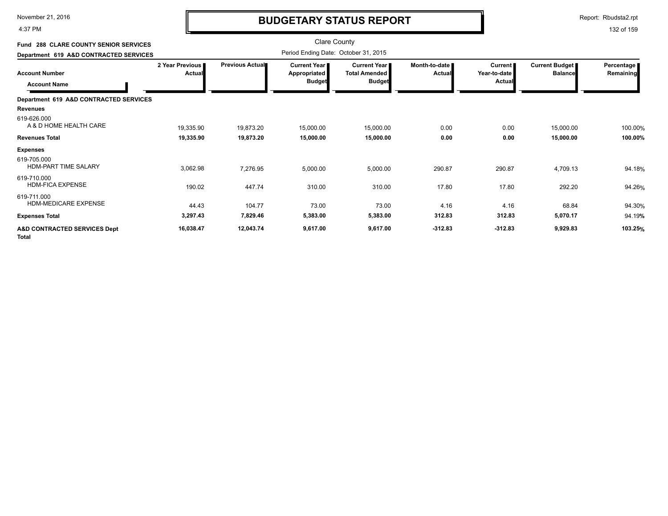4:37 PM

# **BUDGETARY STATUS REPORT**

Report: Rbudsta2.rpt

| Fund 288 CLARE COUNTY SENIOR SERVICES                                                              |                                  |                 | <b>Clare County</b><br>Period Ending Date: October 31, 2015 |                                                                |                         |                                                 |                                  |                         |
|----------------------------------------------------------------------------------------------------|----------------------------------|-----------------|-------------------------------------------------------------|----------------------------------------------------------------|-------------------------|-------------------------------------------------|----------------------------------|-------------------------|
| Department 619 A&D CONTRACTED SERVICES<br><b>Account Number</b><br><b>Account Name</b>             | 2 Year Previous<br><b>Actual</b> | Previous Actual | <b>Current Year</b><br>Appropriated<br><b>Budget</b>        | <b>Current Year I</b><br><b>Total Amended</b><br><b>Budget</b> | Month-to-date<br>Actual | <b>Current</b><br>Year-to-date<br><b>Actual</b> | Current Budget<br><b>Balance</b> | Percentage<br>Remaining |
| Department 619 A&D CONTRACTED SERVICES<br><b>Revenues</b><br>619-626.000<br>A & D HOME HEALTH CARE | 19,335.90                        | 19,873.20       | 15,000.00                                                   | 15,000.00                                                      | 0.00                    | 0.00                                            | 15,000.00                        | 100.00%                 |
| <b>Revenues Total</b>                                                                              | 19,335.90                        | 19,873.20       | 15,000.00                                                   | 15,000.00                                                      | 0.00                    | 0.00                                            | 15,000.00                        | 100.00%                 |
| <b>Expenses</b>                                                                                    |                                  |                 |                                                             |                                                                |                         |                                                 |                                  |                         |
| 619-705.000<br><b>HDM-PART TIME SALARY</b>                                                         | 3,062.98                         | 7,276.95        | 5,000.00                                                    | 5,000.00                                                       | 290.87                  | 290.87                                          | 4,709.13                         | 94.18%                  |
| 619-710.000<br><b>HDM-FICA EXPENSE</b>                                                             | 190.02                           | 447.74          | 310.00                                                      | 310.00                                                         | 17.80                   | 17.80                                           | 292.20                           | 94.26%                  |
| 619-711.000<br><b>HDM-MEDICARE EXPENSE</b>                                                         | 44.43                            | 104.77          | 73.00                                                       | 73.00                                                          | 4.16                    | 4.16                                            | 68.84                            | 94.30%                  |
| <b>Expenses Total</b>                                                                              | 3,297.43                         | 7,829.46        | 5,383.00                                                    | 5,383.00                                                       | 312.83                  | 312.83                                          | 5,070.17                         | 94.19%                  |
| <b>A&amp;D CONTRACTED SERVICES Dept</b><br><b>Total</b>                                            | 16,038.47                        | 12,043.74       | 9,617.00                                                    | 9,617.00                                                       | $-312.83$               | $-312.83$                                       | 9,929.83                         | 103.25%                 |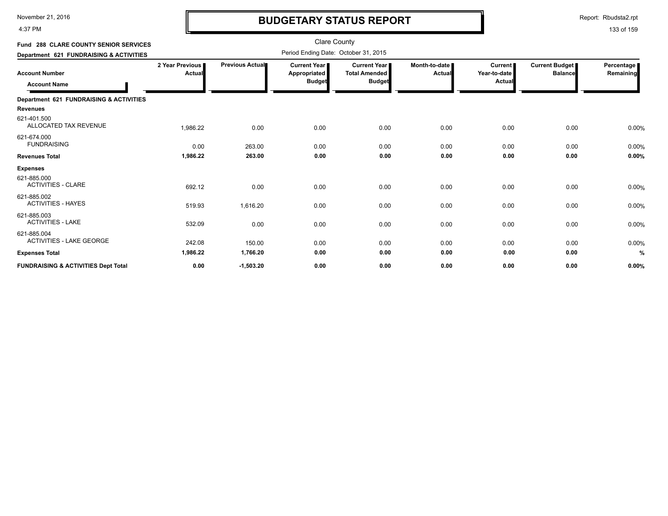4:37 PM

# **BUDGETARY STATUS REPORT**

Report: Rbudsta2.rpt

| <b>Fund 288 CLARE COUNTY SENIOR SERVICES</b>   |                           |                 | <b>Clare County</b>                           |                                                              |                         |                                          |                                         |                         |
|------------------------------------------------|---------------------------|-----------------|-----------------------------------------------|--------------------------------------------------------------|-------------------------|------------------------------------------|-----------------------------------------|-------------------------|
| Department 621 FUNDRAISING & ACTIVITIES        |                           |                 | Period Ending Date: October 31, 2015          |                                                              |                         |                                          |                                         |                         |
| <b>Account Number</b><br><b>Account Name</b>   | 2 Year Previous<br>Actual | Previous Actual | Current Year<br>Appropriated<br><b>Budget</b> | <b>Current Year</b><br><b>Total Amended</b><br><b>Budget</b> | Month-to-date<br>Actual | <b>Current</b><br>Year-to-date<br>Actual | <b>Current Budget</b><br><b>Balance</b> | Percentage<br>Remaining |
| Department 621 FUNDRAISING & ACTIVITIES        |                           |                 |                                               |                                                              |                         |                                          |                                         |                         |
| <b>Revenues</b>                                |                           |                 |                                               |                                                              |                         |                                          |                                         |                         |
| 621-401.500<br>ALLOCATED TAX REVENUE           | 1,986.22                  | 0.00            | 0.00                                          | 0.00                                                         | 0.00                    | 0.00                                     | 0.00                                    | 0.00%                   |
| 621-674.000<br><b>FUNDRAISING</b>              | 0.00                      | 263.00          | 0.00                                          | 0.00                                                         | 0.00                    | 0.00                                     | 0.00                                    | 0.00%                   |
| <b>Revenues Total</b>                          | 1,986.22                  | 263.00          | 0.00                                          | 0.00                                                         | 0.00                    | 0.00                                     | 0.00                                    | 0.00%                   |
| <b>Expenses</b>                                |                           |                 |                                               |                                                              |                         |                                          |                                         |                         |
| 621-885.000<br><b>ACTIVITIES - CLARE</b>       | 692.12                    | 0.00            | 0.00                                          | 0.00                                                         | 0.00                    | 0.00                                     | 0.00                                    | 0.00%                   |
| 621-885.002<br><b>ACTIVITIES - HAYES</b>       | 519.93                    | 1,616.20        | 0.00                                          | 0.00                                                         | 0.00                    | 0.00                                     | 0.00                                    | 0.00%                   |
| 621-885.003<br><b>ACTIVITIES - LAKE</b>        | 532.09                    | 0.00            | 0.00                                          | 0.00                                                         | 0.00                    | 0.00                                     | 0.00                                    | 0.00%                   |
| 621-885.004<br><b>ACTIVITIES - LAKE GEORGE</b> | 242.08                    | 150.00          | 0.00                                          | 0.00                                                         | 0.00                    | 0.00                                     | 0.00                                    | 0.00%                   |
| <b>Expenses Total</b>                          | 1,986.22                  | 1,766.20        | 0.00                                          | 0.00                                                         | 0.00                    | 0.00                                     | 0.00                                    | %                       |
| <b>FUNDRAISING &amp; ACTIVITIES Dept Total</b> | 0.00                      | $-1,503.20$     | 0.00                                          | 0.00                                                         | 0.00                    | 0.00                                     | 0.00                                    | 0.00%                   |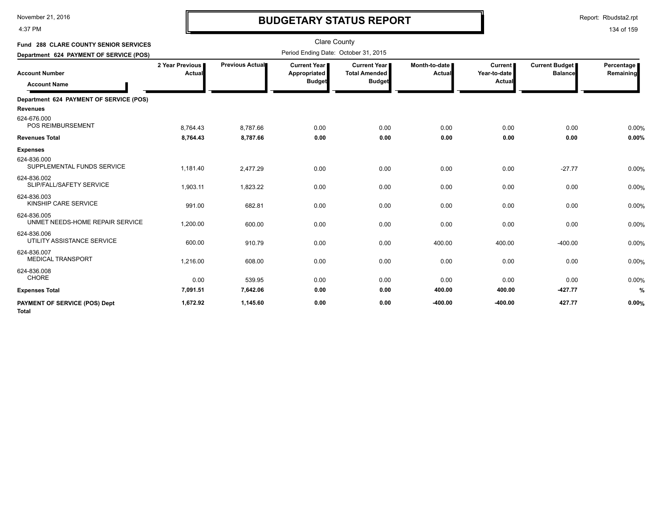4:37 PM

# **BUDGETARY STATUS REPORT**

Report: Rbudsta2.rpt

| Fund 288 CLARE COUNTY SENIOR SERVICES                                                   |                           |                 | <b>Clare County</b><br>Period Ending Date: October 31, 2015 |                                                              |                                |                                          |                                         |                         |
|-----------------------------------------------------------------------------------------|---------------------------|-----------------|-------------------------------------------------------------|--------------------------------------------------------------|--------------------------------|------------------------------------------|-----------------------------------------|-------------------------|
| Department 624 PAYMENT OF SERVICE (POS)<br><b>Account Number</b><br><b>Account Name</b> | 2 Year Previous<br>Actual | Previous Actual | <b>Current Year I</b><br>Appropriated<br><b>Budget</b>      | <b>Current Year</b><br><b>Total Amended</b><br><b>Budget</b> | Month-to-date<br><b>Actual</b> | <b>Current</b><br>Year-to-date<br>Actual | <b>Current Budget</b><br><b>Balance</b> | Percentage<br>Remaining |
| Department 624 PAYMENT OF SERVICE (POS)                                                 |                           |                 |                                                             |                                                              |                                |                                          |                                         |                         |
| <b>Revenues</b>                                                                         |                           |                 |                                                             |                                                              |                                |                                          |                                         |                         |
| 624-676.000<br><b>POS REIMBURSEMENT</b>                                                 | 8,764.43                  | 8.787.66        | 0.00                                                        | 0.00                                                         | 0.00                           | 0.00                                     | 0.00                                    | 0.00%                   |
| <b>Revenues Total</b>                                                                   | 8,764.43                  | 8,787.66        | 0.00                                                        | 0.00                                                         | 0.00                           | 0.00                                     | 0.00                                    | 0.00%                   |
| <b>Expenses</b>                                                                         |                           |                 |                                                             |                                                              |                                |                                          |                                         |                         |
| 624-836.000<br>SUPPLEMENTAL FUNDS SERVICE                                               | 1,181.40                  | 2.477.29        | 0.00                                                        | 0.00                                                         | 0.00                           | 0.00                                     | $-27.77$                                | 0.00%                   |
| 624-836.002<br>SLIP/FALL/SAFETY SERVICE                                                 | 1,903.11                  | 1,823.22        | 0.00                                                        | 0.00                                                         | 0.00                           | 0.00                                     | 0.00                                    | 0.00%                   |
| 624-836.003<br>KINSHIP CARE SERVICE                                                     | 991.00                    | 682.81          | 0.00                                                        | 0.00                                                         | 0.00                           | 0.00                                     | 0.00                                    | 0.00%                   |
| 624-836.005<br>UNMET NEEDS-HOME REPAIR SERVICE                                          | 1,200.00                  | 600.00          | 0.00                                                        | 0.00                                                         | 0.00                           | 0.00                                     | 0.00                                    | 0.00%                   |
| 624-836.006<br>UTILITY ASSISTANCE SERVICE                                               | 600.00                    | 910.79          | 0.00                                                        | 0.00                                                         | 400.00                         | 400.00                                   | $-400.00$                               | 0.00%                   |
| 624-836.007<br><b>MEDICAL TRANSPORT</b>                                                 | 1,216.00                  | 608.00          | 0.00                                                        | 0.00                                                         | 0.00                           | 0.00                                     | 0.00                                    | 0.00%                   |
| 624-836.008<br><b>CHORE</b>                                                             | 0.00                      | 539.95          | 0.00                                                        | 0.00                                                         | 0.00                           | 0.00                                     | 0.00                                    | 0.00%                   |
| <b>Expenses Total</b>                                                                   | 7,091.51                  | 7,642.06        | 0.00                                                        | 0.00                                                         | 400.00                         | 400.00                                   | $-427.77$                               | %                       |
| <b>PAYMENT OF SERVICE (POS) Dept</b><br><b>Total</b>                                    | 1,672.92                  | 1,145.60        | 0.00                                                        | 0.00                                                         | $-400.00$                      | $-400.00$                                | 427.77                                  | 0.00%                   |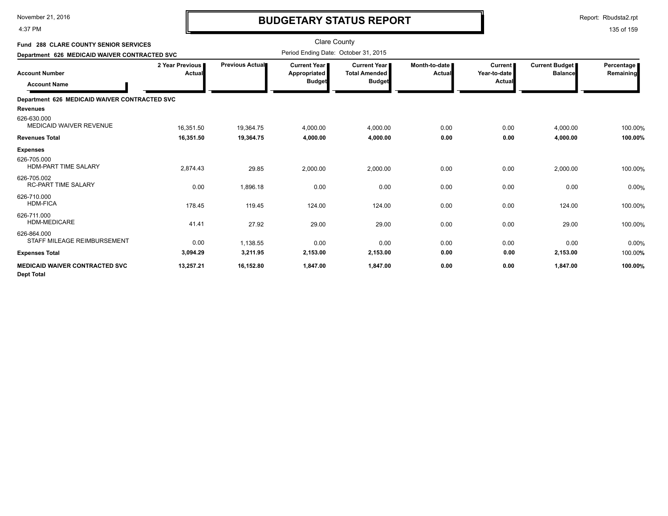4:37 PM

# **BUDGETARY STATUS REPORT**

Report: Rbudsta2.rpt

| <b>Fund 288 CLARE COUNTY SENIOR SERVICES</b>               |                           |                        | Clare County                                         |                                                              |                         |                                          |                                         |                         |
|------------------------------------------------------------|---------------------------|------------------------|------------------------------------------------------|--------------------------------------------------------------|-------------------------|------------------------------------------|-----------------------------------------|-------------------------|
| Department 626 MEDICAID WAIVER CONTRACTED SVC              |                           |                        | Period Ending Date: October 31, 2015                 |                                                              |                         |                                          |                                         |                         |
| <b>Account Number</b><br><b>Account Name</b>               | 2 Year Previous<br>Actual | <b>Previous Actual</b> | Current Year<br><b>Appropriated</b><br><b>Budget</b> | <b>Current Year</b><br><b>Total Amended</b><br><b>Budget</b> | Month-to-date<br>Actual | <b>Current</b><br>Year-to-date<br>Actual | <b>Current Budget</b><br><b>Balance</b> | Percentage<br>Remaining |
| Department 626 MEDICAID WAIVER CONTRACTED SVC              |                           |                        |                                                      |                                                              |                         |                                          |                                         |                         |
| <b>Revenues</b>                                            |                           |                        |                                                      |                                                              |                         |                                          |                                         |                         |
| 626-630.000<br><b>MEDICAID WAIVER REVENUE</b>              | 16,351.50                 | 19,364.75              | 4,000.00                                             | 4,000.00                                                     | 0.00                    | 0.00                                     | 4,000.00                                | 100.00%                 |
| <b>Revenues Total</b>                                      | 16,351.50                 | 19,364.75              | 4,000.00                                             | 4,000.00                                                     | 0.00                    | 0.00                                     | 4,000.00                                | 100.00%                 |
| <b>Expenses</b>                                            |                           |                        |                                                      |                                                              |                         |                                          |                                         |                         |
| 626-705.000<br><b>HDM-PART TIME SALARY</b>                 | 2,874.43                  | 29.85                  | 2,000.00                                             | 2,000.00                                                     | 0.00                    | 0.00                                     | 2,000.00                                | 100.00%                 |
| 626-705.002<br><b>RC-PART TIME SALARY</b>                  | 0.00                      | 1,896.18               | 0.00                                                 | 0.00                                                         | 0.00                    | 0.00                                     | 0.00                                    | 0.00%                   |
| 626-710.000<br><b>HDM-FICA</b>                             | 178.45                    | 119.45                 | 124.00                                               | 124.00                                                       | 0.00                    | 0.00                                     | 124.00                                  | 100.00%                 |
| 626-711.000<br><b>HDM-MEDICARE</b>                         | 41.41                     | 27.92                  | 29.00                                                | 29.00                                                        | 0.00                    | 0.00                                     | 29.00                                   | 100.00%                 |
| 626-864.000<br>STAFF MILEAGE REIMBURSEMENT                 | 0.00                      | 1,138.55               | 0.00                                                 | 0.00                                                         | 0.00                    | 0.00                                     | 0.00                                    | 0.00%                   |
| <b>Expenses Total</b>                                      | 3,094.29                  | 3,211.95               | 2,153.00                                             | 2,153.00                                                     | 0.00                    | 0.00                                     | 2,153.00                                | 100.00%                 |
| <b>MEDICAID WAIVER CONTRACTED SVC</b><br><b>Dept Total</b> | 13,257.21                 | 16,152.80              | 1,847.00                                             | 1,847.00                                                     | 0.00                    | 0.00                                     | 1,847.00                                | 100.00%                 |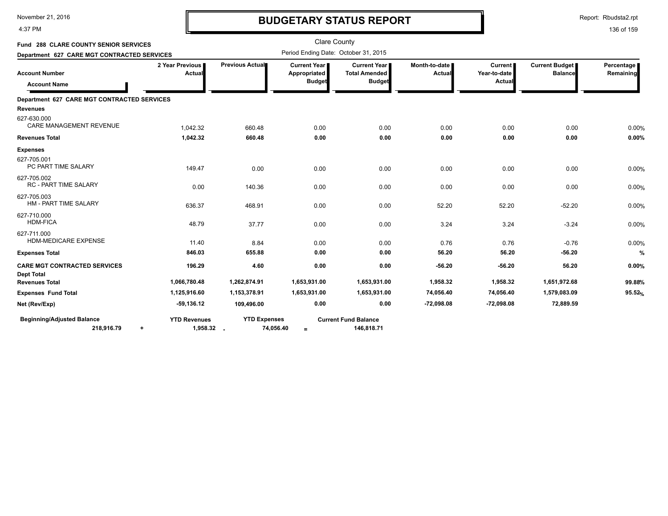4:37 PM

# **BUDGETARY STATUS REPORT**

Report: Rbudsta2.rpt

| <b>Fund 288 CLARE COUNTY SENIOR SERVICES</b>                                                |                                              |                     | <b>Clare County</b><br>Period Ending Date: October 31, 2015 |                                                              |                           |                                          |                                  |                         |
|---------------------------------------------------------------------------------------------|----------------------------------------------|---------------------|-------------------------------------------------------------|--------------------------------------------------------------|---------------------------|------------------------------------------|----------------------------------|-------------------------|
| Department 627 CARE MGT CONTRACTED SERVICES<br><b>Account Number</b><br><b>Account Name</b> | 2 Year Previous<br>Actual                    | Previous Actual     | <b>Current Year I</b><br>Appropriated<br><b>Budget</b>      | <b>Current Year</b><br><b>Total Amended</b><br><b>Budget</b> | Month-to-date I<br>Actual | <b>Current</b><br>Year-to-date<br>Actual | Current Budget<br><b>Balance</b> | Percentage<br>Remaining |
| Department 627 CARE MGT CONTRACTED SERVICES                                                 |                                              |                     |                                                             |                                                              |                           |                                          |                                  |                         |
| <b>Revenues</b>                                                                             |                                              |                     |                                                             |                                                              |                           |                                          |                                  |                         |
| 627-630.000<br><b>CARE MANAGEMENT REVENUE</b>                                               | 1,042.32                                     | 660.48              | 0.00                                                        | 0.00                                                         | 0.00                      | 0.00                                     | 0.00                             | 0.00%                   |
| <b>Revenues Total</b>                                                                       | 1,042.32                                     | 660.48              | 0.00                                                        | 0.00                                                         | 0.00                      | 0.00                                     | 0.00                             | 0.00%                   |
| <b>Expenses</b>                                                                             |                                              |                     |                                                             |                                                              |                           |                                          |                                  |                         |
| 627-705.001<br>PC PART TIME SALARY                                                          | 149.47                                       | 0.00                | 0.00                                                        | 0.00                                                         | 0.00                      | 0.00                                     | 0.00                             | 0.00%                   |
| 627-705.002<br><b>RC - PART TIME SALARY</b>                                                 | 0.00                                         | 140.36              | 0.00                                                        | 0.00                                                         | 0.00                      | 0.00                                     | 0.00                             | 0.00%                   |
| 627-705.003<br>HM - PART TIME SALARY                                                        | 636.37                                       | 468.91              | 0.00                                                        | 0.00                                                         | 52.20                     | 52.20                                    | $-52.20$                         | 0.00%                   |
| 627-710.000<br><b>HDM-FICA</b>                                                              | 48.79                                        | 37.77               | 0.00                                                        | 0.00                                                         | 3.24                      | 3.24                                     | $-3.24$                          | 0.00%                   |
| 627-711.000<br>HDM-MEDICARE EXPENSE                                                         | 11.40                                        | 8.84                | 0.00                                                        | 0.00                                                         | 0.76                      | 0.76                                     | $-0.76$                          | 0.00%                   |
| <b>Expenses Total</b>                                                                       | 846.03                                       | 655.88              | 0.00                                                        | 0.00                                                         | 56.20                     | 56.20                                    | $-56.20$                         | $\frac{9}{6}$           |
| <b>CARE MGT CONTRACTED SERVICES</b><br><b>Dept Total</b>                                    | 196.29                                       | 4.60                | 0.00                                                        | 0.00                                                         | $-56.20$                  | $-56.20$                                 | 56.20                            | 0.00%                   |
| <b>Revenues Total</b>                                                                       | 1,066,780.48                                 | 1,262,874.91        | 1,653,931.00                                                | 1,653,931.00                                                 | 1,958.32                  | 1,958.32                                 | 1,651,972.68                     | 99.88%                  |
| <b>Expenses Fund Total</b>                                                                  | 1,125,916.60                                 | 1,153,378.91        | 1,653,931.00                                                | 1,653,931.00                                                 | 74,056.40                 | 74,056.40                                | 1,579,083.09                     | 95.52%                  |
| Net (Rev/Exp)                                                                               | $-59,136.12$                                 | 109,496.00          | 0.00                                                        | 0.00                                                         | $-72,098.08$              | $-72,098.08$                             | 72,889.59                        |                         |
| <b>Beginning/Adjusted Balance</b><br>218,916.79                                             | <b>YTD Revenues</b><br>1,958.32<br>$\ddot{}$ | <b>YTD Expenses</b> | 74,056.40<br>$=$                                            | <b>Current Fund Balance</b><br>146,818.71                    |                           |                                          |                                  |                         |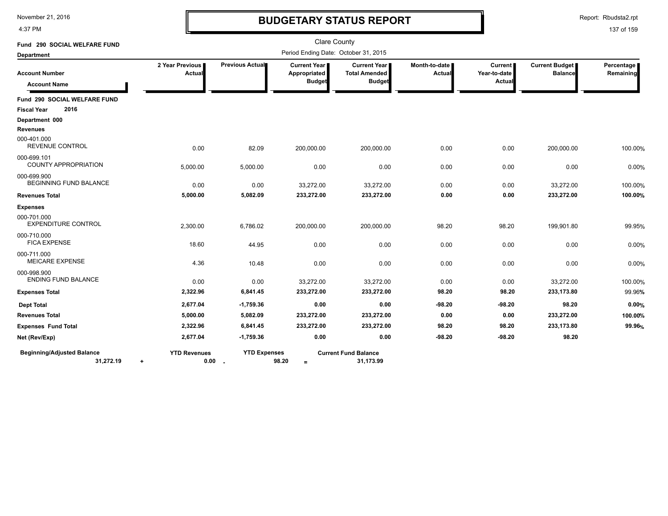4:37 PM

# **BUDGETARY STATUS REPORT**

Report: Rbudsta2.rpt

| Fund 290 SOCIAL WELFARE FUND                                |                           |                                 |                                                      | <b>Clare County</b><br>Period Ending Date: October 31, 2015 |                         |                                          |                                         |                         |
|-------------------------------------------------------------|---------------------------|---------------------------------|------------------------------------------------------|-------------------------------------------------------------|-------------------------|------------------------------------------|-----------------------------------------|-------------------------|
| <b>Department</b>                                           |                           |                                 |                                                      |                                                             |                         |                                          |                                         |                         |
| <b>Account Number</b><br><b>Account Name</b>                | 2 Year Previous<br>Actual | Previous Actual                 | <b>Current Year</b><br>Appropriated<br><b>Budget</b> | Current Year<br><b>Total Amended</b><br><b>Budget</b>       | Month-to-date<br>Actual | <b>Current</b><br>Year-to-date<br>Actual | <b>Current Budget</b><br><b>Balance</b> | Percentage<br>Remaining |
| Fund 290 SOCIAL WELFARE FUND                                |                           |                                 |                                                      |                                                             |                         |                                          |                                         |                         |
| 2016<br><b>Fiscal Year</b>                                  |                           |                                 |                                                      |                                                             |                         |                                          |                                         |                         |
| Department 000                                              |                           |                                 |                                                      |                                                             |                         |                                          |                                         |                         |
| <b>Revenues</b>                                             |                           |                                 |                                                      |                                                             |                         |                                          |                                         |                         |
| 000-401.000<br><b>REVENUE CONTROL</b>                       | 0.00                      | 82.09                           | 200,000.00                                           | 200,000.00                                                  | 0.00                    | 0.00                                     | 200,000.00                              | 100.00%                 |
| 000-699.101<br><b>COUNTY APPROPRIATION</b>                  | 5,000.00                  | 5,000.00                        | 0.00                                                 | 0.00                                                        | 0.00                    | 0.00                                     | 0.00                                    | 0.00%                   |
| 000-699.900<br><b>BEGINNING FUND BALANCE</b>                | 0.00                      | 0.00                            | 33,272.00                                            | 33,272.00                                                   | 0.00                    | 0.00                                     | 33,272.00                               | 100.00%                 |
| <b>Revenues Total</b>                                       | 5,000.00                  | 5,082.09                        | 233,272.00                                           | 233,272.00                                                  | 0.00                    | 0.00                                     | 233,272.00                              | 100.00%                 |
| <b>Expenses</b>                                             |                           |                                 |                                                      |                                                             |                         |                                          |                                         |                         |
| 000-701.000<br><b>EXPENDITURE CONTROL</b>                   | 2,300.00                  | 6,786.02                        | 200,000.00                                           | 200,000.00                                                  | 98.20                   | 98.20                                    | 199,901.80                              | 99.95%                  |
| 000-710.000<br><b>FICA EXPENSE</b>                          | 18.60                     | 44.95                           | 0.00                                                 | 0.00                                                        | 0.00                    | 0.00                                     | 0.00                                    | 0.00%                   |
| 000-711.000<br><b>MEICARE EXPENSE</b>                       | 4.36                      | 10.48                           | 0.00                                                 | 0.00                                                        | 0.00                    | 0.00                                     | 0.00                                    | 0.00%                   |
| 000-998.900<br><b>ENDING FUND BALANCE</b>                   | 0.00                      | 0.00                            | 33,272.00                                            | 33,272.00                                                   | 0.00                    | 0.00                                     | 33,272.00                               | 100.00%                 |
| <b>Expenses Total</b>                                       | 2,322.96                  | 6,841.45                        | 233,272.00                                           | 233,272.00                                                  | 98.20                   | 98.20                                    | 233,173.80                              | 99.96%                  |
| <b>Dept Total</b>                                           | 2,677.04                  | $-1,759.36$                     | 0.00                                                 | 0.00                                                        | $-98.20$                | -98.20                                   | 98.20                                   | 0.00%                   |
| <b>Revenues Total</b>                                       | 5,000.00                  | 5,082.09                        | 233,272.00                                           | 233,272.00                                                  | 0.00                    | 0.00                                     | 233,272.00                              | 100.00%                 |
| <b>Expenses Fund Total</b>                                  | 2,322.96                  | 6,841.45                        | 233,272.00                                           | 233,272.00                                                  | 98.20                   | 98.20                                    | 233,173.80                              | 99.96%                  |
| Net (Rev/Exp)                                               | 2,677.04                  | $-1,759.36$                     | 0.00                                                 | 0.00                                                        | $-98.20$                | $-98.20$                                 | 98.20                                   |                         |
| <b>Beginning/Adjusted Balance</b><br>31,272.19<br>$\ddot{}$ | <b>YTD Revenues</b>       | <b>YTD Expenses</b><br>$0.00$ . | 98.20<br>$=$                                         | <b>Current Fund Balance</b><br>31,173.99                    |                         |                                          |                                         |                         |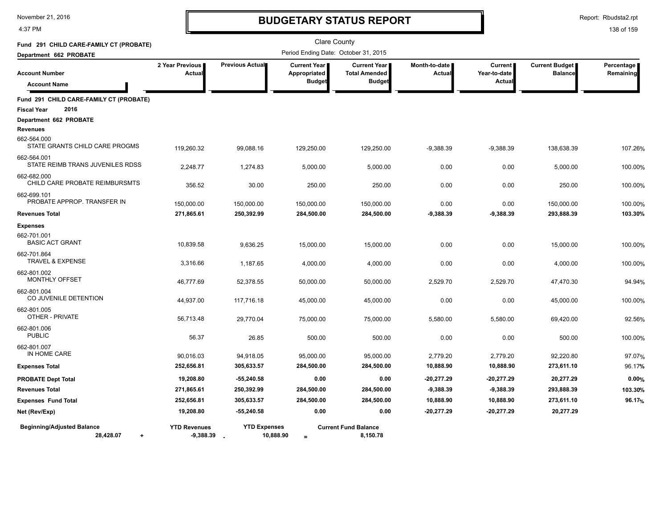4:37 PM

# **BUDGETARY STATUS REPORT**

Report: Rbudsta2.rpt

| Fund 291 CHILD CARE-FAMILY CT (PROBATE)                     |                                    |                                  |                                                      | <b>Clare County</b>                                            |                           |                                                 |                                         |                         |
|-------------------------------------------------------------|------------------------------------|----------------------------------|------------------------------------------------------|----------------------------------------------------------------|---------------------------|-------------------------------------------------|-----------------------------------------|-------------------------|
| Department 662 PROBATE                                      |                                    |                                  |                                                      | Period Ending Date: October 31, 2015                           |                           |                                                 |                                         |                         |
| <b>Account Number</b>                                       | 2 Year Previous<br>Actual          | Previous Actual                  | <b>Current Year</b><br>Appropriated<br><b>Budget</b> | <b>Current Year I</b><br><b>Total Amended</b><br><b>Budget</b> | Month-to-date  <br>Actual | <b>Current</b><br>Year-to-date<br><b>Actual</b> | <b>Current Budget</b><br><b>Balance</b> | Percentage<br>Remaining |
| <b>Account Name</b>                                         |                                    |                                  |                                                      |                                                                |                           |                                                 |                                         |                         |
| Fund 291 CHILD CARE-FAMILY CT (PROBATE)                     |                                    |                                  |                                                      |                                                                |                           |                                                 |                                         |                         |
| 2016<br><b>Fiscal Year</b>                                  |                                    |                                  |                                                      |                                                                |                           |                                                 |                                         |                         |
| Department 662 PROBATE<br><b>Revenues</b>                   |                                    |                                  |                                                      |                                                                |                           |                                                 |                                         |                         |
| 662-564.000<br>STATE GRANTS CHILD CARE PROGMS               | 119,260.32                         | 99,088.16                        | 129,250.00                                           | 129,250.00                                                     | $-9.388.39$               | $-9,388.39$                                     | 138,638.39                              | 107.26%                 |
| 662-564.001<br>STATE REIMB TRANS JUVENILES RDSS             | 2,248.77                           | 1,274.83                         | 5,000.00                                             | 5,000.00                                                       | 0.00                      | 0.00                                            | 5,000.00                                | 100.00%                 |
| 662-682.000<br>CHILD CARE PROBATE REIMBURSMTS               | 356.52                             | 30.00                            | 250.00                                               | 250.00                                                         | 0.00                      | 0.00                                            | 250.00                                  | 100.00%                 |
| 662-699.101<br>PROBATE APPROP. TRANSFER IN                  | 150,000.00                         | 150,000.00                       | 150,000.00                                           | 150,000.00                                                     | 0.00                      | 0.00                                            | 150,000.00                              | 100.00%                 |
| <b>Revenues Total</b>                                       | 271,865.61                         | 250,392.99                       | 284,500.00                                           | 284,500.00                                                     | $-9,388.39$               | $-9,388.39$                                     | 293,888.39                              | 103.30%                 |
| <b>Expenses</b><br>662-701.001<br><b>BASIC ACT GRANT</b>    | 10,839.58                          | 9,636.25                         | 15,000.00                                            | 15,000.00                                                      | 0.00                      | 0.00                                            | 15,000.00                               | 100.00%                 |
| 662-701.864<br><b>TRAVEL &amp; EXPENSE</b>                  | 3,316.66                           | 1,187.65                         | 4,000.00                                             | 4,000.00                                                       | 0.00                      | 0.00                                            | 4,000.00                                | 100.00%                 |
| 662-801.002<br><b>MONTHLY OFFSET</b>                        | 46,777.69                          | 52,378.55                        | 50,000.00                                            | 50,000.00                                                      | 2,529.70                  | 2,529.70                                        | 47,470.30                               | 94.94%                  |
| 662-801.004<br>CO JUVENILE DETENTION                        | 44,937.00                          | 117,716.18                       | 45,000.00                                            | 45,000.00                                                      | 0.00                      | 0.00                                            | 45,000.00                               | 100.00%                 |
| 662-801.005<br>OTHER - PRIVATE                              | 56,713.48                          | 29,770.04                        | 75,000.00                                            | 75,000.00                                                      | 5,580.00                  | 5,580.00                                        | 69,420.00                               | 92.56%                  |
| 662-801.006<br><b>PUBLIC</b>                                | 56.37                              | 26.85                            | 500.00                                               | 500.00                                                         | 0.00                      | 0.00                                            | 500.00                                  | 100.00%                 |
| 662-801.007<br>IN HOME CARE                                 | 90,016.03                          | 94,918.05                        | 95,000.00                                            | 95,000.00                                                      | 2,779.20                  | 2,779.20                                        | 92,220.80                               | 97.07%                  |
| <b>Expenses Total</b>                                       | 252,656.81                         | 305,633.57                       | 284,500.00                                           | 284,500.00                                                     | 10,888.90                 | 10,888.90                                       | 273,611.10                              | 96.17%                  |
| <b>PROBATE Dept Total</b>                                   | 19,208.80                          | $-55,240.58$                     | 0.00                                                 | 0.00                                                           | $-20,277.29$              | $-20,277.29$                                    | 20,277.29                               | 0.00%                   |
| <b>Revenues Total</b>                                       | 271,865.61                         | 250,392.99                       | 284,500.00                                           | 284,500.00                                                     | $-9,388.39$               | $-9,388.39$                                     | 293,888.39                              | 103.30%                 |
| <b>Expenses Fund Total</b>                                  | 252,656.81                         | 305,633.57                       | 284,500.00                                           | 284,500.00                                                     | 10,888.90                 | 10,888.90                                       | 273,611.10                              | 96.17 <sub>%</sub>      |
| Net (Rev/Exp)                                               | 19,208.80                          | -55,240.58                       | 0.00                                                 | 0.00                                                           | $-20,277.29$              | $-20,277.29$                                    | 20,277.29                               |                         |
| <b>Beginning/Adjusted Balance</b><br>28,428.07<br>$\ddot{}$ | <b>YTD Revenues</b><br>$-9,388.39$ | <b>YTD Expenses</b><br>10,888.90 | $=$                                                  | <b>Current Fund Balance</b><br>8,150.78                        |                           |                                                 |                                         |                         |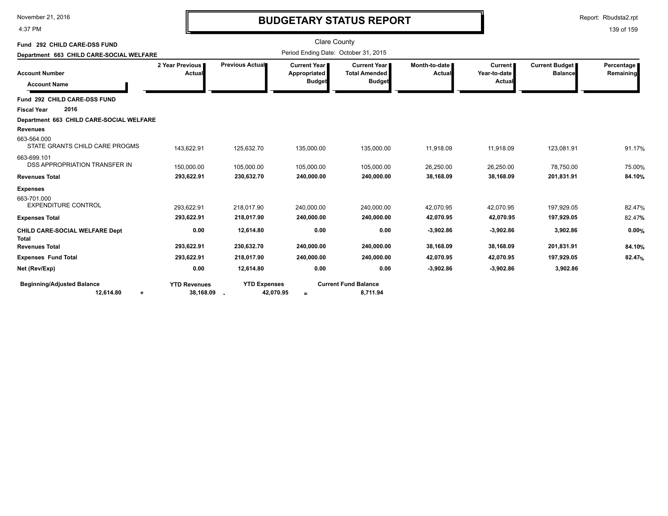| November 21, 2016 |  |
|-------------------|--|
|                   |  |

4:37 PM

## **BUDGETARY STATUS REPORT**

Report: Rbudsta2.rpt

| Fund 292 CHILD CARE-DSS FUND<br>Department 663 CHILD CARE-SOCIAL WELFARE              |                                  |                                                              | <b>Clare County</b>                           | Period Ending Date: October 31, 2015                           |                         |                                          |                                         |                         |
|---------------------------------------------------------------------------------------|----------------------------------|--------------------------------------------------------------|-----------------------------------------------|----------------------------------------------------------------|-------------------------|------------------------------------------|-----------------------------------------|-------------------------|
| <b>Account Number</b><br><b>Account Name</b>                                          | 2 Year Previous  <br>Actual      | Previous Actual                                              | Current Year<br>Appropriated<br><b>Budget</b> | <b>Current Year I</b><br><b>Total Amended</b><br><b>Budget</b> | Month-to-date<br>Actual | <b>Current</b><br>Year-to-date<br>Actual | <b>Current Budget</b><br><b>Balance</b> | Percentage<br>Remaining |
| Fund 292 CHILD CARE-DSS FUND                                                          |                                  |                                                              |                                               |                                                                |                         |                                          |                                         |                         |
| 2016<br><b>Fiscal Year</b>                                                            |                                  |                                                              |                                               |                                                                |                         |                                          |                                         |                         |
| Department 663 CHILD CARE-SOCIAL WELFARE<br><b>Revenues</b>                           |                                  |                                                              |                                               |                                                                |                         |                                          |                                         |                         |
| 663-564.000<br>STATE GRANTS CHILD CARE PROGMS                                         | 143,622.91                       | 125,632.70                                                   | 135,000.00                                    | 135,000.00                                                     | 11,918.09               | 11,918.09                                | 123,081.91                              | 91.17%                  |
| 663-699.101<br>DSS APPROPRIATION TRANSFER IN                                          | 150,000.00                       | 105,000.00                                                   | 105,000.00                                    | 105,000.00                                                     | 26,250.00               | 26,250.00                                | 78,750.00                               | 75.00%                  |
| <b>Revenues Total</b>                                                                 | 293,622.91                       | 230,632.70                                                   | 240,000.00                                    | 240,000.00                                                     | 38,168.09               | 38,168.09                                | 201,831.91                              | 84.10%                  |
| <b>Expenses</b><br>663-701.000<br><b>EXPENDITURE CONTROL</b><br><b>Expenses Total</b> | 293,622.91<br>293,622.91         | 218,017.90<br>218,017.90                                     | 240,000.00<br>240,000.00                      | 240,000.00<br>240,000.00                                       | 42,070.95<br>42,070.95  | 42,070.95<br>42,070.95                   | 197,929.05<br>197,929.05                | 82.47%<br>82.47%        |
| <b>CHILD CARE-SOCIAL WELFARE Dept</b><br><b>Total</b>                                 | 0.00                             | 12,614.80                                                    | 0.00                                          | 0.00                                                           | $-3,902.86$             | $-3,902.86$                              | 3,902.86                                | 0.00%                   |
| <b>Revenues Total</b>                                                                 | 293,622.91                       | 230,632.70                                                   | 240,000.00                                    | 240,000.00                                                     | 38,168.09               | 38,168.09                                | 201,831.91                              | 84.10%                  |
| <b>Expenses Fund Total</b>                                                            | 293,622.91                       | 218,017.90                                                   | 240,000.00                                    | 240,000.00                                                     | 42,070.95               | 42,070.95                                | 197,929.05                              | 82.47%                  |
| Net (Rev/Exp)                                                                         | 0.00                             | 12,614.80                                                    | 0.00                                          | 0.00                                                           | $-3,902.86$             | $-3,902.86$                              | 3,902.86                                |                         |
| <b>Beginning/Adjusted Balance</b><br>12,614.80<br>$\ddot{}$                           | <b>YTD Revenues</b><br>38,168.09 | <b>YTD Expenses</b><br>42,070.95<br>$\overline{\phantom{a}}$ | $=$                                           | <b>Current Fund Balance</b><br>8,711.94                        |                         |                                          |                                         |                         |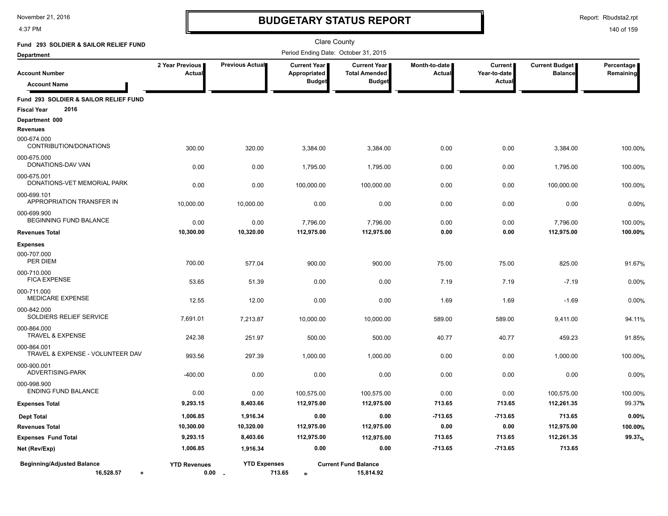4:37 PM

# **BUDGETARY STATUS REPORT**

Report: Rbudsta2.rpt

| Fund 293 SOLDIER & SAILOR RELIEF FUND                               |                             |                        | Clare County                                  |                                                              |                         |                                          |                                         |                         |
|---------------------------------------------------------------------|-----------------------------|------------------------|-----------------------------------------------|--------------------------------------------------------------|-------------------------|------------------------------------------|-----------------------------------------|-------------------------|
| <b>Department</b>                                                   |                             |                        | Period Ending Date: October 31, 2015          |                                                              |                         |                                          |                                         |                         |
| <b>Account Number</b><br><b>Account Name</b>                        | 2 Year Previous<br>Actual   | <b>Previous Actual</b> | Current Year<br>Appropriated<br><b>Budget</b> | <b>Current Year</b><br><b>Total Amended</b><br><b>Budget</b> | Month-to-date<br>Actual | <b>Current</b><br>Year-to-date<br>Actual | <b>Current Budget</b><br><b>Balance</b> | Percentage<br>Remaining |
| Fund 293 SOLDIER & SAILOR RELIEF FUND<br>2016<br><b>Fiscal Year</b> |                             |                        |                                               |                                                              |                         |                                          |                                         |                         |
| Department 000<br><b>Revenues</b>                                   |                             |                        |                                               |                                                              |                         |                                          |                                         |                         |
| 000-674.000<br>CONTRIBUTION/DONATIONS                               | 300.00                      | 320.00                 | 3,384.00                                      | 3,384.00                                                     | 0.00                    | 0.00                                     | 3,384.00                                | 100.00%                 |
| 000-675.000<br>DONATIONS-DAV VAN                                    | 0.00                        | 0.00                   | 1,795.00                                      | 1,795.00                                                     | 0.00                    | 0.00                                     | 1,795.00                                | 100.00%                 |
| 000-675.001<br>DONATIONS-VET MEMORIAL PARK                          | 0.00                        | 0.00                   | 100,000.00                                    | 100,000.00                                                   | 0.00                    | 0.00                                     | 100,000.00                              | 100.00%                 |
| 000-699.101<br>APPROPRIATION TRANSFER IN                            | 10,000.00                   | 10,000.00              | 0.00                                          | 0.00                                                         | 0.00                    | 0.00                                     | 0.00                                    | 0.00%                   |
| 000-699.900<br>BEGINNING FUND BALANCE                               | 0.00                        | 0.00                   | 7,796.00                                      | 7,796.00                                                     | 0.00                    | 0.00                                     | 7,796.00                                | 100.00%                 |
| <b>Revenues Total</b>                                               | 10,300.00                   | 10,320.00              | 112,975.00                                    | 112,975.00                                                   | 0.00                    | 0.00                                     | 112,975.00                              | 100.00%                 |
| <b>Expenses</b><br>000-707.000<br>PER DIEM                          |                             |                        |                                               |                                                              |                         |                                          |                                         |                         |
| 000-710.000<br><b>FICA EXPENSE</b>                                  | 700.00<br>53.65             | 577.04<br>51.39        | 900.00<br>0.00                                | 900.00<br>0.00                                               | 75.00<br>7.19           | 75.00<br>7.19                            | 825.00<br>$-7.19$                       | 91.67%<br>0.00%         |
| 000-711.000<br>MEDICARE EXPENSE                                     | 12.55                       | 12.00                  | 0.00                                          | 0.00                                                         | 1.69                    | 1.69                                     | $-1.69$                                 | 0.00%                   |
| 000-842.000<br>SOLDIERS RELIEF SERVICE                              | 7,691.01                    | 7,213.87               | 10,000.00                                     | 10,000.00                                                    | 589.00                  | 589.00                                   | 9,411.00                                | 94.11%                  |
| 000-864.000<br>TRAVEL & EXPENSE                                     | 242.38                      | 251.97                 | 500.00                                        | 500.00                                                       | 40.77                   | 40.77                                    | 459.23                                  | 91.85%                  |
| 000-864.001<br>TRAVEL & EXPENSE - VOLUNTEER DAV                     | 993.56                      | 297.39                 | 1,000.00                                      | 1,000.00                                                     | 0.00                    | 0.00                                     | 1,000.00                                | 100.00%                 |
| 000-900.001<br>ADVERTISING-PARK                                     | $-400.00$                   | 0.00                   | 0.00                                          | 0.00                                                         | 0.00                    | 0.00                                     | 0.00                                    | 0.00%                   |
| 000-998.900<br><b>ENDING FUND BALANCE</b>                           | 0.00                        | 0.00                   | 100,575.00                                    | 100,575.00                                                   | 0.00                    | 0.00                                     | 100,575.00                              | 100.00%                 |
| <b>Expenses Total</b>                                               | 9,293.15                    | 8,403.66               | 112,975.00                                    | 112,975.00                                                   | 713.65                  | 713.65                                   | 112,261.35                              | 99.37%                  |
| <b>Dept Total</b>                                                   | 1,006.85                    | 1,916.34               | 0.00                                          | 0.00                                                         | $-713.65$               | $-713.65$                                | 713.65                                  | 0.00%                   |
| <b>Revenues Total</b>                                               | 10,300.00                   | 10,320.00              | 112,975.00                                    | 112,975.00                                                   | 0.00                    | 0.00                                     | 112,975.00                              | 100.00%                 |
| <b>Expenses Fund Total</b>                                          | 9,293.15                    | 8,403.66               | 112,975.00                                    | 112,975.00                                                   | 713.65                  | 713.65                                   | 112,261.35                              | 99.37%                  |
| Net (Rev/Exp)                                                       | 1,006.85                    | 1,916.34               | 0.00                                          | 0.00                                                         | $-713.65$               | $-713.65$                                | 713.65                                  |                         |
| <b>Beginning/Adjusted Balance</b><br>16,528.57<br>٠                 | <b>YTD Revenues</b><br>0.00 | <b>YTD Expenses</b>    | 713.65<br>$\equiv$                            | <b>Current Fund Balance</b><br>15,814.92                     |                         |                                          |                                         |                         |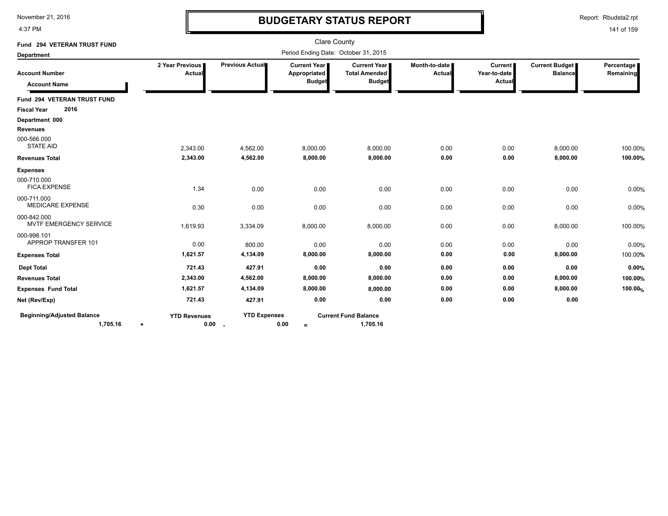4:37 PM

# **BUDGETARY STATUS REPORT**

Report: Rbudsta2.rpt

| Fund 294 VETERAN TRUST FUND                  |                           |                     | <b>Clare County</b>                                  |                                                              |                         |                                     |                                  |                         |
|----------------------------------------------|---------------------------|---------------------|------------------------------------------------------|--------------------------------------------------------------|-------------------------|-------------------------------------|----------------------------------|-------------------------|
| Department                                   |                           |                     | Period Ending Date: October 31, 2015                 |                                                              |                         |                                     |                                  |                         |
| <b>Account Number</b><br><b>Account Name</b> | 2 Year Previous<br>Actual | Previous Actual     | <b>Current Year</b><br>Appropriated<br><b>Budget</b> | <b>Current Year</b><br><b>Total Amended</b><br><b>Budget</b> | Month-to-date<br>Actual | Current  <br>Year-to-date<br>Actual | Current Budget<br><b>Balance</b> | Percentage<br>Remaining |
| Fund 294 VETERAN TRUST FUND                  |                           |                     |                                                      |                                                              |                         |                                     |                                  |                         |
| 2016<br><b>Fiscal Year</b>                   |                           |                     |                                                      |                                                              |                         |                                     |                                  |                         |
| Department 000                               |                           |                     |                                                      |                                                              |                         |                                     |                                  |                         |
| Revenues                                     |                           |                     |                                                      |                                                              |                         |                                     |                                  |                         |
| 000-566.000<br><b>STATE AID</b>              | 2,343.00                  | 4,562.00            | 8,000.00                                             | 8,000.00                                                     | 0.00                    | 0.00                                | 8,000.00                         | 100.00%                 |
| <b>Revenues Total</b>                        | 2,343.00                  | 4,562.00            | 8,000.00                                             | 8,000.00                                                     | 0.00                    | 0.00                                | 8,000.00                         | 100.00%                 |
| <b>Expenses</b>                              |                           |                     |                                                      |                                                              |                         |                                     |                                  |                         |
| 000-710.000<br><b>FICA EXPENSE</b>           | 1.34                      | 0.00                | 0.00                                                 | 0.00                                                         | 0.00                    | 0.00                                | 0.00                             | 0.00%                   |
| 000-711.000<br><b>MEDICARE EXPENSE</b>       | 0.30                      | 0.00                | 0.00                                                 | 0.00                                                         | 0.00                    | 0.00                                | 0.00                             | 0.00%                   |
| 000-842.000<br>MVTF EMERGENCY SERVICE        | 1,619.93                  | 3,334.09            | 8,000.00                                             | 8,000.00                                                     | 0.00                    | 0.00                                | 8,000.00                         | 100.00%                 |
| 000-998.101<br>APPROP TRANSFER 101           | 0.00                      | 800.00              | 0.00                                                 | 0.00                                                         | 0.00                    | 0.00                                | 0.00                             | 0.00%                   |
| <b>Expenses Total</b>                        | 1,621.57                  | 4,134.09            | 8,000.00                                             | 8,000.00                                                     | 0.00                    | 0.00                                | 8,000.00                         | 100.00%                 |
| <b>Dept Total</b>                            | 721.43                    | 427.91              | 0.00                                                 | 0.00                                                         | 0.00                    | 0.00                                | 0.00                             | 0.00%                   |
| <b>Revenues Total</b>                        | 2,343.00                  | 4,562.00            | 8,000.00                                             | 8,000.00                                                     | 0.00                    | 0.00                                | 8,000.00                         | 100.00%                 |
| <b>Expenses Fund Total</b>                   | 1,621.57                  | 4,134.09            | 8,000.00                                             | 8,000.00                                                     | 0.00                    | 0.00                                | 8,000.00                         | 100.00%                 |
| Net (Rev/Exp)                                | 721.43                    | 427.91              | 0.00                                                 | 0.00                                                         | 0.00                    | 0.00                                | 0.00                             |                         |
| <b>Beginning/Adjusted Balance</b>            | <b>YTD Revenues</b>       | <b>YTD Expenses</b> |                                                      | <b>Current Fund Balance</b>                                  |                         |                                     |                                  |                         |
| 1,705.16                                     | 0.00<br>$\ddot{}$         | $\sim$              | 0.00<br>$=$                                          | 1,705.16                                                     |                         |                                     |                                  |                         |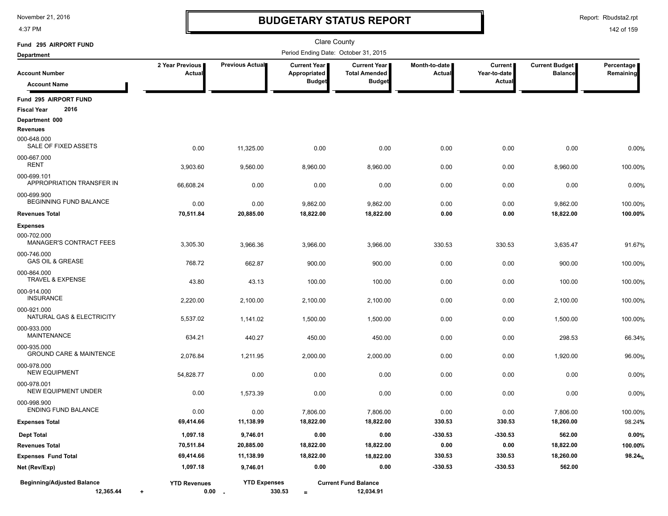4:37 PM

### **BUDGETARY STATUS REPORT**

Report: Rbudsta2.rpt

| Fund 295 AIRPORT FUND                               |                                |                                 | <b>Clare County</b>                   |                                             |                         |                                |                                         |                         |
|-----------------------------------------------------|--------------------------------|---------------------------------|---------------------------------------|---------------------------------------------|-------------------------|--------------------------------|-----------------------------------------|-------------------------|
| <b>Department</b>                                   |                                |                                 | Period Ending Date: October 31, 2015  |                                             |                         |                                |                                         |                         |
| <b>Account Number</b>                               | 2 Year Previous<br>Actual      | <b>Previous Actual</b>          | <b>Current Year I</b><br>Appropriated | <b>Current Year</b><br><b>Total Amended</b> | Month-to-date<br>Actual | <b>Current</b><br>Year-to-date | <b>Current Budget</b><br><b>Balance</b> | Percentage<br>Remaining |
| <b>Account Name</b>                                 |                                |                                 | <b>Budget</b>                         | <b>Budget</b>                               |                         | Actual                         |                                         |                         |
| Fund 295 AIRPORT FUND<br>2016<br><b>Fiscal Year</b> |                                |                                 |                                       |                                             |                         |                                |                                         |                         |
| Department 000<br><b>Revenues</b>                   |                                |                                 |                                       |                                             |                         |                                |                                         |                         |
| 000-648.000<br>SALE OF FIXED ASSETS                 | 0.00                           | 11,325.00                       | 0.00                                  | 0.00                                        | 0.00                    | 0.00                           | 0.00                                    | 0.00%                   |
| 000-667.000<br><b>RENT</b>                          | 3,903.60                       | 9,560.00                        | 8,960.00                              | 8,960.00                                    | 0.00                    | 0.00                           | 8,960.00                                | 100.00%                 |
| 000-699.101<br>APPROPRIATION TRANSFER IN            | 66,608.24                      | 0.00                            | 0.00                                  | 0.00                                        | 0.00                    | 0.00                           | 0.00                                    | 0.00%                   |
| 000-699.900<br>BEGINNING FUND BALANCE               | 0.00                           | 0.00                            | 9,862.00                              | 9,862.00                                    | 0.00                    | 0.00                           | 9,862.00                                | 100.00%                 |
| <b>Revenues Total</b>                               | 70,511.84                      | 20,885.00                       | 18,822.00                             | 18,822.00                                   | 0.00                    | 0.00                           | 18,822.00                               | 100.00%                 |
| <b>Expenses</b>                                     |                                |                                 |                                       |                                             |                         |                                |                                         |                         |
| 000-702.000<br><b>MANAGER'S CONTRACT FEES</b>       | 3,305.30                       | 3,966.36                        | 3,966.00                              | 3,966.00                                    | 330.53                  | 330.53                         | 3,635.47                                | 91.67%                  |
| 000-746.000<br><b>GAS OIL &amp; GREASE</b>          | 768.72                         | 662.87                          | 900.00                                | 900.00                                      | 0.00                    | 0.00                           | 900.00                                  | 100.00%                 |
| 000-864.000<br><b>TRAVEL &amp; EXPENSE</b>          | 43.80                          | 43.13                           | 100.00                                | 100.00                                      | 0.00                    | 0.00                           | 100.00                                  | 100.00%                 |
| 000-914.000<br><b>INSURANCE</b>                     | 2,220.00                       | 2,100.00                        | 2,100.00                              | 2,100.00                                    | 0.00                    | 0.00                           | 2,100.00                                | 100.00%                 |
| 000-921.000<br>NATURAL GAS & ELECTRICITY            | 5,537.02                       | 1,141.02                        | 1,500.00                              | 1,500.00                                    | 0.00                    | 0.00                           | 1,500.00                                | 100.00%                 |
| 000-933.000<br><b>MAINTENANCE</b>                   | 634.21                         | 440.27                          | 450.00                                | 450.00                                      | 0.00                    | 0.00                           | 298.53                                  | 66.34%                  |
| 000-935.000<br><b>GROUND CARE &amp; MAINTENCE</b>   | 2,076.84                       | 1,211.95                        | 2,000.00                              | 2,000.00                                    | 0.00                    | 0.00                           | 1,920.00                                | 96.00%                  |
| 000-978.000<br><b>NEW EQUIPMENT</b>                 | 54,828.77                      | 0.00                            | 0.00                                  | 0.00                                        | 0.00                    | 0.00                           | 0.00                                    | 0.00%                   |
| 000-978.001<br><b>NEW EQUIPMENT UNDER</b>           | 0.00                           | 1,573.39                        | 0.00                                  | 0.00                                        | 0.00                    | 0.00                           | 0.00                                    | 0.00%                   |
| 000-998.900<br><b>ENDING FUND BALANCE</b>           | 0.00                           | 0.00                            | 7,806.00                              | 7,806.00                                    | 0.00                    | 0.00                           | 7,806.00                                | 100.00%                 |
| <b>Expenses Total</b>                               | 69,414.66                      | 11,138.99                       | 18,822.00                             | 18,822.00                                   | 330.53                  | 330.53                         | 18,260.00                               | 98.24%                  |
| <b>Dept Total</b>                                   | 1,097.18                       | 9,746.01                        | 0.00                                  | 0.00                                        | $-330.53$               | $-330.53$                      | 562.00                                  | 0.00%                   |
| <b>Revenues Total</b>                               | 70,511.84                      | 20,885.00                       | 18,822.00                             | 18,822.00                                   | 0.00                    | $0.00\,$                       | 18,822.00                               | 100.00%                 |
| <b>Expenses Fund Total</b>                          | 69,414.66                      | 11,138.99                       | 18,822.00                             | 18,822.00                                   | 330.53                  | 330.53                         | 18,260.00                               | 98.24%                  |
| Net (Rev/Exp)                                       | 1,097.18                       | 9,746.01                        | 0.00                                  | 0.00                                        | $-330.53$               | $-330.53$                      | 562.00                                  |                         |
| <b>Beginning/Adjusted Balance</b><br>12,365.44      | <b>YTD Revenues</b><br>$\ddag$ | <b>YTD Expenses</b><br>$0.00 -$ | 330.53<br>$\equiv$                    | <b>Current Fund Balance</b><br>12,034.91    |                         |                                |                                         |                         |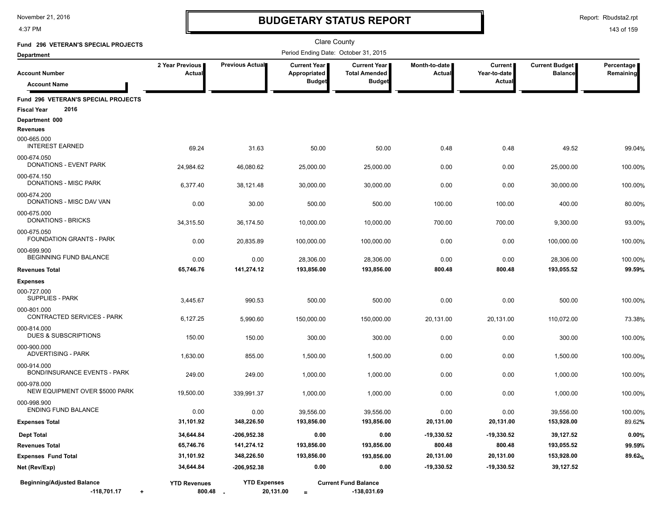4:37 PM

# **BUDGETARY STATUS REPORT**

Report: Rbudsta2.rpt

### 143 of 159

| Fund 296 VETERAN'S SPECIAL PROJECTS                               |                           |                     | <b>Clare County</b>                                  |                                                              |                         |                                          |                                         |                         |
|-------------------------------------------------------------------|---------------------------|---------------------|------------------------------------------------------|--------------------------------------------------------------|-------------------------|------------------------------------------|-----------------------------------------|-------------------------|
| <b>Department</b>                                                 |                           |                     | Period Ending Date: October 31, 2015                 |                                                              |                         |                                          |                                         |                         |
| <b>Account Number</b><br><b>Account Name</b>                      | 2 Year Previous<br>Actual | Previous Actual     | <b>Current Year</b><br>Appropriated<br><b>Budget</b> | <b>Current Year</b><br><b>Total Amended</b><br><b>Budget</b> | Month-to-date<br>Actual | <b>Current</b><br>Year-to-date<br>Actual | <b>Current Budget</b><br><b>Balance</b> | Percentage<br>Remaining |
| Fund 296 VETERAN'S SPECIAL PROJECTS<br>2016<br><b>Fiscal Year</b> |                           |                     |                                                      |                                                              |                         |                                          |                                         |                         |
| Department 000<br><b>Revenues</b>                                 |                           |                     |                                                      |                                                              |                         |                                          |                                         |                         |
| 000-665.000<br><b>INTEREST EARNED</b>                             | 69.24                     | 31.63               | 50.00                                                | 50.00                                                        | 0.48                    | 0.48                                     | 49.52                                   | 99.04%                  |
| 000-674.050<br>DONATIONS - EVENT PARK                             | 24,984.62                 | 46,080.62           | 25,000.00                                            | 25,000.00                                                    | 0.00                    | 0.00                                     | 25,000.00                               | 100.00%                 |
| 000-674.150<br>DONATIONS - MISC PARK                              | 6,377.40                  | 38,121.48           | 30,000.00                                            | 30,000.00                                                    | 0.00                    | 0.00                                     | 30,000.00                               | 100.00%                 |
| 000-674.200<br>DONATIONS - MISC DAV VAN                           | 0.00                      | 30.00               | 500.00                                               | 500.00                                                       | 100.00                  | 100.00                                   | 400.00                                  | 80.00%                  |
| 000-675.000<br>DONATIONS - BRICKS                                 | 34,315.50                 | 36.174.50           | 10,000.00                                            | 10,000.00                                                    | 700.00                  | 700.00                                   | 9,300.00                                | 93.00%                  |
| 000-675.050<br><b>FOUNDATION GRANTS - PARK</b>                    | 0.00                      | 20,835.89           | 100,000.00                                           | 100,000.00                                                   | 0.00                    | 0.00                                     | 100,000.00                              | 100.00%                 |
| 000-699.900<br>BEGINNING FUND BALANCE                             | 0.00                      | 0.00                | 28,306.00                                            | 28,306.00                                                    | 0.00                    | 0.00                                     | 28,306.00                               | 100.00%                 |
| <b>Revenues Total</b>                                             | 65,746.76                 | 141,274.12          | 193,856.00                                           | 193,856.00                                                   | 800.48                  | 800.48                                   | 193,055.52                              | 99.59%                  |
| <b>Expenses</b>                                                   |                           |                     |                                                      |                                                              |                         |                                          |                                         |                         |
| 000-727.000<br><b>SUPPLIES - PARK</b>                             | 3,445.67                  | 990.53              | 500.00                                               | 500.00                                                       | 0.00                    | 0.00                                     | 500.00                                  | 100.00%                 |
| 000-801.000<br>CONTRACTED SERVICES - PARK                         | 6,127.25                  | 5,990.60            | 150,000.00                                           | 150,000.00                                                   | 20,131.00               | 20,131.00                                | 110,072.00                              | 73.38%                  |
| 000-814.000<br><b>DUES &amp; SUBSCRIPTIONS</b>                    | 150.00                    | 150.00              | 300.00                                               | 300.00                                                       | 0.00                    | 0.00                                     | 300.00                                  | 100.00%                 |
| 000-900.000<br><b>ADVERTISING - PARK</b>                          | 1,630.00                  | 855.00              | 1,500.00                                             | 1,500.00                                                     | 0.00                    | 0.00                                     | 1,500.00                                | 100.00%                 |
| 000-914.000<br><b>BOND/INSURANCE EVENTS - PARK</b>                | 249.00                    | 249.00              | 1,000.00                                             | 1,000.00                                                     | 0.00                    | 0.00                                     | 1,000.00                                | 100.00%                 |
| 000-978.000<br>NEW EQUIPMENT OVER \$5000 PARK                     | 19,500.00                 | 339,991.37          | 1,000.00                                             | 1,000.00                                                     | 0.00                    | 0.00                                     | 1,000.00                                | 100.00%                 |
| 000-998.900<br><b>ENDING FUND BALANCE</b>                         | 0.00                      | 0.00                | 39,556.00                                            | 39.556.00                                                    | 0.00                    | 0.00                                     | 39,556.00                               | 100.00%                 |
| <b>Expenses Total</b>                                             | 31,101.92                 | 348,226.50          | 193,856.00                                           | 193,856.00                                                   | 20,131.00               | 20,131.00                                | 153,928.00                              | 89.62%                  |
| <b>Dept Total</b>                                                 | 34,644.84                 | $-206,952.38$       | 0.00                                                 | 0.00                                                         | $-19,330.52$            | $-19,330.52$                             | 39,127.52                               | 0.00%                   |
| <b>Revenues Total</b>                                             | 65,746.76                 | 141,274.12          | 193,856.00                                           | 193,856.00                                                   | 800.48                  | 800.48                                   | 193,055.52                              | 99.59%                  |
| <b>Expenses Fund Total</b>                                        | 31,101.92                 | 348,226.50          | 193,856.00                                           | 193,856.00                                                   | 20,131.00               | 20,131.00                                | 153,928.00                              | 89.62%                  |
| Net (Rev/Exp)                                                     | 34,644.84                 | $-206,952.38$       | 0.00                                                 | 0.00                                                         | -19,330.52              | -19,330.52                               | 39,127.52                               |                         |
| <b>Beginning/Adjusted Balance</b>                                 | <b>YTD Revenues</b>       | <b>YTD Expenses</b> |                                                      | <b>Current Fund Balance</b>                                  |                         |                                          |                                         |                         |

**-118,701.17** + **+ 800.48 - = -138,031.69**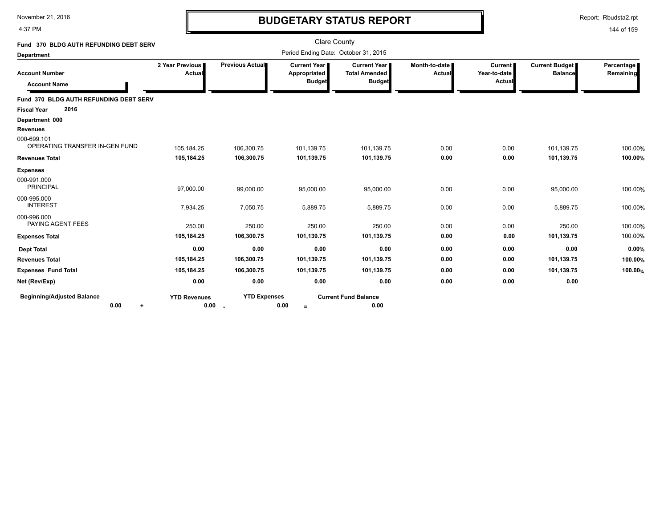4:37 PM

# **BUDGETARY STATUS REPORT**

Report: Rbudsta2.rpt

| Fund 370 BLDG AUTH REFUNDING DEBT SERV        |                             |                           | <b>Clare County</b>                                    |                                                              |                           |                                          |                                         |                         |
|-----------------------------------------------|-----------------------------|---------------------------|--------------------------------------------------------|--------------------------------------------------------------|---------------------------|------------------------------------------|-----------------------------------------|-------------------------|
| <b>Department</b>                             |                             |                           | Period Ending Date: October 31, 2015                   |                                                              |                           |                                          |                                         |                         |
| <b>Account Number</b><br><b>Account Name</b>  | 2 Year Previous  <br>Actual | Previous Actual           | <b>Current Year I</b><br>Appropriated<br><b>Budget</b> | <b>Current Year</b><br><b>Total Amended</b><br><b>Budget</b> | Month-to-date I<br>Actual | <b>Current</b><br>Year-to-date<br>Actual | <b>Current Budget</b><br><b>Balance</b> | Percentage<br>Remaining |
| Fund 370 BLDG AUTH REFUNDING DEBT SERV        |                             |                           |                                                        |                                                              |                           |                                          |                                         |                         |
| 2016<br><b>Fiscal Year</b>                    |                             |                           |                                                        |                                                              |                           |                                          |                                         |                         |
| Department 000                                |                             |                           |                                                        |                                                              |                           |                                          |                                         |                         |
| <b>Revenues</b>                               |                             |                           |                                                        |                                                              |                           |                                          |                                         |                         |
| 000-699.101<br>OPERATING TRANSFER IN-GEN FUND | 105,184.25                  | 106,300.75                | 101,139.75                                             | 101,139.75                                                   | 0.00                      | 0.00                                     | 101,139.75                              | 100.00%                 |
| <b>Revenues Total</b>                         | 105,184.25                  | 106,300.75                | 101,139.75                                             | 101,139.75                                                   | 0.00                      | 0.00                                     | 101,139.75                              | 100.00%                 |
| <b>Expenses</b>                               |                             |                           |                                                        |                                                              |                           |                                          |                                         |                         |
| 000-991.000<br><b>PRINCIPAL</b>               | 97,000.00                   | 99,000.00                 | 95,000.00                                              | 95,000.00                                                    | 0.00                      | 0.00                                     | 95,000.00                               | 100.00%                 |
| 000-995.000<br><b>INTEREST</b>                | 7,934.25                    | 7,050.75                  | 5,889.75                                               | 5,889.75                                                     | 0.00                      | 0.00                                     | 5,889.75                                | 100.00%                 |
| 000-996.000<br>PAYING AGENT FEES              | 250.00                      | 250.00                    | 250.00                                                 | 250.00                                                       | 0.00                      | 0.00                                     | 250.00                                  | 100.00%                 |
| <b>Expenses Total</b>                         | 105,184.25                  | 106,300.75                | 101,139.75                                             | 101,139.75                                                   | 0.00                      | 0.00                                     | 101,139.75                              | 100.00%                 |
| <b>Dept Total</b>                             | 0.00                        | 0.00                      | 0.00                                                   | 0.00                                                         | 0.00                      | 0.00                                     | 0.00                                    | 0.00%                   |
| <b>Revenues Total</b>                         | 105,184.25                  | 106,300.75                | 101,139.75                                             | 101,139.75                                                   | 0.00                      | 0.00                                     | 101,139.75                              | 100.00%                 |
| <b>Expenses Fund Total</b>                    | 105,184.25                  | 106,300.75                | 101,139.75                                             | 101,139.75                                                   | 0.00                      | 0.00                                     | 101,139.75                              | 100.00%                 |
| Net (Rev/Exp)                                 | 0.00                        | 0.00                      | 0.00                                                   | 0.00                                                         | 0.00                      | 0.00                                     | 0.00                                    |                         |
| <b>Beginning/Adjusted Balance</b><br>0.00     | <b>YTD Revenues</b><br>0.00 | <b>YTD Expenses</b><br>۰. | 0.00<br>$=$                                            | <b>Current Fund Balance</b><br>0.00                          |                           |                                          |                                         |                         |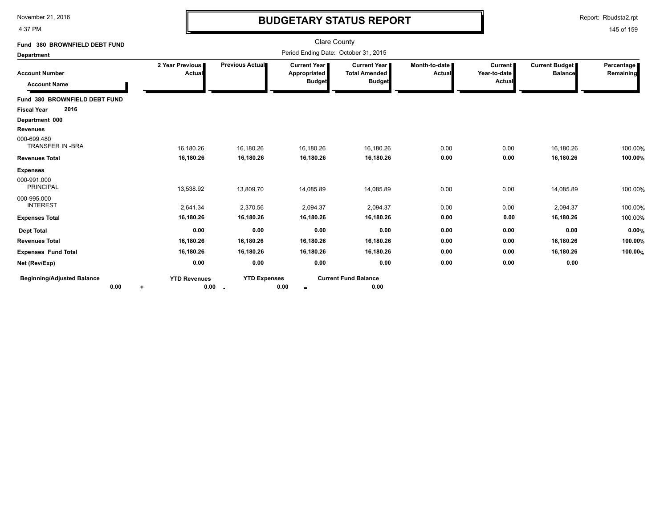4:37 PM

# **BUDGETARY STATUS REPORT**

Report: Rbudsta2.rpt

| Fund 380 BROWNFIELD DEBT FUND                |                             |                               | <b>Clare County</b>                                  |                                                              |                                |                                          |                                         |                         |
|----------------------------------------------|-----------------------------|-------------------------------|------------------------------------------------------|--------------------------------------------------------------|--------------------------------|------------------------------------------|-----------------------------------------|-------------------------|
| <b>Department</b>                            |                             |                               | Period Ending Date: October 31, 2015                 |                                                              |                                |                                          |                                         |                         |
| <b>Account Number</b><br><b>Account Name</b> | 2 Year Previous<br>Actual   | Previous Actual               | <b>Current Year</b><br>Appropriated<br><b>Budget</b> | <b>Current Year</b><br><b>Total Amended</b><br><b>Budget</b> | Month-to-date<br><b>Actual</b> | <b>Current</b><br>Year-to-date<br>Actual | <b>Current Budget</b><br><b>Balance</b> | Percentage<br>Remaining |
| Fund 380 BROWNFIELD DEBT FUND                |                             |                               |                                                      |                                                              |                                |                                          |                                         |                         |
| 2016<br><b>Fiscal Year</b>                   |                             |                               |                                                      |                                                              |                                |                                          |                                         |                         |
| Department 000                               |                             |                               |                                                      |                                                              |                                |                                          |                                         |                         |
| <b>Revenues</b>                              |                             |                               |                                                      |                                                              |                                |                                          |                                         |                         |
| 000-699.480<br><b>TRANSFER IN -BRA</b>       | 16,180.26                   | 16,180.26                     | 16,180.26                                            | 16,180.26                                                    | 0.00                           | 0.00                                     | 16,180.26                               | 100.00%                 |
| <b>Revenues Total</b>                        | 16,180.26                   | 16,180.26                     | 16,180.26                                            | 16,180.26                                                    | 0.00                           | 0.00                                     | 16,180.26                               | 100.00%                 |
| <b>Expenses</b>                              |                             |                               |                                                      |                                                              |                                |                                          |                                         |                         |
| 000-991.000<br><b>PRINCIPAL</b>              | 13,538.92                   | 13,809.70                     | 14,085.89                                            | 14,085.89                                                    | 0.00                           | 0.00                                     | 14,085.89                               | 100.00%                 |
| 000-995.000<br><b>INTEREST</b>               | 2,641.34                    | 2,370.56                      | 2,094.37                                             | 2,094.37                                                     | 0.00                           | 0.00                                     | 2,094.37                                | 100.00%                 |
| <b>Expenses Total</b>                        | 16,180.26                   | 16,180.26                     | 16,180.26                                            | 16,180.26                                                    | 0.00                           | 0.00                                     | 16,180.26                               | 100.00%                 |
| <b>Dept Total</b>                            | 0.00                        | 0.00                          | 0.00                                                 | 0.00                                                         | 0.00                           | 0.00                                     | 0.00                                    | 0.00%                   |
| <b>Revenues Total</b>                        | 16,180.26                   | 16,180.26                     | 16,180.26                                            | 16,180.26                                                    | 0.00                           | 0.00                                     | 16,180.26                               | 100.00%                 |
| <b>Expenses Fund Total</b>                   | 16,180.26                   | 16,180.26                     | 16,180.26                                            | 16,180.26                                                    | 0.00                           | 0.00                                     | 16,180.26                               | 100.00%                 |
| Net (Rev/Exp)                                | 0.00                        | 0.00                          | 0.00                                                 | 0.00                                                         | 0.00                           | 0.00                                     | 0.00                                    |                         |
| <b>Beginning/Adjusted Balance</b><br>0.00    | <b>YTD Revenues</b><br>0.00 | <b>YTD Expenses</b><br>$\sim$ | 0.00<br>$=$                                          | <b>Current Fund Balance</b><br>0.00                          |                                |                                          |                                         |                         |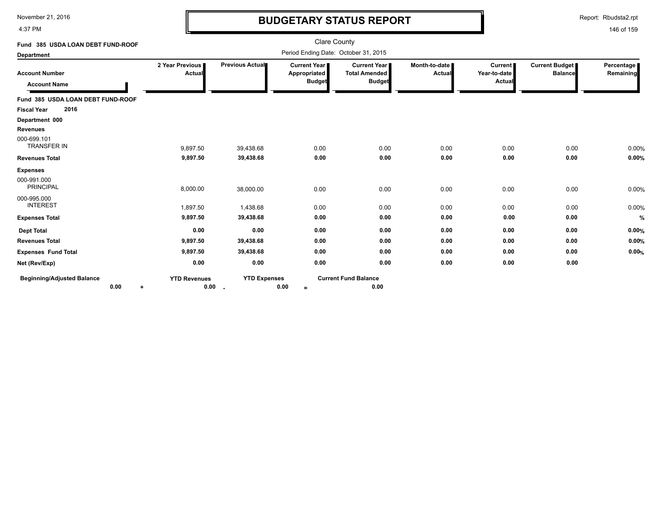4:37 PM

# **BUDGETARY STATUS REPORT**

Report: Rbudsta2.rpt

| Fund 385 USDA LOAN DEBT FUND-ROOF                    |                             |                               | Clare County                                  |                                                                |                                |                                     |                                         |                         |
|------------------------------------------------------|-----------------------------|-------------------------------|-----------------------------------------------|----------------------------------------------------------------|--------------------------------|-------------------------------------|-----------------------------------------|-------------------------|
| <b>Department</b>                                    |                             |                               | Period Ending Date: October 31, 2015          |                                                                |                                |                                     |                                         |                         |
| <b>Account Number</b><br><b>Account Name</b>         | 2 Year Previous I<br>Actual | Previous Actual               | Current Year<br>Appropriated<br><b>Budget</b> | <b>Current Year I</b><br><b>Total Amended</b><br><b>Budget</b> | Month-to-date<br><b>Actual</b> | Current  <br>Year-to-date<br>Actual | <b>Current Budget</b><br><b>Balance</b> | Percentage<br>Remaining |
| Fund 385 USDA LOAN DEBT FUND-ROOF                    |                             |                               |                                               |                                                                |                                |                                     |                                         |                         |
| 2016<br><b>Fiscal Year</b>                           |                             |                               |                                               |                                                                |                                |                                     |                                         |                         |
| Department 000                                       |                             |                               |                                               |                                                                |                                |                                     |                                         |                         |
| <b>Revenues</b><br>000-699.101<br><b>TRANSFER IN</b> | 9,897.50                    | 39,438.68                     | 0.00                                          | 0.00                                                           | 0.00                           | 0.00                                | 0.00                                    | 0.00%                   |
| <b>Revenues Total</b>                                | 9,897.50                    | 39,438.68                     | 0.00                                          | 0.00                                                           | 0.00                           | 0.00                                | 0.00                                    | 0.00%                   |
| <b>Expenses</b>                                      |                             |                               |                                               |                                                                |                                |                                     |                                         |                         |
| 000-991.000<br><b>PRINCIPAL</b>                      | 8,000.00                    | 38,000.00                     | 0.00                                          | 0.00                                                           | 0.00                           | 0.00                                | 0.00                                    | 0.00%                   |
| 000-995.000<br><b>INTEREST</b>                       | 1,897.50                    | 1,438.68                      | 0.00                                          | 0.00                                                           | 0.00                           | 0.00                                | 0.00                                    | 0.00%                   |
| <b>Expenses Total</b>                                | 9,897.50                    | 39,438.68                     | 0.00                                          | 0.00                                                           | 0.00                           | 0.00                                | 0.00                                    | $\%$                    |
| <b>Dept Total</b>                                    | 0.00                        | 0.00                          | 0.00                                          | 0.00                                                           | 0.00                           | 0.00                                | 0.00                                    | 0.00%                   |
| <b>Revenues Total</b>                                | 9,897.50                    | 39,438.68                     | 0.00                                          | 0.00                                                           | 0.00                           | 0.00                                | 0.00                                    | 0.00%                   |
| <b>Expenses Fund Total</b>                           | 9,897.50                    | 39,438.68                     | 0.00                                          | 0.00                                                           | 0.00                           | 0.00                                | 0.00                                    | 0.00%                   |
| Net (Rev/Exp)                                        | 0.00                        | 0.00                          | 0.00                                          | 0.00                                                           | 0.00                           | 0.00                                | 0.00                                    |                         |
| <b>Beginning/Adjusted Balance</b><br>0.00<br>٠       | <b>YTD Revenues</b><br>0.00 | <b>YTD Expenses</b><br>$\sim$ | 0.00<br>$\equiv$                              | <b>Current Fund Balance</b><br>0.00                            |                                |                                     |                                         |                         |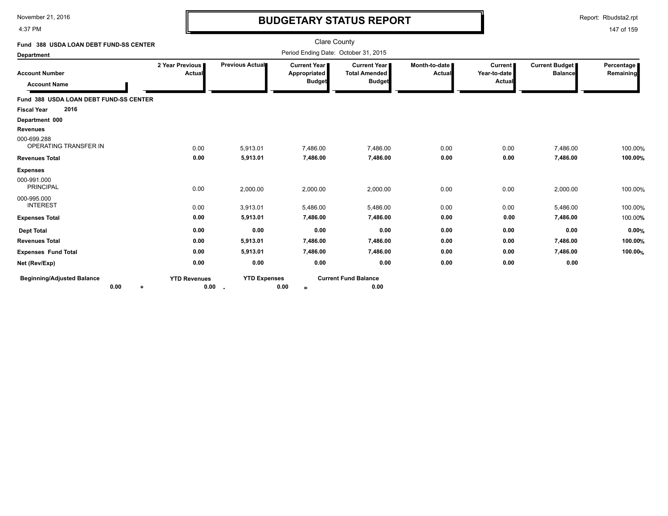4:37 PM

# **BUDGETARY STATUS REPORT**

Report: Rbudsta2.rpt

| Fund 388 USDA LOAN DEBT FUND-SS CENTER                  |                                    |                            | Clare County                                  |                                                                |                                |                                          |                                         |                         |
|---------------------------------------------------------|------------------------------------|----------------------------|-----------------------------------------------|----------------------------------------------------------------|--------------------------------|------------------------------------------|-----------------------------------------|-------------------------|
| <b>Department</b>                                       |                                    |                            | Period Ending Date: October 31, 2015          |                                                                |                                |                                          |                                         |                         |
| <b>Account Number</b><br><b>Account Name</b>            | 2 Year Previous I<br><b>Actual</b> | Previous Actual            | Current Year<br>Appropriated<br><b>Budget</b> | <b>Current Year I</b><br><b>Total Amended</b><br><b>Budget</b> | Month-to-date<br><b>Actual</b> | <b>Current</b><br>Year-to-date<br>Actual | <b>Current Budget</b><br><b>Balance</b> | Percentage<br>Remaining |
| Fund 388 USDA LOAN DEBT FUND-SS CENTER                  |                                    |                            |                                               |                                                                |                                |                                          |                                         |                         |
| 2016<br><b>Fiscal Year</b>                              |                                    |                            |                                               |                                                                |                                |                                          |                                         |                         |
| Department 000                                          |                                    |                            |                                               |                                                                |                                |                                          |                                         |                         |
| <b>Revenues</b><br>000-699.288<br>OPERATING TRANSFER IN | 0.00                               | 5,913.01                   | 7,486.00                                      | 7,486.00                                                       | 0.00                           | 0.00                                     | 7,486.00                                | 100.00%                 |
| <b>Revenues Total</b>                                   | 0.00                               | 5,913.01                   | 7,486.00                                      | 7,486.00                                                       | 0.00                           | 0.00                                     | 7,486.00                                | 100.00%                 |
| <b>Expenses</b><br>000-991.000<br><b>PRINCIPAL</b>      | 0.00                               | 2,000.00                   | 2,000.00                                      | 2,000.00                                                       | 0.00                           | 0.00                                     | 2,000.00                                | 100.00%                 |
| 000-995.000<br><b>INTEREST</b>                          | 0.00                               | 3,913.01                   | 5,486.00                                      | 5,486.00                                                       | 0.00                           | 0.00                                     | 5,486.00                                | 100.00%                 |
| <b>Expenses Total</b>                                   | 0.00                               | 5,913.01                   | 7,486.00                                      | 7,486.00                                                       | 0.00                           | 0.00                                     | 7,486.00                                | 100.00%                 |
| <b>Dept Total</b>                                       | 0.00                               | 0.00                       | 0.00                                          | 0.00                                                           | 0.00                           | 0.00                                     | 0.00                                    | 0.00%                   |
| <b>Revenues Total</b>                                   | 0.00                               | 5,913.01                   | 7,486.00                                      | 7,486.00                                                       | 0.00                           | 0.00                                     | 7,486.00                                | 100.00%                 |
| <b>Expenses Fund Total</b>                              | 0.00                               | 5,913.01                   | 7,486.00                                      | 7,486.00                                                       | 0.00                           | 0.00                                     | 7,486.00                                | 100.00%                 |
| Net (Rev/Exp)                                           | 0.00                               | 0.00                       | 0.00                                          | 0.00                                                           | 0.00                           | 0.00                                     | 0.00                                    |                         |
| <b>Beginning/Adjusted Balance</b><br>0.00<br>$\ddot{}$  | <b>YTD Revenues</b><br>0.00        | <b>YTD Expenses</b><br>. . | 0.00<br>$\equiv$                              | <b>Current Fund Balance</b><br>0.00                            |                                |                                          |                                         |                         |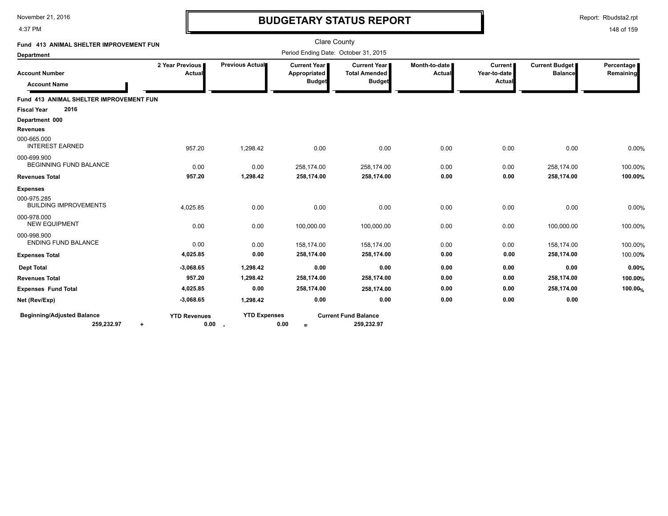4:37 PM

# **BUDGETARY STATUS REPORT**

Report: Rbudsta2.rpt

| Fund 413 ANIMAL SHELTER IMPROVEMENT FUN      |                           |                     | <b>Clare County</b>                                    |                                                       |                         |                                          |                                  |                         |
|----------------------------------------------|---------------------------|---------------------|--------------------------------------------------------|-------------------------------------------------------|-------------------------|------------------------------------------|----------------------------------|-------------------------|
| <b>Department</b>                            |                           |                     | Period Ending Date: October 31, 2015                   |                                                       |                         |                                          |                                  |                         |
| <b>Account Number</b>                        | 2 Year Previous<br>Actual | Previous Actual     | <b>Current Year  </b><br>Appropriated<br><b>Budget</b> | Current Year<br><b>Total Amended</b><br><b>Budget</b> | Month-to-date<br>Actual | <b>Current</b><br>Year-to-date<br>Actual | Current Budget<br><b>Balance</b> | Percentage<br>Remaining |
| <b>Account Name</b>                          |                           |                     |                                                        |                                                       |                         |                                          |                                  |                         |
| Fund 413 ANIMAL SHELTER IMPROVEMENT FUN      |                           |                     |                                                        |                                                       |                         |                                          |                                  |                         |
| 2016<br><b>Fiscal Year</b>                   |                           |                     |                                                        |                                                       |                         |                                          |                                  |                         |
| Department 000                               |                           |                     |                                                        |                                                       |                         |                                          |                                  |                         |
| <b>Revenues</b>                              |                           |                     |                                                        |                                                       |                         |                                          |                                  |                         |
| 000-665.000<br><b>INTEREST EARNED</b>        | 957.20                    | 1,298.42            | 0.00                                                   | 0.00                                                  | 0.00                    | 0.00                                     | 0.00                             | 0.00%                   |
| 000-699.900<br><b>BEGINNING FUND BALANCE</b> | 0.00                      | 0.00                | 258,174.00                                             | 258,174.00                                            | 0.00                    | 0.00                                     | 258,174.00                       | 100.00%                 |
| <b>Revenues Total</b>                        | 957.20                    | 1,298.42            | 258,174.00                                             | 258,174.00                                            | 0.00                    | 0.00                                     | 258,174.00                       | 100.00%                 |
| <b>Expenses</b>                              |                           |                     |                                                        |                                                       |                         |                                          |                                  |                         |
| 000-975.285<br><b>BUILDING IMPROVEMENTS</b>  | 4,025.85                  | 0.00                | 0.00                                                   | 0.00                                                  | 0.00                    | 0.00                                     | 0.00                             | 0.00%                   |
| 000-978.000<br><b>NEW EQUIPMENT</b>          | 0.00                      | 0.00                | 100,000.00                                             | 100,000.00                                            | 0.00                    | 0.00                                     | 100,000.00                       | 100.00%                 |
| 000-998.900<br><b>ENDING FUND BALANCE</b>    | 0.00                      | 0.00                | 158.174.00                                             | 158.174.00                                            | 0.00                    | 0.00                                     | 158.174.00                       | 100.00%                 |
| <b>Expenses Total</b>                        | 4,025.85                  | 0.00                | 258,174.00                                             | 258,174.00                                            | 0.00                    | 0.00                                     | 258,174.00                       | 100.00%                 |
| <b>Dept Total</b>                            | $-3,068.65$               | 1,298.42            | 0.00                                                   | 0.00                                                  | 0.00                    | 0.00                                     | 0.00                             | 0.00%                   |
| <b>Revenues Total</b>                        | 957.20                    | 1,298.42            | 258,174.00                                             | 258,174.00                                            | 0.00                    | 0.00                                     | 258,174.00                       | 100.00%                 |
| <b>Expenses Fund Total</b>                   | 4,025.85                  | 0.00                | 258,174.00                                             | 258,174.00                                            | 0.00                    | 0.00                                     | 258,174.00                       | 100.00%                 |
| Net (Rev/Exp)                                | $-3,068.65$               | 1,298.42            | 0.00                                                   | 0.00                                                  | 0.00                    | 0.00                                     | 0.00                             |                         |
| <b>Beginning/Adjusted Balance</b>            | <b>YTD Revenues</b>       | <b>YTD Expenses</b> |                                                        | <b>Current Fund Balance</b>                           |                         |                                          |                                  |                         |
| 259,232.97                                   | 0.00<br>$\ddot{}$         | $\sim$              | 0.00<br>$=$                                            | 259,232.97                                            |                         |                                          |                                  |                         |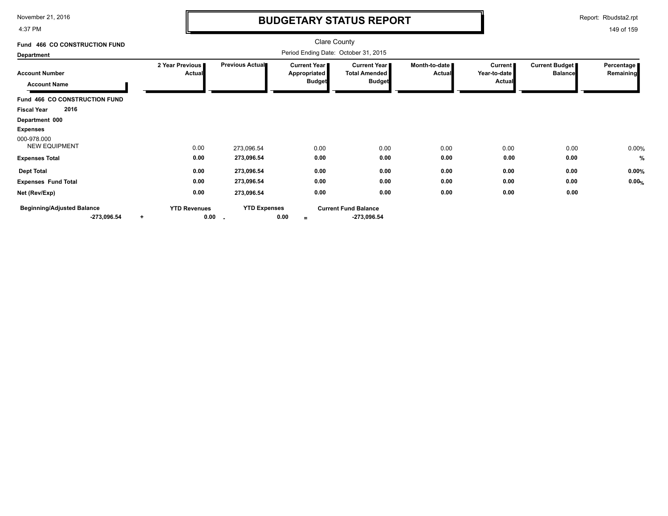4:37 PM

# **BUDGETARY STATUS REPORT**

Report: Rbudsta2.rpt

| Fund 466 CO CONSTRUCTION FUND                      |                                          |                     | <b>Clare County</b>                                    |                                                       |                         |                                          |                                         |                         |
|----------------------------------------------------|------------------------------------------|---------------------|--------------------------------------------------------|-------------------------------------------------------|-------------------------|------------------------------------------|-----------------------------------------|-------------------------|
| <b>Department</b>                                  |                                          |                     | Period Ending Date: October 31, 2015                   |                                                       |                         |                                          |                                         |                         |
| <b>Account Number</b><br><b>Account Name</b>       | 2 Year Previous<br>Actual                | Previous Actual     | <b>Current Year I</b><br>Appropriated<br><b>Budget</b> | Current Year<br><b>Total Amended</b><br><b>Budget</b> | Month-to-date<br>Actual | <b>Current</b><br>Year-to-date<br>Actual | <b>Current Budget</b><br><b>Balance</b> | Percentage<br>Remaining |
| Fund 466 CO CONSTRUCTION FUND                      |                                          |                     |                                                        |                                                       |                         |                                          |                                         |                         |
| 2016<br><b>Fiscal Year</b>                         |                                          |                     |                                                        |                                                       |                         |                                          |                                         |                         |
| Department 000                                     |                                          |                     |                                                        |                                                       |                         |                                          |                                         |                         |
| <b>Expenses</b>                                    |                                          |                     |                                                        |                                                       |                         |                                          |                                         |                         |
| 000-978.000<br><b>NEW EQUIPMENT</b>                | 0.00                                     | 273,096.54          | 0.00                                                   | 0.00                                                  | 0.00                    | 0.00                                     | 0.00                                    | 0.00%                   |
| <b>Expenses Total</b>                              | 0.00                                     | 273,096.54          | 0.00                                                   | 0.00                                                  | 0.00                    | 0.00                                     | 0.00                                    | %                       |
| <b>Dept Total</b>                                  | 0.00                                     | 273,096.54          | 0.00                                                   | 0.00                                                  | 0.00                    | 0.00                                     | 0.00                                    | 0.00%                   |
| <b>Expenses Fund Total</b>                         | 0.00                                     | 273,096.54          | 0.00                                                   | 0.00                                                  | 0.00                    | 0.00                                     | 0.00                                    | 0.00%                   |
| Net (Rev/Exp)                                      | 0.00                                     | 273,096.54          | 0.00                                                   | 0.00                                                  | 0.00                    | 0.00                                     | 0.00                                    |                         |
| <b>Beginning/Adjusted Balance</b><br>$-273,096.54$ | <b>YTD Revenues</b><br>0.00<br>$\ddot{}$ | <b>YTD Expenses</b> | 0.00<br>$=$                                            | <b>Current Fund Balance</b><br>$-273,096.54$          |                         |                                          |                                         |                         |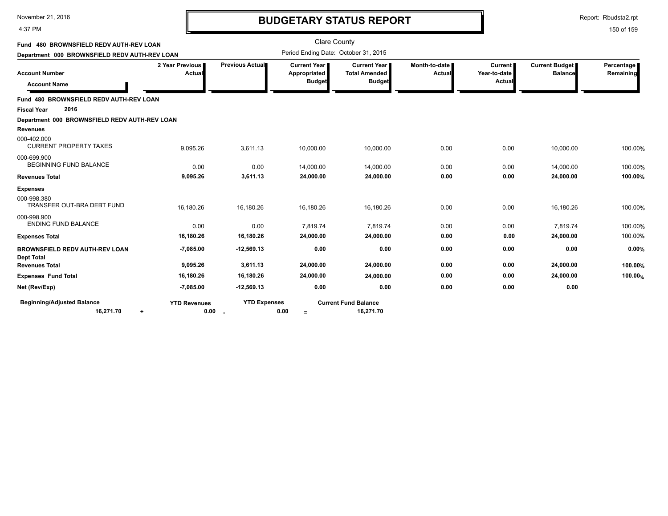#### 4:37 PM

### **BUDGETARY STATUS REPORT**

Report: Rbudsta2.rpt

| Fund 480 BROWNSFIELD REDV AUTH-REV LOAN                    |                             |                     | <b>Clare County</b>                                    |                                                              |                         |                                                 |                                  |                         |
|------------------------------------------------------------|-----------------------------|---------------------|--------------------------------------------------------|--------------------------------------------------------------|-------------------------|-------------------------------------------------|----------------------------------|-------------------------|
| Department 000 BROWNSFIELD REDV AUTH-REV LOAN              |                             |                     | Period Ending Date: October 31, 2015                   |                                                              |                         |                                                 |                                  |                         |
| <b>Account Number</b><br><b>Account Name</b>               | 2 Year Previous<br>Actual   | Previous Actual     | <b>Current Year I</b><br>Appropriated<br><b>Budget</b> | <b>Current Year</b><br><b>Total Amended</b><br><b>Budget</b> | Month-to-date<br>Actual | <b>Current</b><br>Year-to-date<br><b>Actual</b> | Current Budget<br><b>Balance</b> | Percentage<br>Remaining |
| Fund 480 BROWNSFIELD REDV AUTH-REV LOAN                    |                             |                     |                                                        |                                                              |                         |                                                 |                                  |                         |
| 2016<br><b>Fiscal Year</b>                                 |                             |                     |                                                        |                                                              |                         |                                                 |                                  |                         |
| Department 000 BROWNSFIELD REDV AUTH-REV LOAN              |                             |                     |                                                        |                                                              |                         |                                                 |                                  |                         |
| Revenues                                                   |                             |                     |                                                        |                                                              |                         |                                                 |                                  |                         |
| 000-402.000<br><b>CURRENT PROPERTY TAXES</b>               | 9,095.26                    | 3,611.13            | 10,000.00                                              | 10,000.00                                                    | 0.00                    | 0.00                                            | 10,000.00                        | 100.00%                 |
| 000-699.900<br><b>BEGINNING FUND BALANCE</b>               | 0.00                        | 0.00                | 14,000.00                                              | 14,000.00                                                    | 0.00                    | 0.00                                            | 14,000.00                        | 100.00%                 |
| <b>Revenues Total</b>                                      | 9,095.26                    | 3,611.13            | 24,000.00                                              | 24,000.00                                                    | 0.00                    | 0.00                                            | 24,000.00                        | 100.00%                 |
| <b>Expenses</b>                                            |                             |                     |                                                        |                                                              |                         |                                                 |                                  |                         |
| 000-998.380<br>TRANSFER OUT-BRA DEBT FUND                  | 16,180.26                   | 16,180.26           | 16,180.26                                              | 16,180.26                                                    | 0.00                    | 0.00                                            | 16,180.26                        | 100.00%                 |
| 000-998.900<br><b>ENDING FUND BALANCE</b>                  | 0.00                        | 0.00                | 7.819.74                                               | 7,819.74                                                     | 0.00                    | 0.00                                            | 7.819.74                         | 100.00%                 |
| <b>Expenses Total</b>                                      | 16,180.26                   | 16,180.26           | 24,000.00                                              | 24,000.00                                                    | 0.00                    | 0.00                                            | 24,000.00                        | 100.00%                 |
| <b>BROWNSFIELD REDV AUTH-REV LOAN</b><br><b>Dept Total</b> | $-7,085.00$                 | $-12,569.13$        | 0.00                                                   | 0.00                                                         | 0.00                    | 0.00                                            | 0.00                             | 0.00%                   |
| <b>Revenues Total</b>                                      | 9,095.26                    | 3,611.13            | 24,000.00                                              | 24,000.00                                                    | 0.00                    | 0.00                                            | 24,000.00                        | 100.00%                 |
| <b>Expenses Fund Total</b>                                 | 16,180.26                   | 16,180.26           | 24,000.00                                              | 24,000.00                                                    | 0.00                    | 0.00                                            | 24,000.00                        | 100.00%                 |
| Net (Rev/Exp)                                              | $-7,085.00$                 | $-12,569.13$        | 0.00                                                   | 0.00                                                         | 0.00                    | 0.00                                            | 0.00                             |                         |
| <b>Beginning/Adjusted Balance</b><br>16,271.70<br>٠        | <b>YTD Revenues</b><br>0.00 | <b>YTD Expenses</b> | 0.00<br>$=$                                            | <b>Current Fund Balance</b><br>16,271.70                     |                         |                                                 |                                  |                         |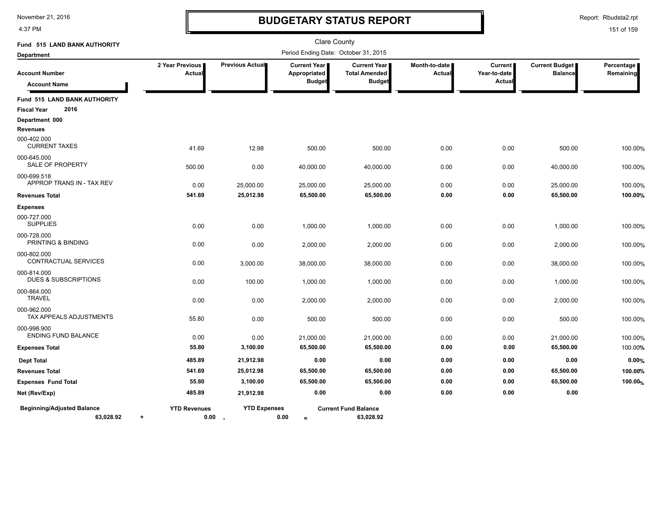4:37 PM

# **BUDGETARY STATUS REPORT**

Report: Rbudsta2.rpt

| Fund 515 LAND BANK AUTHORITY                                |                           |                                 | <b>Clare County</b>                                  |                                                                |                           |                                          |                                         |                         |
|-------------------------------------------------------------|---------------------------|---------------------------------|------------------------------------------------------|----------------------------------------------------------------|---------------------------|------------------------------------------|-----------------------------------------|-------------------------|
| <b>Department</b>                                           |                           |                                 | Period Ending Date: October 31, 2015                 |                                                                |                           |                                          |                                         |                         |
| <b>Account Number</b><br><b>Account Name</b>                | 2 Year Previous<br>Actual | Previous Actual                 | <b>Current Year</b><br>Appropriated<br><b>Budget</b> | <b>Current Year I</b><br><b>Total Amended</b><br><b>Budget</b> | Month-to-date I<br>Actual | <b>Current</b><br>Year-to-date<br>Actual | <b>Current Budget</b><br><b>Balance</b> | Percentage<br>Remaining |
| Fund 515 LAND BANK AUTHORITY<br>2016<br><b>Fiscal Year</b>  |                           |                                 |                                                      |                                                                |                           |                                          |                                         |                         |
| Department 000<br><b>Revenues</b>                           |                           |                                 |                                                      |                                                                |                           |                                          |                                         |                         |
| 000-402.000<br><b>CURRENT TAXES</b>                         | 41.69                     | 12.98                           | 500.00                                               | 500.00                                                         | 0.00                      | 0.00                                     | 500.00                                  | 100.00%                 |
| 000-645.000<br>SALE OF PROPERTY                             | 500.00                    | 0.00                            | 40,000.00                                            | 40,000.00                                                      | 0.00                      | 0.00                                     | 40,000.00                               | 100.00%                 |
| 000-699.518<br>APPROP TRANS IN - TAX REV                    | 0.00<br>541.69            | 25,000.00<br>25,012.98          | 25,000.00                                            | 25,000.00                                                      | 0.00<br>0.00              | 0.00                                     | 25,000.00                               | 100.00%<br>100.00%      |
| <b>Revenues Total</b>                                       |                           |                                 | 65,500.00                                            | 65,500.00                                                      |                           | 0.00                                     | 65,500.00                               |                         |
| <b>Expenses</b><br>000-727.000<br><b>SUPPLIES</b>           | 0.00                      | 0.00                            | 1,000.00                                             | 1,000.00                                                       | 0.00                      | 0.00                                     | 1,000.00                                | 100.00%                 |
| 000-728.000<br>PRINTING & BINDING                           | 0.00                      | 0.00                            | 2,000.00                                             | 2,000.00                                                       | 0.00                      | 0.00                                     | 2,000.00                                | 100.00%                 |
| 000-802.000<br>CONTRACTUAL SERVICES                         | 0.00                      | 3,000.00                        | 38,000.00                                            | 38,000.00                                                      | 0.00                      | 0.00                                     | 38,000.00                               | 100.00%                 |
| 000-814.000<br><b>DUES &amp; SUBSCRIPTIONS</b>              | 0.00                      | 100.00                          | 1,000.00                                             | 1,000.00                                                       | 0.00                      | 0.00                                     | 1,000.00                                | 100.00%                 |
| 000-864.000<br><b>TRAVEL</b>                                | 0.00                      | 0.00                            | 2,000.00                                             | 2,000.00                                                       | 0.00                      | 0.00                                     | 2,000.00                                | 100.00%                 |
| 000-962.000<br>TAX APPEALS ADJUSTMENTS                      | 55.80                     | 0.00                            | 500.00                                               | 500.00                                                         | 0.00                      | 0.00                                     | 500.00                                  | 100.00%                 |
| 000-998.900<br>ENDING FUND BALANCE                          | 0.00                      | 0.00                            | 21,000.00                                            | 21,000.00                                                      | 0.00                      | 0.00                                     | 21,000.00                               | 100.00%                 |
| <b>Expenses Total</b>                                       | 55.80                     | 3,100.00                        | 65,500.00                                            | 65,500.00                                                      | 0.00                      | 0.00                                     | 65,500.00                               | 100.00%                 |
| <b>Dept Total</b>                                           | 485.89                    | 21,912.98                       | 0.00                                                 | 0.00                                                           | 0.00                      | 0.00                                     | 0.00                                    | 0.00%                   |
| <b>Revenues Total</b>                                       | 541.69                    | 25,012.98                       | 65,500.00                                            | 65,500.00                                                      | 0.00                      | 0.00                                     | 65,500.00                               | 100.00%                 |
| <b>Expenses Fund Total</b>                                  | 55.80                     | 3,100.00                        | 65,500.00                                            | 65,500.00                                                      | 0.00                      | 0.00                                     | 65,500.00                               | 100.00%                 |
| Net (Rev/Exp)                                               | 485.89                    | 21,912.98                       | 0.00                                                 | 0.00                                                           | 0.00                      | 0.00                                     | 0.00                                    |                         |
| <b>Beginning/Adjusted Balance</b><br>63.028.92<br>$\ddot{}$ | <b>YTD Revenues</b>       | <b>YTD Expenses</b><br>$0.00 -$ | 0.00<br>$=$                                          | <b>Current Fund Balance</b><br>63,028.92                       |                           |                                          |                                         |                         |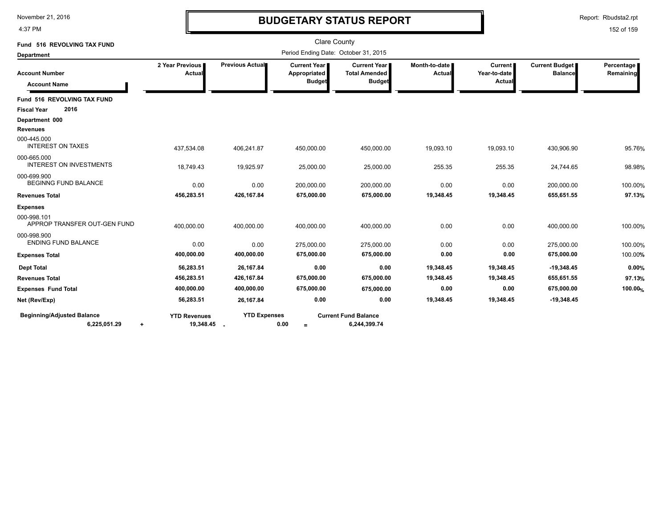4:37 PM

# **BUDGETARY STATUS REPORT**

Report: Rbudsta2.rpt

| Fund 516 REVOLVING TAX FUND                            |                                    |                                                                                                                                                                                                                                                                                                                                                                                                                                                                                                                                                                                                                                                                                                |                  |                                             |           |           |              |                         |
|--------------------------------------------------------|------------------------------------|------------------------------------------------------------------------------------------------------------------------------------------------------------------------------------------------------------------------------------------------------------------------------------------------------------------------------------------------------------------------------------------------------------------------------------------------------------------------------------------------------------------------------------------------------------------------------------------------------------------------------------------------------------------------------------------------|------------------|---------------------------------------------|-----------|-----------|--------------|-------------------------|
| Department                                             |                                    | <b>Clare County</b><br>Period Ending Date: October 31, 2015<br>Previous Actual<br>Current Budget<br><b>Current Year  </b><br><b>Current Year I</b><br>Month-to-date<br><b>Current</b><br><b>Total Amended</b><br>Year-to-date<br><b>Balance</b><br>Actual<br>Appropriated<br>Actual<br><b>Budget</b><br><b>Budget</b><br>Actual<br>406,241.87<br>437,534.08<br>450,000.00<br>450,000.00<br>19,093.10<br>19,093.10<br>430,906.90<br>18,749.43<br>19,925.97<br>25,000.00<br>25,000.00<br>255.35<br>255.35<br>24,744.65<br>0.00<br>0.00<br>200,000.00<br>200,000.00<br>0.00<br>0.00<br>200,000.00<br>456,283.51<br>426,167.84<br>675,000.00<br>675,000.00<br>19,348.45<br>19,348.45<br>655,651.55 |                  |                                             |           |           |              |                         |
| <b>Account Number</b><br><b>Account Name</b>           | 2 Year Previous                    |                                                                                                                                                                                                                                                                                                                                                                                                                                                                                                                                                                                                                                                                                                |                  |                                             |           |           |              | Percentage<br>Remaining |
| Fund 516 REVOLVING TAX FUND                            |                                    |                                                                                                                                                                                                                                                                                                                                                                                                                                                                                                                                                                                                                                                                                                |                  |                                             |           |           |              |                         |
| 2016<br><b>Fiscal Year</b>                             |                                    |                                                                                                                                                                                                                                                                                                                                                                                                                                                                                                                                                                                                                                                                                                |                  |                                             |           |           |              |                         |
| Department 000                                         |                                    |                                                                                                                                                                                                                                                                                                                                                                                                                                                                                                                                                                                                                                                                                                |                  |                                             |           |           |              |                         |
| <b>Revenues</b>                                        |                                    |                                                                                                                                                                                                                                                                                                                                                                                                                                                                                                                                                                                                                                                                                                |                  |                                             |           |           |              |                         |
| 000-445.000<br><b>INTEREST ON TAXES</b>                |                                    |                                                                                                                                                                                                                                                                                                                                                                                                                                                                                                                                                                                                                                                                                                |                  |                                             |           |           |              | 95.76%                  |
| 000-665.000<br><b>INTEREST ON INVESTMENTS</b>          |                                    |                                                                                                                                                                                                                                                                                                                                                                                                                                                                                                                                                                                                                                                                                                |                  |                                             |           |           |              | 98.98%                  |
| 000-699.900<br><b>BEGINNG FUND BALANCE</b>             |                                    |                                                                                                                                                                                                                                                                                                                                                                                                                                                                                                                                                                                                                                                                                                |                  |                                             |           |           |              | 100.00%                 |
| <b>Revenues Total</b>                                  |                                    |                                                                                                                                                                                                                                                                                                                                                                                                                                                                                                                                                                                                                                                                                                |                  |                                             |           |           |              | 97.13%                  |
| <b>Expenses</b>                                        |                                    |                                                                                                                                                                                                                                                                                                                                                                                                                                                                                                                                                                                                                                                                                                |                  |                                             |           |           |              |                         |
| 000-998.101<br>APPROP TRANSFER OUT-GEN FUND            | 400,000.00                         | 400,000.00                                                                                                                                                                                                                                                                                                                                                                                                                                                                                                                                                                                                                                                                                     | 400,000.00       | 400,000.00                                  | 0.00      | 0.00      | 400,000.00   | 100.00%                 |
| 000-998.900<br><b>ENDING FUND BALANCE</b>              | 0.00                               | 0.00                                                                                                                                                                                                                                                                                                                                                                                                                                                                                                                                                                                                                                                                                           | 275,000.00       | 275,000.00                                  | 0.00      | 0.00      | 275,000.00   | 100.00%                 |
| <b>Expenses Total</b>                                  | 400,000.00                         | 400,000.00                                                                                                                                                                                                                                                                                                                                                                                                                                                                                                                                                                                                                                                                                     | 675,000.00       | 675,000.00                                  | 0.00      | 0.00      | 675,000.00   | 100.00%                 |
| <b>Dept Total</b>                                      | 56,283.51                          | 26, 167.84                                                                                                                                                                                                                                                                                                                                                                                                                                                                                                                                                                                                                                                                                     | 0.00             | 0.00                                        | 19,348.45 | 19,348.45 | $-19,348.45$ | 0.00%                   |
| <b>Revenues Total</b>                                  | 456,283.51                         | 426,167.84                                                                                                                                                                                                                                                                                                                                                                                                                                                                                                                                                                                                                                                                                     | 675,000.00       | 675,000.00                                  | 19,348.45 | 19,348.45 | 655,651.55   | 97.13%                  |
| <b>Expenses Fund Total</b>                             | 400,000.00                         | 400,000.00                                                                                                                                                                                                                                                                                                                                                                                                                                                                                                                                                                                                                                                                                     | 675,000.00       | 675,000.00                                  | 0.00      | 0.00      | 675,000.00   | 100.00%                 |
| Net (Rev/Exp)                                          | 56,283.51                          | 26,167.84                                                                                                                                                                                                                                                                                                                                                                                                                                                                                                                                                                                                                                                                                      | 0.00             | 0.00                                        | 19,348.45 | 19,348.45 | $-19,348.45$ |                         |
| <b>Beginning/Adjusted Balance</b><br>6,225,051.29<br>۰ | <b>YTD Revenues</b><br>19,348.45 . | <b>YTD Expenses</b>                                                                                                                                                                                                                                                                                                                                                                                                                                                                                                                                                                                                                                                                            | 0.00<br>$\equiv$ | <b>Current Fund Balance</b><br>6,244,399.74 |           |           |              |                         |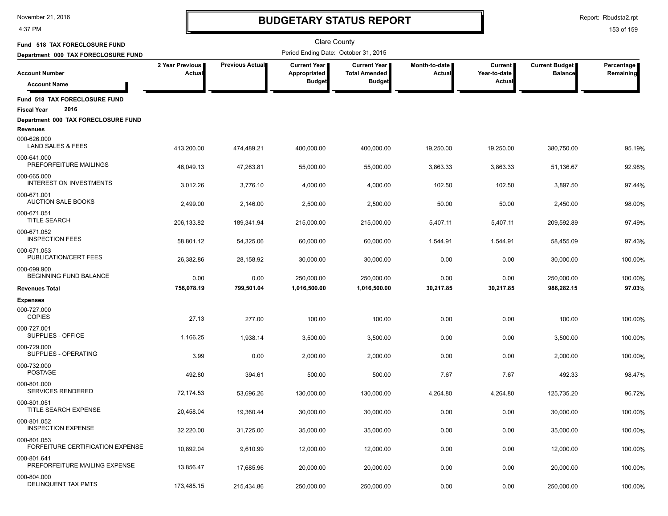4:37 PM

# **BUDGETARY STATUS REPORT**

Report: Rbudsta2.rpt

| Fund 518 TAX FORECLOSURE FUND                               |                           |                 | <b>Clare County</b>                   |                                               |                                |                         |                                  |                         |
|-------------------------------------------------------------|---------------------------|-----------------|---------------------------------------|-----------------------------------------------|--------------------------------|-------------------------|----------------------------------|-------------------------|
| Department 000 TAX FORECLOSURE FUND                         |                           |                 | Period Ending Date: October 31, 2015  |                                               |                                |                         |                                  |                         |
| <b>Account Number</b>                                       | 2 Year Previous<br>Actual | Previous Actual | <b>Current Year</b>  <br>Appropriated | <b>Current Year I</b><br><b>Total Amended</b> | Month-to-date<br><b>Actual</b> | Current<br>Year-to-date | Current Budget<br><b>Balance</b> | Percentage<br>Remaining |
| <b>Account Name</b>                                         |                           |                 | <b>Budget</b>                         | <b>Budget</b>                                 |                                | Actual                  |                                  |                         |
| Fund 518 TAX FORECLOSURE FUND<br>2016<br><b>Fiscal Year</b> |                           |                 |                                       |                                               |                                |                         |                                  |                         |
| Department 000 TAX FORECLOSURE FUND                         |                           |                 |                                       |                                               |                                |                         |                                  |                         |
| Revenues<br>000-626.000<br>LAND SALES & FEES                | 413,200.00                | 474,489.21      | 400,000.00                            | 400,000.00                                    | 19.250.00                      | 19,250.00               | 380,750.00                       | 95.19%                  |
| 000-641.000<br>PREFORFEITURE MAILINGS                       | 46,049.13                 | 47,263.81       | 55,000.00                             | 55,000.00                                     | 3,863.33                       | 3,863.33                | 51,136.67                        | 92.98%                  |
| 000-665.000<br>INTEREST ON INVESTMENTS                      | 3,012.26                  | 3,776.10        | 4,000.00                              | 4,000.00                                      | 102.50                         | 102.50                  | 3,897.50                         | 97.44%                  |
| 000-671.001<br><b>AUCTION SALE BOOKS</b>                    | 2,499.00                  | 2,146.00        | 2,500.00                              | 2,500.00                                      | 50.00                          | 50.00                   | 2,450.00                         | 98.00%                  |
| 000-671.051<br><b>TITLE SEARCH</b>                          | 206,133.82                | 189,341.94      | 215,000.00                            | 215,000.00                                    | 5,407.11                       | 5,407.11                | 209,592.89                       | 97.49%                  |
| 000-671.052<br><b>INSPECTION FEES</b>                       | 58,801.12                 | 54,325.06       | 60,000.00                             | 60,000.00                                     | 1,544.91                       | 1,544.91                | 58,455.09                        | 97.43%                  |
| 000-671.053<br>PUBLICATION/CERT FEES                        | 26,382.86                 | 28,158.92       | 30,000.00                             | 30,000.00                                     | 0.00                           | 0.00                    | 30,000.00                        | 100.00%                 |
| 000-699.900<br>BEGINNING FUND BALANCE                       | 0.00                      | 0.00            | 250,000.00                            | 250,000.00                                    | 0.00                           | 0.00                    | 250,000.00                       | 100.00%                 |
| <b>Revenues Total</b>                                       | 756,078.19                | 799,501.04      | 1,016,500.00                          | 1,016,500.00                                  | 30,217.85                      | 30,217.85               | 986,282.15                       | 97.03%                  |
| <b>Expenses</b><br>000-727.000<br><b>COPIES</b>             | 27.13                     | 277.00          | 100.00                                | 100.00                                        | 0.00                           | 0.00                    | 100.00                           | 100.00%                 |
| 000-727.001<br>SUPPLIES - OFFICE                            | 1,166.25                  | 1,938.14        | 3,500.00                              | 3,500.00                                      | 0.00                           | 0.00                    | 3,500.00                         | 100.00%                 |
| 000-729.000<br>SUPPLIES - OPERATING                         | 3.99                      | 0.00            | 2,000.00                              | 2,000.00                                      | 0.00                           | 0.00                    | 2,000.00                         | 100.00%                 |
| 000-732.000<br><b>POSTAGE</b>                               | 492.80                    | 394.61          | 500.00                                | 500.00                                        | 7.67                           | 7.67                    | 492.33                           | 98.47%                  |
| 000-801.000<br>SERVICES RENDERED                            | 72,174.53                 | 53.696.26       | 130,000.00                            | 130,000.00                                    | 4,264.80                       | 4,264.80                | 125,735.20                       | 96.72%                  |
| 000-801.051<br>TITLE SEARCH EXPENSE                         | 20,458.04                 | 19.360.44       | 30.000.00                             | 30,000.00                                     | 0.00                           | 0.00                    | 30,000.00                        | 100.00%                 |
| 000-801.052<br><b>INSPECTION EXPENSE</b>                    | 32,220.00                 | 31,725.00       | 35,000.00                             | 35,000.00                                     | 0.00                           | 0.00                    | 35,000.00                        | 100.00%                 |
| 000-801.053<br>FORFEITURE CERTIFICATION EXPENSE             | 10,892.04                 | 9,610.99        | 12,000.00                             | 12,000.00                                     | 0.00                           | 0.00                    | 12,000.00                        | 100.00%                 |
| 000-801.641<br>PREFORFEITURE MAILING EXPENSE                | 13,856.47                 | 17,685.96       | 20,000.00                             | 20,000.00                                     | 0.00                           | 0.00                    | 20,000.00                        | 100.00%                 |
| 000-804.000<br>DELINQUENT TAX PMTS                          | 173,485.15                | 215,434.86      | 250,000.00                            | 250,000.00                                    | 0.00                           | 0.00                    | 250,000.00                       | 100.00%                 |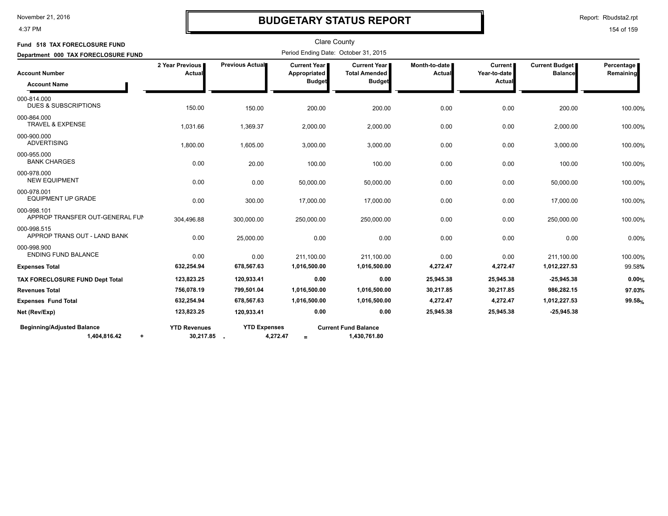#### 4:37 PM

### **BUDGETARY STATUS REPORT**

Report: Rbudsta2.rpt

| Fund 518 TAX FORECLOSURE FUND                                  |                                  |                     |                                                        | <b>Clare County</b>                                          |                           |                                          |                                         |                         |
|----------------------------------------------------------------|----------------------------------|---------------------|--------------------------------------------------------|--------------------------------------------------------------|---------------------------|------------------------------------------|-----------------------------------------|-------------------------|
| Department 000 TAX FORECLOSURE FUND                            |                                  |                     | Period Ending Date: October 31, 2015                   |                                                              |                           |                                          |                                         |                         |
| <b>Account Number</b><br><b>Account Name</b>                   | 2 Year Previous<br>Actual        | Previous Actual     | <b>Current Year</b> ∎<br>Appropriated<br><b>Budget</b> | <b>Current Year</b><br><b>Total Amended</b><br><b>Budget</b> | Month-to-date I<br>Actual | <b>Current</b><br>Year-to-date<br>Actual | <b>Current Budget</b><br><b>Balance</b> | Percentage<br>Remaining |
| 000-814.000<br><b>DUES &amp; SUBSCRIPTIONS</b>                 | 150.00                           | 150.00              | 200.00                                                 | 200.00                                                       | 0.00                      | 0.00                                     | 200.00                                  | 100.00%                 |
| 000-864.000<br><b>TRAVEL &amp; EXPENSE</b>                     | 1,031.66                         | 1,369.37            | 2,000.00                                               | 2,000.00                                                     | 0.00                      | 0.00                                     | 2,000.00                                | 100.00%                 |
| 000-900.000<br><b>ADVERTISING</b>                              | 1,800.00                         | 1,605.00            | 3,000.00                                               | 3,000.00                                                     | 0.00                      | 0.00                                     | 3,000.00                                | 100.00%                 |
| 000-955.000<br><b>BANK CHARGES</b>                             | 0.00                             | 20.00               | 100.00                                                 | 100.00                                                       | 0.00                      | 0.00                                     | 100.00                                  | 100.00%                 |
| 000-978.000<br><b>NEW EQUIPMENT</b>                            | 0.00                             | 0.00                | 50,000.00                                              | 50,000.00                                                    | 0.00                      | 0.00                                     | 50,000.00                               | 100.00%                 |
| 000-978.001<br><b>EQUIPMENT UP GRADE</b>                       | 0.00                             | 300.00              | 17,000.00                                              | 17,000.00                                                    | 0.00                      | 0.00                                     | 17,000.00                               | 100.00%                 |
| 000-998.101<br>APPROP TRANSFER OUT-GENERAL FUN                 | 304,496.88                       | 300,000.00          | 250,000.00                                             | 250,000.00                                                   | 0.00                      | 0.00                                     | 250,000.00                              | 100.00%                 |
| 000-998.515<br>APPROP TRANS OUT - LAND BANK                    | 0.00                             | 25,000.00           | 0.00                                                   | 0.00                                                         | 0.00                      | 0.00                                     | 0.00                                    | 0.00%                   |
| 000-998.900<br><b>ENDING FUND BALANCE</b>                      | 0.00                             | 0.00                | 211,100.00                                             | 211,100.00                                                   | 0.00                      | 0.00                                     | 211,100.00                              | 100.00%                 |
| <b>Expenses Total</b>                                          | 632,254.94                       | 678,567.63          | 1,016,500.00                                           | 1,016,500.00                                                 | 4,272.47                  | 4,272.47                                 | 1,012,227.53                            | 99.58%                  |
| TAX FORECLOSURE FUND Dept Total                                | 123,823.25                       | 120,933.41          | 0.00                                                   | 0.00                                                         | 25,945.38                 | 25,945.38                                | $-25,945.38$                            | 0.00%                   |
| <b>Revenues Total</b>                                          | 756,078.19                       | 799,501.04          | 1,016,500.00                                           | 1,016,500.00                                                 | 30,217.85                 | 30,217.85                                | 986,282.15                              | 97.03%                  |
| <b>Expenses Fund Total</b>                                     | 632,254.94                       | 678,567.63          | 1,016,500.00                                           | 1,016,500.00                                                 | 4,272.47                  | 4,272.47                                 | 1,012,227.53                            | 99.58%                  |
| Net (Rev/Exp)                                                  | 123,823.25                       | 120,933.41          | 0.00                                                   | 0.00                                                         | 25,945.38                 | 25,945.38                                | $-25,945.38$                            |                         |
| <b>Beginning/Adjusted Balance</b><br>1,404,816.42<br>$\ddot{}$ | <b>YTD Revenues</b><br>30,217.85 | <b>YTD Expenses</b> | 4,272.47<br>$=$                                        | <b>Current Fund Balance</b><br>1,430,761.80                  |                           |                                          |                                         |                         |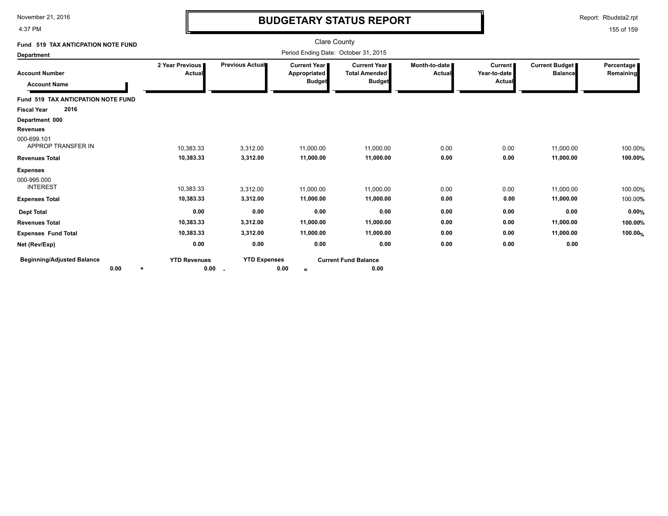4:37 PM

# **BUDGETARY STATUS REPORT**

Report: Rbudsta2.rpt

| Fund 519 TAX ANTICPATION NOTE FUND                |                                  |                           |                                               | <b>Clare County</b>                                          |                         |                                          |                                  |                         |
|---------------------------------------------------|----------------------------------|---------------------------|-----------------------------------------------|--------------------------------------------------------------|-------------------------|------------------------------------------|----------------------------------|-------------------------|
| <b>Department</b>                                 |                                  |                           | Period Ending Date: October 31, 2015          |                                                              |                         |                                          |                                  |                         |
| <b>Account Number</b><br><b>Account Name</b>      | 2 Year Previous<br>Actual        | Previous Actual           | Current Year<br>Appropriated<br><b>Budget</b> | <b>Current Year</b><br><b>Total Amended</b><br><b>Budget</b> | Month-to-date<br>Actual | <b>Current</b><br>Year-to-date<br>Actual | Current Budget<br><b>Balance</b> | Percentage<br>Remaining |
| Fund 519 TAX ANTICPATION NOTE FUND                |                                  |                           |                                               |                                                              |                         |                                          |                                  |                         |
| 2016<br><b>Fiscal Year</b>                        |                                  |                           |                                               |                                                              |                         |                                          |                                  |                         |
| Department 000                                    |                                  |                           |                                               |                                                              |                         |                                          |                                  |                         |
| <b>Revenues</b>                                   |                                  |                           |                                               |                                                              |                         |                                          |                                  |                         |
| 000-699.101<br>APPROP TRANSFER IN                 | 10,383.33                        | 3,312.00                  | 11,000.00                                     | 11,000.00                                                    | 0.00                    | 0.00                                     | 11,000.00                        | 100.00%                 |
| <b>Revenues Total</b>                             | 10,383.33                        | 3,312.00                  | 11,000.00                                     | 11,000.00                                                    | 0.00                    | 0.00                                     | 11,000.00                        | 100.00%                 |
| <b>Expenses</b><br>000-995.000<br><b>INTEREST</b> | 10,383.33                        | 3,312.00                  | 11,000.00                                     | 11,000.00                                                    | 0.00                    | 0.00                                     | 11.000.00                        | 100.00%                 |
| <b>Expenses Total</b>                             | 10,383.33                        | 3,312.00                  | 11,000.00                                     | 11,000.00                                                    | 0.00                    | 0.00                                     | 11,000.00                        | 100.00%                 |
| <b>Dept Total</b>                                 | 0.00                             | 0.00                      | 0.00                                          | 0.00                                                         | 0.00                    | 0.00                                     | 0.00                             | 0.00%                   |
| <b>Revenues Total</b>                             | 10,383.33                        | 3,312.00                  | 11,000.00                                     | 11,000.00                                                    | 0.00                    | 0.00                                     | 11,000.00                        | 100.00%                 |
| <b>Expenses Fund Total</b>                        | 10,383.33                        | 3,312.00                  | 11,000.00                                     | 11,000.00                                                    | 0.00                    | 0.00                                     | 11,000.00                        | 100.00%                 |
| Net (Rev/Exp)                                     | 0.00                             | 0.00                      | 0.00                                          | 0.00                                                         | 0.00                    | 0.00                                     | 0.00                             |                         |
| <b>Beginning/Adjusted Balance</b><br>0.00         | <b>YTD Revenues</b><br>0.00<br>÷ | <b>YTD Expenses</b><br>۰. | 0.00<br>$=$                                   | <b>Current Fund Balance</b><br>0.00                          |                         |                                          |                                  |                         |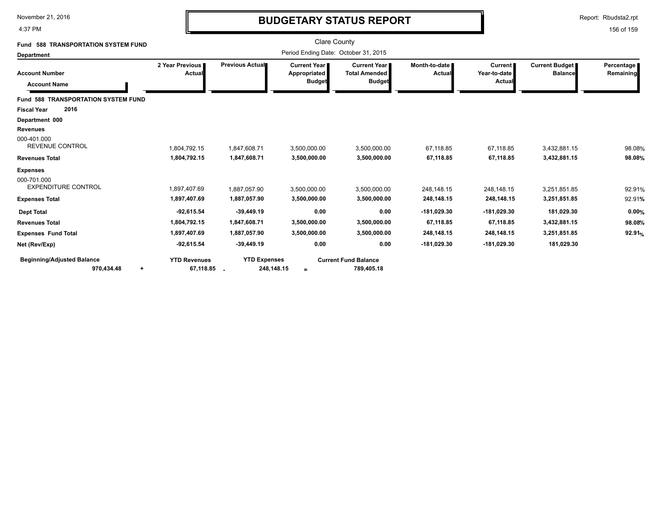4:37 PM

# **BUDGETARY STATUS REPORT**

Report: Rbudsta2.rpt

| <b>588 TRANSPORTATION SYSTEM FUND</b><br>Fund                                             |                                                              |                                                              | <b>Clare County</b>                                    |                                                                |                                                           |                                                       |                                                          |                           |
|-------------------------------------------------------------------------------------------|--------------------------------------------------------------|--------------------------------------------------------------|--------------------------------------------------------|----------------------------------------------------------------|-----------------------------------------------------------|-------------------------------------------------------|----------------------------------------------------------|---------------------------|
| <b>Department</b>                                                                         |                                                              |                                                              | Period Ending Date: October 31, 2015                   |                                                                |                                                           |                                                       |                                                          |                           |
| <b>Account Number</b><br><b>Account Name</b>                                              | 2 Year Previous  <br>Actual                                  | Previous Actual                                              | <b>Current Year I</b><br>Appropriated<br><b>Budget</b> | <b>Current Year I</b><br><b>Total Amended</b><br><b>Budget</b> | Month-to-date  <br>Actual                                 | <b>Current</b><br>Year-to-date<br><b>Actual</b>       | Current Budget<br><b>Balance</b>                         | Percentage<br>Remaining   |
| <b>Fund 588 TRANSPORTATION SYSTEM FUND</b><br>2016<br><b>Fiscal Year</b>                  |                                                              |                                                              |                                                        |                                                                |                                                           |                                                       |                                                          |                           |
| Department 000<br><b>Revenues</b><br>000-401.000<br><b>REVENUE CONTROL</b>                | 1,804,792.15                                                 | 1,847,608.71                                                 | 3,500,000.00                                           | 3,500,000.00                                                   | 67,118.85                                                 | 67,118.85                                             | 3,432,881.15                                             | 98.08%                    |
| <b>Revenues Total</b>                                                                     | 1,804,792.15                                                 | 1,847,608.71                                                 | 3,500,000.00                                           | 3,500,000.00                                                   | 67,118.85                                                 | 67,118.85                                             | 3,432,881.15                                             | 98.08%                    |
| <b>Expenses</b><br>000-701.000<br><b>EXPENDITURE CONTROL</b>                              | 1.897.407.69                                                 | 1.887.057.90                                                 | 3,500,000.00                                           | 3.500.000.00                                                   | 248.148.15                                                | 248.148.15                                            | 3.251.851.85                                             | 92.91%                    |
| <b>Expenses Total</b>                                                                     | 1,897,407.69                                                 | 1,887,057.90                                                 | 3,500,000.00                                           | 3,500,000.00                                                   | 248,148.15                                                | 248,148.15                                            | 3,251,851.85                                             | 92.91%                    |
| <b>Dept Total</b><br><b>Revenues Total</b><br><b>Expenses Fund Total</b><br>Net (Rev/Exp) | $-92,615.54$<br>1,804,792.15<br>1,897,407.69<br>$-92,615.54$ | $-39,449.19$<br>1,847,608.71<br>1,887,057.90<br>$-39,449.19$ | 0.00<br>3,500,000.00<br>3,500,000.00<br>0.00           | 0.00<br>3,500,000.00<br>3,500,000.00<br>0.00                   | $-181,029.30$<br>67,118.85<br>248,148.15<br>$-181,029.30$ | -181,029.30<br>67,118.85<br>248,148.15<br>-181,029.30 | 181,029.30<br>3,432,881.15<br>3,251,851.85<br>181,029.30 | 0.00%<br>98.08%<br>92.91% |
| <b>Beginning/Adjusted Balance</b><br>970,434.48<br>$\ddot{}$                              | <b>YTD Revenues</b><br>67,118.85                             | <b>YTD Expenses</b><br>248,148.15                            | $\equiv$                                               | <b>Current Fund Balance</b><br>789,405.18                      |                                                           |                                                       |                                                          |                           |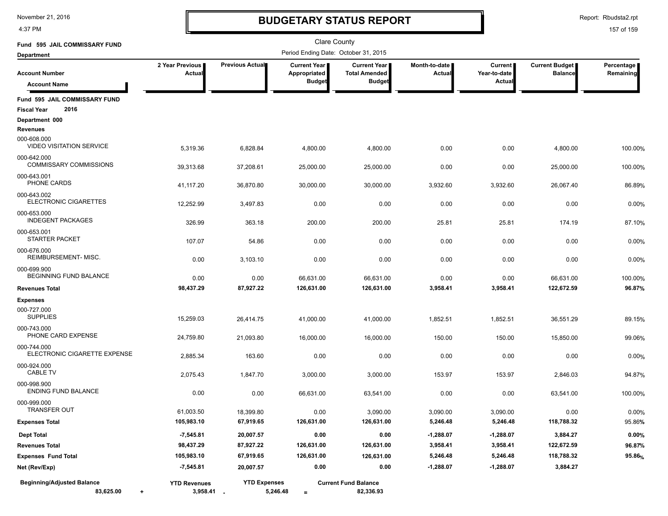4:37 PM

# **BUDGETARY STATUS REPORT**

Report: Rbudsta2.rpt

| Fund 595 JAIL COMMISSARY FUND                               |                                      |                                 | Clare County                 |                                             |                         |                                |                                  |                         |
|-------------------------------------------------------------|--------------------------------------|---------------------------------|------------------------------|---------------------------------------------|-------------------------|--------------------------------|----------------------------------|-------------------------|
| <b>Department</b>                                           | Period Ending Date: October 31, 2015 |                                 |                              |                                             |                         |                                |                                  |                         |
| <b>Account Number</b>                                       | 2 Year Previous<br>Actual            | Previous Actual                 | Current Year<br>Appropriated | <b>Current Year</b><br><b>Total Amended</b> | Month-to-date<br>Actual | <b>Current</b><br>Year-to-date | Current Budget<br><b>Balance</b> | Percentage<br>Remaining |
| <b>Account Name</b>                                         |                                      |                                 | <b>Budget</b>                | <b>Budget</b>                               |                         | <b>Actual</b>                  |                                  |                         |
| Fund 595 JAIL COMMISSARY FUND<br>2016<br><b>Fiscal Year</b> |                                      |                                 |                              |                                             |                         |                                |                                  |                         |
| Department 000                                              |                                      |                                 |                              |                                             |                         |                                |                                  |                         |
| <b>Revenues</b>                                             |                                      |                                 |                              |                                             |                         |                                |                                  |                         |
| 000-608.000<br><b>VIDEO VISITATION SERVICE</b>              | 5,319.36                             | 6,828.84                        | 4,800.00                     | 4,800.00                                    | 0.00                    | 0.00                           | 4,800.00                         | 100.00%                 |
| 000-642.000<br>COMMISSARY COMMISSIONS                       | 39,313.68                            | 37,208.61                       | 25,000.00                    | 25,000.00                                   | 0.00                    | 0.00                           | 25,000.00                        | 100.00%                 |
| 000-643.001                                                 |                                      |                                 |                              |                                             |                         |                                |                                  |                         |
| PHONE CARDS                                                 | 41,117.20                            | 36,870.80                       | 30,000.00                    | 30,000.00                                   | 3,932.60                | 3,932.60                       | 26,067.40                        | 86.89%                  |
| 000-643.002<br>ELECTRONIC CIGARETTES                        | 12,252.99                            | 3,497.83                        | 0.00                         | 0.00                                        | 0.00                    | 0.00                           | 0.00                             | 0.00%                   |
| 000-653.000<br><b>INDEGENT PACKAGES</b>                     | 326.99                               | 363.18                          | 200.00                       | 200.00                                      | 25.81                   | 25.81                          | 174.19                           | 87.10%                  |
| 000-653.001<br><b>STARTER PACKET</b>                        | 107.07                               | 54.86                           | 0.00                         | 0.00                                        | 0.00                    | 0.00                           | 0.00                             | 0.00%                   |
| 000-676.000<br>REIMBURSEMENT-MISC.                          | 0.00                                 | 3,103.10                        | 0.00                         | 0.00                                        | 0.00                    | 0.00                           | 0.00                             | 0.00%                   |
| 000-699.900<br>BEGINNING FUND BALANCE                       | 0.00                                 | 0.00                            | 66,631.00                    | 66.631.00                                   | 0.00                    | 0.00                           | 66,631.00                        | 100.00%                 |
| <b>Revenues Total</b>                                       | 98,437.29                            | 87,927.22                       | 126,631.00                   | 126,631.00                                  | 3,958.41                | 3,958.41                       | 122,672.59                       | 96.87%                  |
| <b>Expenses</b>                                             |                                      |                                 |                              |                                             |                         |                                |                                  |                         |
| 000-727.000<br><b>SUPPLIES</b>                              | 15,259.03                            | 26,414.75                       | 41,000.00                    | 41,000.00                                   | 1,852.51                | 1,852.51                       | 36,551.29                        | 89.15%                  |
| 000-743.000<br>PHONE CARD EXPENSE                           | 24,759.80                            | 21,093.80                       | 16,000.00                    | 16,000.00                                   | 150.00                  | 150.00                         | 15,850.00                        | 99.06%                  |
| 000-744.000<br>ELECTRONIC CIGARETTE EXPENSE                 | 2,885.34                             | 163.60                          | 0.00                         | 0.00                                        | 0.00                    | 0.00                           | 0.00                             | 0.00%                   |
| 000-924.000<br><b>CABLE TV</b>                              | 2,075.43                             | 1,847.70                        | 3,000.00                     | 3,000.00                                    | 153.97                  | 153.97                         | 2,846.03                         | 94.87%                  |
| 000-998.900<br><b>ENDING FUND BALANCE</b>                   | 0.00                                 | 0.00                            | 66,631.00                    | 63,541.00                                   | 0.00                    | 0.00                           | 63,541.00                        | 100.00%                 |
| 000-999.000<br><b>TRANSFER OUT</b>                          | 61,003.50                            | 18,399.80                       | 0.00                         | 3.090.00                                    | 3,090.00                | 3,090.00                       | 0.00                             | 0.00%                   |
| <b>Expenses Total</b>                                       | 105,983.10                           | 67,919.65                       | 126,631.00                   | 126,631.00                                  | 5,246.48                | 5,246.48                       | 118,788.32                       | 95.86%                  |
| <b>Dept Total</b>                                           | $-7,545.81$                          | 20,007.57                       | 0.00                         | 0.00                                        | $-1,288.07$             | $-1,288.07$                    | 3,884.27                         | 0.00%                   |
| <b>Revenues Total</b>                                       | 98,437.29                            | 87,927.22                       | 126,631.00                   | 126,631.00                                  | 3,958.41                | 3,958.41                       | 122,672.59                       | 96.87%                  |
| <b>Expenses Fund Total</b>                                  | 105,983.10                           | 67,919.65                       | 126,631.00                   | 126,631.00                                  | 5,246.48                | 5,246.48                       | 118,788.32                       | 95.86%                  |
| Net (Rev/Exp)                                               | -7,545.81                            | 20,007.57                       | 0.00                         | 0.00                                        | -1,288.07               | $-1,288.07$                    | 3,884.27                         |                         |
| <b>Beginning/Adjusted Balance</b><br>83,625.00<br>$\ddot{}$ | <b>YTD Revenues</b><br>3,958.41 .    | <b>YTD Expenses</b><br>5,246.48 | $\equiv$                     | <b>Current Fund Balance</b><br>82,336.93    |                         |                                |                                  |                         |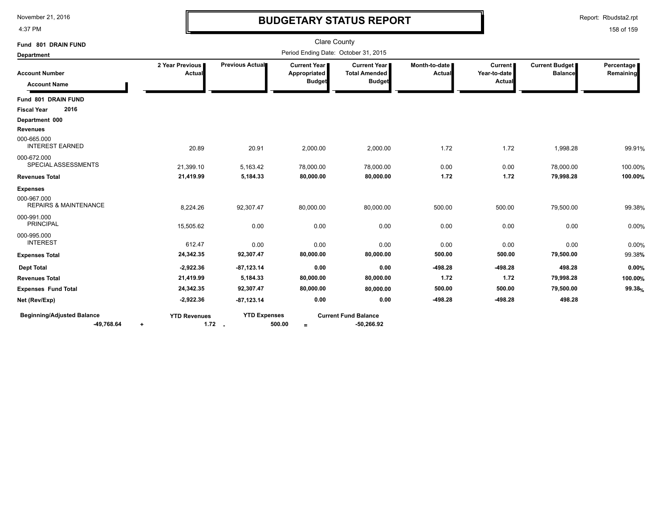4:37 PM

## **BUDGETARY STATUS REPORT**

Report: Rbudsta2.rpt

| Fund 801 DRAIN FUND<br><b>Department</b>        | <b>Clare County</b><br>Period Ending Date: October 31, 2015 |                                 |                                                      |                                                                |                                |                                          |                                  |                         |
|-------------------------------------------------|-------------------------------------------------------------|---------------------------------|------------------------------------------------------|----------------------------------------------------------------|--------------------------------|------------------------------------------|----------------------------------|-------------------------|
| <b>Account Number</b><br><b>Account Name</b>    | 2 Year Previous<br><b>Actual</b>                            | Previous Actual                 | <b>Current Year</b><br>Appropriated<br><b>Budget</b> | <b>Current Year I</b><br><b>Total Amended</b><br><b>Budget</b> | Month-to-date<br><b>Actual</b> | <b>Current</b><br>Year-to-date<br>Actual | Current Budget<br><b>Balance</b> | Percentage<br>Remaining |
| Fund 801 DRAIN FUND                             |                                                             |                                 |                                                      |                                                                |                                |                                          |                                  |                         |
| 2016<br><b>Fiscal Year</b>                      |                                                             |                                 |                                                      |                                                                |                                |                                          |                                  |                         |
| Department 000                                  |                                                             |                                 |                                                      |                                                                |                                |                                          |                                  |                         |
| <b>Revenues</b>                                 |                                                             |                                 |                                                      |                                                                |                                |                                          |                                  |                         |
| 000-665.000<br><b>INTEREST EARNED</b>           | 20.89                                                       | 20.91                           | 2,000.00                                             | 2,000.00                                                       | 1.72                           | 1.72                                     | 1,998.28                         | 99.91%                  |
| 000-672.000<br>SPECIAL ASSESSMENTS              | 21,399.10                                                   | 5,163.42                        | 78,000.00                                            | 78,000.00                                                      | 0.00                           | 0.00                                     | 78,000.00                        | 100.00%                 |
| <b>Revenues Total</b>                           | 21,419.99                                                   | 5,184.33                        | 80,000.00                                            | 80,000.00                                                      | 1.72                           | 1.72                                     | 79,998.28                        | 100.00%                 |
| <b>Expenses</b>                                 |                                                             |                                 |                                                      |                                                                |                                |                                          |                                  |                         |
| 000-967.000<br><b>REPAIRS &amp; MAINTENANCE</b> | 8,224.26                                                    | 92,307.47                       | 80,000.00                                            | 80,000.00                                                      | 500.00                         | 500.00                                   | 79,500.00                        | 99.38%                  |
| 000-991.000<br><b>PRINCIPAL</b>                 | 15,505.62                                                   | 0.00                            | 0.00                                                 | 0.00                                                           | 0.00                           | 0.00                                     | 0.00                             | 0.00%                   |
| 000-995.000<br><b>INTEREST</b>                  | 612.47                                                      | 0.00                            | 0.00                                                 | 0.00                                                           | 0.00                           | 0.00                                     | 0.00                             | 0.00%                   |
| <b>Expenses Total</b>                           | 24,342.35                                                   | 92,307.47                       | 80,000.00                                            | 80,000.00                                                      | 500.00                         | 500.00                                   | 79,500.00                        | 99.38%                  |
| <b>Dept Total</b>                               | $-2,922.36$                                                 | $-87, 123.14$                   | 0.00                                                 | 0.00                                                           | $-498.28$                      | $-498.28$                                | 498.28                           | 0.00%                   |
| <b>Revenues Total</b>                           | 21,419.99                                                   | 5,184.33                        | 80,000.00                                            | 80,000.00                                                      | 1.72                           | 1.72                                     | 79,998.28                        | 100.00%                 |
| <b>Expenses Fund Total</b>                      | 24,342.35                                                   | 92,307.47                       | 80,000.00                                            | 80,000.00                                                      | 500.00                         | 500.00                                   | 79,500.00                        | 99.38%                  |
| Net (Rev/Exp)                                   | $-2,922.36$                                                 | $-87, 123.14$                   | 0.00                                                 | 0.00                                                           | $-498.28$                      | $-498.28$                                | 498.28                           |                         |
| <b>Beginning/Adjusted Balance</b><br>-49,768.64 | <b>YTD Revenues</b><br>٠                                    | <b>YTD Expenses</b><br>$1.72$ . | 500.00<br>$=$                                        | <b>Current Fund Balance</b><br>$-50,266.92$                    |                                |                                          |                                  |                         |